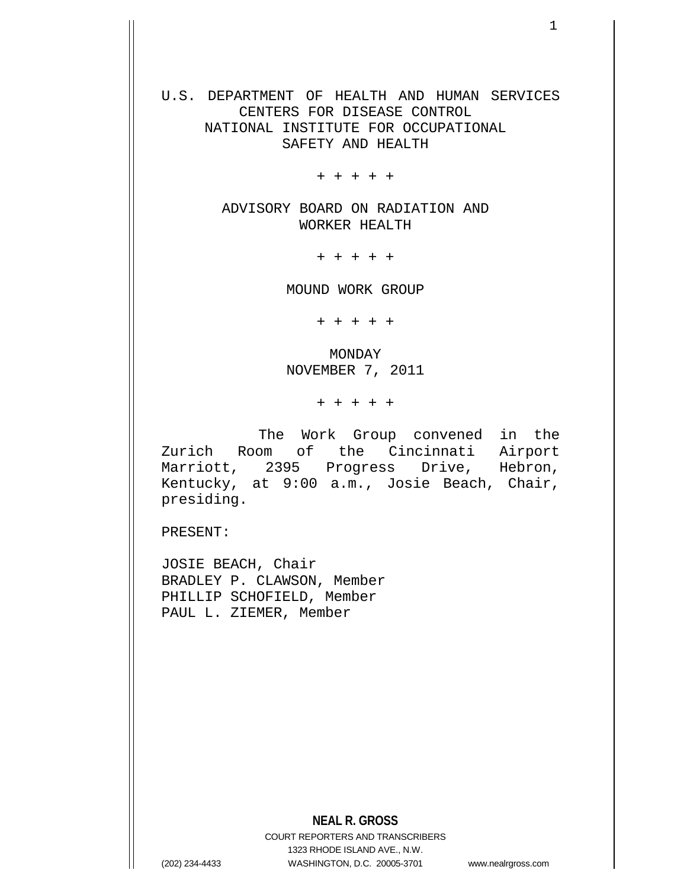U.S. DEPARTMENT OF HEALTH AND HUMAN SERVICES CENTERS FOR DISEASE CONTROL NATIONAL INSTITUTE FOR OCCUPATIONAL SAFETY AND HEALTH

+ + + + +

ADVISORY BOARD ON RADIATION AND WORKER HEALTH

+ + + + +

MOUND WORK GROUP

+ + + + +

MONDAY NOVEMBER 7, 2011

+ + + + +

 The Work Group convened in the Zurich Room of the Cincinnati Airport Marriott, 2395 Progress Drive, Hebron, Kentucky, at 9:00 a.m., Josie Beach, Chair, presiding.

PRESENT:

JOSIE BEACH, Chair BRADLEY P. CLAWSON, Member PHILLIP SCHOFIELD, Member PAUL L. ZIEMER, Member

## **NEAL R. GROSS**

COURT REPORTERS AND TRANSCRIBERS 1323 RHODE ISLAND AVE., N.W. (202) 234-4433 WASHINGTON, D.C. 20005-3701 www.nealrgross.com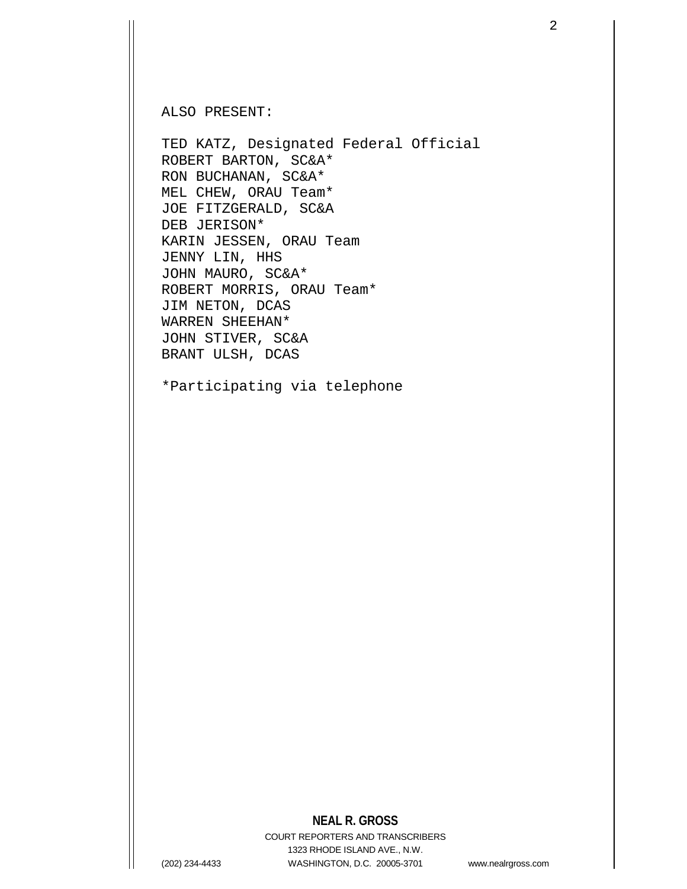ALSO PRESENT:

TED KATZ, Designated Federal Official ROBERT BARTON, SC&A\* RON BUCHANAN, SC&A\* MEL CHEW, ORAU Team\* JOE FITZGERALD, SC&A DEB JERISON\* KARIN JESSEN, ORAU Team JENNY LIN, HHS JOHN MAURO, SC&A\* ROBERT MORRIS, ORAU Team\* JIM NETON, DCAS WARREN SHEEHAN\* JOHN STIVER, SC&A BRANT ULSH, DCAS

\*Participating via telephone

## **NEAL R. GROSS**

COURT REPORTERS AND TRANSCRIBERS 1323 RHODE ISLAND AVE., N.W. (202) 234-4433 WASHINGTON, D.C. 20005-3701 www.nealrgross.com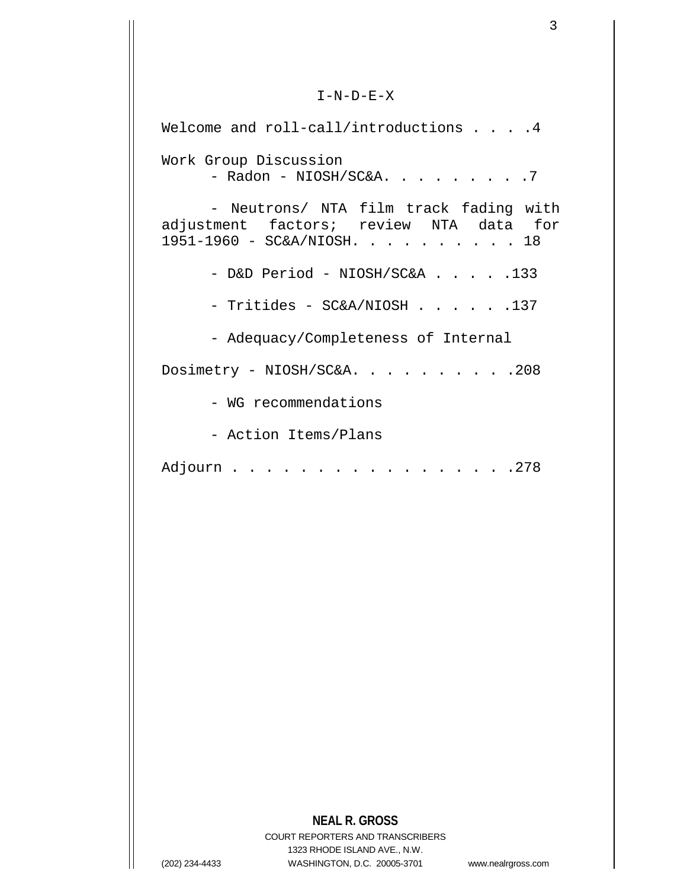$I-N-D-E-X$ 

Welcome and roll-call/introductions . . . 4 Work Group Discussion - Radon - NIOSH/SC&A. . . . . . . . . 7 - Neutrons/ NTA film track fading with adjustment factors; review NTA data for 1951-1960 - SC&A/NIOSH. . . . . . . . . . 18 - D&D Period - NIOSH/SC&A . . . . .133 - Tritides - SC&A/NIOSH . . . . . .137 - Adequacy/Completeness of Internal Dosimetry - NIOSH/SC&A. . . . . . . . . . 208 - WG recommendations - Action Items/Plans Adjourn . . . . . . . . . . . . . . . . . 278

## **NEAL R. GROSS**

COURT REPORTERS AND TRANSCRIBERS 1323 RHODE ISLAND AVE., N.W. (202) 234-4433 WASHINGTON, D.C. 20005-3701 www.nealrgross.com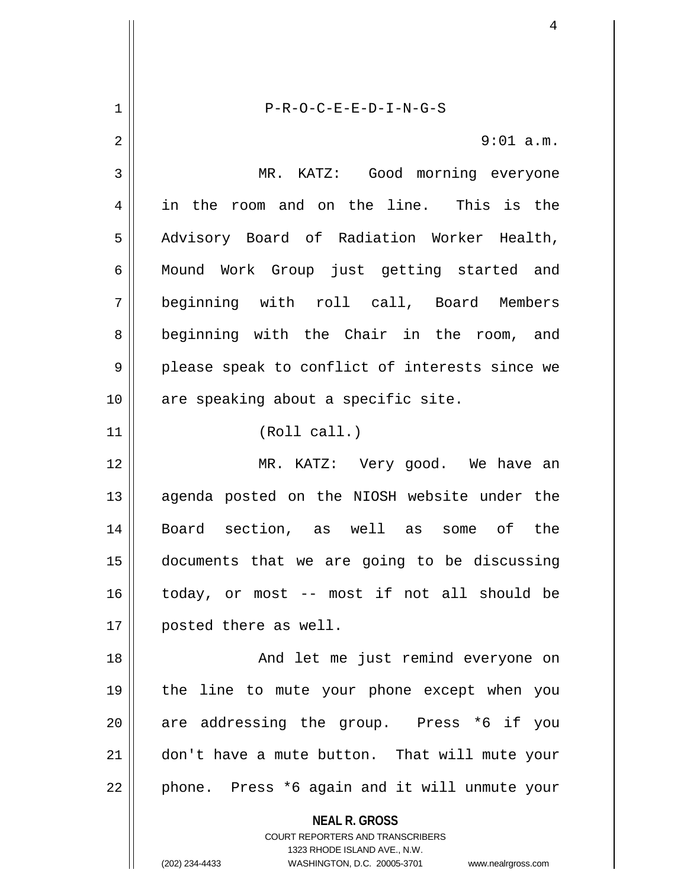**NEAL R. GROSS** COURT REPORTERS AND TRANSCRIBERS 1323 RHODE ISLAND AVE., N.W. (202) 234-4433 WASHINGTON, D.C. 20005-3701 www.nealrgross.com 1 P-R-O-C-E-E-D-I-N-G-S 2  $\parallel$  9:01 a.m. 3 MR. KATZ: Good morning everyone 4 || in the room and on the line. This is the 5 || Advisory Board of Radiation Worker Health, 6 || Mound Work Group just getting started and 7 beginning with roll call, Board Members 8 beginning with the Chair in the room, and  $9 \parallel$  please speak to conflict of interests since we 10 || are speaking about a specific site. 11 || (Roll call.) 12 MR. KATZ: Very good. We have an 13 || agenda posted on the NIOSH website under the 14 Board section, as well as some of the 15 documents that we are going to be discussing 16 today, or most -- most if not all should be 17 | posted there as well. 18 || And let me just remind everyone on 19 the line to mute your phone except when you 20 || are addressing the group. Press \*6 if you 21 don't have a mute button. That will mute your  $22$  | phone. Press \*6 again and it will unmute your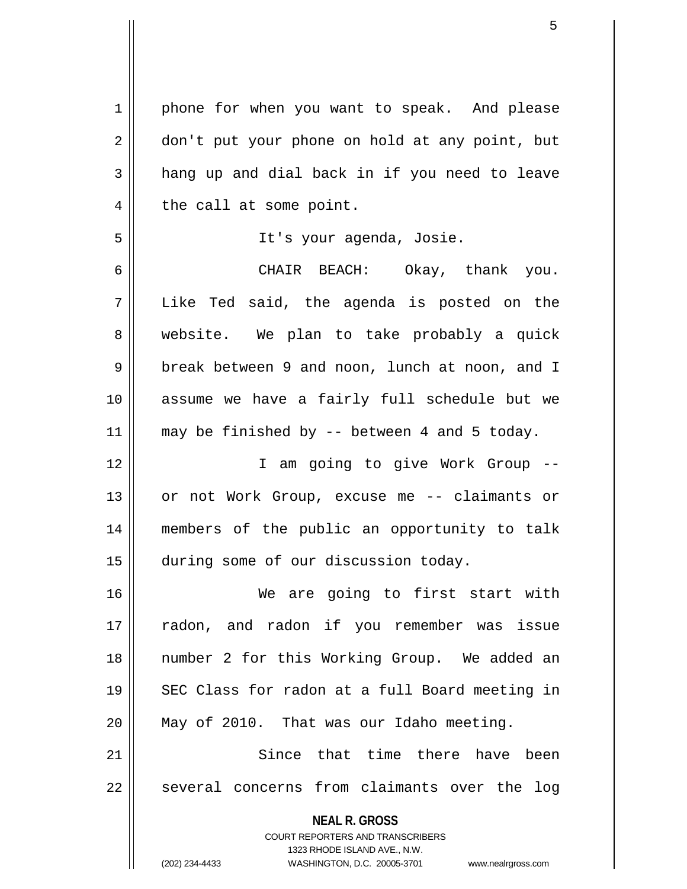| $\mathbf 1$ | phone for when you want to speak. And please                     |
|-------------|------------------------------------------------------------------|
| 2           | don't put your phone on hold at any point, but                   |
| 3           | hang up and dial back in if you need to leave                    |
| 4           | the call at some point.                                          |
| 5           | It's your agenda, Josie.                                         |
| 6           | CHAIR BEACH: Okay, thank you.                                    |
| 7           | Like Ted said, the agenda is posted on the                       |
| 8           | website. We plan to take probably a quick                        |
| $\mathsf 9$ | break between 9 and noon, lunch at noon, and I                   |
| 10          | assume we have a fairly full schedule but we                     |
| 11          | may be finished by $-$ between 4 and 5 today.                    |
| 12          | I am going to give Work Group --                                 |
| 13          | or not Work Group, excuse me -- claimants or                     |
| 14          | members of the public an opportunity to talk                     |
| 15          | during some of our discussion today.                             |
| 16          | We are going to first start with                                 |
| 17          | radon, and radon if you remember was issue                       |
| 18          | number 2 for this Working Group. We added an                     |
| 19          | SEC Class for radon at a full Board meeting in                   |
| 20          | May of 2010. That was our Idaho meeting.                         |
| 21          | Since that time there have been                                  |
| 22          | several concerns from claimants over the<br>log                  |
|             | <b>NEAL R. GROSS</b>                                             |
|             | <b>COURT REPORTERS AND TRANSCRIBERS</b>                          |
|             | 1323 RHODE ISLAND AVE., N.W.                                     |
|             | (202) 234-4433<br>WASHINGTON, D.C. 20005-3701 www.nealrgross.com |

 $\mathsf{I}$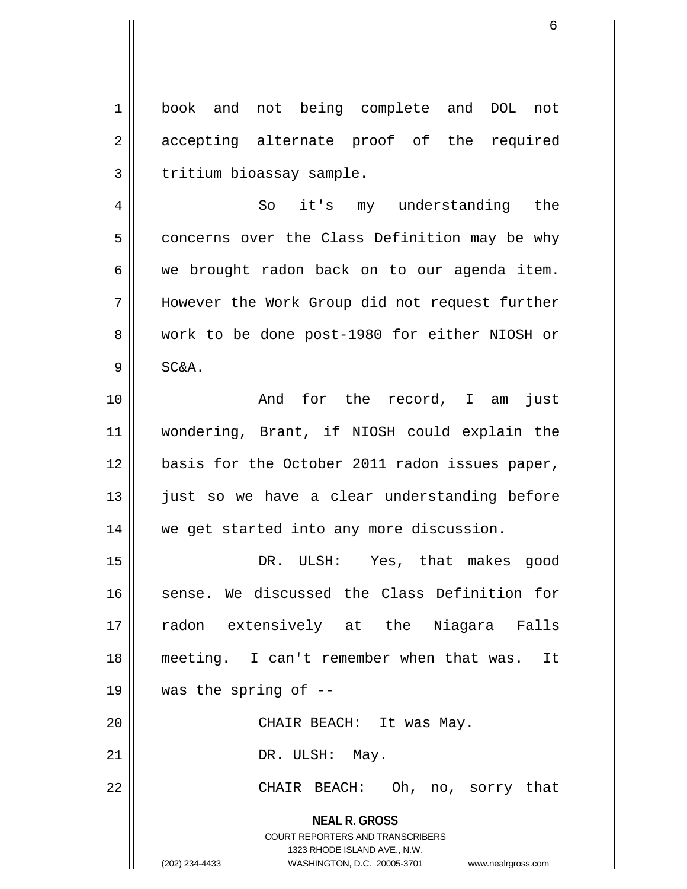1 || book and not being complete and DOL not 2 accepting alternate proof of the required  $3$  | tritium bioassay sample.

4 So it's my understanding the  $5 \parallel$  concerns over the Class Definition may be why  $6 \parallel$  we brought radon back on to our agenda item. 7 However the Work Group did not request further 8 work to be done post-1980 for either NIOSH or  $9 \parallel$  SC&A.

10 || The Rand for the record, I am just 11 wondering, Brant, if NIOSH could explain the 12 || basis for the October 2011 radon issues paper, 13 || just so we have a clear understanding before 14 || we get started into any more discussion.

**NEAL R. GROSS** 15 DR. ULSH: Yes, that makes good 16 || sense. We discussed the Class Definition for 17 radon extensively at the Niagara Falls 18 meeting. I can't remember when that was. It 19  $\parallel$  was the spring of --20 || CHAIR BEACH: It was May. 21 || DR. ULSH: May. 22 CHAIR BEACH: Oh, no, sorry that

> COURT REPORTERS AND TRANSCRIBERS 1323 RHODE ISLAND AVE., N.W.

(202) 234-4433 WASHINGTON, D.C. 20005-3701 www.nealrgross.com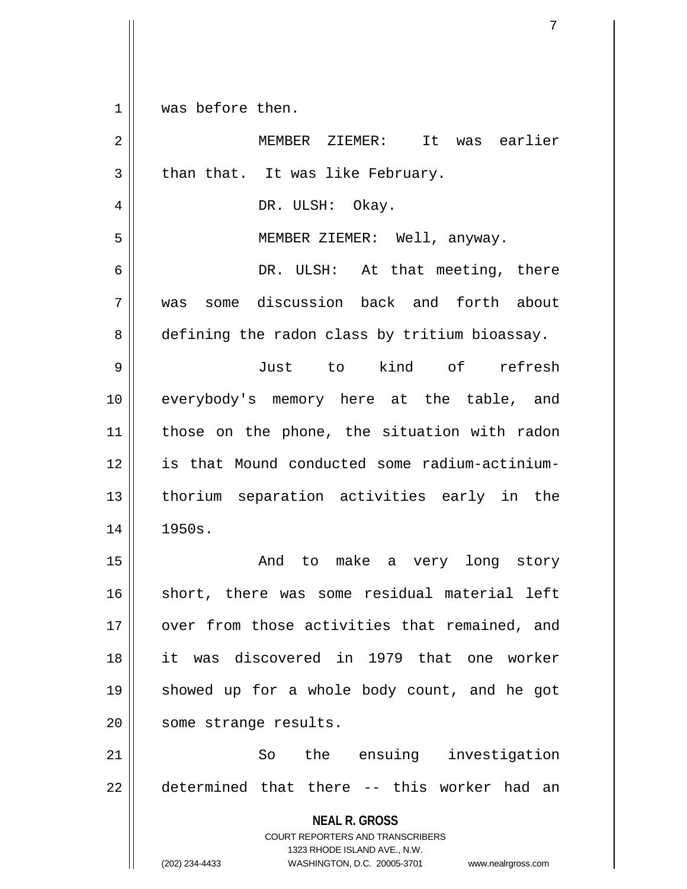$1 \parallel$  was before then.

| $\overline{2}$ | It was earlier<br>MEMBER ZIEMER:                                                                                                                                       |
|----------------|------------------------------------------------------------------------------------------------------------------------------------------------------------------------|
| $\mathbf{3}$   | than that. It was like February.                                                                                                                                       |
| $\overline{4}$ | DR. ULSH: Okay.                                                                                                                                                        |
| 5              | MEMBER ZIEMER: Well, anyway.                                                                                                                                           |
| 6              | DR. ULSH: At that meeting, there                                                                                                                                       |
| 7              | was some discussion back and forth about                                                                                                                               |
| 8              | defining the radon class by tritium bioassay.                                                                                                                          |
| 9              | Just to kind of refresh                                                                                                                                                |
| 10             | everybody's memory here at the table, and                                                                                                                              |
| 11             | those on the phone, the situation with radon                                                                                                                           |
| 12             | is that Mound conducted some radium-actinium-                                                                                                                          |
| 13             | thorium separation activities early in the                                                                                                                             |
| 14             | 1950s.                                                                                                                                                                 |
| 15             | And to make a very long story                                                                                                                                          |
| 16             | short, there was some residual material left                                                                                                                           |
| $17$           | over from those activities that remained, and                                                                                                                          |
| 18             | it was discovered in 1979 that one worker                                                                                                                              |
| 19             | showed up for a whole body count, and he got                                                                                                                           |
| 20             | some strange results.                                                                                                                                                  |
| 21             | the ensuing investigation<br>So                                                                                                                                        |
| 22             | determined that there -- this worker had an                                                                                                                            |
|                | <b>NEAL R. GROSS</b><br><b>COURT REPORTERS AND TRANSCRIBERS</b><br>1323 RHODE ISLAND AVE., N.W.<br>(202) 234-4433<br>WASHINGTON, D.C. 20005-3701<br>www.nealrgross.com |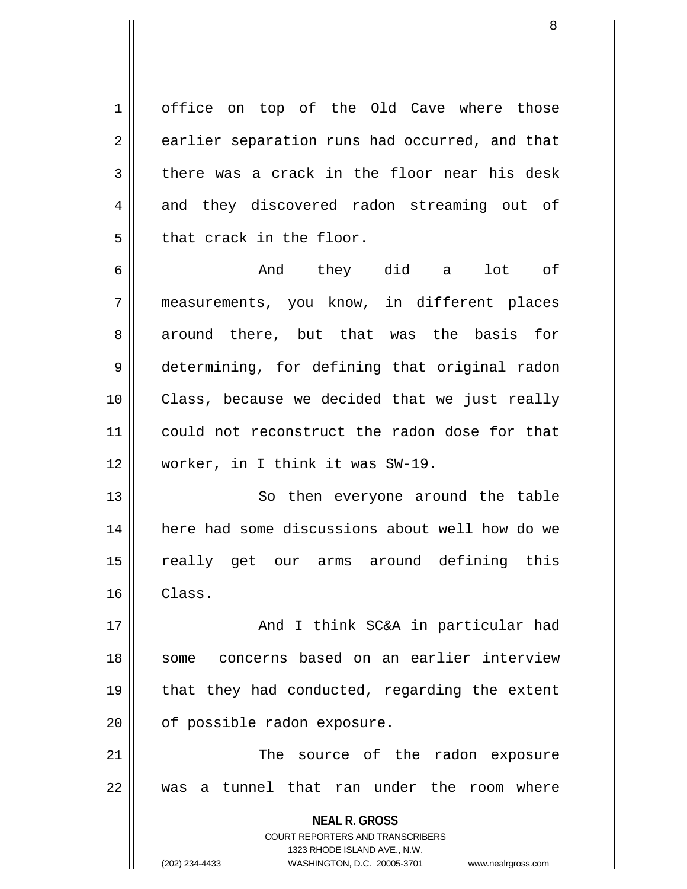1 office on top of the Old Cave where those 2 earlier separation runs had occurred, and that  $3 \parallel$  there was a crack in the floor near his desk 4 and they discovered radon streaming out of  $5$  || that crack in the floor.

6 And they did a lot of 7 measurements, you know, in different places 8 around there, but that was the basis for 9 determining, for defining that original radon 10 || Class, because we decided that we just really 11 could not reconstruct the radon dose for that 12 worker, in I think it was SW-19.

13 || So then everyone around the table 14 here had some discussions about well how do we 15 really get our arms around defining this  $16$  Class.

17 || And I think SC&A in particular had 18 some concerns based on an earlier interview 19 || that they had conducted, regarding the extent 20 | of possible radon exposure.

21 || The source of the radon exposure 22 was a tunnel that ran under the room where

> **NEAL R. GROSS** COURT REPORTERS AND TRANSCRIBERS 1323 RHODE ISLAND AVE., N.W. (202) 234-4433 WASHINGTON, D.C. 20005-3701 www.nealrgross.com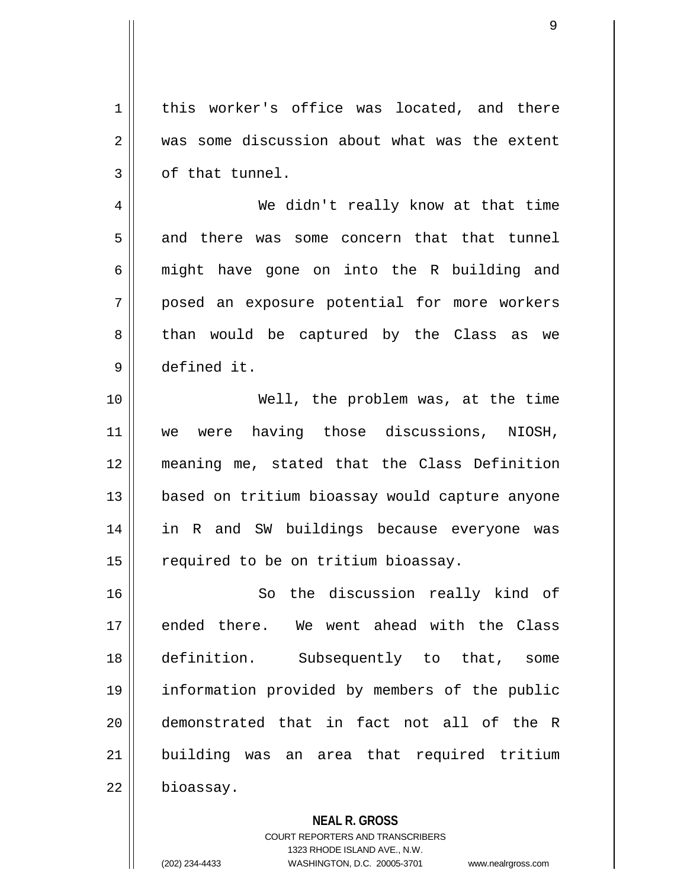1 | this worker's office was located, and there 2 was some discussion about what was the extent  $3 \parallel$  of that tunnel.

4 We didn't really know at that time 5 and there was some concern that that tunnel  $6 \parallel$  might have gone on into the R building and 7 posed an exposure potential for more workers 8 || than would be captured by the Class as we 9 defined it.

10 Well, the problem was, at the time 11 we were having those discussions, NIOSH, 12 meaning me, stated that the Class Definition 13 || based on tritium bioassay would capture anyone 14 || in R and SW buildings because everyone was  $15$   $\parallel$  required to be on tritium bioassay.

16 || So the discussion really kind of 17 ended there. We went ahead with the Class 18 definition. Subsequently to that, some 19 information provided by members of the public 20 demonstrated that in fact not all of the R 21 || building was an area that required tritium 22 | bioassay.

**NEAL R. GROSS**

COURT REPORTERS AND TRANSCRIBERS 1323 RHODE ISLAND AVE., N.W. (202) 234-4433 WASHINGTON, D.C. 20005-3701 www.nealrgross.com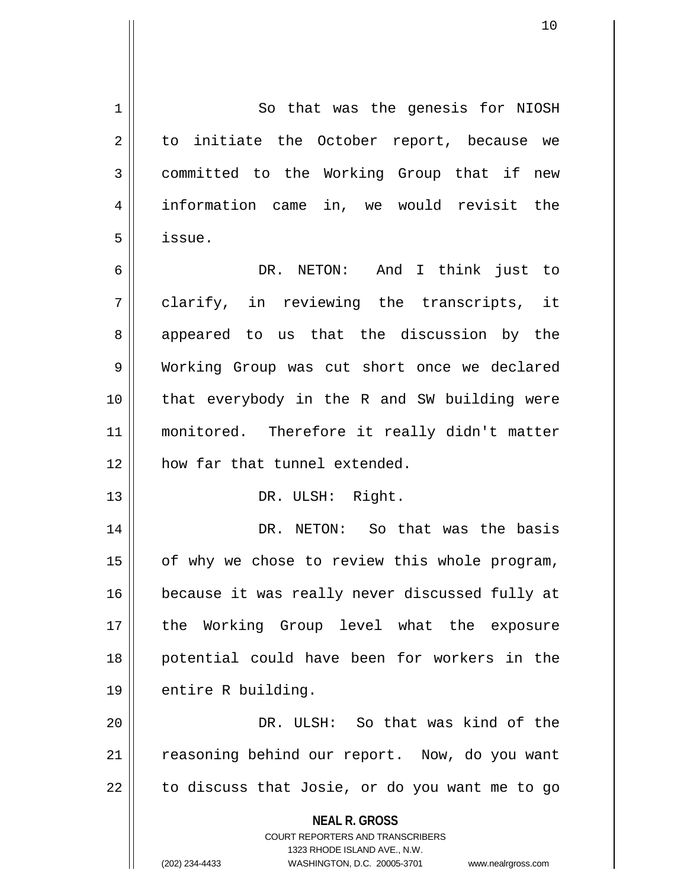**NEAL R. GROSS** COURT REPORTERS AND TRANSCRIBERS 1323 RHODE ISLAND AVE., N.W. (202) 234-4433 WASHINGTON, D.C. 20005-3701 www.nealrgross.com 1 So that was the genesis for NIOSH  $2 \parallel$  to initiate the October report, because we 3 | committed to the Working Group that if new 4 information came in, we would revisit the 5 issue. 6 DR. NETON: And I think just to 7 clarify, in reviewing the transcripts, it 8 || appeared to us that the discussion by the 9 Working Group was cut short once we declared 10 || that everybody in the R and SW building were 11 monitored. Therefore it really didn't matter 12 how far that tunnel extended. 13 || DR. ULSH: Right. 14 DR. NETON: So that was the basis  $15$  | of why we chose to review this whole program, 16 || because it was really never discussed fully at 17 the Working Group level what the exposure 18 potential could have been for workers in the  $19 \parallel$  entire R building. 20 DR. ULSH: So that was kind of the 21 | reasoning behind our report. Now, do you want  $22$  | to discuss that Josie, or do you want me to go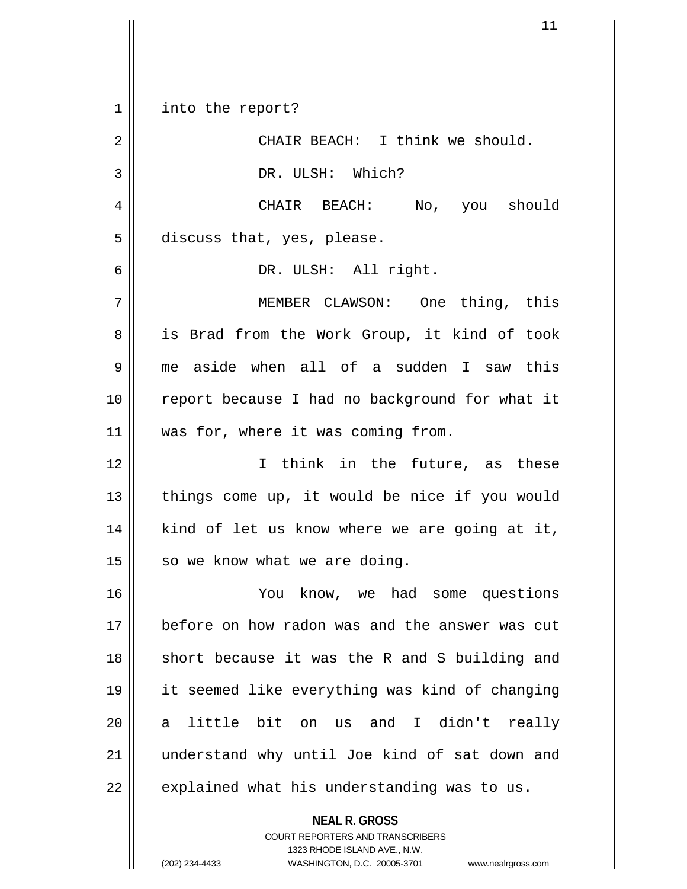1 || into the report? 2 || CHAIR BEACH: I think we should. 3 || DR. ULSH: Which? 4 CHAIR BEACH: No, you should  $5 \parallel$  discuss that, yes, please. 6 DR. ULSH: All right. 7 MEMBER CLAWSON: One thing, this 8 || is Brad from the Work Group, it kind of took 9 me aside when all of a sudden I saw this 10 || report because I had no background for what it 11 || was for, where it was coming from. 12 I think in the future, as these  $13$  || things come up, it would be nice if you would  $14$  | kind of let us know where we are going at it,  $15$  so we know what we are doing. 16 You know, we had some questions 17 before on how radon was and the answer was cut 18 || short because it was the R and S building and 19 it seemed like everything was kind of changing 20 a little bit on us and I didn't really 21 || understand why until Joe kind of sat down and  $22$  | explained what his understanding was to us.

> **NEAL R. GROSS** COURT REPORTERS AND TRANSCRIBERS 1323 RHODE ISLAND AVE., N.W.

(202) 234-4433 WASHINGTON, D.C. 20005-3701 www.nealrgross.com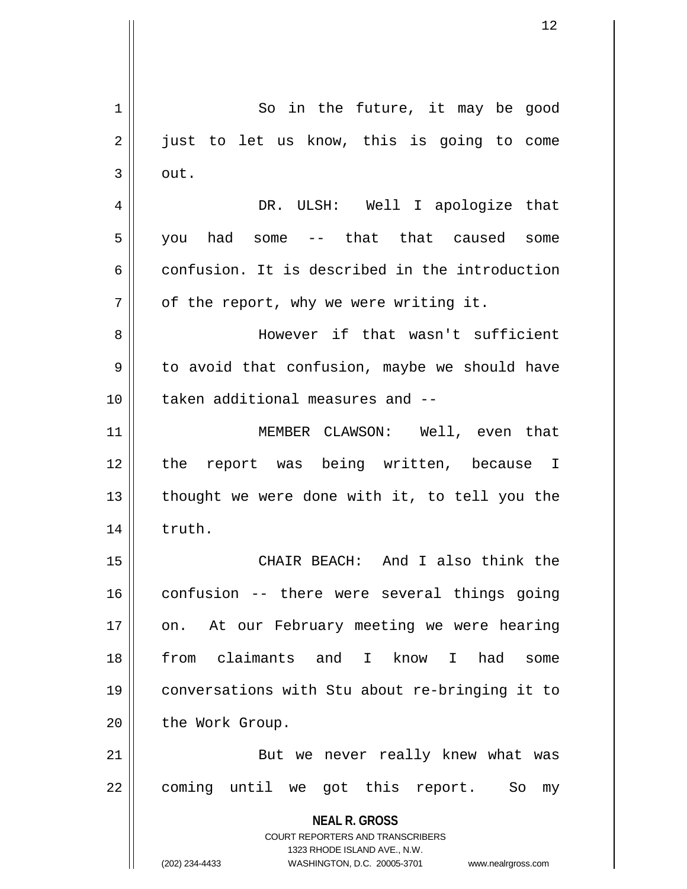**NEAL R. GROSS** COURT REPORTERS AND TRANSCRIBERS 1323 RHODE ISLAND AVE., N.W. (202) 234-4433 WASHINGTON, D.C. 20005-3701 www.nealrgross.com 1 || So in the future, it may be good 2 || just to let us know, this is going to come  $3 \parallel$  out. 4 DR. ULSH: Well I apologize that 5 you had some -- that that caused some  $6 \parallel$  confusion. It is described in the introduction  $7 \parallel$  of the report, why we were writing it. 8 || However if that wasn't sufficient  $9 \parallel$  to avoid that confusion, maybe we should have 10 d taken additional measures and --11 MEMBER CLAWSON: Well, even that 12 the report was being written, because I  $13$  || thought we were done with it, to tell you the 14 | truth. 15 CHAIR BEACH: And I also think the 16 confusion -- there were several things going 17 || on. At our February meeting we were hearing 18 from claimants and I know I had some 19 conversations with Stu about re-bringing it to 20 | the Work Group. 21 || But we never really knew what was 22 || coming until we got this report. So my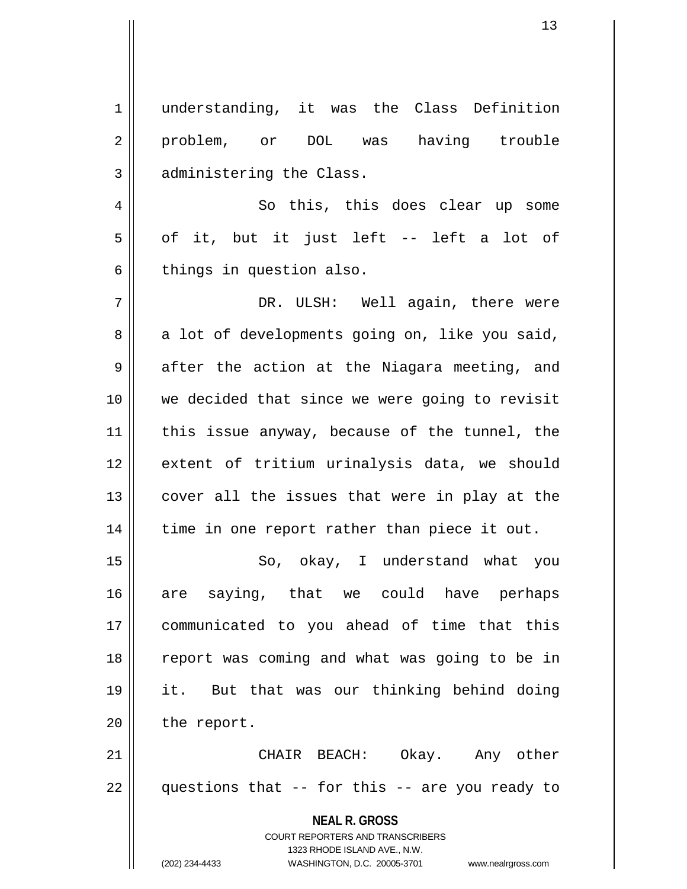**NEAL R. GROSS** COURT REPORTERS AND TRANSCRIBERS 1323 RHODE ISLAND AVE., N.W. (202) 234-4433 WASHINGTON, D.C. 20005-3701 www.nealrgross.com 1 understanding, it was the Class Definition 2 problem, or DOL was having trouble 3 | administering the Class. 4 || So this, this does clear up some  $5 \parallel$  of it, but it just left -- left a lot of  $6 \parallel$  things in question also. 7 DR. ULSH: Well again, there were  $8 \parallel$  a lot of developments going on, like you said,  $9 \parallel$  after the action at the Niagara meeting, and 10 || we decided that since we were going to revisit  $11$  | this issue anyway, because of the tunnel, the 12 extent of tritium urinalysis data, we should  $13$  || cover all the issues that were in play at the  $14$  | time in one report rather than piece it out. 15 || So, okay, I understand what you 16 are saying, that we could have perhaps 17 communicated to you ahead of time that this 18 || report was coming and what was going to be in 19 it. But that was our thinking behind doing  $20$  | the report. 21 CHAIR BEACH: Okay. Any other  $22 \parallel$  questions that -- for this -- are you ready to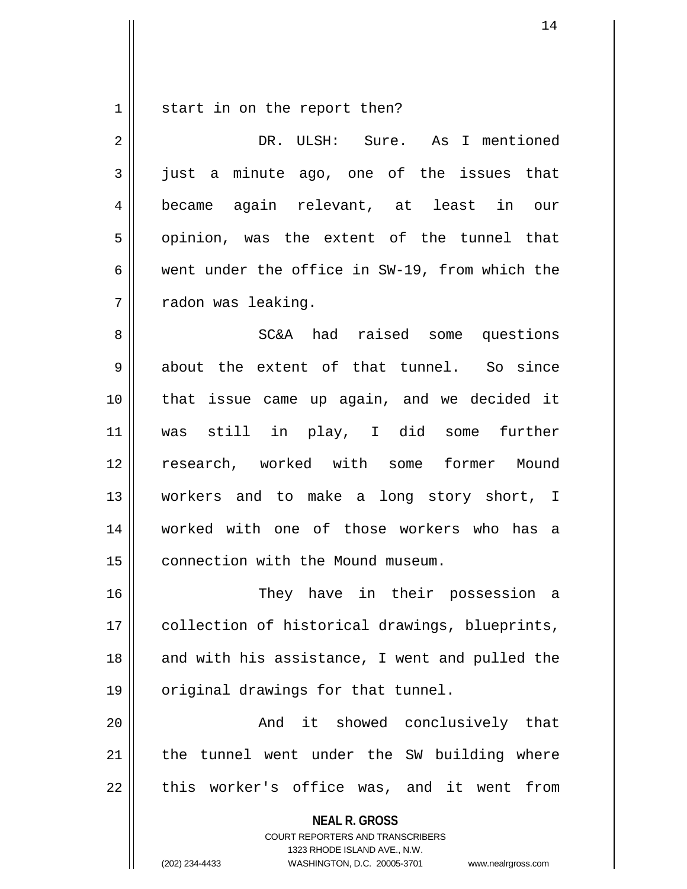$1 \parallel$  start in on the report then?

| $\overline{a}$ | DR. ULSH: Sure. As I mentioned                                                                                                                                         |
|----------------|------------------------------------------------------------------------------------------------------------------------------------------------------------------------|
| $\mathfrak{Z}$ | just a minute ago, one of the issues that                                                                                                                              |
| 4              | became again relevant, at least in our                                                                                                                                 |
| 5              | opinion, was the extent of the tunnel that                                                                                                                             |
| 6              | went under the office in SW-19, from which the                                                                                                                         |
| 7              | radon was leaking.                                                                                                                                                     |
| 8              | SC&A had raised some questions                                                                                                                                         |
| $\mathsf 9$    | about the extent of that tunnel. So since                                                                                                                              |
| 10             | that issue came up again, and we decided it                                                                                                                            |
| 11             | was still in play, I did some further                                                                                                                                  |
| 12             | research, worked with some former Mound                                                                                                                                |
| 13             | workers and to make a long story short, I                                                                                                                              |
| 14             | worked with one of those workers who has a                                                                                                                             |
| 15             | connection with the Mound museum.                                                                                                                                      |
| 16             | They have in their possession a                                                                                                                                        |
| 17             | collection of historical drawings, blueprints,                                                                                                                         |
| 18             | and with his assistance, I went and pulled the                                                                                                                         |
| 19             | original drawings for that tunnel.                                                                                                                                     |
| 20             | And it showed conclusively that                                                                                                                                        |
| 21             | the tunnel went under the SW building where                                                                                                                            |
| 22             | this worker's office was, and it went<br>from                                                                                                                          |
|                | <b>NEAL R. GROSS</b><br><b>COURT REPORTERS AND TRANSCRIBERS</b><br>1323 RHODE ISLAND AVE., N.W.<br>(202) 234-4433<br>WASHINGTON, D.C. 20005-3701<br>www.nealrgross.com |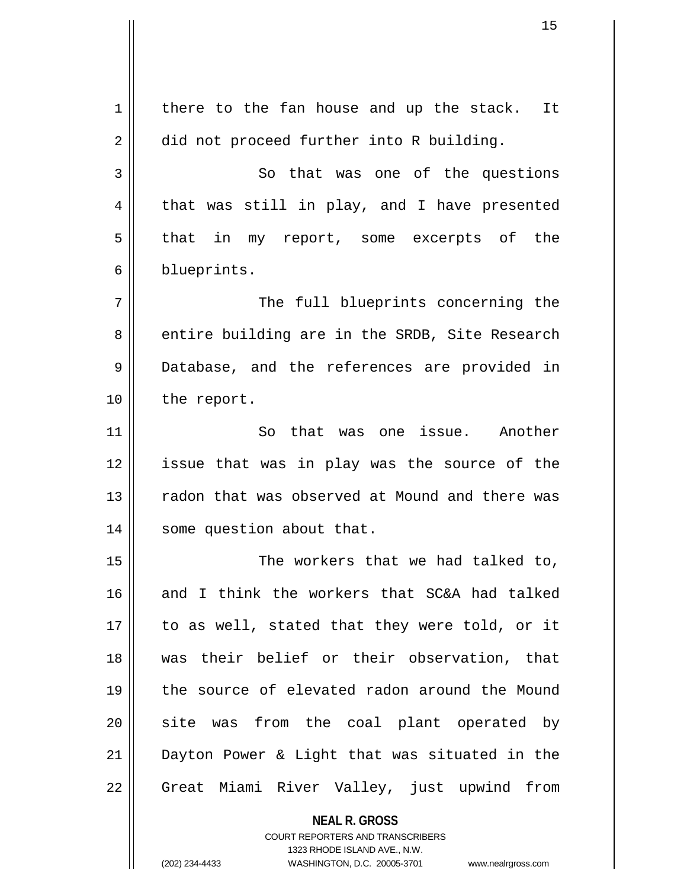**NEAL R. GROSS**  $1 \parallel$  there to the fan house and up the stack. It 2 did not proceed further into R building. 3 So that was one of the questions  $4 \parallel$  that was still in play, and I have presented  $5 \parallel$  that in my report, some excerpts of the 6 blueprints. 7 || The full blueprints concerning the 8 entire building are in the SRDB, Site Research 9 || Database, and the references are provided in 10 | the report. 11 || So that was one issue. Another 12 issue that was in play was the source of the 13 || radon that was observed at Mound and there was 14 | some question about that. 15 || The workers that we had talked to, 16 and I think the workers that SC&A had talked  $17$  || to as well, stated that they were told, or it 18 was their belief or their observation, that 19 the source of elevated radon around the Mound 20 || site was from the coal plant operated by 21 Dayton Power & Light that was situated in the 22 || Great Miami River Valley, just upwind from

> COURT REPORTERS AND TRANSCRIBERS 1323 RHODE ISLAND AVE., N.W.

(202) 234-4433 WASHINGTON, D.C. 20005-3701 www.nealrgross.com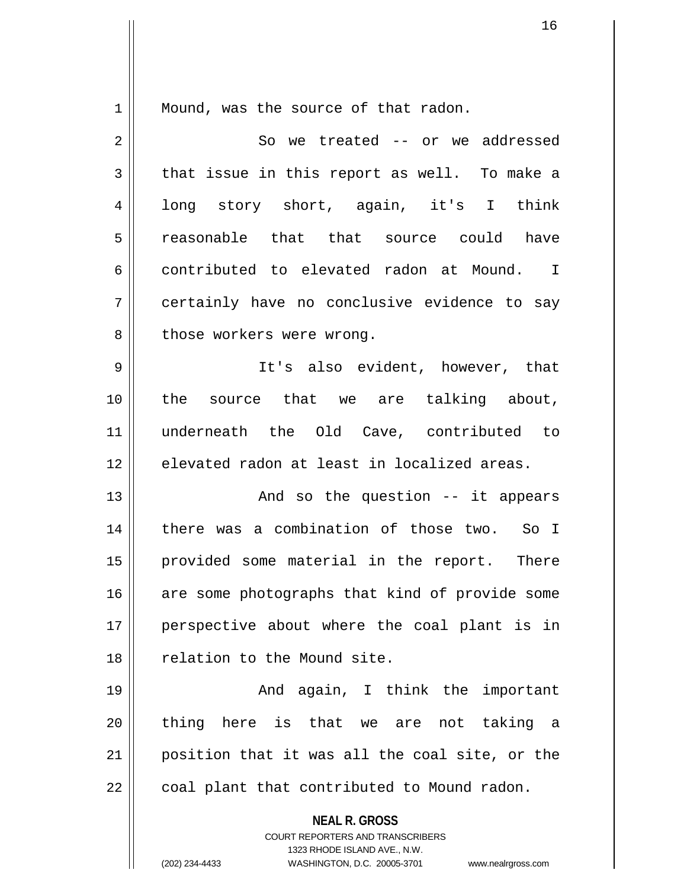$1 \parallel$  Mound, was the source of that radon.

| $\overline{2}$ | So we treated -- or we addressed                                                                                                                                       |
|----------------|------------------------------------------------------------------------------------------------------------------------------------------------------------------------|
| 3              | that issue in this report as well. To make a                                                                                                                           |
| 4              | long story short, again, it's I think                                                                                                                                  |
| 5              | reasonable that that source could have                                                                                                                                 |
| 6              | contributed to elevated radon at Mound. I                                                                                                                              |
| 7              | certainly have no conclusive evidence to say                                                                                                                           |
| 8              | those workers were wrong.                                                                                                                                              |
| 9              | It's also evident, however, that                                                                                                                                       |
| 10             | the source that we are talking about,                                                                                                                                  |
| 11             | underneath the Old Cave, contributed to                                                                                                                                |
| 12             | elevated radon at least in localized areas.                                                                                                                            |
| 13             | And so the question -- it appears                                                                                                                                      |
| 14             | there was a combination of those two. So I                                                                                                                             |
| 15             | provided some material in the report. There                                                                                                                            |
| 16             | are some photographs that kind of provide some                                                                                                                         |
| 17             | perspective about where the coal plant is in                                                                                                                           |
| 18             | relation to the Mound site.                                                                                                                                            |
| 19             | And again, I think the important                                                                                                                                       |
| 20             | thing here is that we are<br>not taking<br>a                                                                                                                           |
| 21             | position that it was all the coal site, or the                                                                                                                         |
| 22             | coal plant that contributed to Mound radon.                                                                                                                            |
|                | <b>NEAL R. GROSS</b><br><b>COURT REPORTERS AND TRANSCRIBERS</b><br>1323 RHODE ISLAND AVE., N.W.<br>(202) 234-4433<br>WASHINGTON, D.C. 20005-3701<br>www.nealrgross.com |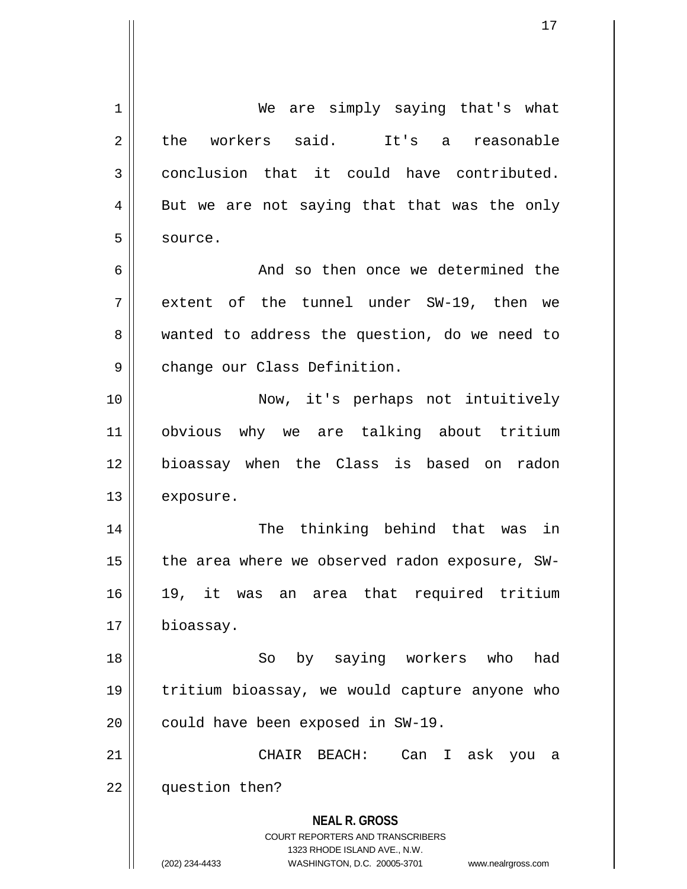**NEAL R. GROSS** COURT REPORTERS AND TRANSCRIBERS 1323 RHODE ISLAND AVE., N.W. (202) 234-4433 WASHINGTON, D.C. 20005-3701 www.nealrgross.com 1 || We are simply saying that's what 2 the workers said. It's a reasonable 3 conclusion that it could have contributed.  $4 \parallel$  But we are not saying that that was the only 5 | source. 6 and so then once we determined the  $7$  || extent of the tunnel under SW-19, then we 8 || wanted to address the question, do we need to 9 | change our Class Definition. 10 Now, it's perhaps not intuitively 11 obvious why we are talking about tritium 12 bioassay when the Class is based on radon 13 | exposure. 14 The thinking behind that was in 15  $\parallel$  the area where we observed radon exposure, SW-16 19, it was an area that required tritium 17 | bioassay. 18 So by saying workers who had 19 tritium bioassay, we would capture anyone who  $20$  | could have been exposed in SW-19. 21 CHAIR BEACH: Can I ask you a 22 | question then?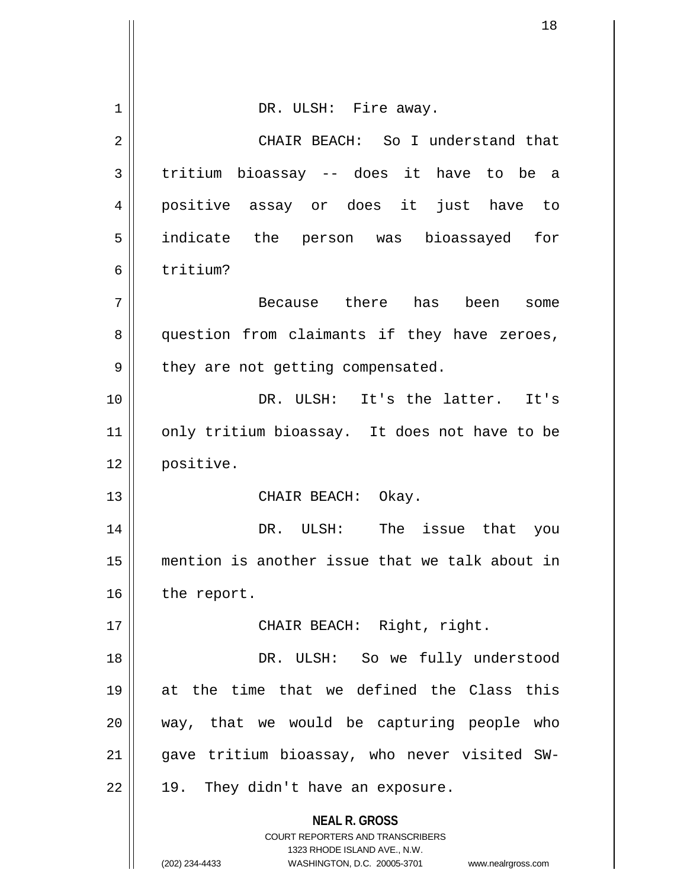|    | 18                                                                                                                                                              |
|----|-----------------------------------------------------------------------------------------------------------------------------------------------------------------|
|    |                                                                                                                                                                 |
| 1  | DR. ULSH: Fire away.                                                                                                                                            |
| 2  | CHAIR BEACH: So I understand that                                                                                                                               |
| 3  | tritium bioassay -- does it have to be a                                                                                                                        |
| 4  | positive assay or does it just have to                                                                                                                          |
| 5  | indicate the person was bioassayed for                                                                                                                          |
| 6  | tritium?                                                                                                                                                        |
| 7  | Because there has been some                                                                                                                                     |
| 8  | question from claimants if they have zeroes,                                                                                                                    |
| 9  | they are not getting compensated.                                                                                                                               |
| 10 | DR. ULSH: It's the latter. It's                                                                                                                                 |
| 11 | only tritium bioassay. It does not have to be                                                                                                                   |
| 12 | positive.                                                                                                                                                       |
| 13 | CHAIR BEACH:<br>Okay.                                                                                                                                           |
| 14 | DR. ULSH:<br>The<br>issue that<br>you                                                                                                                           |
| 15 | mention is another issue that we talk about in                                                                                                                  |
| 16 | the report.                                                                                                                                                     |
| 17 | CHAIR BEACH: Right, right.                                                                                                                                      |
| 18 | DR. ULSH: So we fully understood                                                                                                                                |
| 19 | at the time that we defined the Class this                                                                                                                      |
| 20 | way, that we would be capturing people who                                                                                                                      |
| 21 | gave tritium bioassay, who never visited SW-                                                                                                                    |
| 22 | They didn't have an exposure.<br>19.                                                                                                                            |
|    | <b>NEAL R. GROSS</b><br>COURT REPORTERS AND TRANSCRIBERS<br>1323 RHODE ISLAND AVE., N.W.<br>(202) 234-4433<br>WASHINGTON, D.C. 20005-3701<br>www.nealrgross.com |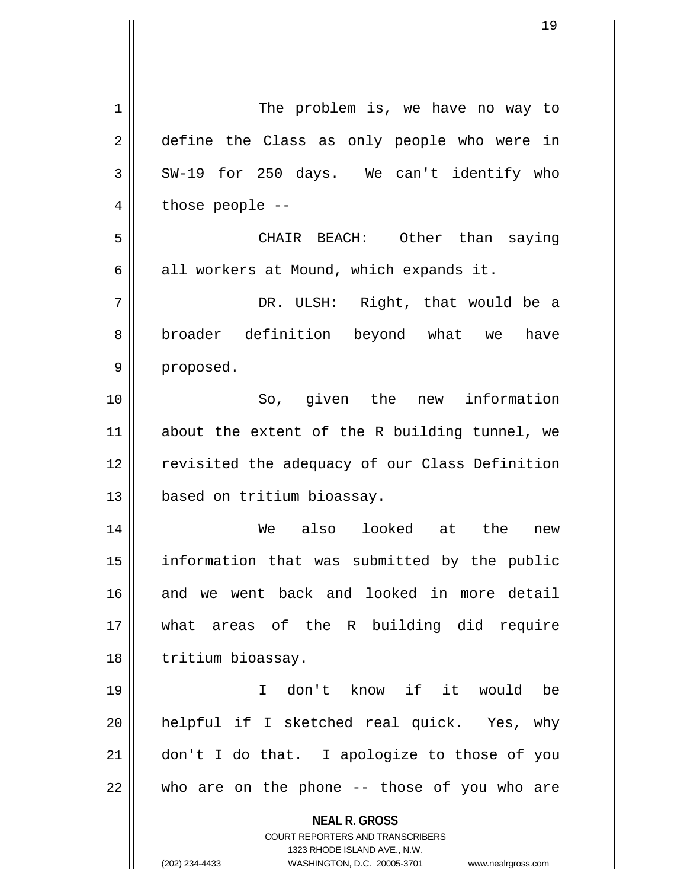**NEAL R. GROSS** COURT REPORTERS AND TRANSCRIBERS 1323 RHODE ISLAND AVE., N.W. (202) 234-4433 WASHINGTON, D.C. 20005-3701 www.nealrgross.com 1 | The problem is, we have no way to 2 define the Class as only people who were in  $3 \parallel$  SW-19 for 250 days. We can't identify who  $4 \parallel$  those people --5 CHAIR BEACH: Other than saying  $6 \parallel$  all workers at Mound, which expands it. 7 DR. ULSH: Right, that would be a 8 broader definition beyond what we have 9 | proposed. 10 So, given the new information 11 || about the extent of the R building tunnel, we 12 || revisited the adequacy of our Class Definition 13 based on tritium bioassay. 14 We also looked at the new 15 information that was submitted by the public 16 and we went back and looked in more detail 17 what areas of the R building did require 18 | tritium bioassay. 19 I don't know if it would be 20 || helpful if I sketched real quick. Yes, why  $21$  | don't I do that. I apologize to those of you  $22$  || who are on the phone -- those of you who are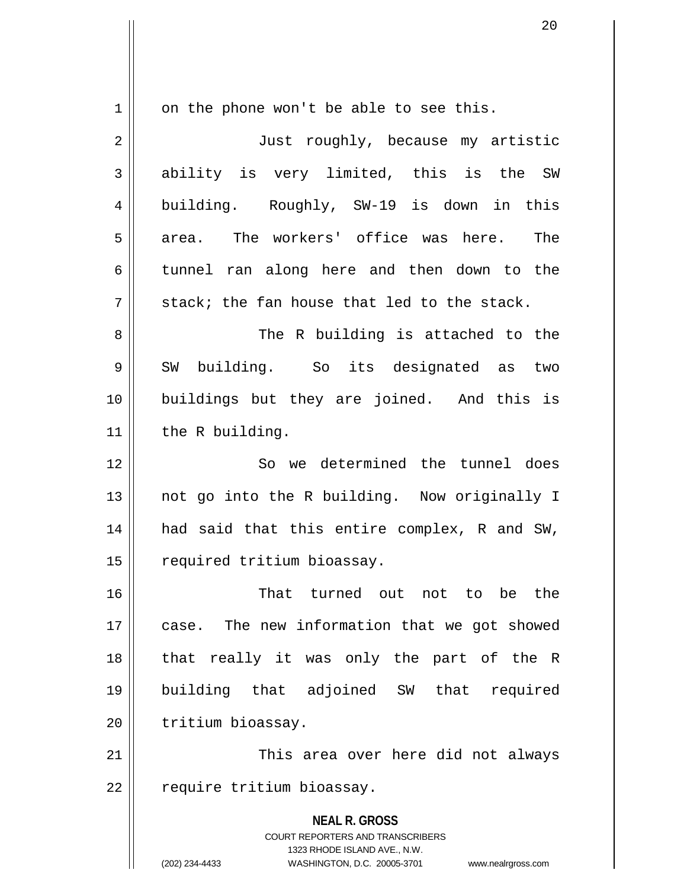**NEAL R. GROSS** COURT REPORTERS AND TRANSCRIBERS 1323 RHODE ISLAND AVE., N.W.  $1 \parallel$  on the phone won't be able to see this. 2 || Just roughly, because my artistic 3 ability is very limited, this is the SW 4 building. Roughly, SW-19 is down in this  $5 \parallel$  area. The workers' office was here. The  $6 \parallel$  tunnel ran along here and then down to the  $7||$  stack; the fan house that led to the stack. 8 The R building is attached to the 9 SW building. So its designated as two 10 buildings but they are joined. And this is 11 | the R building. 12 || So we determined the tunnel does 13 || not go into the R building. Now originally I 14 || had said that this entire complex, R and SW, 15 | required tritium bioassay. 16 That turned out not to be the 17 || case. The new information that we got showed 18 || that really it was only the part of the R 19 building that adjoined SW that required 20 | tritium bioassay. 21 || This area over here did not always 22 | require tritium bioassay.

(202) 234-4433 WASHINGTON, D.C. 20005-3701 www.nealrgross.com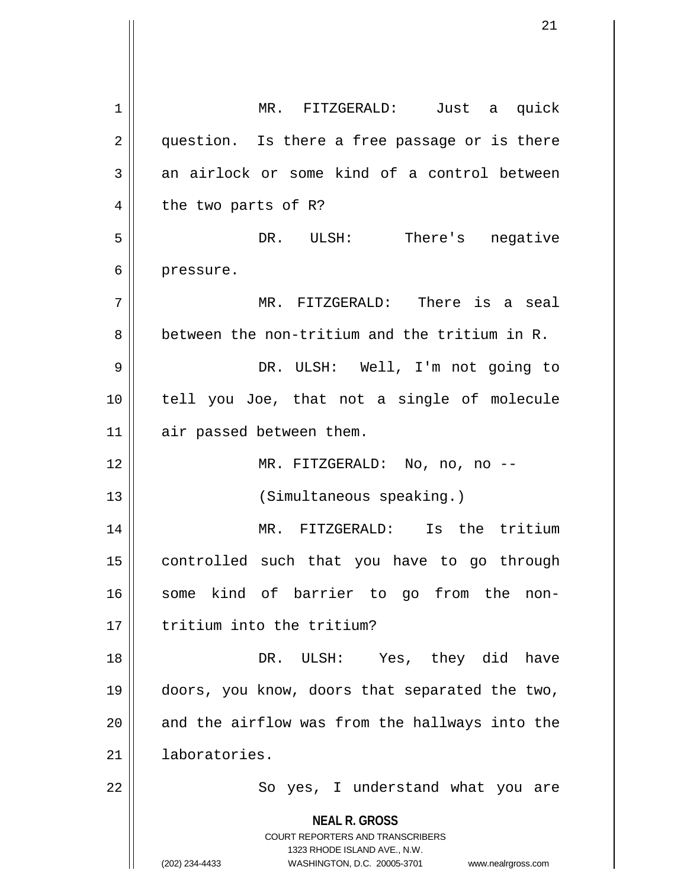**NEAL R. GROSS** COURT REPORTERS AND TRANSCRIBERS 1323 RHODE ISLAND AVE., N.W. (202) 234-4433 WASHINGTON, D.C. 20005-3701 www.nealrgross.com 1 MR. FITZGERALD: Just a quick 2 || question. Is there a free passage or is there  $3 \parallel$  an airlock or some kind of a control between  $4 \parallel$  the two parts of R? 5 DR. ULSH: There's negative 6 | pressure. 7 MR. FITZGERALD: There is a seal  $8 \parallel$  between the non-tritium and the tritium in R. 9 DR. ULSH: Well, I'm not going to 10 tell you Joe, that not a single of molecule 11 | air passed between them. 12 MR. FITZGERALD: No, no, no -- 13 || (Simultaneous speaking.) 14 MR. FITZGERALD: Is the tritium 15 || controlled such that you have to go through 16 || some kind of barrier to go from the non-17 I tritium into the tritium? 18 DR. ULSH: Yes, they did have 19 doors, you know, doors that separated the two,  $20$  and the airflow was from the hallways into the 21 laboratories. 22 || So yes, I understand what you are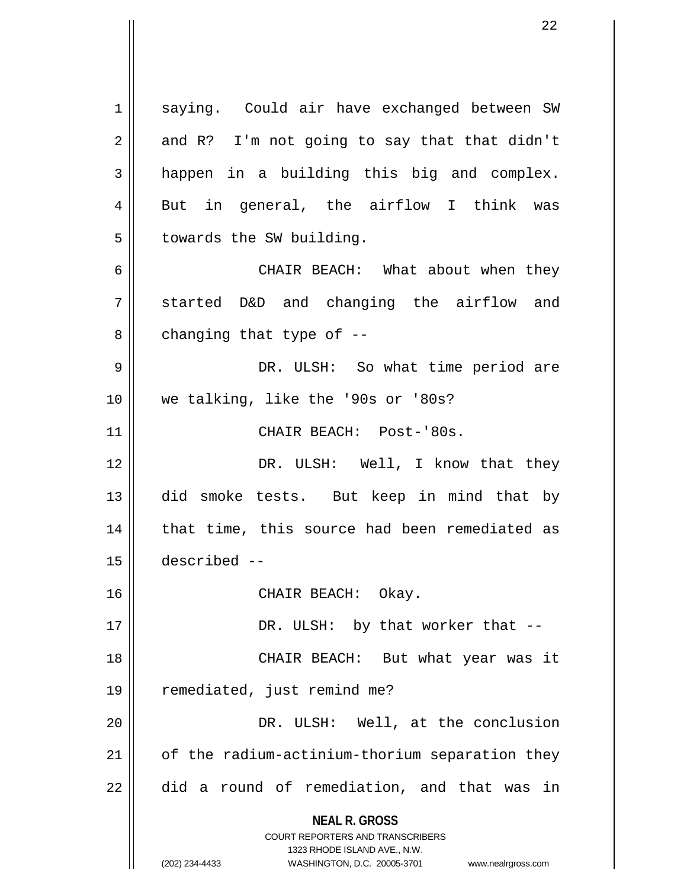**NEAL R. GROSS** COURT REPORTERS AND TRANSCRIBERS 1323 RHODE ISLAND AVE., N.W. (202) 234-4433 WASHINGTON, D.C. 20005-3701 www.nealrgross.com 1 || saying. Could air have exchanged between SW  $2 \parallel$  and R? I'm not going to say that that didn't  $3 \parallel$  happen in a building this big and complex. 4 || But in general, the airflow I think was  $5$  || towards the SW building. 6 CHAIR BEACH: What about when they  $7 \parallel$  started D&D and changing the airflow and  $8 \parallel$  changing that type of --9 DR. ULSH: So what time period are 10 we talking, like the '90s or '80s? 11 || CHAIR BEACH: Post-'80s. 12 DR. ULSH: Well, I know that they 13 did smoke tests. But keep in mind that by 14 || that time, this source had been remediated as 15 described -- 16 CHAIR BEACH: Okay. 17 || DR. ULSH: by that worker that --18 || CHAIR BEACH: But what year was it 19 || remediated, just remind me? 20 || DR. ULSH: Well, at the conclusion  $21$  | of the radium-actinium-thorium separation they  $22$   $\parallel$  did a round of remediation, and that was in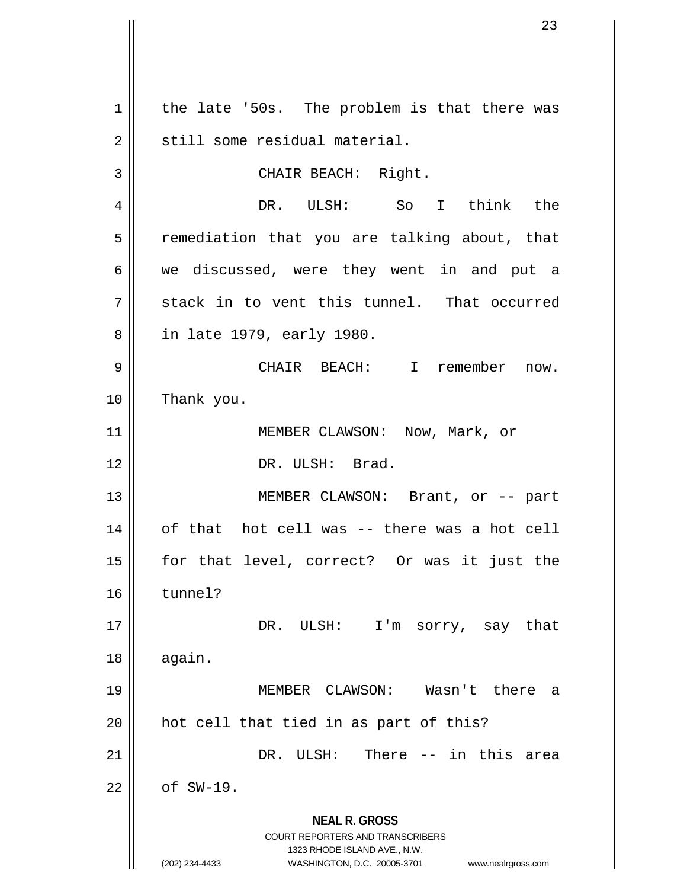**NEAL R. GROSS** COURT REPORTERS AND TRANSCRIBERS 1323 RHODE ISLAND AVE., N.W. (202) 234-4433 WASHINGTON, D.C. 20005-3701 www.nealrgross.com  $1 \parallel$  the late '50s. The problem is that there was  $2 \parallel$  still some residual material. 3 || CHAIR BEACH: Right. 4 DR. ULSH: So I think the  $5 \parallel$  remediation that you are talking about, that 6 we discussed, were they went in and put a  $7 \parallel$  stack in to vent this tunnel. That occurred 8 || in late 1979, early 1980. 9 CHAIR BEACH: I remember now. 10 Thank you. 11 || MEMBER CLAWSON: Now, Mark, or 12 DR. ULSH: Brad. 13 || MEMBER CLAWSON: Brant, or -- part 14 || of that hot cell was -- there was a hot cell 15 for that level, correct? Or was it just the 16 tunnel? 17 || DR. ULSH: I'm sorry, say that  $18$  || again. 19 MEMBER CLAWSON: Wasn't there a 20 || hot cell that tied in as part of this? 21 DR. ULSH: There -- in this area  $22 \parallel$  of SW-19.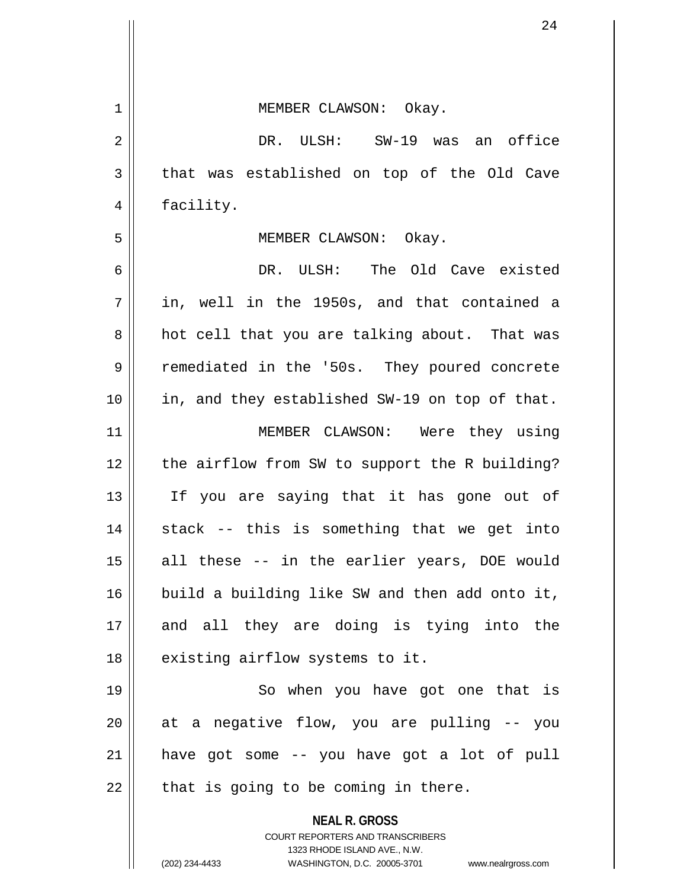|    | 24                                                                                                                                                              |
|----|-----------------------------------------------------------------------------------------------------------------------------------------------------------------|
|    |                                                                                                                                                                 |
| 1  | MEMBER CLAWSON: Okay.                                                                                                                                           |
| 2  | DR. ULSH: SW-19 was an office                                                                                                                                   |
| 3  | that was established on top of the Old Cave                                                                                                                     |
| 4  | facility.                                                                                                                                                       |
| 5  | MEMBER CLAWSON: Okay.                                                                                                                                           |
| 6  | DR. ULSH: The Old Cave existed                                                                                                                                  |
| 7  | in, well in the 1950s, and that contained a                                                                                                                     |
| 8  | hot cell that you are talking about. That was                                                                                                                   |
| 9  | remediated in the '50s. They poured concrete                                                                                                                    |
| 10 | in, and they established SW-19 on top of that.                                                                                                                  |
| 11 | MEMBER CLAWSON: Were they using                                                                                                                                 |
| 12 | the airflow from SW to support the R building?                                                                                                                  |
| 13 | If you are saying that it has gone out of                                                                                                                       |
| 14 | stack -- this is something that we get into                                                                                                                     |
| 15 | all these -- in the earlier years, DOE would                                                                                                                    |
| 16 | build a building like SW and then add onto it,                                                                                                                  |
| 17 | and all they are doing is tying into the                                                                                                                        |
| 18 | existing airflow systems to it.                                                                                                                                 |
| 19 | So when you have got one that is                                                                                                                                |
| 20 | at a negative flow, you are pulling -- you                                                                                                                      |
| 21 | have got some -- you have got a lot of pull                                                                                                                     |
| 22 | that is going to be coming in there.                                                                                                                            |
|    | <b>NEAL R. GROSS</b><br>COURT REPORTERS AND TRANSCRIBERS<br>1323 RHODE ISLAND AVE., N.W.<br>(202) 234-4433<br>WASHINGTON, D.C. 20005-3701<br>www.nealrgross.com |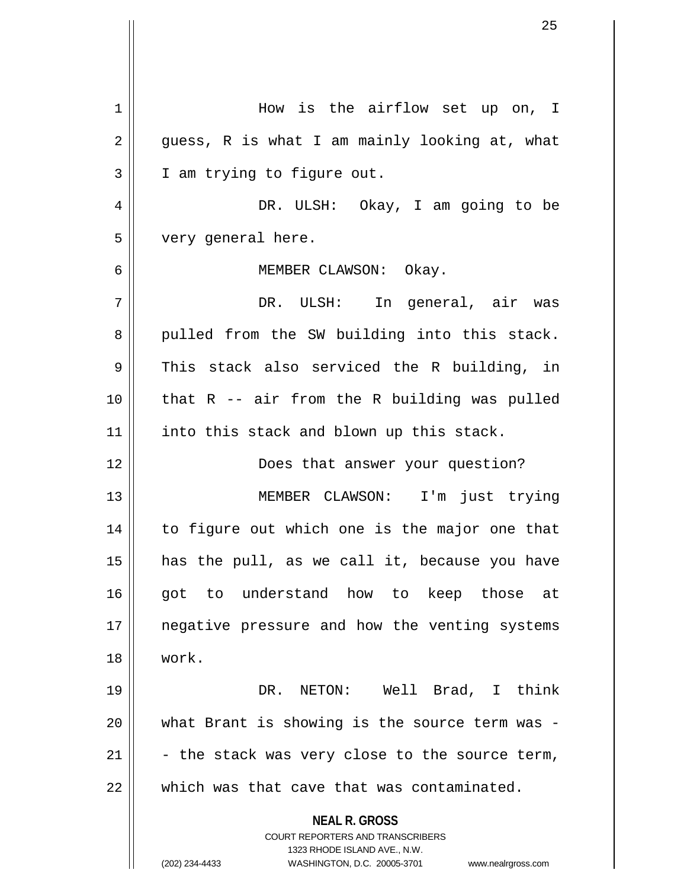**NEAL R. GROSS** COURT REPORTERS AND TRANSCRIBERS 1323 RHODE ISLAND AVE., N.W. (202) 234-4433 WASHINGTON, D.C. 20005-3701 www.nealrgross.com 1 How is the airflow set up on, I  $2 \parallel$  guess, R is what I am mainly looking at, what 3 || I am trying to figure out. 4 DR. ULSH: Okay, I am going to be 5 very general here. 6 MEMBER CLAWSON: Okay. 7 DR. ULSH: In general, air was 8 || pulled from the SW building into this stack.  $9 \parallel$  This stack also serviced the R building, in  $10$  | that R -- air from the R building was pulled 11 || into this stack and blown up this stack. 12 || **Does that answer your question?** 13 || MEMBER CLAWSON: I'm just trying 14 || to figure out which one is the major one that  $15$  has the pull, as we call it, because you have 16 || got to understand how to keep those at 17 || negative pressure and how the venting systems 18 work. 19 DR. NETON: Well Brad, I think 20 what Brant is showing is the source term was - 21  $\vert$  - the stack was very close to the source term,  $22$   $\parallel$  which was that cave that was contaminated.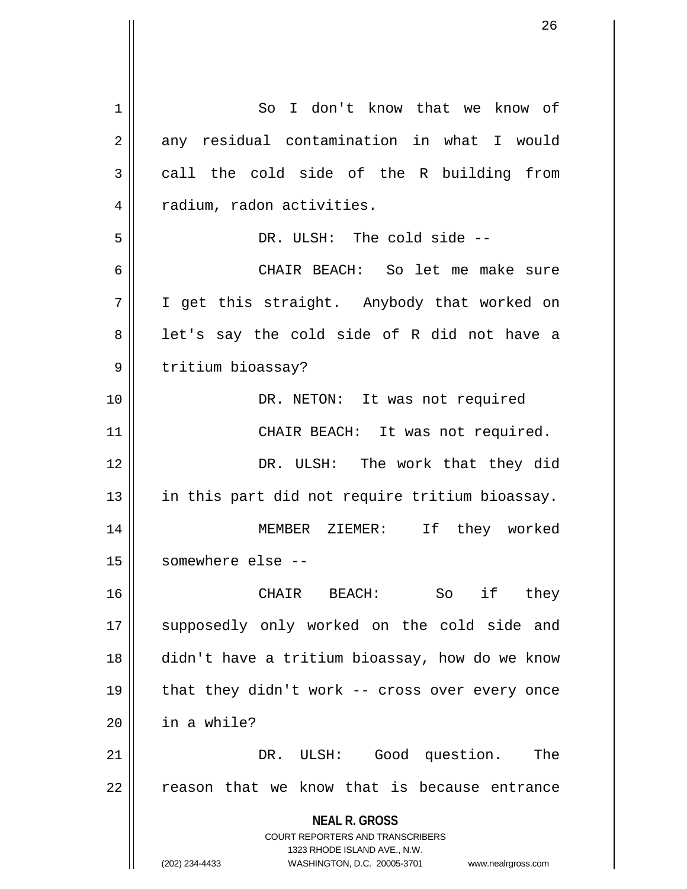**NEAL R. GROSS** COURT REPORTERS AND TRANSCRIBERS 1323 RHODE ISLAND AVE., N.W. (202) 234-4433 WASHINGTON, D.C. 20005-3701 www.nealrgross.com 1 So I don't know that we know of  $2 \parallel$  any residual contamination in what I would  $3 \parallel$  call the cold side of the R building from 4 | radium, radon activities. 5 || DR. ULSH: The cold side --6 CHAIR BEACH: So let me make sure 7 I get this straight. Anybody that worked on  $8 \parallel$  let's say the cold side of R did not have a 9 | tritium bioassay? 10 || DR. NETON: It was not required 11 || CHAIR BEACH: It was not required. 12 DR. ULSH: The work that they did 13 || in this part did not require tritium bioassay. 14 MEMBER ZIEMER: If they worked 15 somewhere else -- 16 CHAIR BEACH: So if they 17 || supposedly only worked on the cold side and 18 didn't have a tritium bioassay, how do we know 19  $\parallel$  that they didn't work -- cross over every once  $20$  | in a while? 21 DR. ULSH: Good question. The  $22$   $\parallel$  reason that we know that is because entrance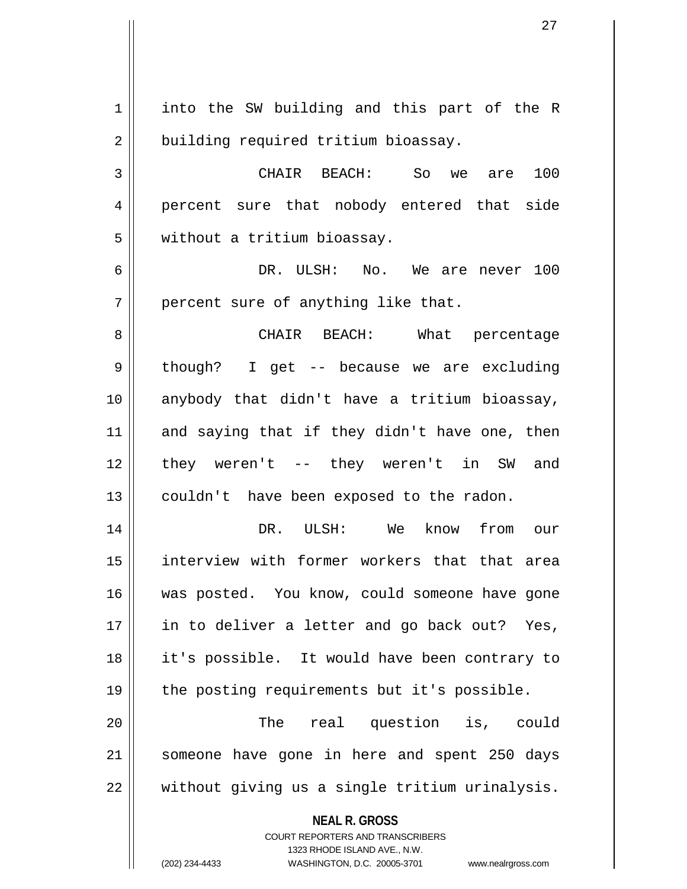**NEAL R. GROSS** COURT REPORTERS AND TRANSCRIBERS 1323 RHODE ISLAND AVE., N.W. 1 || into the SW building and this part of the R 2 | building required tritium bioassay. 3 CHAIR BEACH: So we are 100 4 percent sure that nobody entered that side 5 | without a tritium bioassay. 6 DR. ULSH: No. We are never 100  $7$  || percent sure of anything like that. 8 CHAIR BEACH: What percentage 9 || though? I get -- because we are excluding 10 anybody that didn't have a tritium bioassay,  $11$  and saying that if they didn't have one, then 12 they weren't -- they weren't in SW and 13 || couldn't have been exposed to the radon. 14 DR. ULSH: We know from our 15 interview with former workers that that area 16 || was posted. You know, could someone have gone 17 || in to deliver a letter and go back out? Yes, 18 it's possible. It would have been contrary to 19 || the posting requirements but it's possible. 20 || The real question is, could 21 someone have gone in here and spent 250 days  $22$   $\parallel$  without giving us a single tritium urinalysis.

(202) 234-4433 WASHINGTON, D.C. 20005-3701 www.nealrgross.com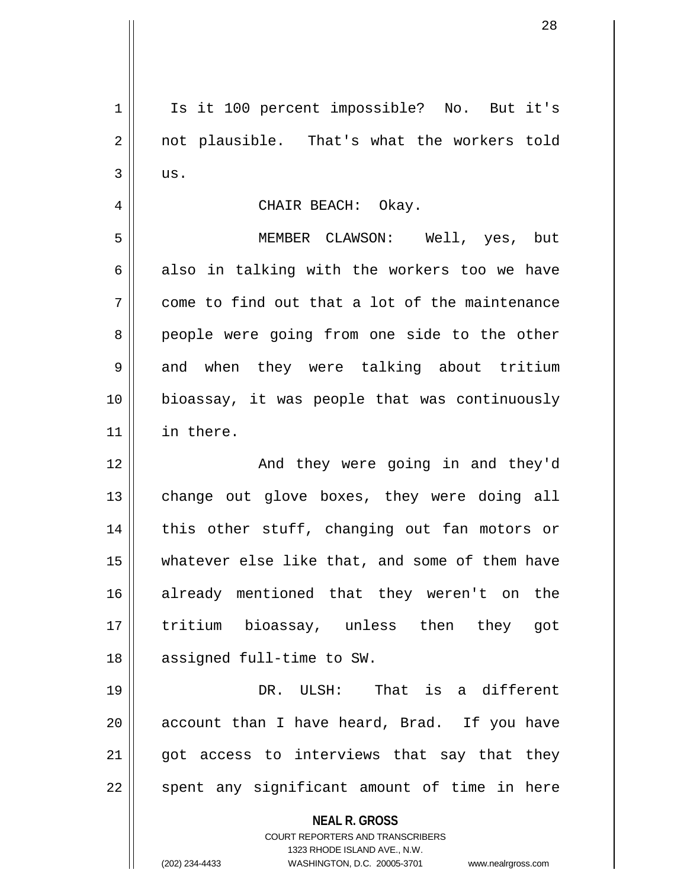**NEAL R. GROSS** COURT REPORTERS AND TRANSCRIBERS 1323 RHODE ISLAND AVE., N.W. (202) 234-4433 WASHINGTON, D.C. 20005-3701 www.nealrgross.com 1 || Is it 100 percent impossible? No. But it's 2 || not plausible. That's what the workers told  $3 \parallel$  us. 4 CHAIR BEACH: Okay. 5 MEMBER CLAWSON: Well, yes, but 6 also in talking with the workers too we have  $7 \parallel$  come to find out that a lot of the maintenance 8 people were going from one side to the other 9 and when they were talking about tritium 10 bioassay, it was people that was continuously 11 in there. 12 And they were going in and they'd 13 || change out glove boxes, they were doing all 14 || this other stuff, changing out fan motors or 15 whatever else like that, and some of them have 16 already mentioned that they weren't on the 17 tritium bioassay, unless then they got 18 || assigned full-time to SW. 19 DR. ULSH: That is a different 20  $\parallel$  account than I have heard, Brad. If you have  $21$  got access to interviews that say that they  $22$  || spent any significant amount of time in here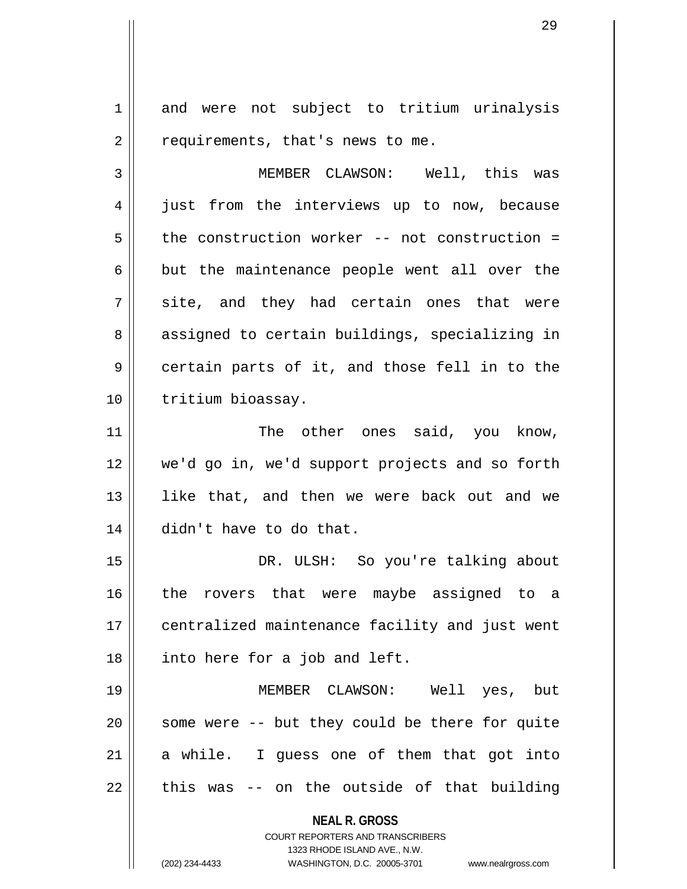1 and were not subject to tritium urinalysis  $2 \parallel$  requirements, that's news to me.

3 MEMBER CLAWSON: Well, this was 4 || just from the interviews up to now, because  $5 \parallel$  the construction worker -- not construction =  $6 \parallel$  but the maintenance people went all over the  $7 \parallel$  site, and they had certain ones that were 8 || assigned to certain buildings, specializing in  $9 \parallel$  certain parts of it, and those fell in to the 10 || tritium bioassay.

11 || The other ones said, you know, 12 we'd go in, we'd support projects and so forth 13 || like that, and then we were back out and we 14 didn't have to do that.

15 DR. ULSH: So you're talking about 16 the rovers that were maybe assigned to a 17 || centralized maintenance facility and just went  $18$  | into here for a job and left.

19 MEMBER CLAWSON: Well yes, but 20 || some were -- but they could be there for quite  $21$  a while. I guess one of them that got into  $22$  || this was -- on the outside of that building

**NEAL R. GROSS**

COURT REPORTERS AND TRANSCRIBERS 1323 RHODE ISLAND AVE., N.W. (202) 234-4433 WASHINGTON, D.C. 20005-3701 www.nealrgross.com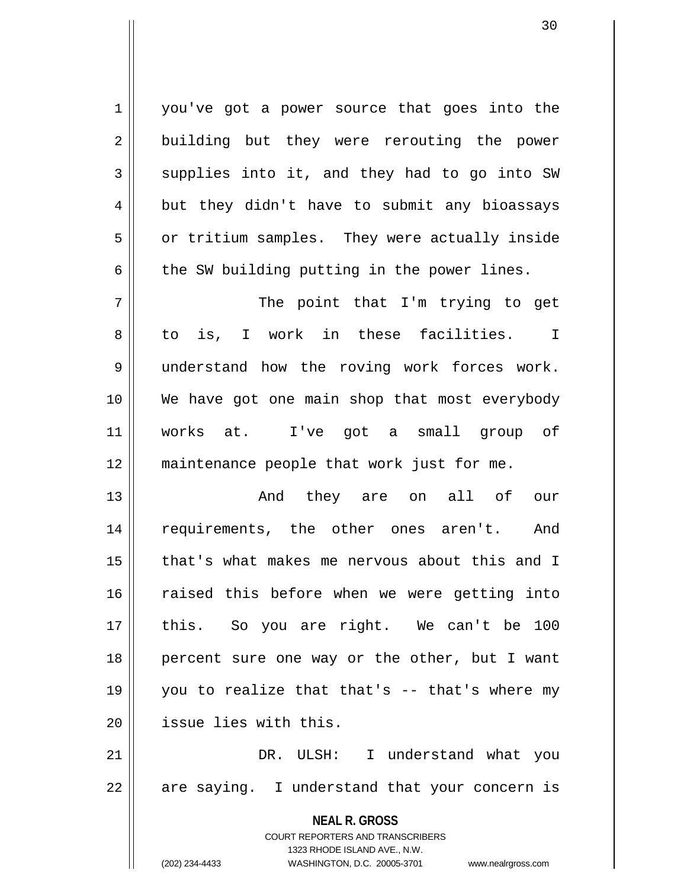1 | you've got a power source that goes into the 2 || building but they were rerouting the power  $3 \parallel$  supplies into it, and they had to go into SW  $4 \parallel$  but they didn't have to submit any bioassays 5 | or tritium samples. They were actually inside  $6 \parallel$  the SW building putting in the power lines.

7 || The point that I'm trying to get 8 to is, I work in these facilities. I 9 understand how the roving work forces work. 10 We have got one main shop that most everybody 11 works at. I've got a small group of 12 || maintenance people that work just for me.

13 And they are on all of our 14 || requirements, the other ones aren't. And 15 that's what makes me nervous about this and I 16 Taised this before when we were getting into 17 this. So you are right. We can't be 100 18 || percent sure one way or the other, but I want 19 you to realize that that's -- that's where my 20 **d** issue lies with this.

21 DR. ULSH: I understand what you  $22 \parallel$  are saying. I understand that your concern is

> **NEAL R. GROSS** COURT REPORTERS AND TRANSCRIBERS 1323 RHODE ISLAND AVE., N.W. (202) 234-4433 WASHINGTON, D.C. 20005-3701 www.nealrgross.com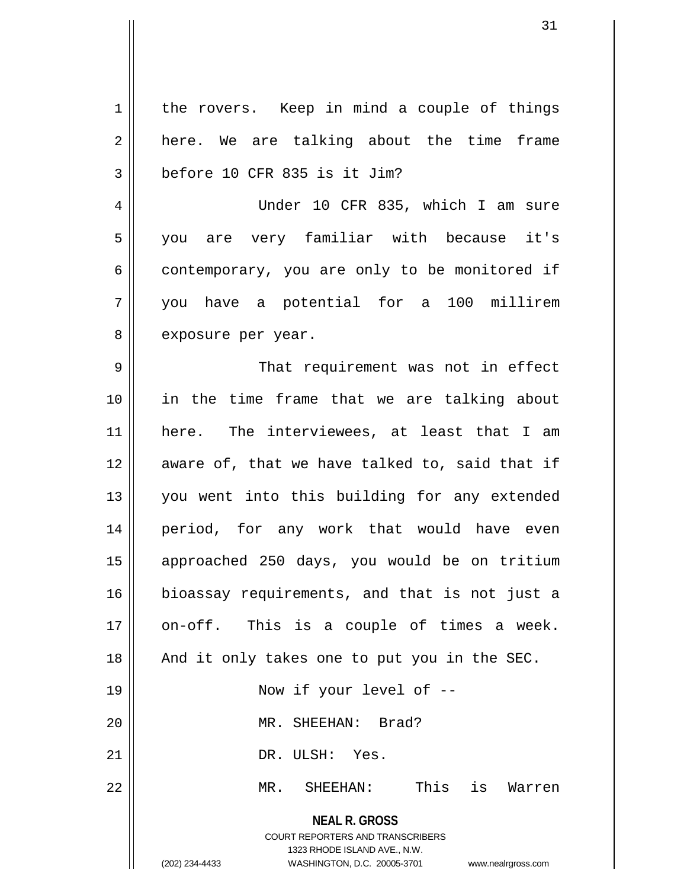**NEAL R. GROSS** COURT REPORTERS AND TRANSCRIBERS 1323 RHODE ISLAND AVE., N.W. (202) 234-4433 WASHINGTON, D.C. 20005-3701 www.nealrgross.com  $1 \parallel$  the rovers. Keep in mind a couple of things  $2 \parallel$  here. We are talking about the time frame  $3 \parallel$  before 10 CFR 835 is it Jim? 4 Under 10 CFR 835, which I am sure 5 you are very familiar with because it's  $6 \parallel$  contemporary, you are only to be monitored if 7 you have a potential for a 100 millirem 8 | exposure per year. 9 That requirement was not in effect 10 in the time frame that we are talking about 11 here. The interviewees, at least that I am 12 || aware of, that we have talked to, said that if 13 || you went into this building for any extended 14 period, for any work that would have even 15 approached 250 days, you would be on tritium 16 bioassay requirements, and that is not just a 17 || on-off. This is a couple of times a week. 18 || And it only takes one to put you in the SEC. 19 || Now if your level of --20 MR. SHEEHAN: Brad? 21 || DR. ULSH: Yes. 22 MR. SHEEHAN: This is Warren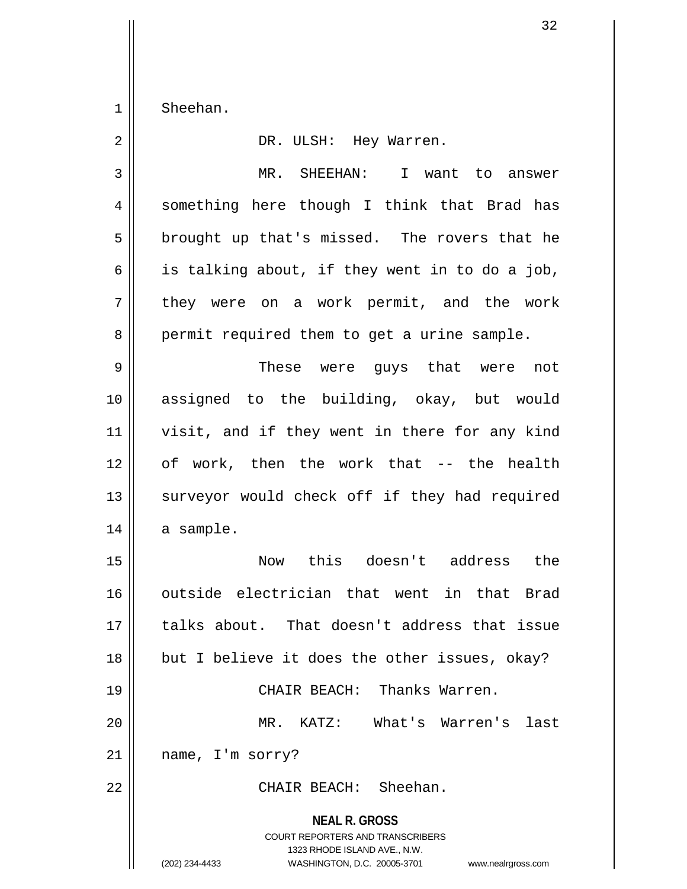$1 \parallel$  Sheehan.

| $\overline{2}$ | DR. ULSH: Hey Warren.                                                                                                                                                  |
|----------------|------------------------------------------------------------------------------------------------------------------------------------------------------------------------|
| 3              | MR. SHEEHAN:<br>I want to answer                                                                                                                                       |
| 4              | something here though I think that Brad has                                                                                                                            |
| 5              | brought up that's missed. The rovers that he                                                                                                                           |
| 6              | is talking about, if they went in to do a job,                                                                                                                         |
| 7              | they were on a work permit, and the work                                                                                                                               |
| 8              | permit required them to get a urine sample.                                                                                                                            |
| 9              | These were guys that were not                                                                                                                                          |
| 10             | assigned to the building, okay, but would                                                                                                                              |
| 11             | visit, and if they went in there for any kind                                                                                                                          |
| 12             | of work, then the work that -- the health                                                                                                                              |
| 13             | surveyor would check off if they had required                                                                                                                          |
| 14             | a sample.                                                                                                                                                              |
| 15             | Now this doesn't address<br>the                                                                                                                                        |
| 16             | outside electrician that went in that Brad                                                                                                                             |
| 17             | talks about. That doesn't address that issue                                                                                                                           |
| 18             | but I believe it does the other issues, okay?                                                                                                                          |
| 19             | CHAIR BEACH: Thanks Warren.                                                                                                                                            |
| 20             | MR. KATZ:<br>What's Warren's<br>last                                                                                                                                   |
| 21             | name, I'm sorry?                                                                                                                                                       |
| 22             | CHAIR BEACH: Sheehan.                                                                                                                                                  |
|                | <b>NEAL R. GROSS</b><br><b>COURT REPORTERS AND TRANSCRIBERS</b><br>1323 RHODE ISLAND AVE., N.W.<br>(202) 234-4433<br>WASHINGTON, D.C. 20005-3701<br>www.nealrgross.com |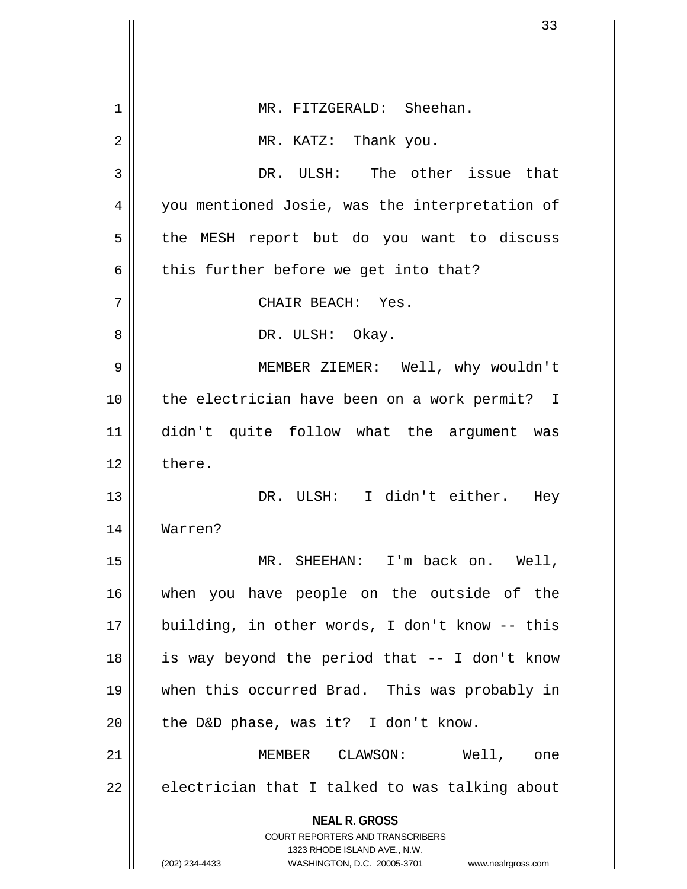|    | 33                                                                                               |
|----|--------------------------------------------------------------------------------------------------|
|    |                                                                                                  |
| 1  | MR. FITZGERALD: Sheehan.                                                                         |
| 2  | MR. KATZ: Thank you.                                                                             |
| 3  | DR. ULSH: The other issue that                                                                   |
| 4  | you mentioned Josie, was the interpretation of                                                   |
| 5  | the MESH report but do you want to discuss                                                       |
| 6  | this further before we get into that?                                                            |
| 7  | CHAIR BEACH: Yes.                                                                                |
| 8  | DR. ULSH: Okay.                                                                                  |
| 9  | MEMBER ZIEMER: Well, why wouldn't                                                                |
| 10 | the electrician have been on a work permit? I                                                    |
| 11 | didn't quite follow what the argument was                                                        |
| 12 | there.                                                                                           |
| 13 | DR. ULSH: I didn't either.<br>Hey                                                                |
| 14 | Warren?                                                                                          |
| 15 | MR. SHEEHAN: I'm back on. Well,                                                                  |
| 16 | when you have people on the outside of the                                                       |
| 17 | building, in other words, I don't know -- this                                                   |
| 18 | is way beyond the period that -- I don't know                                                    |
| 19 | when this occurred Brad. This was probably in                                                    |
| 20 | the D&D phase, was it? I don't know.                                                             |
| 21 | MEMBER CLAWSON: Well, one                                                                        |
| 22 | electrician that I talked to was talking about                                                   |
|    | <b>NEAL R. GROSS</b><br><b>COURT REPORTERS AND TRANSCRIBERS</b>                                  |
|    | 1323 RHODE ISLAND AVE., N.W.<br>(202) 234-4433<br>WASHINGTON, D.C. 20005-3701 www.nealrgross.com |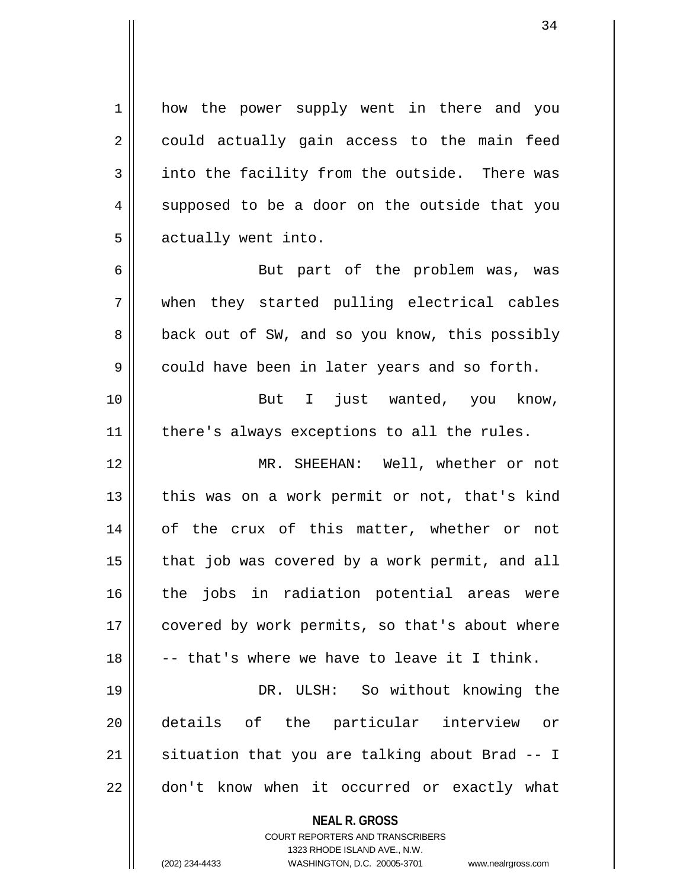1 how the power supply went in there and you 2 || could actually gain access to the main feed  $3 \parallel$  into the facility from the outside. There was 4 || supposed to be a door on the outside that you  $5$  | actually went into.

6 || But part of the problem was, was 7 when they started pulling electrical cables 8 || back out of SW, and so you know, this possibly  $9 \parallel$  could have been in later years and so forth.

10 || But I just wanted, you know,  $11$  | there's always exceptions to all the rules.

12 MR. SHEEHAN: Well, whether or not  $13$  || this was on a work permit or not, that's kind 14 of the crux of this matter, whether or not  $15$  || that job was covered by a work permit, and all 16 || the jobs in radiation potential areas were 17 || covered by work permits, so that's about where  $18$   $\parallel$  -- that's where we have to leave it I think.

19 || DR. ULSH: So without knowing the 20 details of the particular interview or 21  $\parallel$  situation that you are talking about Brad -- I  $22 \parallel$  don't know when it occurred or exactly what

## **NEAL R. GROSS**

COURT REPORTERS AND TRANSCRIBERS 1323 RHODE ISLAND AVE., N.W. (202) 234-4433 WASHINGTON, D.C. 20005-3701 www.nealrgross.com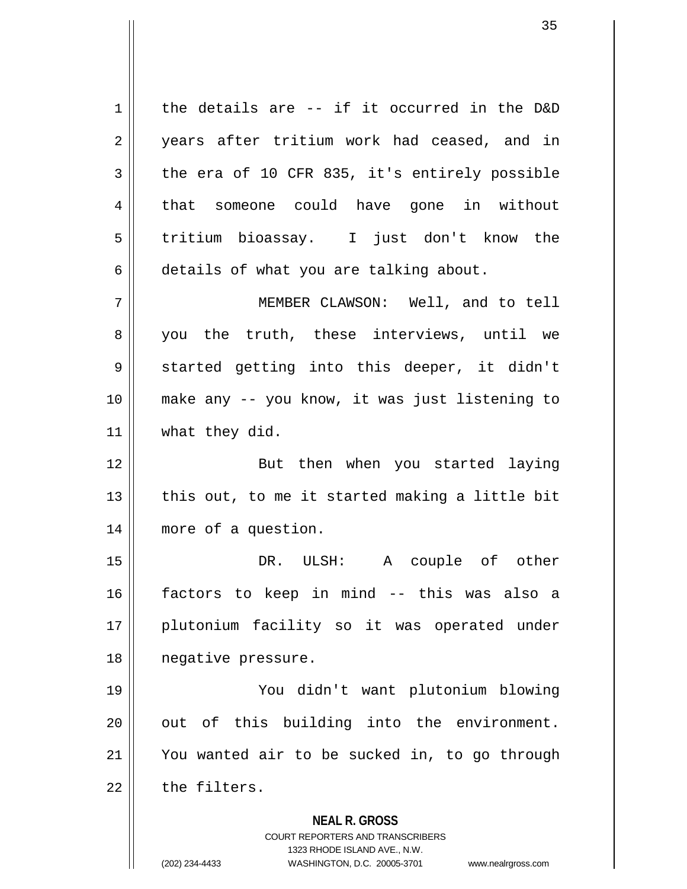**NEAL R. GROSS** COURT REPORTERS AND TRANSCRIBERS 1323 RHODE ISLAND AVE., N.W.  $1 \parallel$  the details are -- if it occurred in the D&D 2 || years after tritium work had ceased, and in  $3 \parallel$  the era of 10 CFR 835, it's entirely possible 4 that someone could have gone in without 5 || tritium bioassay. I just don't know the 6 details of what you are talking about. 7 MEMBER CLAWSON: Well, and to tell 8 you the truth, these interviews, until we 9 || started getting into this deeper, it didn't 10 make any -- you know, it was just listening to 11 | what they did. 12 || But then when you started laying 13  $\parallel$  this out, to me it started making a little bit 14 more of a question. 15 DR. ULSH: A couple of other 16 factors to keep in mind -- this was also a 17 plutonium facility so it was operated under 18 negative pressure. 19 You didn't want plutonium blowing  $20$  || out of this building into the environment. 21 You wanted air to be sucked in, to go through  $22$   $\parallel$  the filters.

(202) 234-4433 WASHINGTON, D.C. 20005-3701 www.nealrgross.com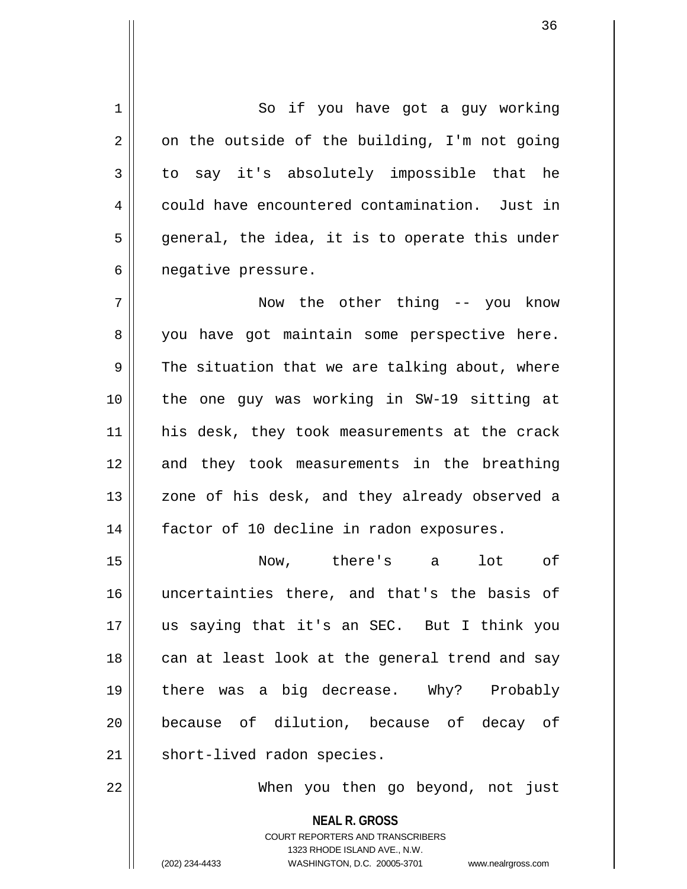1 || So if you have got a guy working  $2 \parallel$  on the outside of the building, I'm not going  $3 \parallel$  to say it's absolutely impossible that he 4 could have encountered contamination. Just in  $5 \parallel$  general, the idea, it is to operate this under 6 | negative pressure.

7 Now the other thing -- you know 8 || you have got maintain some perspective here.  $9 \parallel$  The situation that we are talking about, where 10 the one guy was working in SW-19 sitting at 11 || his desk, they took measurements at the crack 12 and they took measurements in the breathing 13 || zone of his desk, and they already observed a 14 || factor of 10 decline in radon exposures.

15 Now, there's a lot of 16 uncertainties there, and that's the basis of 17 us saying that it's an SEC. But I think you 18 || can at least look at the general trend and say 19 there was a big decrease. Why? Probably 20 || because of dilution, because of decay of 21 | short-lived radon species.

22 When you then go beyond, not just

**NEAL R. GROSS** COURT REPORTERS AND TRANSCRIBERS 1323 RHODE ISLAND AVE., N.W. (202) 234-4433 WASHINGTON, D.C. 20005-3701 www.nealrgross.com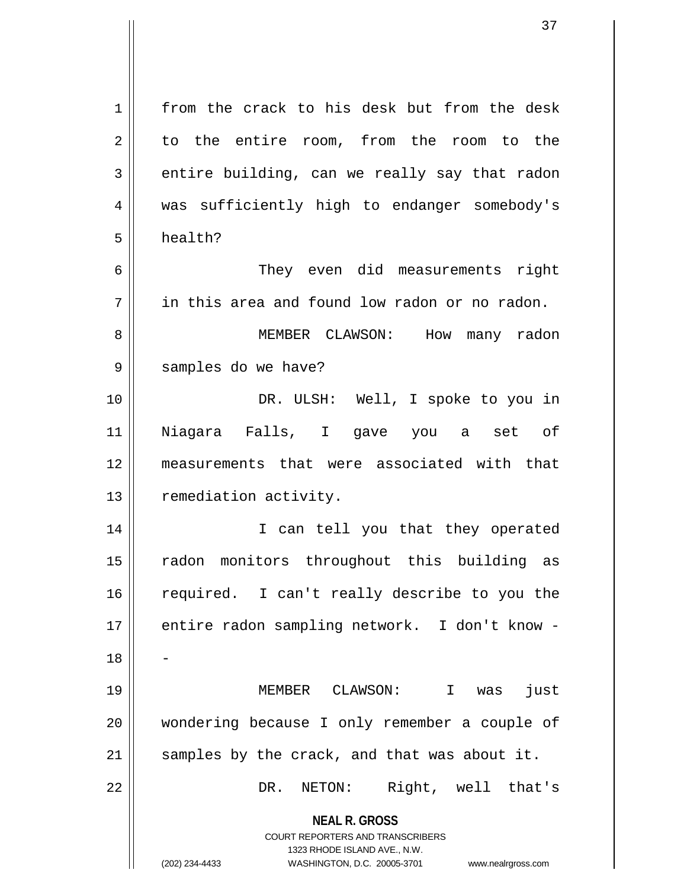**NEAL R. GROSS** COURT REPORTERS AND TRANSCRIBERS 1323 RHODE ISLAND AVE., N.W. (202) 234-4433 WASHINGTON, D.C. 20005-3701 www.nealrgross.com 1 from the crack to his desk but from the desk 2 to the entire room, from the room to the  $3 \parallel$  entire building, can we really say that radon 4 || was sufficiently high to endanger somebody's 5 health? 6 They even did measurements right  $7 \parallel$  in this area and found low radon or no radon. 8 MEMBER CLAWSON: How many radon 9 || samples do we have? 10 || DR. ULSH: Well, I spoke to you in 11 Niagara Falls, I gave you a set of 12 measurements that were associated with that 13 | remediation activity. 14 || I can tell you that they operated 15 || radon monitors throughout this building as 16 || required. I can't really describe to you the 17 || entire radon sampling network. I don't know -18 19 MEMBER CLAWSON: I was just 20 || wondering because I only remember a couple of  $21$  samples by the crack, and that was about it. 22 DR. NETON: Right, well that's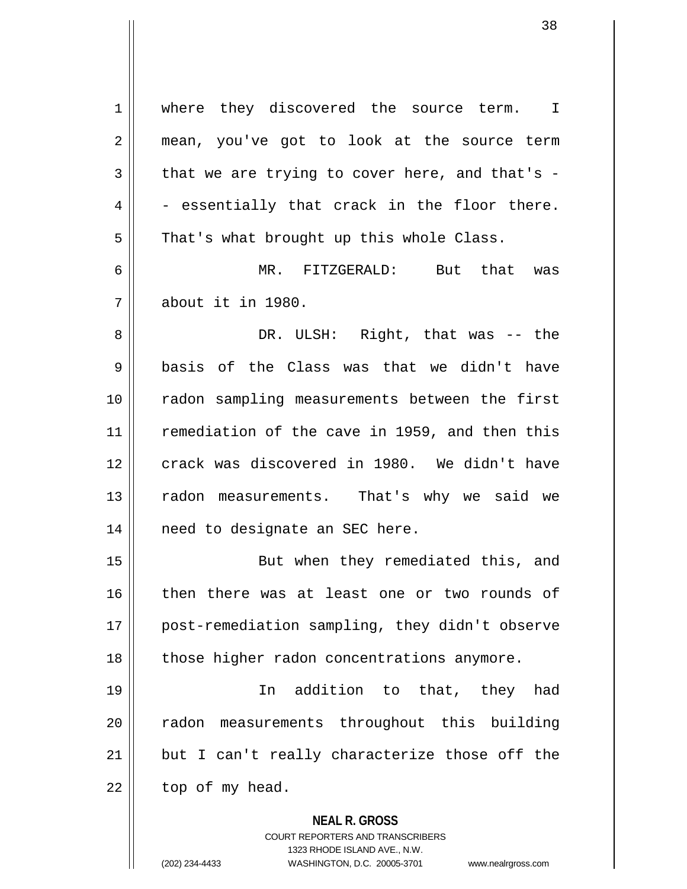**NEAL R. GROSS** 1 | where they discovered the source term. I 2 || mean, you've got to look at the source term  $3 \parallel$  that we are trying to cover here, and that's - $4 \parallel$  - essentially that crack in the floor there.  $5 \parallel$  That's what brought up this whole Class. 6 MR. FITZGERALD: But that was 7 about it in 1980. 8 DR. ULSH: Right, that was -- the  $9 \parallel$  basis of the Class was that we didn't have 10 radon sampling measurements between the first 11 remediation of the cave in 1959, and then this 12 crack was discovered in 1980. We didn't have 13 || radon measurements. That's why we said we 14 || need to designate an SEC here. 15 || But when they remediated this, and 16 || then there was at least one or two rounds of 17 || post-remediation sampling, they didn't observe 18 || those higher radon concentrations anymore. 19 In addition to that, they had 20 || radon measurements throughout this building  $21$  || but I can't really characterize those off the  $22$  | top of my head.

> COURT REPORTERS AND TRANSCRIBERS 1323 RHODE ISLAND AVE., N.W.

(202) 234-4433 WASHINGTON, D.C. 20005-3701 www.nealrgross.com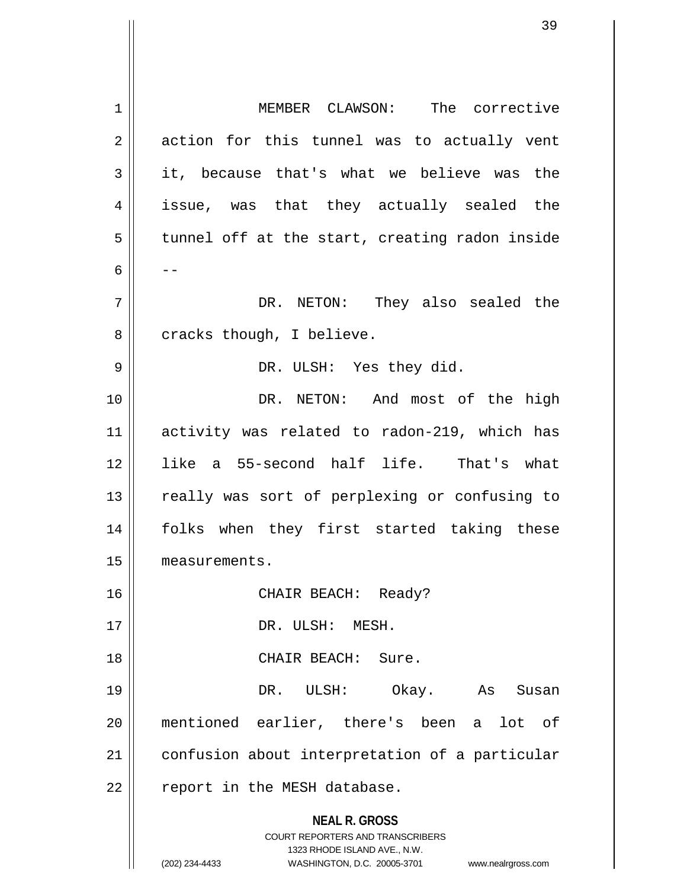**NEAL R. GROSS** COURT REPORTERS AND TRANSCRIBERS 1323 RHODE ISLAND AVE., N.W. (202) 234-4433 WASHINGTON, D.C. 20005-3701 www.nealrgross.com 1 MEMBER CLAWSON: The corrective  $2 \parallel$  action for this tunnel was to actually vent  $3 \parallel$  it, because that's what we believe was the 4 issue, was that they actually sealed the  $5 \parallel$  tunnel off at the start, creating radon inside 6  $|$  --7 DR. NETON: They also sealed the  $8 \parallel$  cracks though, I believe. 9 DR. ULSH: Yes they did. 10 || DR. NETON: And most of the high 11 activity was related to radon-219, which has 12 like a 55-second half life. That's what 13 || really was sort of perplexing or confusing to 14 folks when they first started taking these 15 measurements. 16 CHAIR BEACH: Ready? 17 || DR. ULSH: MESH. 18 CHAIR BEACH: Sure. 19 DR. ULSH: Okay. As Susan 20 mentioned earlier, there's been a lot of 21 | confusion about interpretation of a particular  $22$  | report in the MESH database.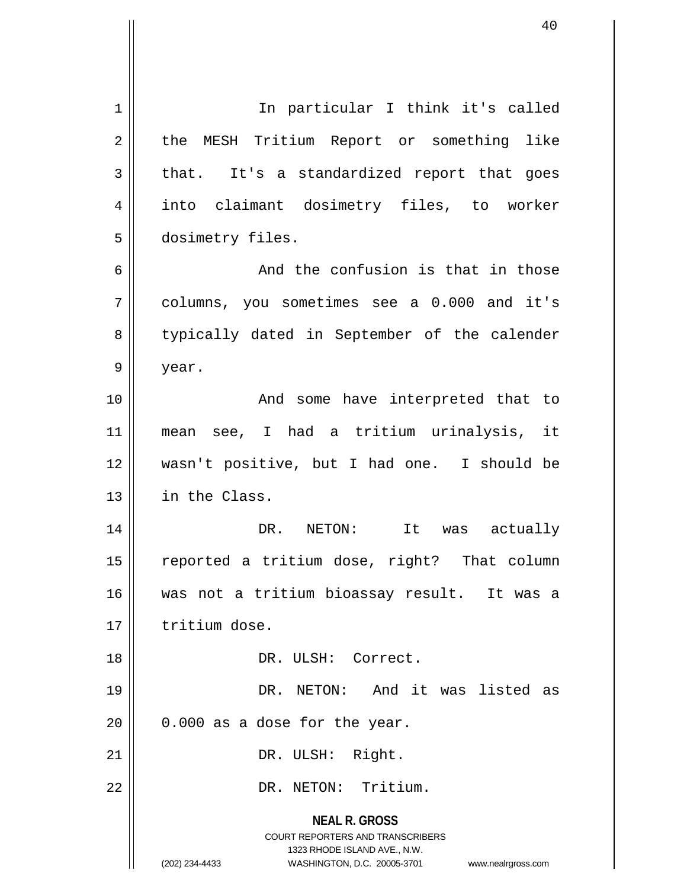**NEAL R. GROSS** COURT REPORTERS AND TRANSCRIBERS 1323 RHODE ISLAND AVE., N.W. (202) 234-4433 WASHINGTON, D.C. 20005-3701 www.nealrgross.com 1 || In particular I think it's called 2 | the MESH Tritium Report or something like  $3 \parallel$  that. It's a standardized report that goes 4 into claimant dosimetry files, to worker 5 | dosimetry files. 6 6 And the confusion is that in those 7 columns, you sometimes see a 0.000 and it's 8 || typically dated in September of the calender  $9 \parallel$  year. 10 || The Mondu some have interpreted that to 11 mean see, I had a tritium urinalysis, it 12 wasn't positive, but I had one. I should be 13 in the Class. 14 DR. NETON: It was actually 15 || reported a tritium dose, right? That column 16 was not a tritium bioassay result. It was a 17 | tritium dose. 18 DR. ULSH: Correct. 19 DR. NETON: And it was listed as  $20$  | 0.000 as a dose for the year. 21 || DR. ULSH: Right. 22 | DR. NETON: Tritium.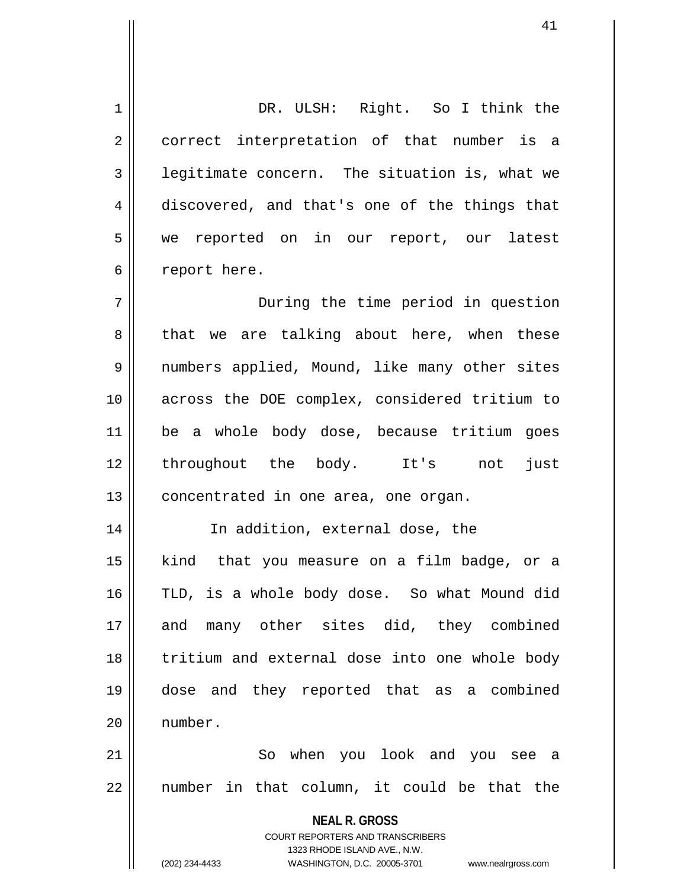1 DR. ULSH: Right. So I think the 2 || correct interpretation of that number is a 3 | legitimate concern. The situation is, what we 4 discovered, and that's one of the things that 5 we reported on in our report, our latest 6 | report here. 7 During the time period in question  $8 \parallel$  that we are talking about here, when these 9 || numbers applied, Mound, like many other sites 10 across the DOE complex, considered tritium to 11 be a whole body dose, because tritium goes 12 throughout the body. It's not just  $13$  | concentrated in one area, one organ. 14 In addition, external dose, the 15 kind that you measure on a film badge, or a 16 TLD, is a whole body dose. So what Mound did 17 and many other sites did, they combined 18 || tritium and external dose into one whole body 19 dose and they reported that as a combined 20 number. 21 So when you look and you see a  $22$  || number in that column, it could be that the

> **NEAL R. GROSS** COURT REPORTERS AND TRANSCRIBERS 1323 RHODE ISLAND AVE., N.W.

(202) 234-4433 WASHINGTON, D.C. 20005-3701 www.nealrgross.com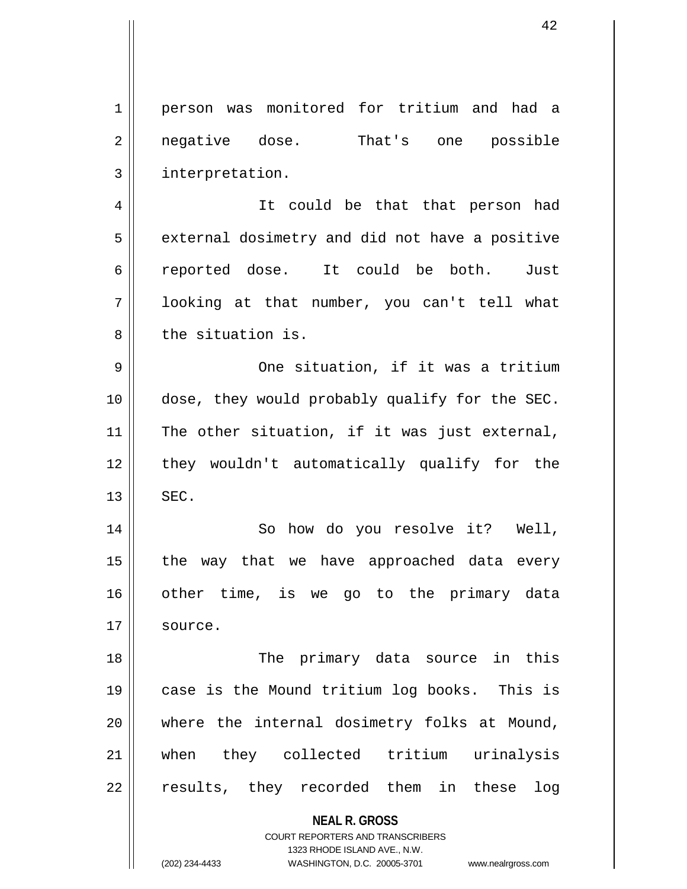**NEAL R. GROSS** COURT REPORTERS AND TRANSCRIBERS 1 person was monitored for tritium and had a 2 || negative dose. That's one possible 3 || interpretation. 4 || It could be that that person had 5 | external dosimetry and did not have a positive 6 reported dose. It could be both. Just 7 looking at that number, you can't tell what 8 l the situation is. 9 One situation, if it was a tritium 10 dose, they would probably qualify for the SEC.  $11$  The other situation, if it was just external, 12 || they wouldn't automatically qualify for the  $13$   $\parallel$  SEC. 14 || So how do you resolve it? Well,  $15$  || the way that we have approached data every 16 other time, is we go to the primary data 17 | source. 18 || The primary data source in this 19 case is the Mound tritium log books. This is 20 where the internal dosimetry folks at Mound, 21 when they collected tritium urinalysis 22 || results, they recorded them in these log

> 1323 RHODE ISLAND AVE., N.W. (202) 234-4433 WASHINGTON, D.C. 20005-3701 www.nealrgross.com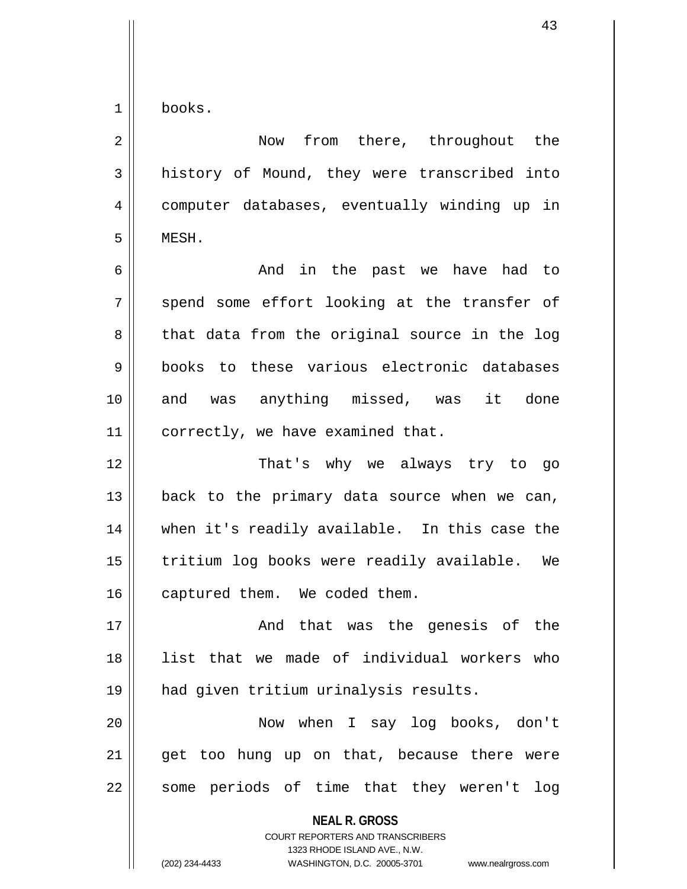1 books.

**NEAL R. GROSS** COURT REPORTERS AND TRANSCRIBERS 1323 RHODE ISLAND AVE., N.W. (202) 234-4433 WASHINGTON, D.C. 20005-3701 www.nealrgross.com 2 | Now from there, throughout the  $3 \parallel$  history of Mound, they were transcribed into 4 computer databases, eventually winding up in 5 MESH. 6 And in the past we have had to  $7$  spend some effort looking at the transfer of  $8 \parallel$  that data from the original source in the log 9 books to these various electronic databases 10 || and was anything missed, was it done 11 | correctly, we have examined that. 12 That's why we always try to go  $13$  | back to the primary data source when we can, 14 when it's readily available. In this case the 15 || tritium log books were readily available. We 16 captured them. We coded them. 17 || The Genesis of the genesis of the same and that was the genesis of the 18 list that we made of individual workers who 19 had given tritium urinalysis results. 20 Now when I say log books, don't  $21$  get too hung up on that, because there were  $22$  || some periods of time that they weren't log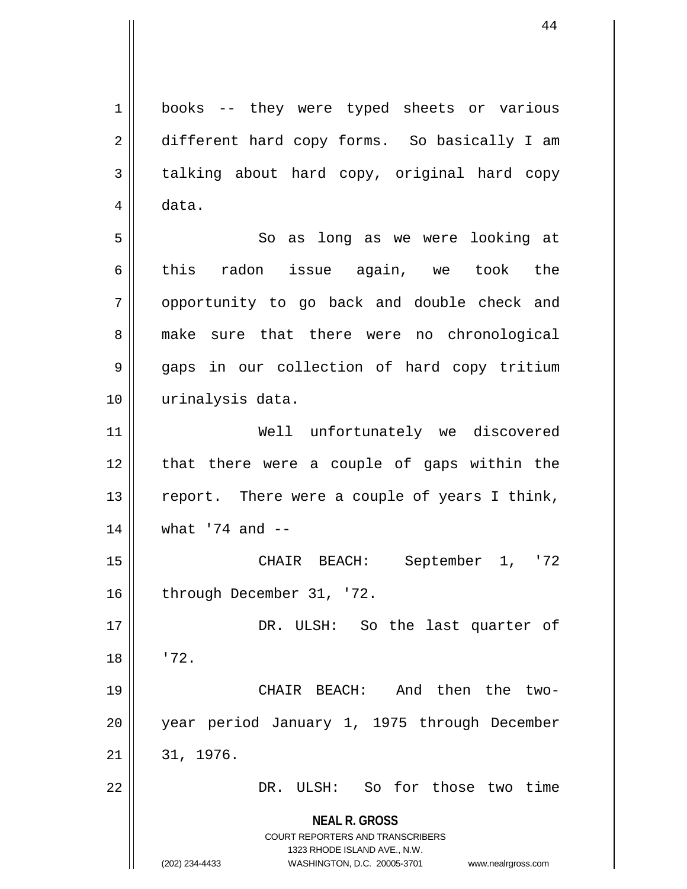**NEAL R. GROSS** COURT REPORTERS AND TRANSCRIBERS 1323 RHODE ISLAND AVE., N.W. (202) 234-4433 WASHINGTON, D.C. 20005-3701 www.nealrgross.com 1 books -- they were typed sheets or various 2 different hard copy forms. So basically I am  $3 \parallel$  talking about hard copy, original hard copy  $4 \parallel$  data. 5 || So as long as we were looking at 6  $\parallel$  this radon issue again, we took the 7 || opportunity to go back and double check and 8 make sure that there were no chronological 9 gaps in our collection of hard copy tritium 10 || urinalysis data. 11 Well unfortunately we discovered  $12$  || that there were a couple of gaps within the 13  $\parallel$  report. There were a couple of years I think, 14 what '74 and -- 15 CHAIR BEACH: September 1, '72 16 | through December 31, '72. 17 || DR. ULSH: So the last quarter of  $18 \parallel 72.$ 19 CHAIR BEACH: And then the two-20 year period January 1, 1975 through December  $21 \parallel 31, 1976.$ 22 || DR. ULSH: So for those two time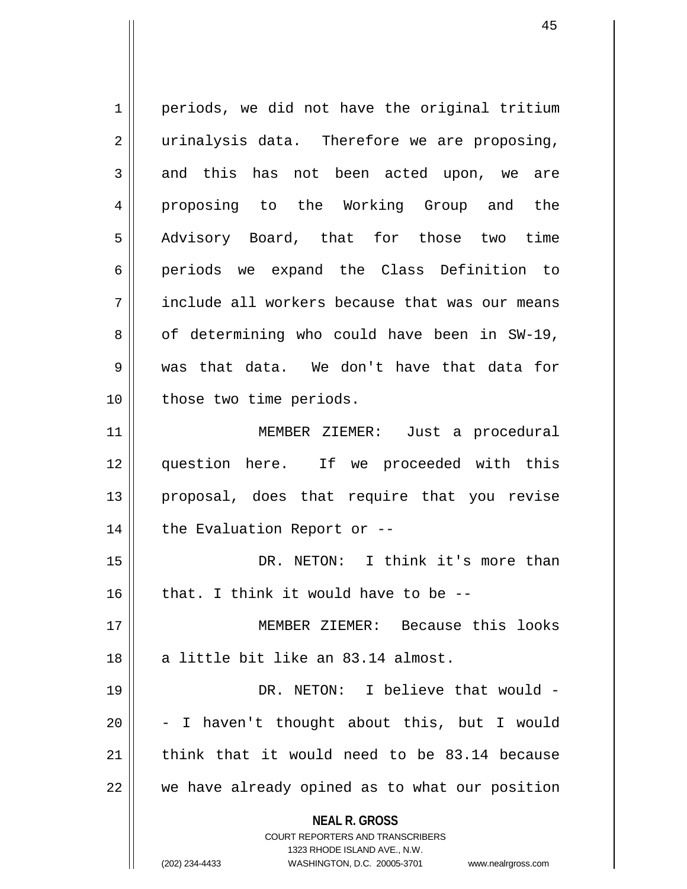**NEAL R. GROSS** COURT REPORTERS AND TRANSCRIBERS 1323 RHODE ISLAND AVE., N.W.  $1 \parallel$  periods, we did not have the original tritium  $2 \parallel$  urinalysis data. Therefore we are proposing,  $3 \parallel$  and this has not been acted upon, we are 4 proposing to the Working Group and the 5 Advisory Board, that for those two time 6 || periods we expand the Class Definition to 7 || include all workers because that was our means  $8 \parallel$  of determining who could have been in SW-19, 9 was that data. We don't have that data for 10 || those two time periods. 11 MEMBER ZIEMER: Just a procedural 12 question here. If we proceeded with this 13 || proposal, does that require that you revise  $14$  | the Evaluation Report or  $-$ 15 DR. NETON: I think it's more than  $16$  | that. I think it would have to be --17 MEMBER ZIEMER: Because this looks 18 || a little bit like an 83.14 almost. 19 DR. NETON: I believe that would -  $20$   $\vert$  - I haven't thought about this, but I would 21 think that it would need to be  $83.14$  because  $22$   $\parallel$  we have already opined as to what our position

(202) 234-4433 WASHINGTON, D.C. 20005-3701 www.nealrgross.com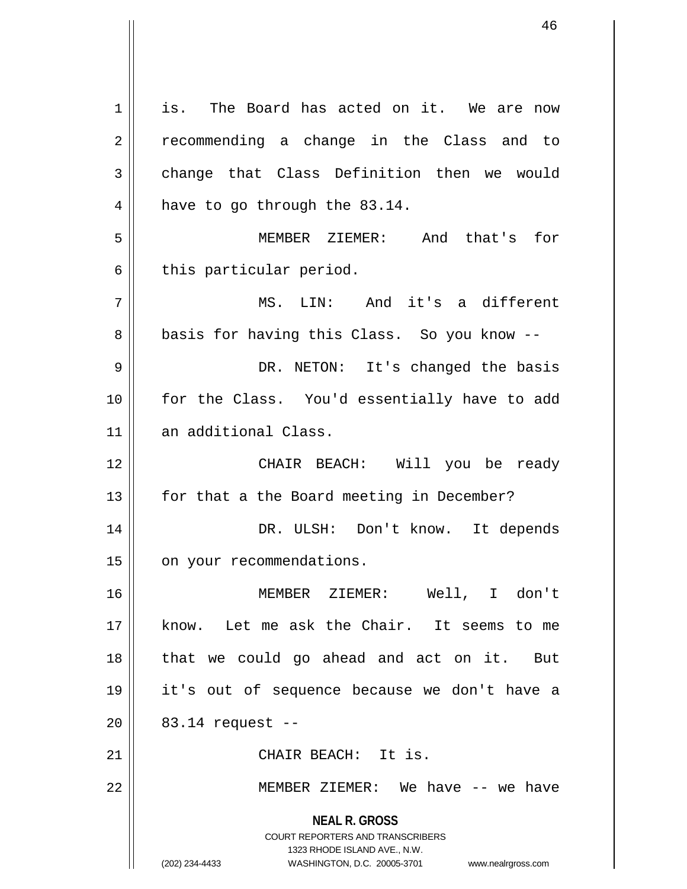**NEAL R. GROSS** COURT REPORTERS AND TRANSCRIBERS 1323 RHODE ISLAND AVE., N.W. (202) 234-4433 WASHINGTON, D.C. 20005-3701 www.nealrgross.com 1 || is. The Board has acted on it. We are now 2 || recommending a change in the Class and to  $3 \parallel$  change that Class Definition then we would  $4 \parallel$  have to go through the 83.14. 5 MEMBER ZIEMER: And that's for  $6 \parallel$  this particular period. 7 MS. LIN: And it's a different 8 || basis for having this Class. So you know --9 DR. NETON: It's changed the basis 10 for the Class. You'd essentially have to add 11 an additional Class. 12 CHAIR BEACH: Will you be ready 13 || for that a the Board meeting in December? 14 DR. ULSH: Don't know. It depends 15 | on your recommendations. 16 MEMBER ZIEMER: Well, I don't 17 know. Let me ask the Chair. It seems to me 18 that we could go ahead and act on it. But 19 it's out of sequence because we don't have a  $20$  |  $83.14$  request --21 | CHAIR BEACH: It is. 22 MEMBER ZIEMER: We have -- we have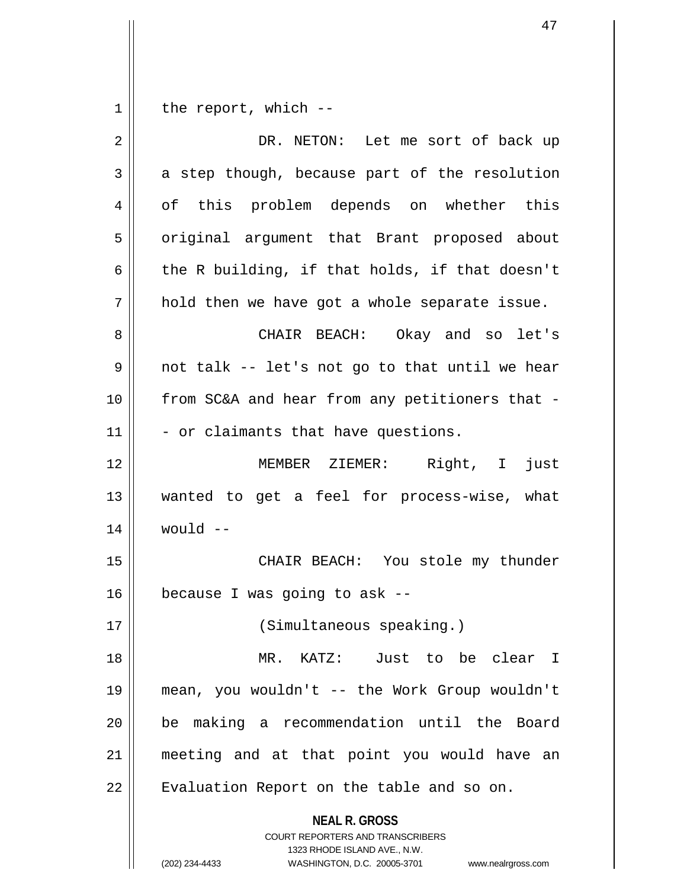**NEAL R. GROSS** COURT REPORTERS AND TRANSCRIBERS 1323 RHODE ISLAND AVE., N.W. (202) 234-4433 WASHINGTON, D.C. 20005-3701 www.nealrgross.com  $1 \parallel$  the report, which --2 | DR. NETON: Let me sort of back up  $3 \parallel$  a step though, because part of the resolution 4 of this problem depends on whether this 5 | original argument that Brant proposed about 6  $\parallel$  the R building, if that holds, if that doesn't  $7 \parallel$  hold then we have got a whole separate issue. 8 CHAIR BEACH: Okay and so let's  $9 \parallel$  not talk -- let's not go to that until we hear 10 || from SC&A and hear from any petitioners that - $11$   $\parallel$  - or claimants that have questions. 12 MEMBER ZIEMER: Right, I just 13 wanted to get a feel for process-wise, what  $14$  | would  $-$ 15 || CHAIR BEACH: You stole my thunder  $16$  | because I was going to ask --17 || (Simultaneous speaking.) 18 MR. KATZ: Just to be clear I 19 mean, you wouldn't -- the Work Group wouldn't 20 be making a recommendation until the Board 21 meeting and at that point you would have an 22 | Evaluation Report on the table and so on.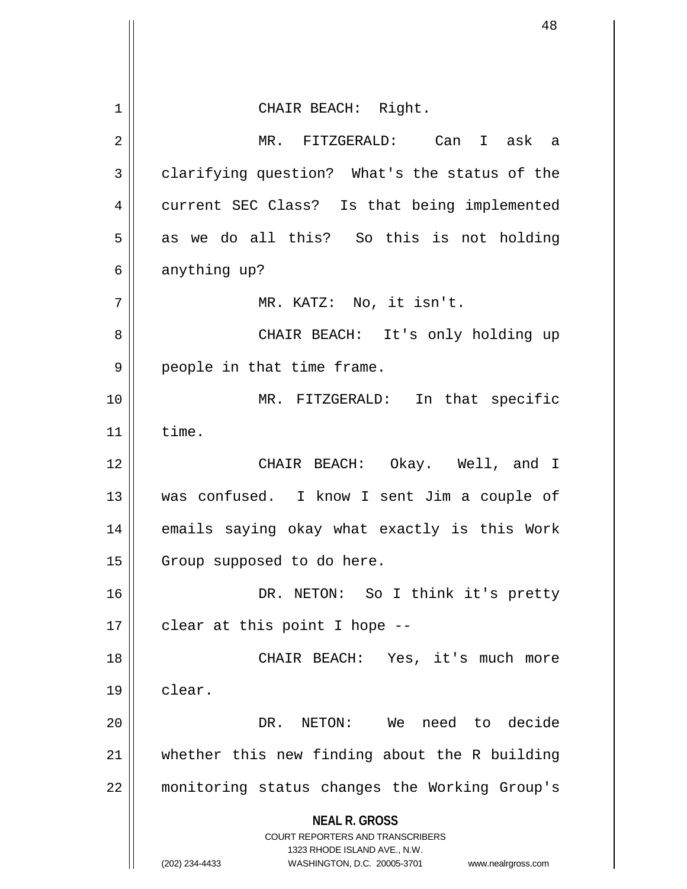**NEAL R. GROSS** COURT REPORTERS AND TRANSCRIBERS 1323 RHODE ISLAND AVE., N.W. (202) 234-4433 WASHINGTON, D.C. 20005-3701 www.nealrgross.com 1 || CHAIR BEACH: Right. 2 MR. FITZGERALD: Can I ask a  $3 \parallel$  clarifying question? What's the status of the 4 || current SEC Class? Is that being implemented  $5 \parallel$  as we do all this? So this is not holding  $6 \parallel$  anything up?  $7 \parallel$  MR. KATZ: No, it isn't. 8 CHAIR BEACH: It's only holding up 9 || people in that time frame. 10 MR. FITZGERALD: In that specific  $11$  time. 12 CHAIR BEACH: Okay. Well, and I 13 was confused. I know I sent Jim a couple of 14 || emails saying okay what exactly is this Work 15 | Group supposed to do here. 16 DR. NETON: So I think it's pretty  $17 \parallel$  clear at this point I hope --18 || CHAIR BEACH: Yes, it's much more 19 clear. 20 DR. NETON: We need to decide 21  $\parallel$  whether this new finding about the R building 22 monitoring status changes the Working Group's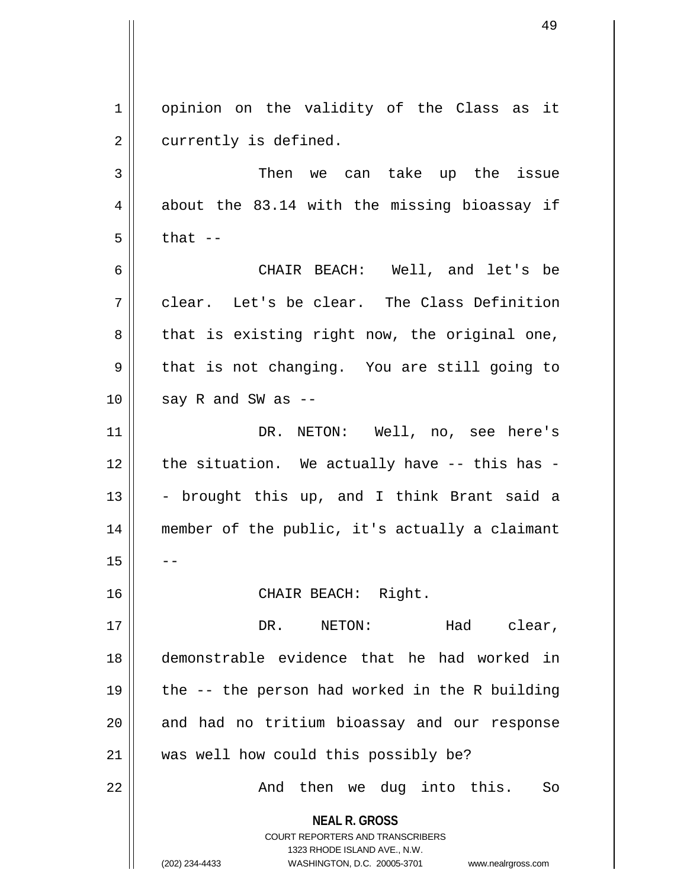1 | opinion on the validity of the Class as it 2 | currently is defined.

3 Then we can take up the issue  $4 \parallel$  about the 83.14 with the missing bioassay if  $5 \parallel$  that  $-$ 

6 CHAIR BEACH: Well, and let's be  $7 \parallel$  clear. Let's be clear. The Class Definition  $8 \parallel$  that is existing right now, the original one,  $9 \parallel$  that is not changing. You are still going to  $10$  || say R and SW as --

11 DR. NETON: Well, no, see here's  $12$  | the situation. We actually have -- this has - $13$  - brought this up, and I think Brant said a 14 member of the public, it's actually a claimant  $15$ 

16 || CHAIR BEACH: Right.

17 DR. NETON: Had clear, 18 demonstrable evidence that he had worked in 19  $\parallel$  the -- the person had worked in the R building 20 || and had no tritium bioassay and our response 21 || was well how could this possibly be?

22 || The Mand then we dug into this. So

**NEAL R. GROSS** COURT REPORTERS AND TRANSCRIBERS

1323 RHODE ISLAND AVE., N.W.

(202) 234-4433 WASHINGTON, D.C. 20005-3701 www.nealrgross.com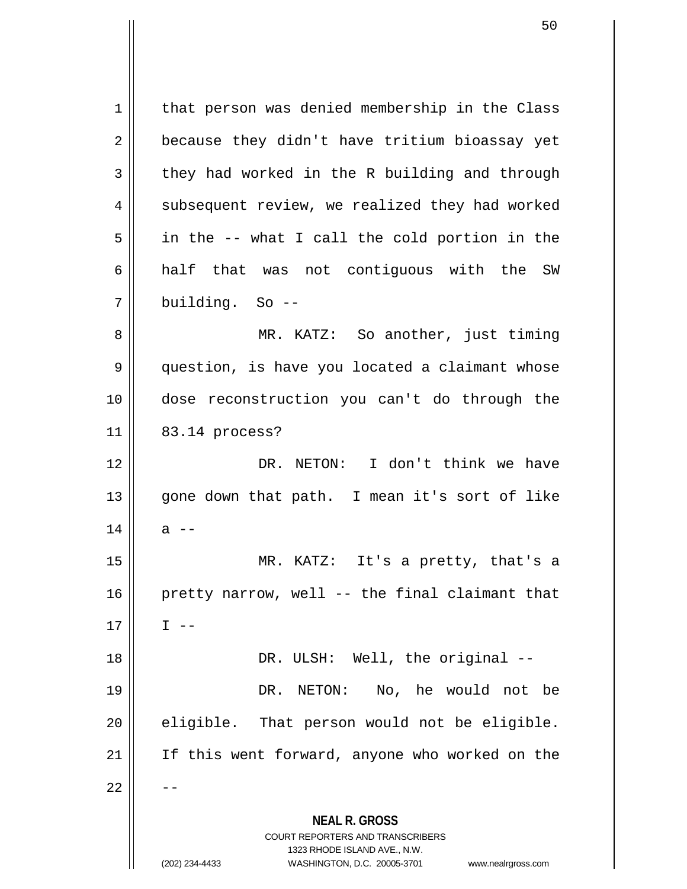**NEAL R. GROSS** COURT REPORTERS AND TRANSCRIBERS 1323 RHODE ISLAND AVE., N.W. 1 | that person was denied membership in the Class  $2 \parallel$  because they didn't have tritium bioassay yet  $3 \parallel$  they had worked in the R building and through  $4 \parallel$  subsequent review, we realized they had worked  $5 \parallel$  in the -- what I call the cold portion in the 6 half that was not contiguous with the SW 7 building. So -- 8 MR. KATZ: So another, just timing 9 || question, is have you located a claimant whose 10 dose reconstruction you can't do through the 11 || 83.14 process? 12 DR. NETON: I don't think we have 13 || gone down that path. I mean it's sort of like  $14 \parallel$  a --15 MR. KATZ: It's a pretty, that's a  $16$  | pretty narrow, well -- the final claimant that  $17 \parallel \qquad I \text{ --}$ 18 || DR. ULSH: Well, the original --19 DR. NETON: No, he would not be  $20$  || eligible. That person would not be eligible. 21 If this went forward, anyone who worked on the  $22$ 

(202) 234-4433 WASHINGTON, D.C. 20005-3701 www.nealrgross.com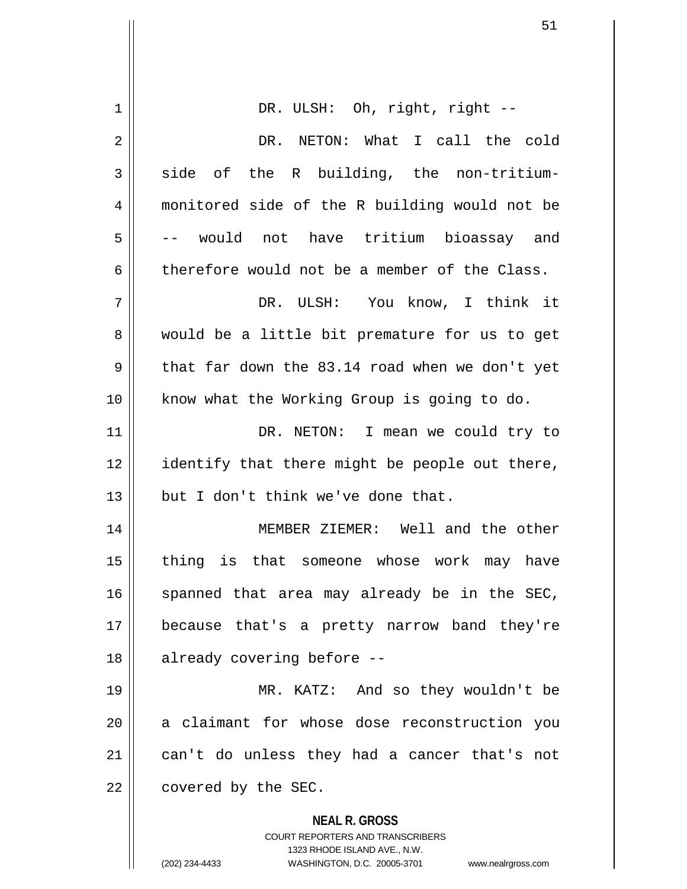| 1  | DR. ULSH: Oh, right, right --                                                                       |
|----|-----------------------------------------------------------------------------------------------------|
| 2  | DR. NETON: What I call the cold                                                                     |
| 3  | of the R building, the non-tritium-<br>side                                                         |
| 4  | monitored side of the R building would not be                                                       |
| 5  | -- would not have tritium bioassay and                                                              |
| 6  | therefore would not be a member of the Class.                                                       |
| 7  | DR. ULSH: You know, I think it                                                                      |
| 8  | would be a little bit premature for us to get                                                       |
| 9  | that far down the 83.14 road when we don't yet                                                      |
| 10 | know what the Working Group is going to do.                                                         |
| 11 | DR. NETON: I mean we could try to                                                                   |
| 12 | identify that there might be people out there,                                                      |
| 13 | but I don't think we've done that.                                                                  |
| 14 | MEMBER ZIEMER: Well and the other                                                                   |
| 15 | thing is that someone whose work may have                                                           |
| 16 | spanned that area may already be in the SEC,                                                        |
| 17 | because that's a pretty narrow band they're                                                         |
| 18 | already covering before --                                                                          |
| 19 | MR. KATZ: And so they wouldn't be                                                                   |
| 20 | a claimant for whose dose reconstruction you                                                        |
| 21 | can't do unless they had a cancer that's not                                                        |
| 22 | covered by the SEC.                                                                                 |
|    | <b>NEAL R. GROSS</b>                                                                                |
|    | <b>COURT REPORTERS AND TRANSCRIBERS</b>                                                             |
|    | 1323 RHODE ISLAND AVE., N.W.<br>(202) 234-4433<br>WASHINGTON, D.C. 20005-3701<br>www.nealrgross.com |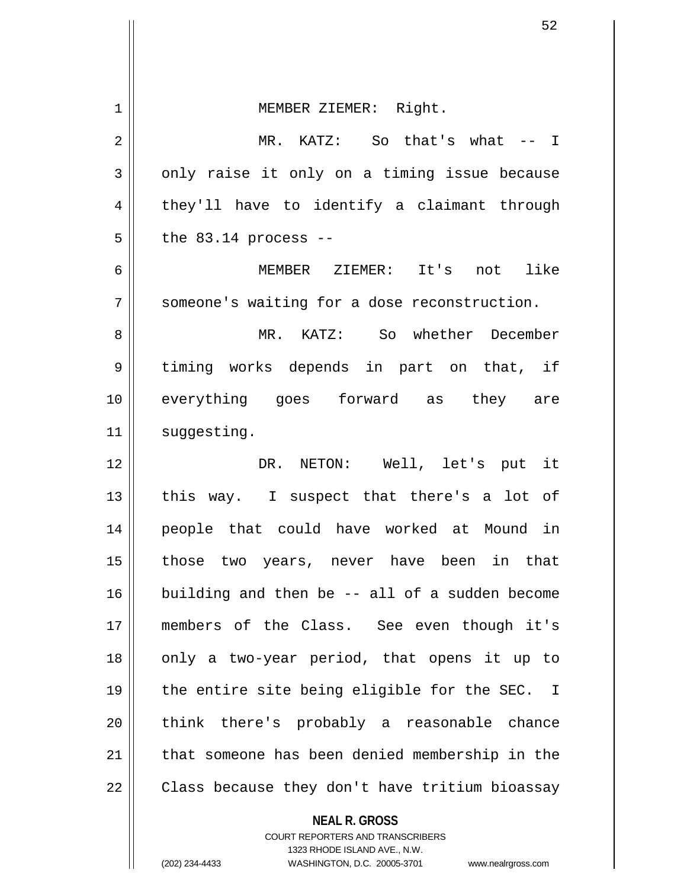| $\mathbf 1$ | MEMBER ZIEMER: Right.                                    |
|-------------|----------------------------------------------------------|
| 2           | MR. KATZ: So that's what -- I                            |
| 3           | only raise it only on a timing issue because             |
| 4           | they'll have to identify a claimant through              |
| 5           | the $83.14$ process $-$                                  |
| 6           | MEMBER ZIEMER: It's not like                             |
| 7           | someone's waiting for a dose reconstruction.             |
| 8           | MR. KATZ: So whether December                            |
| 9           | timing works depends in part on that, if                 |
| 10          | everything goes forward as they are                      |
| 11          | suggesting.                                              |
| 12          | DR. NETON: Well, let's put it                            |
| 13          | this way. I suspect that there's a lot of                |
| 14          | people that could have worked at Mound in                |
| 15          | those two years, never have been in that                 |
| 16          | building and then be -- all of a sudden become           |
| 17          | members of the Class. See even though it's               |
| 18          | only a two-year period, that opens it up to              |
| 19          | the entire site being eligible for the SEC. I            |
| 20          | think there's probably a reasonable chance               |
| 21          | that someone has been denied membership in the           |
| 22          | Class because they don't have tritium bioassay           |
|             | <b>NEAL R. GROSS</b><br>COURT REPORTERS AND TRANSCRIBERS |

1323 RHODE ISLAND AVE., N.W.

(202) 234-4433 WASHINGTON, D.C. 20005-3701 www.nealrgross.com

 $\prod$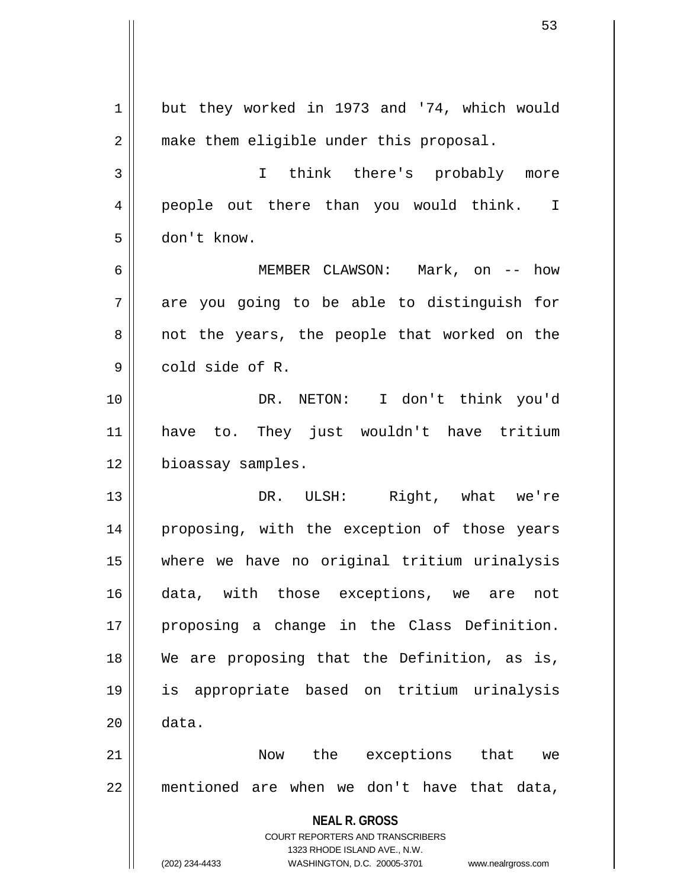|    | 53                                                                                                  |
|----|-----------------------------------------------------------------------------------------------------|
|    |                                                                                                     |
| 1  | but they worked in 1973 and '74, which would                                                        |
| 2  | make them eligible under this proposal.                                                             |
| 3  | think there's probably more<br>$\mathbf{I}$                                                         |
| 4  | people out there than you would think. I                                                            |
| 5  | don't know.                                                                                         |
| 6  | MEMBER CLAWSON: Mark, on -- how                                                                     |
| 7  | are you going to be able to distinguish for                                                         |
| 8  | not the years, the people that worked on the                                                        |
| 9  | cold side of R.                                                                                     |
| 10 | DR. NETON: I don't think you'd                                                                      |
| 11 | have to. They just wouldn't have tritium                                                            |
| 12 | bioassay samples.                                                                                   |
| 13 | Right, what we're<br>DR.<br>ULSH:                                                                   |
| 14 | proposing, with the exception of those years                                                        |
| 15 | where we have no original tritium urinalysis                                                        |
| 16 | data, with those exceptions, we are<br>not                                                          |
| 17 | proposing a change in the Class Definition.                                                         |
| 18 | We are proposing that the Definition, as is,                                                        |
| 19 | is appropriate based on tritium urinalysis                                                          |
| 20 | data.                                                                                               |
| 21 | Now the exceptions that<br>we                                                                       |
| 22 | mentioned are when we don't have that data,                                                         |
|    | <b>NEAL R. GROSS</b>                                                                                |
|    | COURT REPORTERS AND TRANSCRIBERS                                                                    |
|    | 1323 RHODE ISLAND AVE., N.W.<br>(202) 234-4433<br>WASHINGTON, D.C. 20005-3701<br>www.nealrgross.com |
|    |                                                                                                     |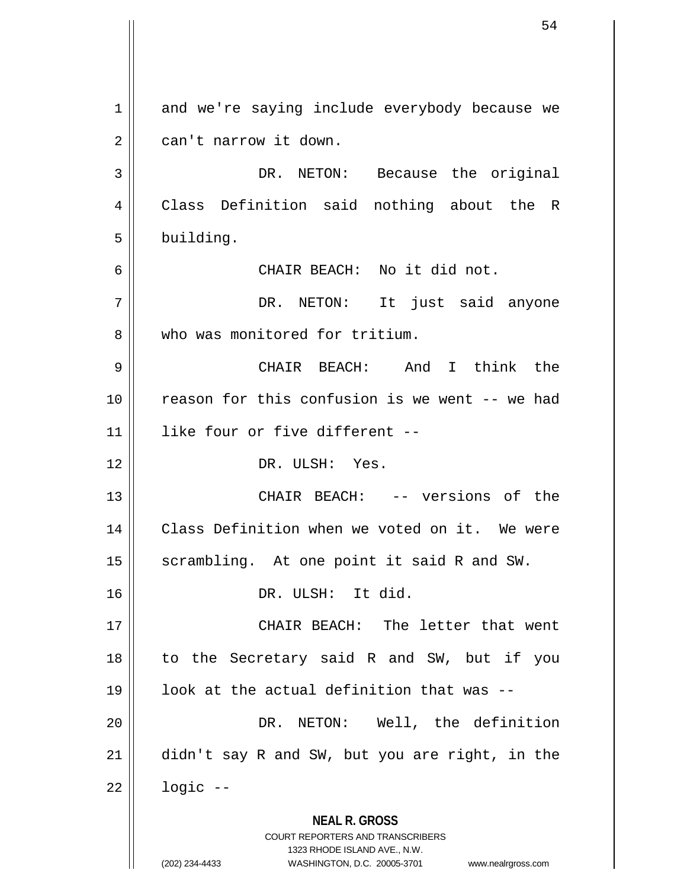**NEAL R. GROSS** COURT REPORTERS AND TRANSCRIBERS 1323 RHODE ISLAND AVE., N.W. (202) 234-4433 WASHINGTON, D.C. 20005-3701 www.nealrgross.com 1 and we're saying include everybody because we  $2 \parallel$  can't narrow it down. 3 || DR. NETON: Because the original 4 Class Definition said nothing about the R  $5 \parallel$  building. 6 CHAIR BEACH: No it did not. 7 DR. NETON: It just said anyone 8 W who was monitored for tritium. 9 CHAIR BEACH: And I think the 10 reason for this confusion is we went -- we had 11 like four or five different -- 12 DR. ULSH: Yes. 13 CHAIR BEACH: -- versions of the 14 || Class Definition when we voted on it. We were  $15$  scrambling. At one point it said R and SW. 16 DR. ULSH: It did. 17 CHAIR BEACH: The letter that went 18 to the Secretary said R and SW, but if you  $19$  || look at the actual definition that was  $-$ -20 DR. NETON: Well, the definition 21 didn't say R and SW, but you are right, in the  $22$  |  $logic$  --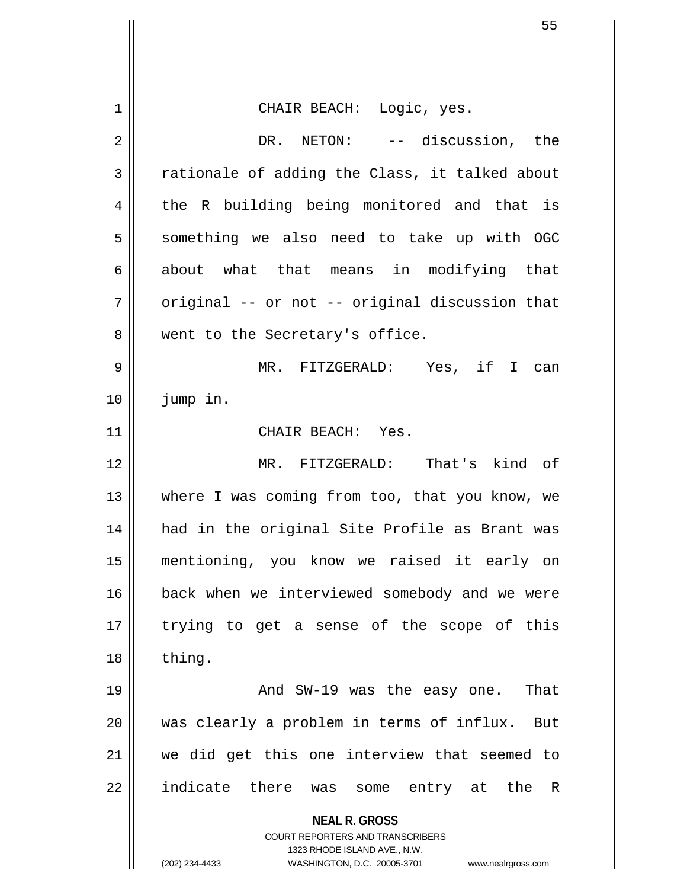|    | 55                                                                  |
|----|---------------------------------------------------------------------|
|    |                                                                     |
| 1  | CHAIR BEACH: Logic, yes.                                            |
| 2  | DR. NETON: -- discussion, the                                       |
| 3  | rationale of adding the Class, it talked about                      |
| 4  | the R building being monitored and that is                          |
| 5  | something we also need to take up with OGC                          |
| 6  | about what that means in modifying that                             |
| 7  | original -- or not -- original discussion that                      |
| 8  | went to the Secretary's office.                                     |
| 9  | MR. FITZGERALD: Yes, if I can                                       |
| 10 | jump in.                                                            |
| 11 | CHAIR BEACH: Yes.                                                   |
| 12 | MR. FITZGERALD: That's kind of                                      |
| 13 | where I was coming from too, that you know, we                      |
| 14 | had in the original Site Profile as Brant was                       |
| 15 | mentioning, you know we raised it early on                          |
| 16 | back when we interviewed somebody and we were                       |
| 17 | trying to get a sense of the scope of this                          |
| 18 | thing.                                                              |
| 19 | And SW-19 was the easy one.<br>That                                 |
| 20 | was clearly a problem in terms of influx. But                       |
| 21 | we did get this one interview that seemed to                        |
| 22 | indicate there was some entry at the R                              |
|    | <b>NEAL R. GROSS</b><br><b>COURT REPORTERS AND TRANSCRIBERS</b>     |
|    | 1323 RHODE ISLAND AVE., N.W.                                        |
|    | (202) 234-4433<br>WASHINGTON, D.C. 20005-3701<br>www.nealrgross.com |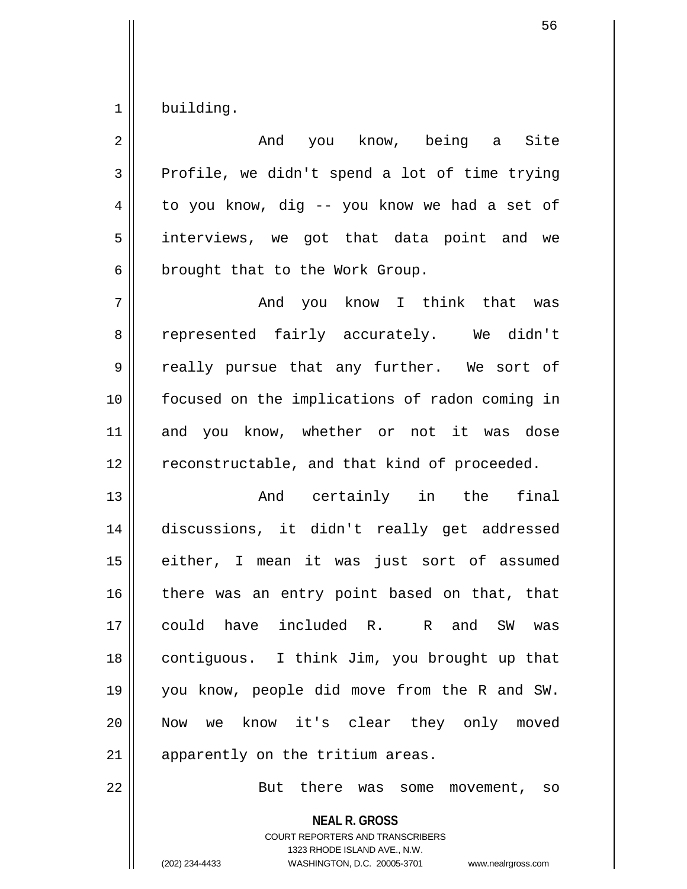$1 \parallel$  building.

| $\overline{2}$ | And you know, being a Site                     |
|----------------|------------------------------------------------|
| 3              | Profile, we didn't spend a lot of time trying  |
| 4              | to you know, dig -- you know we had a set of   |
| 5              | interviews, we got that data point and we      |
| 6              | brought that to the Work Group.                |
| 7              | And you know I think that was                  |
| 8              | represented fairly accurately. We didn't       |
| 9              | really pursue that any further. We sort of     |
| 10             | focused on the implications of radon coming in |
| 11             | and you know, whether or not it was dose       |
| 12             | reconstructable, and that kind of proceeded.   |
| 13             | And certainly in the final                     |
| 14             | discussions, it didn't really get addressed    |
| 15             | either, I mean it was just sort of assumed     |
| 16             | there was an entry point based on that, that   |
| 17             | could have included R. R and SW<br>was         |
| 18             | contiguous. I think Jim, you brought up that   |
| 19             | you know, people did move from the R and SW.   |
| 20             | Now we know it's clear they only moved         |
| 21             | apparently on the tritium areas.               |
|                |                                                |

22 || But there was some movement, so

**NEAL R. GROSS** COURT REPORTERS AND TRANSCRIBERS 1323 RHODE ISLAND AVE., N.W. (202) 234-4433 WASHINGTON, D.C. 20005-3701 www.nealrgross.com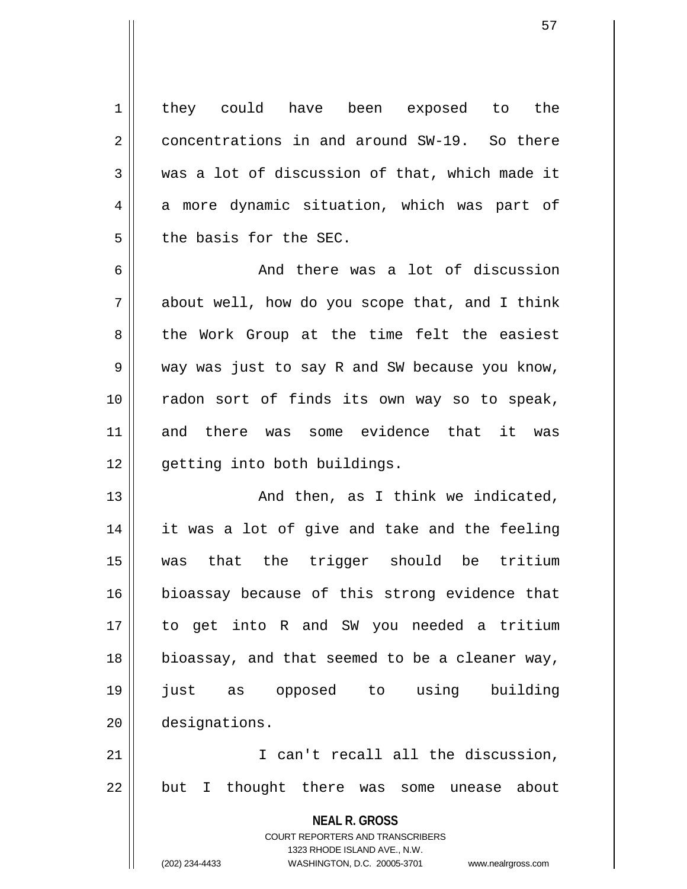1 || they could have been exposed to the 2 concentrations in and around SW-19. So there  $3 \parallel$  was a lot of discussion of that, which made it  $4 \parallel$  a more dynamic situation, which was part of 5 || the basis for the SEC.

6 and there was a lot of discussion  $7 \parallel$  about well, how do you scope that, and I think 8 || the Work Group at the time felt the easiest 9 way was just to say R and SW because you know, 10 radon sort of finds its own way so to speak, 11 and there was some evidence that it was 12 | qetting into both buildings.

13 And then, as I think we indicated, 14 it was a lot of give and take and the feeling 15 was that the trigger should be tritium 16 bioassay because of this strong evidence that 17 to get into R and SW you needed a tritium 18 bioassay, and that seemed to be a cleaner way, 19 just as opposed to using building 20 designations.

21 || T can't recall all the discussion, 22 || but I thought there was some unease about

> **NEAL R. GROSS** COURT REPORTERS AND TRANSCRIBERS

1323 RHODE ISLAND AVE., N.W. (202) 234-4433 WASHINGTON, D.C. 20005-3701 www.nealrgross.com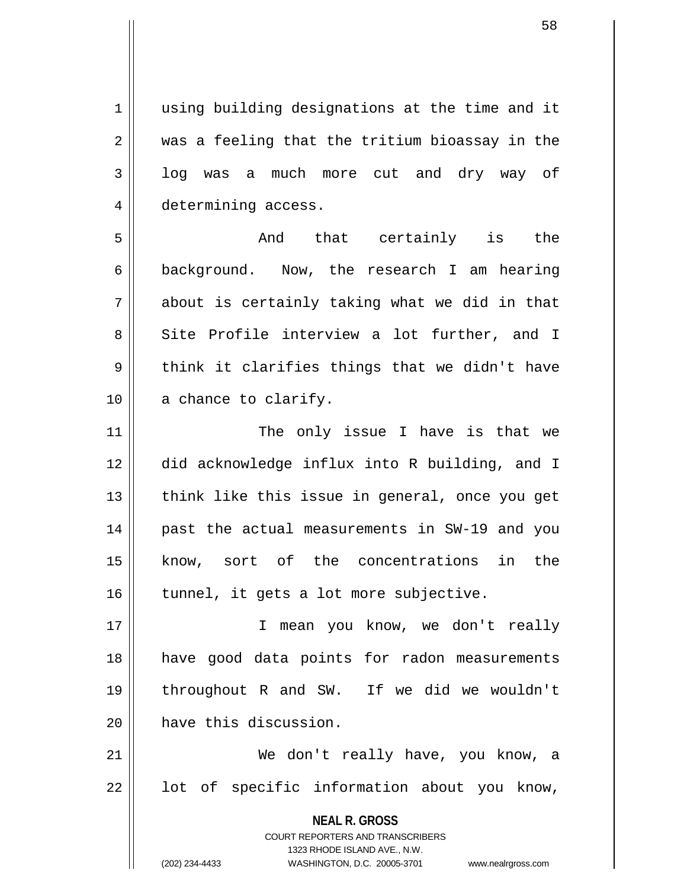1 || using building designations at the time and it  $2 \parallel$  was a feeling that the tritium bioassay in the  $3 \parallel$  log was a much more cut and dry way of 4 determining access.

5 And that certainly is the  $6 \parallel$  background. Now, the research I am hearing  $7 \parallel$  about is certainly taking what we did in that 8 Site Profile interview a lot further, and I  $9 \parallel$  think it clarifies things that we didn't have 10 || a chance to clarify.

11 || The only issue I have is that we 12 did acknowledge influx into R building, and I  $13$  || think like this issue in general, once you get 14 || past the actual measurements in SW-19 and you 15 know, sort of the concentrations in the  $16$  | tunnel, it gets a lot more subjective.

17 || I mean you know, we don't really 18 have good data points for radon measurements 19 throughout R and SW. If we did we wouldn't 20 **have this discussion.** 

21 We don't really have, you know, a  $22$  || lot of specific information about you know,

> **NEAL R. GROSS** COURT REPORTERS AND TRANSCRIBERS 1323 RHODE ISLAND AVE., N.W. (202) 234-4433 WASHINGTON, D.C. 20005-3701 www.nealrgross.com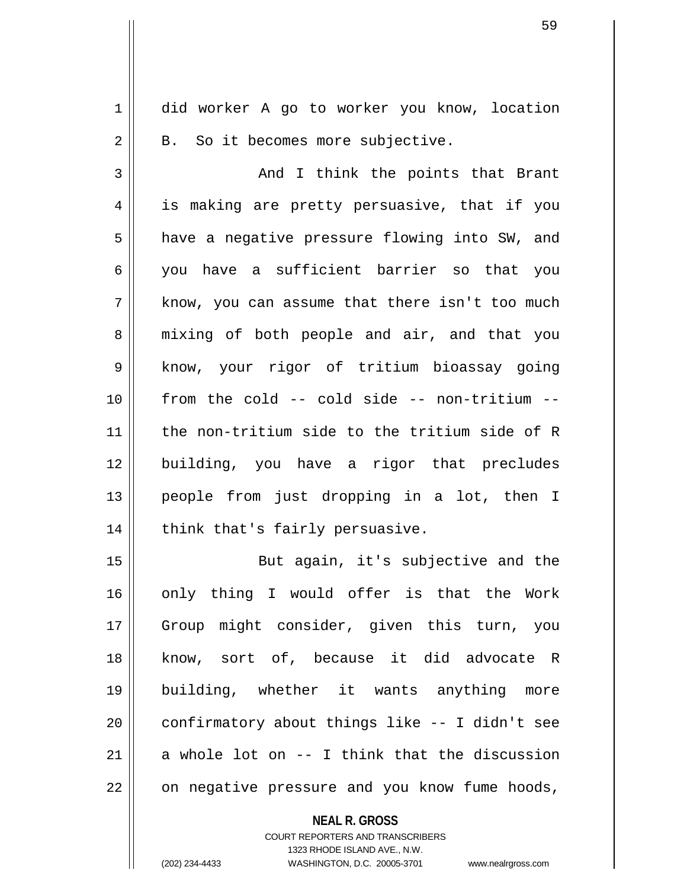1 || did worker A go to worker you know, location  $2 \parallel$  B. So it becomes more subjective.

3 And I think the points that Brant 4 || is making are pretty persuasive, that if you 5 | have a negative pressure flowing into SW, and 6 you have a sufficient barrier so that you  $7 \parallel$  know, you can assume that there isn't too much 8 || mixing of both people and air, and that you 9 || know, your rigor of tritium bioassay going 10 from the cold -- cold side -- non-tritium -- 11 the non-tritium side to the tritium side of R 12 building, you have a rigor that precludes 13 people from just dropping in a lot, then I  $14$  | think that's fairly persuasive.

15 || But again, it's subjective and the 16 only thing I would offer is that the Work 17 Group might consider, given this turn, you 18 know, sort of, because it did advocate R 19 building, whether it wants anything more  $20$  | confirmatory about things like  $-$ - I didn't see 21  $\parallel$  a whole lot on  $-$  I think that the discussion 22 | on negative pressure and you know fume hoods,

> **NEAL R. GROSS** COURT REPORTERS AND TRANSCRIBERS 1323 RHODE ISLAND AVE., N.W. (202) 234-4433 WASHINGTON, D.C. 20005-3701 www.nealrgross.com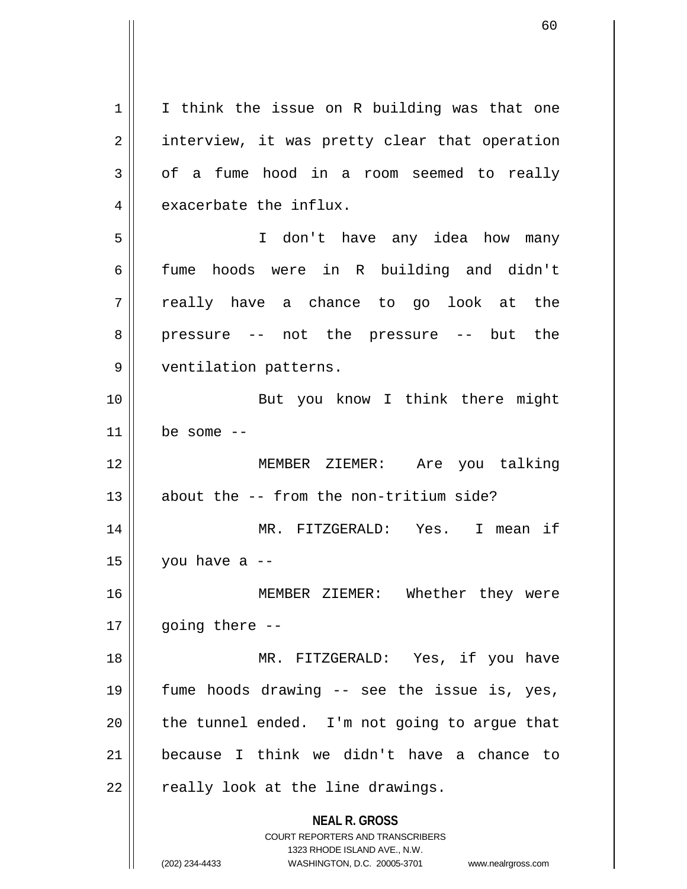**NEAL R. GROSS** COURT REPORTERS AND TRANSCRIBERS 1323 RHODE ISLAND AVE., N.W.  $1 \parallel$  I think the issue on R building was that one 2 | interview, it was pretty clear that operation  $3 \parallel$  of a fume hood in a room seemed to really  $4 \parallel$  exacerbate the influx. 5 I don't have any idea how many 6 fume hoods were in R building and didn't  $7 \parallel$  really have a chance to go look at the 8 || pressure -- not the pressure -- but the 9 || ventilation patterns. 10 || But you know I think there might  $11$  be some  $-$ 12 MEMBER ZIEMER: Are you talking 13  $\parallel$  about the -- from the non-tritium side? 14 MR. FITZGERALD: Yes. I mean if  $15 \parallel$  you have a --16 MEMBER ZIEMER: Whether they were  $17$  | qoing there  $-$ 18 MR. FITZGERALD: Yes, if you have 19 fume hoods drawing -- see the issue is, yes,  $20$  || the tunnel ended. I'm not going to argue that 21 because I think we didn't have a chance to  $22$  | really look at the line drawings.

<sup>(202) 234-4433</sup> WASHINGTON, D.C. 20005-3701 www.nealrgross.com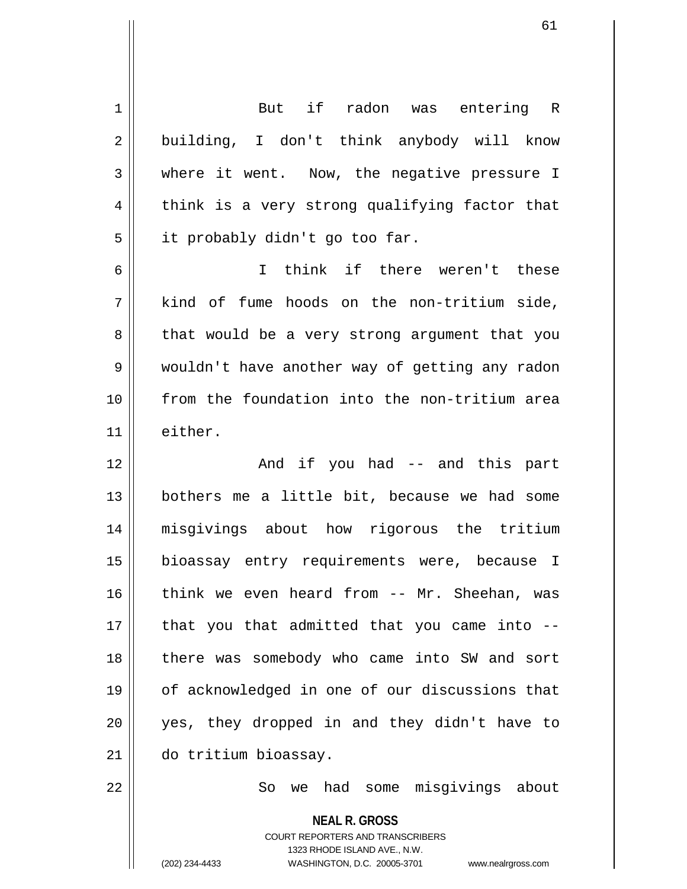1 But if radon was entering R 2 || building, I don't think anybody will know 3 Where it went. Now, the negative pressure I  $4 \parallel$  think is a very strong qualifying factor that  $5 \parallel$  it probably didn't go too far. 6 I think if there weren't these 7 kind of fume hoods on the non-tritium side, 8 || that would be a very strong argument that you 9 || wouldn't have another way of getting any radon 10 from the foundation into the non-tritium area 11 either. 12 And if you had -- and this part  $13$  bothers me a little bit, because we had some 14 misgivings about how rigorous the tritium 15 bioassay entry requirements were, because I 16 think we even heard from -- Mr. Sheehan, was  $17$  || that you that admitted that you came into  $-$ -18 || there was somebody who came into SW and sort 19 of acknowledged in one of our discussions that 20 yes, they dropped in and they didn't have to 21 do tritium bioassay. 22 So we had some misgivings about

> **NEAL R. GROSS** COURT REPORTERS AND TRANSCRIBERS 1323 RHODE ISLAND AVE., N.W. (202) 234-4433 WASHINGTON, D.C. 20005-3701 www.nealrgross.com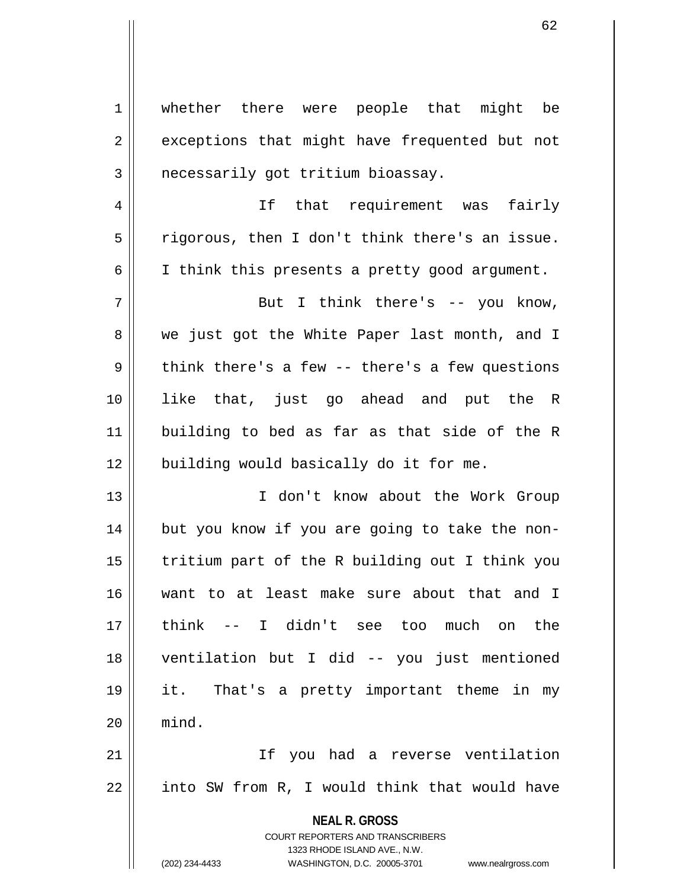**NEAL R. GROSS** COURT REPORTERS AND TRANSCRIBERS 1323 RHODE ISLAND AVE., N.W. 1 || whether there were people that might be 2 || exceptions that might have frequented but not 3 | necessarily got tritium bioassay. 4 || If that requirement was fairly  $5 \parallel$  rigorous, then I don't think there's an issue. 6 I think this presents a pretty good argument. 7 || But I think there's -- you know, 8 we just got the White Paper last month, and I  $9 \parallel$  think there's a few -- there's a few questions 10 like that, just go ahead and put the R 11 building to bed as far as that side of the R 12 || building would basically do it for me. 13 I don't know about the Work Group 14 || but you know if you are going to take the non- $15$  | tritium part of the R building out I think you 16 want to at least make sure about that and I 17 think -- I didn't see too much on the 18 ventilation but I did -- you just mentioned 19 it. That's a pretty important theme in my  $20$   $\parallel$  mind. 21 If you had a reverse ventilation  $22$  || into SW from R, I would think that would have

(202) 234-4433 WASHINGTON, D.C. 20005-3701 www.nealrgross.com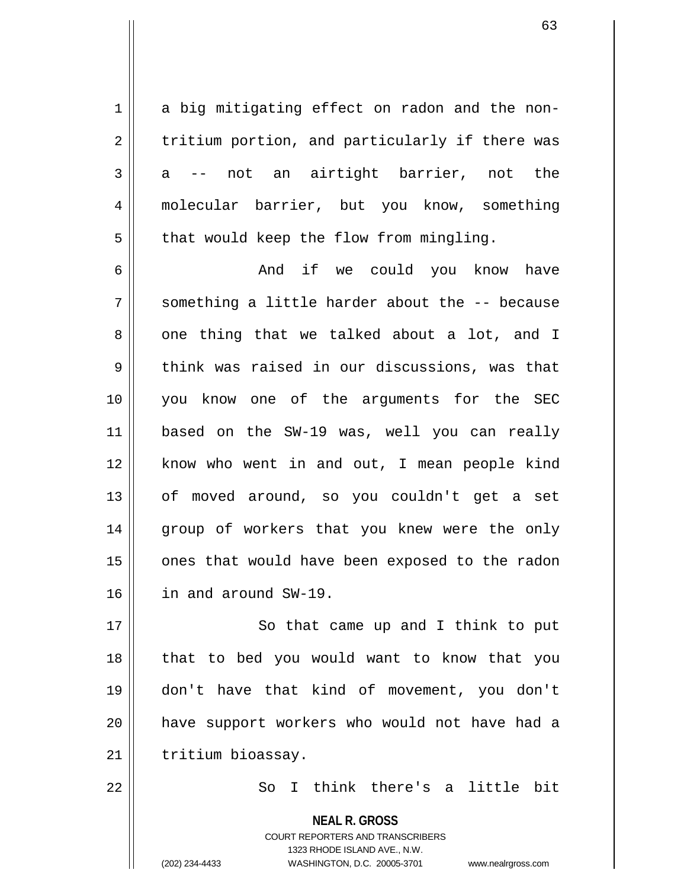1 a big mitigating effect on radon and the non- $2 \parallel$  tritium portion, and particularly if there was  $3 \parallel$  a -- not an airtight barrier, not the 4 molecular barrier, but you know, something  $5$  | that would keep the flow from mingling.

6 And if we could you know have  $7 \parallel$  something a little harder about the  $-$  because  $8 \parallel$  one thing that we talked about a lot, and I  $9 \parallel$  think was raised in our discussions, was that 10 you know one of the arguments for the SEC 11 based on the SW-19 was, well you can really 12 || know who went in and out, I mean people kind 13 of moved around, so you couldn't get a set 14 || group of workers that you knew were the only 15 || ones that would have been exposed to the radon 16 in and around SW-19.

17 || So that came up and I think to put 18 that to bed you would want to know that you 19 don't have that kind of movement, you don't 20 have support workers who would not have had a 21 | tritium bioassay.

22 || So I think there's a little bit

**NEAL R. GROSS** COURT REPORTERS AND TRANSCRIBERS 1323 RHODE ISLAND AVE., N.W. (202) 234-4433 WASHINGTON, D.C. 20005-3701 www.nealrgross.com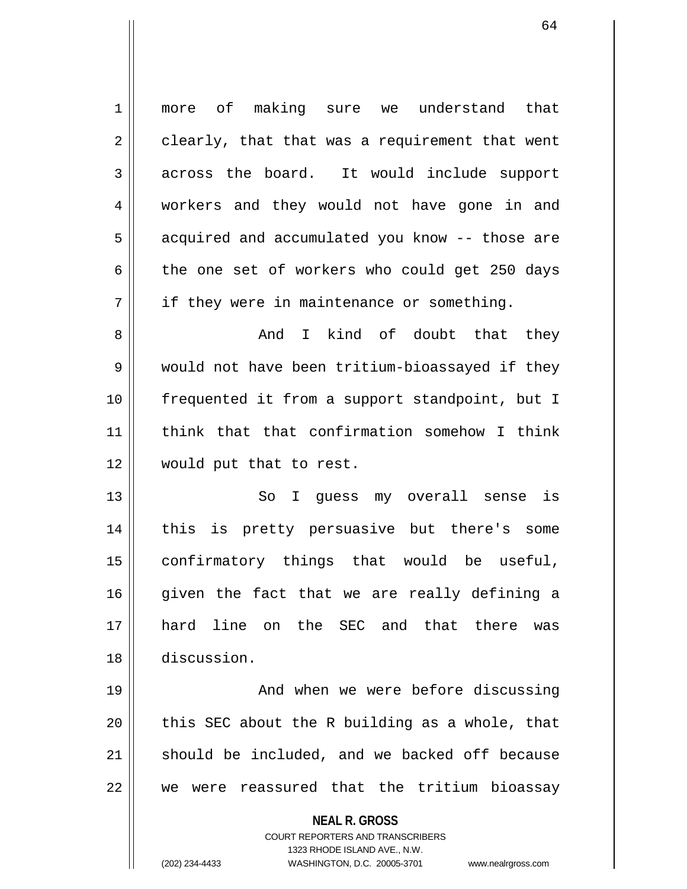**NEAL R. GROSS** COURT REPORTERS AND TRANSCRIBERS 1 || more of making sure we understand that  $2 \parallel$  clearly, that that was a requirement that went  $3 \parallel$  across the board. It would include support 4 workers and they would not have gone in and 5 || acquired and accumulated you know -- those are 6 the one set of workers who could get 250 days  $7 \parallel$  if they were in maintenance or something. 8 and I kind of doubt that they 9 would not have been tritium-bioassayed if they 10 frequented it from a support standpoint, but I 11 || think that that confirmation somehow I think 12 would put that to rest. 13 || So I quess my overall sense is 14 this is pretty persuasive but there's some 15 confirmatory things that would be useful,  $16$  given the fact that we are really defining a 17 hard line on the SEC and that there was 18 discussion. 19 || And when we were before discussing 20  $\parallel$  this SEC about the R building as a whole, that  $21$  should be included, and we backed off because 22 || we were reassured that the tritium bioassay

1323 RHODE ISLAND AVE., N.W.

(202) 234-4433 WASHINGTON, D.C. 20005-3701 www.nealrgross.com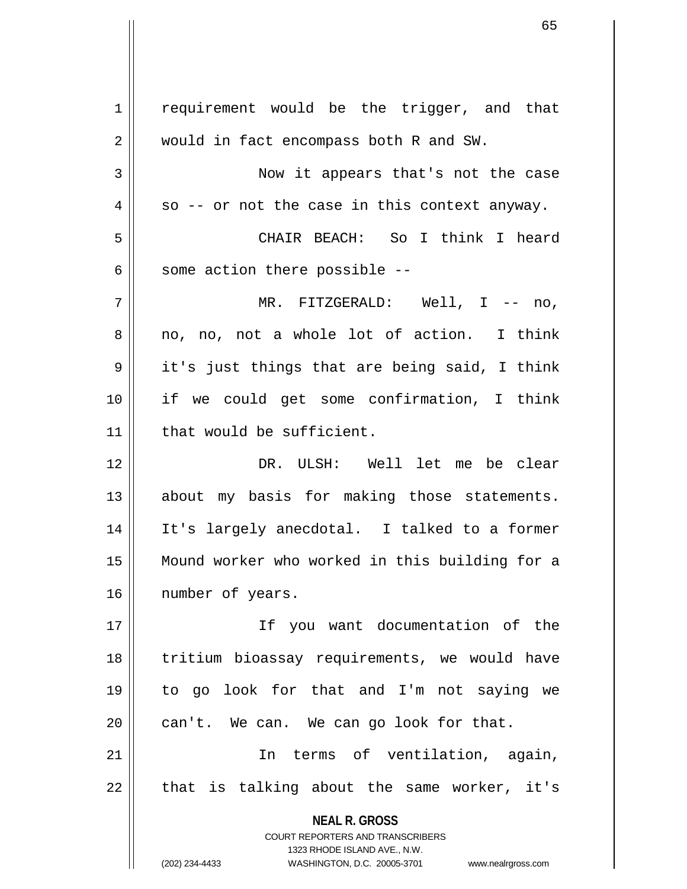**NEAL R. GROSS** COURT REPORTERS AND TRANSCRIBERS 1323 RHODE ISLAND AVE., N.W. (202) 234-4433 WASHINGTON, D.C. 20005-3701 www.nealrgross.com 1 | requirement would be the trigger, and that 2 | would in fact encompass both R and SW. 3 Now it appears that's not the case  $4 \parallel$  so -- or not the case in this context anyway. 5 CHAIR BEACH: So I think I heard  $6$  || some action there possible  $-$ -7 MR. FITZGERALD: Well, I -- no, 8 no, no, not a whole lot of action. I think  $9 \parallel$  it's just things that are being said, I think 10 if we could get some confirmation, I think 11 that would be sufficient. 12 DR. ULSH: Well let me be clear 13 || about my basis for making those statements. 14 It's largely anecdotal. I talked to a former 15 Mound worker who worked in this building for a 16 | number of years. 17 If you want documentation of the 18 || tritium bioassay requirements, we would have 19 to go look for that and I'm not saying we  $20$  | can't. We can. We can go look for that. 21 In terms of ventilation, again,  $22$  || that is talking about the same worker, it's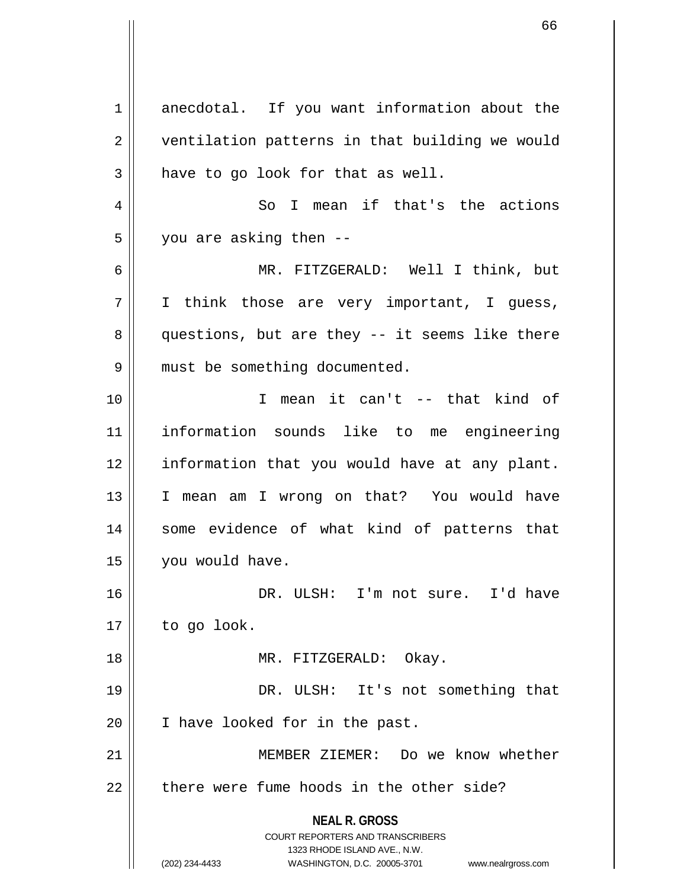**NEAL R. GROSS** COURT REPORTERS AND TRANSCRIBERS 1323 RHODE ISLAND AVE., N.W. (202) 234-4433 WASHINGTON, D.C. 20005-3701 www.nealrgross.com 1 anecdotal. If you want information about the 2 | ventilation patterns in that building we would  $3 \parallel$  have to go look for that as well. 4 So I mean if that's the actions  $5 \parallel$  you are asking then --6 MR. FITZGERALD: Well I think, but 7 I think those are very important, I guess,  $8 \parallel$  questions, but are they -- it seems like there 9 || must be something documented. 10 I mean it can't -- that kind of 11 information sounds like to me engineering 12 || information that you would have at any plant. 13 I mean am I wrong on that? You would have 14 || some evidence of what kind of patterns that 15 | you would have. 16 DR. ULSH: I'm not sure. I'd have  $17 \parallel$  to go look. 18 || MR. FITZGERALD: Okay. 19 || DR. ULSH: It's not something that 20 || I have looked for in the past. 21 MEMBER ZIEMER: Do we know whether  $22$   $\parallel$  there were fume hoods in the other side?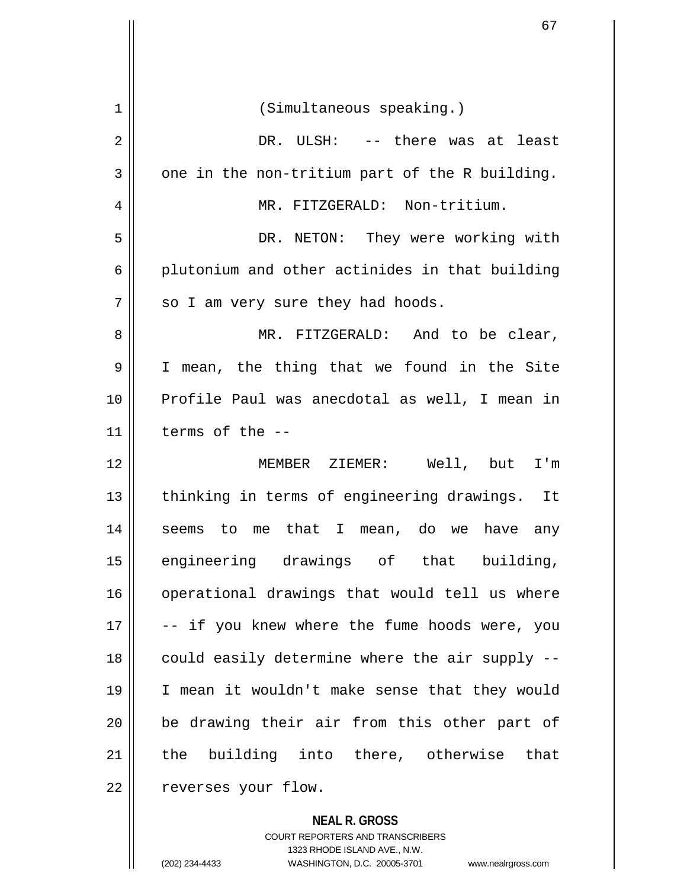| 1  | (Simultaneous speaking.)                       |
|----|------------------------------------------------|
| 2  | DR. ULSH: -- there was at least                |
| 3  | one in the non-tritium part of the R building. |
| 4  | MR. FITZGERALD: Non-tritium.                   |
| 5  | DR. NETON: They were working with              |
| 6  | plutonium and other actinides in that building |
| 7  | so I am very sure they had hoods.              |
| 8  | MR. FITZGERALD: And to be clear,               |
| 9  | I mean, the thing that we found in the Site    |
| 10 | Profile Paul was anecdotal as well, I mean in  |
| 11 | terms of the --                                |
| 12 | MEMBER ZIEMER: Well, but<br>I'm                |
| 13 | thinking in terms of engineering drawings. It  |
| 14 | seems to me that I mean, do we have any        |
| 15 | engineering drawings of that building,         |
| 16 | operational drawings that would tell us where  |
| 17 | -- if you knew where the fume hoods were, you  |
| 18 | could easily determine where the air supply -- |
| 19 | I mean it wouldn't make sense that they would  |
| 20 | be drawing their air from this other part of   |
| 21 | the building into there, otherwise that        |
| 22 | reverses your flow.                            |

**NEAL R. GROSS**

COURT REPORTERS AND TRANSCRIBERS 1323 RHODE ISLAND AVE., N.W. (202) 234-4433 WASHINGTON, D.C. 20005-3701 www.nealrgross.com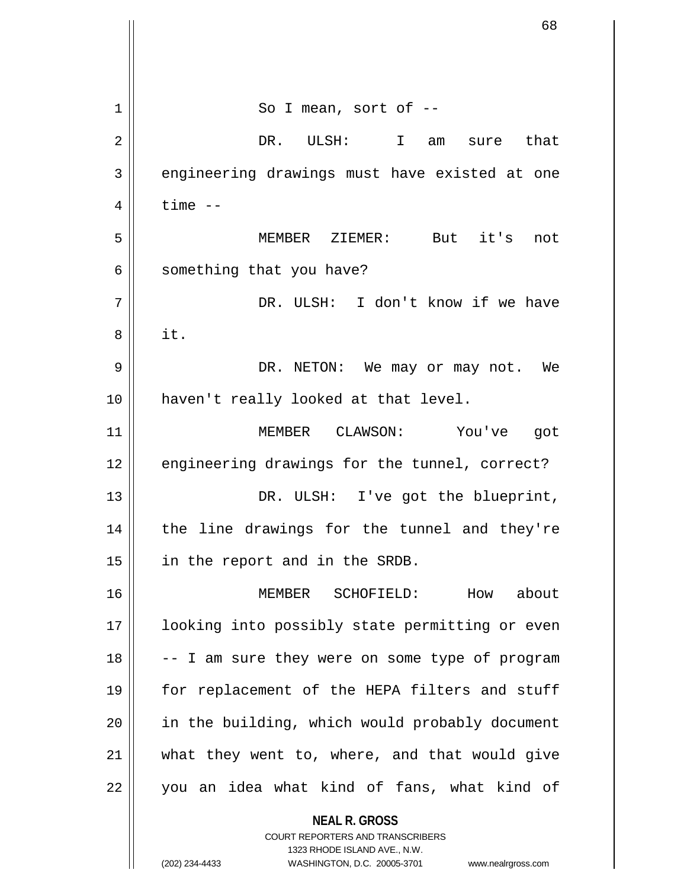| 1  | So I mean, sort of --                                    |
|----|----------------------------------------------------------|
| 2  | DR. ULSH: I<br>am sure that                              |
| 3  | engineering drawings must have existed at one            |
| 4  | $time$ $--$                                              |
| 5  | MEMBER ZIEMER: But it's<br>not                           |
| 6  | something that you have?                                 |
| 7  | DR. ULSH: I don't know if we have                        |
| 8  | it.                                                      |
| 9  | DR. NETON: We may or may not. We                         |
| 10 | haven't really looked at that level.                     |
| 11 | MEMBER CLAWSON: You've got                               |
| 12 | engineering drawings for the tunnel, correct?            |
| 13 | DR. ULSH: I've got the blueprint,                        |
| 14 | the line drawings for the tunnel and they're             |
| 15 | in the report and in the SRDB.                           |
| 16 | How about<br>MEMBER SCHOFIELD:                           |
| 17 | looking into possibly state permitting or even           |
| 18 | -- I am sure they were on some type of program           |
| 19 | for replacement of the HEPA filters and stuff            |
| 20 | in the building, which would probably document           |
| 21 | what they went to, where, and that would give            |
| 22 | you an idea what kind of fans, what kind of              |
|    | <b>NEAL R. GROSS</b><br>COURT REPORTERS AND TRANSCRIBERS |

1323 RHODE ISLAND AVE., N.W.

 $\prod$ 

 $\mathbf{I}$  $\mathbb{I}$ 

(202) 234-4433 WASHINGTON, D.C. 20005-3701 www.nealrgross.com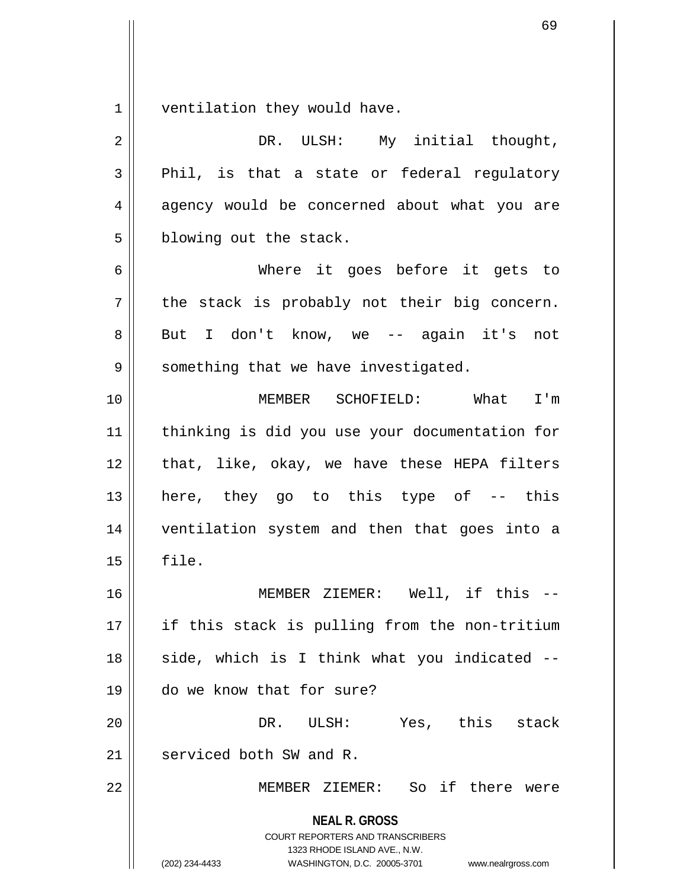$1 \parallel$  ventilation they would have.

| $\overline{2}$ | DR. ULSH: My initial thought,                                                                                                                                          |
|----------------|------------------------------------------------------------------------------------------------------------------------------------------------------------------------|
| $\mathbf{3}$   | Phil, is that a state or federal regulatory                                                                                                                            |
| 4              | agency would be concerned about what you are                                                                                                                           |
| 5              | blowing out the stack.                                                                                                                                                 |
| 6              | Where it goes before it gets to                                                                                                                                        |
| 7              | the stack is probably not their big concern.                                                                                                                           |
| 8              | But I don't know, we -- again it's not                                                                                                                                 |
| 9              | something that we have investigated.                                                                                                                                   |
| 10             | MEMBER SCHOFIELD: What<br>I'm                                                                                                                                          |
| 11             | thinking is did you use your documentation for                                                                                                                         |
| 12             | that, like, okay, we have these HEPA filters                                                                                                                           |
| 13             | here, they go to this type of -- this                                                                                                                                  |
| 14             | ventilation system and then that goes into a                                                                                                                           |
| 15             | file.                                                                                                                                                                  |
| 16             | MEMBER ZIEMER: Well, if this --                                                                                                                                        |
| 17             | if this stack is pulling from the non-tritium                                                                                                                          |
| 18             | side, which is I think what you indicated --                                                                                                                           |
| 19             | do we know that for sure?                                                                                                                                              |
| 20             | DR.<br>Yes, this stack<br>ULSH:                                                                                                                                        |
| 21             | serviced both SW and R.                                                                                                                                                |
| 22             | MEMBER ZIEMER: So if there were                                                                                                                                        |
|                | <b>NEAL R. GROSS</b><br><b>COURT REPORTERS AND TRANSCRIBERS</b><br>1323 RHODE ISLAND AVE., N.W.<br>(202) 234-4433<br>WASHINGTON, D.C. 20005-3701<br>www.nealrgross.com |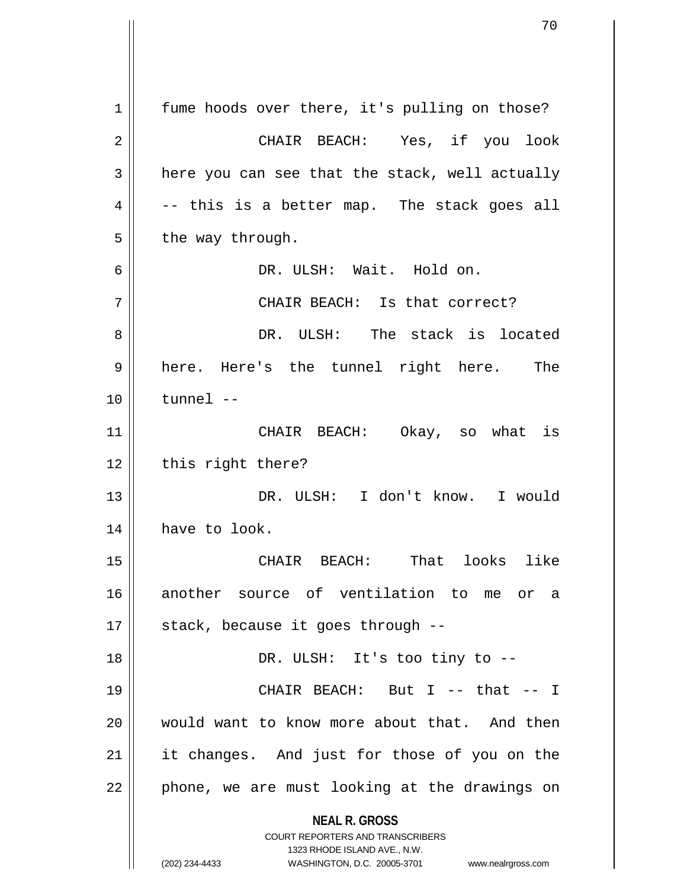**NEAL R. GROSS** COURT REPORTERS AND TRANSCRIBERS 1323 RHODE ISLAND AVE., N.W. (202) 234-4433 WASHINGTON, D.C. 20005-3701 www.nealrgross.com 1 | fume hoods over there, it's pulling on those? 2 CHAIR BEACH: Yes, if you look  $3 \parallel$  here you can see that the stack, well actually  $4 \parallel$  -- this is a better map. The stack goes all  $5 \parallel$  the way through. 6 DR. ULSH: Wait. Hold on. 7 || CHAIR BEACH: Is that correct? 8 DR. ULSH: The stack is located 9 || here. Here's the tunnel right here. The 10 tunnel -- 11 CHAIR BEACH: Okay, so what is 12 || this right there? 13 DR. ULSH: I don't know. I would 14 | have to look. 15 CHAIR BEACH: That looks like 16 another source of ventilation to me or a  $17 \parallel$  stack, because it goes through --18 DR. ULSH: It's too tiny to -- 19 CHAIR BEACH: But I -- that -- I 20 would want to know more about that. And then 21 || it changes. And just for those of you on the  $22$  | phone, we are must looking at the drawings on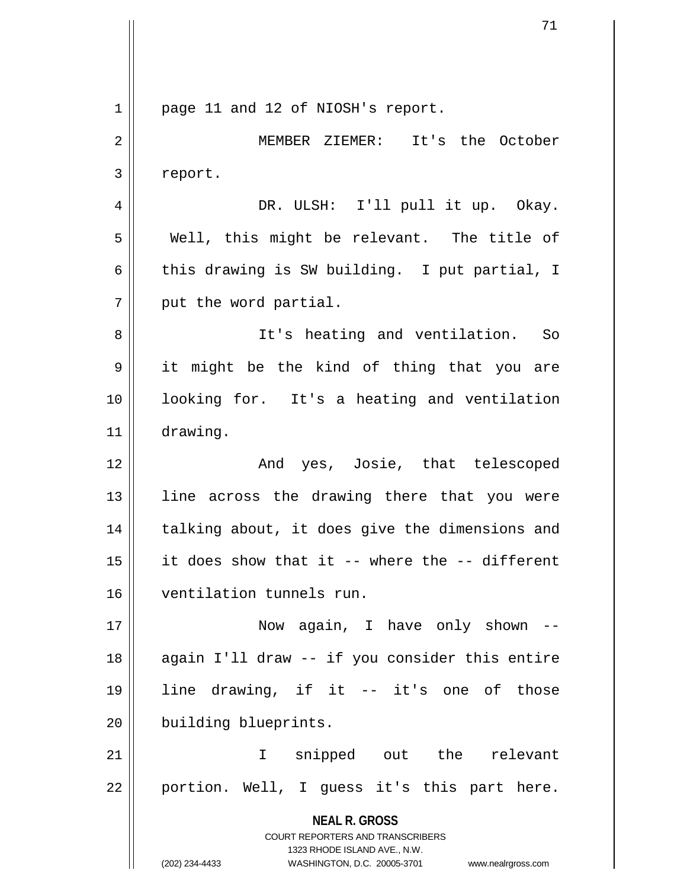**NEAL R. GROSS** COURT REPORTERS AND TRANSCRIBERS 1323 RHODE ISLAND AVE., N.W. (202) 234-4433 WASHINGTON, D.C. 20005-3701 www.nealrgross.com 1 || page 11 and 12 of NIOSH's report. 2 MEMBER ZIEMER: It's the October 3 report. 4 || DR. ULSH: I'll pull it up. Okay.  $5 \parallel$  Well, this might be relevant. The title of 6 this drawing is SW building. I put partial, I  $7$  | put the word partial. 8 || It's heating and ventilation. So 9 it might be the kind of thing that you are 10 looking for. It's a heating and ventilation 11 drawing. 12 || The Rand yes, Josie, that telescoped 13 || line across the drawing there that you were 14 || talking about, it does give the dimensions and 15 it does show that it -- where the -- different 16 ventilation tunnels run. 17 Now again, I have only shown -- 18 || again I'll draw -- if you consider this entire 19 line drawing, if it -- it's one of those 20 **building blueprints.** 21 I snipped out the relevant  $22 \parallel$  portion. Well, I guess it's this part here.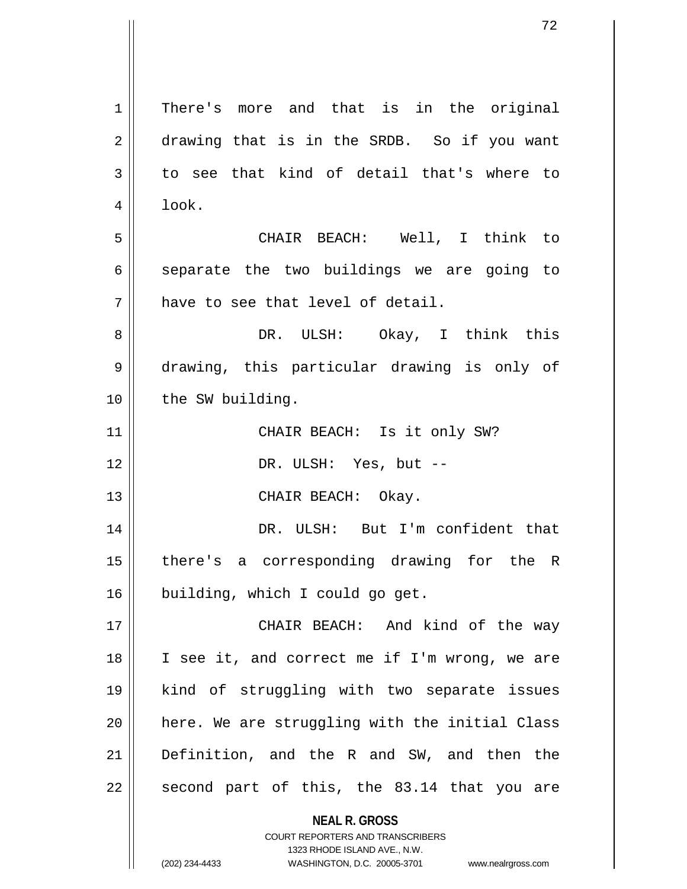**NEAL R. GROSS** COURT REPORTERS AND TRANSCRIBERS 1323 RHODE ISLAND AVE., N.W. 1 | There's more and that is in the original 2 drawing that is in the SRDB. So if you want  $3 \parallel$  to see that kind of detail that's where to  $4 \parallel$  look. 5 CHAIR BEACH: Well, I think to  $6 \parallel$  separate the two buildings we are going to  $7 \parallel$  have to see that level of detail. 8 DR. ULSH: Okay, I think this 9 drawing, this particular drawing is only of 10 | the SW building. 11 CHAIR BEACH: Is it only SW? 12 || DR. ULSH: Yes, but --13 || CHAIR BEACH: Okay. 14 DR. ULSH: But I'm confident that 15 there's a corresponding drawing for the R 16 building, which I could go get. 17 CHAIR BEACH: And kind of the way 18 || I see it, and correct me if I'm wrong, we are 19 kind of struggling with two separate issues  $20$  | here. We are struggling with the initial Class 21 Definition, and the R and SW, and then the  $22$  second part of this, the 83.14 that you are

(202) 234-4433 WASHINGTON, D.C. 20005-3701 www.nealrgross.com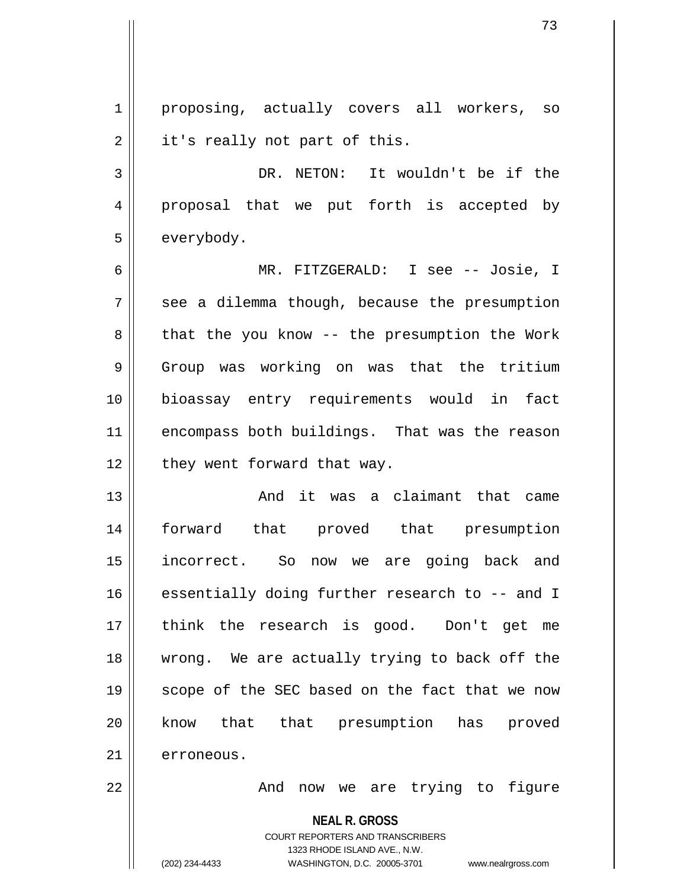1 || proposing, actually covers all workers, so  $2 \parallel$  it's really not part of this. 3 || DR. NETON: It wouldn't be if the 4 proposal that we put forth is accepted by 5 | everybody. 6 MR. FITZGERALD: I see -- Josie, I  $7 \parallel$  see a dilemma though, because the presumption  $8 \parallel$  that the you know -- the presumption the Work 9 Group was working on was that the tritium 10 bioassay entry requirements would in fact 11 || encompass both buildings. That was the reason  $12$  | they went forward that way. 13 And it was a claimant that came 14 forward that proved that presumption 15 incorrect. So now we are going back and 16 essentially doing further research to -- and I 17 think the research is good. Don't get me 18 || wrong. We are actually trying to back off the 19 || scope of the SEC based on the fact that we now 20 || know that that presumption has proved

21 erroneous.

22 And now we are trying to figure

**NEAL R. GROSS**

COURT REPORTERS AND TRANSCRIBERS 1323 RHODE ISLAND AVE., N.W. (202) 234-4433 WASHINGTON, D.C. 20005-3701 www.nealrgross.com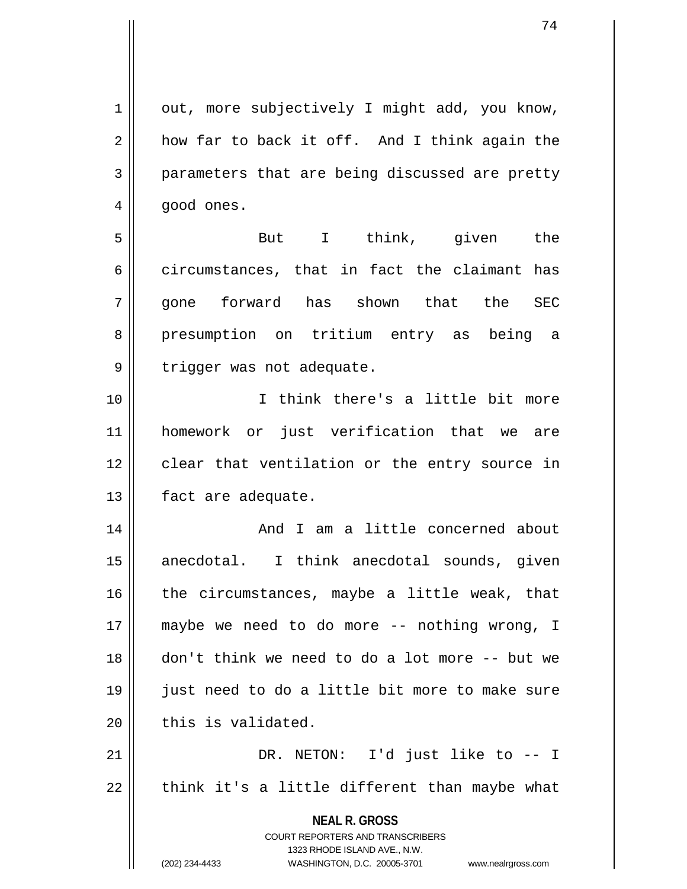$1 \parallel$  out, more subjectively I might add, you know,  $2 \parallel$  how far to back it off. And I think again the 3 parameters that are being discussed are pretty  $4 \parallel$  good ones.

5 But I think, given the 6 circumstances, that in fact the claimant has 7 gone forward has shown that the SEC 8 presumption on tritium entry as being a 9 | trigger was not adequate.

10 I think there's a little bit more 11 homework or just verification that we are 12 clear that ventilation or the entry source in 13 | fact are adequate.

14 || And I am a little concerned about 15 || anecdotal. I think anecdotal sounds, given  $16$  | the circumstances, maybe a little weak, that 17 maybe we need to do more -- nothing wrong, I 18 don't think we need to do a lot more -- but we 19 just need to do a little bit more to make sure  $20$   $\parallel$  this is validated.

21 DR. NETON: I'd just like to -- I  $22$  || think it's a little different than maybe what

> **NEAL R. GROSS** COURT REPORTERS AND TRANSCRIBERS 1323 RHODE ISLAND AVE., N.W. (202) 234-4433 WASHINGTON, D.C. 20005-3701 www.nealrgross.com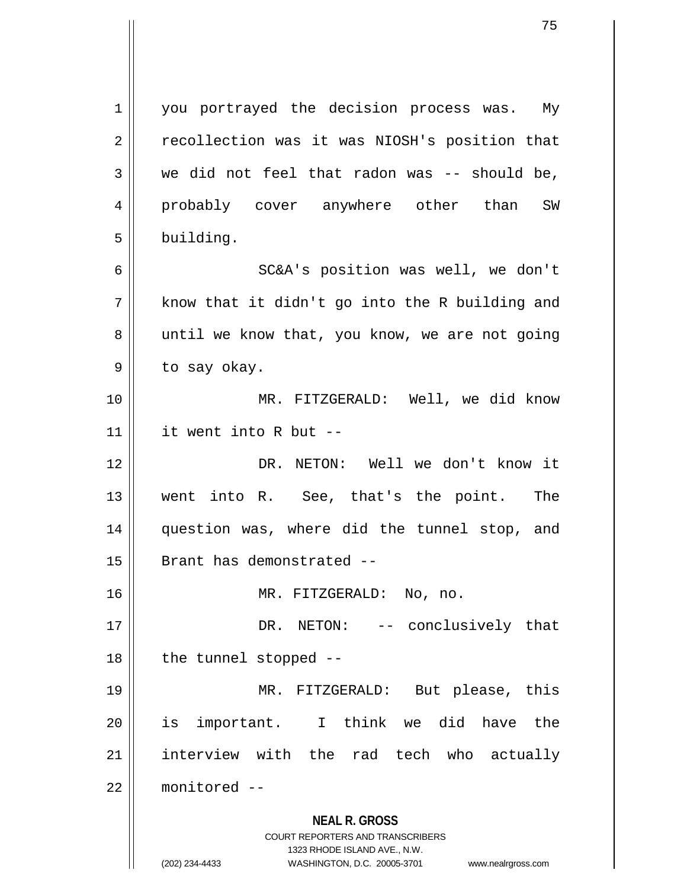**NEAL R. GROSS** COURT REPORTERS AND TRANSCRIBERS 1323 RHODE ISLAND AVE., N.W. (202) 234-4433 WASHINGTON, D.C. 20005-3701 www.nealrgross.com 1 | you portrayed the decision process was. My 2 | recollection was it was NIOSH's position that  $3 \parallel$  we did not feel that radon was -- should be, 4 probably cover anywhere other than SW  $5$  | building. 6 SC&A's position was well, we don't  $7 \parallel$  know that it didn't go into the R building and 8 || until we know that, you know, we are not going  $9 \parallel$  to say okay. 10 MR. FITZGERALD: Well, we did know 11 it went into R but -- 12 DR. NETON: Well we don't know it 13 went into R. See, that's the point. The 14 question was, where did the tunnel stop, and 15 | Brant has demonstrated --16 || MR. FITZGERALD: No, no. 17 || DR. NETON: -- conclusively that  $18$  || the tunnel stopped  $-$ 19 MR. FITZGERALD: But please, this 20 is important. I think we did have the 21 || interview with the rad tech who actually 22 monitored --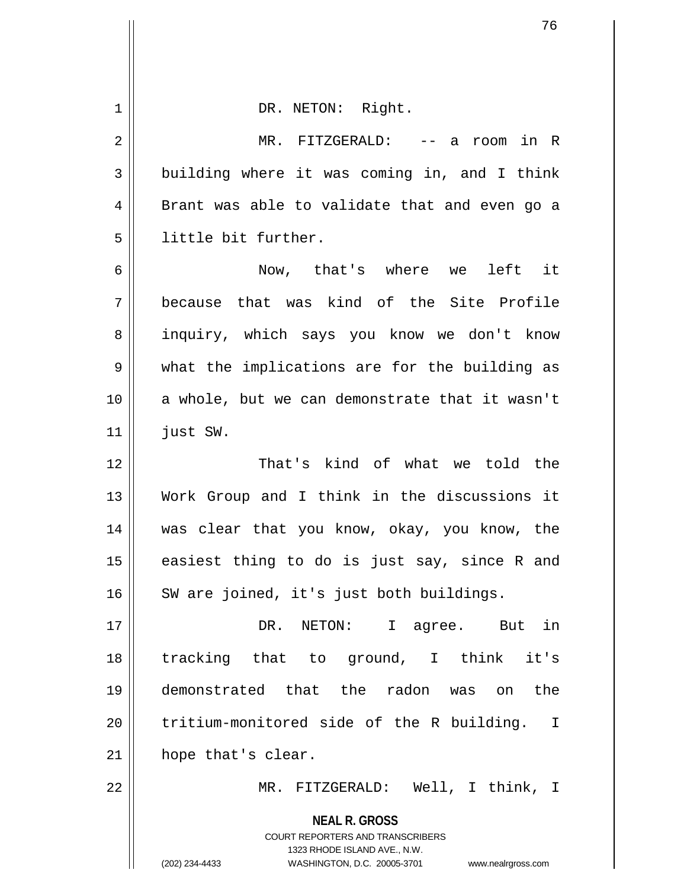| 1  | DR. NETON: Right.                                                                                                                                            |
|----|--------------------------------------------------------------------------------------------------------------------------------------------------------------|
| 2  | MR. FITZGERALD:<br>-- a room in R                                                                                                                            |
| 3  | building where it was coming in, and I think                                                                                                                 |
| 4  | Brant was able to validate that and even go a                                                                                                                |
| 5  | little bit further.                                                                                                                                          |
| 6  | Now, that's where we<br>left it                                                                                                                              |
| 7  | because that was kind of the Site Profile                                                                                                                    |
| 8  | inquiry, which says you know we don't know                                                                                                                   |
| 9  | what the implications are for the building as                                                                                                                |
| 10 | a whole, but we can demonstrate that it wasn't                                                                                                               |
| 11 | just SW.                                                                                                                                                     |
| 12 | That's kind of what we told the                                                                                                                              |
| 13 | Work Group and I think in the discussions it                                                                                                                 |
| 14 | was clear that you know, okay, you know, the                                                                                                                 |
| 15 | easiest thing to do is just say, since R and                                                                                                                 |
| 16 | SW are joined, it's just both buildings.                                                                                                                     |
| 17 | DR. NETON: I agree. But in                                                                                                                                   |
| 18 | tracking that to ground, I think it's                                                                                                                        |
| 19 | demonstrated that the radon was on the                                                                                                                       |
| 20 | tritium-monitored side of the R building. I                                                                                                                  |
| 21 | hope that's clear.                                                                                                                                           |
| 22 | MR. FITZGERALD: Well, I think, I                                                                                                                             |
|    | <b>NEAL R. GROSS</b><br>COURT REPORTERS AND TRANSCRIBERS<br>1323 RHODE ISLAND AVE., N.W.<br>(202) 234-4433<br>WASHINGTON, D.C. 20005-3701 www.nealrgross.com |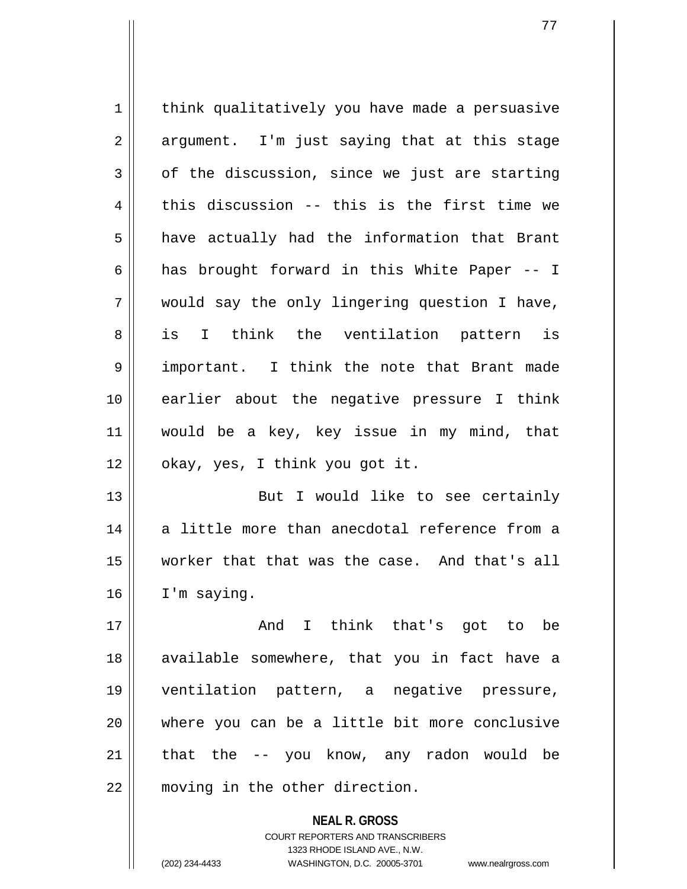1 | think qualitatively you have made a persuasive  $2 \parallel$  argument. I'm just saying that at this stage  $3 \parallel$  of the discussion, since we just are starting  $4 \parallel$  this discussion -- this is the first time we  $5 \parallel$  have actually had the information that Brant 6 | has brought forward in this White Paper  $-1$ 7 would say the only lingering question I have, 8 || is I think the ventilation pattern is 9 || important. I think the note that Brant made 10 earlier about the negative pressure I think 11 would be a key, key issue in my mind, that  $12 \parallel$  okay, yes, I think you got it. 13 || But I would like to see certainly  $14$   $\parallel$  a little more than anecdotal reference from a 15 worker that that was the case. And that's all  $16$  | I'm saying. 17 || Think that's got to be and I think that's got to be 18 available somewhere, that you in fact have a 19 ventilation pattern, a negative pressure,

20 where you can be a little bit more conclusive  $21$  that the  $-$  you know, any radon would be 22 moving in the other direction.

> **NEAL R. GROSS** COURT REPORTERS AND TRANSCRIBERS 1323 RHODE ISLAND AVE., N.W. (202) 234-4433 WASHINGTON, D.C. 20005-3701 www.nealrgross.com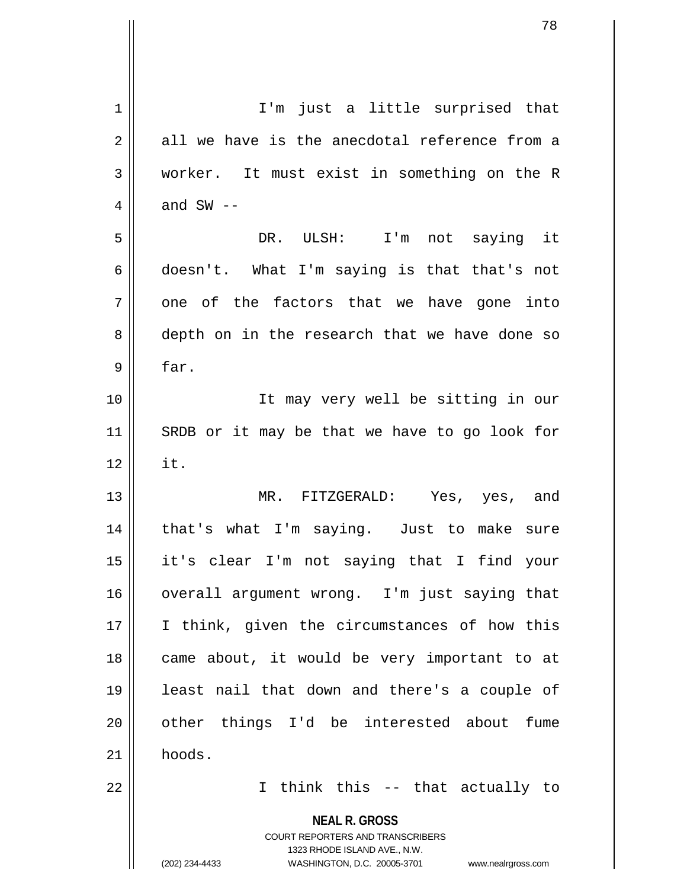| $\mathbf 1$    | I'm just a little surprised that                                                                    |
|----------------|-----------------------------------------------------------------------------------------------------|
| $\overline{2}$ | all we have is the anecdotal reference from a                                                       |
| $\mathfrak{Z}$ | worker. It must exist in something on the R                                                         |
| 4              | and $SW$ $-$                                                                                        |
| 5              | DR. ULSH: I'm not saying it                                                                         |
| 6              | doesn't. What I'm saying is that that's not                                                         |
| 7              | one of the factors that we have gone into                                                           |
| 8              | depth on in the research that we have done so                                                       |
| 9              | far.                                                                                                |
| 10             | It may very well be sitting in our                                                                  |
| 11             | SRDB or it may be that we have to go look for                                                       |
| 12             | it.                                                                                                 |
| 13             | MR. FITZGERALD: Yes, yes, and                                                                       |
| 14             | that's what I'm saying. Just to make sure                                                           |
| 15             | it's clear I'm not saying that I find your                                                          |
| 16             | overall argument wrong. I'm just saying that                                                        |
| 17             | I think, given the circumstances of how this                                                        |
| 18             | came about, it would be very important to at                                                        |
| 19             | least nail that down and there's a couple of                                                        |
| 20             | other things I'd be interested about fume                                                           |
| 21             | hoods.                                                                                              |
| 22             | I think this -- that actually to                                                                    |
|                | <b>NEAL R. GROSS</b>                                                                                |
|                | <b>COURT REPORTERS AND TRANSCRIBERS</b>                                                             |
|                | 1323 RHODE ISLAND AVE., N.W.<br>(202) 234-4433<br>WASHINGTON, D.C. 20005-3701<br>www.nealrgross.com |
|                |                                                                                                     |

 $\mathsf{l}$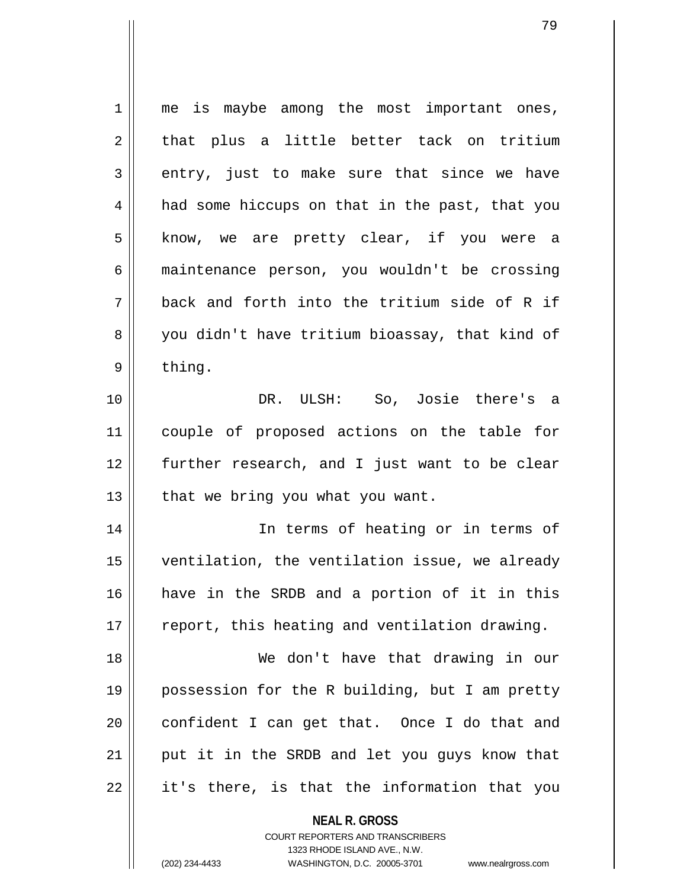1 || me is maybe among the most important ones,  $2 \parallel$  that plus a little better tack on tritium  $3 \parallel$  entry, just to make sure that since we have 4 || had some hiccups on that in the past, that you 5 || know, we are pretty clear, if you were a 6 maintenance person, you wouldn't be crossing  $7$   $\parallel$  back and forth into the tritium side of R if 8 you didn't have tritium bioassay, that kind of  $9 \parallel$  thing. 10 || The DR. ULSH: So, Josie there's a 11 couple of proposed actions on the table for 12 further research, and I just want to be clear  $13$  | that we bring you what you want. 14 In terms of heating or in terms of 15 ventilation, the ventilation issue, we already 16 have in the SRDB and a portion of it in this  $17$   $\parallel$  report, this heating and ventilation drawing. 18 We don't have that drawing in our 19 possession for the R building, but I am pretty  $20$  || confident I can get that. Once I do that and  $21$  || put it in the SRDB and let you guys know that  $22$  || it's there, is that the information that you

> **NEAL R. GROSS** COURT REPORTERS AND TRANSCRIBERS 1323 RHODE ISLAND AVE., N.W.

(202) 234-4433 WASHINGTON, D.C. 20005-3701 www.nealrgross.com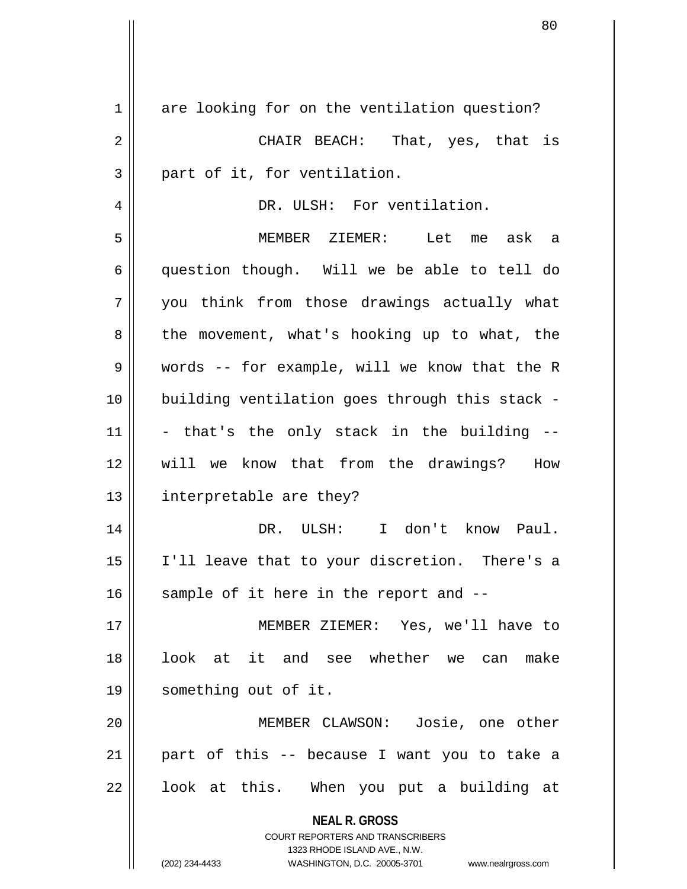| $\mathbf 1$ | are looking for on the ventilation question?                            |
|-------------|-------------------------------------------------------------------------|
| 2           | CHAIR BEACH: That, yes, that is                                         |
| 3           | part of it, for ventilation.                                            |
| 4           | DR. ULSH: For ventilation.                                              |
| 5           | MEMBER ZIEMER: Let me ask a                                             |
| 6           | question though. Will we be able to tell do                             |
| 7           | you think from those drawings actually what                             |
| 8           | the movement, what's hooking up to what, the                            |
| 9           | words -- for example, will we know that the R                           |
| 10          | building ventilation goes through this stack -                          |
| 11          | - that's the only stack in the building --                              |
| 12          | will we know that from the drawings? How                                |
| 13          | interpretable are they?                                                 |
| 14          | DR. ULSH: I don't know Paul.                                            |
| 15          | I'll leave that to your discretion. There's a                           |
| 16          | sample of it here in the report and --                                  |
| 17          | MEMBER ZIEMER: Yes, we'll have to                                       |
| 18          | look at it and see whether we can make                                  |
| 19          | something out of it.                                                    |
| 20          | MEMBER CLAWSON: Josie, one other                                        |
| 21          | part of this -- because I want you to take a                            |
| 22          | look at this. When you put a building at                                |
|             | <b>NEAL R. GROSS</b>                                                    |
|             | <b>COURT REPORTERS AND TRANSCRIBERS</b><br>1323 RHODE ISLAND AVE., N.W. |
|             | (202) 234-4433<br>WASHINGTON, D.C. 20005-3701 www.nealrgross.com        |

Ħ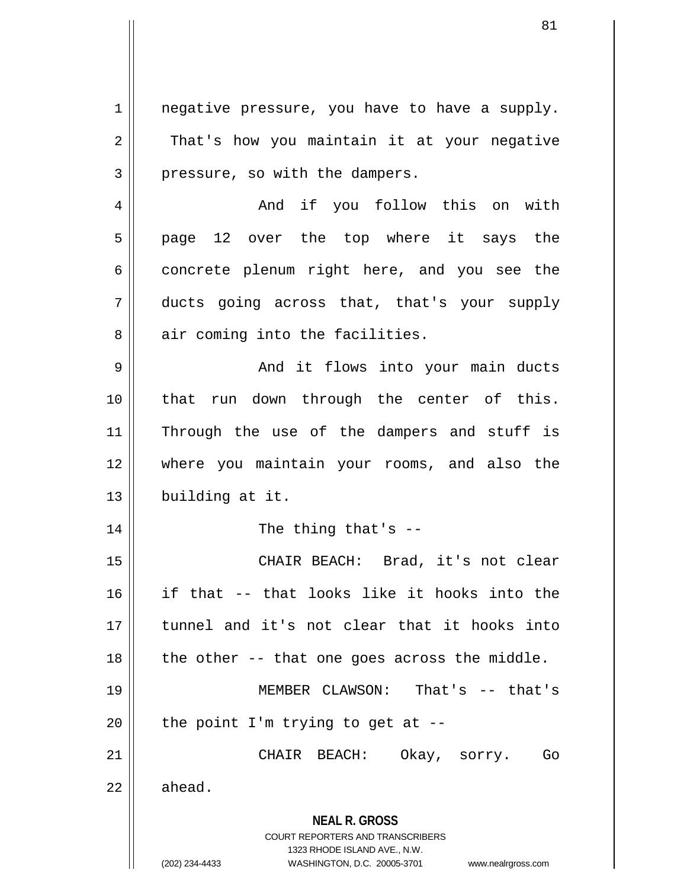**NEAL R. GROSS** COURT REPORTERS AND TRANSCRIBERS 1323 RHODE ISLAND AVE., N.W.  $1$  | negative pressure, you have to have a supply.  $2 \parallel$  That's how you maintain it at your negative  $3 \parallel$  pressure, so with the dampers. 4 And if you follow this on with  $5 \parallel$  page 12 over the top where it says the  $6 \parallel$  concrete plenum right here, and you see the 7 ducts going across that, that's your supply  $8$  || air coming into the facilities. 9 And it flows into your main ducts 10 that run down through the center of this. 11 || Through the use of the dampers and stuff is 12 where you maintain your rooms, and also the 13 | building at it.  $14$   $\parallel$  The thing that's  $-$ 15 CHAIR BEACH: Brad, it's not clear 16 if that -- that looks like it hooks into the 17 tunnel and it's not clear that it hooks into 18  $\parallel$  the other -- that one goes across the middle. 19 MEMBER CLAWSON: That's -- that's 20  $\parallel$  the point I'm trying to get at --21 CHAIR BEACH: Okay, sorry. Go  $22 \parallel$  ahead.

<sup>(202) 234-4433</sup> WASHINGTON, D.C. 20005-3701 www.nealrgross.com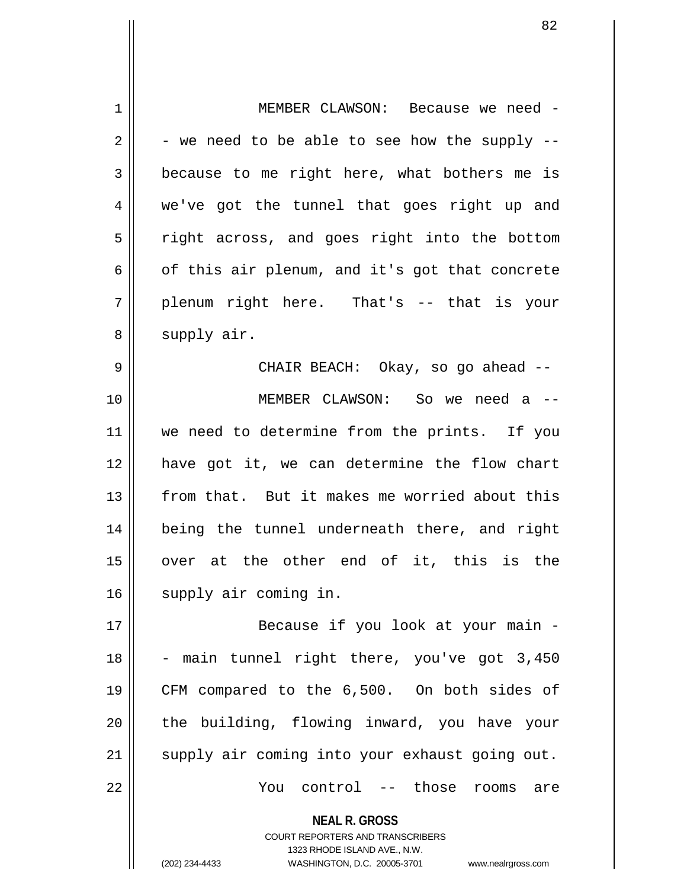| $\mathbf 1$ | MEMBER CLAWSON: Because we need -              |
|-------------|------------------------------------------------|
| 2           | - we need to be able to see how the supply --  |
| 3           | because to me right here, what bothers me is   |
| 4           | we've got the tunnel that goes right up and    |
| 5           | right across, and goes right into the bottom   |
| 6           | of this air plenum, and it's got that concrete |
| 7           | plenum right here. That's -- that is your      |
| 8           | supply air.                                    |
| 9           | CHAIR BEACH: Okay, so go ahead --              |
| 10          | MEMBER CLAWSON: So we need a --                |
| 11          | we need to determine from the prints. If you   |
| 12          | have got it, we can determine the flow chart   |
| 13          | from that. But it makes me worried about this  |
| 14          | being the tunnel underneath there, and right   |
| 15          | over at the other end of it, this is the       |
| 16          | supply air coming in.                          |
| 17          | Because if you look at your main -             |
| 18          | - main tunnel right there, you've got 3,450    |
| 19          | CFM compared to the 6,500. On both sides of    |
| 20          | the building, flowing inward, you have your    |
| 21          | supply air coming into your exhaust going out. |
| 22          | You control -- those rooms<br>are              |
|             | <b>NEAL R. GROSS</b>                           |

COURT REPORTERS AND TRANSCRIBERS 1323 RHODE ISLAND AVE., N.W.

 $\mathsf{II}$ 

(202) 234-4433 WASHINGTON, D.C. 20005-3701 www.nealrgross.com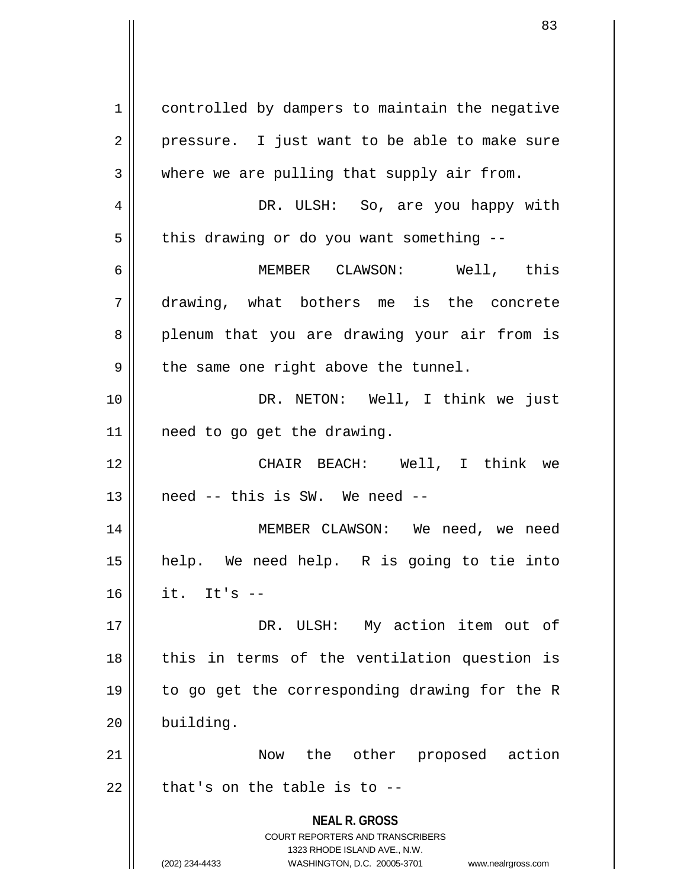**NEAL R. GROSS** COURT REPORTERS AND TRANSCRIBERS 1323 RHODE ISLAND AVE., N.W. (202) 234-4433 WASHINGTON, D.C. 20005-3701 www.nealrgross.com 1 | controlled by dampers to maintain the negative  $2 \parallel$  pressure. I just want to be able to make sure  $3 \parallel$  where we are pulling that supply air from. 4 DR. ULSH: So, are you happy with  $5$  | this drawing or do you want something --6 MEMBER CLAWSON: Well, this 7 drawing, what bothers me is the concrete 8 plenum that you are drawing your air from is  $9 \parallel$  the same one right above the tunnel. 10 || DR. NETON: Well, I think we just  $11$  | need to go get the drawing. 12 CHAIR BEACH: Well, I think we  $13$  | need -- this is SW. We need --14 MEMBER CLAWSON: We need, we need 15 help. We need help. R is going to tie into  $16$   $\parallel$  it. It's  $-$ 17 || DR. ULSH: My action item out of  $18$  || this in terms of the ventilation question is 19 to go get the corresponding drawing for the R 20 building. 21 Now the other proposed action  $22$  | that's on the table is to  $-$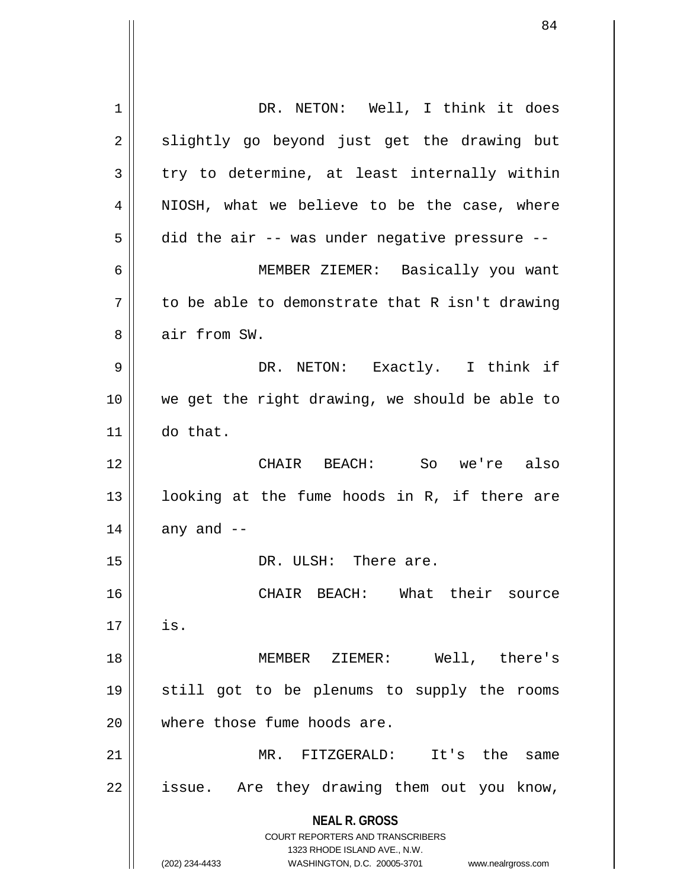**NEAL R. GROSS** COURT REPORTERS AND TRANSCRIBERS 1323 RHODE ISLAND AVE., N.W. (202) 234-4433 WASHINGTON, D.C. 20005-3701 www.nealrgross.com 1 || DR. NETON: Well, I think it does  $2 \parallel$  slightly go beyond just get the drawing but  $3 \parallel$  try to determine, at least internally within 4 || NIOSH, what we believe to be the case, where  $5 \parallel$  did the air -- was under negative pressure --6 MEMBER ZIEMER: Basically you want  $7 \parallel$  to be able to demonstrate that R isn't drawing 8 **b** air from SW. 9 DR. NETON: Exactly. I think if 10 we get the right drawing, we should be able to 11 do that. 12 CHAIR BEACH: So we're also 13 || looking at the fume hoods in R, if there are  $14$  | any and  $-$ 15 || DR. ULSH: There are. 16 CHAIR BEACH: What their source  $17 \parallel$  is. 18 MEMBER ZIEMER: Well, there's 19 still got to be plenums to supply the rooms 20 || where those fume hoods are. 21 MR. FITZGERALD: It's the same 22 || issue. Are they drawing them out you know,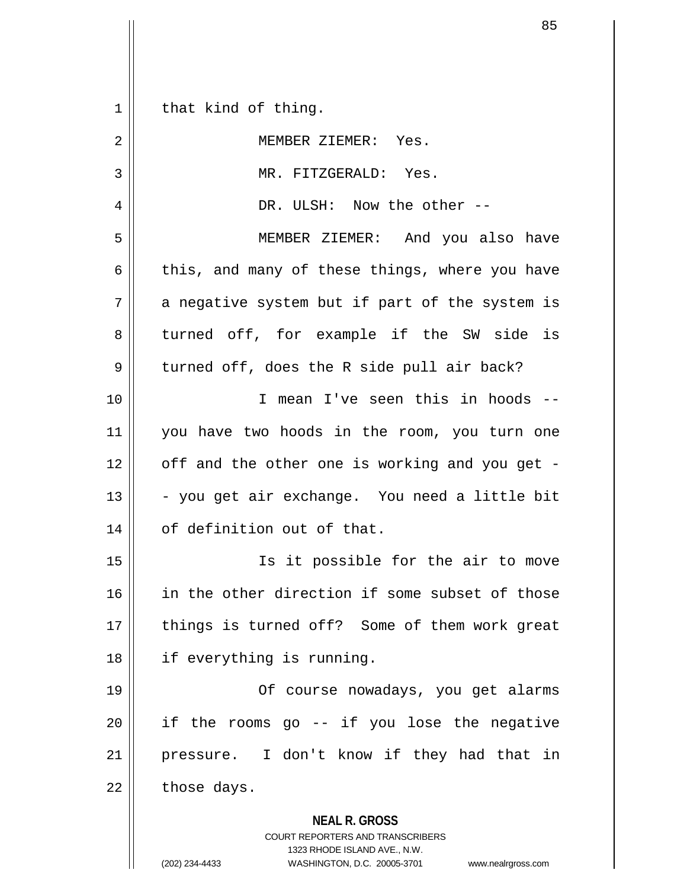**NEAL R. GROSS** COURT REPORTERS AND TRANSCRIBERS 1323 RHODE ISLAND AVE., N.W. (202) 234-4433 WASHINGTON, D.C. 20005-3701 www.nealrgross.com  $1 \parallel$  that kind of thing. 2 | NEMBER ZIEMER: Yes. 3 || MR. FITZGERALD: Yes. 4 DR. ULSH: Now the other -- 5 MEMBER ZIEMER: And you also have 6  $\parallel$  this, and many of these things, where you have  $7$  | a negative system but if part of the system is 8 turned off, for example if the SW side is  $9 \parallel$  turned off, does the R side pull air back? 10 I mean I've seen this in hoods -- 11 you have two hoods in the room, you turn one  $12$  | off and the other one is working and you get - $13 \parallel$  - you get air exchange. You need a little bit 14 | of definition out of that. 15 Is it possible for the air to move 16 || in the other direction if some subset of those 17 || things is turned off? Some of them work great 18 || if everything is running. 19 Of course nowadays, you get alarms  $20$  || if the rooms go  $-$  if you lose the negative 21 pressure. I don't know if they had that in  $22$  | those days.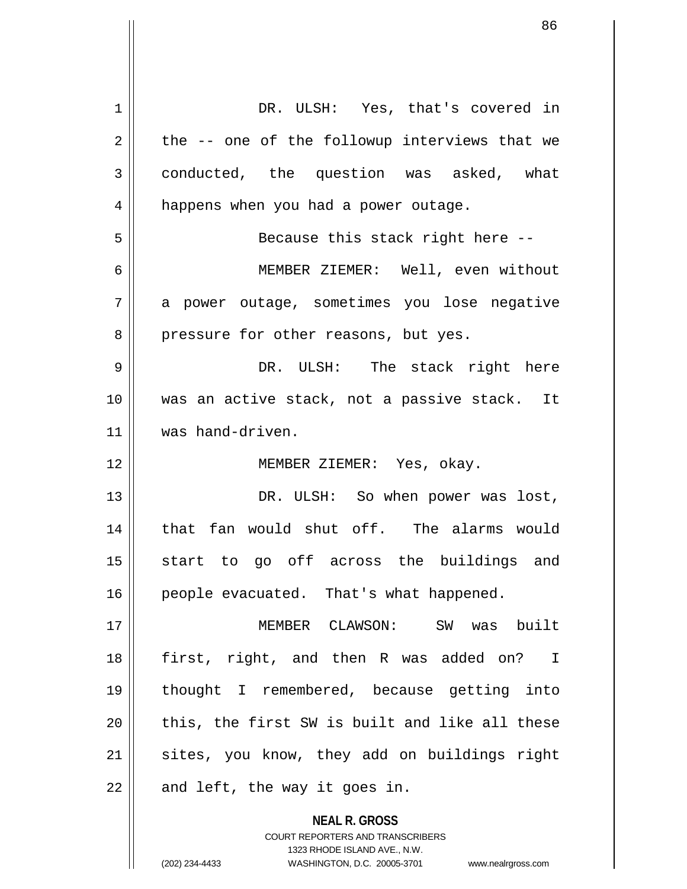| 1  | DR. ULSH: Yes, that's covered in                                                                    |
|----|-----------------------------------------------------------------------------------------------------|
| 2  | the -- one of the followup interviews that we                                                       |
| 3  | conducted, the question was asked, what                                                             |
| 4  | happens when you had a power outage.                                                                |
| 5  | Because this stack right here --                                                                    |
| 6  | MEMBER ZIEMER: Well, even without                                                                   |
| 7  | a power outage, sometimes you lose negative                                                         |
| 8  | pressure for other reasons, but yes.                                                                |
| 9  | DR. ULSH: The stack right here                                                                      |
| 10 | was an active stack, not a passive stack. It                                                        |
| 11 | was hand-driven.                                                                                    |
| 12 | MEMBER ZIEMER: Yes, okay.                                                                           |
| 13 | DR. ULSH: So when power was lost,                                                                   |
| 14 | that fan would shut off. The alarms would                                                           |
| 15 | start to go off across the buildings and                                                            |
| 16 | people evacuated. That's what happened.                                                             |
| 17 | MEMBER CLAWSON: SW was built                                                                        |
| 18 | first, right, and then R was added on? I                                                            |
| 19 | thought I remembered, because getting into                                                          |
| 20 | this, the first SW is built and like all these                                                      |
| 21 | sites, you know, they add on buildings right                                                        |
| 22 | and left, the way it goes in.                                                                       |
|    | <b>NEAL R. GROSS</b>                                                                                |
|    | <b>COURT REPORTERS AND TRANSCRIBERS</b>                                                             |
|    | 1323 RHODE ISLAND AVE., N.W.<br>(202) 234-4433<br>WASHINGTON, D.C. 20005-3701<br>www.nealrgross.com |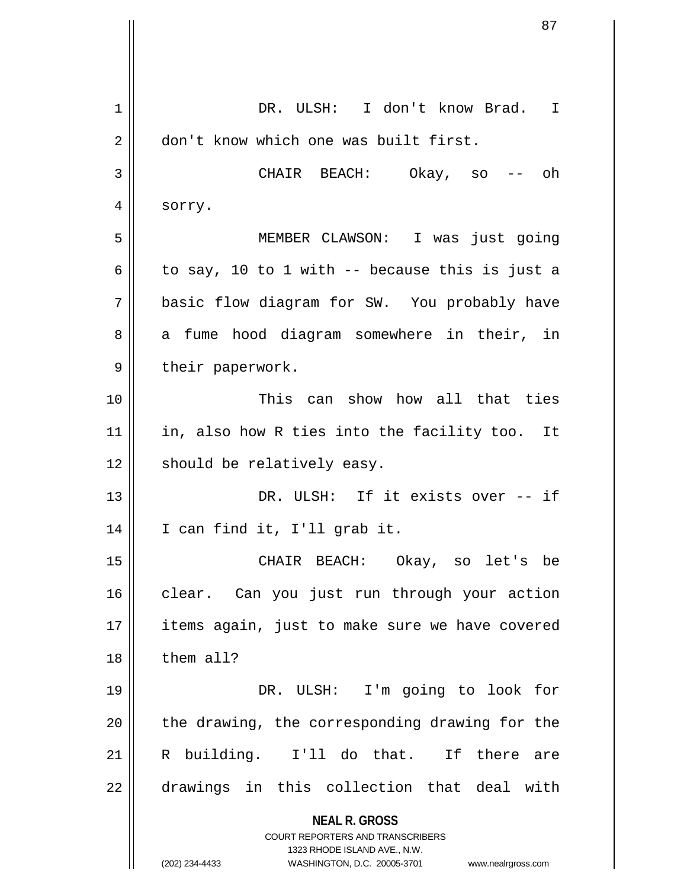|    | 87                                                                                              |
|----|-------------------------------------------------------------------------------------------------|
|    |                                                                                                 |
| 1  | DR. ULSH: I don't know Brad.<br>I                                                               |
| 2  | don't know which one was built first.                                                           |
| 3  | CHAIR BEACH: Okay, so<br>oh                                                                     |
| 4  | sorry.                                                                                          |
| 5  | MEMBER CLAWSON: I was just going                                                                |
| 6  | to say, 10 to 1 with -- because this is just a                                                  |
| 7  | basic flow diagram for SW. You probably have                                                    |
| 8  | a fume hood diagram somewhere in their, in                                                      |
| 9  | their paperwork.                                                                                |
| 10 | This can show how all that ties                                                                 |
| 11 | in, also how R ties into the facility too. It                                                   |
| 12 | should be relatively easy.                                                                      |
| 13 | DR. ULSH: If it exists over -- if                                                               |
| 14 | I can find it, I'll grab it.                                                                    |
| 15 | CHAIR BEACH: Okay, so let's be                                                                  |
| 16 | clear. Can you just run through your action                                                     |
| 17 | items again, just to make sure we have covered                                                  |
| 18 | them all?                                                                                       |
| 19 | DR. ULSH: I'm going to look for                                                                 |
| 20 | the drawing, the corresponding drawing for the                                                  |
| 21 | R building. I'll do that. If there<br>are                                                       |
| 22 | drawings in this collection that deal with                                                      |
|    | <b>NEAL R. GROSS</b><br><b>COURT REPORTERS AND TRANSCRIBERS</b><br>1323 RHODE ISLAND AVE., N.W. |
|    | (202) 234-4433<br>WASHINGTON, D.C. 20005-3701<br>www.nealrgross.com                             |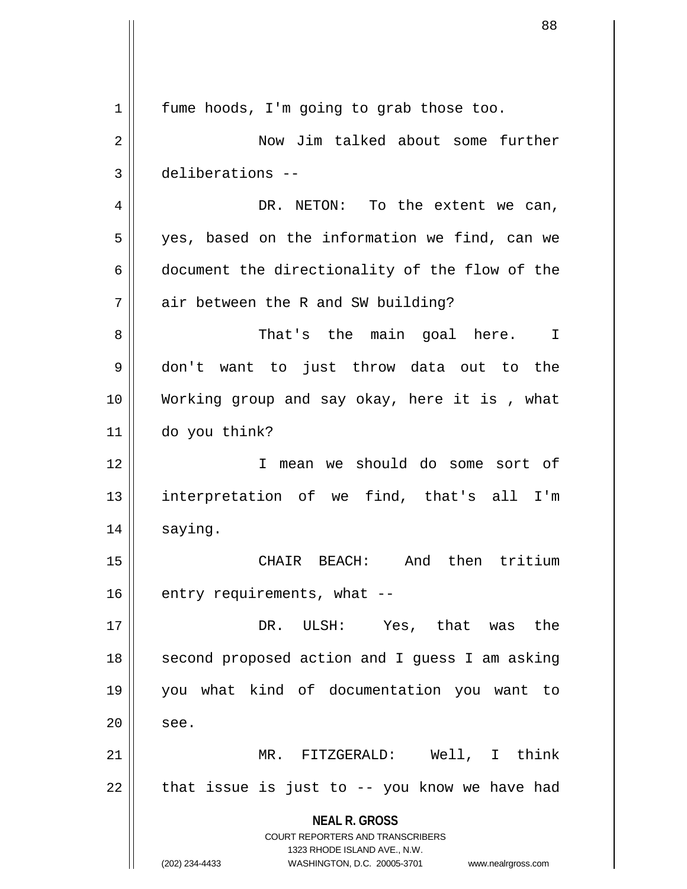**NEAL R. GROSS** COURT REPORTERS AND TRANSCRIBERS 1323 RHODE ISLAND AVE., N.W. (202) 234-4433 WASHINGTON, D.C. 20005-3701 www.nealrgross.com 1 | fume hoods, I'm going to grab those too. 2 | Now Jim talked about some further 3 deliberations --  $4 \parallel$  DR. NETON: To the extent we can, 5 || yes, based on the information we find, can we 6 document the directionality of the flow of the  $7 \parallel$  air between the R and SW building? 8 That's the main goal here. I 9 don't want to just throw data out to the 10 Working group and say okay, here it is , what 11 do you think? 12 I mean we should do some sort of 13 || interpretation of we find, that's all I'm 14 | saying. 15 CHAIR BEACH: And then tritium  $16$  | entry requirements, what  $-$ 17 DR. ULSH: Yes, that was the 18 || second proposed action and I guess I am asking 19 you what kind of documentation you want to  $20$   $\parallel$  see. 21 MR. FITZGERALD: Well, I think  $22$  || that issue is just to  $-$  you know we have had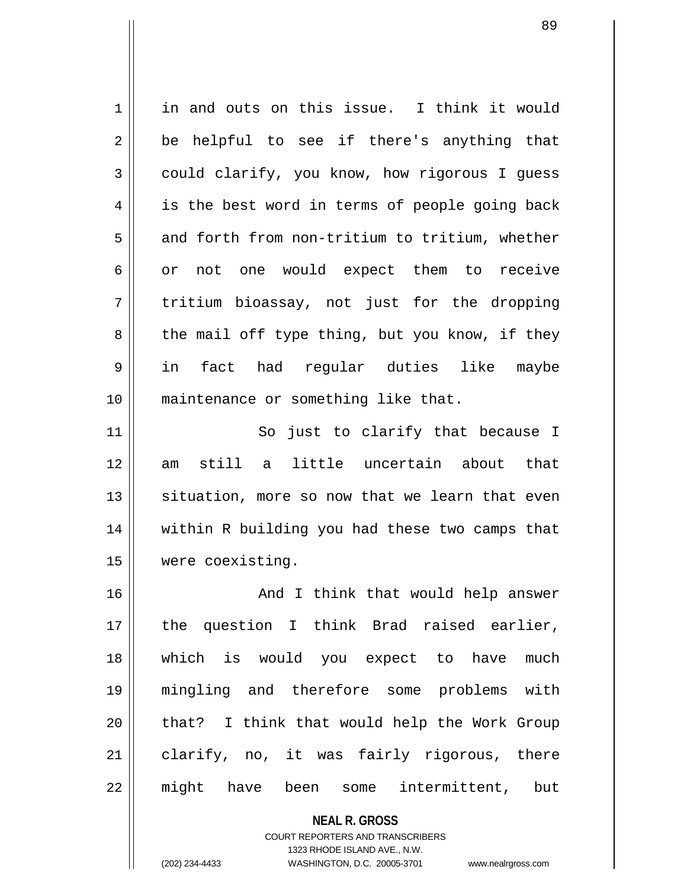1 | in and outs on this issue. I think it would  $2 \parallel$  be helpful to see if there's anything that 3 could clarify, you know, how rigorous I quess 4 || is the best word in terms of people going back  $5 \parallel$  and forth from non-tritium to tritium, whether 6 or not one would expect them to receive  $7 \parallel$  tritium bioassay, not just for the dropping  $8 \parallel$  the mail off type thing, but you know, if they 9 in fact had regular duties like maybe 10 || maintenance or something like that. 11 || So just to clarify that because I 12 am still a little uncertain about that  $13$  situation, more so now that we learn that even 14 within R building you had these two camps that 15 were coexisting. 16 || And I think that would help answer 17 the question I think Brad raised earlier, 18 which is would you expect to have much 19 mingling and therefore some problems with 20 || that? I think that would help the Work Group 21 clarify, no, it was fairly rigorous, there 22 might have been some intermittent, but

> **NEAL R. GROSS** COURT REPORTERS AND TRANSCRIBERS 1323 RHODE ISLAND AVE., N.W.

(202) 234-4433 WASHINGTON, D.C. 20005-3701 www.nealrgross.com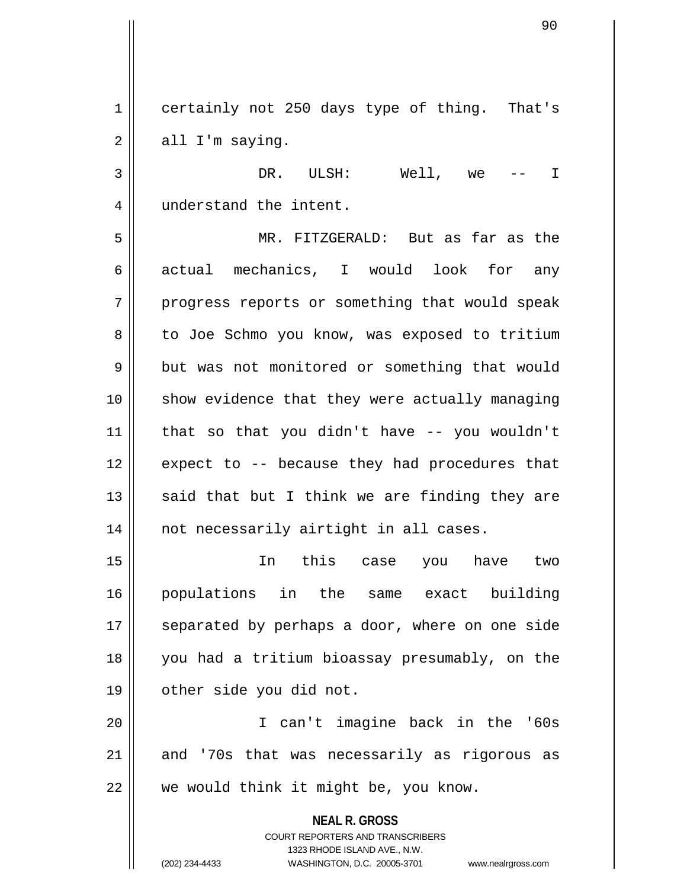1 certainly not 250 days type of thing. That's  $2 \parallel$  all I'm saying.

3 DR. ULSH: Well, we -- I 4 | understand the intent.

5 MR. FITZGERALD: But as far as the 6 actual mechanics, I would look for any 7 || progress reports or something that would speak 8 | to Joe Schmo you know, was exposed to tritium 9 but was not monitored or something that would 10 show evidence that they were actually managing  $11$  | that so that you didn't have  $-$ - you wouldn't 12 || expect to -- because they had procedures that 13  $\parallel$  said that but I think we are finding they are 14 || not necessarily airtight in all cases.

15 In this case you have two 16 populations in the same exact building 17 || separated by perhaps a door, where on one side 18 you had a tritium bioassay presumably, on the 19 | other side you did not.

20 I can't imagine back in the '60s  $21$  and '70s that was necessarily as rigorous as  $22$  | we would think it might be, you know.

> **NEAL R. GROSS** COURT REPORTERS AND TRANSCRIBERS 1323 RHODE ISLAND AVE., N.W. (202) 234-4433 WASHINGTON, D.C. 20005-3701 www.nealrgross.com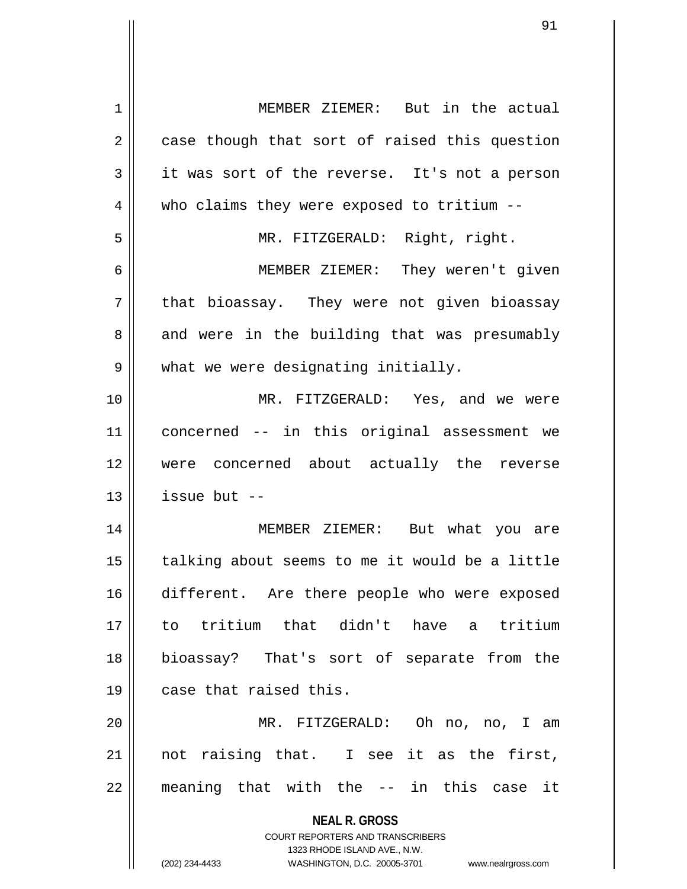| 1  | MEMBER ZIEMER: But in the actual                                    |
|----|---------------------------------------------------------------------|
| 2  | case though that sort of raised this question                       |
| 3  | it was sort of the reverse. It's not a person                       |
| 4  | who claims they were exposed to tritium --                          |
| 5  | MR. FITZGERALD: Right, right.                                       |
| 6  | MEMBER ZIEMER: They weren't given                                   |
| 7  | that bioassay. They were not given bioassay                         |
| 8  | and were in the building that was presumably                        |
| 9  | what we were designating initially.                                 |
| 10 | MR. FITZGERALD: Yes, and we were                                    |
| 11 | concerned -- in this original assessment we                         |
| 12 | were concerned about actually the reverse                           |
| 13 | issue but $-$                                                       |
| 14 | MEMBER ZIEMER: But what you are                                     |
| 15 | talking about seems to me it would be a little                      |
| 16 | different. Are there people who were exposed                        |
| 17 | to tritium that didn't have a tritium                               |
| 18 | bioassay? That's sort of separate from the                          |
| 19 | case that raised this.                                              |
| 20 | MR. FITZGERALD: Oh no, no, I am                                     |
| 21 | not raising that. I see it as the first,                            |
| 22 | meaning that with the -- in this case it                            |
|    |                                                                     |
|    | <b>NEAL R. GROSS</b>                                                |
|    | COURT REPORTERS AND TRANSCRIBERS<br>1323 RHODE ISLAND AVE., N.W.    |
|    | (202) 234-4433<br>WASHINGTON, D.C. 20005-3701<br>www.nealrgross.com |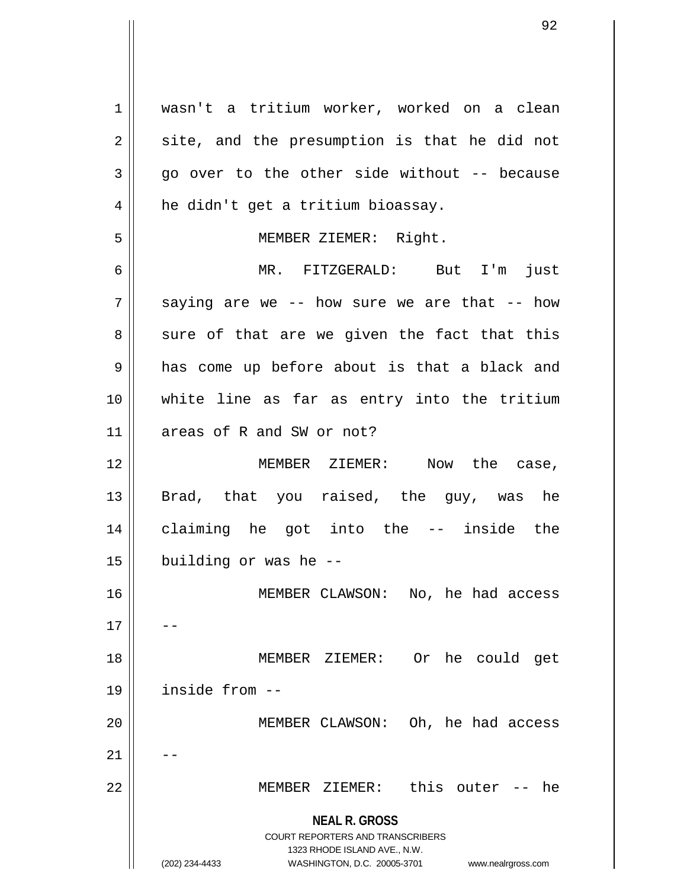**NEAL R. GROSS** COURT REPORTERS AND TRANSCRIBERS 1323 RHODE ISLAND AVE., N.W. (202) 234-4433 WASHINGTON, D.C. 20005-3701 www.nealrgross.com 1 wasn't a tritium worker, worked on a clean  $2 \parallel$  site, and the presumption is that he did not  $3 \parallel$  go over to the other side without -- because  $4 \parallel$  he didn't get a tritium bioassay. 5 || MEMBER ZIEMER: Right. 6 MR. FITZGERALD: But I'm just  $7 \parallel$  saying are we -- how sure we are that -- how  $8 \parallel$  sure of that are we given the fact that this  $9 \parallel$  has come up before about is that a black and 10 white line as far as entry into the tritium 11 areas of R and SW or not? 12 MEMBER ZIEMER: Now the case, 13 || Brad, that you raised, the guy, was he 14 claiming he got into the -- inside the  $15$  | building or was he  $-$ 16 MEMBER CLAWSON: No, he had access  $17$ 18 MEMBER ZIEMER: Or he could get 19 inside from -- 20 MEMBER CLAWSON: Oh, he had access  $21$ 22 MEMBER ZIEMER: this outer -- he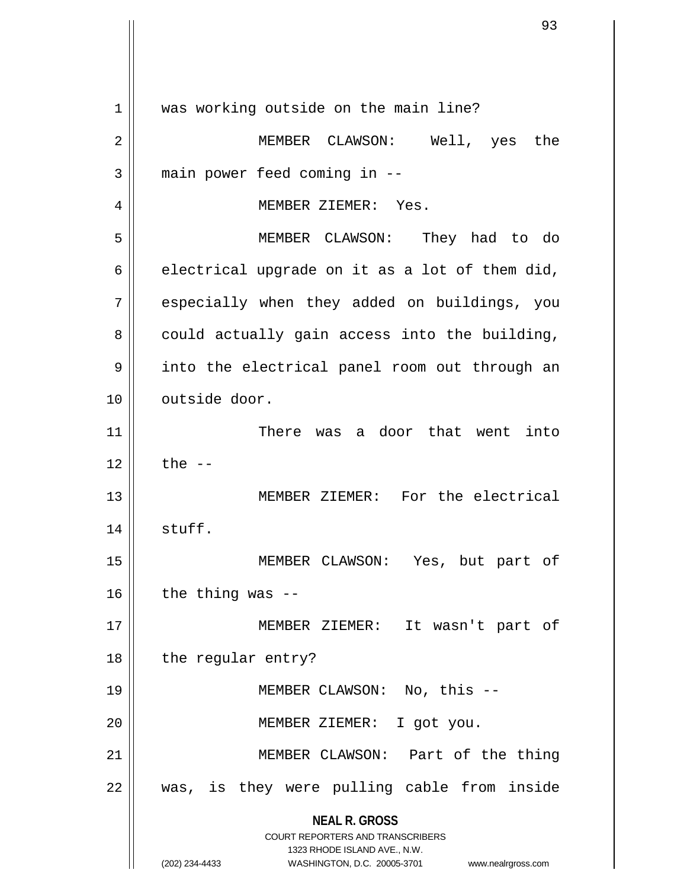**NEAL R. GROSS** COURT REPORTERS AND TRANSCRIBERS 1323 RHODE ISLAND AVE., N.W. (202) 234-4433 WASHINGTON, D.C. 20005-3701 www.nealrgross.com 1 || was working outside on the main line? 2 MEMBER CLAWSON: Well, yes the  $3$  || main power feed coming in  $-$ 4 | MEMBER ZIEMER: Yes. 5 MEMBER CLAWSON: They had to do  $6 \parallel$  electrical upgrade on it as a lot of them did,  $7$  | especially when they added on buildings, you  $8 \parallel$  could actually gain access into the building, 9 || into the electrical panel room out through an 10 | outside door. 11 There was a door that went into  $12$  | the  $-$ 13 MEMBER ZIEMER: For the electrical 14 stuff. 15 MEMBER CLAWSON: Yes, but part of  $16$  | the thing was --17 || MEMBER ZIEMER: It wasn't part of 18 | the regular entry? 19 MEMBER CLAWSON: No, this -- 20 || MEMBER ZIEMER: I got you. 21 MEMBER CLAWSON: Part of the thing  $22 \parallel$  was, is they were pulling cable from inside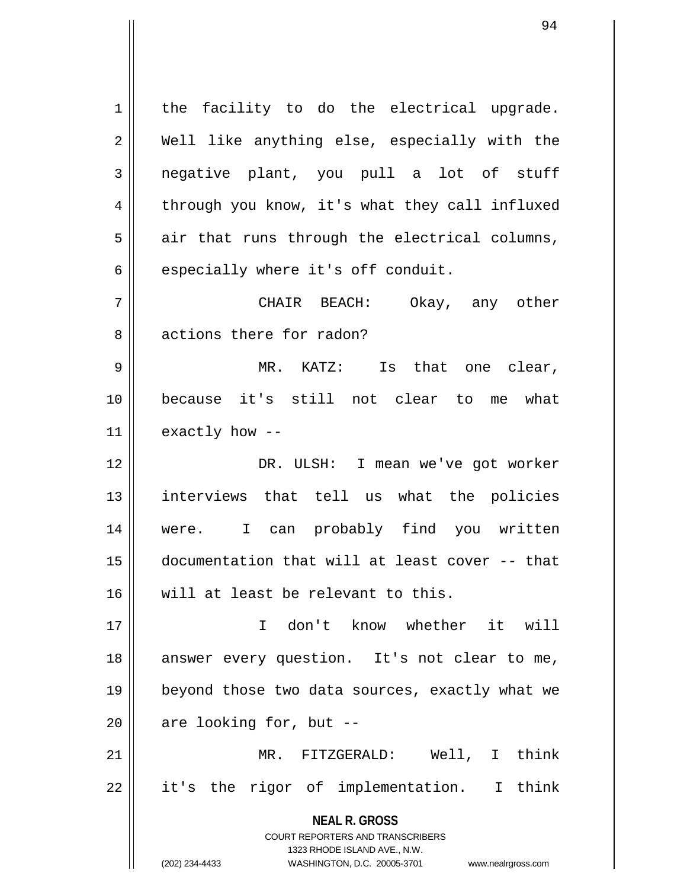**NEAL R. GROSS** COURT REPORTERS AND TRANSCRIBERS 1323 RHODE ISLAND AVE., N.W. (202) 234-4433 WASHINGTON, D.C. 20005-3701 www.nealrgross.com  $1$  the facility to do the electrical upgrade. 2 Well like anything else, especially with the  $3$  negative plant, you pull a lot of stuff 4 | through you know, it's what they call influxed  $5 \parallel$  air that runs through the electrical columns,  $6 \parallel$  especially where it's off conduit. 7 CHAIR BEACH: Okay, any other 8 actions there for radon? 9 MR. KATZ: Is that one clear, 10 because it's still not clear to me what 11  $\parallel$  exactly how --12 DR. ULSH: I mean we've got worker 13 interviews that tell us what the policies 14 were. I can probably find you written 15 documentation that will at least cover -- that 16 will at least be relevant to this. 17 I don't know whether it will 18 answer every question. It's not clear to me, 19 beyond those two data sources, exactly what we  $20$  || are looking for, but --21 MR. FITZGERALD: Well, I think  $22$  || it's the rigor of implementation. I think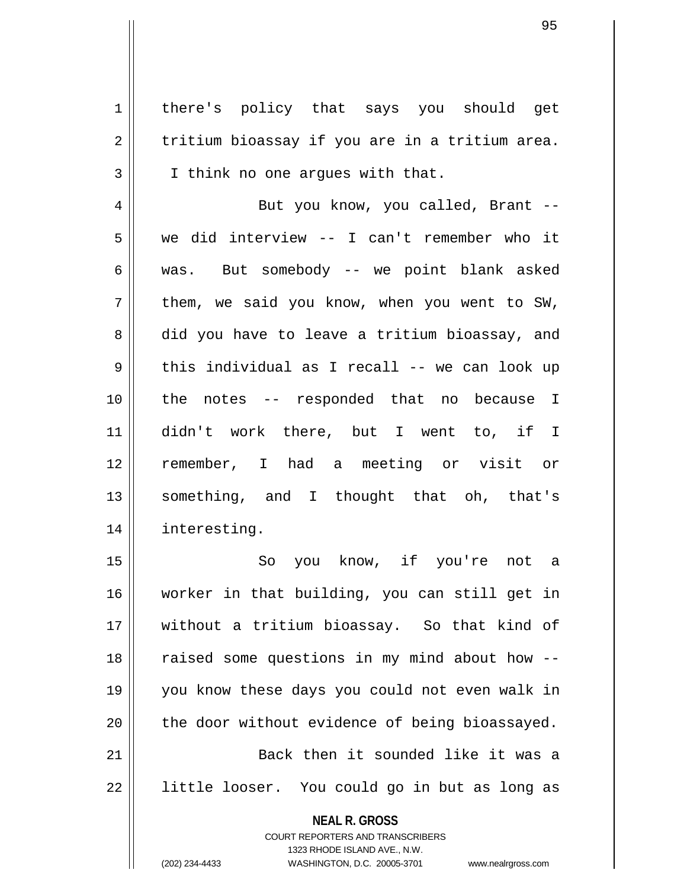1 | there's policy that says you should get  $2 \parallel$  tritium bioassay if you are in a tritium area. 3 | I think no one arques with that.

4 || But you know, you called, Brant --5 we did interview -- I can't remember who it 6 was. But somebody -- we point blank asked  $7 \parallel$  them, we said you know, when you went to SW, 8 || did you have to leave a tritium bioassay, and  $9 \parallel$  this individual as I recall -- we can look up 10 the notes -- responded that no because I 11 didn't work there, but I went to, if I 12 remember, I had a meeting or visit or 13 something, and I thought that oh, that's 14 interesting.

15 || So you know, if you're not a 16 worker in that building, you can still get in 17 without a tritium bioassay. So that kind of 18 || raised some questions in my mind about how --19 you know these days you could not even walk in  $20$  | the door without evidence of being bioassayed. 21 Back then it sounded like it was a 22 || little looser. You could go in but as long as

> **NEAL R. GROSS** COURT REPORTERS AND TRANSCRIBERS 1323 RHODE ISLAND AVE., N.W.

(202) 234-4433 WASHINGTON, D.C. 20005-3701 www.nealrgross.com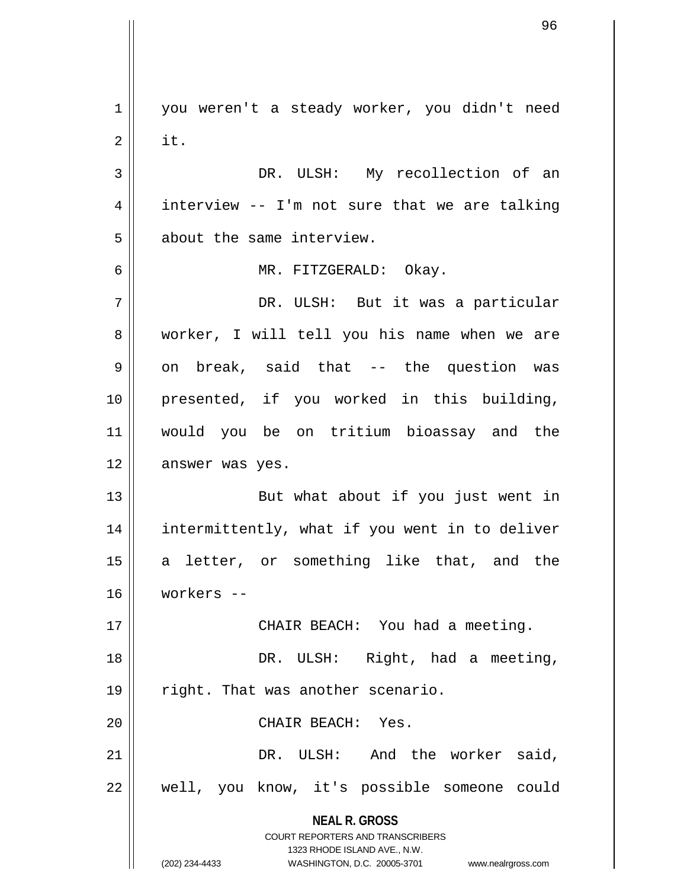**NEAL R. GROSS** COURT REPORTERS AND TRANSCRIBERS 1323 RHODE ISLAND AVE., N.W. (202) 234-4433 WASHINGTON, D.C. 20005-3701 www.nealrgross.com 1 || you weren't a steady worker, you didn't need  $2 \parallel$  it. 3 DR. ULSH: My recollection of an  $4 \parallel$  interview -- I'm not sure that we are talking 5 || about the same interview. 6 MR. FITZGERALD: Okay. 7 DR. ULSH: But it was a particular 8 worker, I will tell you his name when we are  $9 \parallel$  on break, said that -- the question was 10 presented, if you worked in this building, 11 would you be on tritium bioassay and the 12 answer was yes. 13 || But what about if you just went in 14 intermittently, what if you went in to deliver 15 || a letter, or something like that, and the 16 workers -- 17 || CHAIR BEACH: You had a meeting. 18 || DR. ULSH: Right, had a meeting, 19 || right. That was another scenario. 20 CHAIR BEACH: Yes. 21 DR. ULSH: And the worker said, 22 || well, you know, it's possible someone could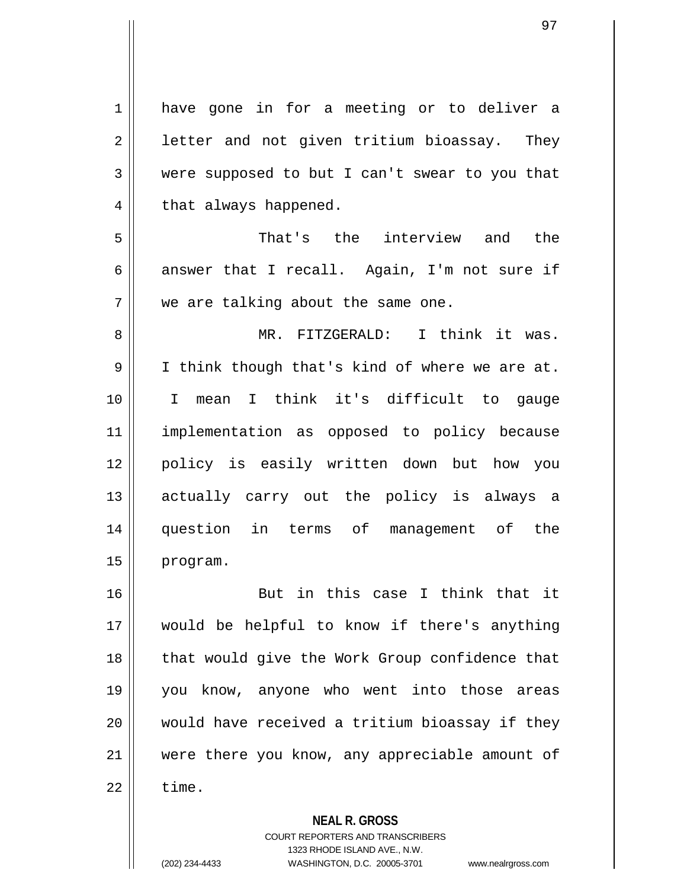1 have gone in for a meeting or to deliver a  $2 \parallel$  letter and not given tritium bioassay. They 3 were supposed to but I can't swear to you that  $4 \parallel$  that always happened. 5 That's the interview and the 6 answer that I recall. Again, I'm not sure if 7 | we are talking about the same one. 8 MR. FITZGERALD: I think it was. 9 I think though that's kind of where we are at. 10 I mean I think it's difficult to gauge 11 implementation as opposed to policy because 12 policy is easily written down but how you 13 actually carry out the policy is always a 14 question in terms of management of the 15 | program. 16 || But in this case I think that it 17 would be helpful to know if there's anything 18 || that would give the Work Group confidence that 19 you know, anyone who went into those areas 20 would have received a tritium bioassay if they 21 were there you know, any appreciable amount of  $22$   $\parallel$  time.

**NEAL R. GROSS**

COURT REPORTERS AND TRANSCRIBERS 1323 RHODE ISLAND AVE., N.W. (202) 234-4433 WASHINGTON, D.C. 20005-3701 www.nealrgross.com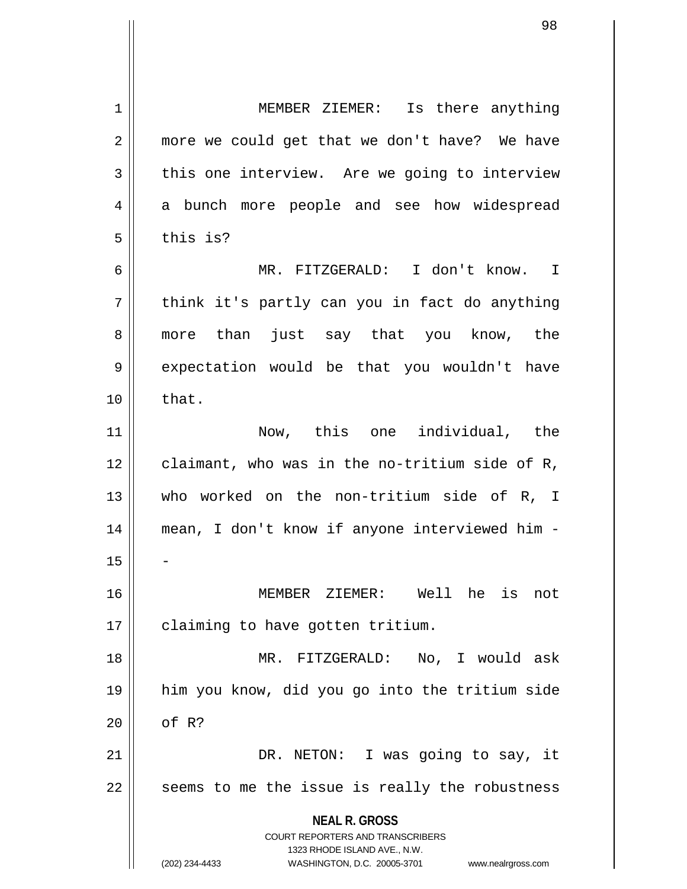**NEAL R. GROSS** COURT REPORTERS AND TRANSCRIBERS 1323 RHODE ISLAND AVE., N.W. (202) 234-4433 WASHINGTON, D.C. 20005-3701 www.nealrgross.com 1 || MEMBER ZIEMER: Is there anything 2 || more we could get that we don't have? We have  $3 \parallel$  this one interview. Are we going to interview 4 a bunch more people and see how widespread  $5 \parallel$  this is? 6 MR. FITZGERALD: I don't know. I  $7 ||$  think it's partly can you in fact do anything 8 more than just say that you know, the 9 expectation would be that you wouldn't have  $10 \parallel$  that. 11 Now, this one individual, the  $12$  | claimant, who was in the no-tritium side of R, 13 who worked on the non-tritium side of R, I 14 mean, I don't know if anyone interviewed him -  $15$ 16 MEMBER ZIEMER: Well he is not 17 | claiming to have gotten tritium. 18 MR. FITZGERALD: No, I would ask 19 him you know, did you go into the tritium side  $20$  |  $\sigma$ f R? 21 || DR. NETON: I was going to say, it  $22$   $\parallel$  seems to me the issue is really the robustness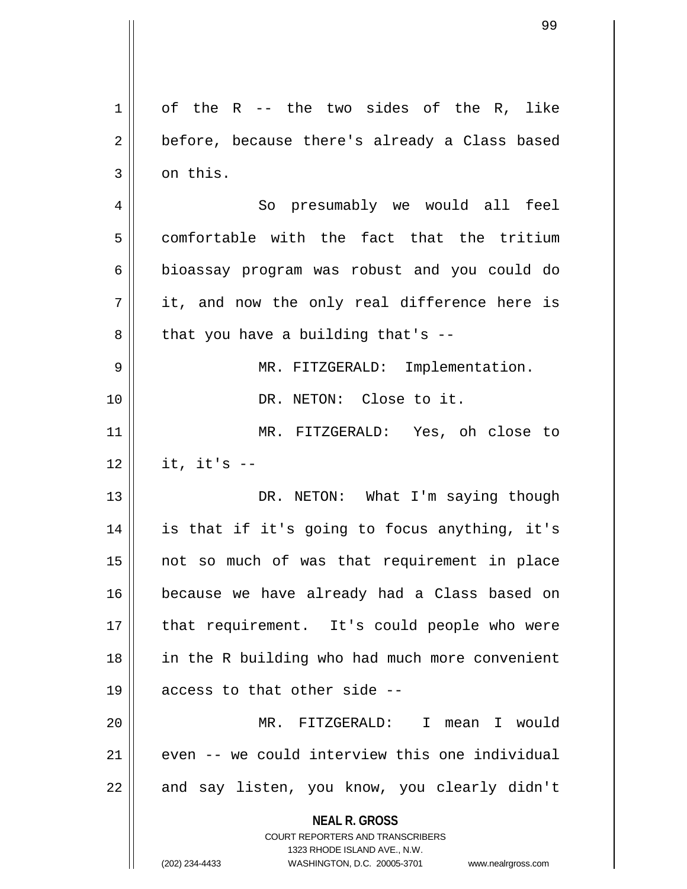| 1              | of the R -- the two sides of the R, like                         |
|----------------|------------------------------------------------------------------|
| $\overline{2}$ | before, because there's already a Class based                    |
| 3              | on this.                                                         |
| 4              | So presumably we would all feel                                  |
| 5              | comfortable with the fact that the tritium                       |
| 6              | bioassay program was robust and you could do                     |
| 7              | it, and now the only real difference here is                     |
| 8              | that you have a building that's --                               |
| 9              | MR. FITZGERALD: Implementation.                                  |
| 10             | DR. NETON: Close to it.                                          |
| 11             | MR. FITZGERALD: Yes, oh close to                                 |
| 12             | it, it's $-$                                                     |
| 13             | DR. NETON: What I'm saying though                                |
| 14             | is that if it's going to focus anything, it's                    |
| 15             | not so much of was that requirement in place                     |
| 16             | because we have already had a Class based on                     |
| 17             | that requirement. It's could people who were                     |
| 18             | in the R building who had much more convenient                   |
| 19             | access to that other side --                                     |
| 20             | MR. FITZGERALD: I mean I would                                   |
| 21             | even -- we could interview this one individual                   |
| 22             | and say listen, you know, you clearly didn't                     |
|                | <b>NEAL R. GROSS</b><br><b>COURT REPORTERS AND TRANSCRIBERS</b>  |
|                | 1323 RHODE ISLAND AVE., N.W.                                     |
|                | WASHINGTON, D.C. 20005-3701 www.nealrgross.com<br>(202) 234-4433 |

 $\mathsf{I}$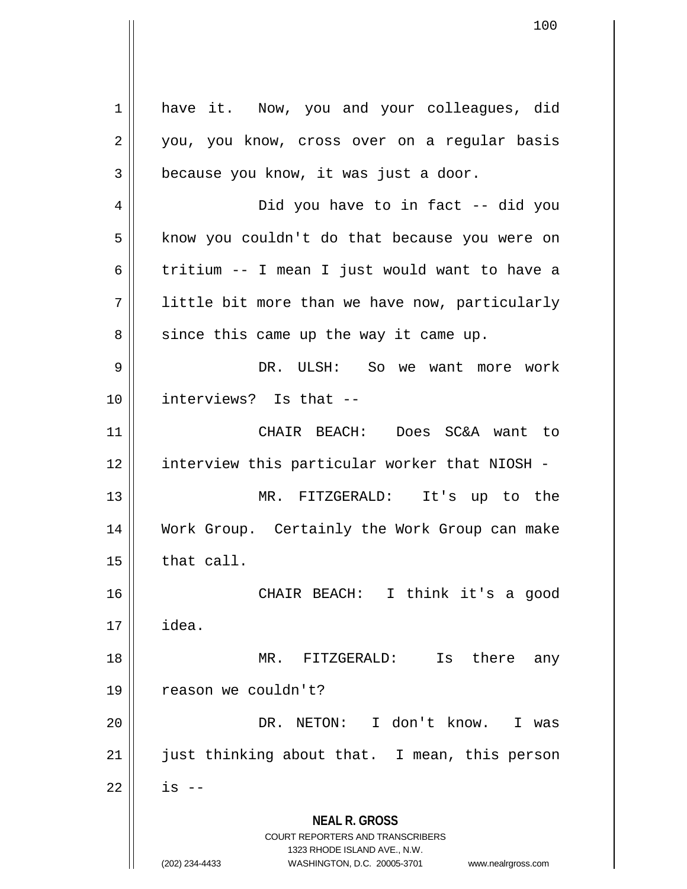**NEAL R. GROSS** COURT REPORTERS AND TRANSCRIBERS 1323 RHODE ISLAND AVE., N.W. (202) 234-4433 WASHINGTON, D.C. 20005-3701 www.nealrgross.com 1 have it. Now, you and your colleagues, did 2 || you, you know, cross over on a regular basis  $3 \parallel$  because you know, it was just a door. 4 Did you have to in fact -- did you 5 | know you couldn't do that because you were on 6  $\parallel$  tritium -- I mean I just would want to have a 7 || little bit more than we have now, particularly  $8 \parallel$  since this came up the way it came up. 9 DR. ULSH: So we want more work 10 interviews? Is that -- 11 CHAIR BEACH: Does SC&A want to 12 || interview this particular worker that NIOSH -13 MR. FITZGERALD: It's up to the 14 Work Group. Certainly the Work Group can make  $15$  | that call. 16 CHAIR BEACH: I think it's a good  $17 \parallel$  idea. 18 MR. FITZGERALD: Is there any 19 | reason we couldn't? 20 DR. NETON: I don't know. I was 21 || just thinking about that. I mean, this person  $22$  || is --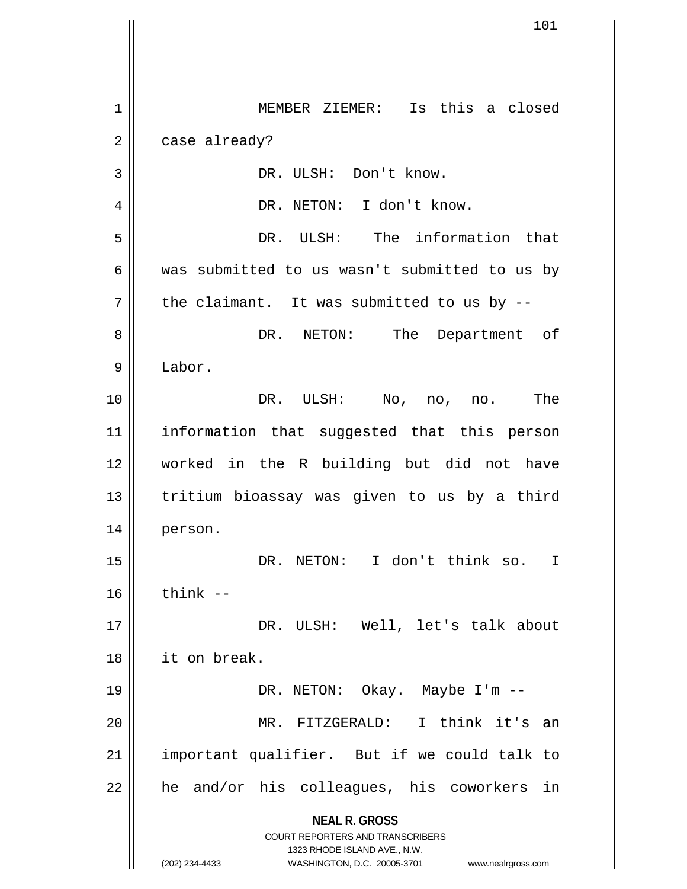**NEAL R. GROSS** COURT REPORTERS AND TRANSCRIBERS 1323 RHODE ISLAND AVE., N.W. (202) 234-4433 WASHINGTON, D.C. 20005-3701 www.nealrgross.com 1 || MEMBER ZIEMER: Is this a closed  $2 \parallel$  case already? 3 || DR. ULSH: Don't know. 4 | PR. NETON: I don't know. 5 DR. ULSH: The information that 6 was submitted to us wasn't submitted to us by  $7 \parallel$  the claimant. It was submitted to us by  $-$ 8 DR. NETON: The Department of 9 Labor. 10 DR. ULSH: No, no, no. The 11 information that suggested that this person 12 worked in the R building but did not have 13 || tritium bioassay was given to us by a third 14 person. 15 DR. NETON: I don't think so. I  $16$  think  $-$ 17 DR. ULSH: Well, let's talk about 18 it on break. 19 DR. NETON: Okay. Maybe I'm -- 20 MR. FITZGERALD: I think it's an 21 || important qualifier. But if we could talk to  $22$  || he and/or his colleagues, his coworkers in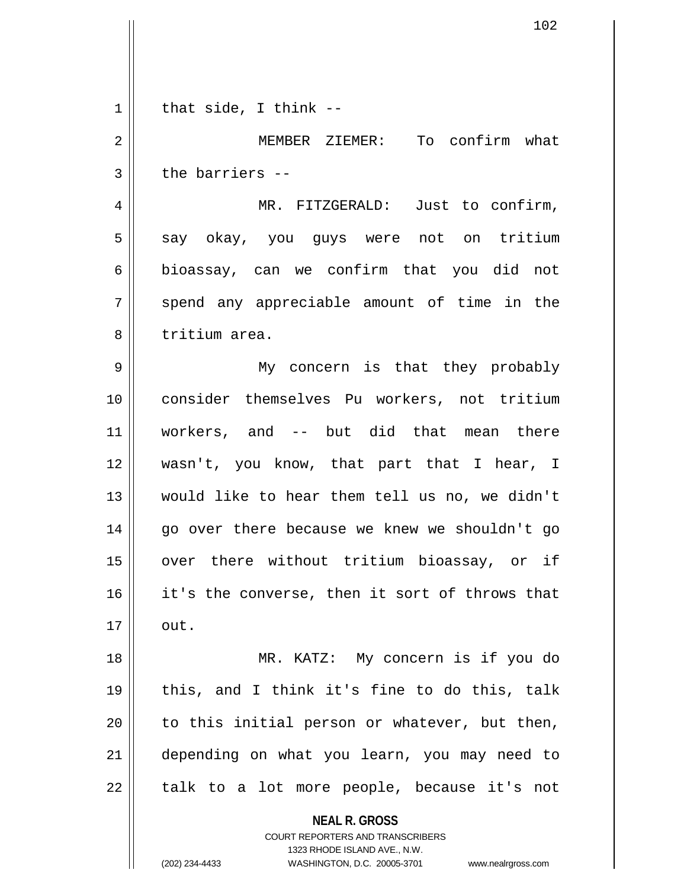| $\mathbf 1$    | that $side, I think --$                                                                                                                                                |
|----------------|------------------------------------------------------------------------------------------------------------------------------------------------------------------------|
| $\overline{2}$ | MEMBER ZIEMER: To confirm what                                                                                                                                         |
| 3              | the barriers --                                                                                                                                                        |
| 4              | MR. FITZGERALD: Just to confirm,                                                                                                                                       |
| 5              | say okay, you guys were not on tritium                                                                                                                                 |
| 6              | bioassay, can we confirm that you did not                                                                                                                              |
| 7              | spend any appreciable amount of time in the                                                                                                                            |
| 8              | tritium area.                                                                                                                                                          |
| $\mathsf 9$    | My concern is that they probably                                                                                                                                       |
| 10             | consider themselves Pu workers, not tritium                                                                                                                            |
| 11             | workers, and -- but did that mean there                                                                                                                                |
| 12             | wasn't, you know, that part that I hear, I                                                                                                                             |
| 13             | would like to hear them tell us no, we didn't                                                                                                                          |
| 14             | go over there because we knew we shouldn't go                                                                                                                          |
| 15             | over there without tritium bioassay, or if                                                                                                                             |
| 16             | it's the converse, then it sort of throws that                                                                                                                         |
| 17             | out.                                                                                                                                                                   |
| 18             | MR. KATZ: My concern is if you do                                                                                                                                      |
| 19             | this, and I think it's fine to do this, talk                                                                                                                           |
| 20             | to this initial person or whatever, but then,                                                                                                                          |
| 21             | depending on what you learn, you may need to                                                                                                                           |
| 22             | talk to a lot more people, because it's not                                                                                                                            |
|                | <b>NEAL R. GROSS</b><br><b>COURT REPORTERS AND TRANSCRIBERS</b><br>1323 RHODE ISLAND AVE., N.W.<br>(202) 234-4433<br>WASHINGTON, D.C. 20005-3701<br>www.nealrgross.com |

 $\mathsf{I}$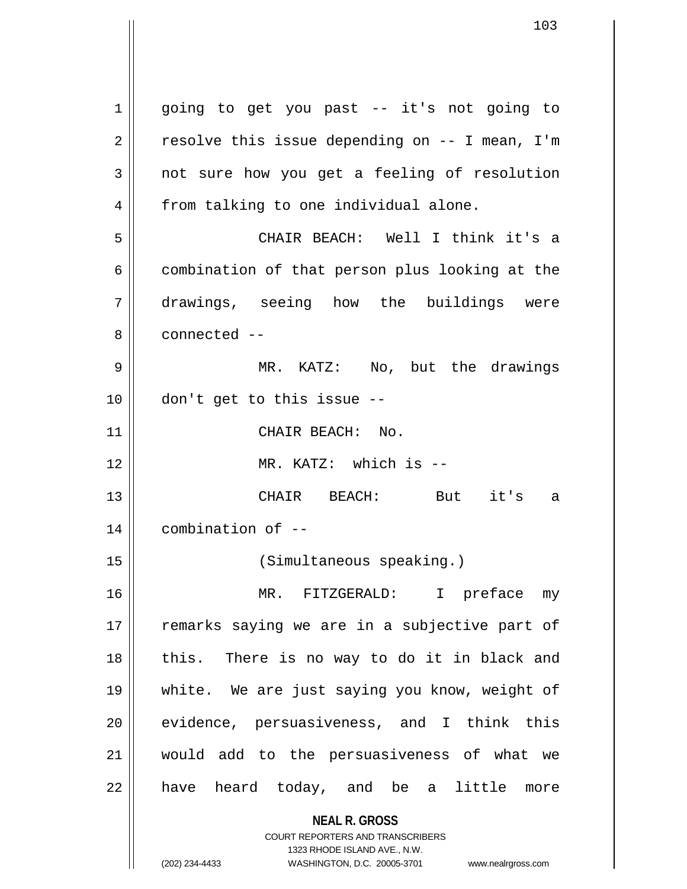**NEAL R. GROSS** COURT REPORTERS AND TRANSCRIBERS 1323 RHODE ISLAND AVE., N.W. 1 || going to get you past -- it's not going to  $2 \parallel$  resolve this issue depending on -- I mean, I'm 3 not sure how you get a feeling of resolution 4 | from talking to one individual alone. 5 CHAIR BEACH: Well I think it's a  $6 \parallel$  combination of that person plus looking at the 7 drawings, seeing how the buildings were 8 ll connected --9 MR. KATZ: No, but the drawings 10 don't get to this issue -- 11 | CHAIR BEACH: No. 12 MR. KATZ: which is -- 13 || CHAIR BEACH: But it's a 14 combination of -- 15 (Simultaneous speaking.) 16 MR. FITZGERALD: I preface my 17 || remarks saying we are in a subjective part of 18 || this. There is no way to do it in black and 19 white. We are just saying you know, weight of  $20$  || evidence, persuasiveness, and I think this 21 would add to the persuasiveness of what we 22 || have heard today, and be a little more

(202) 234-4433 WASHINGTON, D.C. 20005-3701 www.nealrgross.com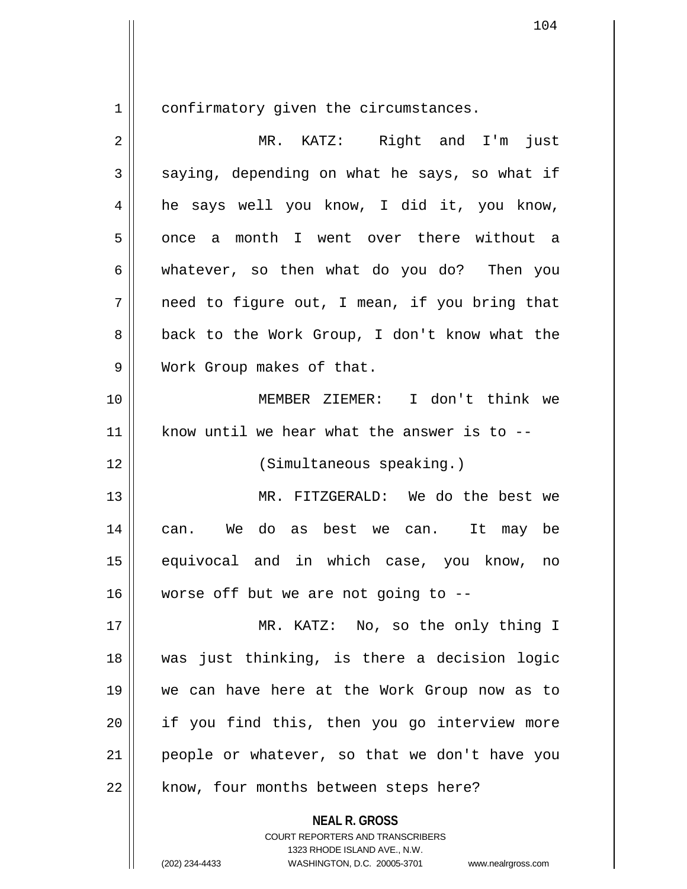1 confirmatory given the circumstances.

| 2  | MR. KATZ: Right and I'm just                  |
|----|-----------------------------------------------|
| 3  | saying, depending on what he says, so what if |
| 4  | he says well you know, I did it, you know,    |
| 5  | month I went over there without a<br>once a   |
| 6  | whatever, so then what do you do? Then you    |
| 7  | need to figure out, I mean, if you bring that |
| 8  | back to the Work Group, I don't know what the |
| 9  | Work Group makes of that.                     |
| 10 | MEMBER ZIEMER: I don't think we               |
| 11 | know until we hear what the answer is to --   |
| 12 | (Simultaneous speaking.)                      |
| 13 | MR. FITZGERALD: We do the best we             |
| 14 | can. We do as best we can. It may be          |
| 15 | equivocal and in which case, you know, no     |
| 16 | worse off but we are not going to $-$ -       |
| 17 | MR. KATZ: No, so the only thing I             |
| 18 | was just thinking, is there a decision logic  |
| 19 | we can have here at the Work Group now as to  |
| 20 | if you find this, then you go interview more  |
| 21 | people or whatever, so that we don't have you |
| 22 | know, four months between steps here?         |
|    | <b>NEAL R. GROSS</b>                          |

COURT REPORTERS AND TRANSCRIBERS 1323 RHODE ISLAND AVE., N.W.

(202) 234-4433 WASHINGTON, D.C. 20005-3701 www.nealrgross.com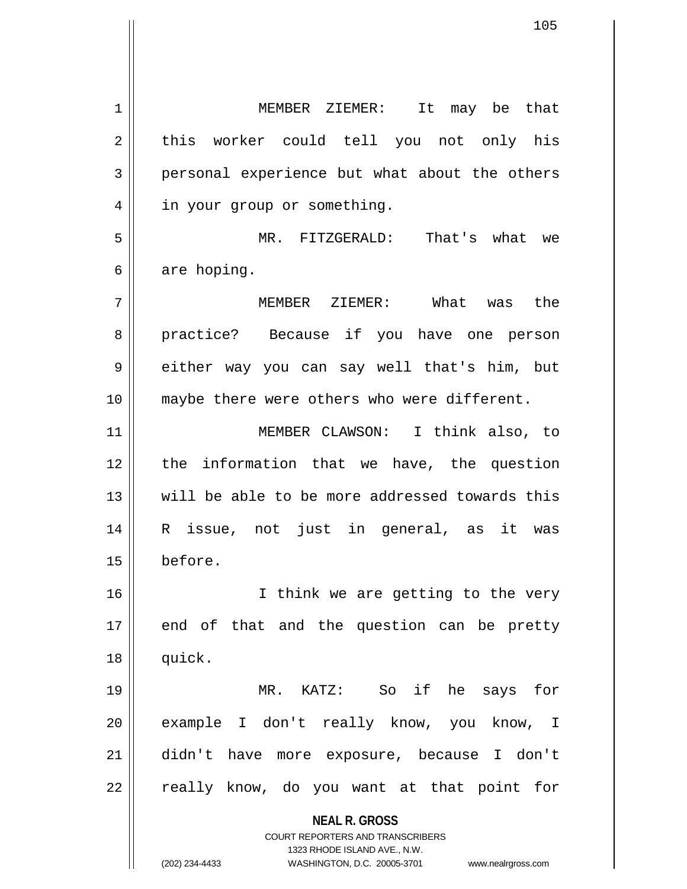**NEAL R. GROSS** COURT REPORTERS AND TRANSCRIBERS 1323 RHODE ISLAND AVE., N.W. (202) 234-4433 WASHINGTON, D.C. 20005-3701 www.nealrgross.com 1 MEMBER ZIEMER: It may be that 2 || this worker could tell you not only his  $3 \parallel$  personal experience but what about the others 4 | in your group or something. 5 MR. FITZGERALD: That's what we  $6 \parallel$  are hoping. 7 MEMBER ZIEMER: What was the 8 || practice? Because if you have one person 9 either way you can say well that's him, but 10 || maybe there were others who were different. 11 MEMBER CLAWSON: I think also, to 12 || the information that we have, the question 13 will be able to be more addressed towards this 14 R issue, not just in general, as it was 15 before. 16 || I think we are getting to the very  $17$  end of that and the question can be pretty 18 quick. 19 MR. KATZ: So if he says for 20 || example I don't really know, you know, I 21 didn't have more exposure, because I don't 22 || really know, do you want at that point for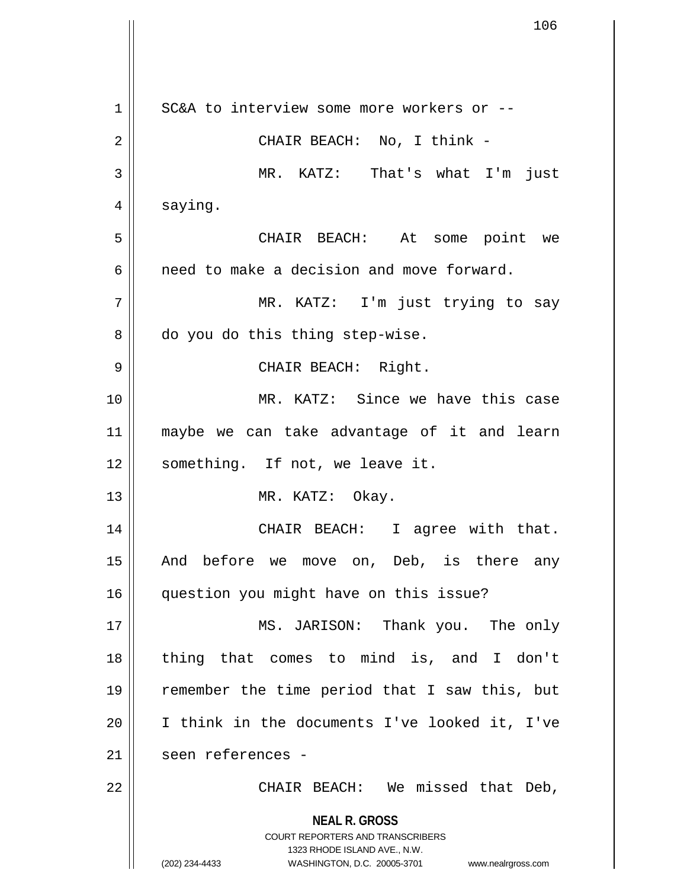**NEAL R. GROSS** COURT REPORTERS AND TRANSCRIBERS 1323 RHODE ISLAND AVE., N.W. (202) 234-4433 WASHINGTON, D.C. 20005-3701 www.nealrgross.com 1 || SC&A to interview some more workers or --2 CHAIR BEACH: No, I think - 3 MR. KATZ: That's what I'm just 4 | saying. 5 CHAIR BEACH: At some point we 6 and need to make a decision and move forward. 7 MR. KATZ: I'm just trying to say  $8 \parallel$  do you do this thing step-wise. 9 || CHAIR BEACH: Right. 10 MR. KATZ: Since we have this case 11 maybe we can take advantage of it and learn 12 || something. If not, we leave it. 13 || MR. KATZ: Okay. 14 || CHAIR BEACH: I agree with that. 15 || And before we move on, Deb, is there any 16 question you might have on this issue? 17 || MS. JARISON: Thank you. The only 18 thing that comes to mind is, and I don't 19 remember the time period that I saw this, but 20 I think in the documents I've looked it, I've 21 || seen references -22 CHAIR BEACH: We missed that Deb,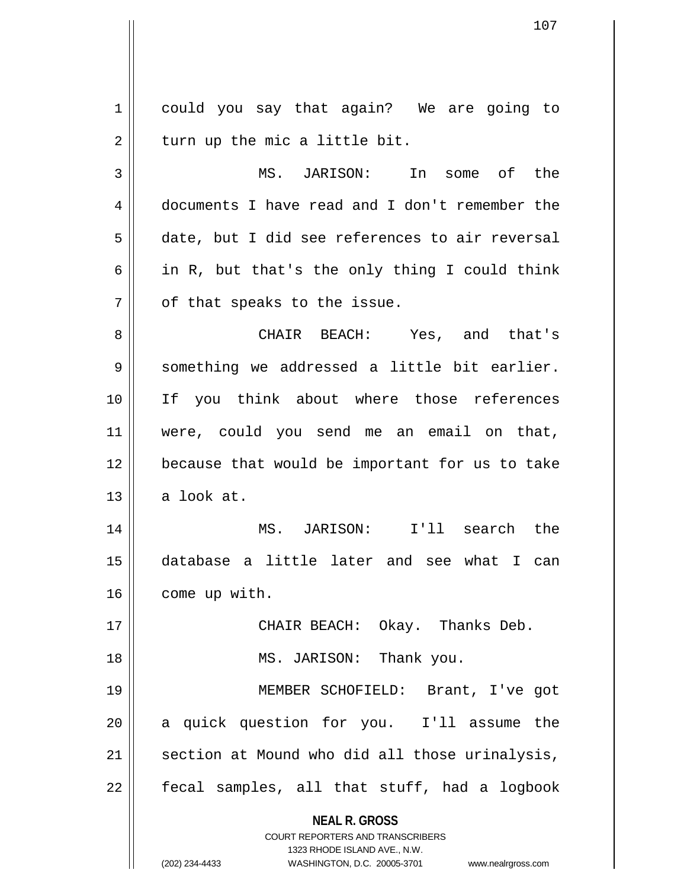**NEAL R. GROSS** COURT REPORTERS AND TRANSCRIBERS 1323 RHODE ISLAND AVE., N.W. 1 || could you say that again? We are going to  $2 \parallel$  turn up the mic a little bit. 3 MS. JARISON: In some of the 4 documents I have read and I don't remember the 5 date, but I did see references to air reversal 6 | in R, but that's the only thing I could think  $7$  || of that speaks to the issue. 8 CHAIR BEACH: Yes, and that's 9 Something we addressed a little bit earlier. 10 If you think about where those references 11 were, could you send me an email on that, 12 because that would be important for us to take  $13$  a look at. 14 MS. JARISON: I'll search the 15 database a little later and see what I can 16 | come up with. 17 CHAIR BEACH: Okay. Thanks Deb. 18 || MS. JARISON: Thank you. 19 MEMBER SCHOFIELD: Brant, I've got 20 || a quick question for you. I'll assume the  $21$  section at Mound who did all those urinalysis,  $22$  || fecal samples, all that stuff, had a logbook

(202) 234-4433 WASHINGTON, D.C. 20005-3701 www.nealrgross.com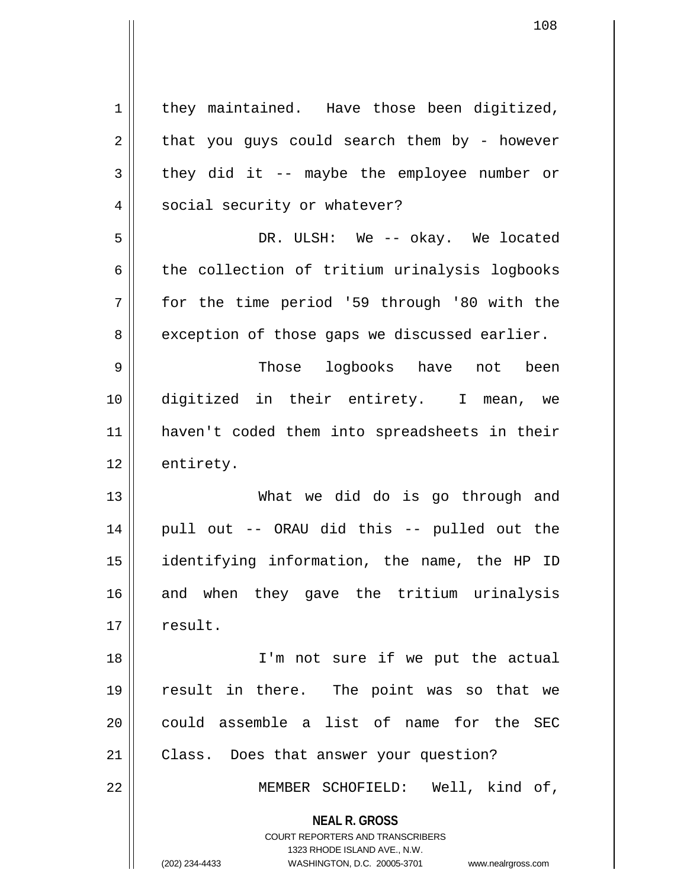**NEAL R. GROSS** COURT REPORTERS AND TRANSCRIBERS 1323 RHODE ISLAND AVE., N.W. (202) 234-4433 WASHINGTON, D.C. 20005-3701 www.nealrgross.com  $1$  they maintained. Have those been digitized,  $2 \parallel$  that you guys could search them by - however  $3 \parallel$  they did it -- maybe the employee number or 4 || social security or whatever? 5 DR. ULSH: We -- okay. We located  $6 \parallel$  the collection of tritium urinalysis logbooks 7 for the time period '59 through '80 with the 8 exception of those gaps we discussed earlier. 9 Those logbooks have not been 10 digitized in their entirety. I mean, we 11 haven't coded them into spreadsheets in their 12 entirety. 13 What we did do is go through and 14 || pull out -- ORAU did this -- pulled out the 15 identifying information, the name, the HP ID 16 and when they gave the tritium urinalysis 17 | result. 18 || I'm not sure if we put the actual 19 result in there. The point was so that we  $20$  could assemble a list of name for the SEC 21 | Class. Does that answer your question? 22 MEMBER SCHOFIELD: Well, kind of,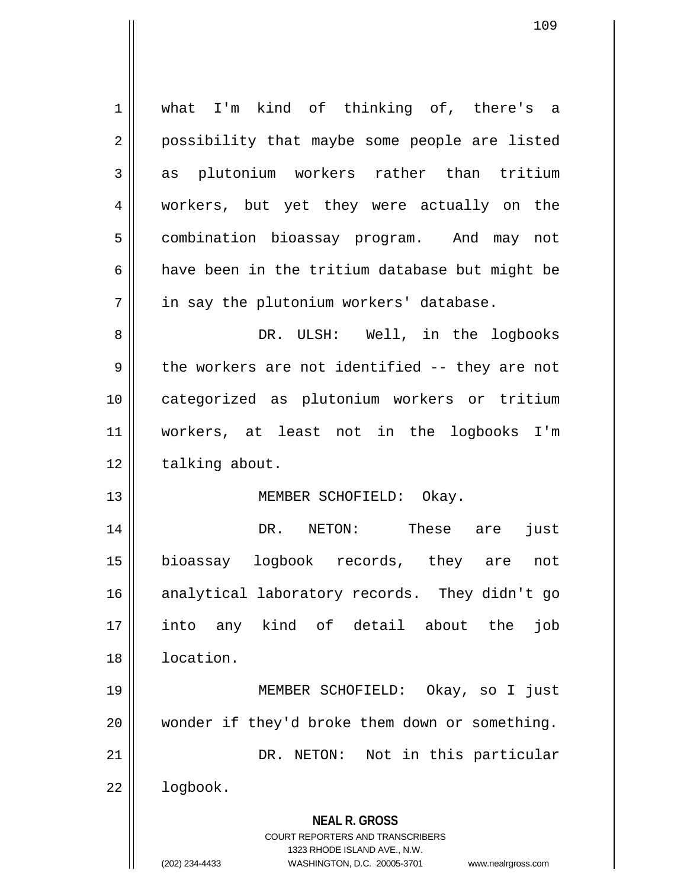| $\mathbf 1$ | what I'm kind of thinking of, there's a                             |
|-------------|---------------------------------------------------------------------|
| 2           | possibility that maybe some people are listed                       |
| 3           | as plutonium workers rather than tritium                            |
| 4           | workers, but yet they were actually on the                          |
| 5           | combination bioassay program. And may not                           |
| 6           | have been in the tritium database but might be                      |
| 7           | in say the plutonium workers' database.                             |
| 8           | DR. ULSH: Well, in the logbooks                                     |
| 9           | the workers are not identified -- they are not                      |
| 10          | categorized as plutonium workers or tritium                         |
| 11          | workers, at least not in the logbooks I'm                           |
| 12          | talking about.                                                      |
| 13          | MEMBER SCHOFIELD: Okay.                                             |
| 14          | DR. NETON: These are<br>just                                        |
| 15          | bioassay logbook records, they are not                              |
| 16          | analytical laboratory records. They didn't go                       |
| 17          | into any kind of detail about the<br>job                            |
| 18          | location.                                                           |
| 19          | MEMBER SCHOFIELD:<br>Okay, so I just                                |
| 20          | wonder if they'd broke them down or something.                      |
| 21          | Not in this particular<br>DR. NETON:                                |
| 22          | logbook.                                                            |
|             | <b>NEAL R. GROSS</b>                                                |
|             | <b>COURT REPORTERS AND TRANSCRIBERS</b>                             |
|             | 1323 RHODE ISLAND AVE., N.W.                                        |
|             | (202) 234-4433<br>WASHINGTON, D.C. 20005-3701<br>www.nealrgross.com |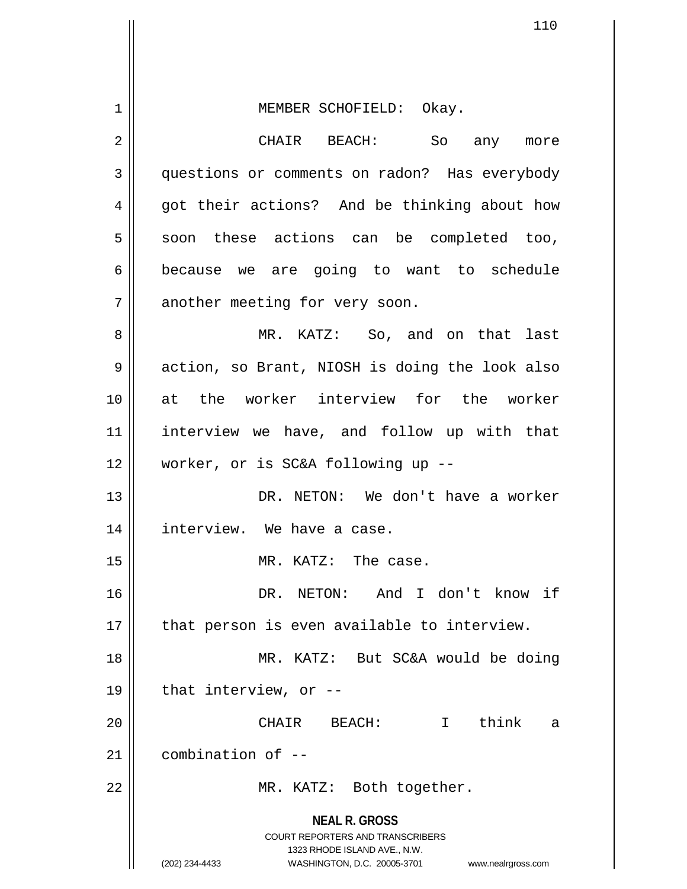| 1  | MEMBER SCHOFIELD: Okay.                                                                         |
|----|-------------------------------------------------------------------------------------------------|
| 2  | CHAIR BEACH: So any more                                                                        |
| 3  | questions or comments on radon? Has everybody                                                   |
| 4  | got their actions? And be thinking about how                                                    |
| 5  | soon these actions can be completed too,                                                        |
| 6  | because we are going to want to schedule                                                        |
| 7  | another meeting for very soon.                                                                  |
| 8  | MR. KATZ: So, and on that last                                                                  |
| 9  | action, so Brant, NIOSH is doing the look also                                                  |
| 10 | at the worker interview for the worker                                                          |
| 11 | interview we have, and follow up with that                                                      |
| 12 | worker, or is SC&A following up --                                                              |
| 13 | DR. NETON: We don't have a worker                                                               |
| 14 | interview. We have a case.                                                                      |
| 15 | MR. KATZ: The case.                                                                             |
| 16 | DR. NETON: And I don't know if                                                                  |
| 17 | that person is even available to interview.                                                     |
| 18 | MR. KATZ: But SC&A would be doing                                                               |
| 19 | that interview, or --                                                                           |
| 20 | $\mathbf{I}$<br>think<br>BEACH:<br>CHAIR<br>a                                                   |
| 21 | combination of --                                                                               |
| 22 | MR. KATZ: Both together.                                                                        |
|    | <b>NEAL R. GROSS</b><br><b>COURT REPORTERS AND TRANSCRIBERS</b><br>1323 RHODE ISLAND AVE., N.W. |
|    | (202) 234-4433<br>WASHINGTON, D.C. 20005-3701<br>www.nealrgross.com                             |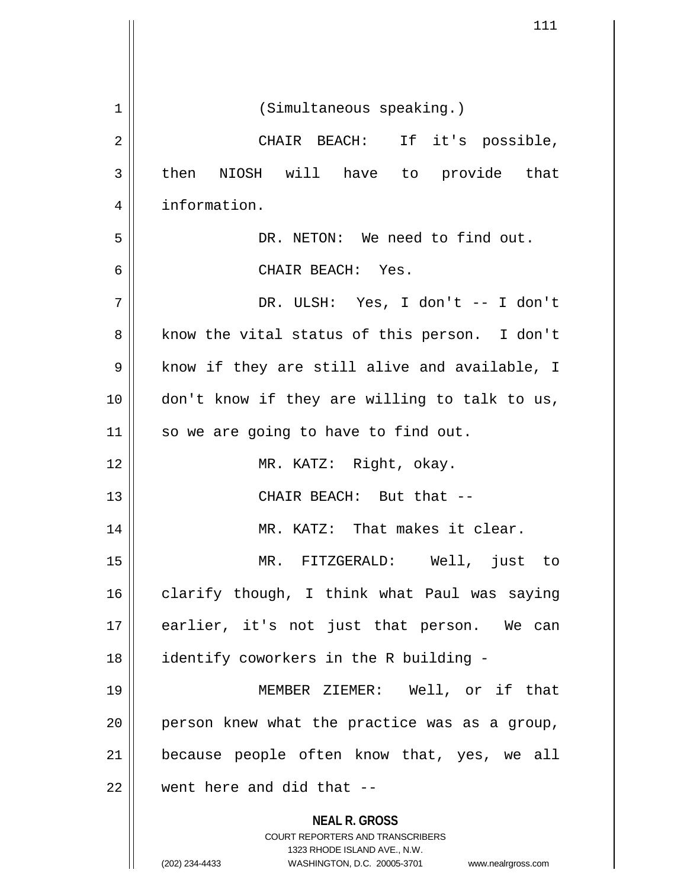|                | 111                                                                 |
|----------------|---------------------------------------------------------------------|
|                |                                                                     |
|                |                                                                     |
| $\mathbf 1$    | (Simultaneous speaking.)                                            |
| $\overline{2}$ | CHAIR BEACH: If it's possible,                                      |
| 3              | then NIOSH will have to provide that                                |
| 4              | information.                                                        |
| 5              | DR. NETON: We need to find out.                                     |
| 6              | CHAIR BEACH: Yes.                                                   |
| 7              | DR. ULSH: Yes, I don't -- I don't                                   |
| 8              | know the vital status of this person. I don't                       |
| 9              | know if they are still alive and available, I                       |
| 10             | don't know if they are willing to talk to us,                       |
| 11             | so we are going to have to find out.                                |
| 12             | MR. KATZ: Right, okay.                                              |
| 13             | CHAIR BEACH: But that --                                            |
| 14             | MR. KATZ: That makes it clear.                                      |
| 15             | MR. FITZGERALD: Well, just to                                       |
| 16             | clarify though, I think what Paul was saying                        |
| 17             | earlier, it's not just that person. We can                          |
| 18             | identify coworkers in the R building -                              |
| 19             | MEMBER ZIEMER: Well, or if that                                     |
| 20             | person knew what the practice was as a group,                       |
| 21             | because people often know that, yes, we all                         |
| 22             | went here and did that --                                           |
|                | <b>NEAL R. GROSS</b>                                                |
|                | COURT REPORTERS AND TRANSCRIBERS<br>1323 RHODE ISLAND AVE., N.W.    |
|                | (202) 234-4433<br>WASHINGTON, D.C. 20005-3701<br>www.nealrgross.com |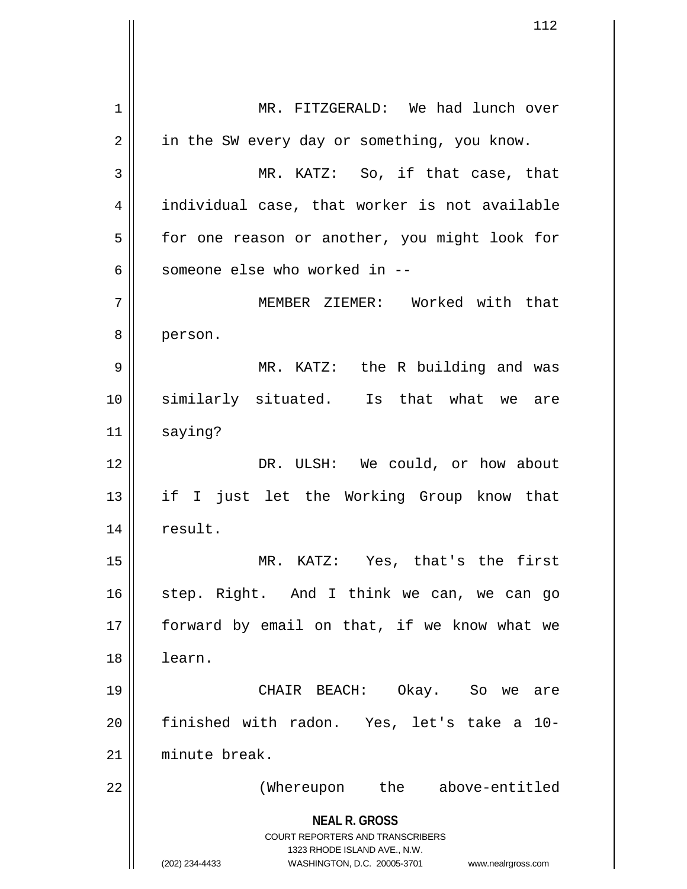**NEAL R. GROSS** COURT REPORTERS AND TRANSCRIBERS 1323 RHODE ISLAND AVE., N.W. (202) 234-4433 WASHINGTON, D.C. 20005-3701 www.nealrgross.com 1 || MR. FITZGERALD: We had lunch over  $2 \parallel$  in the SW every day or something, you know. 3 || MR. KATZ: So, if that case, that 4 individual case, that worker is not available 5 | for one reason or another, you might look for 6  $\parallel$  someone else who worked in --7 MEMBER ZIEMER: Worked with that 8 person. 9 MR. KATZ: the R building and was 10 similarly situated. Is that what we are 11 | saying? 12 DR. ULSH: We could, or how about 13 if I just let the Working Group know that 14 | result. 15 MR. KATZ: Yes, that's the first 16 || step. Right. And I think we can, we can go 17 || forward by email on that, if we know what we 18 learn. 19 CHAIR BEACH: Okay. So we are 20 finished with radon. Yes, let's take a 10- 21 minute break. 22 || (Whereupon the above-entitled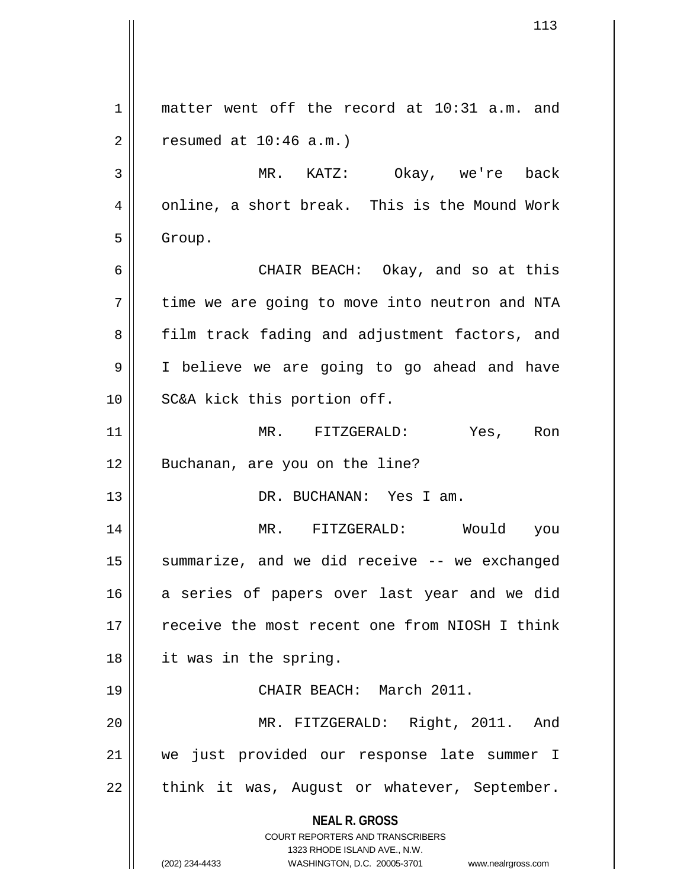**NEAL R. GROSS** COURT REPORTERS AND TRANSCRIBERS 1323 RHODE ISLAND AVE., N.W. (202) 234-4433 WASHINGTON, D.C. 20005-3701 www.nealrgross.com 1 || matter went off the record at 10:31 a.m. and  $2 \parallel$  resumed at  $10:46$  a.m.) 3 MR. KATZ: Okay, we're back  $4 \parallel$  online, a short break. This is the Mound Work  $5 \parallel$  Group. 6 CHAIR BEACH: Okay, and so at this  $7 \parallel$  time we are going to move into neutron and NTA 8 || film track fading and adjustment factors, and 9 I believe we are going to go ahead and have 10 || SC&A kick this portion off. 11 MR. FITZGERALD: Yes, Ron 12 || Buchanan, are you on the line? 13 DR. BUCHANAN: Yes I am. 14 MR. FITZGERALD: Would you 15 || summarize, and we did receive -- we exchanged 16 a series of papers over last year and we did 17 || receive the most recent one from NIOSH I think 18 it was in the spring. 19 CHAIR BEACH: March 2011. 20 MR. FITZGERALD: Right, 2011. And 21 we just provided our response late summer I 22 || think it was, August or whatever, September.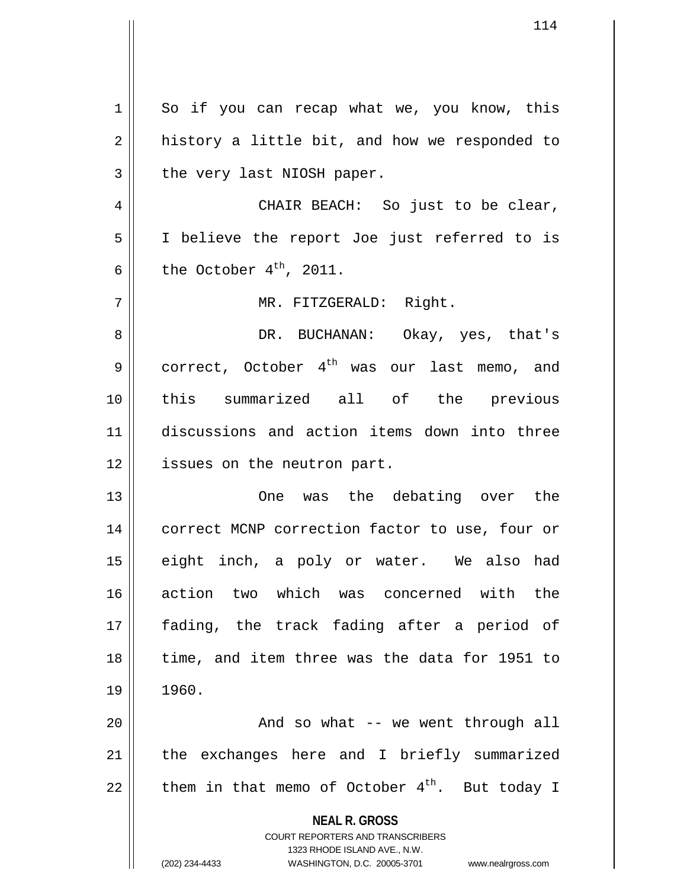**NEAL R. GROSS** COURT REPORTERS AND TRANSCRIBERS 1323 RHODE ISLAND AVE., N.W. (202) 234-4433 WASHINGTON, D.C. 20005-3701 www.nealrgross.com 1 So if you can recap what we, you know, this  $2 \parallel$  history a little bit, and how we responded to  $3$  || the very last NIOSH paper. 4 CHAIR BEACH: So just to be clear, 5 I believe the report Joe just referred to is 6 the October  $4^{th}$ , 2011. 7 || MR. FITZGERALD: Right. 8 DR. BUCHANAN: Okay, yes, that's 9 correct, October  $4^{th}$  was our last memo, and 10 this summarized all of the previous 11 discussions and action items down into three 12 || issues on the neutron part. 13 One was the debating over the 14 || correct MCNP correction factor to use, four or 15 eight inch, a poly or water. We also had 16 action two which was concerned with the 17 fading, the track fading after a period of 18 || time, and item three was the data for 1951 to 19 1960. 20 || And so what -- we went through all  $21$  | the exchanges here and I briefly summarized 22  $\parallel$  them in that memo of October 4<sup>th</sup>. But today I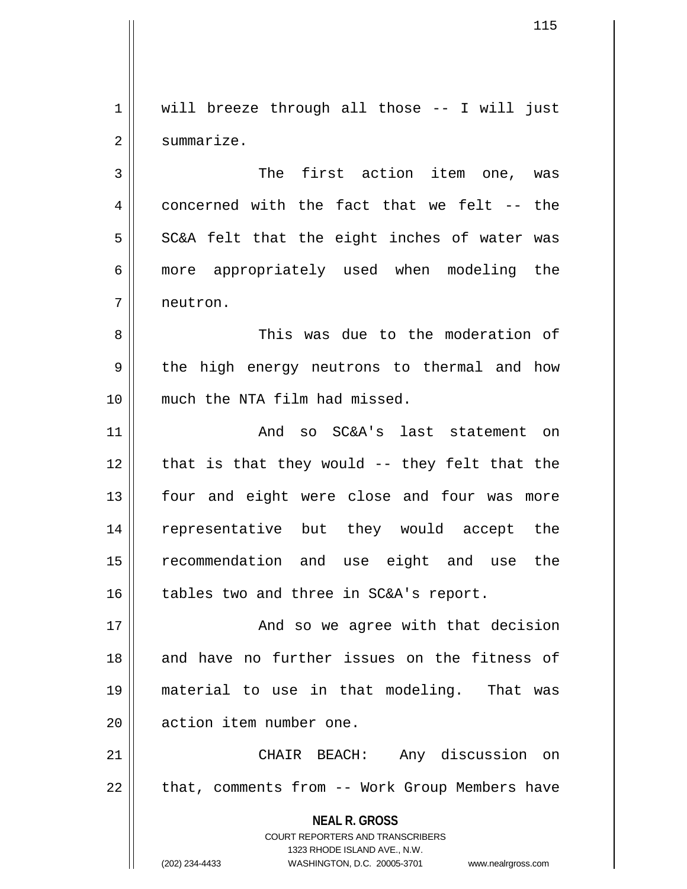$1 \parallel$  will breeze through all those -- I will just 2 | summarize.

3 || The first action item one, was  $4 \parallel$  concerned with the fact that we felt -- the  $5 \parallel$  SC&A felt that the eight inches of water was 6 || more appropriately used when modeling the 7 neutron.

8 This was due to the moderation of 9 || the high energy neutrons to thermal and how 10 much the NTA film had missed.

11 || The SC&A's last statement on  $12$  | that is that they would -- they felt that the 13 || four and eight were close and four was more 14 representative but they would accept the 15 recommendation and use eight and use the 16 || tables two and three in SC&A's report.

17 || And so we agree with that decision 18 and have no further issues on the fitness of 19 material to use in that modeling. That was 20 | action item number one.

21 CHAIR BEACH: Any discussion on 22 | that, comments from -- Work Group Members have

> **NEAL R. GROSS** COURT REPORTERS AND TRANSCRIBERS

> > 1323 RHODE ISLAND AVE., N.W.

(202) 234-4433 WASHINGTON, D.C. 20005-3701 www.nealrgross.com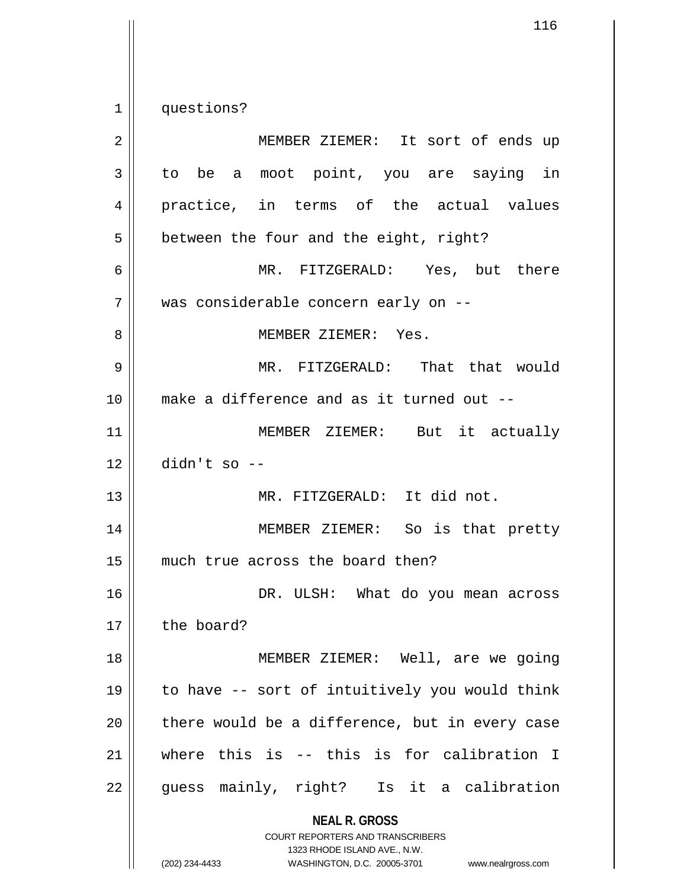1 | questions?

| $\overline{2}$ | MEMBER ZIEMER: It sort of ends up                                                                                                                                      |
|----------------|------------------------------------------------------------------------------------------------------------------------------------------------------------------------|
| 3              | to be a moot point, you are saying in                                                                                                                                  |
| 4              | practice, in terms of the actual values                                                                                                                                |
| 5              | between the four and the eight, right?                                                                                                                                 |
| 6              | MR. FITZGERALD: Yes, but there                                                                                                                                         |
| 7              | was considerable concern early on --                                                                                                                                   |
| 8              | MEMBER ZIEMER: Yes.                                                                                                                                                    |
| 9              | MR. FITZGERALD: That that would                                                                                                                                        |
| 10             | make a difference and as it turned out --                                                                                                                              |
| 11             | MEMBER ZIEMER: But it actually                                                                                                                                         |
| 12             | $didn't so --$                                                                                                                                                         |
| 13             | MR. FITZGERALD: It did not.                                                                                                                                            |
| 14             | MEMBER ZIEMER: So is that pretty                                                                                                                                       |
| 15             | much true across the board then?                                                                                                                                       |
| 16             | DR. ULSH: What do you mean across                                                                                                                                      |
| 17             | the board?                                                                                                                                                             |
| 18             | MEMBER ZIEMER: Well, are we going                                                                                                                                      |
| 19             | to have -- sort of intuitively you would think                                                                                                                         |
| 20             | there would be a difference, but in every case                                                                                                                         |
| 21             | where this is -- this is for calibration I                                                                                                                             |
| 22             | guess mainly, right? Is it a calibration                                                                                                                               |
|                | <b>NEAL R. GROSS</b><br><b>COURT REPORTERS AND TRANSCRIBERS</b><br>1323 RHODE ISLAND AVE., N.W.<br>(202) 234-4433<br>WASHINGTON, D.C. 20005-3701<br>www.nealrgross.com |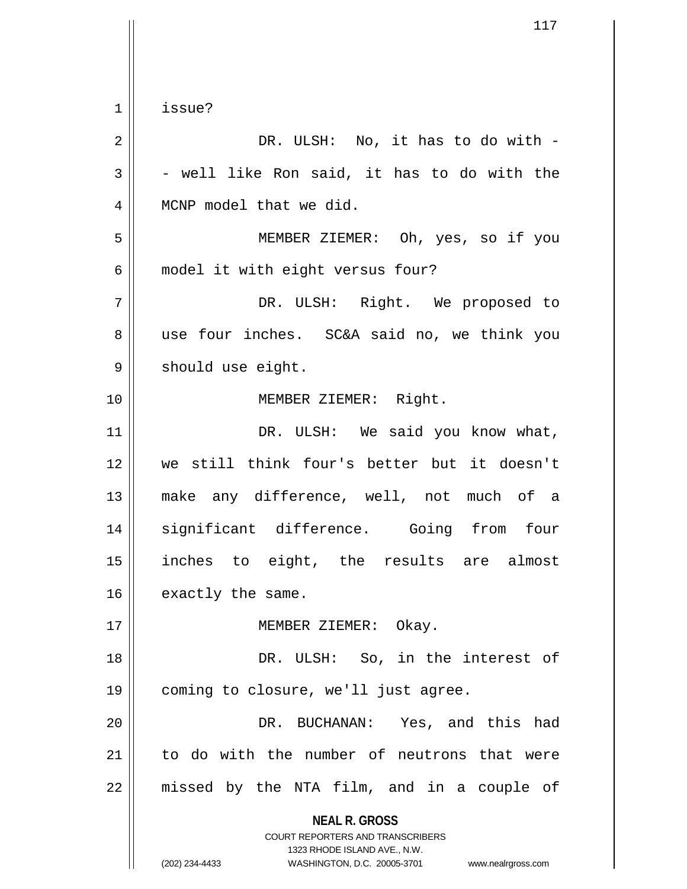**NEAL R. GROSS** COURT REPORTERS AND TRANSCRIBERS 1323 RHODE ISLAND AVE., N.W. 1 issue?  $2 \parallel$  DR. ULSH: No, it has to do with - $3 \parallel$  - well like Ron said, it has to do with the 4 | MCNP model that we did. 5 MEMBER ZIEMER: Oh, yes, so if you 6 | model it with eight versus four? 7 DR. ULSH: Right. We proposed to 8 use four inches. SC&A said no, we think you 9 | should use eight. 10 MEMBER ZIEMER: Right. 11 || DR. ULSH: We said you know what, 12 we still think four's better but it doesn't 13 make any difference, well, not much of a 14 significant difference. Going from four 15 inches to eight, the results are almost  $16$  | exactly the same. 17 || MEMBER ZIEMER: Okay. 18 || DR. ULSH: So, in the interest of 19 coming to closure, we'll just agree. 20 DR. BUCHANAN: Yes, and this had 21 to do with the number of neutrons that were  $22$  || missed by the NTA film, and in a couple of

(202) 234-4433 WASHINGTON, D.C. 20005-3701 www.nealrgross.com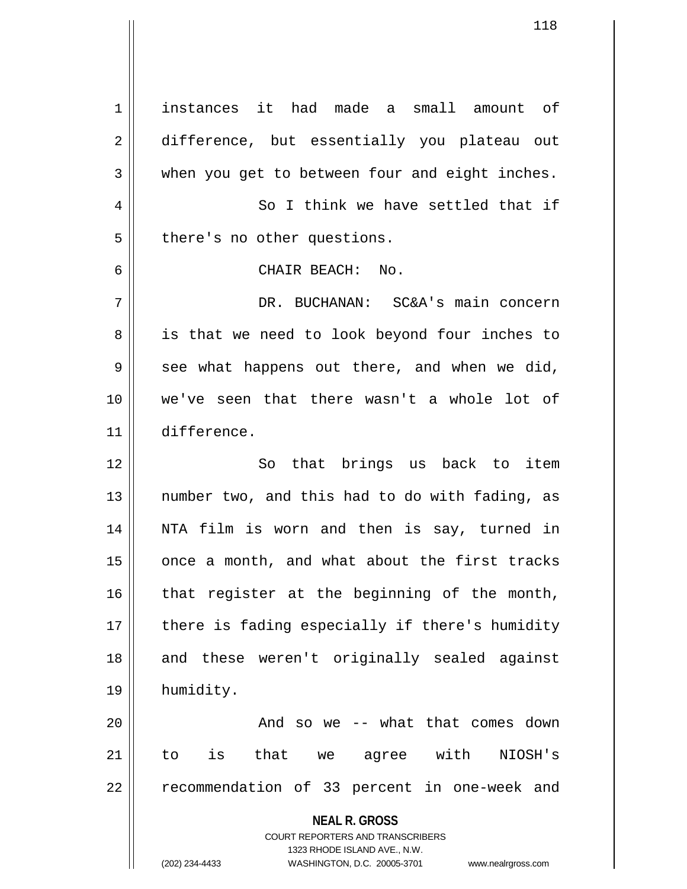**NEAL R. GROSS** COURT REPORTERS AND TRANSCRIBERS 1323 RHODE ISLAND AVE., N.W. (202) 234-4433 WASHINGTON, D.C. 20005-3701 www.nealrgross.com 1 instances it had made a small amount of 2 difference, but essentially you plateau out  $3 \parallel$  when you get to between four and eight inches. 4 || So I think we have settled that if  $5$  || there's no other questions. 6 CHAIR BEACH: No. 7 DR. BUCHANAN: SC&A's main concern 8 || is that we need to look beyond four inches to  $9 \parallel$  see what happens out there, and when we did, 10 we've seen that there wasn't a whole lot of 11 difference. 12 || So that brings us back to item 13 || number two, and this had to do with fading, as 14 NTA film is worn and then is say, turned in  $15$  | once a month, and what about the first tracks  $16$  that register at the beginning of the month, 17 || there is fading especially if there's humidity 18 || and these weren't originally sealed against 19 humidity. 20 And so we -- what that comes down 21 to is that we agree with NIOSH's 22 || recommendation of 33 percent in one-week and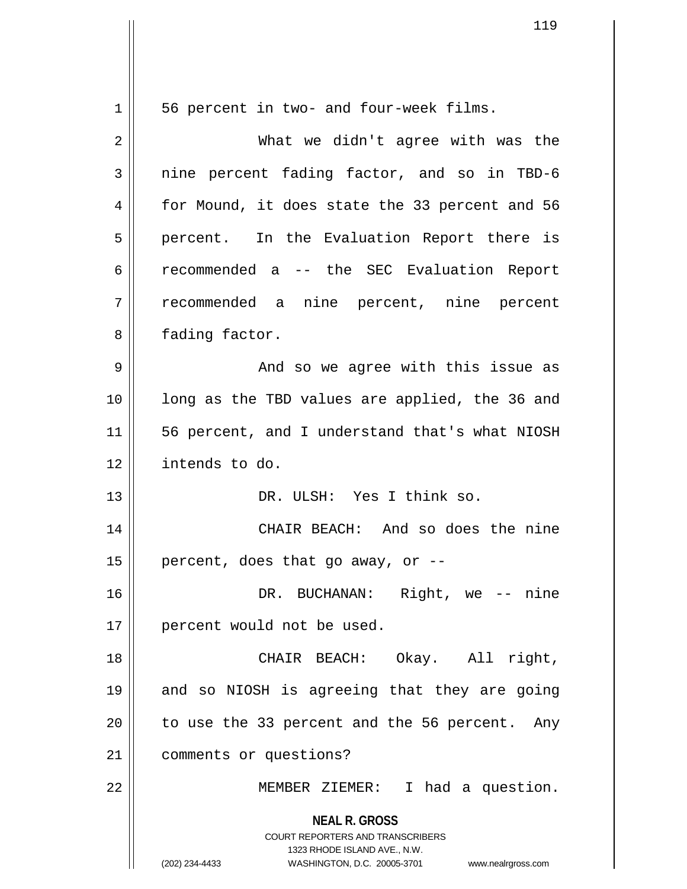**NEAL R. GROSS** COURT REPORTERS AND TRANSCRIBERS 1323 RHODE ISLAND AVE., N.W. (202) 234-4433 WASHINGTON, D.C. 20005-3701 www.nealrgross.com 1 || 56 percent in two- and four-week films. 2 What we didn't agree with was the  $3 \parallel$  nine percent fading factor, and so in TBD-6 4 for Mound, it does state the 33 percent and 56 5 || percent. In the Evaluation Report there is 6 recommended a -- the SEC Evaluation Report 7 recommended a nine percent, nine percent 8 | fading factor. 9 And so we agree with this issue as 10 || long as the TBD values are applied, the 36 and 11 56 percent, and I understand that's what NIOSH 12 intends to do. 13 DR. ULSH: Yes I think so. 14 CHAIR BEACH: And so does the nine 15 | percent, does that go away, or  $-$ -16 DR. BUCHANAN: Right, we -- nine 17 || percent would not be used. 18 CHAIR BEACH: Okay. All right, 19 and so NIOSH is agreeing that they are going  $20$  | to use the 33 percent and the 56 percent. Any 21 | comments or questions? 22 || MEMBER ZIEMER: I had a question.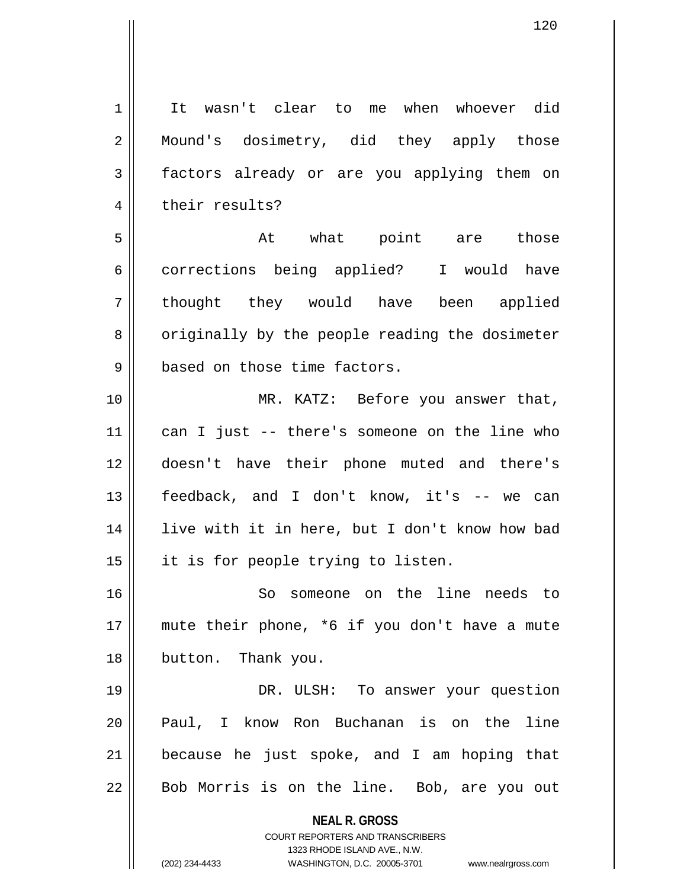**NEAL R. GROSS** COURT REPORTERS AND TRANSCRIBERS 1323 RHODE ISLAND AVE., N.W. (202) 234-4433 WASHINGTON, D.C. 20005-3701 www.nealrgross.com 1<sup>I</sup> It wasn't clear to me when whoever did 2 | Mound's dosimetry, did they apply those 3 factors already or are you applying them on 4 | their results? 5 At what point are those 6 corrections being applied? I would have 7 || thought they would have been applied 8 | originally by the people reading the dosimeter 9 | based on those time factors. 10 || MR. KATZ: Before you answer that, 11 can I just -- there's someone on the line who 12 doesn't have their phone muted and there's 13 feedback, and I don't know, it's -- we can 14 live with it in here, but I don't know how bad 15 || it is for people trying to listen. 16 So someone on the line needs to 17 mute their phone, \*6 if you don't have a mute 18 || button. Thank you. 19 DR. ULSH: To answer your question 20 || Paul, I know Ron Buchanan is on the line  $21$  because he just spoke, and I am hoping that  $22 \parallel$  Bob Morris is on the line. Bob, are you out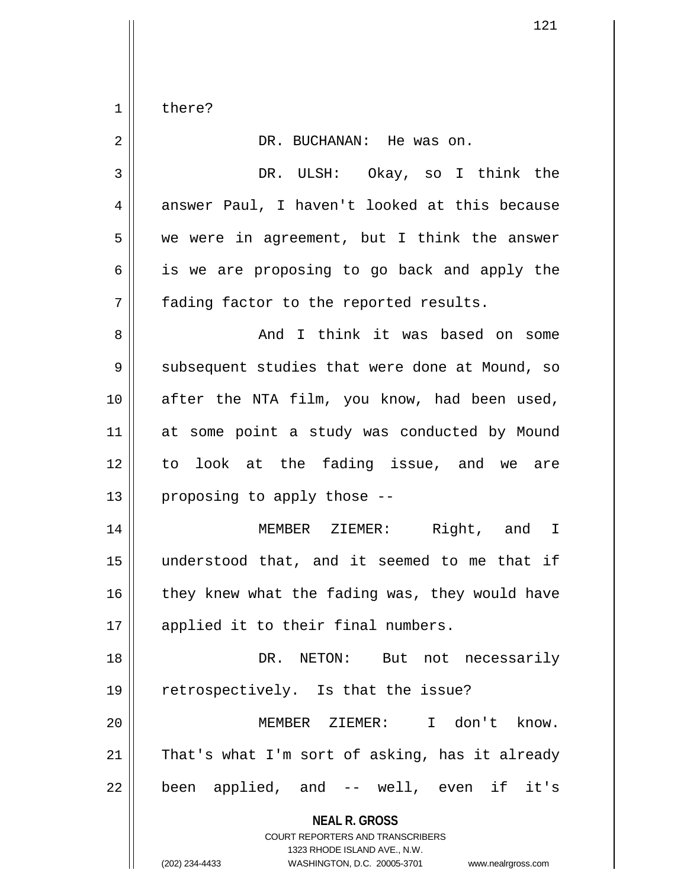$1 \parallel$  there?

| 2              | DR. BUCHANAN: He was on.                                                                                                                                               |
|----------------|------------------------------------------------------------------------------------------------------------------------------------------------------------------------|
| 3              | DR. ULSH: Okay, so I think the                                                                                                                                         |
| $\overline{4}$ | answer Paul, I haven't looked at this because                                                                                                                          |
| 5              | we were in agreement, but I think the answer                                                                                                                           |
| 6              | is we are proposing to go back and apply the                                                                                                                           |
| 7              | fading factor to the reported results.                                                                                                                                 |
| 8              | And I think it was based on some                                                                                                                                       |
| 9              | subsequent studies that were done at Mound, so                                                                                                                         |
| 10             | after the NTA film, you know, had been used,                                                                                                                           |
| 11             | at some point a study was conducted by Mound                                                                                                                           |
| 12             | to look at the fading issue, and we are                                                                                                                                |
| 13             | proposing to apply those --                                                                                                                                            |
| 14             | MEMBER ZIEMER: Right, and I                                                                                                                                            |
| 15             | understood that, and it seemed to me that if                                                                                                                           |
| 16             | they knew what the fading was, they would have                                                                                                                         |
| 17             | applied it to their final numbers.                                                                                                                                     |
| 18             | DR. NETON: But not necessarily                                                                                                                                         |
| 19             | retrospectively. Is that the issue?                                                                                                                                    |
| 20             | I don't know.<br>MEMBER ZIEMER:                                                                                                                                        |
| 21             | That's what I'm sort of asking, has it already                                                                                                                         |
| 22             | been applied, and -- well, even if it's                                                                                                                                |
|                | <b>NEAL R. GROSS</b><br><b>COURT REPORTERS AND TRANSCRIBERS</b><br>1323 RHODE ISLAND AVE., N.W.<br>WASHINGTON, D.C. 20005-3701<br>(202) 234-4433<br>www.nealrgross.com |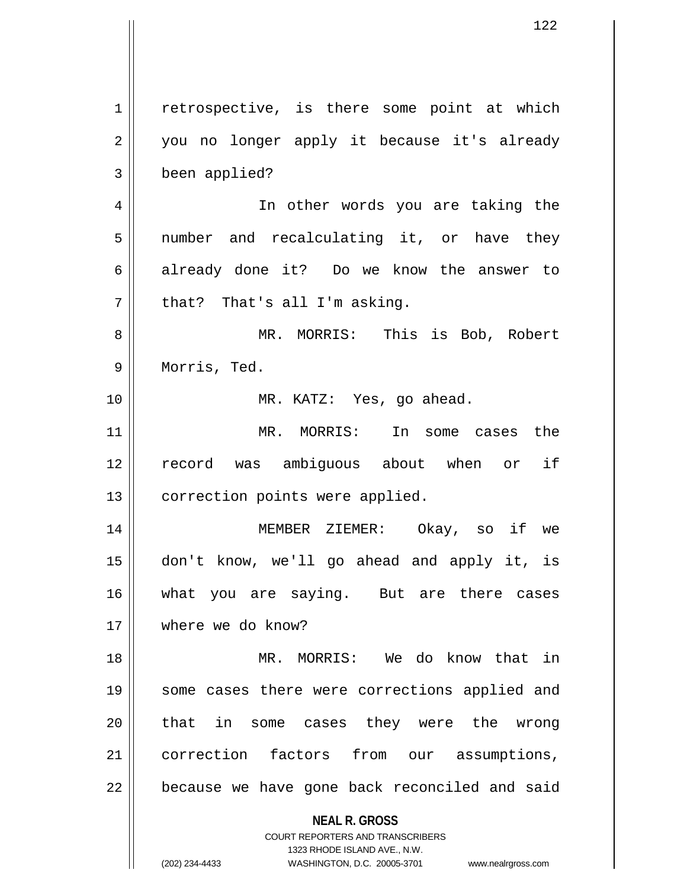**NEAL R. GROSS** COURT REPORTERS AND TRANSCRIBERS 1323 RHODE ISLAND AVE., N.W. (202) 234-4433 WASHINGTON, D.C. 20005-3701 www.nealrgross.com 1 | retrospective, is there some point at which 2 || you no longer apply it because it's already 3 been applied? 4 || In other words you are taking the 5 || number and recalculating it, or have they 6 already done it? Do we know the answer to  $7$  || that? That's all I'm asking. 8 MR. MORRIS: This is Bob, Robert 9 || Morris, Ted. 10 MR. KATZ: Yes, go ahead. 11 MR. MORRIS: In some cases the 12 record was ambiguous about when or if 13 | correction points were applied. 14 MEMBER ZIEMER: Okay, so if we 15 don't know, we'll go ahead and apply it, is 16 || what you are saying. But are there cases 17 where we do know? 18 MR. MORRIS: We do know that in 19 || some cases there were corrections applied and 20 || that in some cases they were the wrong 21 || correction factors from our assumptions, 22 || because we have gone back reconciled and said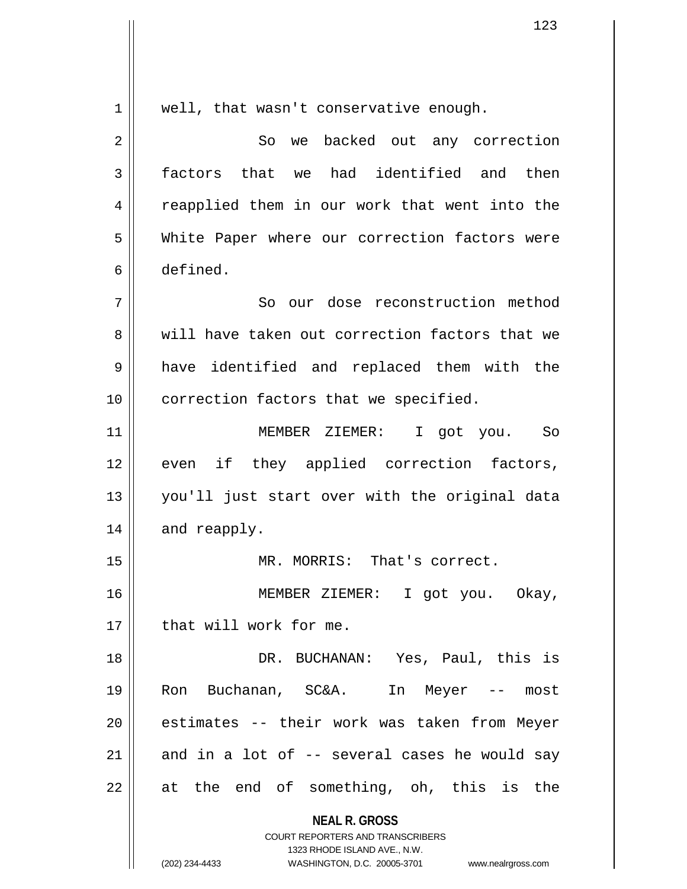**NEAL R. GROSS** COURT REPORTERS AND TRANSCRIBERS 1323 RHODE ISLAND AVE., N.W. 1 || well, that wasn't conservative enough. 2 || So we backed out any correction 3 factors that we had identified and then 4 || reapplied them in our work that went into the 5 White Paper where our correction factors were 6 defined. 7 || So our dose reconstruction method 8 We will have taken out correction factors that we 9 || have identified and replaced them with the 10 | correction factors that we specified. 11 MEMBER ZIEMER: I got you. So 12 || even if they applied correction factors, 13 you'll just start over with the original data  $14$  | and reapply. 15 MR. MORRIS: That's correct. 16 MEMBER ZIEMER: I got you. Okay, 17 || that will work for me. 18 DR. BUCHANAN: Yes, Paul, this is 19 Ron Buchanan, SC&A. In Meyer -- most 20 || estimates -- their work was taken from Meyer 21  $\parallel$  and in a lot of -- several cases he would say  $22$  || at the end of something, oh, this is the

(202) 234-4433 WASHINGTON, D.C. 20005-3701 www.nealrgross.com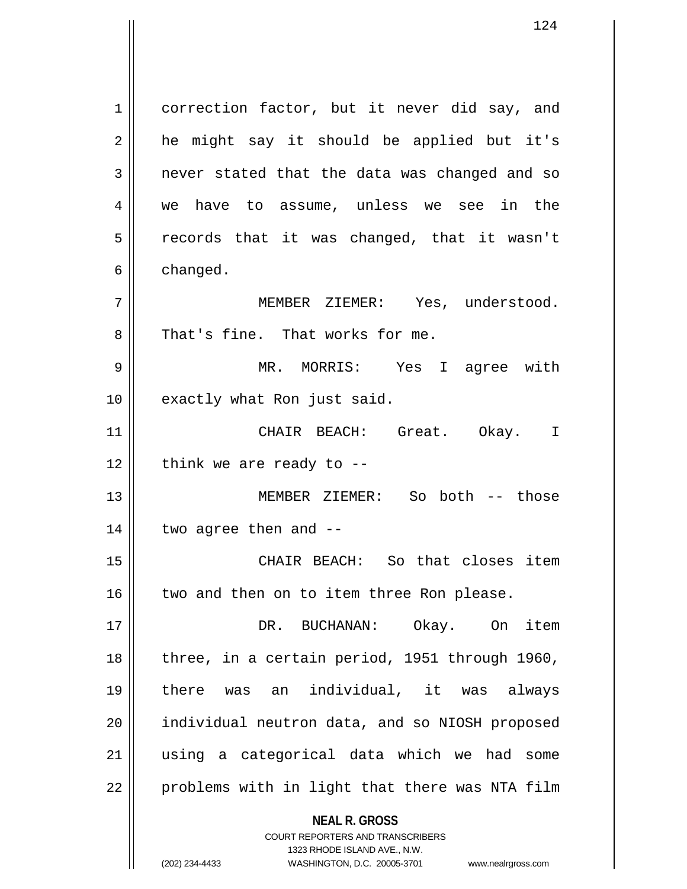**NEAL R. GROSS** COURT REPORTERS AND TRANSCRIBERS 1 correction factor, but it never did say, and  $2 \parallel$  he might say it should be applied but it's 3 || never stated that the data was changed and so 4 we have to assume, unless we see in the  $5 \parallel$  records that it was changed, that it wasn't  $6 \parallel$  changed. 7 MEMBER ZIEMER: Yes, understood. 8 || That's fine. That works for me. 9 MR. MORRIS: Yes I agree with 10 || exactly what Ron just said. 11 CHAIR BEACH: Great. Okay. I  $12$  | think we are ready to  $-$ 13 MEMBER ZIEMER: So both -- those  $14$  | two agree then and  $-$ 15 CHAIR BEACH: So that closes item 16 || two and then on to item three Ron please. 17 DR. BUCHANAN: Okay. On item 18 || three, in a certain period, 1951 through 1960, 19 there was an individual, it was always 20 individual neutron data, and so NIOSH proposed 21 using a categorical data which we had some  $22$  | problems with in light that there was NTA film

1323 RHODE ISLAND AVE., N.W.

124

(202) 234-4433 WASHINGTON, D.C. 20005-3701 www.nealrgross.com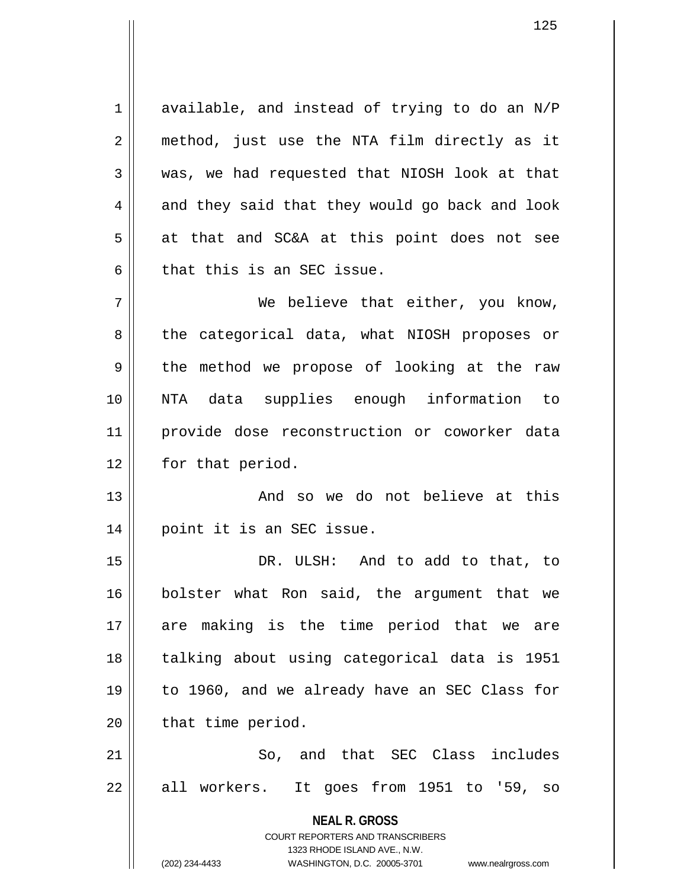$1 \parallel$  available, and instead of trying to do an N/P 2 || method, just use the NTA film directly as it 3 was, we had requested that NIOSH look at that  $4 \parallel$  and they said that they would go back and look  $5 \parallel$  at that and SC&A at this point does not see  $6$  that this is an SEC issue.

7 We believe that either, you know, 8 the categorical data, what NIOSH proposes or  $9 \parallel$  the method we propose of looking at the raw 10 NTA data supplies enough information to 11 provide dose reconstruction or coworker data 12 | for that period.

13 And so we do not believe at this 14 point it is an SEC issue.

15 DR. ULSH: And to add to that, to 16 bolster what Ron said, the argument that we 17 are making is the time period that we are 18 || talking about using categorical data is 1951 19 to 1960, and we already have an SEC Class for  $20$  | that time period.

21 || So, and that SEC Class includes  $22 \parallel$  all workers. It goes from 1951 to '59, so

**NEAL R. GROSS**

COURT REPORTERS AND TRANSCRIBERS 1323 RHODE ISLAND AVE., N.W. (202) 234-4433 WASHINGTON, D.C. 20005-3701 www.nealrgross.com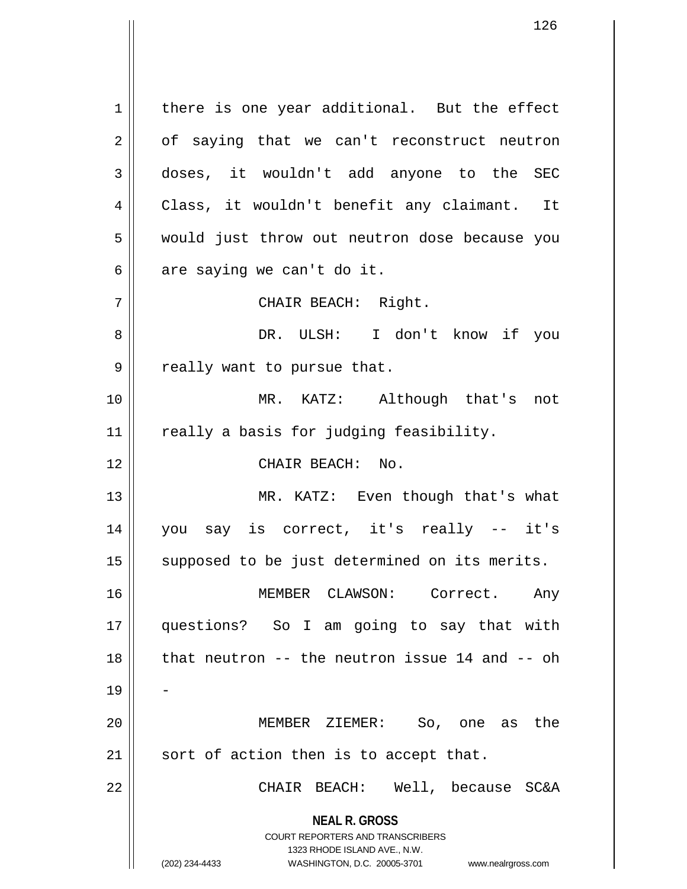**NEAL R. GROSS** COURT REPORTERS AND TRANSCRIBERS 1323 RHODE ISLAND AVE., N.W. (202) 234-4433 WASHINGTON, D.C. 20005-3701 www.nealrgross.com  $1 \parallel$  there is one year additional. But the effect  $2 \parallel$  of saying that we can't reconstruct neutron 3 doses, it wouldn't add anyone to the SEC 4 Class, it wouldn't benefit any claimant. It 5 || would just throw out neutron dose because you  $6 \parallel$  are saying we can't do it. 7 || CHAIR BEACH: Right. 8 DR. ULSH: I don't know if you 9 || really want to pursue that. 10 MR. KATZ: Although that's not 11 | really a basis for judging feasibility. 12 || CHAIR BEACH: No. 13 || MR. KATZ: Even though that's what 14 you say is correct, it's really -- it's 15 || supposed to be just determined on its merits. 16 MEMBER CLAWSON: Correct. Any 17 questions? So I am going to say that with  $18$  || that neutron -- the neutron issue 14 and -- oh 19 20 MEMBER ZIEMER: So, one as the  $21$  sort of action then is to accept that. 22 CHAIR BEACH: Well, because SC&A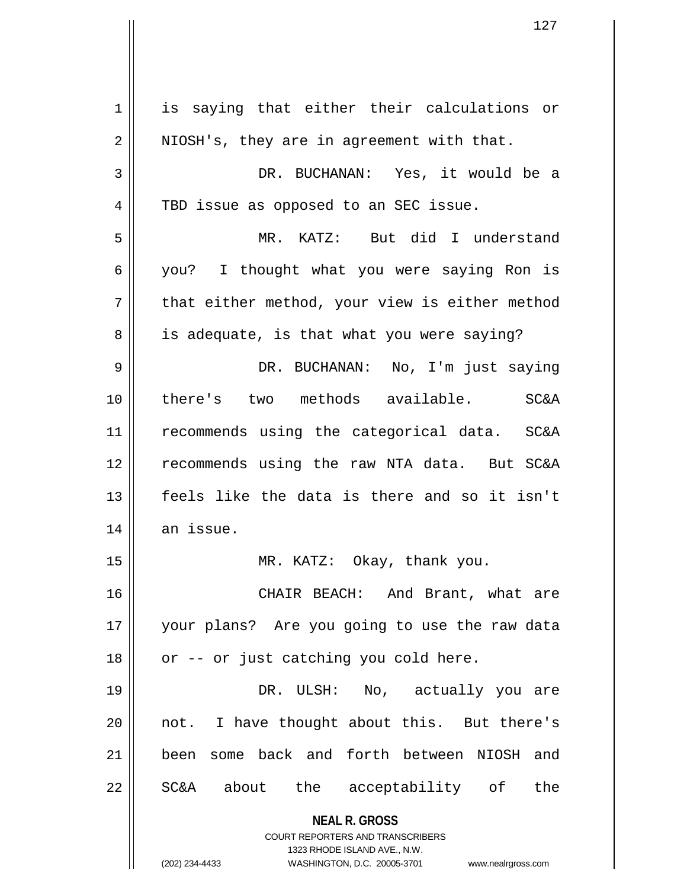**NEAL R. GROSS** COURT REPORTERS AND TRANSCRIBERS 1323 RHODE ISLAND AVE., N.W. (202) 234-4433 WASHINGTON, D.C. 20005-3701 www.nealrgross.com 1 is saying that either their calculations or  $2 \parallel$  NIOSH's, they are in agreement with that. 3 DR. BUCHANAN: Yes, it would be a 4 || TBD issue as opposed to an SEC issue. 5 MR. KATZ: But did I understand 6 you? I thought what you were saying Ron is  $7 \parallel$  that either method, your view is either method 8 || is adequate, is that what you were saying? 9 DR. BUCHANAN: No, I'm just saying 10 there's two methods available. SC&A 11 || recommends using the categorical data. SC&A 12 || recommends using the raw NTA data. But SC&A 13 feels like the data is there and so it isn't  $14$  an issue. 15 || MR. KATZ: Okay, thank you. 16 CHAIR BEACH: And Brant, what are 17 your plans? Are you going to use the raw data  $18$  | or -- or just catching you cold here. 19 DR. ULSH: No, actually you are 20 not. I have thought about this. But there's 21 been some back and forth between NIOSH and 22 || SC&A about the acceptability of the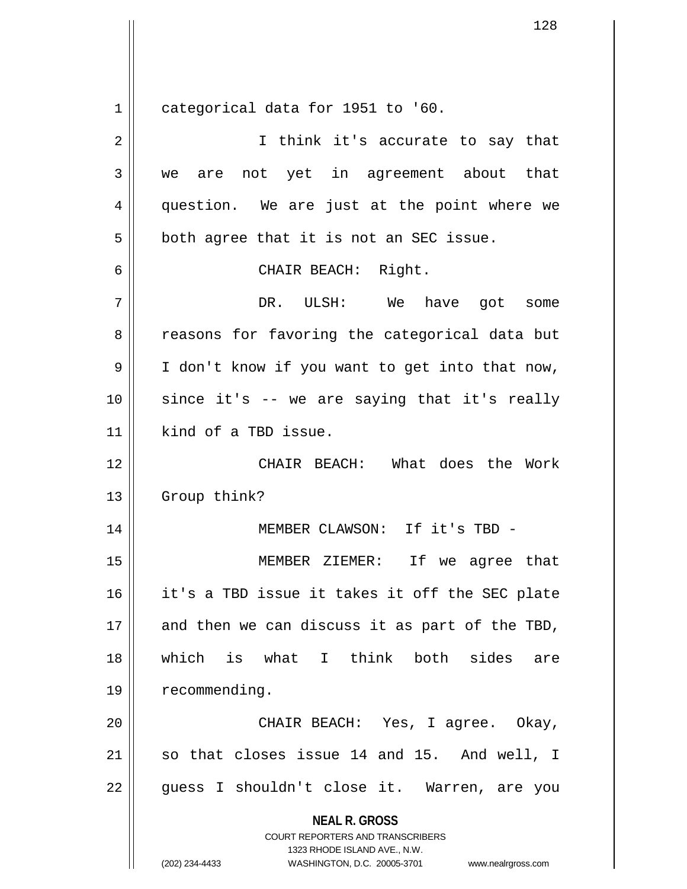$1$  categorical data for 1951 to '60.

| $\overline{2}$ | I think it's accurate to say that                                                                                                                               |
|----------------|-----------------------------------------------------------------------------------------------------------------------------------------------------------------|
| 3              | not yet in agreement about that<br>we are                                                                                                                       |
| 4              | question. We are just at the point where we                                                                                                                     |
| 5              | both agree that it is not an SEC issue.                                                                                                                         |
| 6              | CHAIR BEACH: Right.                                                                                                                                             |
| 7              | DR. ULSH: We have got some                                                                                                                                      |
| 8              | reasons for favoring the categorical data but                                                                                                                   |
| 9              | I don't know if you want to get into that now,                                                                                                                  |
| 10             | since it's -- we are saying that it's really                                                                                                                    |
| 11             | kind of a TBD issue.                                                                                                                                            |
| 12             | CHAIR BEACH: What does the Work                                                                                                                                 |
| 13             | Group think?                                                                                                                                                    |
| 14             | MEMBER CLAWSON: If it's TBD -                                                                                                                                   |
| 15             | MEMBER ZIEMER: If we agree that                                                                                                                                 |
| 16             | it's a TBD issue it takes it off the SEC plate                                                                                                                  |
| $17\,$         | and then we can discuss it as part of the TBD,                                                                                                                  |
| 18             | which is what I think both sides<br>are                                                                                                                         |
| 19             | recommending.                                                                                                                                                   |
| 20             | CHAIR BEACH: Yes, I agree. Okay,                                                                                                                                |
| 21             | so that closes issue 14 and 15. And well, I                                                                                                                     |
| 22             | guess I shouldn't close it. Warren, are you                                                                                                                     |
|                | <b>NEAL R. GROSS</b><br>COURT REPORTERS AND TRANSCRIBERS<br>1323 RHODE ISLAND AVE., N.W.<br>(202) 234-4433<br>WASHINGTON, D.C. 20005-3701<br>www.nealrgross.com |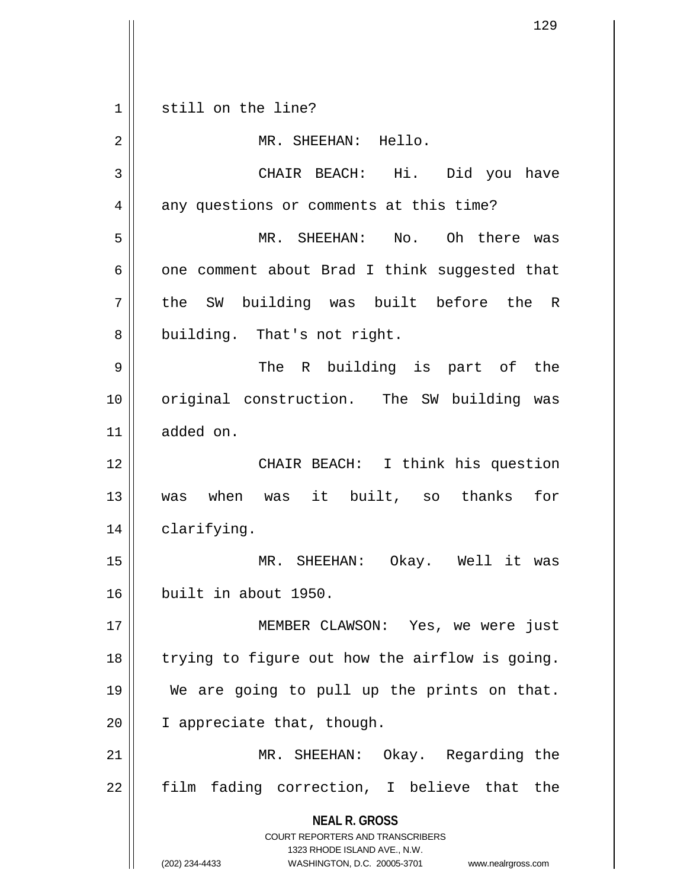**NEAL R. GROSS** COURT REPORTERS AND TRANSCRIBERS 1323 RHODE ISLAND AVE., N.W. (202) 234-4433 WASHINGTON, D.C. 20005-3701 www.nealrgross.com 1 || still on the line? 2 || MR. SHEEHAN: Hello. 3 CHAIR BEACH: Hi. Did you have 4 | any questions or comments at this time? 5 MR. SHEEHAN: No. Oh there was  $6 \parallel$  one comment about Brad I think suggested that 7 || the SW building was built before the R 8 | building. That's not right. 9 The R building is part of the 10 || original construction. The SW building was 11 added on. 12 || CHAIR BEACH: I think his question 13 was when was it built, so thanks for 14 | clarifying. 15 MR. SHEEHAN: Okay. Well it was 16 built in about 1950. 17 || MEMBER CLAWSON: Yes, we were just  $18$  | trying to figure out how the airflow is going. 19 We are going to pull up the prints on that. 20 | I appreciate that, though. 21 MR. SHEEHAN: Okay. Regarding the  $22$  film fading correction, I believe that the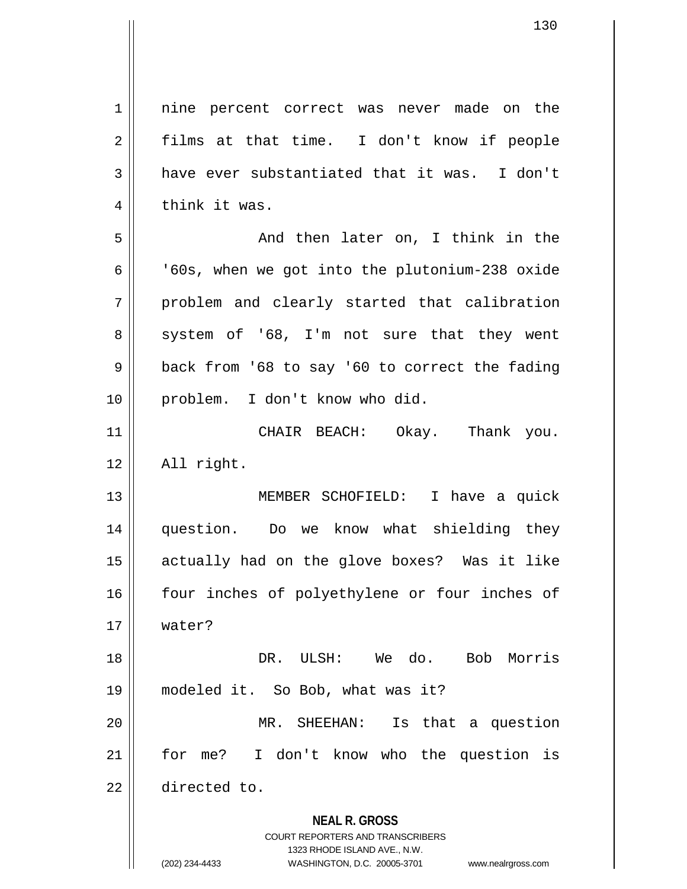**NEAL R. GROSS** COURT REPORTERS AND TRANSCRIBERS 1323 RHODE ISLAND AVE., N.W. (202) 234-4433 WASHINGTON, D.C. 20005-3701 www.nealrgross.com 1 || nine percent correct was never made on the  $2 \parallel$  films at that time. I don't know if people  $3 \parallel$  have ever substantiated that it was. I don't  $4 \parallel$  think it was. 5 And then later on, I think in the  $6 \parallel$  '60s, when we got into the plutonium-238 oxide  $7 \parallel$  problem and clearly started that calibration  $8 \parallel$  system of '68, I'm not sure that they went  $9 \parallel$  back from '68 to say '60 to correct the fading 10 || problem. I don't know who did. 11 CHAIR BEACH: Okay. Thank you.  $12$  | All right. 13 MEMBER SCHOFIELD: I have a quick 14 question. Do we know what shielding they 15 actually had on the glove boxes? Was it like 16 four inches of polyethylene or four inches of 17 water? 18 DR. ULSH: We do. Bob Morris 19 modeled it. So Bob, what was it? 20 MR. SHEEHAN: Is that a question 21 || for me? I don't know who the question is 22 directed to.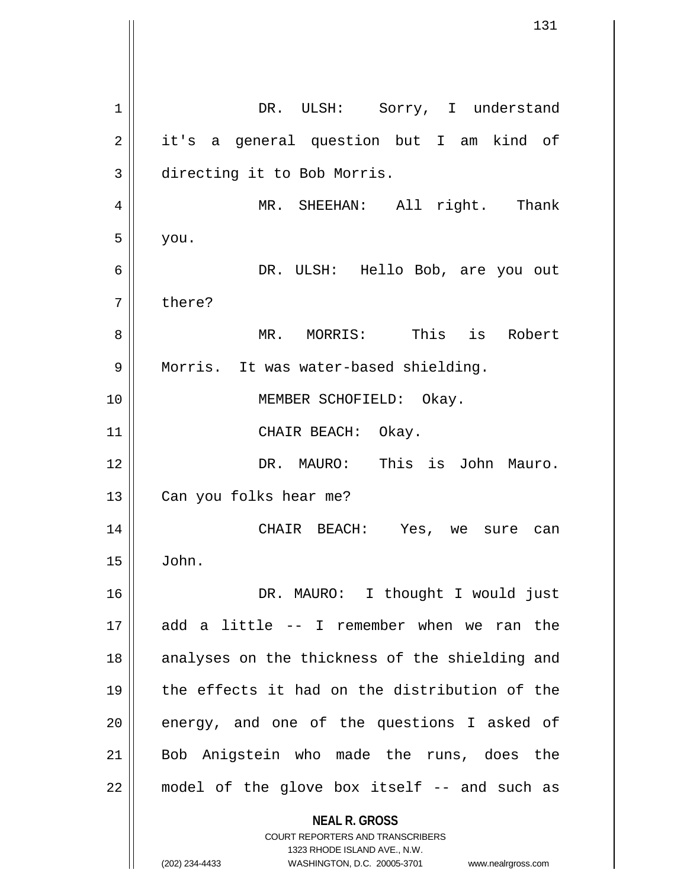**NEAL R. GROSS** COURT REPORTERS AND TRANSCRIBERS 1323 RHODE ISLAND AVE., N.W. 1 || DR. ULSH: Sorry, I understand 2 || it's a general question but I am kind of 3 directing it to Bob Morris. 4 || MR. SHEEHAN: All right. Thank  $5 \parallel$  you. 6 DR. ULSH: Hello Bob, are you out 7 bhere? 8 MR. MORRIS: This is Robert 9 | Morris. It was water-based shielding. 10 || **MEMBER SCHOFIELD:** Okay. 11 || CHAIR BEACH: Okay. 12 DR. MAURO: This is John Mauro. 13 || Can you folks hear me? 14 CHAIR BEACH: Yes, we sure can  $15 \parallel$  John. 16 || DR. MAURO: I thought I would just 17 add a little -- I remember when we ran the 18 || analyses on the thickness of the shielding and 19 the effects it had on the distribution of the  $20$  || energy, and one of the questions I asked of 21 Bob Anigstein who made the runs, does the  $22$  || model of the glove box itself  $-$  and such as

(202) 234-4433 WASHINGTON, D.C. 20005-3701 www.nealrgross.com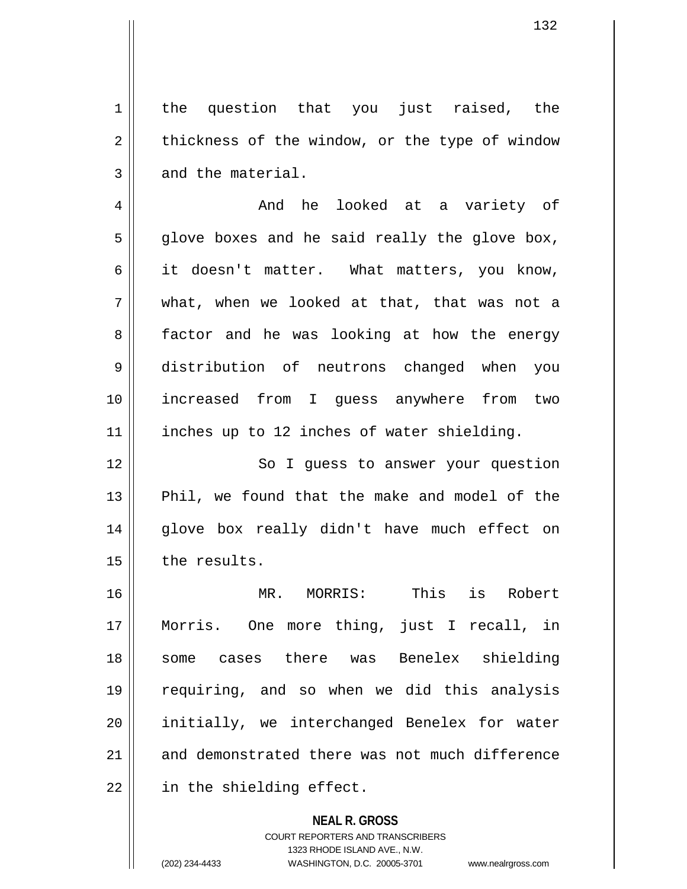1 || the question that you just raised, the  $2 \parallel$  thickness of the window, or the type of window  $3 \parallel$  and the material.

4 And he looked at a variety of  $5 \parallel$  glove boxes and he said really the glove box, 6 it doesn't matter. What matters, you know, 7 what, when we looked at that, that was not a 8 || factor and he was looking at how the energy 9 distribution of neutrons changed when you 10 increased from I guess anywhere from two 11 | inches up to 12 inches of water shielding.

12 || So I guess to answer your question 13 || Phil, we found that the make and model of the 14 || glove box really didn't have much effect on 15 | the results.

16 MR. MORRIS: This is Robert 17 Morris. One more thing, just I recall, in 18 some cases there was Benelex shielding 19 requiring, and so when we did this analysis 20 || initially, we interchanged Benelex for water 21 and demonstrated there was not much difference 22 || in the shielding effect.

> **NEAL R. GROSS** COURT REPORTERS AND TRANSCRIBERS 1323 RHODE ISLAND AVE., N.W. (202) 234-4433 WASHINGTON, D.C. 20005-3701 www.nealrgross.com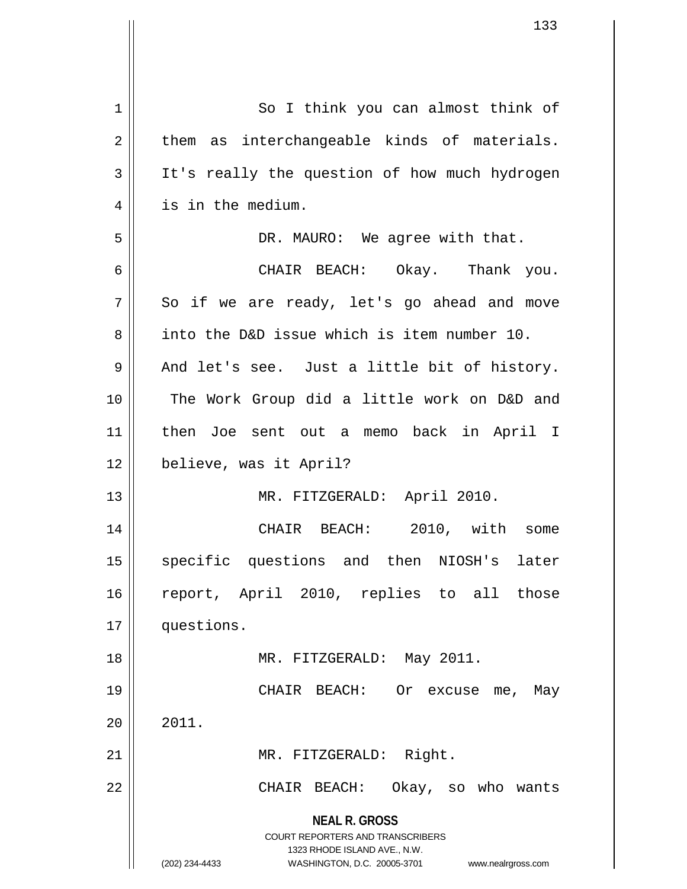| 133                                                                                                                                                             |
|-----------------------------------------------------------------------------------------------------------------------------------------------------------------|
|                                                                                                                                                                 |
| So I think you can almost think of                                                                                                                              |
| as interchangeable kinds of materials.<br>them                                                                                                                  |
| It's really the question of how much hydrogen                                                                                                                   |
| is in the medium.                                                                                                                                               |
| DR. MAURO: We agree with that.                                                                                                                                  |
| CHAIR BEACH: Okay. Thank you.                                                                                                                                   |
| So if we are ready, let's go ahead and move                                                                                                                     |
| into the D&D issue which is item number 10.                                                                                                                     |
| And let's see. Just a little bit of history.                                                                                                                    |
| The Work Group did a little work on D&D and                                                                                                                     |
| then Joe sent out a memo back in April I                                                                                                                        |
| believe, was it April?                                                                                                                                          |
| MR. FITZGERALD: April 2010.                                                                                                                                     |
| 2010, with<br>CHAIR BEACH:<br>some                                                                                                                              |
| specific questions and then NIOSH's later                                                                                                                       |
| report, April 2010, replies to all those                                                                                                                        |
| questions.                                                                                                                                                      |
| MR. FITZGERALD: May 2011.                                                                                                                                       |
| CHAIR BEACH:<br>Or excuse me,<br>May                                                                                                                            |
| 2011.                                                                                                                                                           |
| MR. FITZGERALD: Right.                                                                                                                                          |
| Okay, so who wants<br>CHAIR BEACH:                                                                                                                              |
| <b>NEAL R. GROSS</b><br>COURT REPORTERS AND TRANSCRIBERS<br>1323 RHODE ISLAND AVE., N.W.<br>(202) 234-4433<br>WASHINGTON, D.C. 20005-3701<br>www.nealrgross.com |
|                                                                                                                                                                 |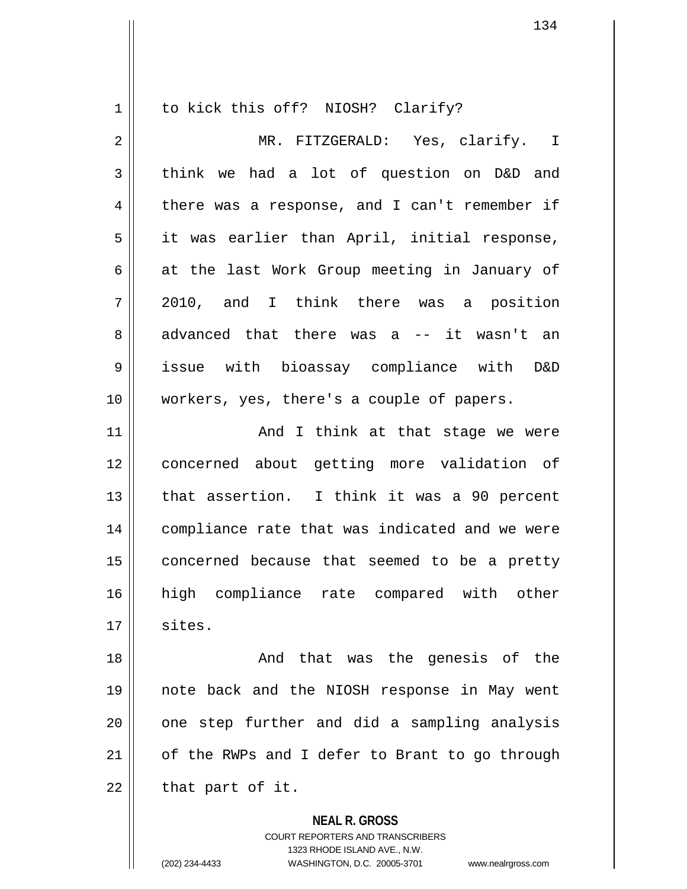1 || to kick this off? NIOSH? Clarify? 2 MR. FITZGERALD: Yes, clarify. I  $3 \parallel$  think we had a lot of question on D&D and 4 there was a response, and I can't remember if 5 || it was earlier than April, initial response,  $6 \parallel$  at the last Work Group meeting in January of 7 2010, and I think there was a position 8 advanced that there was a -- it wasn't an 9 issue with bioassay compliance with D&D 10 workers, yes, there's a couple of papers. 11 || And I think at that stage we were 12 concerned about getting more validation of 13 || that assertion. I think it was a 90 percent 14 compliance rate that was indicated and we were  $15$  concerned because that seemed to be a pretty 16 high compliance rate compared with other  $17 \parallel$  sites. 18 || The Genesis of the genesis of the same and that was the genesis of the 19 note back and the NIOSH response in May went 20 || one step further and did a sampling analysis 21 | of the RWPs and I defer to Brant to go through  $22$  || that part of it.

> **NEAL R. GROSS** COURT REPORTERS AND TRANSCRIBERS 1323 RHODE ISLAND AVE., N.W. (202) 234-4433 WASHINGTON, D.C. 20005-3701 www.nealrgross.com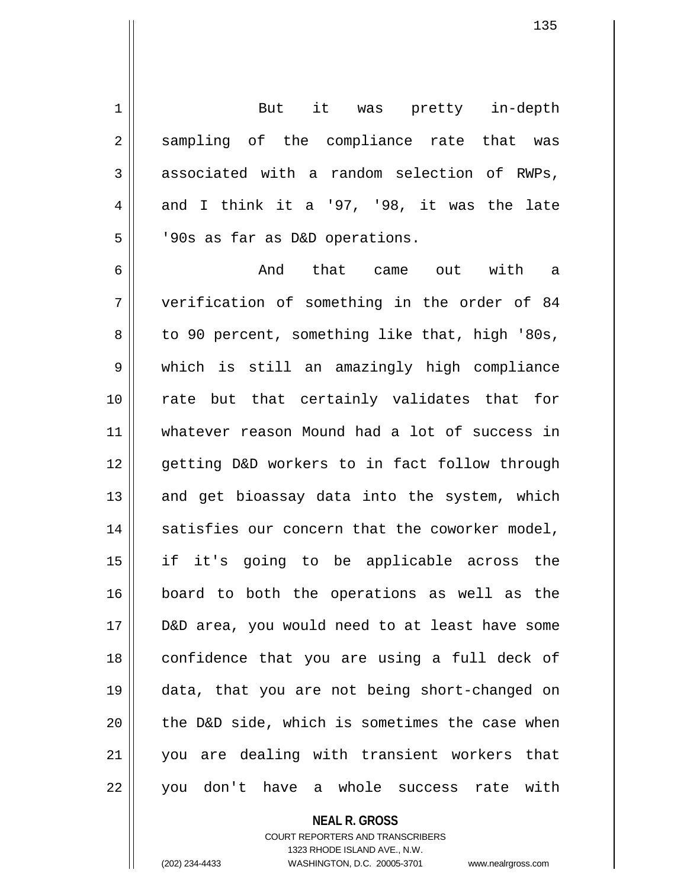1 || But it was pretty in-depth 2 || sampling of the compliance rate that was  $3 \parallel$  associated with a random selection of RWPs, 4 and I think it a '97, '98, it was the late 5 | 90s as far as D&D operations.

6 And that came out with a 7 verification of something in the order of 84  $8 \parallel$  to 90 percent, something like that, high '80s, 9 which is still an amazingly high compliance 10 || rate but that certainly validates that for 11 whatever reason Mound had a lot of success in 12 || qetting D&D workers to in fact follow through  $13$  and get bioassay data into the system, which 14 || satisfies our concern that the coworker model, 15 if it's going to be applicable across the 16 board to both the operations as well as the 17 D&D area, you would need to at least have some 18 || confidence that you are using a full deck of 19 data, that you are not being short-changed on  $20$  | the D&D side, which is sometimes the case when 21 you are dealing with transient workers that 22 || you don't have a whole success rate with

## **NEAL R. GROSS**

COURT REPORTERS AND TRANSCRIBERS 1323 RHODE ISLAND AVE., N.W. (202) 234-4433 WASHINGTON, D.C. 20005-3701 www.nealrgross.com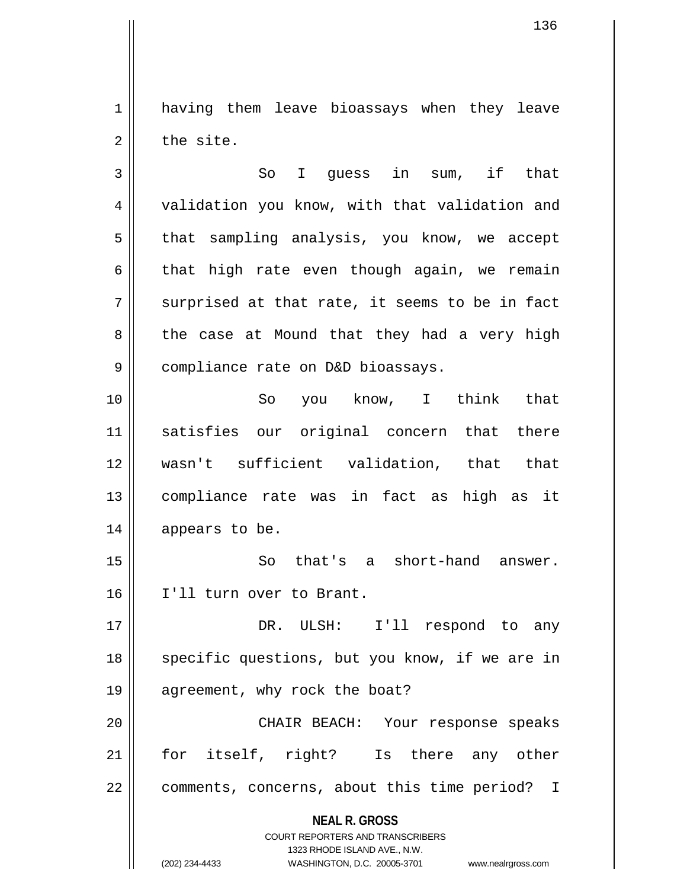1 || having them leave bioassays when they leave  $2 \parallel$  the site.

3 || So I guess in sum, if that 4 | validation you know, with that validation and 5 | that sampling analysis, you know, we accept  $6 \parallel$  that high rate even though again, we remain  $7 \parallel$  surprised at that rate, it seems to be in fact  $8 \parallel$  the case at Mound that they had a very high 9 | compliance rate on D&D bioassays.

10 So you know, I think that 11 satisfies our original concern that there 12 wasn't sufficient validation, that that 13 compliance rate was in fact as high as it 14 | appears to be.

15 So that's a short-hand answer. 16 I'll turn over to Brant.

17 DR. ULSH: I'll respond to any 18 || specific questions, but you know, if we are in 19 || agreement, why rock the boat?

20 CHAIR BEACH: Your response speaks 21 || for itself, right? Is there any other 22 || comments, concerns, about this time period? I

> **NEAL R. GROSS** COURT REPORTERS AND TRANSCRIBERS

> > 1323 RHODE ISLAND AVE., N.W.

(202) 234-4433 WASHINGTON, D.C. 20005-3701 www.nealrgross.com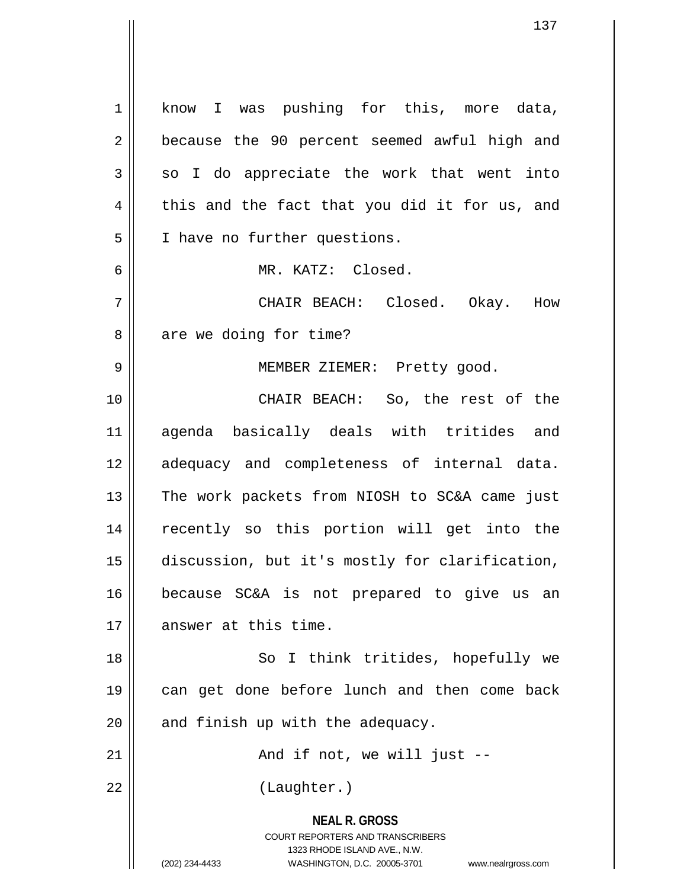**NEAL R. GROSS** COURT REPORTERS AND TRANSCRIBERS 1323 RHODE ISLAND AVE., N.W. (202) 234-4433 WASHINGTON, D.C. 20005-3701 www.nealrgross.com 1 || know I was pushing for this, more data, 2 || because the 90 percent seemed awful high and  $3 \parallel$  so I do appreciate the work that went into  $4 \parallel$  this and the fact that you did it for us, and 5 | I have no further questions. 6 MR. KATZ: Closed. 7 CHAIR BEACH: Closed. Okay. How  $8 \parallel$  are we doing for time? 9 || MEMBER ZIEMER: Pretty good. 10 CHAIR BEACH: So, the rest of the 11 agenda basically deals with tritides and 12 adequacy and completeness of internal data. 13 || The work packets from NIOSH to SC&A came just 14 recently so this portion will get into the 15 discussion, but it's mostly for clarification, 16 because SC&A is not prepared to give us an 17 answer at this time. 18 || So I think tritides, hopefully we 19 can get done before lunch and then come back  $20$  | and finish up with the adequacy.  $21$  ||  $\sim$  And if not, we will just --22 || (Laughter.)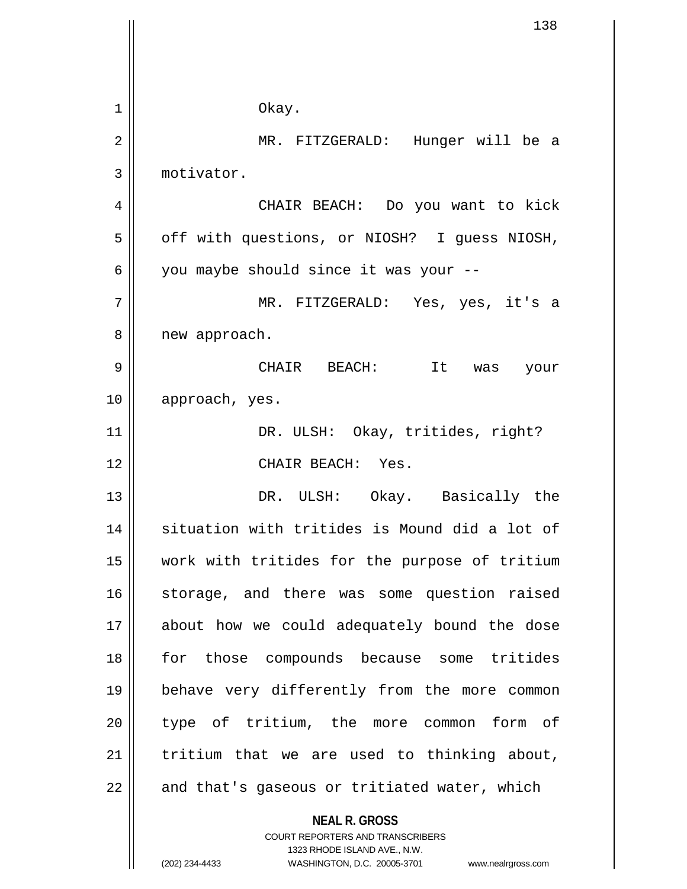|    | 138                                                                                                                                                                    |
|----|------------------------------------------------------------------------------------------------------------------------------------------------------------------------|
|    |                                                                                                                                                                        |
| 1  | Okay.                                                                                                                                                                  |
| 2  | MR. FITZGERALD: Hunger will be a                                                                                                                                       |
| 3  | motivator.                                                                                                                                                             |
| 4  | CHAIR BEACH: Do you want to kick                                                                                                                                       |
| 5  | off with questions, or NIOSH? I guess NIOSH,                                                                                                                           |
| 6  | you maybe should since it was your --                                                                                                                                  |
| 7  | MR. FITZGERALD: Yes, yes, it's a                                                                                                                                       |
| 8  | new approach.                                                                                                                                                          |
| 9  | CHAIR BEACH: It<br>was your                                                                                                                                            |
| 10 | approach, yes.                                                                                                                                                         |
| 11 | DR. ULSH: Okay, tritides, right?                                                                                                                                       |
| 12 | CHAIR BEACH: Yes.                                                                                                                                                      |
| 13 | DR. ULSH: Okay. Basically the                                                                                                                                          |
| 14 | situation with tritides is Mound did a lot of                                                                                                                          |
| 15 | work with tritides for the purpose of tritium                                                                                                                          |
| 16 | storage, and there was some question raised                                                                                                                            |
| 17 | about how we could adequately bound the dose                                                                                                                           |
| 18 | for those compounds because some tritides                                                                                                                              |
| 19 | behave very differently from the more common                                                                                                                           |
| 20 | type of tritium, the more common form of                                                                                                                               |
| 21 | tritium that we are used to thinking about,                                                                                                                            |
| 22 | and that's gaseous or tritiated water, which                                                                                                                           |
|    | <b>NEAL R. GROSS</b><br><b>COURT REPORTERS AND TRANSCRIBERS</b><br>1323 RHODE ISLAND AVE., N.W.<br>(202) 234-4433<br>WASHINGTON, D.C. 20005-3701<br>www.nealrgross.com |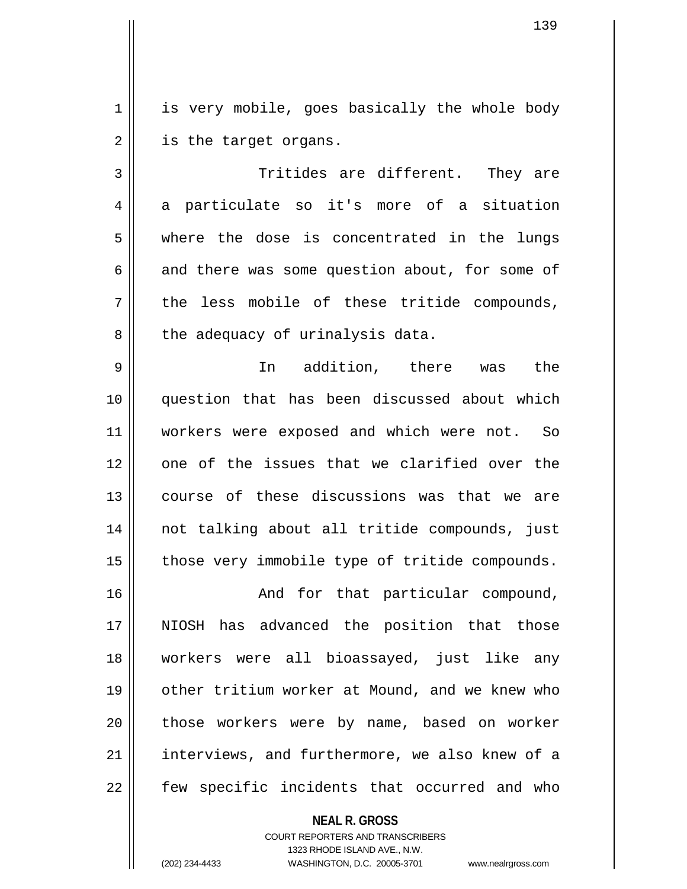1 || is very mobile, goes basically the whole body  $2 \parallel$  is the target organs.

3 Tritides are different. They are  $4 \parallel$  a particulate so it's more of a situation 5 where the dose is concentrated in the lungs  $6 \parallel$  and there was some question about, for some of 7 || the less mobile of these tritide compounds,  $8 \parallel$  the adequacy of urinalysis data.

9 In addition, there was the 10 question that has been discussed about which 11 || workers were exposed and which were not. So 12 || one of the issues that we clarified over the 13 course of these discussions was that we are 14 not talking about all tritide compounds, just  $15$  | those very immobile type of tritide compounds.

16 || The Solem Mand for that particular compound, 17 || NIOSH has advanced the position that those 18 workers were all bioassayed, just like any 19 other tritium worker at Mound, and we knew who 20 || those workers were by name, based on worker 21 || interviews, and furthermore, we also knew of a  $22$   $\parallel$  few specific incidents that occurred and who

> **NEAL R. GROSS** COURT REPORTERS AND TRANSCRIBERS 1323 RHODE ISLAND AVE., N.W. (202) 234-4433 WASHINGTON, D.C. 20005-3701 www.nealrgross.com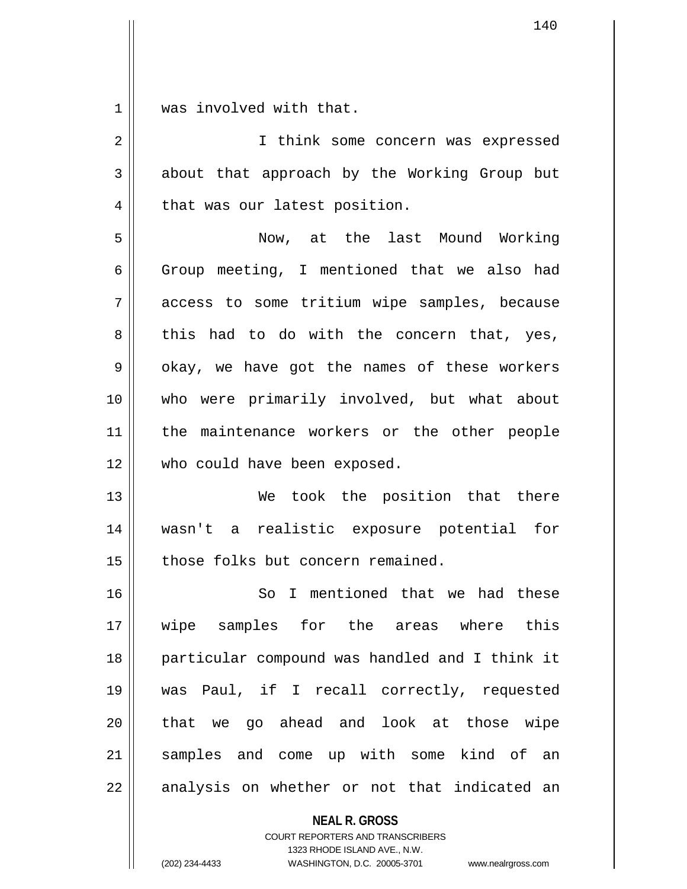1 || was involved with that.

| 2  | I think some concern was expressed             |
|----|------------------------------------------------|
| 3  | about that approach by the Working Group but   |
| 4  | that was our latest position.                  |
| 5  | Now, at the last Mound Working                 |
| 6  | Group meeting, I mentioned that we also had    |
| 7  | access to some tritium wipe samples, because   |
| 8  | this had to do with the concern that, yes,     |
| 9  | okay, we have got the names of these workers   |
| 10 | who were primarily involved, but what about    |
| 11 | the maintenance workers or the other people    |
| 12 | who could have been exposed.                   |
| 13 | We took the position that there                |
| 14 | wasn't a realistic exposure potential for      |
| 15 | those folks but concern remained.              |
| 16 | So I mentioned that we had these               |
| 17 | wipe samples for the areas where this          |
| 18 | particular compound was handled and I think it |
| 19 | was Paul, if I recall correctly, requested     |
| 20 | that we go ahead and look at those wipe        |
| 21 | samples and come up with some kind of an       |
| 22 | analysis on whether or not that indicated an   |

**NEAL R. GROSS**

COURT REPORTERS AND TRANSCRIBERS 1323 RHODE ISLAND AVE., N.W. (202) 234-4433 WASHINGTON, D.C. 20005-3701 www.nealrgross.com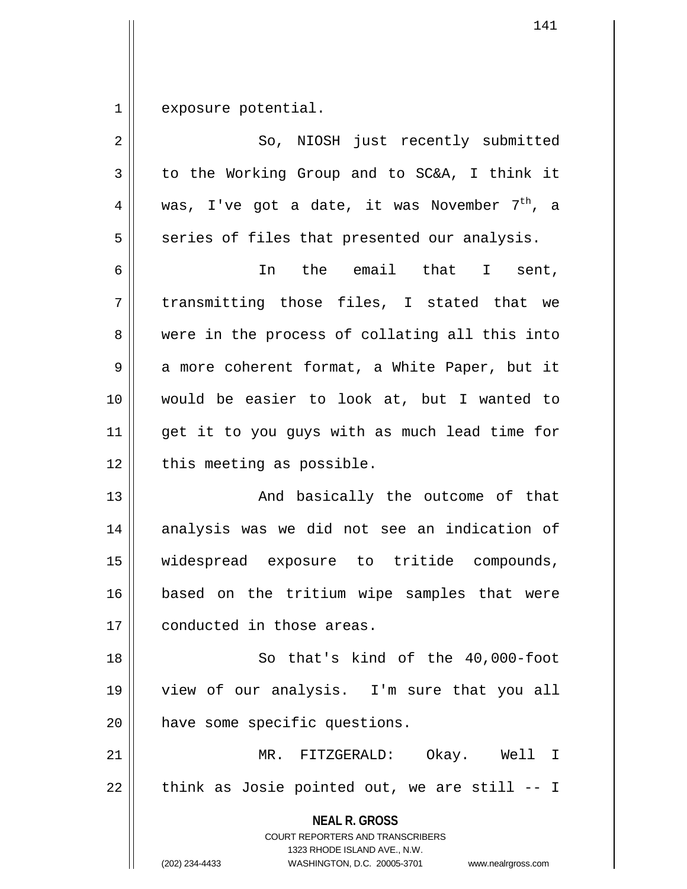$1$  exposure potential.

| $\overline{2}$ | So, NIOSH just recently submitted                                                                                                                                      |
|----------------|------------------------------------------------------------------------------------------------------------------------------------------------------------------------|
| $\mathfrak{Z}$ | to the Working Group and to SC&A, I think it                                                                                                                           |
| 4              | was, I've got a date, it was November $7th$ , a                                                                                                                        |
| 5              | series of files that presented our analysis.                                                                                                                           |
| 6              | In the email that I sent,                                                                                                                                              |
| 7              | transmitting those files, I stated that we                                                                                                                             |
| 8              | were in the process of collating all this into                                                                                                                         |
| 9              | a more coherent format, a White Paper, but it                                                                                                                          |
| 10             | would be easier to look at, but I wanted to                                                                                                                            |
| 11             | get it to you guys with as much lead time for                                                                                                                          |
| 12             | this meeting as possible.                                                                                                                                              |
| 13             | And basically the outcome of that                                                                                                                                      |
| 14             | analysis was we did not see an indication of                                                                                                                           |
| 15             | widespread exposure to tritide compounds,                                                                                                                              |
| 16             | based on the tritium wipe samples that were                                                                                                                            |
| 17             | conducted in those areas.                                                                                                                                              |
| 18             | So that's kind of the 40,000-foot                                                                                                                                      |
| 19             | view of our analysis. I'm sure that you all                                                                                                                            |
| 20             | have some specific questions.                                                                                                                                          |
| 21             | MR. FITZGERALD: Okay. Well I                                                                                                                                           |
| 22             | think as Josie pointed out, we are still -- I                                                                                                                          |
|                | <b>NEAL R. GROSS</b><br><b>COURT REPORTERS AND TRANSCRIBERS</b><br>1323 RHODE ISLAND AVE., N.W.<br>(202) 234-4433<br>WASHINGTON, D.C. 20005-3701<br>www.nealrgross.com |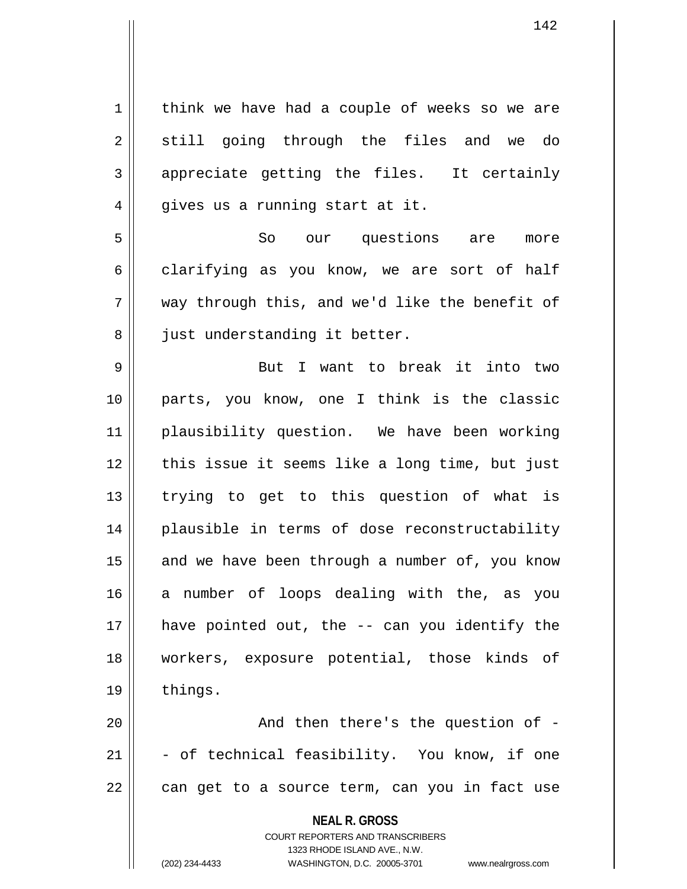$1 \parallel$  think we have had a couple of weeks so we are 2 || still going through the files and we do  $3 \parallel$  appreciate getting the files. It certainly  $4 \parallel$  gives us a running start at it. 5 So our questions are more  $6 \parallel$  clarifying as you know, we are sort of half

7 way through this, and we'd like the benefit of 8 || just understanding it better.

9 But I want to break it into two 10 parts, you know, one I think is the classic 11 plausibility question. We have been working 12 || this issue it seems like a long time, but just 13 || trying to get to this question of what is 14 plausible in terms of dose reconstructability 15  $\parallel$  and we have been through a number of, you know 16 a number of loops dealing with the, as you  $17$  || have pointed out, the  $-$  can you identify the 18 workers, exposure potential, those kinds of 19 | things.

20 || And then there's the question of - $21$   $\parallel$  - of technical feasibility. You know, if one  $22 \parallel$  can get to a source term, can you in fact use

**NEAL R. GROSS**

COURT REPORTERS AND TRANSCRIBERS 1323 RHODE ISLAND AVE., N.W. (202) 234-4433 WASHINGTON, D.C. 20005-3701 www.nealrgross.com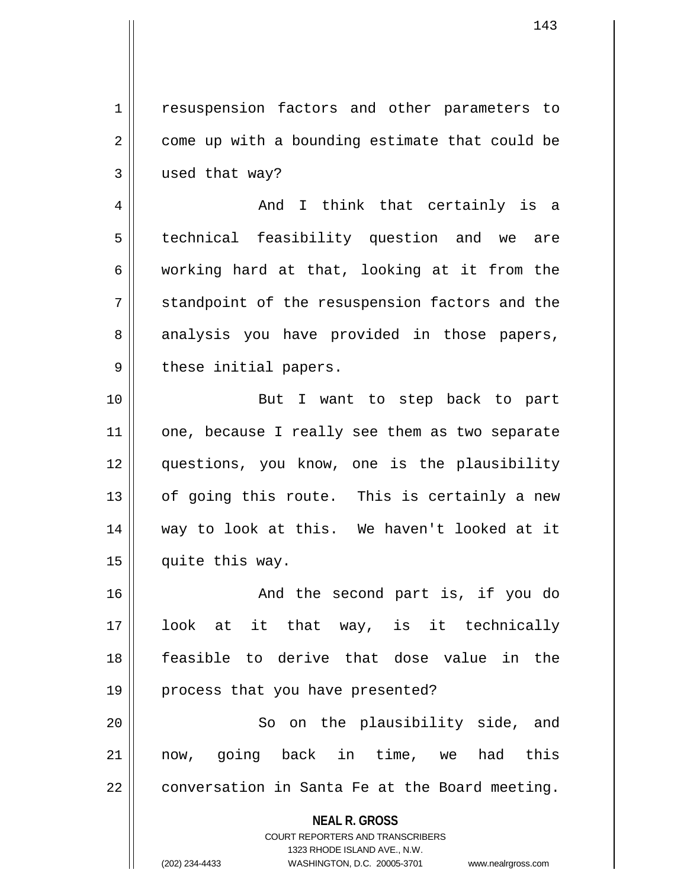1 | resuspension factors and other parameters to  $2 \parallel$  come up with a bounding estimate that could be 3 used that way?

4 And I think that certainly is a 5 || technical feasibility question and we are 6 | working hard at that, looking at it from the  $7 \parallel$  standpoint of the resuspension factors and the 8 analysis you have provided in those papers, 9 || these initial papers.

10 || But I want to step back to part 11 || one, because I really see them as two separate 12 questions, you know, one is the plausibility  $13$  | of going this route. This is certainly a new 14 way to look at this. We haven't looked at it 15 | quite this way.

16 || The Second part is, if you do 17 look at it that way, is it technically 18 feasible to derive that dose value in the 19 || process that you have presented?

20 || So on the plausibility side, and 21 now, going back in time, we had this  $22$  | conversation in Santa Fe at the Board meeting.

> **NEAL R. GROSS** COURT REPORTERS AND TRANSCRIBERS 1323 RHODE ISLAND AVE., N.W. (202) 234-4433 WASHINGTON, D.C. 20005-3701 www.nealrgross.com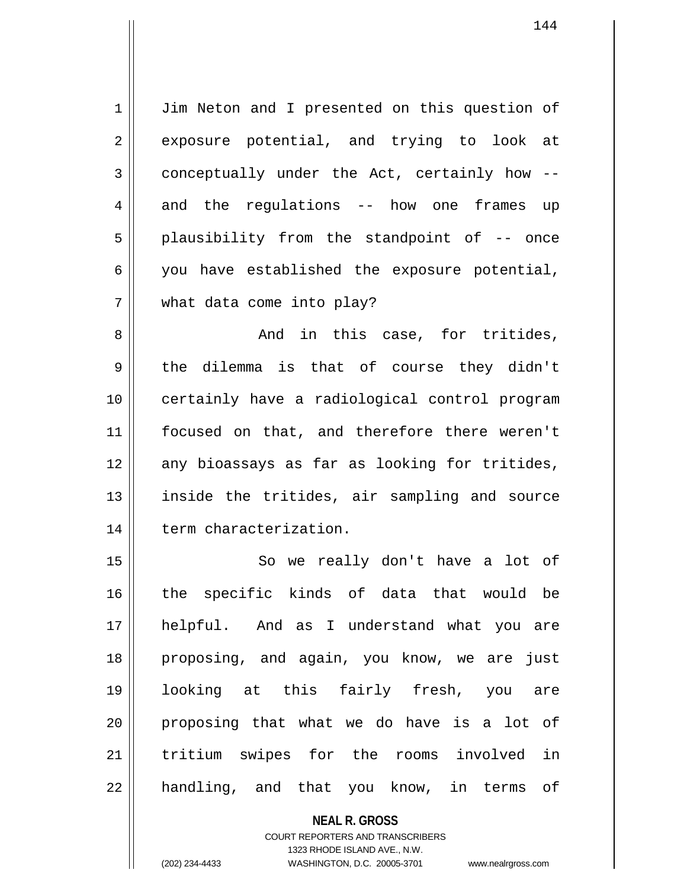1 | Jim Neton and I presented on this question of 2 exposure potential, and trying to look at  $3 \parallel$  conceptually under the Act, certainly how -- $4 \parallel$  and the regulations -- how one frames up 5 || plausibility from the standpoint of -- once  $6 \parallel$  you have established the exposure potential, 7 what data come into play?

8 And in this case, for tritides,  $9 \parallel$  the dilemma is that of course they didn't 10 || certainly have a radiological control program 11 focused on that, and therefore there weren't 12 any bioassays as far as looking for tritides, 13 || inside the tritides, air sampling and source 14 | term characterization.

15 || So we really don't have a lot of 16 the specific kinds of data that would be 17 helpful. And as I understand what you are 18 proposing, and again, you know, we are just 19 looking at this fairly fresh, you are  $20$  proposing that what we do have is a lot of 21 tritium swipes for the rooms involved in  $22$  || handling, and that you know, in terms of

> **NEAL R. GROSS** COURT REPORTERS AND TRANSCRIBERS 1323 RHODE ISLAND AVE., N.W. (202) 234-4433 WASHINGTON, D.C. 20005-3701 www.nealrgross.com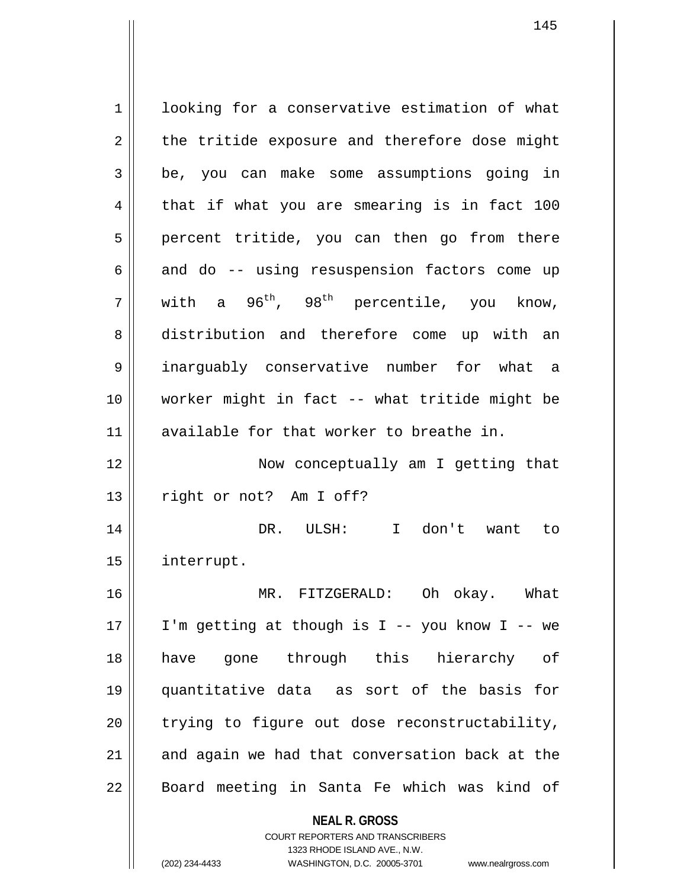**NEAL R. GROSS** COURT REPORTERS AND TRANSCRIBERS 1 looking for a conservative estimation of what  $2 \parallel$  the tritide exposure and therefore dose might 3 be, you can make some assumptions going in  $4 \parallel$  that if what you are smearing is in fact 100 5 || percent tritide, you can then go from there  $6 \parallel$  and do  $-$  using resuspension factors come up  $7 \parallel$  with a 96<sup>th</sup>, 98<sup>th</sup> percentile, you know, 8 distribution and therefore come up with an 9 inarguably conservative number for what a 10 worker might in fact -- what tritide might be 11 available for that worker to breathe in. 12 || Now conceptually am I getting that 13 || right or not? Am I off? 14 DR. ULSH: I don't want to 15 interrupt. 16 MR. FITZGERALD: Oh okay. What 17  $\parallel$  I'm getting at though is I -- you know I -- we 18 have gone through this hierarchy of 19 quantitative data as sort of the basis for  $20$  || trying to figure out dose reconstructability,  $21$  and again we had that conversation back at the 22 || Board meeting in Santa Fe which was kind of

1323 RHODE ISLAND AVE., N.W.

145

(202) 234-4433 WASHINGTON, D.C. 20005-3701 www.nealrgross.com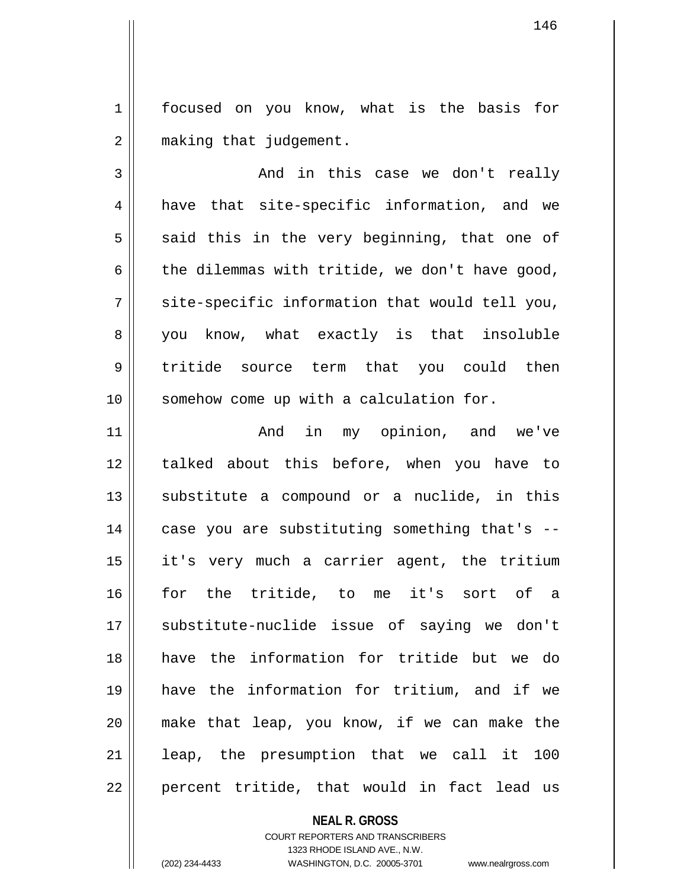1 | focused on you know, what is the basis for 2 | making that judgement.

3 And in this case we don't really 4 || have that site-specific information, and we  $5 \parallel$  said this in the very beginning, that one of 6  $\parallel$  the dilemmas with tritide, we don't have good,  $7 \parallel$  site-specific information that would tell you, 8 || you know, what exactly is that insoluble 9 tritide source term that you could then 10 || somehow come up with a calculation for.

11 || The Mand in my opinion, and we've 12 || talked about this before, when you have to  $13$  substitute a compound or a nuclide, in this  $14$  || case you are substituting something that's --15 it's very much a carrier agent, the tritium 16 for the tritide, to me it's sort of a 17 || substitute-nuclide issue of saying we don't 18 have the information for tritide but we do 19 have the information for tritium, and if we 20 make that leap, you know, if we can make the 21 || leap, the presumption that we call it 100  $22$  || percent tritide, that would in fact lead us

## **NEAL R. GROSS**

COURT REPORTERS AND TRANSCRIBERS 1323 RHODE ISLAND AVE., N.W. (202) 234-4433 WASHINGTON, D.C. 20005-3701 www.nealrgross.com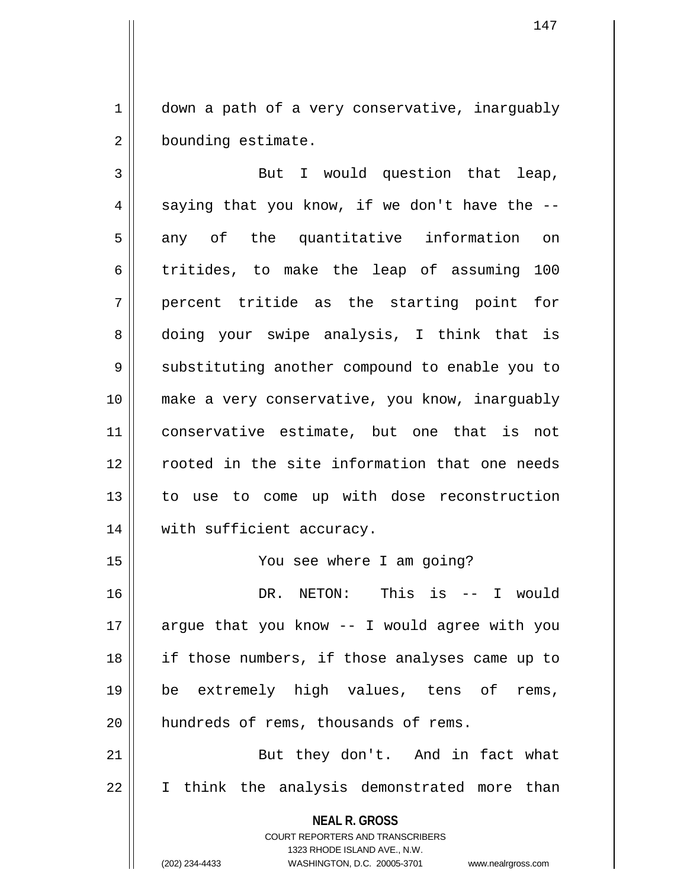$1 \parallel$  down a path of a very conservative, inarguably 2 | bounding estimate.

3 || But I would question that leap,  $4 \parallel$  saying that you know, if we don't have the  $-$ - $5 \parallel$  any of the quantitative information on  $6$  || tritides, to make the leap of assuming 100 7 percent tritide as the starting point for 8 doing your swipe analysis, I think that is 9 || substituting another compound to enable you to 10 make a very conservative, you know, inarguably 11 conservative estimate, but one that is not 12 || cooted in the site information that one needs 13 to use to come up with dose reconstruction 14 || with sufficient accuracy.

15 You see where I am going?

16 DR. NETON: This is -- I would 17  $\parallel$  argue that you know -- I would agree with you 18 || if those numbers, if those analyses came up to 19 be extremely high values, tens of rems, 20 | hundreds of rems, thousands of rems.

21 || But they don't. And in fact what 22 || I think the analysis demonstrated more than

> **NEAL R. GROSS** COURT REPORTERS AND TRANSCRIBERS

> > 1323 RHODE ISLAND AVE., N.W.

(202) 234-4433 WASHINGTON, D.C. 20005-3701 www.nealrgross.com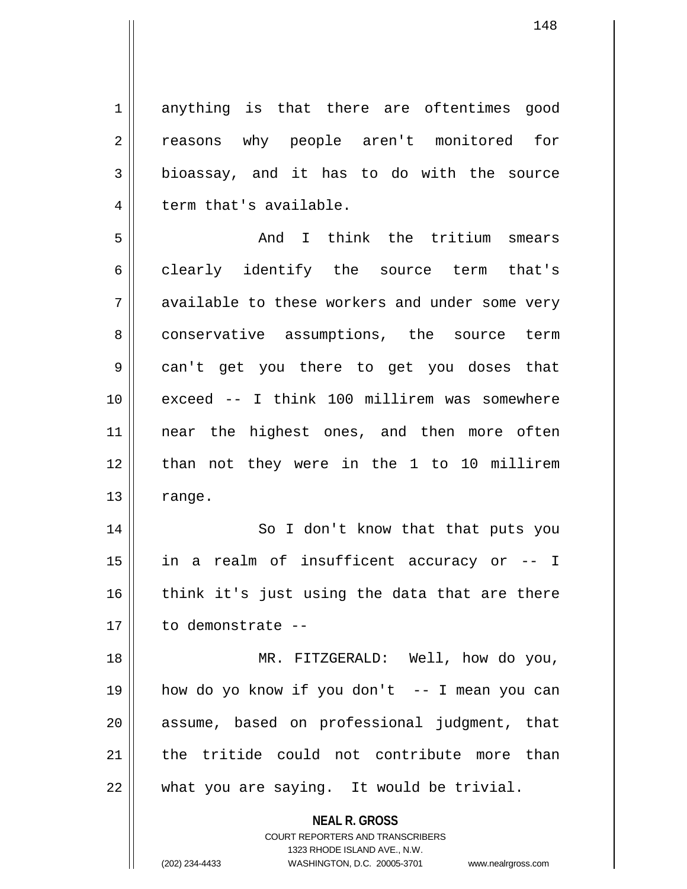1 anything is that there are oftentimes good 2 || reasons why people aren't monitored for  $3 \parallel$  bioassay, and it has to do with the source  $4 \parallel$  term that's available.

5 And I think the tritium smears 6 clearly identify the source term that's 7 available to these workers and under some very 8 conservative assumptions, the source term 9 can't get you there to get you doses that 10 exceed -- I think 100 millirem was somewhere 11 || near the highest ones, and then more often 12 || than not they were in the 1 to 10 millirem  $13 \parallel$  range.

14 || So I don't know that that puts you 15 in a realm of insufficent accuracy or -- I  $16$  think it's just using the data that are there 17 to demonstrate --

18 MR. FITZGERALD: Well, how do you, 19 how do yo know if you don't -- I mean you can 20 || assume, based on professional judgment, that 21 the tritide could not contribute more than  $22$  | what you are saying. It would be trivial.

> **NEAL R. GROSS** COURT REPORTERS AND TRANSCRIBERS

1323 RHODE ISLAND AVE., N.W. (202) 234-4433 WASHINGTON, D.C. 20005-3701 www.nealrgross.com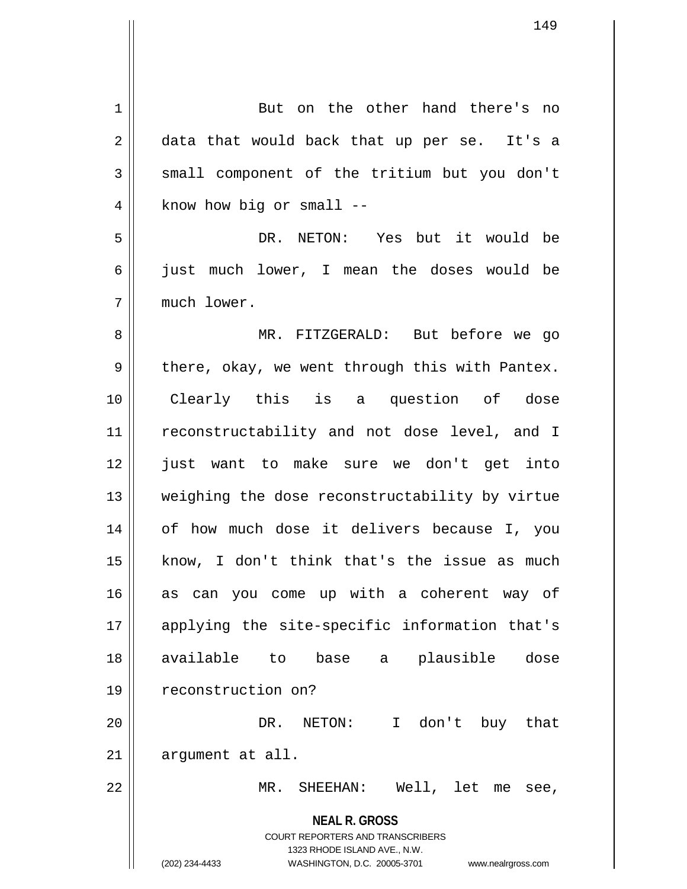| 1              | But on the other hand there's no                                    |
|----------------|---------------------------------------------------------------------|
| 2              | data that would back that up per se. It's a                         |
| 3              | small component of the tritium but you don't                        |
| $\overline{4}$ | know how big or small --                                            |
| 5              | DR. NETON: Yes but it would be                                      |
| 6              | just much lower, I mean the doses would be                          |
| 7              | much lower.                                                         |
| 8              | MR. FITZGERALD: But before we go                                    |
| 9              | there, okay, we went through this with Pantex.                      |
| 10             | Clearly this is a question of dose                                  |
| 11             | reconstructability and not dose level, and I                        |
| 12             | just want to make sure we don't get into                            |
| 13             | weighing the dose reconstructability by virtue                      |
| 14             | of how much dose it delivers because I, you                         |
| $15$           | know, I don't think that's the issue as much                        |
| 16             | as can you come up with a coherent way of                           |
| 17             | applying the site-specific information that's                       |
| 18             | available to<br>base a plausible dose                               |
| 19             | reconstruction on?                                                  |
| 20             | DR. NETON: I don't buy that                                         |
| 21             | argument at all.                                                    |
| 22             | MR. SHEEHAN: Well, let me<br>see,                                   |
|                | <b>NEAL R. GROSS</b>                                                |
|                | COURT REPORTERS AND TRANSCRIBERS<br>1323 RHODE ISLAND AVE., N.W.    |
|                | (202) 234-4433<br>WASHINGTON, D.C. 20005-3701<br>www.nealrgross.com |

 $\overline{\mathsf{I}}$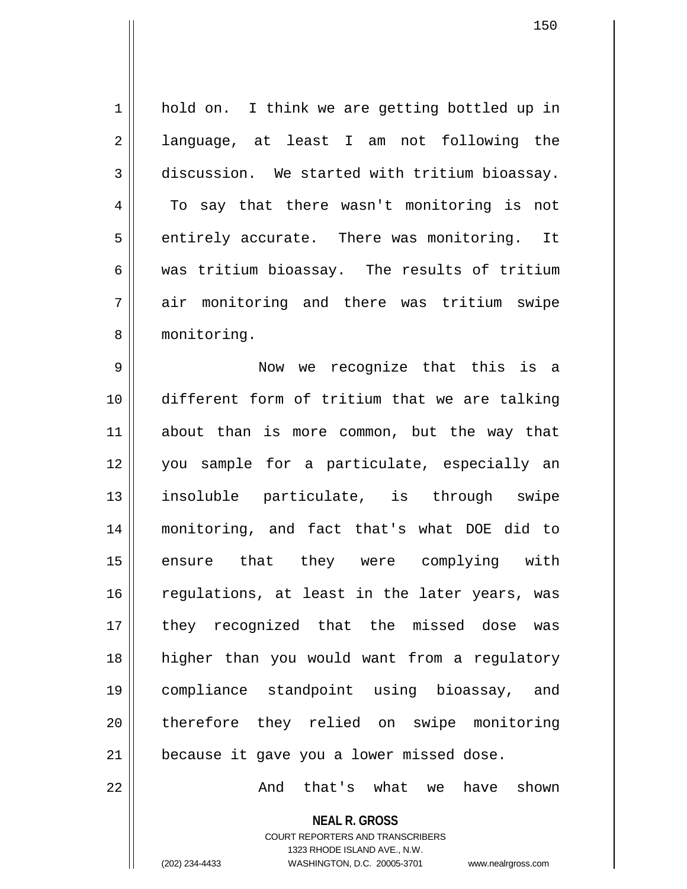1 || hold on. I think we are getting bottled up in 2 || language, at least I am not following the 3 discussion. We started with tritium bioassay. 4 To say that there wasn't monitoring is not  $5 \parallel$  entirely accurate. There was monitoring. It 6 was tritium bioassay. The results of tritium 7 air monitoring and there was tritium swipe 8 monitoring.

9 Now we recognize that this is a 10 different form of tritium that we are talking 11 about than is more common, but the way that 12 you sample for a particulate, especially an 13 insoluble particulate, is through swipe 14 monitoring, and fact that's what DOE did to 15 ensure that they were complying with  $16$  regulations, at least in the later years, was 17 they recognized that the missed dose was 18 higher than you would want from a regulatory 19 compliance standpoint using bioassay, and 20 therefore they relied on swipe monitoring 21 || because it gave you a lower missed dose.

22 And that's what we have shown

**NEAL R. GROSS** COURT REPORTERS AND TRANSCRIBERS 1323 RHODE ISLAND AVE., N.W. (202) 234-4433 WASHINGTON, D.C. 20005-3701 www.nealrgross.com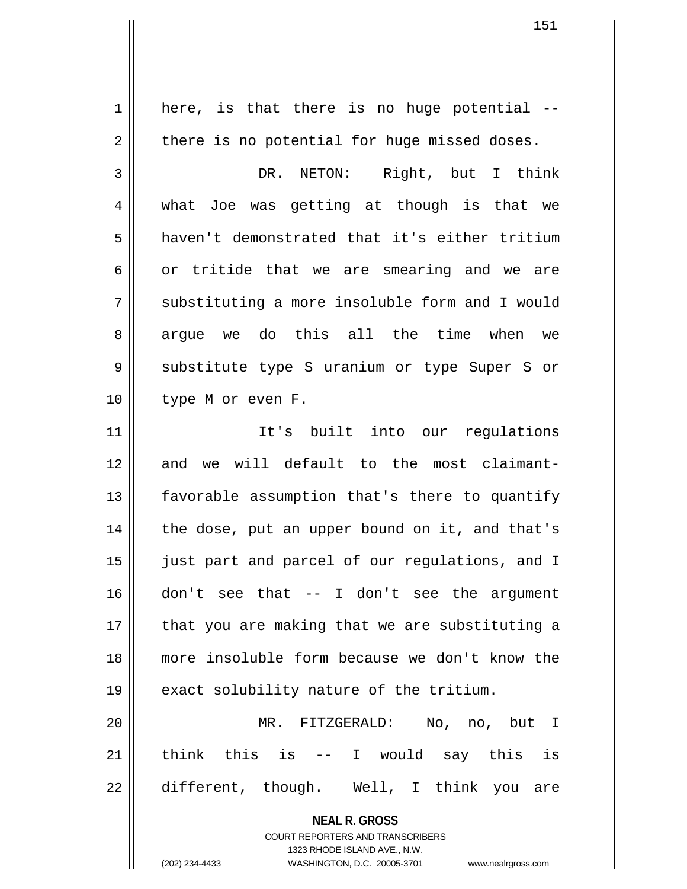**NEAL R. GROSS** COURT REPORTERS AND TRANSCRIBERS 1323 RHODE ISLAND AVE., N.W. (202) 234-4433 WASHINGTON, D.C. 20005-3701 www.nealrgross.com  $1 \parallel$  here, is that there is no huge potential -- $2 \parallel$  there is no potential for huge missed doses. 3 || DR. NETON: Right, but I think 4 what Joe was getting at though is that we 5 haven't demonstrated that it's either tritium  $6 \parallel$  or tritide that we are smearing and we are 7 Substituting a more insoluble form and I would 8 || argue we do this all the time when we 9 Substitute type S uranium or type Super S or 10 || type M or even F. 11 It's built into our regulations 12 and we will default to the most claimant-13 || favorable assumption that's there to quantify  $14$  | the dose, put an upper bound on it, and that's 15 || just part and parcel of our regulations, and I 16 don't see that -- I don't see the argument  $17$  || that you are making that we are substituting a 18 more insoluble form because we don't know the 19 || exact solubility nature of the tritium. 20 MR. FITZGERALD: No, no, but I  $21$  think this is -- I would say this is  $22 \parallel$  different, though. Well, I think you are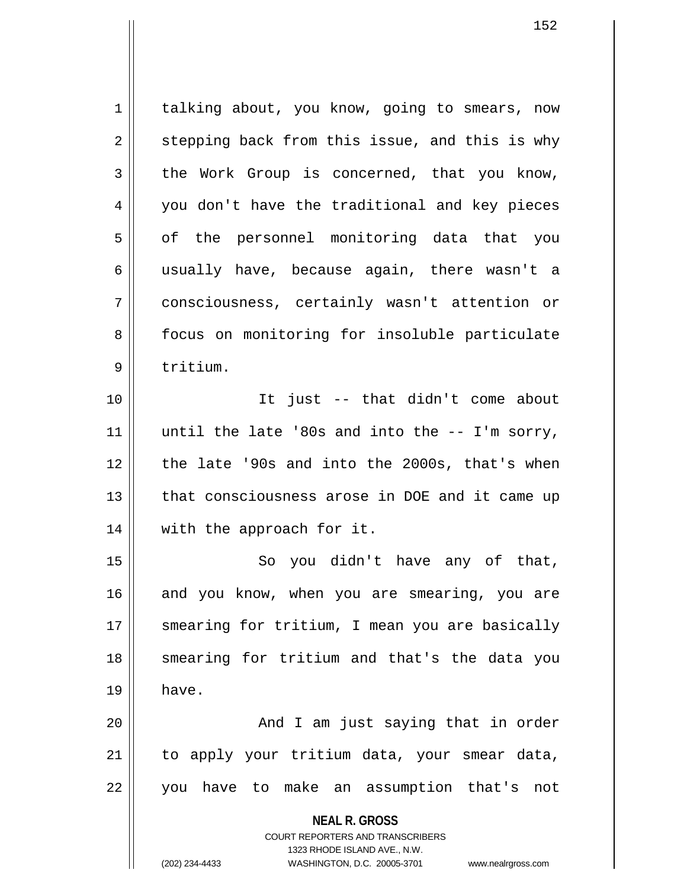**NEAL R. GROSS** COURT REPORTERS AND TRANSCRIBERS 1323 RHODE ISLAND AVE., N.W. 1 | talking about, you know, going to smears, now  $2 \parallel$  stepping back from this issue, and this is why  $3 \parallel$  the Work Group is concerned, that you know, 4 you don't have the traditional and key pieces 5 || of the personnel monitoring data that you 6 usually have, because again, there wasn't a 7 consciousness, certainly wasn't attention or 8 || focus on monitoring for insoluble particulate 9 ll tritium. 10 It just -- that didn't come about 11  $\parallel$  until the late '80s and into the  $-$ - I'm sorry, 12 || the late '90s and into the 2000s, that's when 13 || that consciousness arose in DOE and it came up 14 || with the approach for it. 15 || So you didn't have any of that, 16 and you know, when you are smearing, you are 17 || smearing for tritium, I mean you are basically 18 || smearing for tritium and that's the data you  $19 \parallel$  have. 20 And I am just saying that in order  $21$  to apply your tritium data, your smear data, 22 || you have to make an assumption that's not

(202) 234-4433 WASHINGTON, D.C. 20005-3701 www.nealrgross.com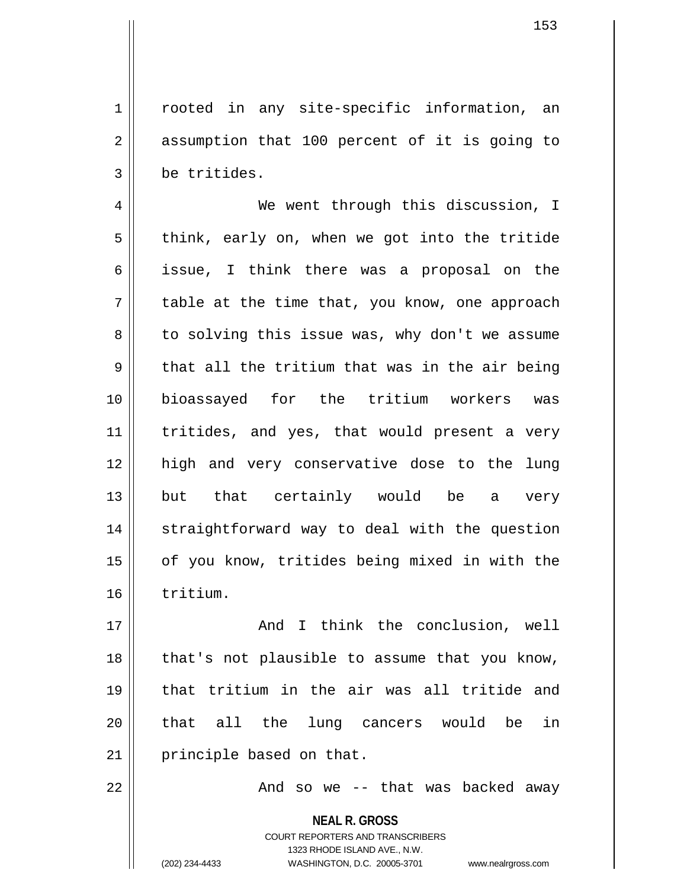1 || rooted in any site-specific information, an 2 || assumption that 100 percent of it is going to 3 | be tritides.

4 | We went through this discussion, I  $5 \parallel$  think, early on, when we got into the tritide 6 || issue, I think there was a proposal on the  $7 \parallel$  table at the time that, you know, one approach 8 to solving this issue was, why don't we assume  $9 \parallel$  that all the tritium that was in the air being 10 bioassayed for the tritium workers was 11 || tritides, and yes, that would present a very 12 high and very conservative dose to the lung 13 but that certainly would be a very 14 || straightforward way to deal with the question 15 || of you know, tritides being mixed in with the 16 tritium.

17 And I think the conclusion, well 18 || that's not plausible to assume that you know, 19 that tritium in the air was all tritide and 20 || that all the lung cancers would be in 21 | principle based on that.

22 And so we -- that was backed away

**NEAL R. GROSS** COURT REPORTERS AND TRANSCRIBERS 1323 RHODE ISLAND AVE., N.W. (202) 234-4433 WASHINGTON, D.C. 20005-3701 www.nealrgross.com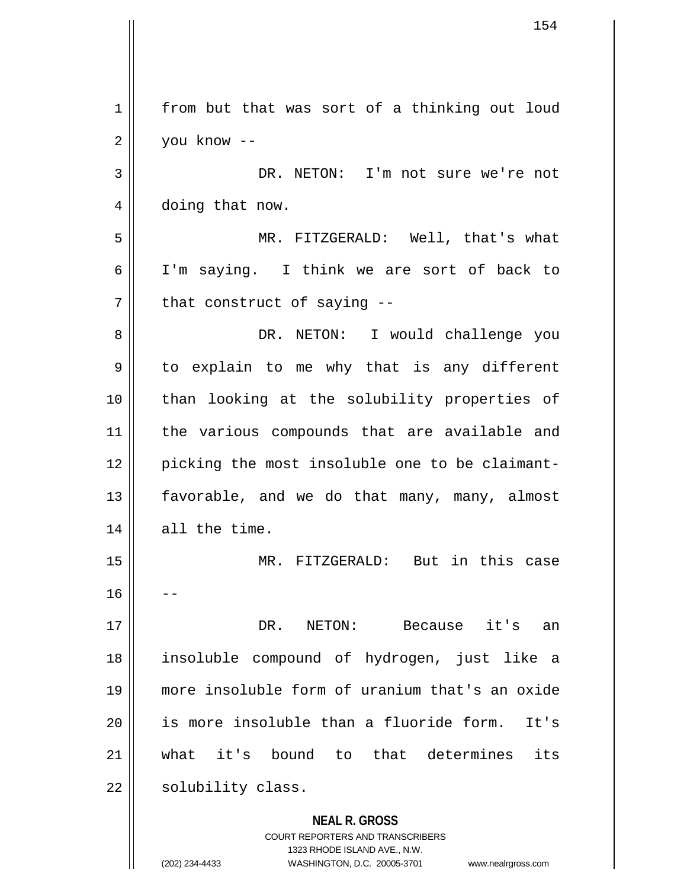**NEAL R. GROSS** COURT REPORTERS AND TRANSCRIBERS 1 from but that was sort of a thinking out loud  $2 \parallel$  you know --3 || DR. NETON: I'm not sure we're not 4 | doing that now. 5 MR. FITZGERALD: Well, that's what 6 I'm saying. I think we are sort of back to  $7$  || that construct of saying  $-$ 8 DR. NETON: I would challenge you 9 || to explain to me why that is any different 10 || than looking at the solubility properties of 11 || the various compounds that are available and 12 || picking the most insoluble one to be claimant-13 || favorable, and we do that many, many, almost 14 all the time. 15 MR. FITZGERALD: But in this case  $16$ 17 DR. NETON: Because it's an 18 insoluble compound of hydrogen, just like a 19 more insoluble form of uranium that's an oxide  $20$  || is more insoluble than a fluoride form. It's 21 what it's bound to that determines its  $22$  | solubility class.

1323 RHODE ISLAND AVE., N.W.

(202) 234-4433 WASHINGTON, D.C. 20005-3701 www.nealrgross.com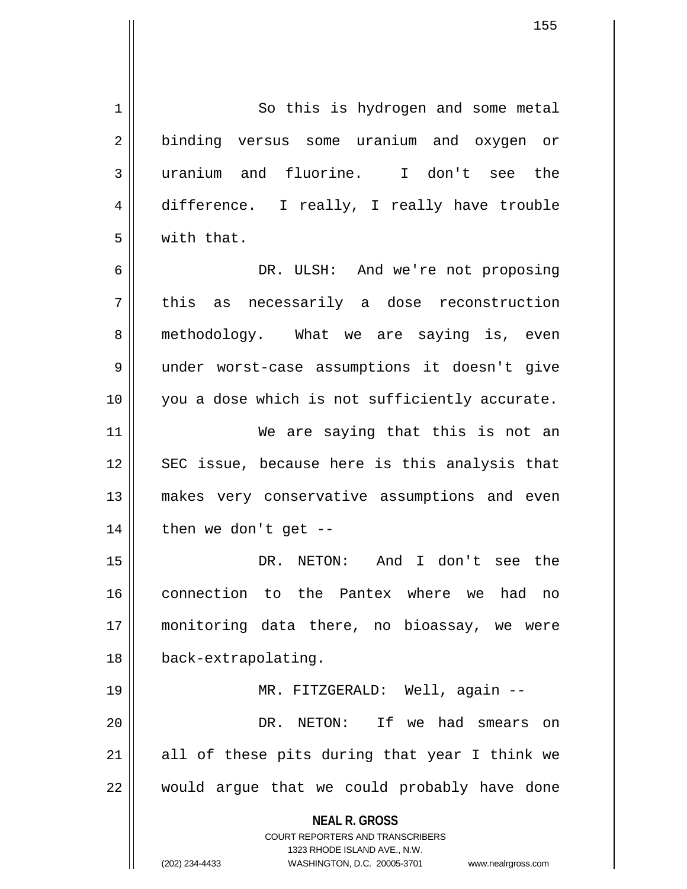**NEAL R. GROSS** COURT REPORTERS AND TRANSCRIBERS 1323 RHODE ISLAND AVE., N.W. 1 | So this is hydrogen and some metal 2 || binding versus some uranium and oxygen or 3 uranium and fluorine. I don't see the 4 difference. I really, I really have trouble 5 with that. 6 DR. ULSH: And we're not proposing 7 || this as necessarily a dose reconstruction 8 methodology. What we are saying is, even 9 under worst-case assumptions it doesn't give 10 || you a dose which is not sufficiently accurate. 11 || We are saying that this is not an 12 || SEC issue, because here is this analysis that 13 makes very conservative assumptions and even  $14$  | then we don't get --15 DR. NETON: And I don't see the 16 connection to the Pantex where we had no 17 monitoring data there, no bioassay, we were 18 back-extrapolating. 19 MR. FITZGERALD: Well, again -- 20 DR. NETON: If we had smears on  $21$  all of these pits during that year I think we  $22$  || would argue that we could probably have done

(202) 234-4433 WASHINGTON, D.C. 20005-3701 www.nealrgross.com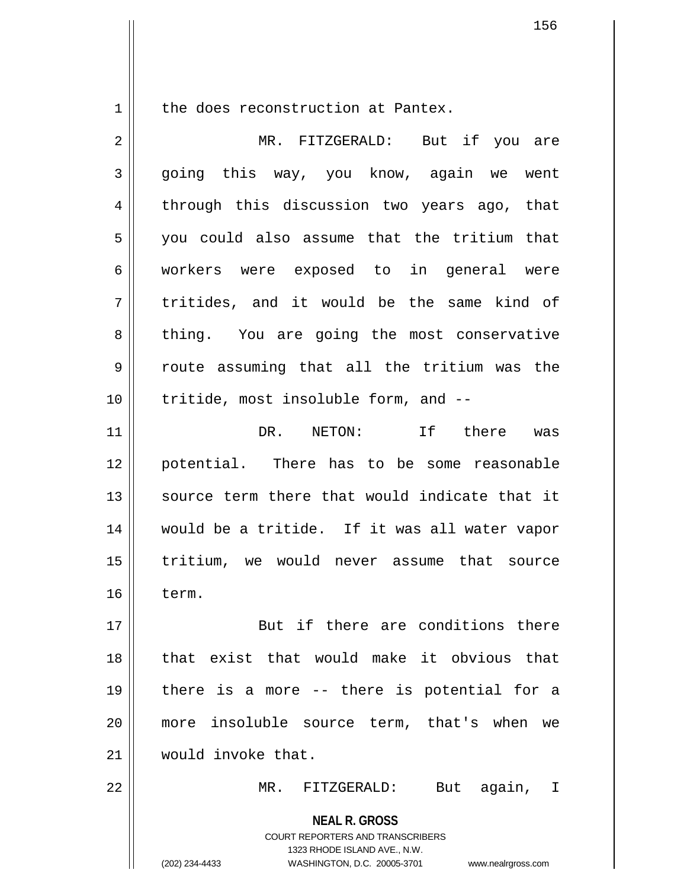$1$  the does reconstruction at Pantex.

| $\overline{2}$ | MR. FITZGERALD: But if you are                                                                                                                                         |
|----------------|------------------------------------------------------------------------------------------------------------------------------------------------------------------------|
| 3              | going this way, you know, again we went                                                                                                                                |
| 4              | through this discussion two years ago, that                                                                                                                            |
| 5              | you could also assume that the tritium that                                                                                                                            |
| 6              | workers were exposed to in general were                                                                                                                                |
| 7              | tritides, and it would be the same kind of                                                                                                                             |
| 8              | thing. You are going the most conservative                                                                                                                             |
| 9              | route assuming that all the tritium was the                                                                                                                            |
| 10             | tritide, most insoluble form, and --                                                                                                                                   |
| 11             | DR. NETON: If there was                                                                                                                                                |
| 12             | potential. There has to be some reasonable                                                                                                                             |
| 13             | source term there that would indicate that it                                                                                                                          |
| 14             | would be a tritide. If it was all water vapor                                                                                                                          |
| 15             | tritium, we would never assume that source                                                                                                                             |
| 16             | term.                                                                                                                                                                  |
| 17             | But if there are conditions there                                                                                                                                      |
| 18             | that exist that would make it obvious that                                                                                                                             |
| 19             | there is a more -- there is potential for a                                                                                                                            |
| 20             | more insoluble source term, that's when we                                                                                                                             |
| 21             | would invoke that.                                                                                                                                                     |
| 22             | $MR$ .<br>FITZGERALD:<br>again,<br>But<br>I.                                                                                                                           |
|                | <b>NEAL R. GROSS</b><br><b>COURT REPORTERS AND TRANSCRIBERS</b><br>1323 RHODE ISLAND AVE., N.W.<br>(202) 234-4433<br>WASHINGTON, D.C. 20005-3701<br>www.nealrgross.com |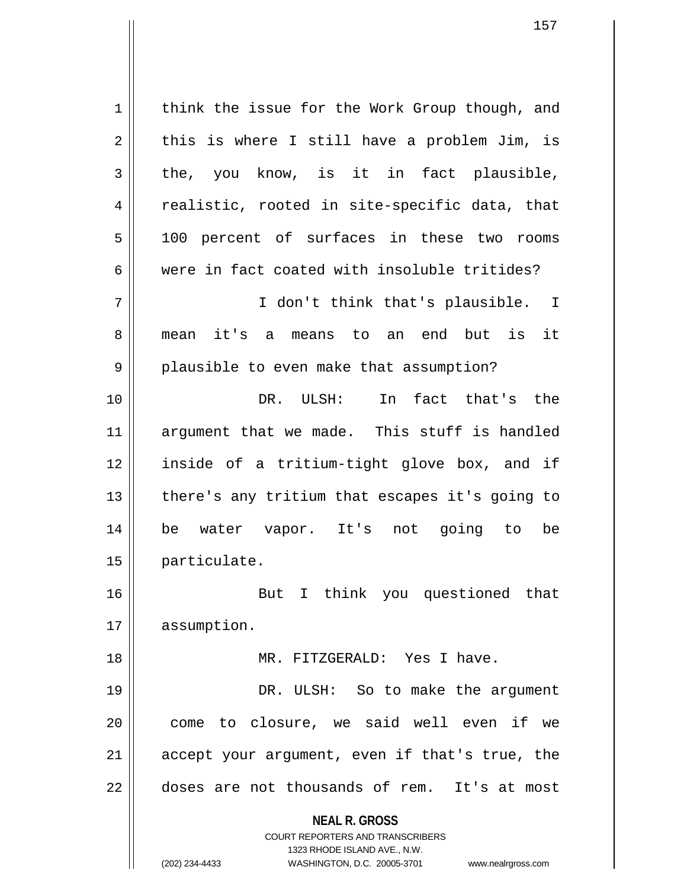**NEAL R. GROSS** COURT REPORTERS AND TRANSCRIBERS 1323 RHODE ISLAND AVE., N.W. (202) 234-4433 WASHINGTON, D.C. 20005-3701 www.nealrgross.com 1 | think the issue for the Work Group though, and  $2 \parallel$  this is where I still have a problem Jim, is  $3 \parallel$  the, you know, is it in fact plausible,  $4 \parallel$  realistic, rooted in site-specific data, that 5 || 100 percent of surfaces in these two rooms  $6 \parallel$  were in fact coated with insoluble tritides? 7 I don't think that's plausible. I 8 || mean it's a means to an end but is it 9 || plausible to even make that assumption? 10 DR. ULSH: In fact that's the 11 argument that we made. This stuff is handled 12 inside of a tritium-tight glove box, and if  $13$  | there's any tritium that escapes it's going to 14 be water vapor. It's not going to be 15 particulate. 16 But I think you questioned that 17 | assumption. 18 || MR. FITZGERALD: Yes I have. 19 || DR. ULSH: So to make the argument 20 || come to closure, we said well even if we  $21$  accept your argument, even if that's true, the 22 doses are not thousands of rem. It's at most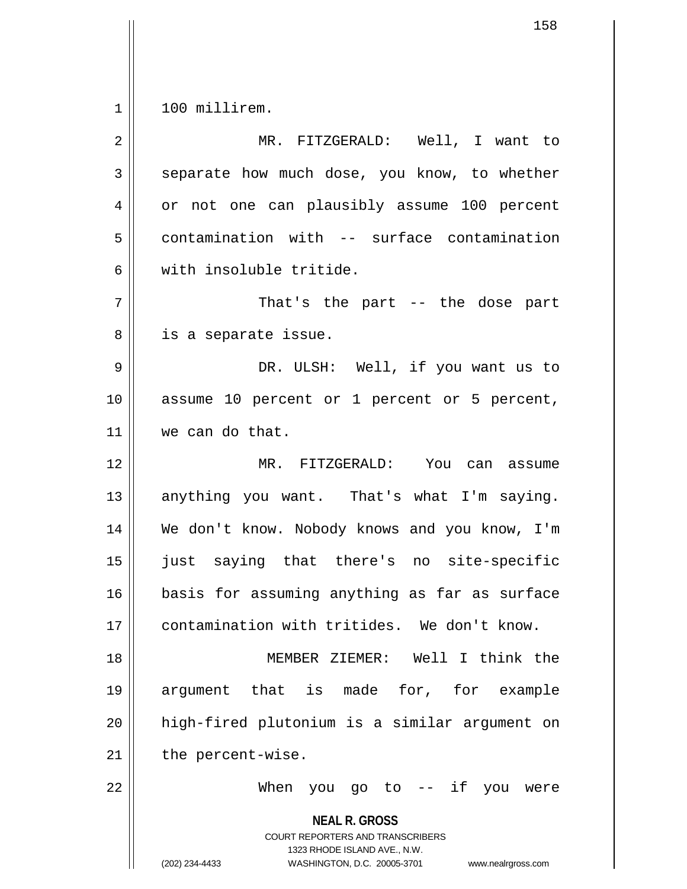$1 \parallel 100$  millirem.

| $\overline{2}$ | MR. FITZGERALD: Well, I want to                                                                                                                                        |
|----------------|------------------------------------------------------------------------------------------------------------------------------------------------------------------------|
| 3              | separate how much dose, you know, to whether                                                                                                                           |
| 4              | or not one can plausibly assume 100 percent                                                                                                                            |
| 5              | contamination with -- surface contamination                                                                                                                            |
| 6              | with insoluble tritide.                                                                                                                                                |
| 7              | That's the part $-$ the dose part                                                                                                                                      |
| 8              | is a separate issue.                                                                                                                                                   |
| $\mathsf 9$    | DR. ULSH: Well, if you want us to                                                                                                                                      |
| 10             | assume 10 percent or 1 percent or 5 percent,                                                                                                                           |
| 11             | we can do that.                                                                                                                                                        |
| 12             | MR. FITZGERALD: You can assume                                                                                                                                         |
| 13             | anything you want. That's what I'm saying.                                                                                                                             |
| 14             | We don't know. Nobody knows and you know, I'm                                                                                                                          |
| 15             | just saying that there's no site-specific                                                                                                                              |
| 16             | basis for assuming anything as far as surface                                                                                                                          |
| 17             | contamination with tritides. We don't know.                                                                                                                            |
| 18             | MEMBER ZIEMER: Well I think the                                                                                                                                        |
| 19             | argument that is made for, for example                                                                                                                                 |
| 20             | high-fired plutonium is a similar argument on                                                                                                                          |
| 21             | the percent-wise.                                                                                                                                                      |
| 22             | you go to -- if you were<br>When                                                                                                                                       |
|                | <b>NEAL R. GROSS</b><br><b>COURT REPORTERS AND TRANSCRIBERS</b><br>1323 RHODE ISLAND AVE., N.W.<br>(202) 234-4433<br>WASHINGTON, D.C. 20005-3701<br>www.nealrgross.com |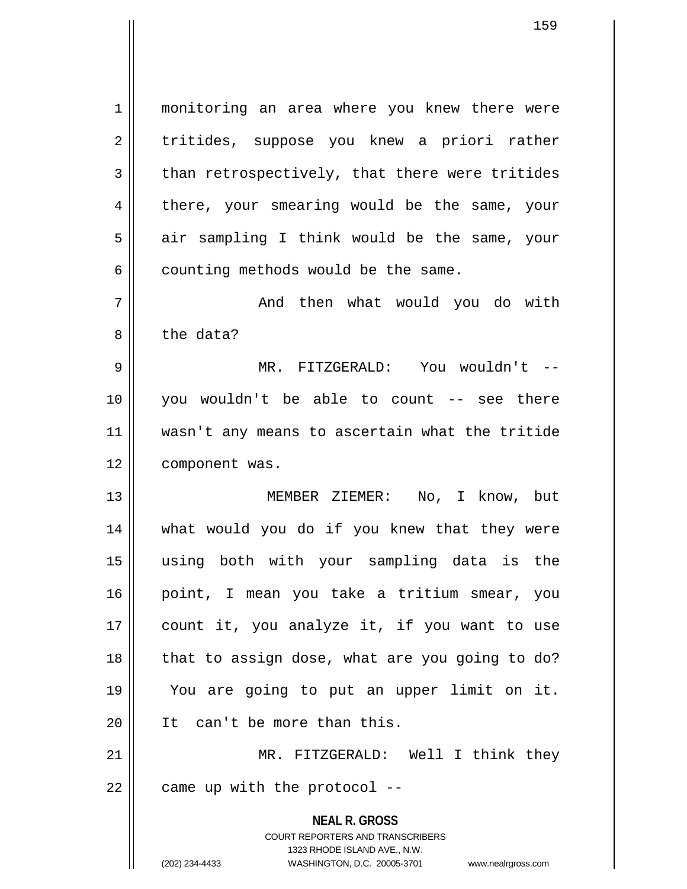**NEAL R. GROSS** COURT REPORTERS AND TRANSCRIBERS 1323 RHODE ISLAND AVE., N.W. 1 monitoring an area where you knew there were 2 || tritides, suppose you knew a priori rather  $3$  than retrospectively, that there were tritides 4 there, your smearing would be the same, your  $5 \parallel$  air sampling I think would be the same, your  $6$  | counting methods would be the same. 7 And then what would you do with 8 l the data? 9 MR. FITZGERALD: You wouldn't -- 10 you wouldn't be able to count -- see there 11 wasn't any means to ascertain what the tritide 12 | component was. 13 || MEMBER ZIEMER: No, I know, but 14 what would you do if you knew that they were 15 using both with your sampling data is the 16 point, I mean you take a tritium smear, you 17 || count it, you analyze it, if you want to use 18 || that to assign dose, what are you going to do? 19 You are going to put an upper limit on it. 20 | It can't be more than this. 21 MR. FITZGERALD: Well I think they  $22$  | came up with the protocol  $-$ 

(202) 234-4433 WASHINGTON, D.C. 20005-3701 www.nealrgross.com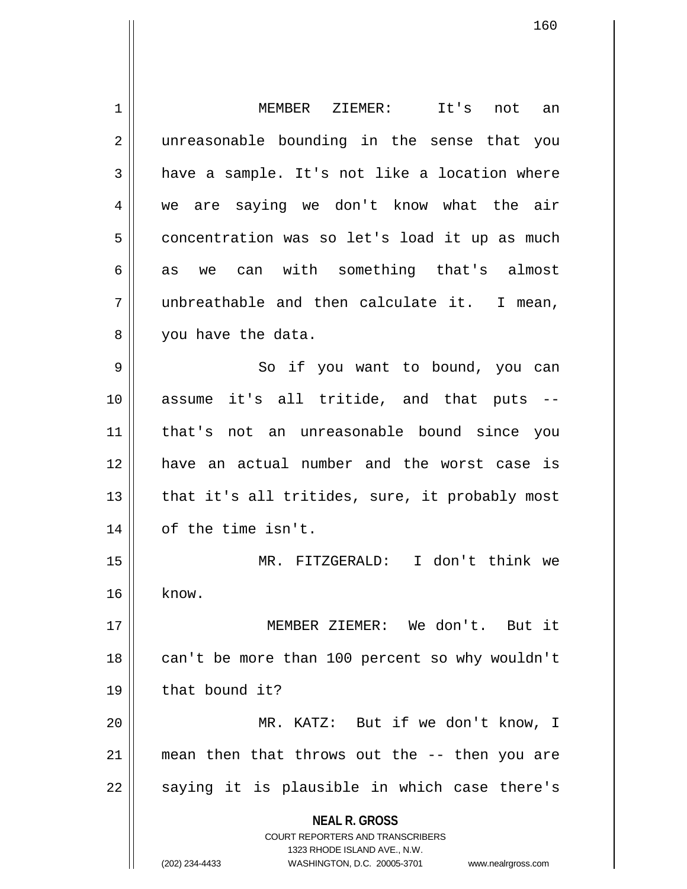**NEAL R. GROSS** COURT REPORTERS AND TRANSCRIBERS 1323 RHODE ISLAND AVE., N.W. (202) 234-4433 WASHINGTON, D.C. 20005-3701 www.nealrgross.com 1 MEMBER ZIEMER: It's not an 2 || unreasonable bounding in the sense that you  $3 \parallel$  have a sample. It's not like a location where 4 we are saying we don't know what the air  $5 \parallel$  concentration was so let's load it up as much  $6 \parallel$  as we can with something that's almost 7 unbreathable and then calculate it. I mean, 8 || you have the data. 9 || So if you want to bound, you can 10 assume it's all tritide, and that puts -- 11 that's not an unreasonable bound since you 12 have an actual number and the worst case is  $13$  || that it's all tritides, sure, it probably most 14 || of the time isn't. 15 MR. FITZGERALD: I don't think we  $16$  know. 17 MEMBER ZIEMER: We don't. But it 18 || can't be more than 100 percent so why wouldn't 19 | that bound it? 20 MR. KATZ: But if we don't know, I 21 mean then that throws out the -- then you are  $22$  || saying it is plausible in which case there's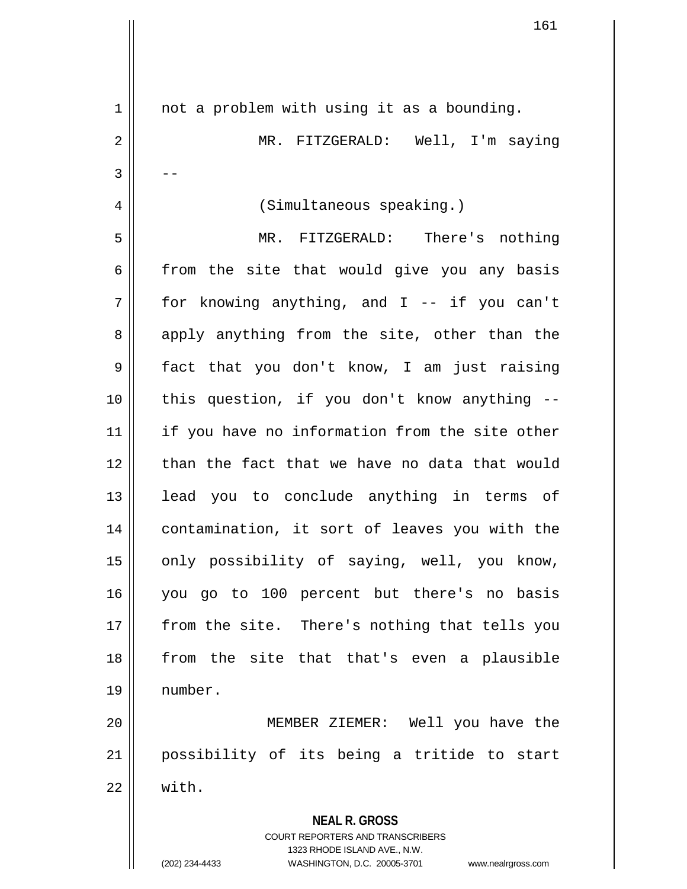| $\mathbf 1$    | not a problem with using it as a bounding.                                                          |
|----------------|-----------------------------------------------------------------------------------------------------|
| $\overline{2}$ | MR. FITZGERALD: Well, I'm saying                                                                    |
| 3              |                                                                                                     |
| 4              | (Simultaneous speaking.)                                                                            |
| 5              | MR. FITZGERALD: There's nothing                                                                     |
| 6              | from the site that would give you any basis                                                         |
| 7              | for knowing anything, and I -- if you can't                                                         |
| 8              | apply anything from the site, other than the                                                        |
| 9              | fact that you don't know, I am just raising                                                         |
| 10             | this question, if you don't know anything --                                                        |
| 11             | if you have no information from the site other                                                      |
| 12             | than the fact that we have no data that would                                                       |
| 13             | lead you to conclude anything in terms of                                                           |
| 14             | contamination, it sort of leaves you with the                                                       |
| 15             | only possibility of saying, well, you know,                                                         |
| 16             | you go to 100 percent but there's no basis                                                          |
| 17             | from the site. There's nothing that tells you                                                       |
| 18             | from the site that that's even a plausible                                                          |
| 19             | number.                                                                                             |
| 20             | MEMBER ZIEMER: Well you have the                                                                    |
| 21             | possibility of its being a tritide to start                                                         |
| 22             | with.                                                                                               |
|                | <b>NEAL R. GROSS</b>                                                                                |
|                | <b>COURT REPORTERS AND TRANSCRIBERS</b>                                                             |
|                | 1323 RHODE ISLAND AVE., N.W.<br>(202) 234-4433<br>WASHINGTON, D.C. 20005-3701<br>www.nealrgross.com |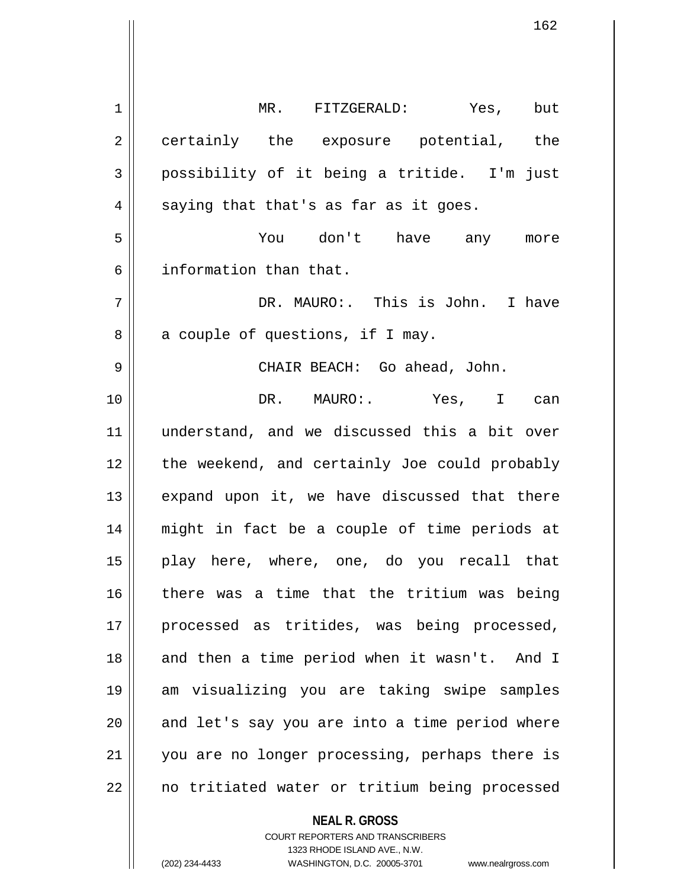**NEAL R. GROSS** 1 MR. FITZGERALD: Yes, but 2 || certainly the exposure potential, the 3 possibility of it being a tritide. I'm just  $4 \parallel$  saying that that's as far as it goes. 5 You don't have any more 6 information than that. 7 DR. MAURO:. This is John. I have  $8 \parallel$  a couple of questions, if I may. 9 CHAIR BEACH: Go ahead, John. 10 DR. MAURO:. Yes, I can 11 understand, and we discussed this a bit over 12 the weekend, and certainly Joe could probably  $13$  expand upon it, we have discussed that there 14 might in fact be a couple of time periods at 15 play here, where, one, do you recall that 16 there was a time that the tritium was being 17 || processed as tritides, was being processed, 18 || and then a time period when it wasn't. And I 19 am visualizing you are taking swipe samples  $20$  || and let's say you are into a time period where 21 || you are no longer processing, perhaps there is 22 || no tritiated water or tritium being processed

> COURT REPORTERS AND TRANSCRIBERS 1323 RHODE ISLAND AVE., N.W.

(202) 234-4433 WASHINGTON, D.C. 20005-3701 www.nealrgross.com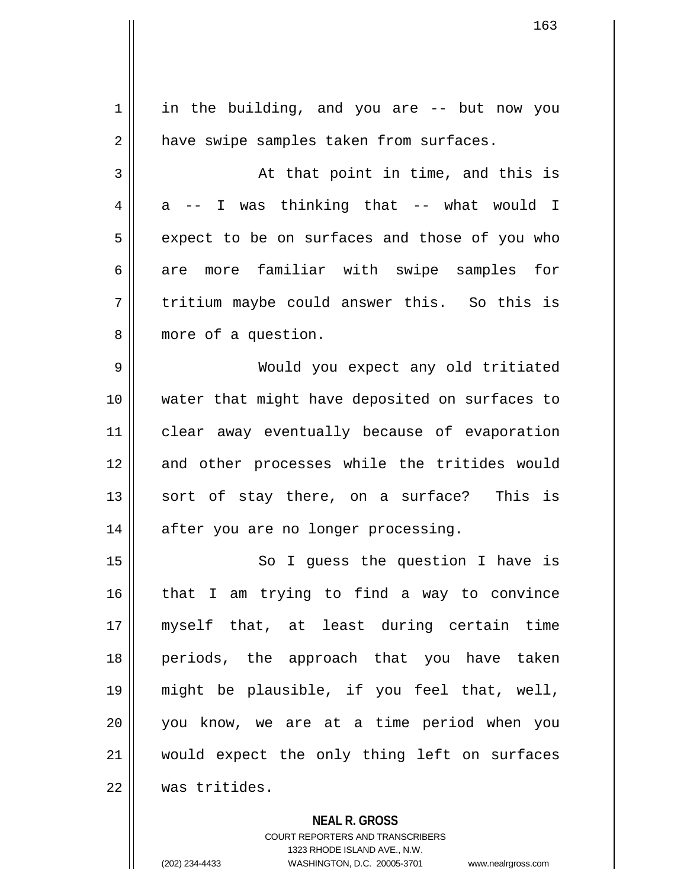| $\mathbf 1$ | in the building, and you are -- but now you    |
|-------------|------------------------------------------------|
| 2           | have swipe samples taken from surfaces.        |
| 3           | At that point in time, and this is             |
| 4           | a -- I was thinking that -- what would I       |
| 5           | expect to be on surfaces and those of you who  |
| 6           | are more familiar with swipe samples for       |
| 7           | tritium maybe could answer this. So this is    |
| 8           | more of a question.                            |
| 9           | Would you expect any old tritiated             |
| 10          | water that might have deposited on surfaces to |
| 11          | clear away eventually because of evaporation   |
| 12          | and other processes while the tritides would   |
| 13          | sort of stay there, on a surface? This is      |
| 14          | after you are no longer processing.            |
| 15          | So I guess the question I have is              |
| 16          | that I am trying to find a way to convince     |
| 17          | myself that, at least during certain time      |
| 18          | periods, the approach that you have taken      |
| 19          | might be plausible, if you feel that, well,    |
| 20          | you know, we are at a time period when you     |
| 21          | would expect the only thing left on surfaces   |
| 22          | was tritides.                                  |
|             |                                                |

**NEAL R. GROSS**

COURT REPORTERS AND TRANSCRIBERS 1323 RHODE ISLAND AVE., N.W. (202) 234-4433 WASHINGTON, D.C. 20005-3701 www.nealrgross.com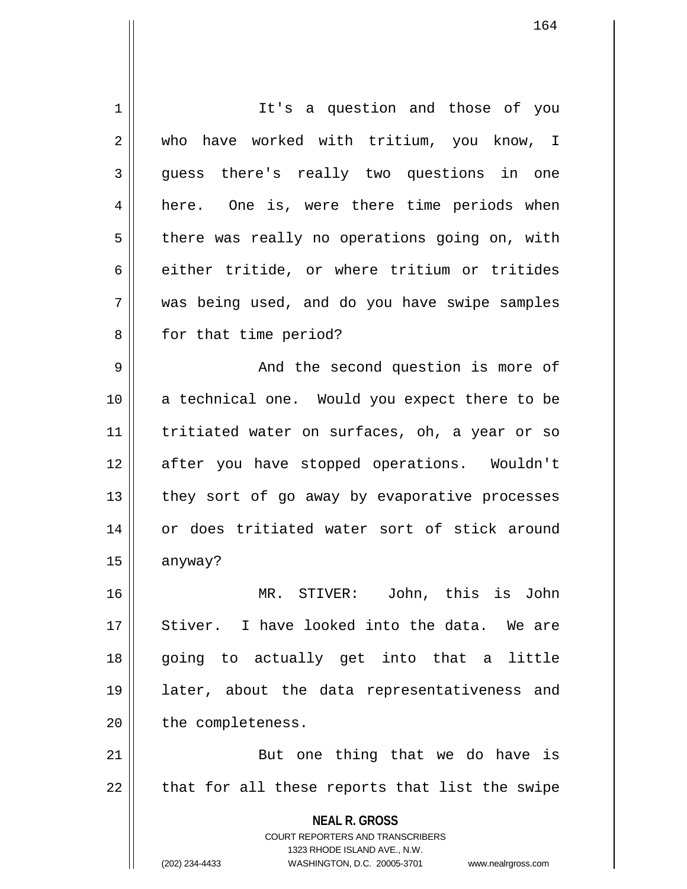**NEAL R. GROSS** COURT REPORTERS AND TRANSCRIBERS 1323 RHODE ISLAND AVE., N.W. (202) 234-4433 WASHINGTON, D.C. 20005-3701 www.nealrgross.com 1 | It's a question and those of you 2 who have worked with tritium, you know, I 3 guess there's really two questions in one 4 || here. One is, were there time periods when  $5 \parallel$  there was really no operations going on, with  $6 \parallel$  either tritide, or where tritium or tritides 7 was being used, and do you have swipe samples 8 || for that time period? 9 And the second question is more of 10 || a technical one. Would you expect there to be 11 || tritiated water on surfaces, oh, a year or so 12 after you have stopped operations. Wouldn't  $13$  | they sort of go away by evaporative processes 14 or does tritiated water sort of stick around 15 anyway? 16 MR. STIVER: John, this is John 17 || Stiver. I have looked into the data. We are 18 going to actually get into that a little 19 later, about the data representativeness and 20 | the completeness. 21 || But one thing that we do have is  $22$  || that for all these reports that list the swipe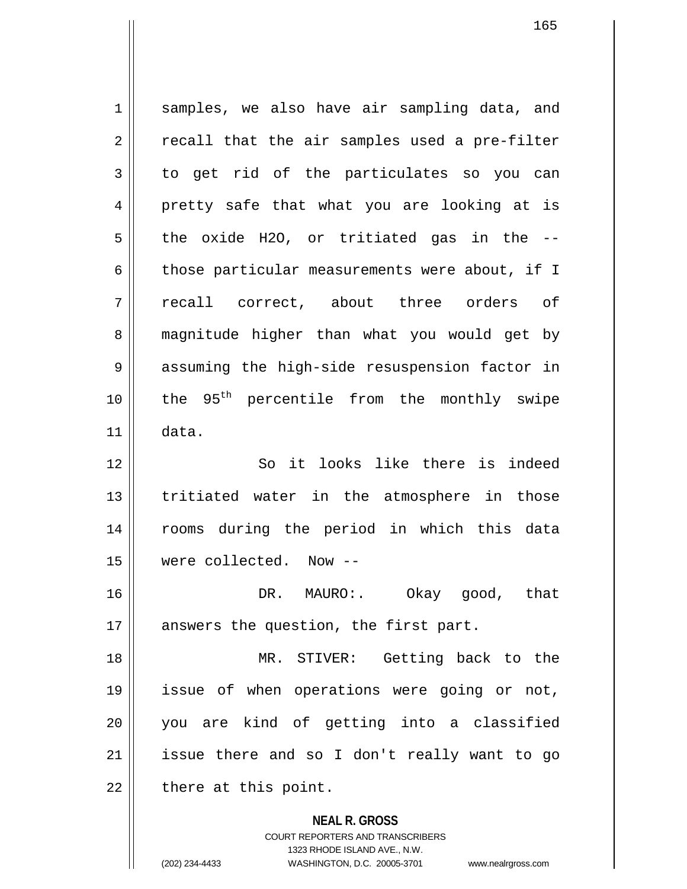**NEAL R. GROSS** 1 || samples, we also have air sampling data, and  $2 \parallel$  recall that the air samples used a pre-filter 3 to get rid of the particulates so you can 4 pretty safe that what you are looking at is  $5 \parallel$  the oxide H2O, or tritiated gas in the --6 those particular measurements were about, if I 7 recall correct, about three orders of 8 | magnitude higher than what you would get by 9 || assuming the high-side resuspension factor in  $10$  | the 95<sup>th</sup> percentile from the monthly swipe  $11 \parallel$  data. 12 So it looks like there is indeed 13 || tritiated water in the atmosphere in those 14 rooms during the period in which this data 15 were collected. Now -- 16 DR. MAURO:. Okay good, that 17  $\parallel$  answers the question, the first part. 18 MR. STIVER: Getting back to the 19 issue of when operations were going or not, 20 you are kind of getting into a classified  $21$  issue there and so I don't really want to go  $22$  || there at this point.

> COURT REPORTERS AND TRANSCRIBERS 1323 RHODE ISLAND AVE., N.W.

(202) 234-4433 WASHINGTON, D.C. 20005-3701 www.nealrgross.com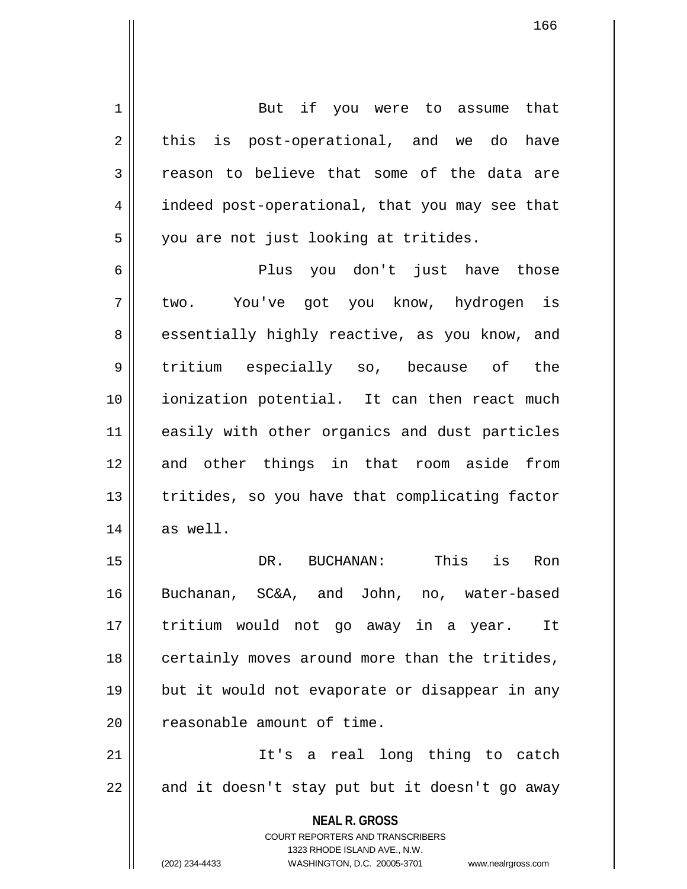**NEAL R. GROSS** COURT REPORTERS AND TRANSCRIBERS 1323 RHODE ISLAND AVE., N.W. (202) 234-4433 WASHINGTON, D.C. 20005-3701 www.nealrgross.com 1 || But if you were to assume that  $2 \parallel$  this is post-operational, and we do have  $3$  reason to believe that some of the data are 4 | indeed post-operational, that you may see that 5 | you are not just looking at tritides. 6 Plus you don't just have those 7 two. You've got you know, hydrogen is 8 || essentially highly reactive, as you know, and 9 || tritium especially so, because of the 10 ionization potential. It can then react much 11 || easily with other organics and dust particles 12 and other things in that room aside from 13 || tritides, so you have that complicating factor  $14$  as well. 15 DR. BUCHANAN: This is Ron 16 Buchanan, SC&A, and John, no, water-based 17 tritium would not go away in a year. It 18 || certainly moves around more than the tritides, 19 || but it would not evaporate or disappear in any 20 | reasonable amount of time. 21 It's a real long thing to catch  $22 \parallel$  and it doesn't stay put but it doesn't go away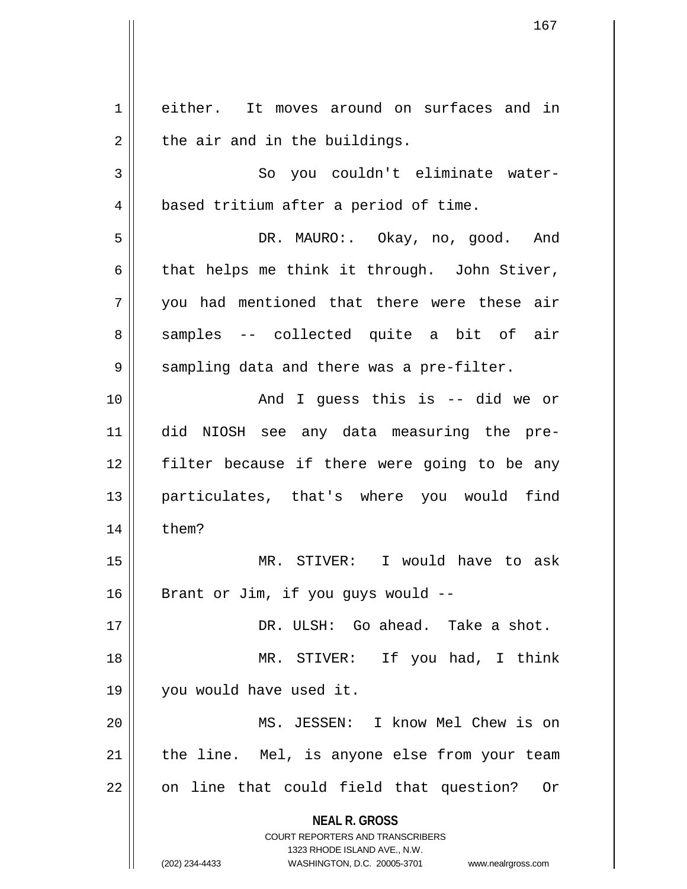**NEAL R. GROSS** COURT REPORTERS AND TRANSCRIBERS 1323 RHODE ISLAND AVE., N.W. (202) 234-4433 WASHINGTON, D.C. 20005-3701 www.nealrgross.com 1 || either. It moves around on surfaces and in  $2 \parallel$  the air and in the buildings. 3 || So you couldn't eliminate water-4 | based tritium after a period of time. 5 DR. MAURO:. Okay, no, good. And  $6 \parallel$  that helps me think it through. John Stiver, 7 you had mentioned that there were these air 8 || samples -- collected quite a bit of air 9 || sampling data and there was a pre-filter. 10 || The Contract Contract And I quess this is -- did we or 11 did NIOSH see any data measuring the pre-12 filter because if there were going to be any 13 particulates, that's where you would find  $14$   $\parallel$  them? 15 MR. STIVER: I would have to ask  $16$  | Brant or Jim, if you guys would  $-$ 17 DR. ULSH: Go ahead. Take a shot. 18 MR. STIVER: If you had, I think 19 you would have used it. 20 || MS. JESSEN: I know Mel Chew is on  $21$  | the line. Mel, is anyone else from your team  $22$  || on line that could field that question? Or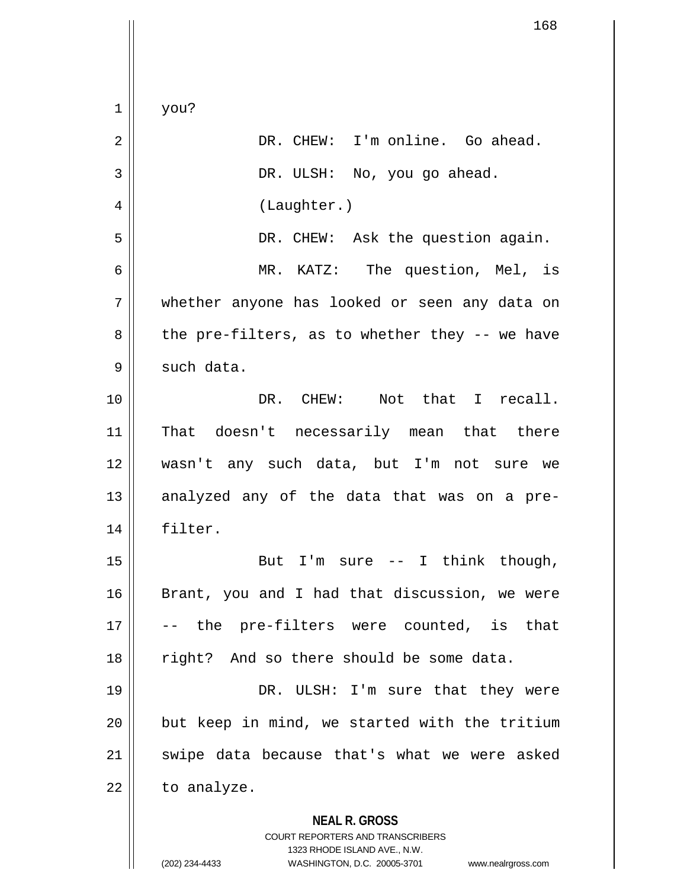**NEAL R. GROSS** COURT REPORTERS AND TRANSCRIBERS 1323 RHODE ISLAND AVE., N.W.  $1 \parallel$  you? 2 | R. CHEW: I'm online. Go ahead. 3 DR. ULSH: No, you go ahead. 4 | (Laughter.) 5 DR. CHEW: Ask the question again. 6 MR. KATZ: The question, Mel, is 7 whether anyone has looked or seen any data on  $8 \parallel$  the pre-filters, as to whether they -- we have  $9 \parallel$  such data. 10 DR. CHEW: Not that I recall. 11 || That doesn't necessarily mean that there 12 wasn't any such data, but I'm not sure we  $13$  analyzed any of the data that was on a pre-14 filter. 15 || But I'm sure -- I think though, 16 || Brant, you and I had that discussion, we were 17 || -- the pre-filters were counted, is that 18 || right? And so there should be some data. 19 || DR. ULSH: I'm sure that they were  $20$  || but keep in mind, we started with the tritium  $21$  swipe data because that's what we were asked  $22$  | to analyze.

(202) 234-4433 WASHINGTON, D.C. 20005-3701 www.nealrgross.com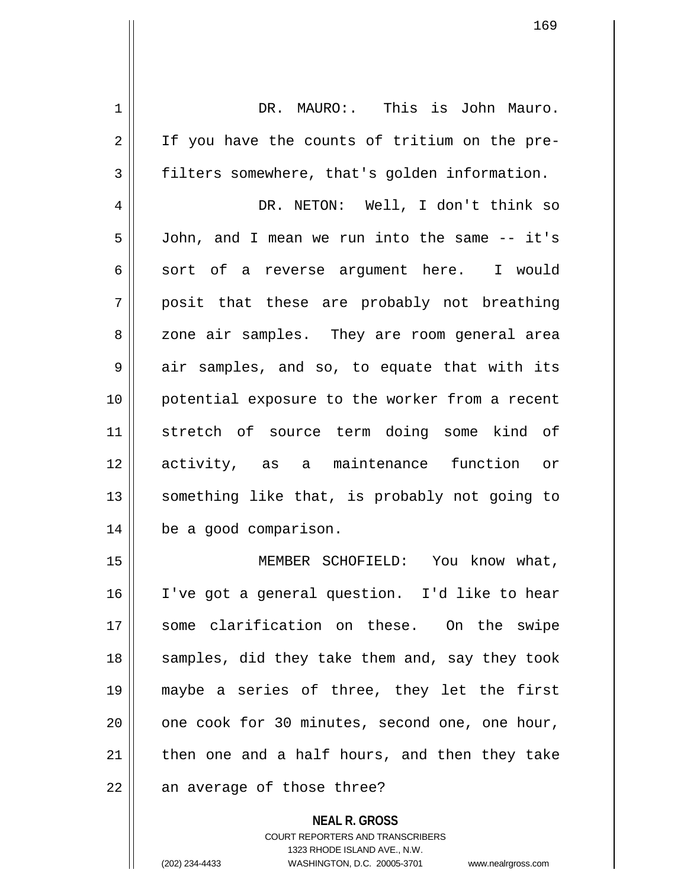| 1  | DR. MAURO:. This is John Mauro.                |
|----|------------------------------------------------|
| 2  | If you have the counts of tritium on the pre-  |
| 3  | filters somewhere, that's golden information.  |
| 4  | DR. NETON: Well, I don't think so              |
| 5  | John, and I mean we run into the same -- it's  |
| 6  | sort of a reverse argument here. I would       |
| 7  | posit that these are probably not breathing    |
| 8  | zone air samples. They are room general area   |
| 9  | air samples, and so, to equate that with its   |
| 10 | potential exposure to the worker from a recent |
| 11 | stretch of source term doing some kind of      |
| 12 | activity, as a maintenance function or         |
| 13 | something like that, is probably not going to  |
| 14 | be a good comparison.                          |
| 15 | MEMBER SCHOFIELD: You know what,               |
| 16 | I've got a general question. I'd like to hear  |
| 17 | some clarification on these. On the swipe      |
| 18 | samples, did they take them and, say they took |
| 19 | maybe a series of three, they let the first    |
| 20 | one cook for 30 minutes, second one, one hour, |
| 21 | then one and a half hours, and then they take  |
| 22 | an average of those three?                     |
|    |                                                |

**NEAL R. GROSS** COURT REPORTERS AND TRANSCRIBERS 1323 RHODE ISLAND AVE., N.W.

(202) 234-4433 WASHINGTON, D.C. 20005-3701 www.nealrgross.com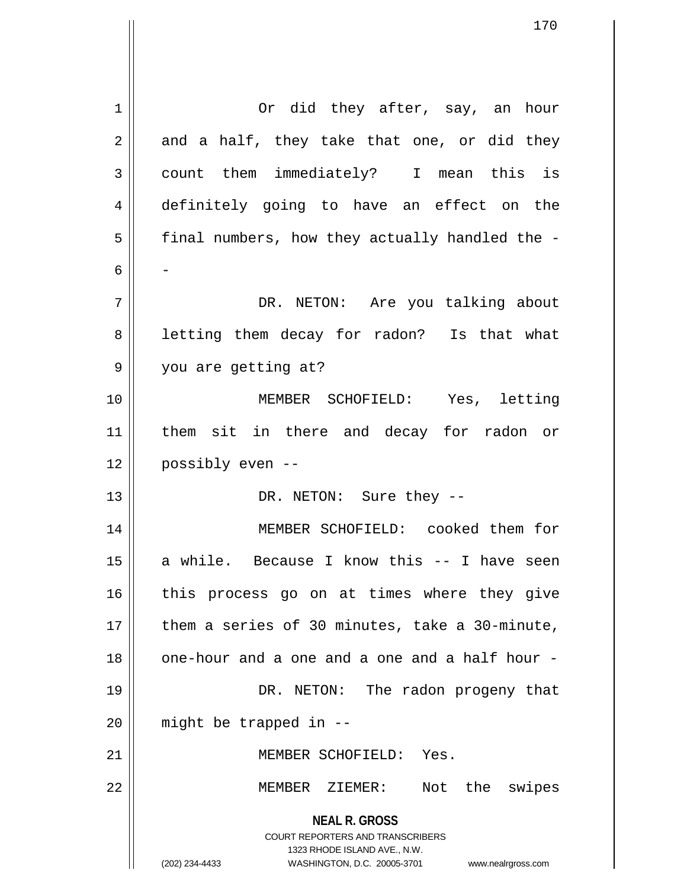| 1  | Or did they after, say, an hour                                                                                                                                        |
|----|------------------------------------------------------------------------------------------------------------------------------------------------------------------------|
| 2  | and a half, they take that one, or did they                                                                                                                            |
| 3  | count them immediately? I mean this is                                                                                                                                 |
| 4  | definitely going to have an effect on the                                                                                                                              |
| 5  | final numbers, how they actually handled the -                                                                                                                         |
| 6  |                                                                                                                                                                        |
| 7  | DR. NETON: Are you talking about                                                                                                                                       |
| 8  | letting them decay for radon? Is that what                                                                                                                             |
| 9  | you are getting at?                                                                                                                                                    |
| 10 | MEMBER SCHOFIELD: Yes, letting                                                                                                                                         |
| 11 | them sit in there and decay for radon or                                                                                                                               |
| 12 | possibly even --                                                                                                                                                       |
| 13 | DR. NETON: Sure they --                                                                                                                                                |
| 14 | MEMBER SCHOFIELD: cooked them for                                                                                                                                      |
| 15 | a while. Because I know this -- I have seen                                                                                                                            |
|    |                                                                                                                                                                        |
| 16 | this process go on at times where they give                                                                                                                            |
| 17 | them a series of 30 minutes, take a 30-minute,                                                                                                                         |
| 18 | one-hour and a one and a one and a half hour -                                                                                                                         |
| 19 | DR. NETON: The radon progeny that                                                                                                                                      |
| 20 | might be trapped in --                                                                                                                                                 |
| 21 | MEMBER SCHOFIELD: Yes.                                                                                                                                                 |
| 22 | Not the swipes<br>MEMBER ZIEMER:                                                                                                                                       |
|    | <b>NEAL R. GROSS</b><br><b>COURT REPORTERS AND TRANSCRIBERS</b><br>1323 RHODE ISLAND AVE., N.W.<br>(202) 234-4433<br>WASHINGTON, D.C. 20005-3701<br>www.nealrgross.com |

 $\overline{\mathsf{I}}$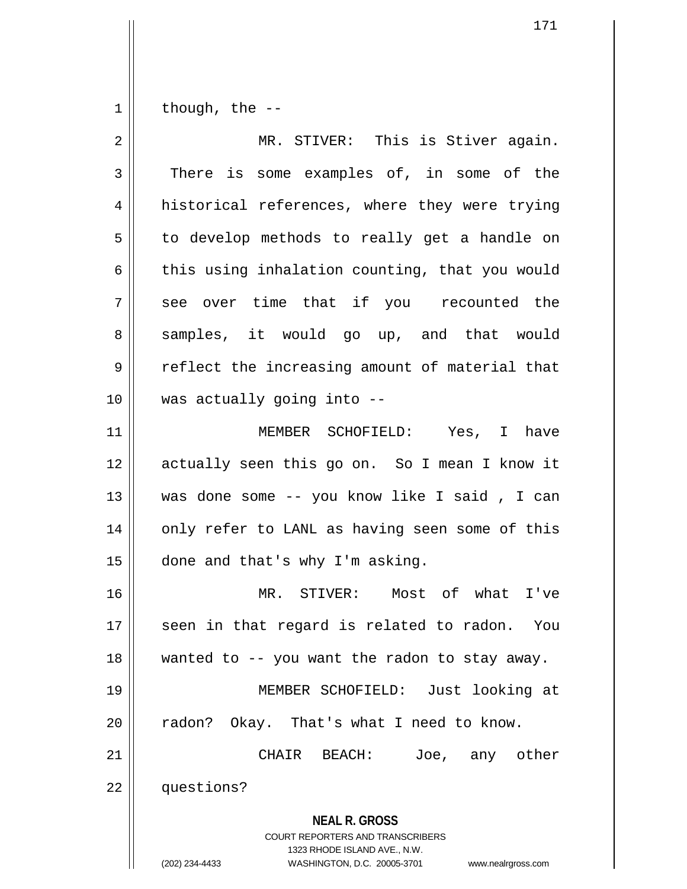$1 \parallel$  though, the --

| $\overline{2}$ | MR. STIVER: This is Stiver again.                                                                                                                                      |
|----------------|------------------------------------------------------------------------------------------------------------------------------------------------------------------------|
| 3              | There is some examples of, in some of the                                                                                                                              |
| 4              | historical references, where they were trying                                                                                                                          |
| 5              | to develop methods to really get a handle on                                                                                                                           |
| 6              | this using inhalation counting, that you would                                                                                                                         |
| 7              | see over time that if you recounted the                                                                                                                                |
| 8              | samples, it would go up, and that would                                                                                                                                |
| 9              | reflect the increasing amount of material that                                                                                                                         |
| 10             | was actually going into --                                                                                                                                             |
| 11             | MEMBER SCHOFIELD: Yes, I have                                                                                                                                          |
| 12             | actually seen this go on. So I mean I know it                                                                                                                          |
| 13             | was done some -- you know like I said, I can                                                                                                                           |
| 14             | only refer to LANL as having seen some of this                                                                                                                         |
| 15             | done and that's why I'm asking.                                                                                                                                        |
| 16             | MR. STIVER: Most of what I've                                                                                                                                          |
| 17             | seen in that regard is related to radon. You                                                                                                                           |
| 18             | wanted to -- you want the radon to stay away.                                                                                                                          |
| 19             | MEMBER SCHOFIELD: Just looking at                                                                                                                                      |
| 20             | radon? Okay. That's what I need to know.                                                                                                                               |
| 21             | CHAIR BEACH:<br>Joe, any other                                                                                                                                         |
| 22             | questions?                                                                                                                                                             |
|                | <b>NEAL R. GROSS</b><br><b>COURT REPORTERS AND TRANSCRIBERS</b><br>1323 RHODE ISLAND AVE., N.W.<br>(202) 234-4433<br>WASHINGTON, D.C. 20005-3701<br>www.nealrgross.com |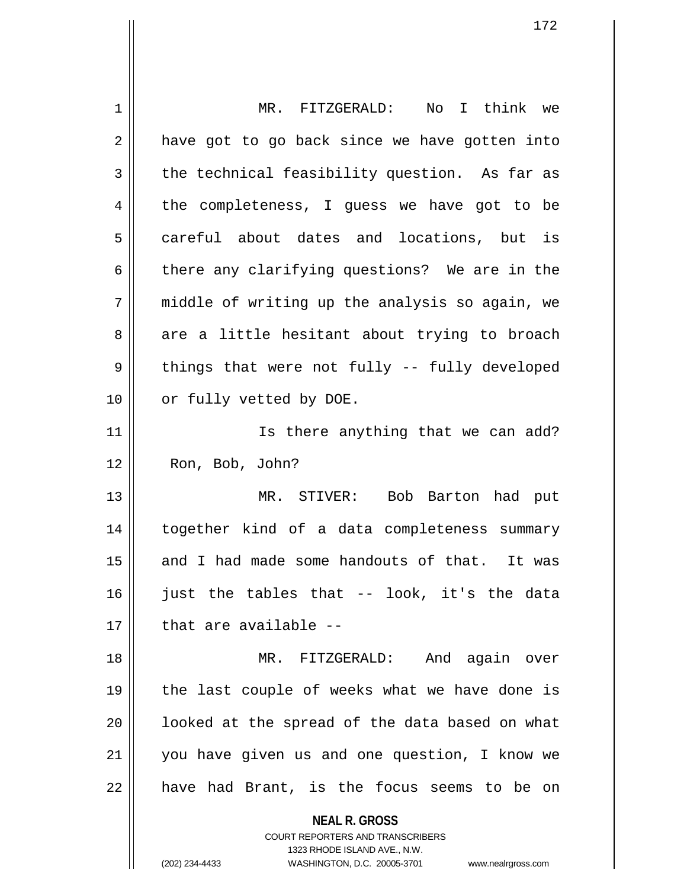| 1  | MR. FITZGERALD: No I think we                                                                       |
|----|-----------------------------------------------------------------------------------------------------|
| 2  | have got to go back since we have gotten into                                                       |
| 3  | the technical feasibility question. As far as                                                       |
| 4  | the completeness, I guess we have got to be                                                         |
| 5  | careful about dates and locations, but is                                                           |
| 6  | there any clarifying questions? We are in the                                                       |
| 7  | middle of writing up the analysis so again, we                                                      |
| 8  | are a little hesitant about trying to broach                                                        |
| 9  | things that were not fully -- fully developed                                                       |
| 10 | or fully vetted by DOE.                                                                             |
| 11 | Is there anything that we can add?                                                                  |
| 12 | Ron, Bob, John?                                                                                     |
| 13 | MR. STIVER: Bob Barton had put                                                                      |
| 14 | together kind of a data completeness summary                                                        |
| 15 | and I had made some handouts of that. It was                                                        |
| 16 | just the tables that -- look, it's the data                                                         |
| 17 | that are available --                                                                               |
| 18 | MR. FITZGERALD:<br>And again over                                                                   |
| 19 | the last couple of weeks what we have done is                                                       |
| 20 | looked at the spread of the data based on what                                                      |
| 21 | you have given us and one question, I know we                                                       |
| 22 | have had Brant, is the focus seems to be on                                                         |
|    | <b>NEAL R. GROSS</b>                                                                                |
|    | <b>COURT REPORTERS AND TRANSCRIBERS</b>                                                             |
|    | 1323 RHODE ISLAND AVE., N.W.<br>(202) 234-4433<br>WASHINGTON, D.C. 20005-3701<br>www.nealrgross.com |
|    |                                                                                                     |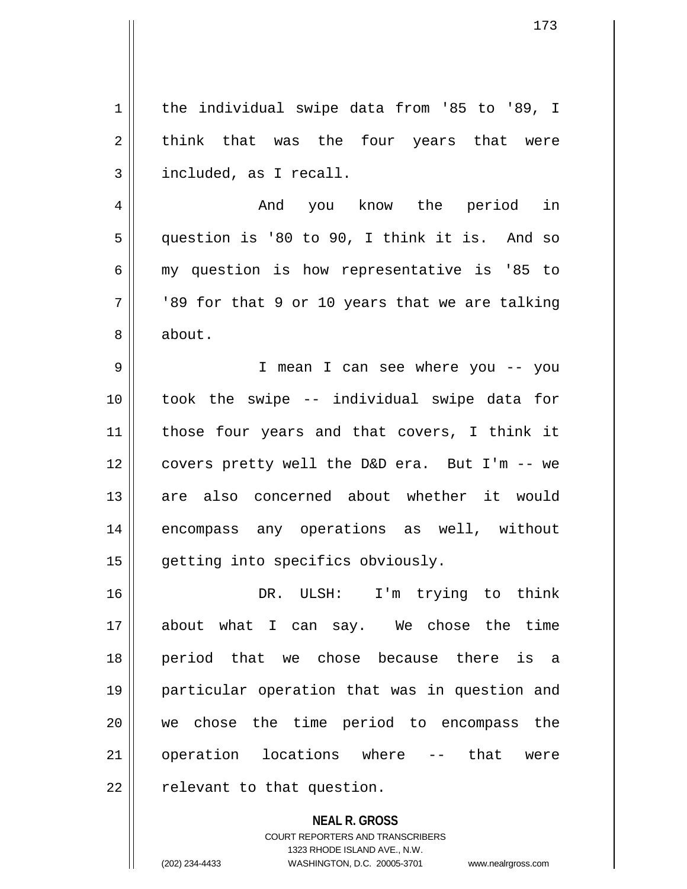1 | the individual swipe data from '85 to '89, I  $2 \parallel$  think that was the four years that were  $3 \parallel$  included, as I recall. 4 And you know the period in 5 question is '80 to 90, I think it is. And so  $6 \parallel$  my question is how representative is '85 to  $7 ||$  '89 for that 9 or 10 years that we are talking 8 | about. 9 I mean I can see where you -- you 10 took the swipe -- individual swipe data for 11 || those four years and that covers, I think it 12 covers pretty well the D&D era. But I'm -- we 13 are also concerned about whether it would 14 || encompass any operations as well, without 15 || getting into specifics obviously. 16 DR. ULSH: I'm trying to think 17 about what I can say. We chose the time 18 period that we chose because there is a 19 particular operation that was in question and 20 we chose the time period to encompass the 21 || operation locations where -- that were

 $22$  | relevant to that question.

**NEAL R. GROSS** COURT REPORTERS AND TRANSCRIBERS 1323 RHODE ISLAND AVE., N.W. (202) 234-4433 WASHINGTON, D.C. 20005-3701 www.nealrgross.com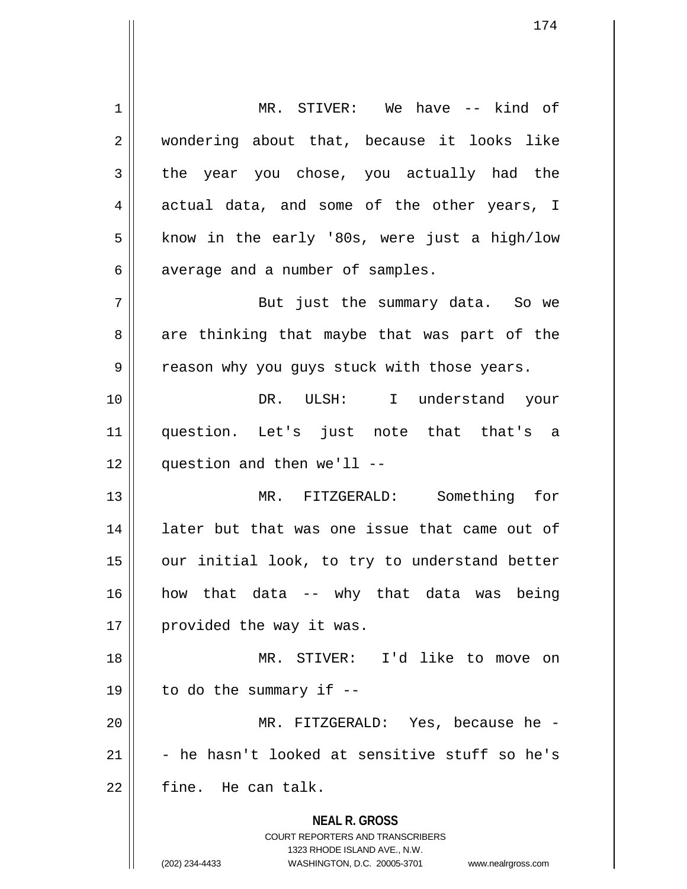**NEAL R. GROSS** COURT REPORTERS AND TRANSCRIBERS 1323 RHODE ISLAND AVE., N.W. (202) 234-4433 WASHINGTON, D.C. 20005-3701 www.nealrgross.com 1 || MR. STIVER: We have -- kind of 2 || wondering about that, because it looks like  $3 \parallel$  the year you chose, you actually had the 4 actual data, and some of the other years, I  $5 \parallel$  know in the early '80s, were just a high/low  $6 \parallel$  average and a number of samples. 7 || But just the summary data. So we  $8 \parallel$  are thinking that maybe that was part of the 9 || reason why you guys stuck with those years. 10 DR. ULSH: I understand your 11 question. Let's just note that that's a  $12$  | question and then we'll --13 MR. FITZGERALD: Something for 14 || later but that was one issue that came out of 15 || our initial look, to try to understand better 16 how that data -- why that data was being 17 | provided the way it was. 18 MR. STIVER: I'd like to move on 19  $\parallel$  to do the summary if --20 MR. FITZGERALD: Yes, because he -  $21$   $\parallel$  - he hasn't looked at sensitive stuff so he's  $22$  | fine. He can talk.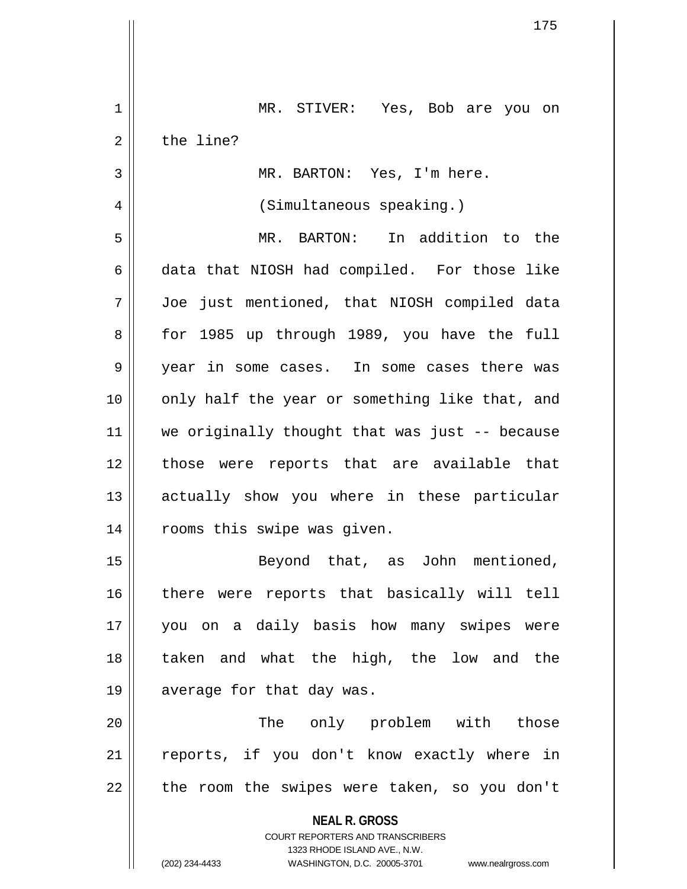| 1  | MR. STIVER: Yes, Bob are you on                                                                     |
|----|-----------------------------------------------------------------------------------------------------|
| 2  | the line?                                                                                           |
| 3  | MR. BARTON: Yes, I'm here.                                                                          |
| 4  | (Simultaneous speaking.)                                                                            |
| 5  | MR. BARTON: In addition to the                                                                      |
| 6  | data that NIOSH had compiled. For those like                                                        |
| 7  | Joe just mentioned, that NIOSH compiled data                                                        |
| 8  | for 1985 up through 1989, you have the full                                                         |
| 9  | year in some cases. In some cases there was                                                         |
| 10 | only half the year or something like that, and                                                      |
| 11 | we originally thought that was just -- because                                                      |
| 12 | those were reports that are available that                                                          |
| 13 | actually show you where in these particular                                                         |
| 14 | rooms this swipe was given.                                                                         |
| 15 | Beyond that, as John mentioned,                                                                     |
| 16 | there were reports that basically will tell                                                         |
| 17 | you on a daily basis how many swipes were                                                           |
| 18 | taken and what the high, the low and the                                                            |
| 19 | average for that day was.                                                                           |
| 20 | The only problem with those                                                                         |
| 21 | reports, if you don't know exactly where in                                                         |
| 22 | the room the swipes were taken, so you don't                                                        |
|    | <b>NEAL R. GROSS</b>                                                                                |
|    | <b>COURT REPORTERS AND TRANSCRIBERS</b>                                                             |
|    | 1323 RHODE ISLAND AVE., N.W.<br>(202) 234-4433<br>WASHINGTON, D.C. 20005-3701<br>www.nealrgross.com |

 $\overline{\phantom{a}}$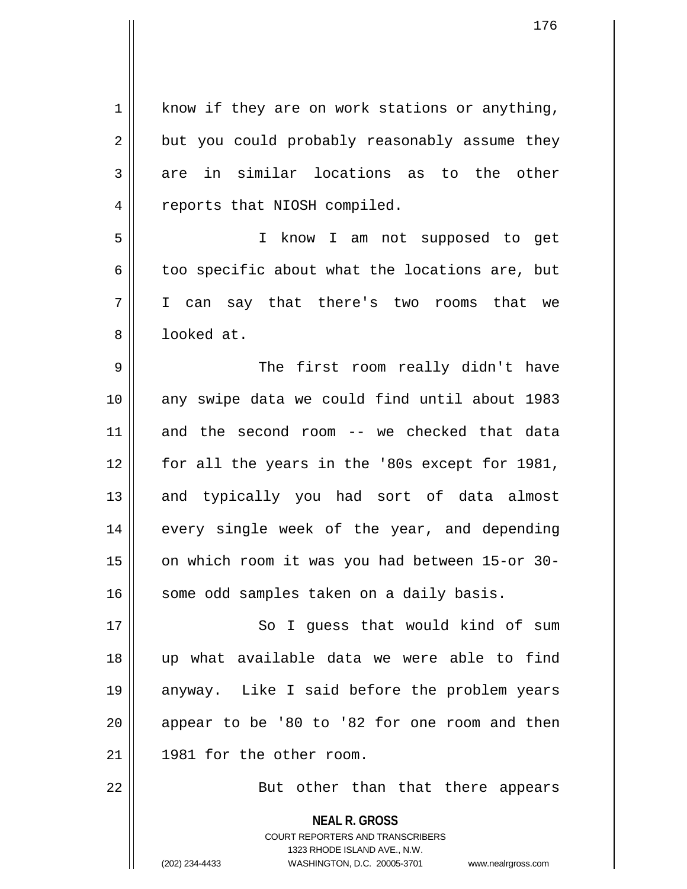| $\mathbf 1$    | know if they are on work stations or anything,                      |
|----------------|---------------------------------------------------------------------|
| $\overline{2}$ | but you could probably reasonably assume they                       |
| 3              | in similar locations as to the other<br>are                         |
| 4              | reports that NIOSH compiled.                                        |
| 5              | I know I am not supposed to get                                     |
| 6              | too specific about what the locations are, but                      |
| 7              | I can say that there's two rooms that we                            |
| 8              | looked at.                                                          |
| 9              | The first room really didn't have                                   |
| 10             | any swipe data we could find until about 1983                       |
| 11             | and the second room -- we checked that data                         |
| 12             | for all the years in the '80s except for 1981,                      |
| 13             | and typically you had sort of data almost                           |
| 14             | every single week of the year, and depending                        |
| 15             | on which room it was you had between 15-or 30-                      |
| 16             | some odd samples taken on a daily basis.                            |
| 17             | So I guess that would kind of sum                                   |
| 18             | up what available data we were able to find                         |
| 19             | anyway. Like I said before the problem years                        |
| 20             | appear to be '80 to '82 for one room and then                       |
| 21             | 1981 for the other room.                                            |
| 22             | But other than that there appears                                   |
|                | <b>NEAL R. GROSS</b>                                                |
|                | <b>COURT REPORTERS AND TRANSCRIBERS</b>                             |
|                | 1323 RHODE ISLAND AVE., N.W.                                        |
|                | WASHINGTON, D.C. 20005-3701<br>(202) 234-4433<br>www.nealrgross.com |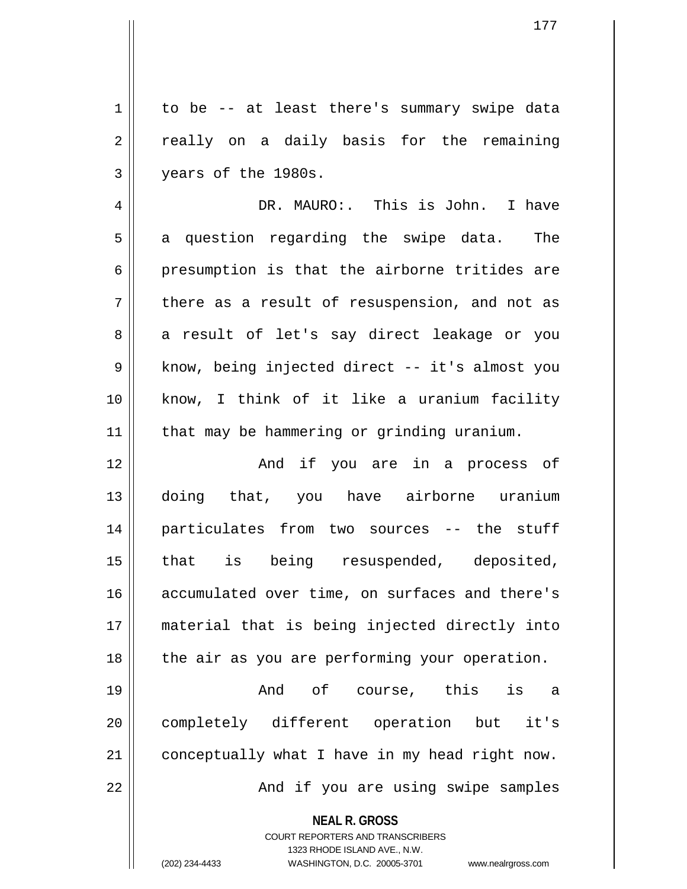1 | to be -- at least there's summary swipe data 2 || really on a daily basis for the remaining 3 years of the 1980s.

4 DR. MAURO:. This is John. I have  $5 \parallel$  a question regarding the swipe data. The  $6 \parallel$  presumption is that the airborne tritides are  $7 \parallel$  there as a result of resuspension, and not as 8 a result of let's say direct leakage or you 9 || know, being injected direct -- it's almost you 10 know, I think of it like a uranium facility 11 | that may be hammering or grinding uranium.

12 And if you are in a process of 13 doing that, you have airborne uranium 14 particulates from two sources -- the stuff 15 that is being resuspended, deposited, 16 accumulated over time, on surfaces and there's 17 material that is being injected directly into  $18$  | the air as you are performing your operation.

19 And of course, this is a 20 completely different operation but it's  $21$  conceptually what I have in my head right now. 22 And if you are using swipe samples

**NEAL R. GROSS**

COURT REPORTERS AND TRANSCRIBERS 1323 RHODE ISLAND AVE., N.W. (202) 234-4433 WASHINGTON, D.C. 20005-3701 www.nealrgross.com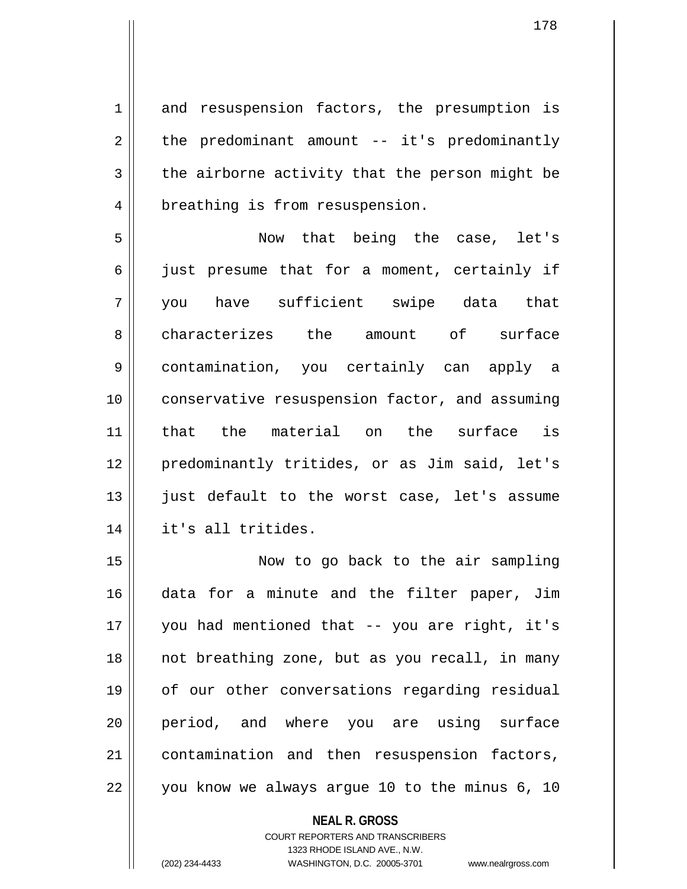1 and resuspension factors, the presumption is  $2 \parallel$  the predominant amount -- it's predominantly  $3 \parallel$  the airborne activity that the person might be 4 | breathing is from resuspension.

5 Now that being the case, let's 6 || just presume that for a moment, certainly if 7 you have sufficient swipe data that 8 characterizes the amount of surface 9 contamination, you certainly can apply a 10 conservative resuspension factor, and assuming 11 that the material on the surface is 12 predominantly tritides, or as Jim said, let's 13 || just default to the worst case, let's assume 14 it's all tritides.

15 Now to go back to the air sampling 16 data for a minute and the filter paper, Jim 17 you had mentioned that -- you are right, it's 18 || not breathing zone, but as you recall, in many 19 || of our other conversations regarding residual 20 period, and where you are using surface 21 contamination and then resuspension factors, 22 || you know we always argue 10 to the minus 6, 10

> **NEAL R. GROSS** COURT REPORTERS AND TRANSCRIBERS 1323 RHODE ISLAND AVE., N.W.

(202) 234-4433 WASHINGTON, D.C. 20005-3701 www.nealrgross.com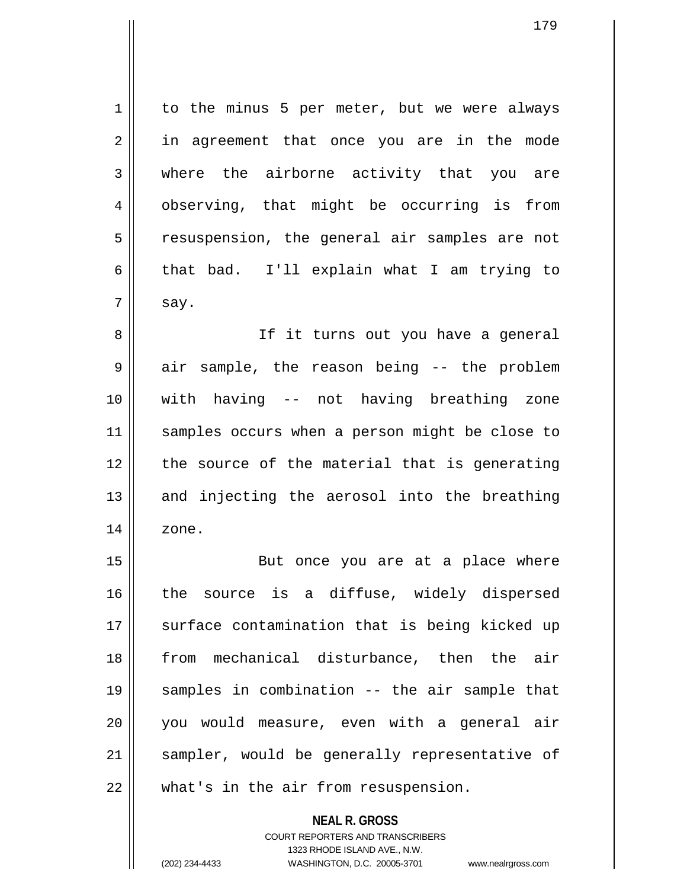$1 \parallel$  to the minus 5 per meter, but we were always 2 || in agreement that once you are in the mode 3 where the airborne activity that you are 4 | observing, that might be occurring is from 5 || resuspension, the general air samples are not 6 that bad. I'll explain what I am trying to  $7 \parallel$  say.

8 || If it turns out you have a general  $9 \parallel$  air sample, the reason being -- the problem 10 with having -- not having breathing zone 11 || samples occurs when a person might be close to 12 || the source of the material that is generating  $13$  and injecting the aerosol into the breathing  $14 \parallel$  zone.

15 || But once you are at a place where 16 || the source is a diffuse, widely dispersed 17 || surface contamination that is being kicked up 18 from mechanical disturbance, then the air 19 samples in combination -- the air sample that 20 you would measure, even with a general air 21 || sampler, would be generally representative of 22 || what's in the air from resuspension.

> **NEAL R. GROSS** COURT REPORTERS AND TRANSCRIBERS 1323 RHODE ISLAND AVE., N.W. (202) 234-4433 WASHINGTON, D.C. 20005-3701 www.nealrgross.com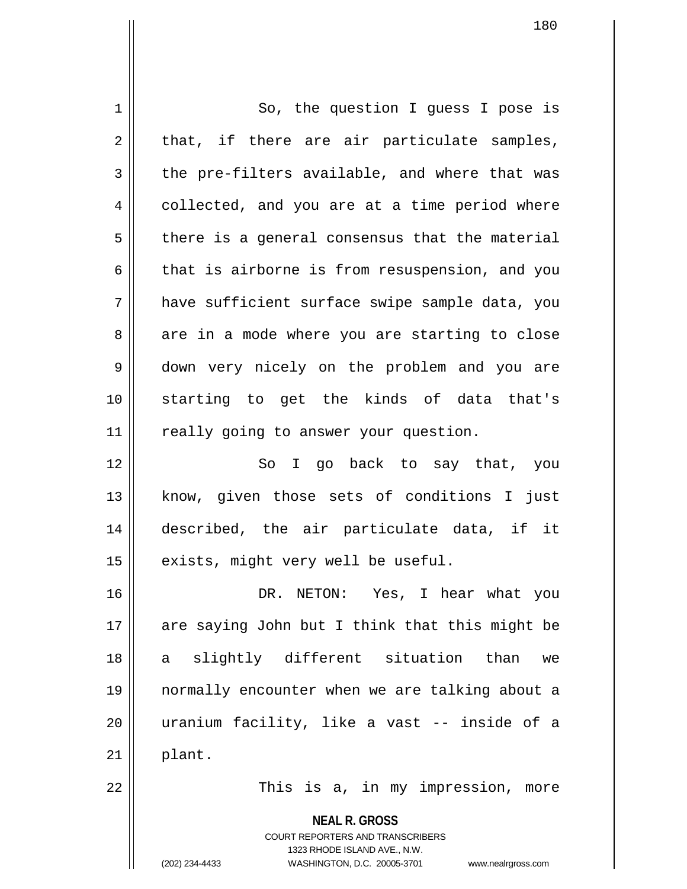| 1  | So, the question I guess I pose is             |
|----|------------------------------------------------|
| 2  | that, if there are air particulate samples,    |
| 3  | the pre-filters available, and where that was  |
| 4  | collected, and you are at a time period where  |
| 5  | there is a general consensus that the material |
| 6  | that is airborne is from resuspension, and you |
| 7  | have sufficient surface swipe sample data, you |
| 8  | are in a mode where you are starting to close  |
| 9  | down very nicely on the problem and you are    |
| 10 | starting to get the kinds of data that's       |
| 11 | really going to answer your question.          |
| 12 | So I go back to say that, you                  |
| 13 | know, given those sets of conditions I just    |
| 14 | described, the air particulate data, if it     |
| 15 | exists, might very well be useful.             |
| 16 | DR. NETON: Yes, I hear what you                |
| 17 | are saying John but I think that this might be |
| 18 | slightly different situation than<br>we<br>a   |
| 19 | normally encounter when we are talking about a |
| 20 | uranium facility, like a vast -- inside of a   |
| 21 | plant.                                         |
| 22 | This is a, in my impression, more              |
|    | <b>NEAL R. GROSS</b>                           |

COURT REPORTERS AND TRANSCRIBERS 1323 RHODE ISLAND AVE., N.W.

(202) 234-4433 WASHINGTON, D.C. 20005-3701 www.nealrgross.com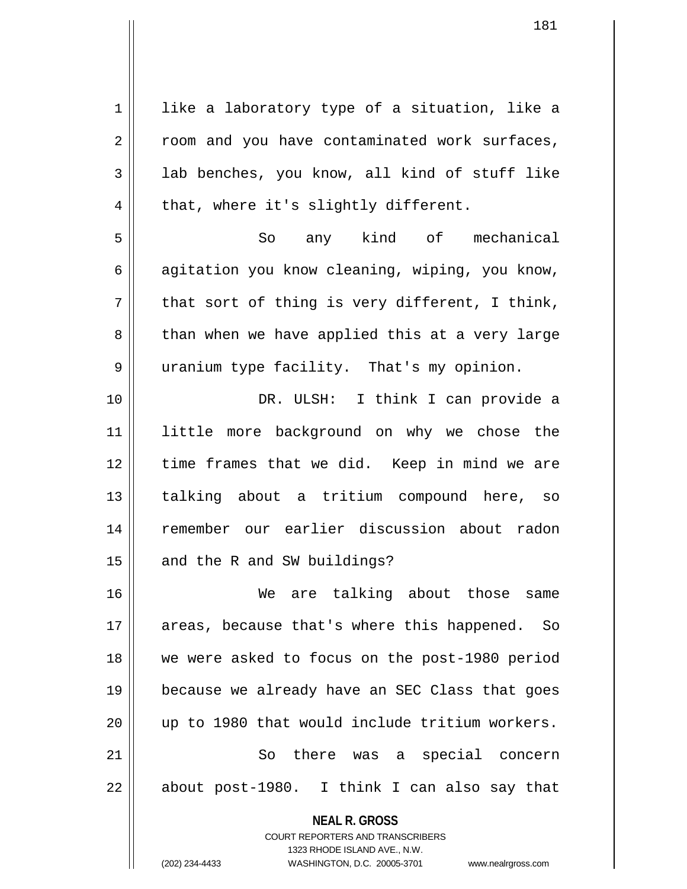**NEAL R. GROSS** COURT REPORTERS AND TRANSCRIBERS  $1$  like a laboratory type of a situation, like a 2 || room and you have contaminated work surfaces,  $3 \parallel$  lab benches, you know, all kind of stuff like  $4 \parallel$  that, where it's slightly different. 5 So any kind of mechanical  $6 \parallel$  agitation you know cleaning, wiping, you know,  $7 \parallel$  that sort of thing is very different, I think, 8 than when we have applied this at a very large 9 uranium type facility. That's my opinion. 10 DR. ULSH: I think I can provide a 11 little more background on why we chose the 12 || time frames that we did. Keep in mind we are 13 talking about a tritium compound here, so 14 remember our earlier discussion about radon  $15$  | and the R and SW buildings? 16 We are talking about those same 17 || areas, because that's where this happened. So 18 we were asked to focus on the post-1980 period 19 because we already have an SEC Class that goes 20 up to 1980 that would include tritium workers. 21 So there was a special concern  $22 \parallel$  about post-1980. I think I can also say that

1323 RHODE ISLAND AVE., N.W.

(202) 234-4433 WASHINGTON, D.C. 20005-3701 www.nealrgross.com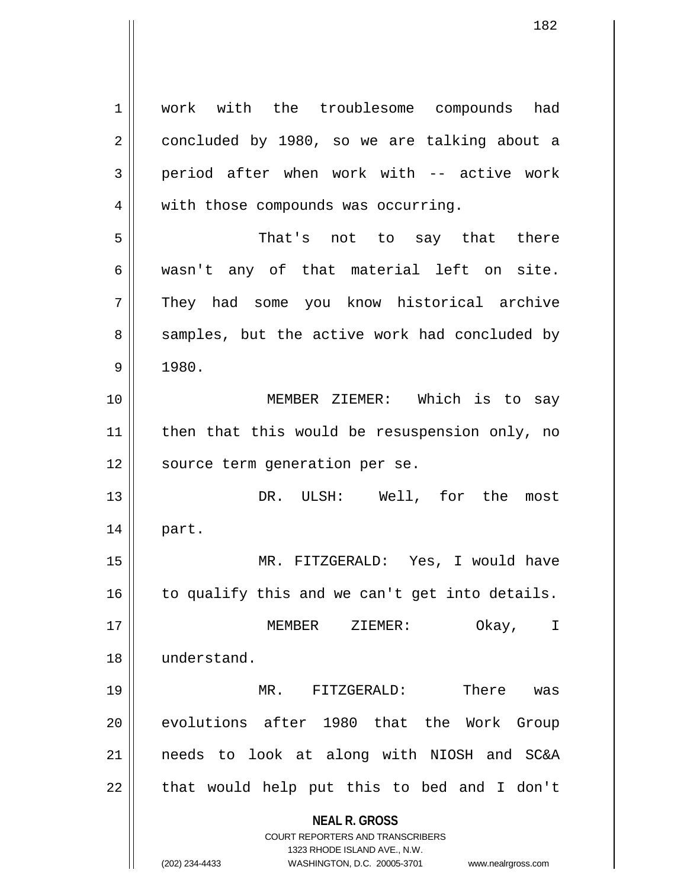**NEAL R. GROSS** COURT REPORTERS AND TRANSCRIBERS 1323 RHODE ISLAND AVE., N.W. (202) 234-4433 WASHINGTON, D.C. 20005-3701 www.nealrgross.com 1 || work with the troublesome compounds had 2 concluded by 1980, so we are talking about a  $3 \parallel$  period after when work with -- active work 4 | with those compounds was occurring. 5 That's not to say that there  $6 \parallel$  wasn't any of that material left on site. 7 They had some you know historical archive 8 samples, but the active work had concluded by  $9 \parallel 1980.$ 10 MEMBER ZIEMER: Which is to say 11 || then that this would be resuspension only, no 12 || source term generation per se. 13 DR. ULSH: Well, for the most 14 part. 15 MR. FITZGERALD: Yes, I would have  $16$  to qualify this and we can't get into details. 17 MEMBER ZIEMER: Okay, I 18 understand. 19 MR. FITZGERALD: There was 20 evolutions after 1980 that the Work Group 21 needs to look at along with NIOSH and SC&A  $22$  || that would help put this to bed and I don't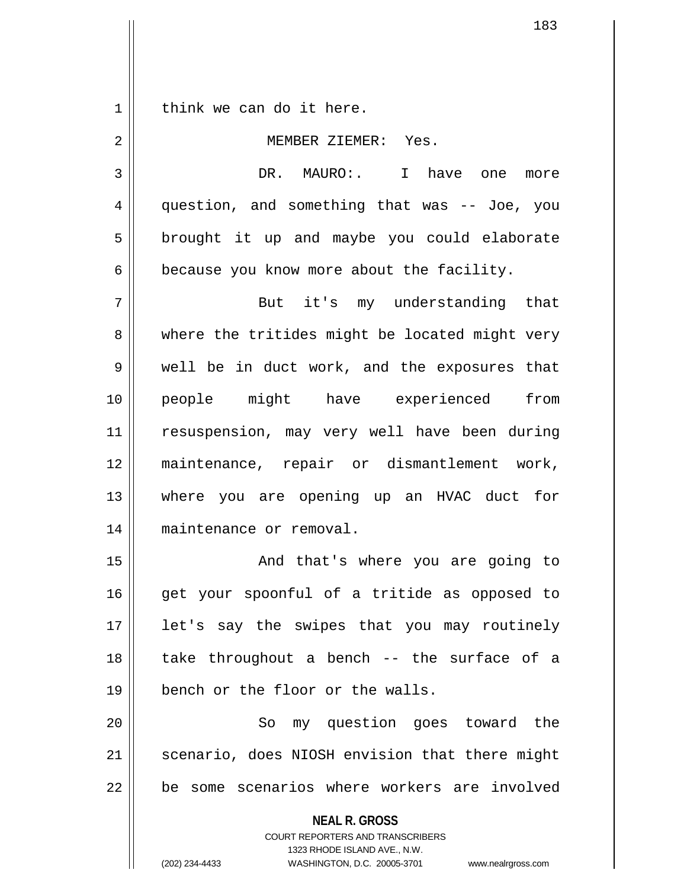$1 \parallel$  think we can do it here.

| $\overline{2}$ | MEMBER ZIEMER: Yes.                                                                                                                                                    |
|----------------|------------------------------------------------------------------------------------------------------------------------------------------------------------------------|
| 3              | DR. MAURO: I have one<br>more                                                                                                                                          |
| 4              | question, and something that was -- Joe, you                                                                                                                           |
| 5              | brought it up and maybe you could elaborate                                                                                                                            |
| 6              | because you know more about the facility.                                                                                                                              |
| 7              | But it's my understanding that                                                                                                                                         |
| 8              | where the tritides might be located might very                                                                                                                         |
| 9              | well be in duct work, and the exposures that                                                                                                                           |
| 10             | people might have experienced from                                                                                                                                     |
| 11             | resuspension, may very well have been during                                                                                                                           |
| 12             | maintenance, repair or dismantlement work,                                                                                                                             |
| 13             | where you are opening up an HVAC duct for                                                                                                                              |
| 14             | maintenance or removal.                                                                                                                                                |
| 15             | And that's where you are going to                                                                                                                                      |
| 16             | get your spoonful of a tritide as opposed to                                                                                                                           |
| 17             | let's say the swipes that you may routinely                                                                                                                            |
| 18             | take throughout a bench -- the surface of a                                                                                                                            |
| 19             | bench or the floor or the walls.                                                                                                                                       |
| 20             | my question goes toward the<br>So                                                                                                                                      |
| 21             | scenario, does NIOSH envision that there might                                                                                                                         |
| 22             | be some scenarios where workers are involved                                                                                                                           |
|                | <b>NEAL R. GROSS</b><br><b>COURT REPORTERS AND TRANSCRIBERS</b><br>1323 RHODE ISLAND AVE., N.W.<br>(202) 234-4433<br>WASHINGTON, D.C. 20005-3701<br>www.nealrgross.com |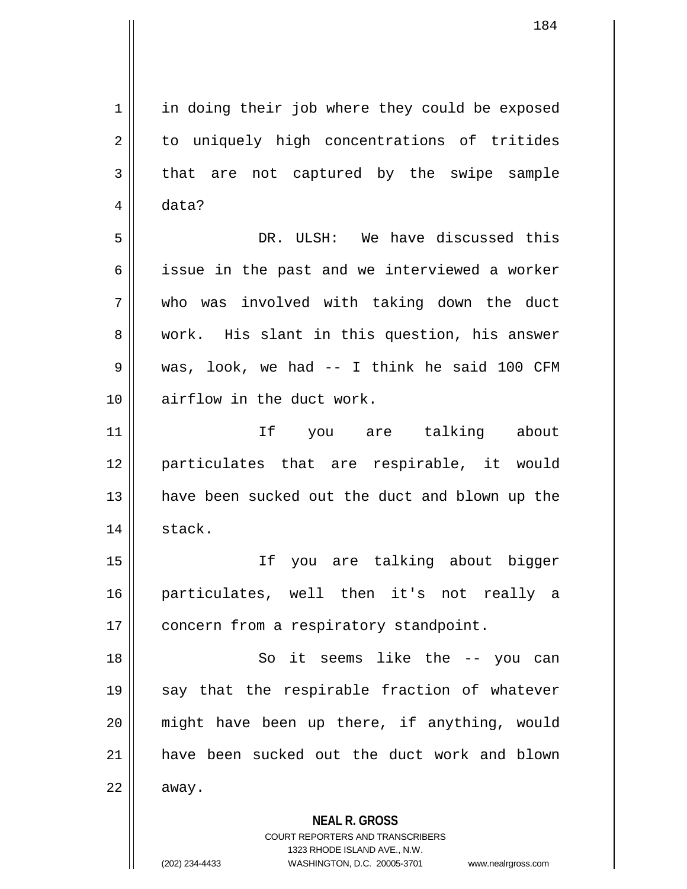1 || in doing their job where they could be exposed 2 || to uniquely high concentrations of tritides  $3 \parallel$  that are not captured by the swipe sample 4 data? 5 DR. ULSH: We have discussed this 6 || issue in the past and we interviewed a worker

7 who was involved with taking down the duct 8 work. His slant in this question, his answer 9 was, look, we had -- I think he said 100 CFM 10 airflow in the duct work.

11 If you are talking about 12 particulates that are respirable, it would 13 have been sucked out the duct and blown up the 14 | stack.

15 If you are talking about bigger 16 particulates, well then it's not really a 17 | concern from a respiratory standpoint.

18 So it seems like the -- you can 19 || say that the respirable fraction of whatever 20 || might have been up there, if anything, would 21 have been sucked out the duct work and blown  $22 \parallel$  away.

**NEAL R. GROSS**

COURT REPORTERS AND TRANSCRIBERS 1323 RHODE ISLAND AVE., N.W. (202) 234-4433 WASHINGTON, D.C. 20005-3701 www.nealrgross.com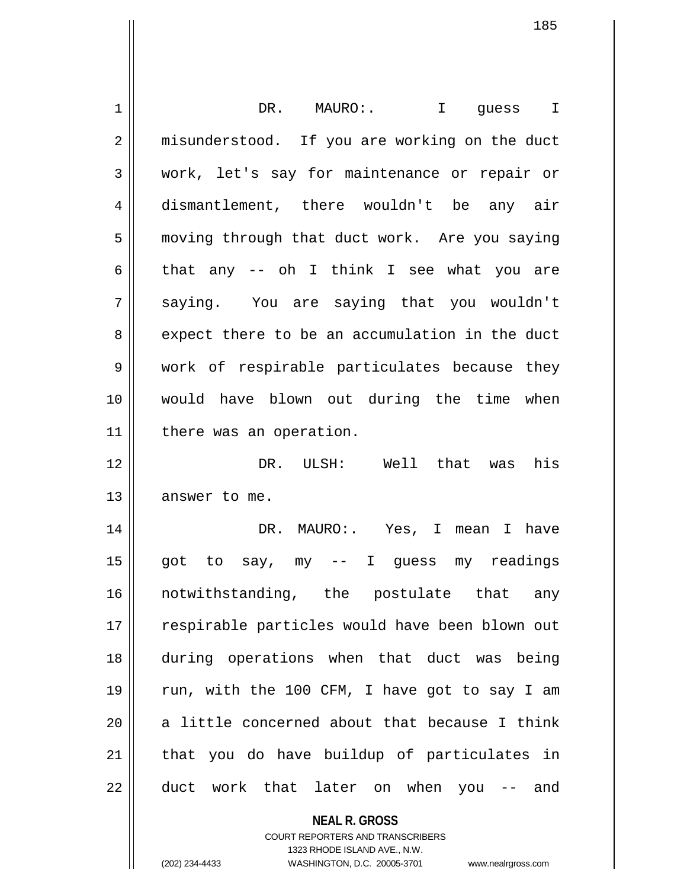| 1  | DR. MAURO: I guess I                           |
|----|------------------------------------------------|
| 2  | misunderstood. If you are working on the duct  |
| 3  | work, let's say for maintenance or repair or   |
| 4  | dismantlement, there wouldn't be any air       |
| 5  | moving through that duct work. Are you saying  |
| 6  | that any -- oh I think I see what you are      |
| 7  | saying. You are saying that you wouldn't       |
| 8  | expect there to be an accumulation in the duct |
| 9  | work of respirable particulates because they   |
| 10 | would have blown out during the time when      |
| 11 | there was an operation.                        |
| 12 | DR. ULSH: Well that was<br>his                 |
| 13 | answer to me.                                  |
| 14 | DR. MAURO:. Yes, I mean I have                 |
| 15 | got to say, my -- I guess my readings          |
| 16 | notwithstanding, the postulate that<br>any     |
| 17 | respirable particles would have been blown out |
| 18 | during operations when that duct was being     |
| 19 | run, with the 100 CFM, I have got to say I am  |
| 20 | a little concerned about that because I think  |
| 21 | that you do have buildup of particulates in    |
| 22 | duct work that later on when you -- and        |
|    |                                                |
|    | <b>NEAL R. GROSS</b>                           |

COURT REPORTERS AND TRANSCRIBERS 1323 RHODE ISLAND AVE., N.W.

 $\mathsf{I}$ 

(202) 234-4433 WASHINGTON, D.C. 20005-3701 www.nealrgross.com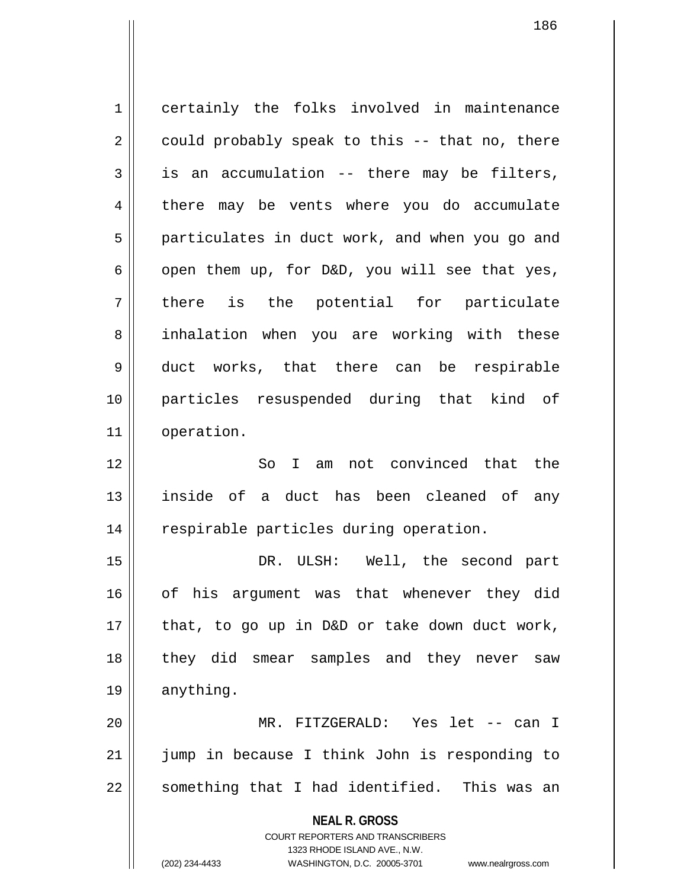**NEAL R. GROSS** COURT REPORTERS AND TRANSCRIBERS 1323 RHODE ISLAND AVE., N.W. 1 certainly the folks involved in maintenance  $2 \parallel$  could probably speak to this -- that no, there  $3 \parallel$  is an accumulation -- there may be filters, 4 there may be vents where you do accumulate 5 | particulates in duct work, and when you go and 6 | open them up, for D&D, you will see that yes,  $7 \parallel$  there is the potential for particulate 8 || inhalation when you are working with these 9 duct works, that there can be respirable 10 particles resuspended during that kind of 11 operation. 12 So I am not convinced that the 13 inside of a duct has been cleaned of any 14 respirable particles during operation. 15 DR. ULSH: Well, the second part 16 of his argument was that whenever they did  $17$  | that, to go up in D&D or take down duct work, 18 they did smear samples and they never saw 19 | anything. 20 MR. FITZGERALD: Yes let -- can I 21 || jump in because I think John is responding to 22 || something that I had identified. This was an

(202) 234-4433 WASHINGTON, D.C. 20005-3701 www.nealrgross.com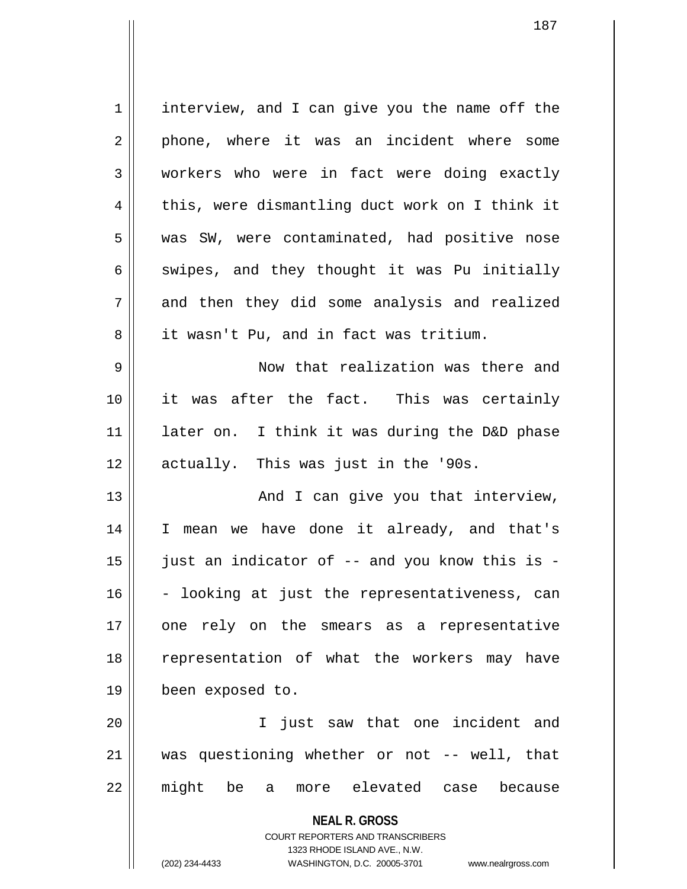1 | interview, and I can give you the name off the 2 || phone, where it was an incident where some 3 workers who were in fact were doing exactly  $4 \parallel$  this, were dismantling duct work on I think it 5 || was SW, were contaminated, had positive nose 6 swipes, and they thought it was Pu initially  $7 \parallel$  and then they did some analysis and realized 8 || it wasn't Pu, and in fact was tritium. 9 Now that realization was there and 10 it was after the fact. This was certainly  $11$  | later on. I think it was during the D&D phase 12 || actually. This was just in the '90s. 13 And I can give you that interview, 14 I mean we have done it already, and that's  $15$  || just an indicator of -- and you know this is -

20 || T just saw that one incident and 21 was questioning whether or not -- well, that 22 might be a more elevated case because

 $16$  - looking at just the representativeness, can

17 || one rely on the smears as a representative

18 || representation of what the workers may have

**NEAL R. GROSS** COURT REPORTERS AND TRANSCRIBERS 1323 RHODE ISLAND AVE., N.W. (202) 234-4433 WASHINGTON, D.C. 20005-3701 www.nealrgross.com

19 been exposed to.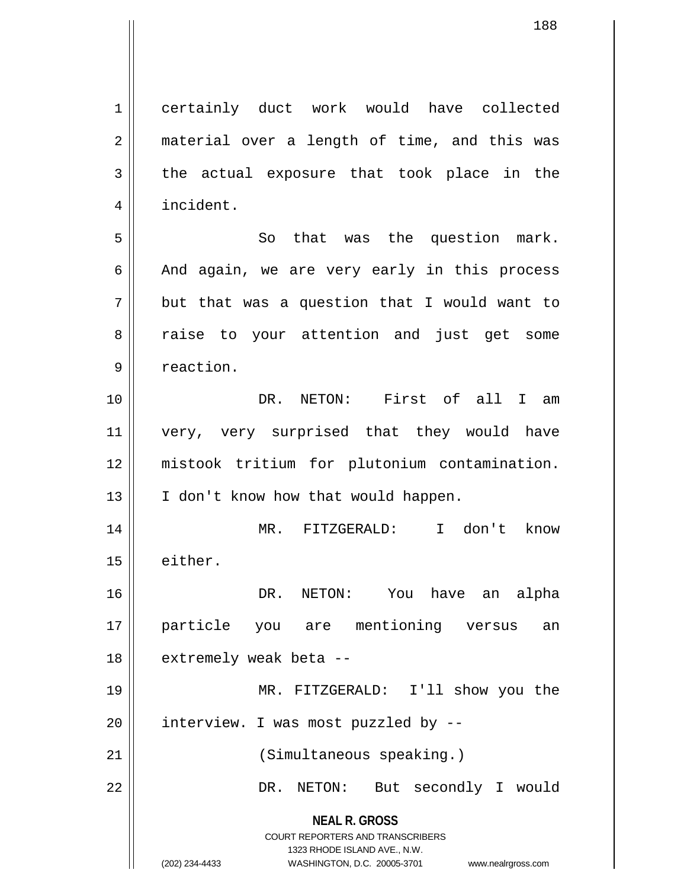**NEAL R. GROSS** COURT REPORTERS AND TRANSCRIBERS 1323 RHODE ISLAND AVE., N.W. 1 certainly duct work would have collected 2 || material over a length of time, and this was  $3 \parallel$  the actual exposure that took place in the 4 | incident. 5 || So that was the question mark.  $6 \parallel$  And again, we are very early in this process  $7 \parallel$  but that was a question that I would want to 8 a raise to your attention and just get some 9 | reaction. 10 DR. NETON: First of all I am 11 || very, very surprised that they would have 12 mistook tritium for plutonium contamination. 13 || I don't know how that would happen. 14 MR. FITZGERALD: I don't know 15 either. 16 DR. NETON: You have an alpha 17 particle you are mentioning versus an 18 || extremely weak beta --19 MR. FITZGERALD: I'll show you the  $20$  || interview. I was most puzzled by  $-$ -21 || (Simultaneous speaking.) 22 DR. NETON: But secondly I would

<sup>(202) 234-4433</sup> WASHINGTON, D.C. 20005-3701 www.nealrgross.com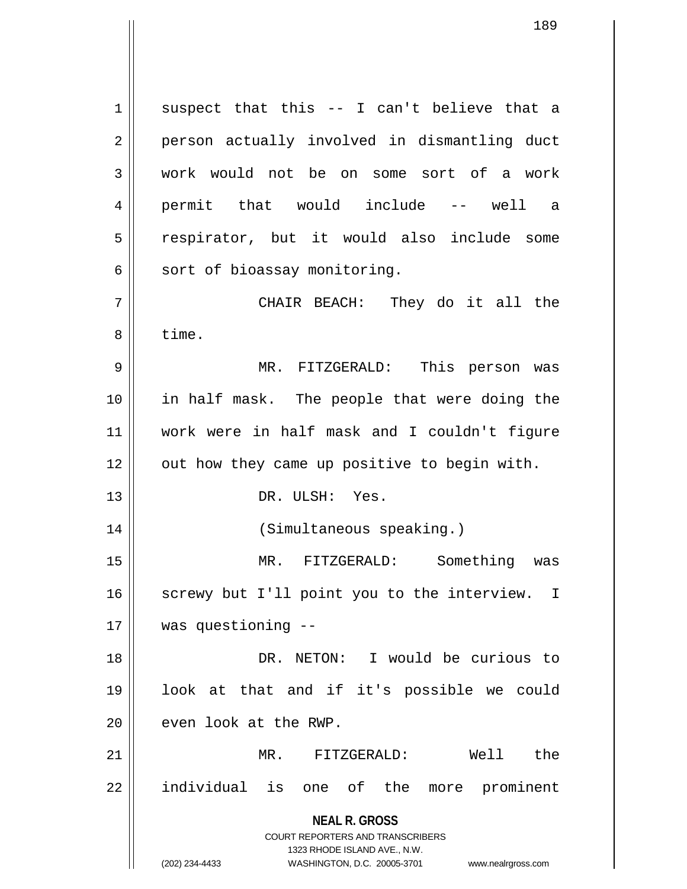**NEAL R. GROSS** COURT REPORTERS AND TRANSCRIBERS 1323 RHODE ISLAND AVE., N.W.  $1 \parallel$  suspect that this -- I can't believe that a 2 || person actually involved in dismantling duct 3 work would not be on some sort of a work 4 permit that would include -- well a 5 || respirator, but it would also include some  $6 \parallel$  sort of bioassay monitoring. 7 CHAIR BEACH: They do it all the 8 | time. 9 MR. FITZGERALD: This person was 10 in half mask. The people that were doing the 11 work were in half mask and I couldn't figure  $12$  | out how they came up positive to begin with. 13 DR. ULSH: Yes. 14 (Simultaneous speaking.) 15 MR. FITZGERALD: Something was 16 || screwy but I'll point you to the interview. I 17 was questioning -- 18 DR. NETON: I would be curious to 19 look at that and if it's possible we could  $20$  | even look at the RWP. 21 MR. FITZGERALD: Well the 22 || individual is one of the more prominent

(202) 234-4433 WASHINGTON, D.C. 20005-3701 www.nealrgross.com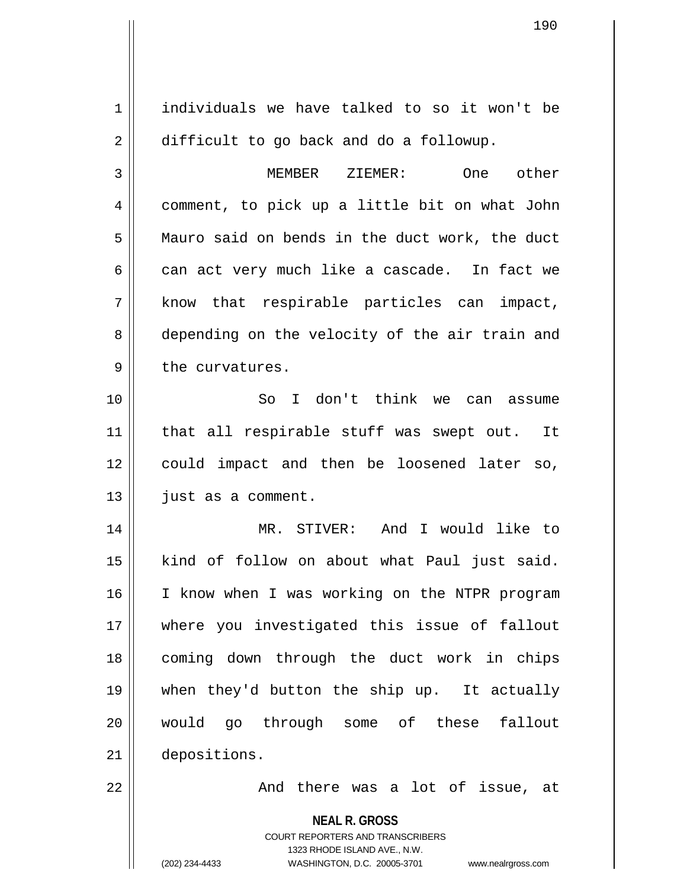**NEAL R. GROSS** COURT REPORTERS AND TRANSCRIBERS 1323 RHODE ISLAND AVE., N.W. 1 individuals we have talked to so it won't be 2 | difficult to go back and do a followup. 3 MEMBER ZIEMER: One other 4 comment, to pick up a little bit on what John 5 | Mauro said on bends in the duct work, the duct  $6 \parallel$  can act very much like a cascade. In fact we  $7 \parallel$  know that respirable particles can impact, 8 depending on the velocity of the air train and  $9 \parallel$  the curvatures. 10 So I don't think we can assume 11 || that all respirable stuff was swept out. It 12 could impact and then be loosened later so,  $13$  | just as a comment. 14 MR. STIVER: And I would like to 15 | kind of follow on about what Paul just said. 16 || I know when I was working on the NTPR program 17 where you investigated this issue of fallout 18 coming down through the duct work in chips 19 when they'd button the ship up. It actually 20 would go through some of these fallout 21 depositions. 22 And there was a lot of issue, at

(202) 234-4433 WASHINGTON, D.C. 20005-3701 www.nealrgross.com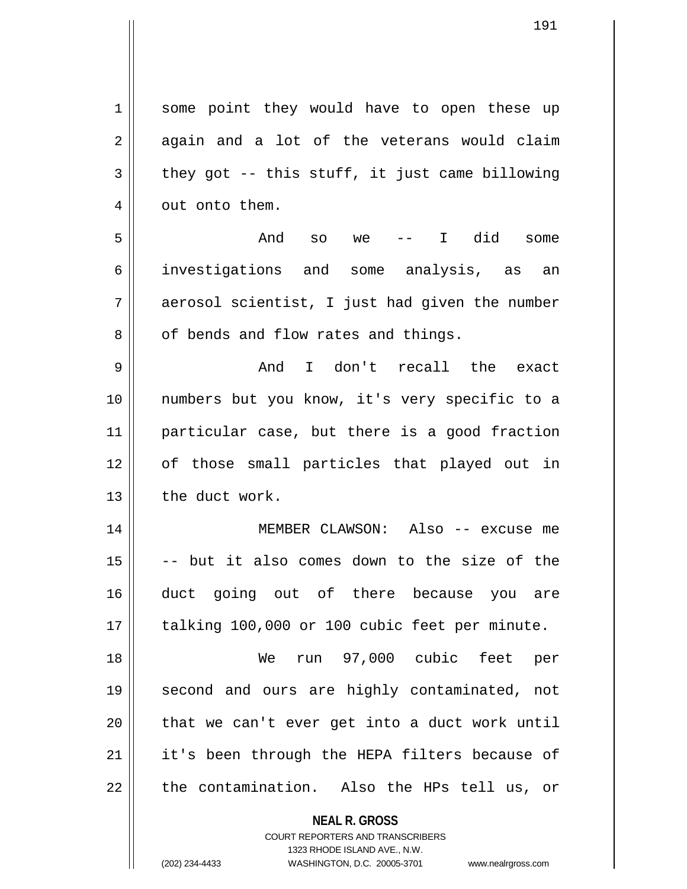1 || some point they would have to open these up  $2 \parallel$  again and a lot of the veterans would claim  $3 \parallel$  they got -- this stuff, it just came billowing 4 | out onto them.

5 And so we -- I did some 6 investigations and some analysis, as an  $7 \parallel$  aerosol scientist, I just had given the number  $8 \parallel$  of bends and flow rates and things.

9 And I don't recall the exact 10 numbers but you know, it's very specific to a 11 particular case, but there is a good fraction 12 of those small particles that played out in 13 the duct work.

14 || MEMBER CLAWSON: Also -- excuse me  $15$   $\vert$  -- but it also comes down to the size of the 16 || duct going out of there because you are  $17$  || talking 100,000 or 100 cubic feet per minute.

18 We run 97,000 cubic feet per 19 second and ours are highly contaminated, not  $20$  || that we can't ever get into a duct work until  $21$  | it's been through the HEPA filters because of  $22$  || the contamination. Also the HPs tell us, or

**NEAL R. GROSS**

COURT REPORTERS AND TRANSCRIBERS 1323 RHODE ISLAND AVE., N.W. (202) 234-4433 WASHINGTON, D.C. 20005-3701 www.nealrgross.com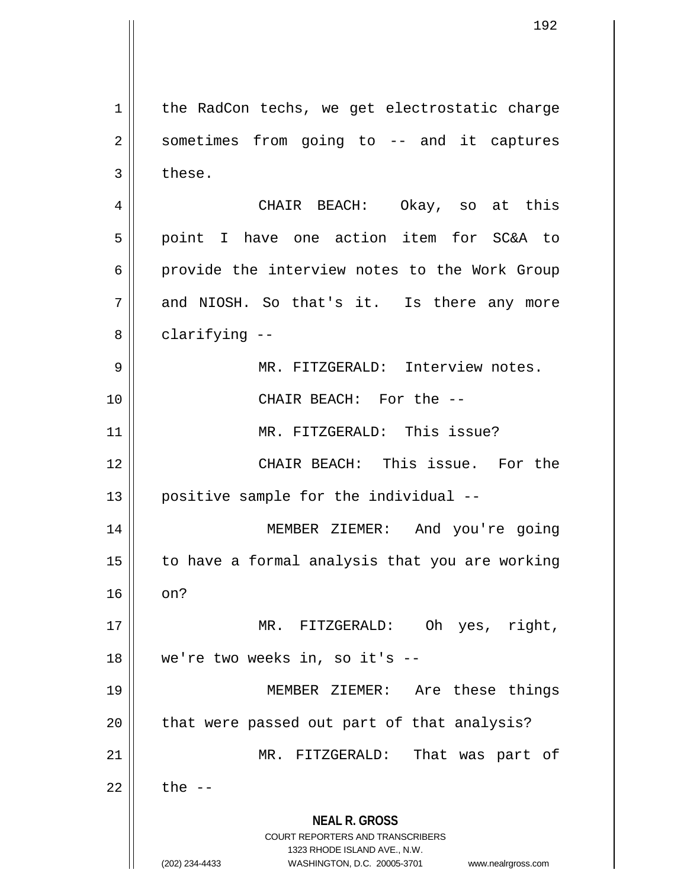**NEAL R. GROSS** COURT REPORTERS AND TRANSCRIBERS 1323 RHODE ISLAND AVE., N.W. (202) 234-4433 WASHINGTON, D.C. 20005-3701 www.nealrgross.com  $1 \parallel$  the RadCon techs, we get electrostatic charge 2 || sometimes from going to -- and it captures  $3 \parallel$  these. 4 CHAIR BEACH: Okay, so at this 5 || point I have one action item for SC&A to 6 || provide the interview notes to the Work Group  $7 \parallel$  and NIOSH. So that's it. Is there any more  $8 \parallel$  clarifying  $-$ 9 || MR. FITZGERALD: Interview notes. 10 CHAIR BEACH: For the -- 11 || MR. FITZGERALD: This issue? 12 CHAIR BEACH: This issue. For the  $13$  | positive sample for the individual  $-$ 14 MEMBER ZIEMER: And you're going  $15$  to have a formal analysis that you are working  $16 \parallel \text{on?}$ 17 MR. FITZGERALD: Oh yes, right, 18 || we're two weeks in, so it's --19 MEMBER ZIEMER: Are these things 20 || that were passed out part of that analysis? 21 || MR. FITZGERALD: That was part of  $22$   $\parallel$  the  $-$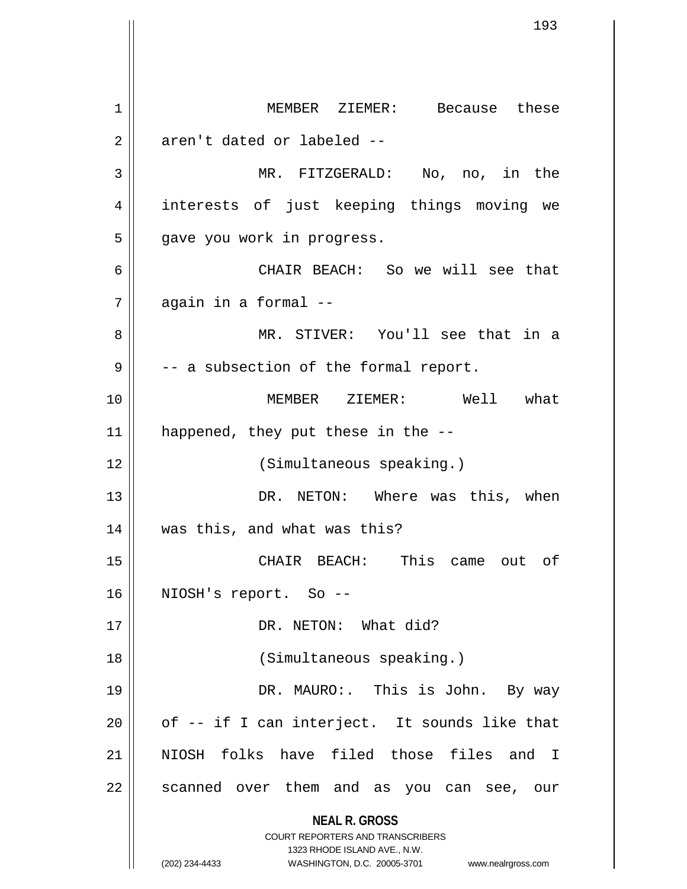**NEAL R. GROSS** COURT REPORTERS AND TRANSCRIBERS 1323 RHODE ISLAND AVE., N.W. (202) 234-4433 WASHINGTON, D.C. 20005-3701 www.nealrgross.com 1 || MEMBER ZIEMER: Because these  $2 \parallel$  aren't dated or labeled --3 MR. FITZGERALD: No, no, in the 4 || interests of just keeping things moving we  $5$  || gave you work in progress. 6 CHAIR BEACH: So we will see that  $7$  | again in a formal --8 MR. STIVER: You'll see that in a  $9 \parallel$  -- a subsection of the formal report. 10 MEMBER ZIEMER: Well what 11  $\parallel$  happened, they put these in the  $-$ -12 (Simultaneous speaking.) 13 DR. NETON: Where was this, when 14 was this, and what was this? 15 CHAIR BEACH: This came out of 16 || NIOSH's report. So --17 || DR. NETON: What did? 18 || (Simultaneous speaking.) 19 DR. MAURO:. This is John. By way  $20$  || of  $-$  if I can interject. It sounds like that 21 NIOSH folks have filed those files and I 22 || scanned over them and as you can see, our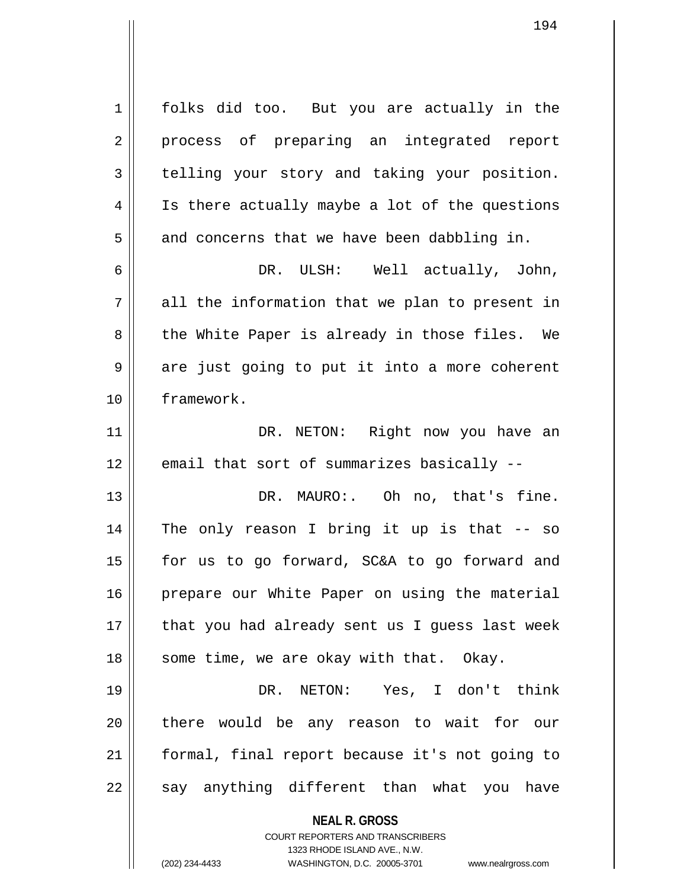1 || folks did too. But you are actually in the 2 || process of preparing an integrated report 3 telling your story and taking your position. 4 || Is there actually maybe a lot of the questions  $5 \parallel$  and concerns that we have been dabbling in. 6 DR. ULSH: Well actually, John,  $7 \parallel$  all the information that we plan to present in  $8 \parallel$  the White Paper is already in those files. We  $9 \parallel$  are just going to put it into a more coherent 10 framework. 11 || DR. NETON: Right now you have an  $12$  | email that sort of summarizes basically  $-$ 13 DR. MAURO:. Oh no, that's fine. 14 The only reason I bring it up is that -- so 15 for us to go forward, SC&A to go forward and 16 || prepare our White Paper on using the material  $17$  || that you had already sent us I guess last week 18 || some time, we are okay with that. Okay. 19 DR. NETON: Yes, I don't think 20 || there would be any reason to wait for our 21 formal, final report because it's not going to  $22$   $\parallel$  say anything different than what you have

**NEAL R. GROSS**

COURT REPORTERS AND TRANSCRIBERS

1323 RHODE ISLAND AVE., N.W. (202) 234-4433 WASHINGTON, D.C. 20005-3701 www.nealrgross.com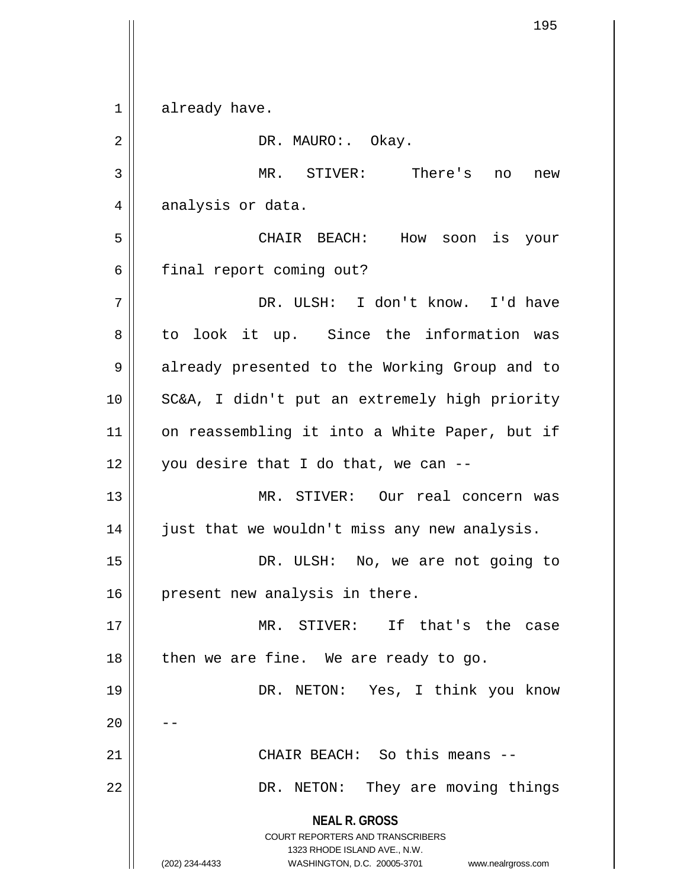**NEAL R. GROSS** COURT REPORTERS AND TRANSCRIBERS 1323 RHODE ISLAND AVE., N.W. (202) 234-4433 WASHINGTON, D.C. 20005-3701 www.nealrgross.com 1 already have. 2 || DR. MAURO: Okay. 3 MR. STIVER: There's no new 4 analysis or data. 5 CHAIR BEACH: How soon is your 6 | final report coming out? 7 DR. ULSH: I don't know. I'd have  $8 \parallel$  to look it up. Since the information was 9 || already presented to the Working Group and to 10 SC&A, I didn't put an extremely high priority 11 || on reassembling it into a White Paper, but if  $12$  | you desire that I do that, we can --13 MR. STIVER: Our real concern was 14 just that we wouldn't miss any new analysis. 15 DR. ULSH: No, we are not going to  $16$  | present new analysis in there. 17 MR. STIVER: If that's the case  $18$  || then we are fine. We are ready to go. 19 DR. NETON: Yes, I think you know  $20$ 21 CHAIR BEACH: So this means -- 22 || DR. NETON: They are moving things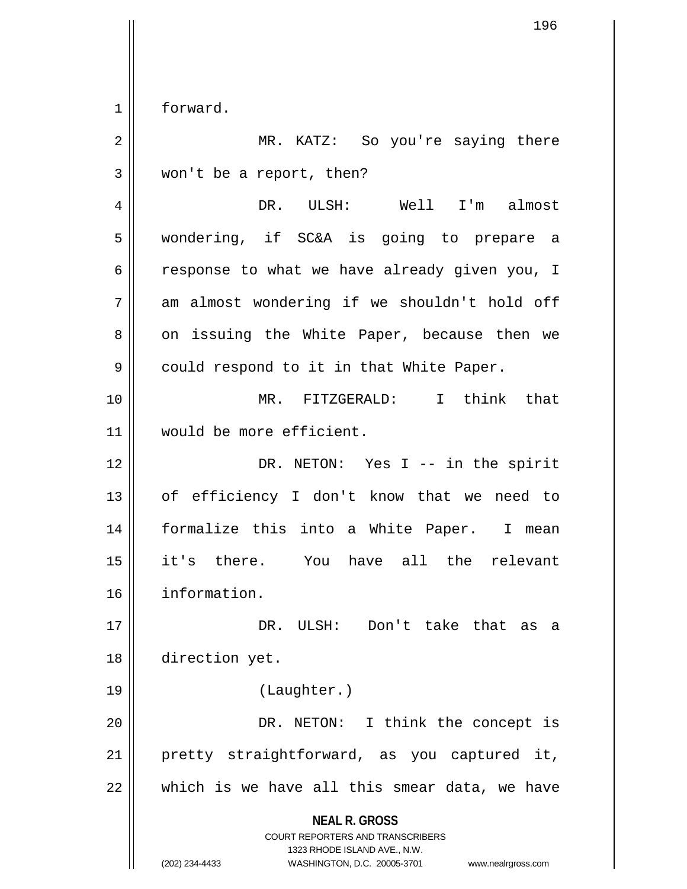$1 \parallel$  forward.

| $\overline{2}$ | MR. KATZ: So you're saying there                                                                                                                                       |
|----------------|------------------------------------------------------------------------------------------------------------------------------------------------------------------------|
| 3              | won't be a report, then?                                                                                                                                               |
| 4              | DR. ULSH: Well I'm almost                                                                                                                                              |
| 5              | wondering, if SC&A is going to prepare a                                                                                                                               |
| 6              | response to what we have already given you, I                                                                                                                          |
| 7              | am almost wondering if we shouldn't hold off                                                                                                                           |
| 8              | on issuing the White Paper, because then we                                                                                                                            |
| 9              | could respond to it in that White Paper.                                                                                                                               |
| 10             | MR. FITZGERALD: I think that                                                                                                                                           |
| 11             | would be more efficient.                                                                                                                                               |
| 12             | DR. NETON: Yes I -- in the spirit                                                                                                                                      |
| 13             | of efficiency I don't know that we need to                                                                                                                             |
| 14             | formalize this into a White Paper. I mean                                                                                                                              |
| 15             | it's there. You have all the relevant                                                                                                                                  |
| 16             | information.                                                                                                                                                           |
| 17             | DR.<br>Don't take that as<br>ULSH:<br>а                                                                                                                                |
| 18             | direction yet.                                                                                                                                                         |
| 19             | (Laughter.)                                                                                                                                                            |
| 20             | I think the concept is<br>DR. NETON:                                                                                                                                   |
| 21             | pretty straightforward, as you captured<br>it,                                                                                                                         |
| 22             | which is we have all this smear data, we have                                                                                                                          |
|                | <b>NEAL R. GROSS</b><br><b>COURT REPORTERS AND TRANSCRIBERS</b><br>1323 RHODE ISLAND AVE., N.W.<br>(202) 234-4433<br>WASHINGTON, D.C. 20005-3701<br>www.nealrgross.com |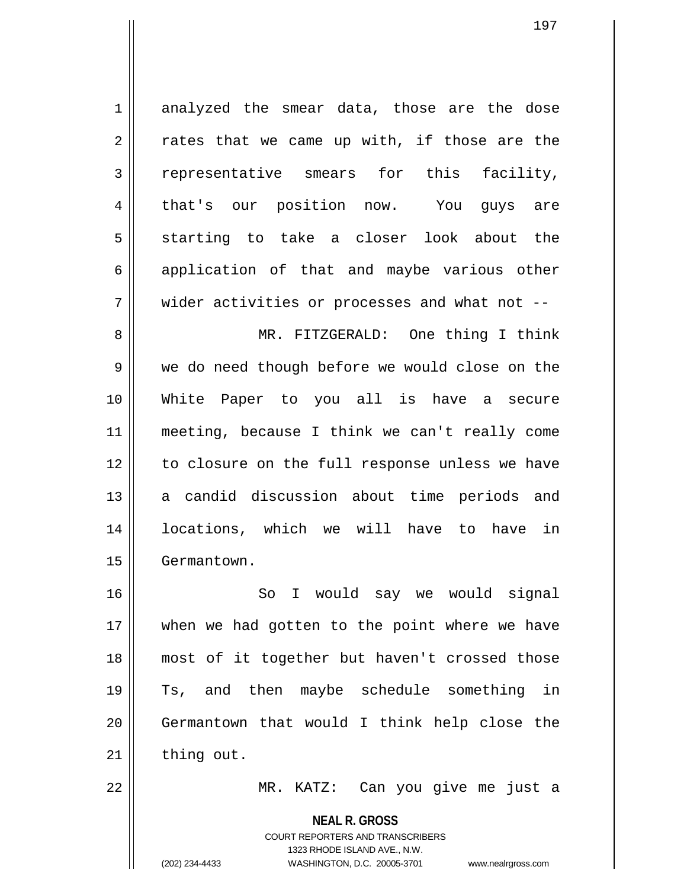1 analyzed the smear data, those are the dose  $2 \parallel$  rates that we came up with, if those are the 3 representative smears for this facility, 4 || that's our position now. You guys are  $5 \parallel$  starting to take a closer look about the 6 application of that and maybe various other  $7 \parallel$  wider activities or processes and what not --8 MR. FITZGERALD: One thing I think 9 we do need though before we would close on the 10 White Paper to you all is have a secure 11 meeting, because I think we can't really come 12 || to closure on the full response unless we have 13 || a candid discussion about time periods and 14 locations, which we will have to have in 15 | Germantown. 16 || So I would say we would signal

17 || when we had gotten to the point where we have 18 most of it together but haven't crossed those 19 Ts, and then maybe schedule something in 20 Germantown that would I think help close the  $21$   $\parallel$  thing out.

22 MR. KATZ: Can you give me just a

**NEAL R. GROSS** COURT REPORTERS AND TRANSCRIBERS

1323 RHODE ISLAND AVE., N.W.

(202) 234-4433 WASHINGTON, D.C. 20005-3701 www.nealrgross.com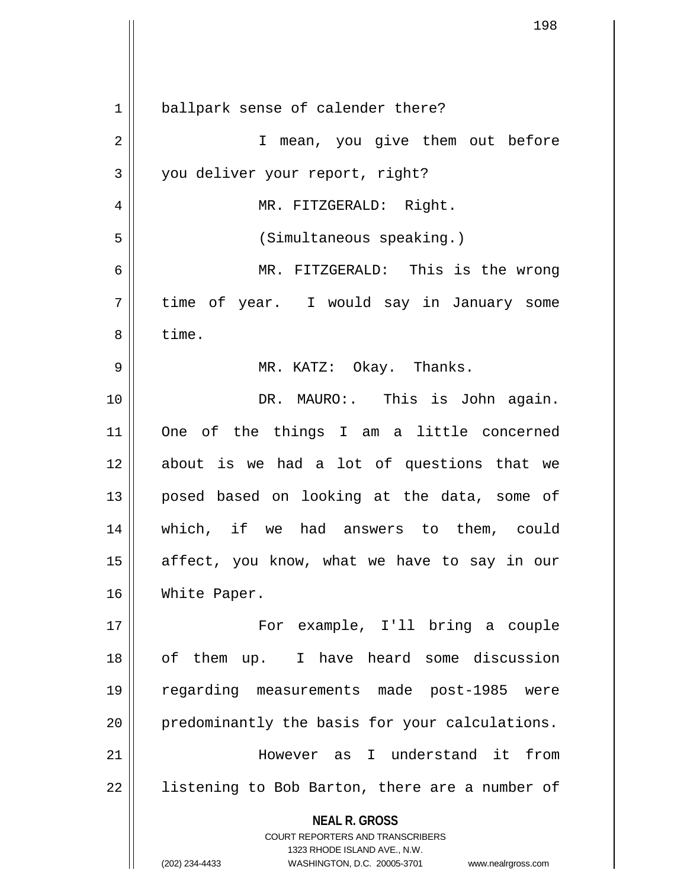| 1  | ballpark sense of calender there?                                                                   |
|----|-----------------------------------------------------------------------------------------------------|
| 2  | I mean, you give them out before                                                                    |
| 3  | you deliver your report, right?                                                                     |
| 4  | MR. FITZGERALD: Right.                                                                              |
| 5  | (Simultaneous speaking.)                                                                            |
| 6  | MR. FITZGERALD: This is the wrong                                                                   |
| 7  | time of year. I would say in January some                                                           |
| 8  | time.                                                                                               |
| 9  | MR. KATZ: Okay. Thanks.                                                                             |
| 10 | DR. MAURO:. This is John again.                                                                     |
| 11 | One of the things I am a little concerned                                                           |
| 12 | about is we had a lot of questions that we                                                          |
| 13 | posed based on looking at the data, some of                                                         |
| 14 | which, if we had answers to them, could                                                             |
| 15 | affect, you know, what we have to say in our                                                        |
| 16 | White Paper.                                                                                        |
| 17 | For example, I'll bring a couple                                                                    |
| 18 | of them up. I have heard some discussion                                                            |
| 19 | regarding measurements made post-1985 were                                                          |
| 20 | predominantly the basis for your calculations.                                                      |
| 21 | However as I understand it from                                                                     |
| 22 | listening to Bob Barton, there are a number of                                                      |
|    | <b>NEAL R. GROSS</b>                                                                                |
|    | <b>COURT REPORTERS AND TRANSCRIBERS</b>                                                             |
|    | 1323 RHODE ISLAND AVE., N.W.<br>WASHINGTON, D.C. 20005-3701<br>(202) 234-4433<br>www.nealrgross.com |

 $\overline{\phantom{a}}$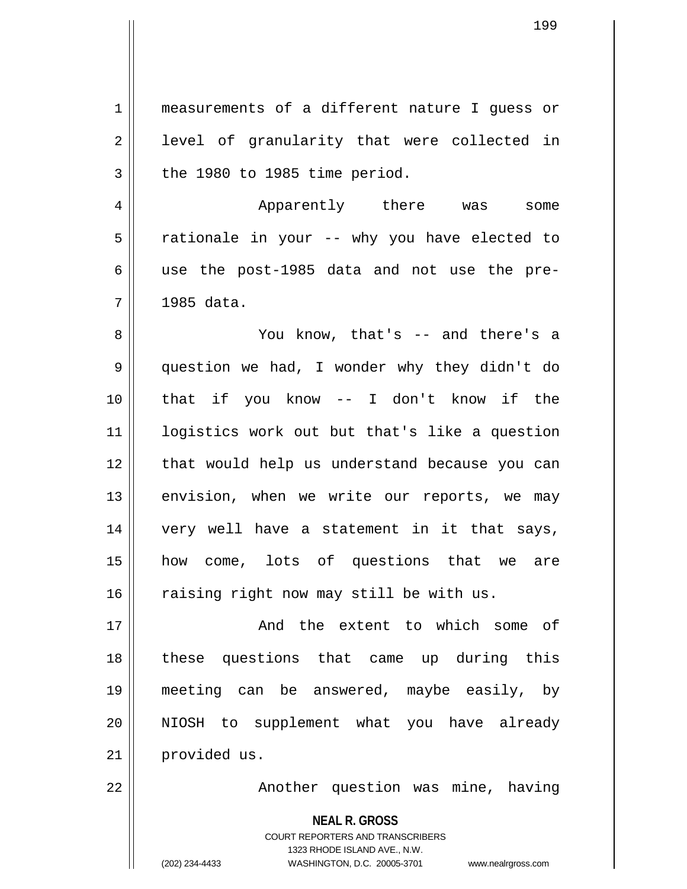| $\mathbf 1$    | measurements of a different nature I guess or                                                                                                                          |
|----------------|------------------------------------------------------------------------------------------------------------------------------------------------------------------------|
| $\overline{2}$ | level of granularity that were collected in                                                                                                                            |
| $\mathfrak{Z}$ | the 1980 to 1985 time period.                                                                                                                                          |
| 4              | Apparently there was<br>some                                                                                                                                           |
| 5              | rationale in your -- why you have elected to                                                                                                                           |
| 6              | use the post-1985 data and not use the pre-                                                                                                                            |
| 7              | 1985 data.                                                                                                                                                             |
| 8              | You know, that's -- and there's a                                                                                                                                      |
| 9              | question we had, I wonder why they didn't do                                                                                                                           |
| 10             | that if you know $-$ I don't know if the                                                                                                                               |
| 11             | logistics work out but that's like a question                                                                                                                          |
| 12             | that would help us understand because you can                                                                                                                          |
| 13             | envision, when we write our reports, we may                                                                                                                            |
| 14             | very well have a statement in it that says,                                                                                                                            |
| 15             | how come, lots of questions that we are                                                                                                                                |
| 16             | raising right now may still be with us.                                                                                                                                |
| 17             | And the extent to which some of                                                                                                                                        |
| 18             | these questions that came up during this                                                                                                                               |
| 19             | meeting can be answered, maybe easily, by                                                                                                                              |
| 20             | NIOSH to supplement what you have already                                                                                                                              |
| 21             | provided us.                                                                                                                                                           |
| 22             | Another question was mine, having                                                                                                                                      |
|                | <b>NEAL R. GROSS</b><br><b>COURT REPORTERS AND TRANSCRIBERS</b><br>1323 RHODE ISLAND AVE., N.W.<br>(202) 234-4433<br>WASHINGTON, D.C. 20005-3701<br>www.nealrgross.com |

 $\mathsf{I}$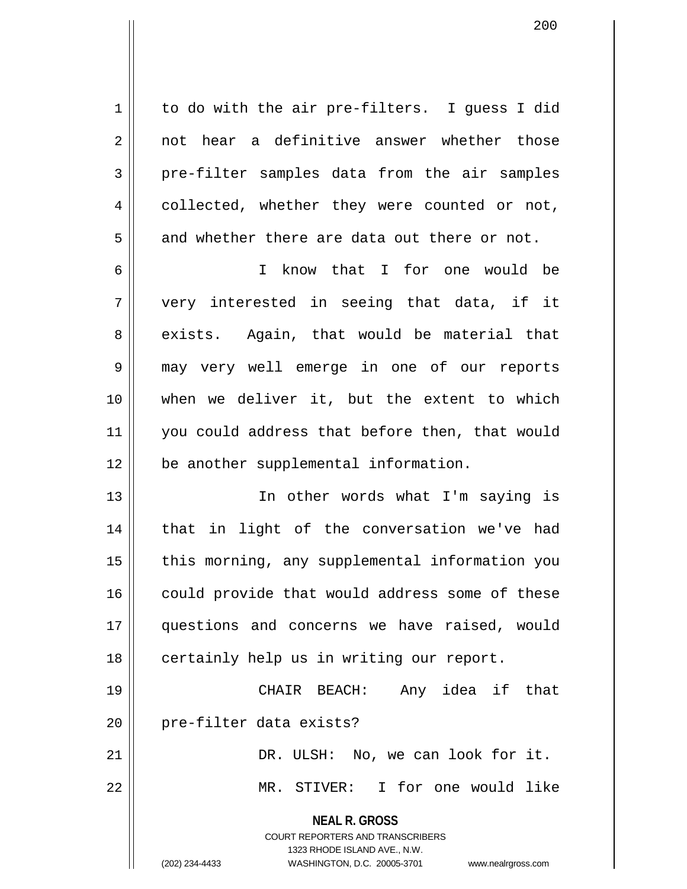$1 \parallel$  to do with the air pre-filters. I quess I did 2 || not hear a definitive answer whether those  $3$  | pre-filter samples data from the air samples 4 collected, whether they were counted or not,  $5 \parallel$  and whether there are data out there or not. 6 I know that I for one would be

 $7 \parallel$  very interested in seeing that data, if it  $8 \parallel$  exists. Again, that would be material that 9 may very well emerge in one of our reports 10 when we deliver it, but the extent to which 11 || you could address that before then, that would 12 be another supplemental information.

13 || The other words what I'm saying is 14 || that in light of the conversation we've had 15 || this morning, any supplemental information you 16 || could provide that would address some of these 17 questions and concerns we have raised, would 18 || certainly help us in writing our report.

19 CHAIR BEACH: Any idea if that 20 || pre-filter data exists?

21 DR. ULSH: No, we can look for it. 22 MR. STIVER: I for one would like

**NEAL R. GROSS**

COURT REPORTERS AND TRANSCRIBERS 1323 RHODE ISLAND AVE., N.W. (202) 234-4433 WASHINGTON, D.C. 20005-3701 www.nealrgross.com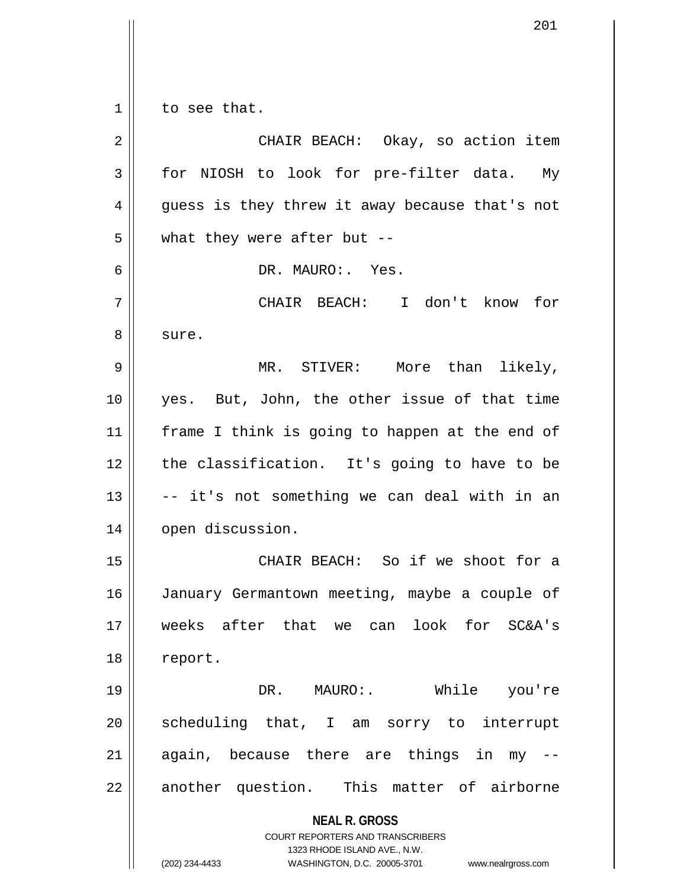$1 \parallel$  to see that.

| $\overline{2}$ | CHAIR BEACH: Okay, so action item                                                                                                                                      |
|----------------|------------------------------------------------------------------------------------------------------------------------------------------------------------------------|
| 3              | for NIOSH to look for pre-filter data. My                                                                                                                              |
| 4              | guess is they threw it away because that's not                                                                                                                         |
| 5              | what they were after but $-$ -                                                                                                                                         |
| 6              | DR. MAURO:. Yes.                                                                                                                                                       |
| 7              | CHAIR BEACH: I don't know for                                                                                                                                          |
| 8              | sure.                                                                                                                                                                  |
| 9              | MR. STIVER: More than likely,                                                                                                                                          |
| 10             | yes. But, John, the other issue of that time                                                                                                                           |
| 11             | frame I think is going to happen at the end of                                                                                                                         |
| 12             | the classification. It's going to have to be                                                                                                                           |
| 13             | -- it's not something we can deal with in an                                                                                                                           |
| 14             | open discussion.                                                                                                                                                       |
| 15             | CHAIR BEACH: So if we shoot for a                                                                                                                                      |
| 16             | January Germantown meeting, maybe a couple of                                                                                                                          |
| 17             | weeks after that we can look for SC&A's                                                                                                                                |
| 18             | report.                                                                                                                                                                |
| 19             | DR. MAURO: While you're                                                                                                                                                |
| 20             | scheduling that, I am sorry to interrupt                                                                                                                               |
| 21             | again, because there are things in my                                                                                                                                  |
| 22             | another question. This matter of airborne                                                                                                                              |
|                | <b>NEAL R. GROSS</b><br><b>COURT REPORTERS AND TRANSCRIBERS</b><br>1323 RHODE ISLAND AVE., N.W.<br>(202) 234-4433<br>WASHINGTON, D.C. 20005-3701<br>www.nealrgross.com |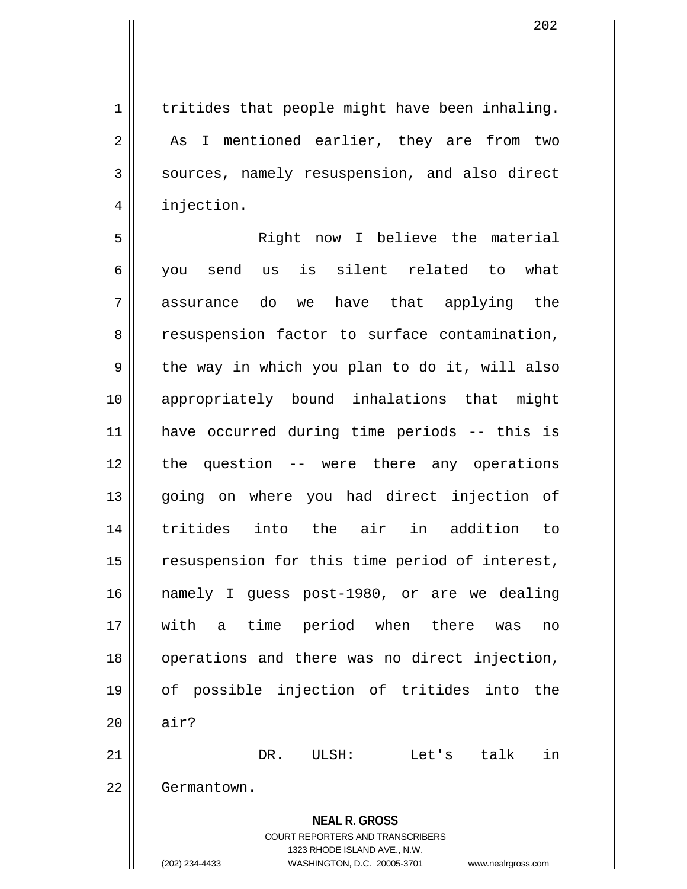$1$  | tritides that people might have been inhaling. 2 || As I mentioned earlier, they are from two  $3 \parallel$  sources, namely resuspension, and also direct 4 | injection.

**NEAL R. GROSS** COURT REPORTERS AND TRANSCRIBERS 5 Right now I believe the material 6 you send us is silent related to what 7 assurance do we have that applying the 8 cas 8 resuspension factor to surface contamination,  $9 \parallel$  the way in which you plan to do it, will also 10 appropriately bound inhalations that might 11 have occurred during time periods -- this is 12 the question -- were there any operations 13 || going on where you had direct injection of 14 tritides into the air in addition to 15 || resuspension for this time period of interest, 16 namely I guess post-1980, or are we dealing 17 with a time period when there was no 18 || operations and there was no direct injection, 19 of possible injection of tritides into the  $20$   $\parallel$  air? 21 DR. ULSH: Let's talk in 22 | Germantown.

1323 RHODE ISLAND AVE., N.W.

(202) 234-4433 WASHINGTON, D.C. 20005-3701 www.nealrgross.com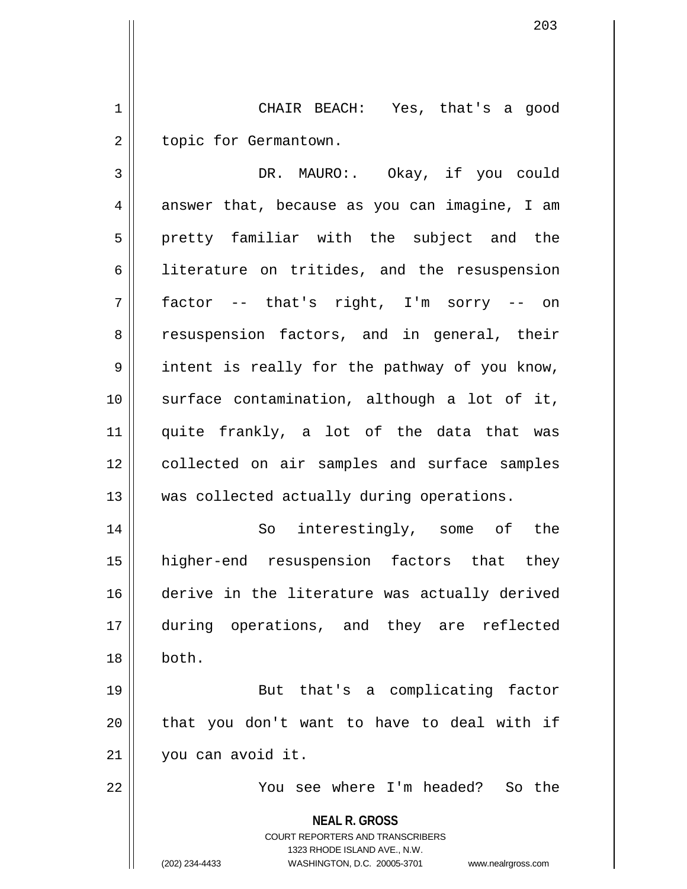1 CHAIR BEACH: Yes, that's a good 2 | topic for Germantown.

3 DR. MAURO:. Okay, if you could  $4 \parallel$  answer that, because as you can imagine, I am 5 || pretty familiar with the subject and the 6 | literature on tritides, and the resuspension 7 factor -- that's right, I'm sorry -- on 8 || resuspension factors, and in general, their  $9 \parallel$  intent is really for the pathway of you know, 10 surface contamination, although a lot of it, 11 quite frankly, a lot of the data that was 12 || collected on air samples and surface samples 13 || was collected actually during operations.

14 || So interestingly, some of the 15 higher-end resuspension factors that they 16 derive in the literature was actually derived 17 during operations, and they are reflected 18 both.

19 || But that's a complicating factor 20 || that you don't want to have to deal with if 21 you can avoid it.

22 You see where I'm headed? So the

**NEAL R. GROSS**

COURT REPORTERS AND TRANSCRIBERS 1323 RHODE ISLAND AVE., N.W. (202) 234-4433 WASHINGTON, D.C. 20005-3701 www.nealrgross.com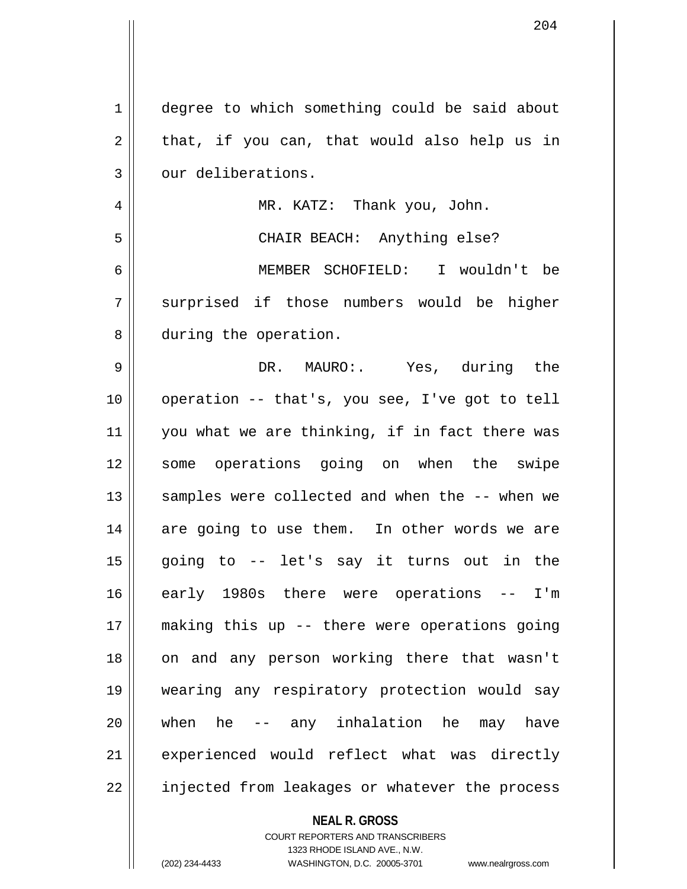| $\mathbf{1}$ | degree to which something could be said about  |
|--------------|------------------------------------------------|
| 2            | that, if you can, that would also help us in   |
| 3            | our deliberations.                             |
| 4            | MR. KATZ: Thank you, John.                     |
| 5            | CHAIR BEACH: Anything else?                    |
| 6            | MEMBER SCHOFIELD: I wouldn't be                |
| 7            | surprised if those numbers would be higher     |
| 8            | during the operation.                          |
| 9            | DR. MAURO:. Yes, during the                    |
| 10           | operation -- that's, you see, I've got to tell |
| 11           | you what we are thinking, if in fact there was |
| 12           | some operations going on when the swipe        |
| 13           | samples were collected and when the -- when we |
| 14           | are going to use them. In other words we are   |
| 15           | going to -- let's say it turns out in the      |
| 16           | early 1980s there were operations -- I'm       |
| 17           | making this up -- there were operations going  |
| 18           | on and any person working there that wasn't    |
| 19           | wearing any respiratory protection would say   |
| 20           | when he -- any inhalation he may have          |
| 21           | experienced would reflect what was directly    |
| 22           | injected from leakages or whatever the process |
|              |                                                |

COURT REPORTERS AND TRANSCRIBERS 1323 RHODE ISLAND AVE., N.W. (202) 234-4433 WASHINGTON, D.C. 20005-3701 www.nealrgross.com

**NEAL R. GROSS**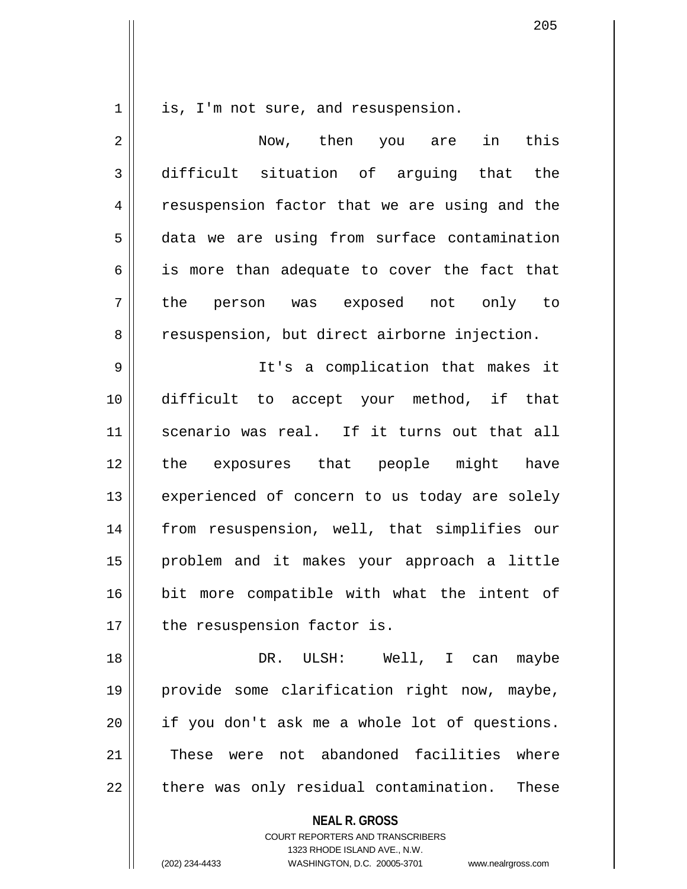$1 \parallel$  is, I'm not sure, and resuspension.

2 || Now, then you are in this 3 difficult situation of arguing that the 4 || resuspension factor that we are using and the 5 data we are using from surface contamination  $6 \parallel$  is more than adequate to cover the fact that 7 the person was exposed not only to 8 | resuspension, but direct airborne injection. 9 It's a complication that makes it 10 difficult to accept your method, if that 11 scenario was real. If it turns out that all 12 the exposures that people might have 13 || experienced of concern to us today are solely 14 from resuspension, well, that simplifies our 15 problem and it makes your approach a little 16 bit more compatible with what the intent of  $17$  | the resuspension factor is.

18 DR. ULSH: Well, I can maybe 19 provide some clarification right now, maybe, 20 if you don't ask me a whole lot of questions. 21 || These were not abandoned facilities where  $22$  || there was only residual contamination. These

**NEAL R. GROSS**

COURT REPORTERS AND TRANSCRIBERS 1323 RHODE ISLAND AVE., N.W. (202) 234-4433 WASHINGTON, D.C. 20005-3701 www.nealrgross.com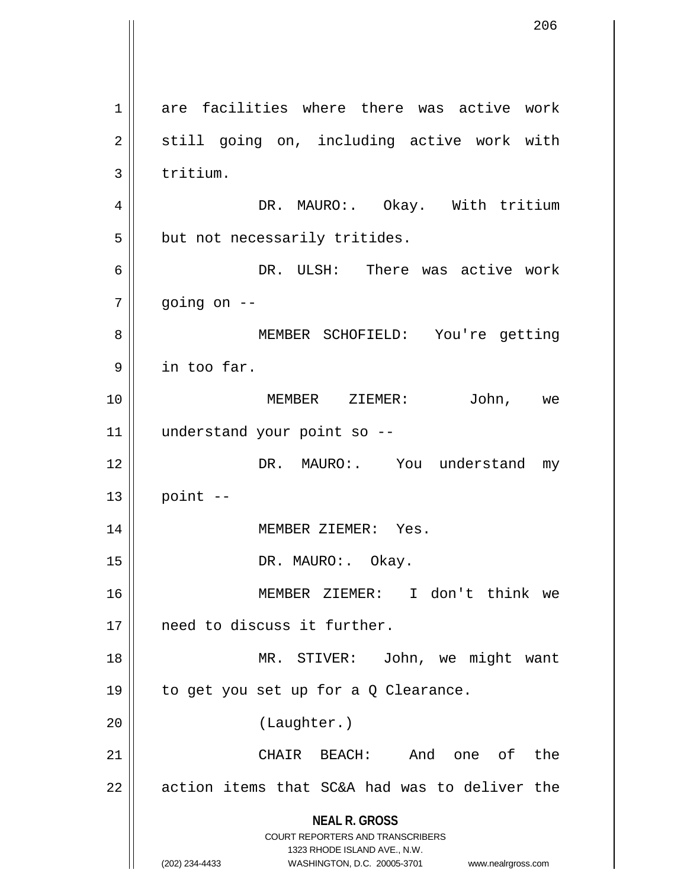**NEAL R. GROSS** COURT REPORTERS AND TRANSCRIBERS 1323 RHODE ISLAND AVE., N.W. (202) 234-4433 WASHINGTON, D.C. 20005-3701 www.nealrgross.com 1 are facilities where there was active work 2 || still going on, including active work with  $3 \parallel$  tritium. 4 DR. MAURO:. Okay. With tritium  $5$  | but not necessarily tritides. 6 DR. ULSH: There was active work  $7 \parallel$  going on  $-$ 8 || MEMBER SCHOFIELD: You're getting 9 in too far. 10 MEMBER ZIEMER: John, we 11 understand your point so -- 12 DR. MAURO:. You understand my  $13$  point  $-$ 14 || MEMBER ZIEMER: Yes. 15 || DR. MAURO: Okay. 16 MEMBER ZIEMER: I don't think we 17 need to discuss it further. 18 MR. STIVER: John, we might want 19  $\parallel$  to get you set up for a Q Clearance. 20 (Laughter.) 21 CHAIR BEACH: And one of the  $22$  | action items that SC&A had was to deliver the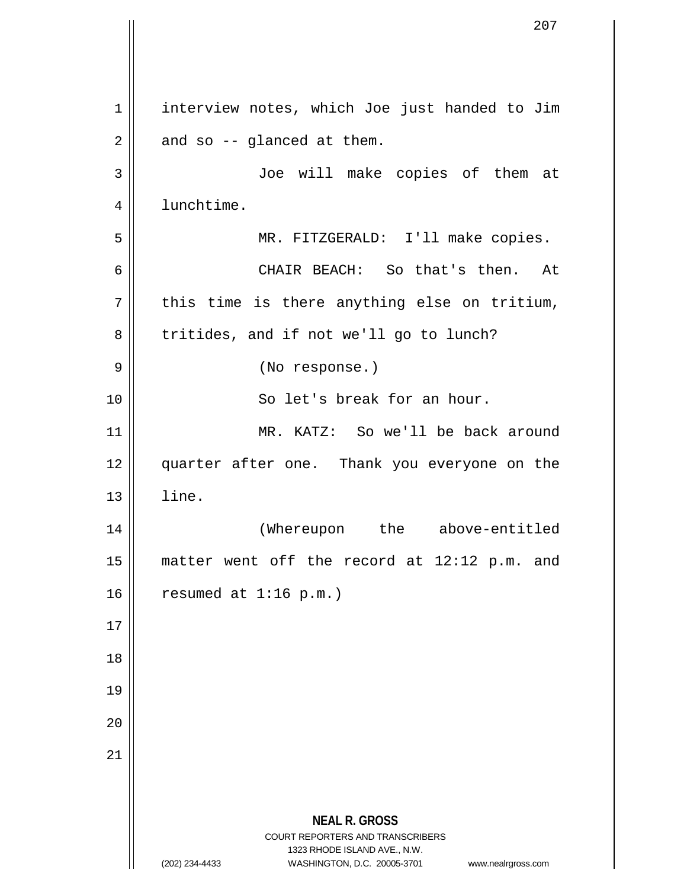**NEAL R. GROSS** COURT REPORTERS AND TRANSCRIBERS 1323 RHODE ISLAND AVE., N.W. (202) 234-4433 WASHINGTON, D.C. 20005-3701 www.nealrgross.com 1 | interview notes, which Joe just handed to Jim  $2 \parallel$  and so -- glanced at them. 3 Joe will make copies of them at 4 | lunchtime. 5 MR. FITZGERALD: I'll make copies. 6 CHAIR BEACH: So that's then. At  $7 \parallel$  this time is there anything else on tritium,  $8 \parallel$  tritides, and if not we'll go to lunch? 9 || (No response.) 10 || So let's break for an hour. 11 MR. KATZ: So we'll be back around 12 || quarter after one. Thank you everyone on the  $13$   $\parallel$   $1$  ine. 14 (Whereupon the above-entitled 15 matter went off the record at 12:12 p.m. and  $16$  | resumed at 1:16 p.m.) 17 18 19 20 21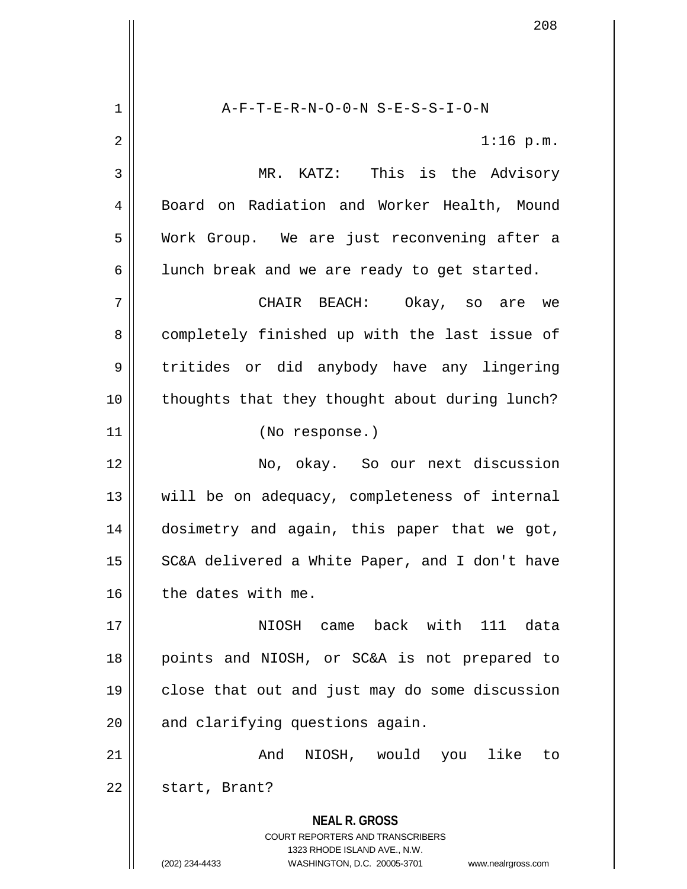**NEAL R. GROSS** COURT REPORTERS AND TRANSCRIBERS 1323 RHODE ISLAND AVE., N.W. 1 A-F-T-E-R-N-O-0-N S-E-S-S-I-O-N  $2 \parallel$  1:16 p.m. 3 MR. KATZ: This is the Advisory 4 | Board on Radiation and Worker Health, Mound 5 Work Group. We are just reconvening after a  $6 \parallel$  lunch break and we are ready to get started. 7 CHAIR BEACH: Okay, so are we 8 || completely finished up with the last issue of 9 || tritides or did anybody have any lingering 10 thoughts that they thought about during lunch? 11 (No response.) 12 No, okay. So our next discussion 13 will be on adequacy, completeness of internal 14 dosimetry and again, this paper that we got, 15 || SC&A delivered a White Paper, and I don't have  $16$  | the dates with me. 17 NIOSH came back with 111 data 18 points and NIOSH, or SC&A is not prepared to 19 close that out and just may do some discussion  $20$  | and clarifying questions again. 21 || The Contract Mand NIOSH, would you like to 22 | start, Brant?

(202) 234-4433 WASHINGTON, D.C. 20005-3701 www.nealrgross.com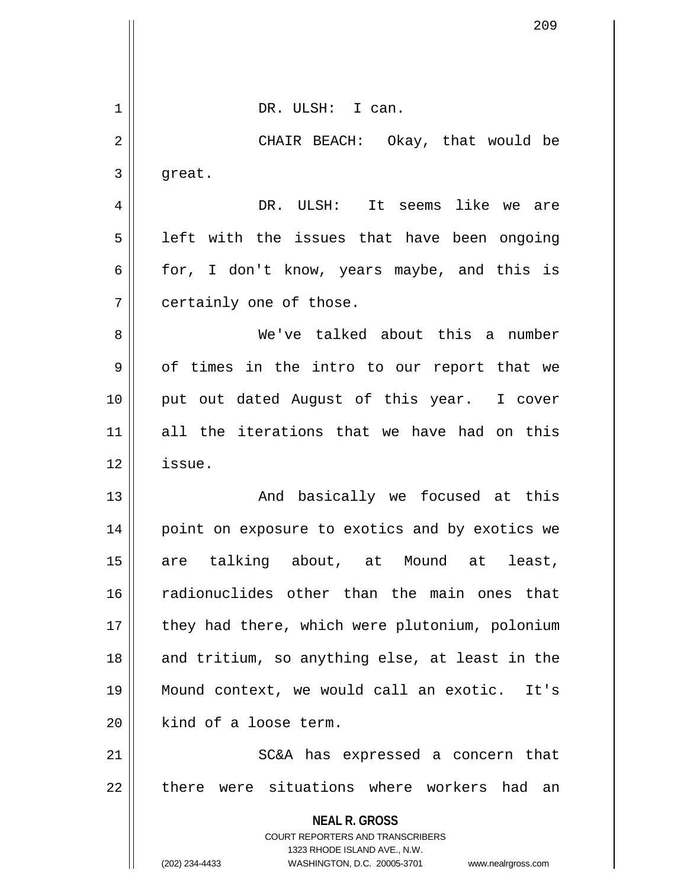|    | 209                                                                                      |
|----|------------------------------------------------------------------------------------------|
|    |                                                                                          |
|    |                                                                                          |
| 1  | DR. ULSH: I can.                                                                         |
| 2  | CHAIR BEACH: Okay, that would be                                                         |
| 3  | great.                                                                                   |
| 4  | DR. ULSH: It seems like we are                                                           |
| 5  | left with the issues that have been ongoing                                              |
| 6  | for, I don't know, years maybe, and this is                                              |
| 7  | certainly one of those.                                                                  |
| 8  | We've talked about this a number                                                         |
| 9  | of times in the intro to our report that we                                              |
| 10 | put out dated August of this year. I cover                                               |
| 11 | all the iterations that we have had on this                                              |
| 12 | issue.                                                                                   |
| 13 | And basically we focused at this                                                         |
| 14 | point on exposure to exotics and by exotics we                                           |
| 15 | are talking about, at Mound at least,                                                    |
| 16 | radionuclides other than the main ones that                                              |
| 17 | they had there, which were plutonium, polonium                                           |
| 18 | and tritium, so anything else, at least in the                                           |
| 19 | Mound context, we would call an exotic. It's                                             |
| 20 | kind of a loose term.                                                                    |
| 21 | SC&A has expressed a concern that                                                        |
| 22 | there were situations where workers had an                                               |
|    | <b>NEAL R. GROSS</b><br>COURT REPORTERS AND TRANSCRIBERS<br>1323 RHODE ISLAND AVE., N.W. |
|    | (202) 234-4433<br>WASHINGTON, D.C. 20005-3701<br>www.nealrgross.com                      |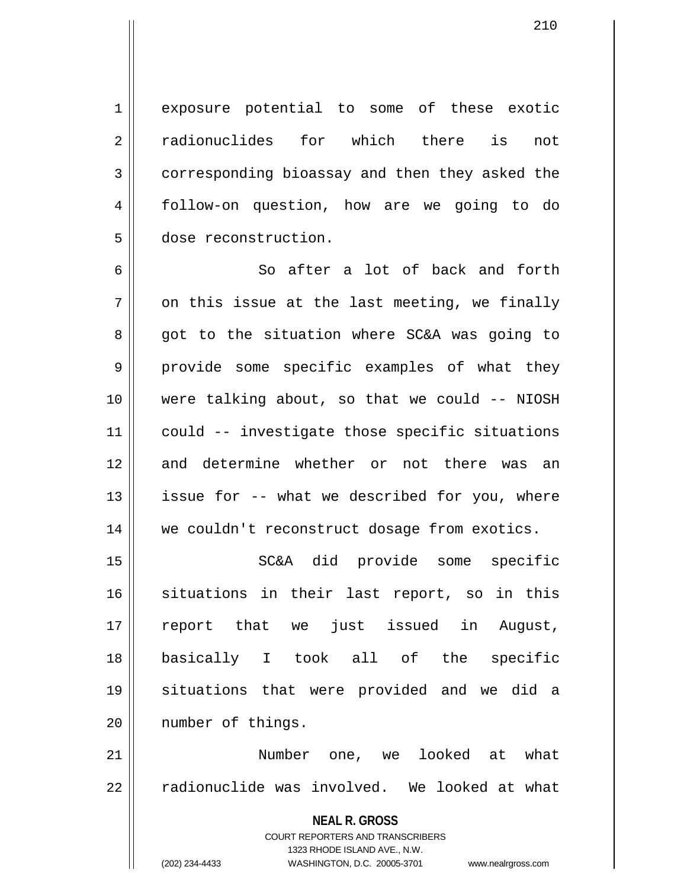1 exposure potential to some of these exotic 2 radionuclides for which there is not 3 corresponding bioassay and then they asked the 4 follow-on question, how are we going to do 5 dose reconstruction.

6 || So after a lot of back and forth  $7 \parallel$  on this issue at the last meeting, we finally 8 got to the situation where SC&A was going to 9 || provide some specific examples of what they 10 were talking about, so that we could -- NIOSH 11 could -- investigate those specific situations 12 and determine whether or not there was an 13 || issue for -- what we described for you, where 14 we couldn't reconstruct dosage from exotics.

15 || SC&A did provide some specific 16 situations in their last report, so in this 17 report that we just issued in August, 18 basically I took all of the specific 19 situations that were provided and we did a 20 number of things.

21 Number one, we looked at what 22 || radionuclide was involved. We looked at what

> **NEAL R. GROSS** COURT REPORTERS AND TRANSCRIBERS 1323 RHODE ISLAND AVE., N.W. (202) 234-4433 WASHINGTON, D.C. 20005-3701 www.nealrgross.com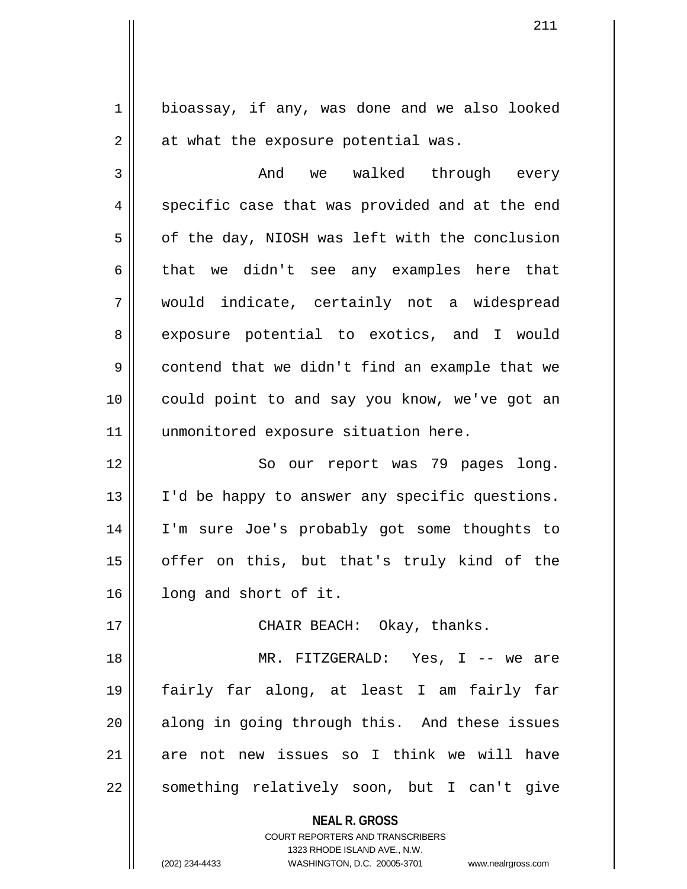1 | bioassay, if any, was done and we also looked  $2 \parallel$  at what the exposure potential was.

3 And we walked through every  $4 \parallel$  specific case that was provided and at the end  $5 \parallel$  of the day, NIOSH was left with the conclusion  $6 \parallel$  that we didn't see any examples here that 7 would indicate, certainly not a widespread 8 || exposure potential to exotics, and I would 9 contend that we didn't find an example that we 10 could point to and say you know, we've got an 11 || unmonitored exposure situation here.

12 || So our report was 79 pages long. 13 || I'd be happy to answer any specific questions. 14 I'm sure Joe's probably got some thoughts to 15 || offer on this, but that's truly kind of the 16 | long and short of it.

17 CHAIR BEACH: Okay, thanks.

18 MR. FITZGERALD: Yes, I -- we are 19 fairly far along, at least I am fairly far  $20$  along in going through this. And these issues 21 are not new issues so I think we will have 22 || something relatively soon, but I can't give

**NEAL R. GROSS**

COURT REPORTERS AND TRANSCRIBERS 1323 RHODE ISLAND AVE., N.W. (202) 234-4433 WASHINGTON, D.C. 20005-3701 www.nealrgross.com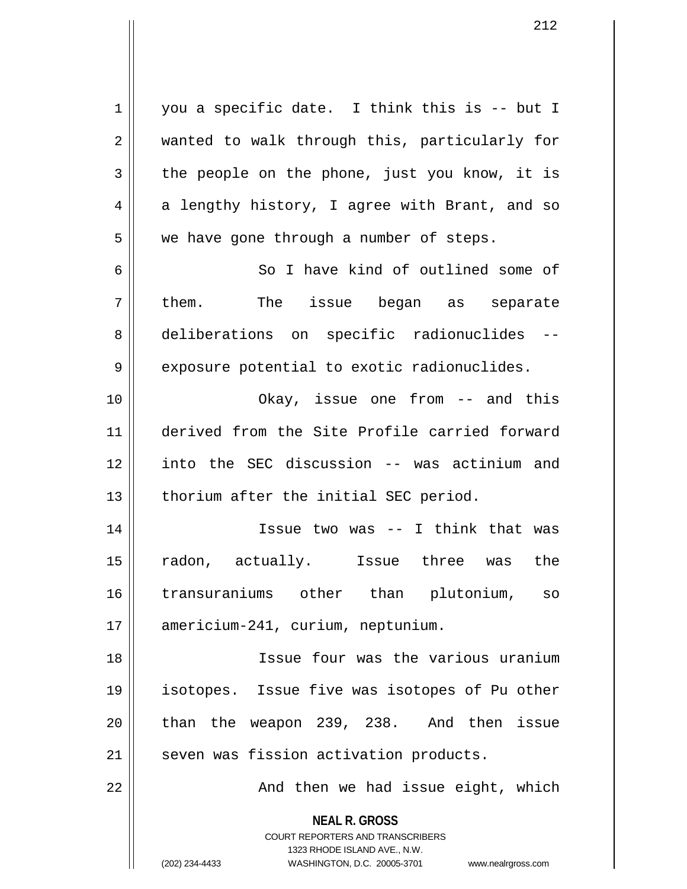1 || you a specific date. I think this is -- but I 2 wanted to walk through this, particularly for  $3 \parallel$  the people on the phone, just you know, it is  $4 \parallel$  a lengthy history, I agree with Brant, and so  $5 \parallel$  we have gone through a number of steps. 6 So I have kind of outlined some of  $7 \parallel$  them. The issue began as separate 8 deliberations on specific radionuclides -- $9 \parallel$  exposure potential to exotic radionuclides. 10 Okay, issue one from -- and this 11 derived from the Site Profile carried forward 12 into the SEC discussion -- was actinium and  $13$  | thorium after the initial SEC period. 14 Issue two was -- I think that was

15 radon, actually. Issue three was the 16 transuraniums other than plutonium, so 17 | americium-241, curium, neptunium.

18 Issue four was the various uranium 19 isotopes. Issue five was isotopes of Pu other  $20$  || than the weapon 239, 238. And then issue 21 | seven was fission activation products.

22 || And then we had issue eight, which

**NEAL R. GROSS** COURT REPORTERS AND TRANSCRIBERS

1323 RHODE ISLAND AVE., N.W.

(202) 234-4433 WASHINGTON, D.C. 20005-3701 www.nealrgross.com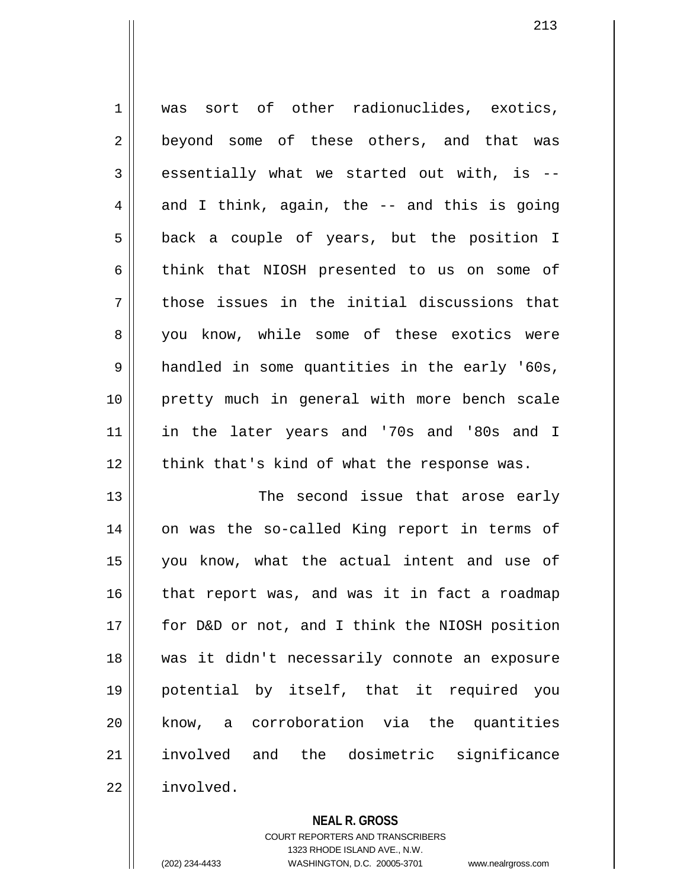1 || was sort of other radionuclides, exotics, 2 || beyond some of these others, and that was  $3 \parallel$  essentially what we started out with, is  $4 \parallel$  and I think, again, the -- and this is going 5 || back a couple of years, but the position I 6 think that NIOSH presented to us on some of  $7 \parallel$  those issues in the initial discussions that 8 you know, while some of these exotics were 9 handled in some quantities in the early '60s, 10 || pretty much in general with more bench scale 11 in the later years and '70s and '80s and I  $12$  | think that's kind of what the response was. 13 The second issue that arose early 14 || on was the so-called King report in terms of 15 you know, what the actual intent and use of  $16$  | that report was, and was it in fact a roadmap 17 for D&D or not, and I think the NIOSH position 18 was it didn't necessarily connote an exposure 19 potential by itself, that it required you 20 know, a corroboration via the quantities 21 involved and the dosimetric significance

22 involved.

**NEAL R. GROSS**

COURT REPORTERS AND TRANSCRIBERS 1323 RHODE ISLAND AVE., N.W. (202) 234-4433 WASHINGTON, D.C. 20005-3701 www.nealrgross.com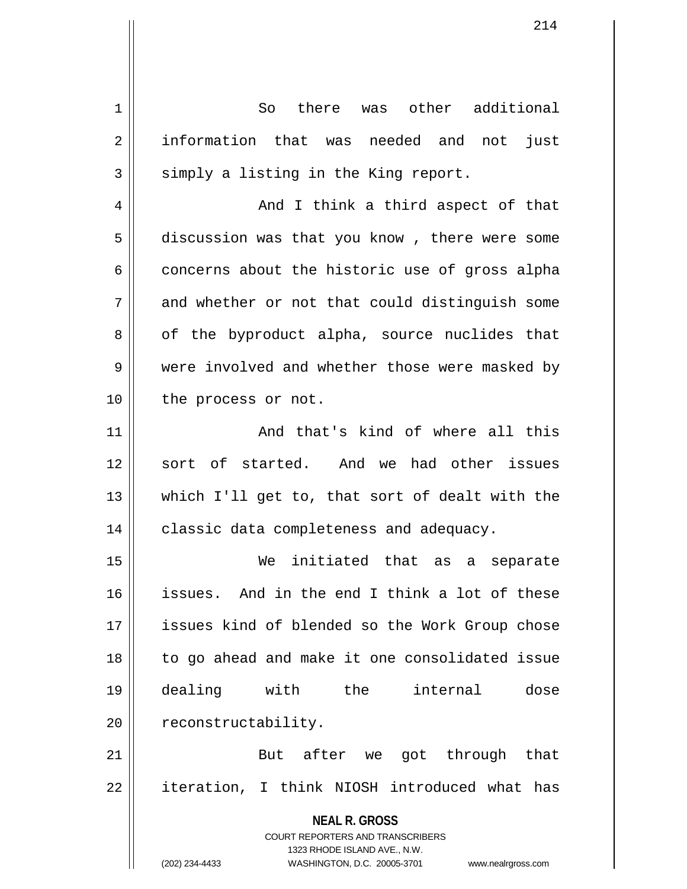**NEAL R. GROSS** COURT REPORTERS AND TRANSCRIBERS 1323 RHODE ISLAND AVE., N.W. (202) 234-4433 WASHINGTON, D.C. 20005-3701 www.nealrgross.com 1 So there was other additional 2 || information that was needed and not just  $3 \parallel$  simply a listing in the King report. 4 And I think a third aspect of that 5 discussion was that you know, there were some  $6 \parallel$  concerns about the historic use of gross alpha  $7 \parallel$  and whether or not that could distinguish some  $8 \parallel$  of the byproduct alpha, source nuclides that 9 were involved and whether those were masked by 10 || the process or not. 11 || And that's kind of where all this 12 sort of started. And we had other issues 13 which I'll get to, that sort of dealt with the 14 || classic data completeness and adequacy. 15 We initiated that as a separate 16 issues. And in the end I think a lot of these 17 issues kind of blended so the Work Group chose 18 to go ahead and make it one consolidated issue 19 dealing with the internal dose 20 | reconstructability. 21 || But after we got through that 22 || iteration, I think NIOSH introduced what has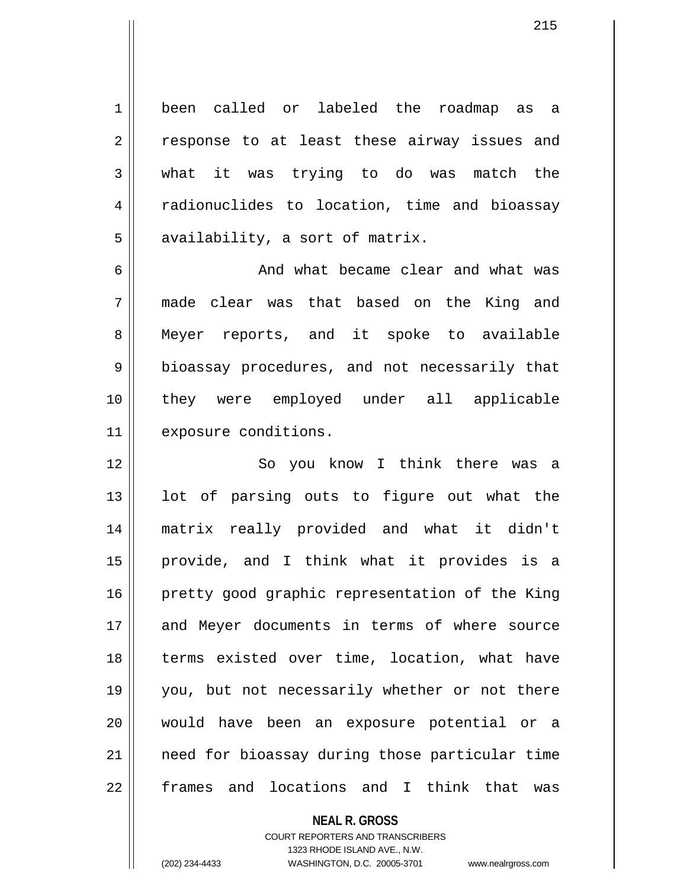1 been called or labeled the roadmap as a 2 || response to at least these airway issues and 3 what it was trying to do was match the 4 || radionuclides to location, time and bioassay  $5 \parallel$  availability, a sort of matrix.

6 6 And what became clear and what was 7 made clear was that based on the King and 8 Meyer reports, and it spoke to available 9 || bioassay procedures, and not necessarily that 10 they were employed under all applicable 11 | exposure conditions.

12 || So you know I think there was a  $13$  || lot of parsing outs to figure out what the 14 matrix really provided and what it didn't 15 provide, and I think what it provides is a 16 || pretty good graphic representation of the King 17 and Meyer documents in terms of where source 18 || terms existed over time, location, what have 19 you, but not necessarily whether or not there 20 would have been an exposure potential or a 21 need for bioassay during those particular time 22 frames and locations and I think that was

> **NEAL R. GROSS** COURT REPORTERS AND TRANSCRIBERS 1323 RHODE ISLAND AVE., N.W. (202) 234-4433 WASHINGTON, D.C. 20005-3701 www.nealrgross.com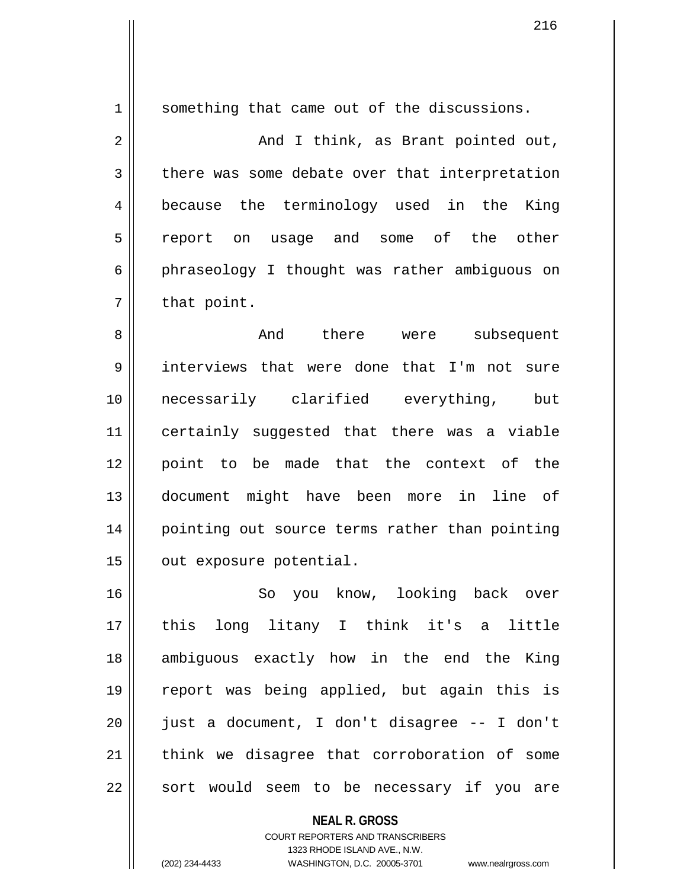1 || something that came out of the discussions. 2 And I think, as Brant pointed out, 3 there was some debate over that interpretation 4 because the terminology used in the King 5 || report on usage and some of the other 6 phraseology I thought was rather ambiguous on  $7 \parallel$  that point. 8 And there were subsequent 9 interviews that were done that I'm not sure 10 necessarily clarified everything, but 11 certainly suggested that there was a viable 12 point to be made that the context of the 13 document might have been more in line of 14 || pointing out source terms rather than pointing 15 | out exposure potential.

16 So you know, looking back over 17 this long litany I think it's a little 18 ambiguous exactly how in the end the King 19 report was being applied, but again this is 20 just a document, I don't disagree -- I don't 21 || think we disagree that corroboration of some 22 || sort would seem to be necessary if you are

> **NEAL R. GROSS** COURT REPORTERS AND TRANSCRIBERS 1323 RHODE ISLAND AVE., N.W. (202) 234-4433 WASHINGTON, D.C. 20005-3701 www.nealrgross.com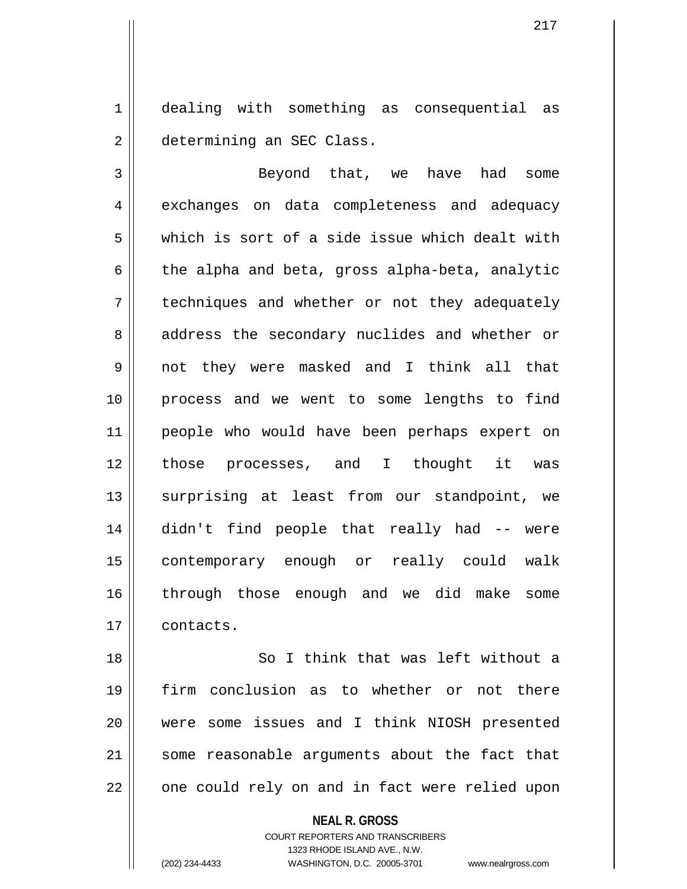1 dealing with something as consequential as 2 | determining an SEC Class.

3 || Beyond that, we have had some 4 exchanges on data completeness and adequacy 5 which is sort of a side issue which dealt with  $6 \parallel$  the alpha and beta, gross alpha-beta, analytic 7 | techniques and whether or not they adequately 8 || address the secondary nuclides and whether or 9 not they were masked and I think all that 10 process and we went to some lengths to find 11 people who would have been perhaps expert on 12 those processes, and I thought it was 13 || surprising at least from our standpoint, we 14 didn't find people that really had -- were 15 contemporary enough or really could walk 16 through those enough and we did make some 17 contacts.

18 || So I think that was left without a 19 firm conclusion as to whether or not there 20 were some issues and I think NIOSH presented 21 || some reasonable arguments about the fact that  $22$   $\parallel$  one could rely on and in fact were relied upon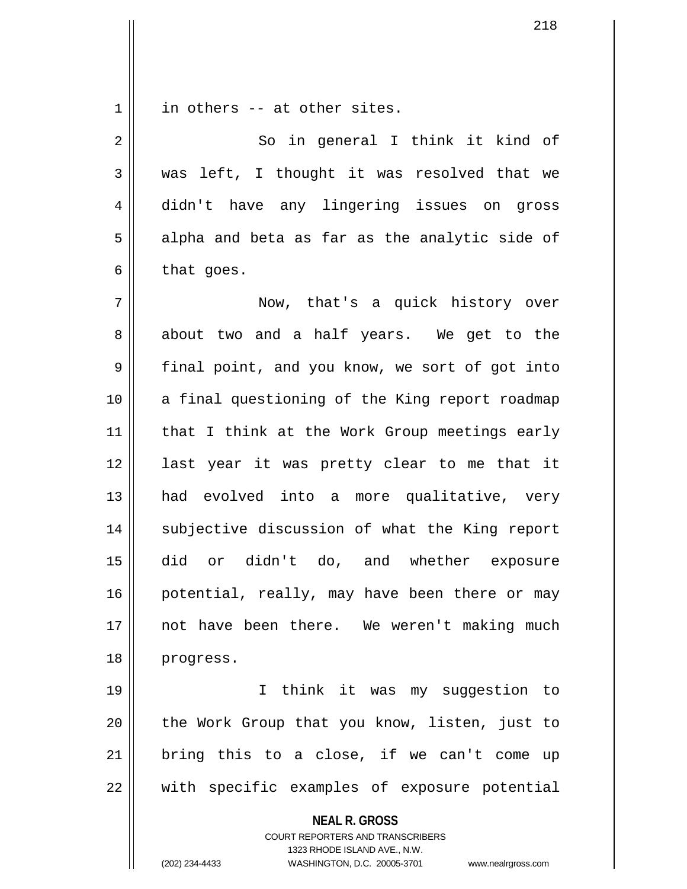$1 \parallel$  in others -- at other sites.

2 || So in general I think it kind of 3 was left, I thought it was resolved that we 4 didn't have any lingering issues on gross  $5 \parallel$  alpha and beta as far as the analytic side of  $6 \parallel$  that goes.

7 Now, that's a quick history over 8 about two and a half years. We get to the 9 final point, and you know, we sort of got into 10 || a final questioning of the King report roadmap 11 || that I think at the Work Group meetings early 12 || last year it was pretty clear to me that it 13 had evolved into a more qualitative, very 14 || subjective discussion of what the King report 15 did or didn't do, and whether exposure 16 || potential, really, may have been there or may 17 not have been there. We weren't making much 18 progress.

19 I think it was my suggestion to 20 || the Work Group that you know, listen, just to  $21$  bring this to a close, if we can't come up 22 with specific examples of exposure potential

**NEAL R. GROSS**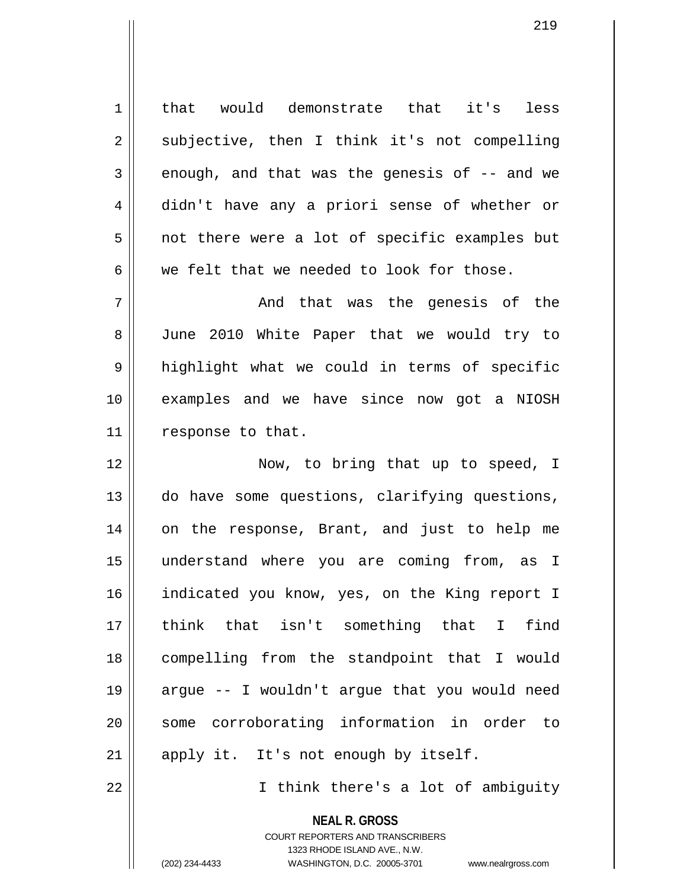1 | that would demonstrate that it's less 2 || subjective, then I think it's not compelling  $3 \parallel$  enough, and that was the genesis of  $-$  and we 4 didn't have any a priori sense of whether or  $5 \parallel$  not there were a lot of specific examples but  $6 \parallel$  we felt that we needed to look for those.

7 And that was the genesis of the 8 || June 2010 White Paper that we would try to 9 highlight what we could in terms of specific 10 examples and we have since now got a NIOSH 11 | response to that.

12 || Now, to bring that up to speed, I 13 do have some questions, clarifying questions, 14 on the response, Brant, and just to help me 15 understand where you are coming from, as I 16 || indicated you know, yes, on the King report I 17 think that isn't something that I find 18 compelling from the standpoint that I would 19 argue -- I wouldn't argue that you would need 20 || some corroborating information in order to 21 || apply it. It's not enough by itself.

22 || Think there's a lot of ambiguity

**NEAL R. GROSS** COURT REPORTERS AND TRANSCRIBERS 1323 RHODE ISLAND AVE., N.W.

(202) 234-4433 WASHINGTON, D.C. 20005-3701 www.nealrgross.com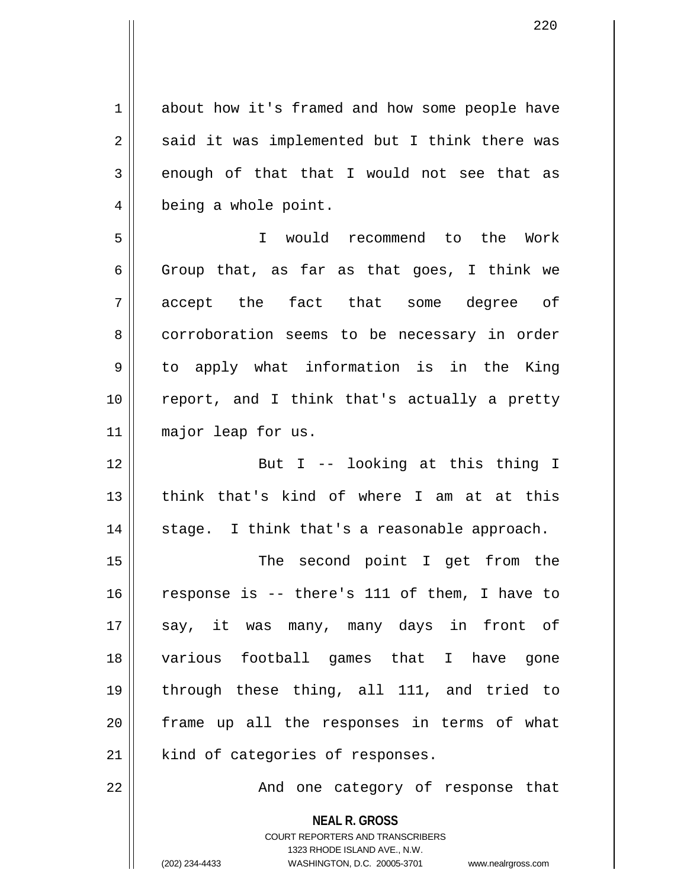1 about how it's framed and how some people have  $2 \parallel$  said it was implemented but I think there was  $3 \parallel$  enough of that that I would not see that as 4 | being a whole point.

5 I would recommend to the Work 6 Group that, as far as that goes, I think we 7 accept the fact that some degree of 8 corroboration seems to be necessary in order 9 || to apply what information is in the King 10 report, and I think that's actually a pretty 11 major leap for us.

12 || But I -- looking at this thing I 13 || think that's kind of where I am at at this  $14$  || stage. I think that's a reasonable approach.

15 || The second point I get from the  $16$  response is -- there's 111 of them, I have to 17 || say, it was many, many days in front of 18 various football games that I have gone 19 through these thing, all 111, and tried to 20 frame up all the responses in terms of what  $21$  kind of categories of responses.

22 || And one category of response that

**NEAL R. GROSS** COURT REPORTERS AND TRANSCRIBERS 1323 RHODE ISLAND AVE., N.W.

(202) 234-4433 WASHINGTON, D.C. 20005-3701 www.nealrgross.com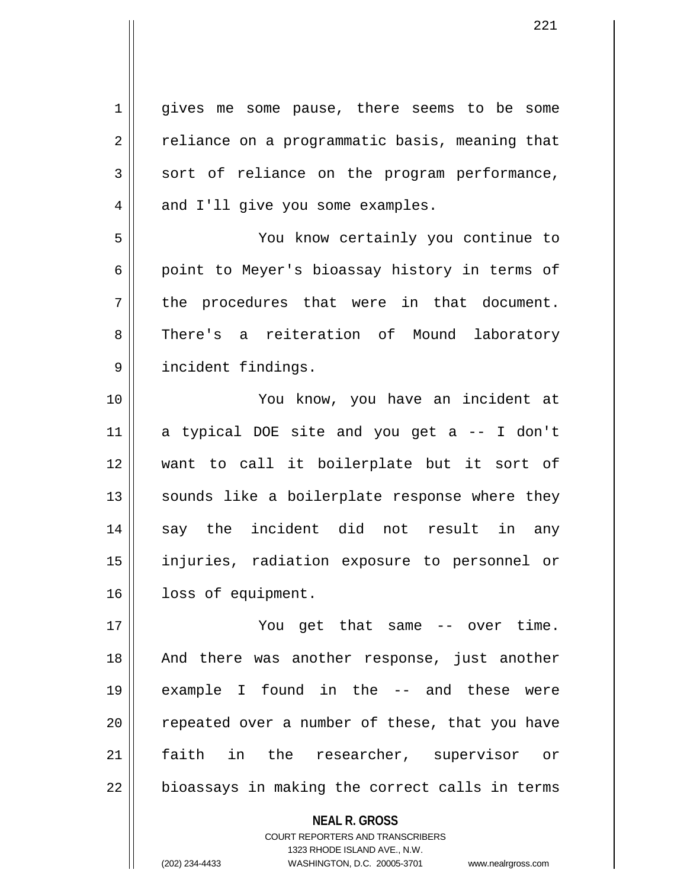1 || gives me some pause, there seems to be some  $2 \parallel$  reliance on a programmatic basis, meaning that  $3 \parallel$  sort of reliance on the program performance,  $4 \parallel$  and I'll give you some examples. 5 You know certainly you continue to 6 || point to Meyer's bioassay history in terms of  $7 \parallel$  the procedures that were in that document. 8 There's a reiteration of Mound laboratory 9 incident findings. 10 || You know, you have an incident at 11 a typical DOE site and you get a -- I don't 12 want to call it boilerplate but it sort of  $13$  sounds like a boilerplate response where they 14 say the incident did not result in any 15 injuries, radiation exposure to personnel or 16 | loss of equipment. 17 You get that same -- over time. 18 || And there was another response, just another 19 example I found in the -- and these were 20 || repeated over a number of these, that you have 21 faith in the researcher, supervisor or  $22 \parallel$  bioassays in making the correct calls in terms

> **NEAL R. GROSS** COURT REPORTERS AND TRANSCRIBERS 1323 RHODE ISLAND AVE., N.W.

(202) 234-4433 WASHINGTON, D.C. 20005-3701 www.nealrgross.com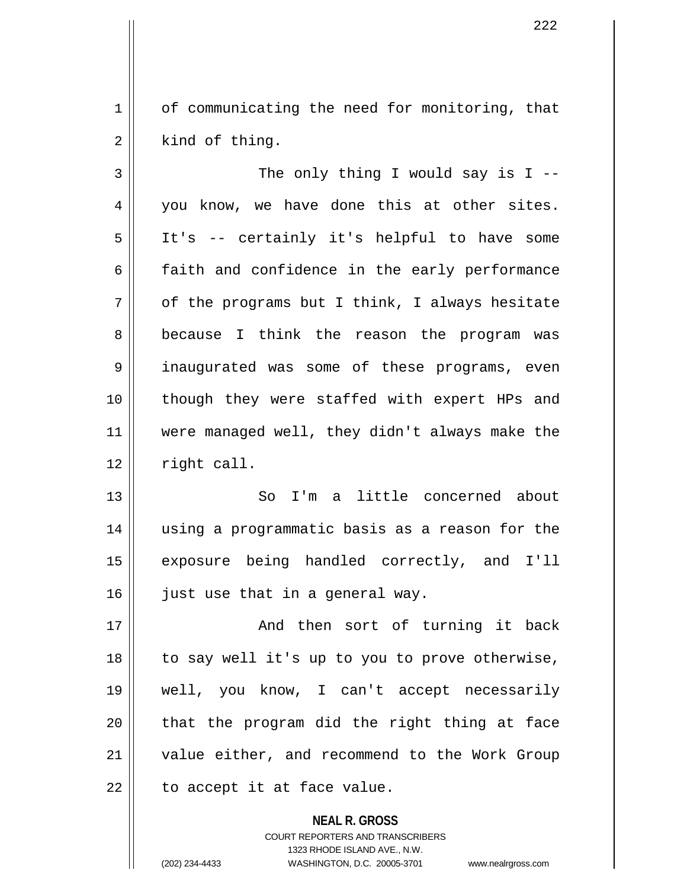1 of communicating the need for monitoring, that  $2 \parallel$  kind of thing.

 $3 \parallel$  The only thing I would say is I --4 you know, we have done this at other sites. 5 It's -- certainly it's helpful to have some  $6 \parallel$  faith and confidence in the early performance  $7 \parallel$  of the programs but I think, I always hesitate 8 because I think the reason the program was 9 || inaugurated was some of these programs, even 10 though they were staffed with expert HPs and 11 were managed well, they didn't always make the  $12$  right call.

13 So I'm a little concerned about 14 using a programmatic basis as a reason for the 15 exposure being handled correctly, and I'll  $16$  just use that in a general way.

17 || And then sort of turning it back 18 || to say well it's up to you to prove otherwise, 19 well, you know, I can't accept necessarily  $20$  || that the program did the right thing at face 21 value either, and recommend to the Work Group  $22$  | to accept it at face value.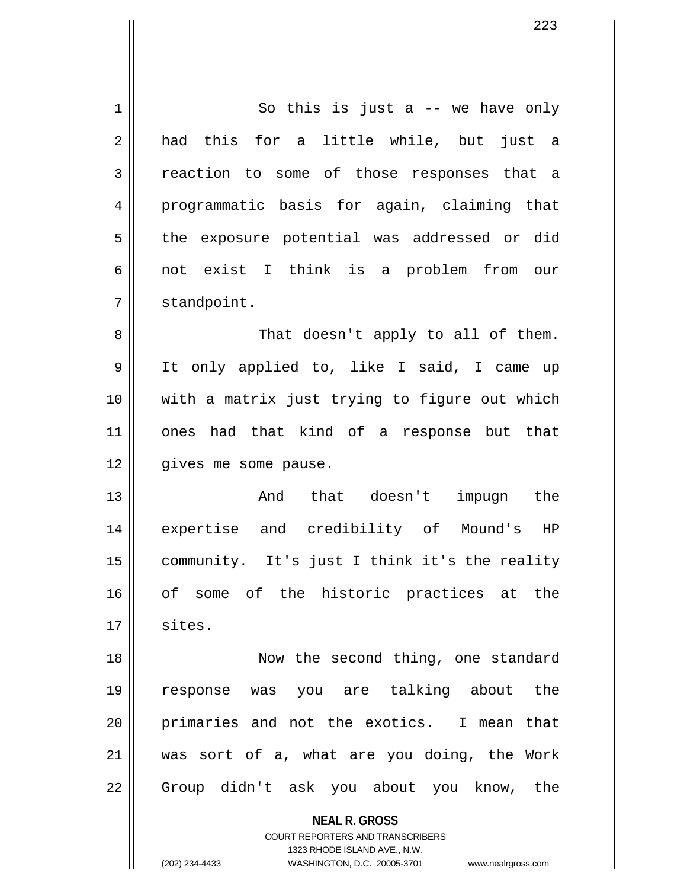| 1  | So this is just a $-$ we have only                       |
|----|----------------------------------------------------------|
| 2  | had this for a little while, but just a                  |
| 3  | reaction to some of those responses that a               |
| 4  | programmatic basis for again, claiming that              |
| 5  | the exposure potential was addressed or did              |
| 6  | not exist I think is a problem from our                  |
| 7  | standpoint.                                              |
| 8  | That doesn't apply to all of them.                       |
| 9  | It only applied to, like I said, I came up               |
| 10 | with a matrix just trying to figure out which            |
| 11 | ones had that kind of a response but that                |
| 12 | gives me some pause.                                     |
| 13 | And that doesn't impugn the                              |
| 14 | expertise and credibility of Mound's HP                  |
| 15 | community. It's just I think it's the reality            |
| 16 | of some of the historic practices at the                 |
|    |                                                          |
| 17 | sites.                                                   |
| 18 | Now the second thing, one standard                       |
| 19 | response was you are talking about the                   |
| 20 | primaries and not the exotics. I mean that               |
| 21 | was sort of a, what are you doing, the Work              |
| 22 | Group didn't ask you about you know, the                 |
|    | <b>NEAL R. GROSS</b><br>COURT REPORTERS AND TRANSCRIBERS |

1323 RHODE ISLAND AVE., N.W. (202) 234-4433 WASHINGTON, D.C. 20005-3701 www.nealrgross.com

 $\mathsf{I}$  $\prod_{i=1}^{n}$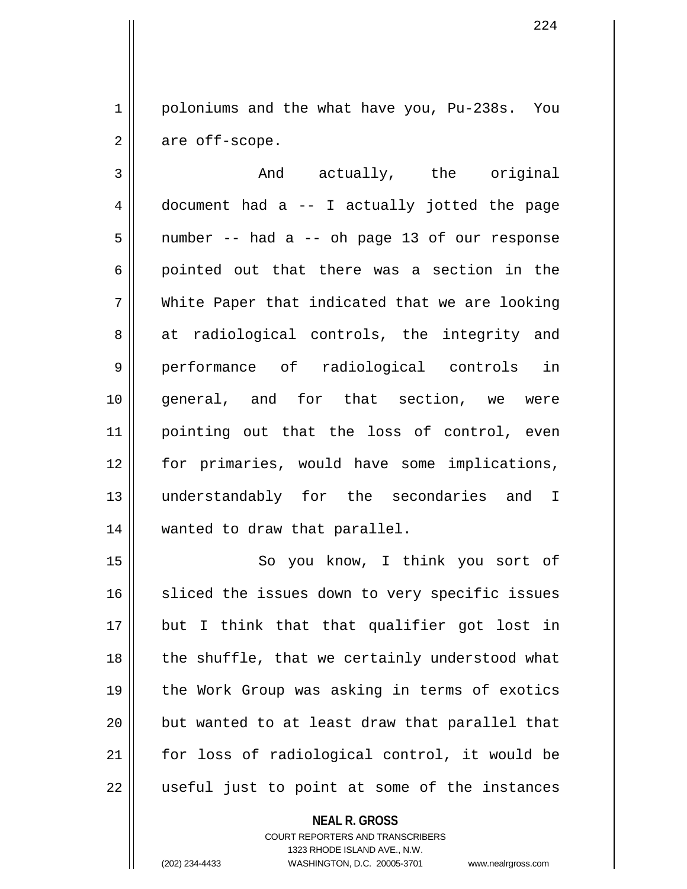1 poloniums and the what have you, Pu-238s. You  $2 \parallel$  are off-scope.

3 and actually, the original  $4 \parallel$  document had a -- I actually jotted the page  $5 \parallel$  number -- had a -- oh page 13 of our response  $6 \parallel$  pointed out that there was a section in the 7 White Paper that indicated that we are looking 8 at radiological controls, the integrity and 9 performance of radiological controls in 10 general, and for that section, we were 11 pointing out that the loss of control, even 12 for primaries, would have some implications, 13 understandably for the secondaries and I 14 wanted to draw that parallel.

15 || So you know, I think you sort of 16 || sliced the issues down to very specific issues 17 but I think that that qualifier got lost in 18 || the shuffle, that we certainly understood what 19 || the Work Group was asking in terms of exotics  $20$  || but wanted to at least draw that parallel that 21 for loss of radiological control, it would be  $22$  || useful just to point at some of the instances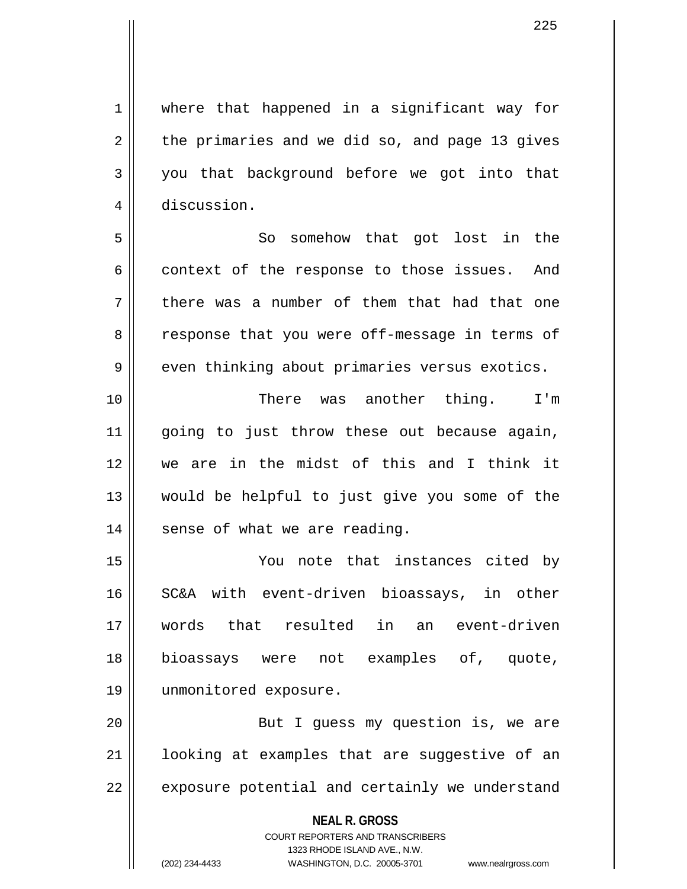225

1 || where that happened in a significant way for  $2 \parallel$  the primaries and we did so, and page 13 gives  $3 \parallel$  you that background before we got into that 4 discussion. 5 So somehow that got lost in the

 $6 \parallel$  context of the response to those issues. And  $7 \parallel$  there was a number of them that had that one 8 || response that you were off-message in terms of  $9 \parallel$  even thinking about primaries versus exotics.

10 There was another thing. I'm 11 || going to just throw these out because again, 12 we are in the midst of this and I think it 13 would be helpful to just give you some of the  $14$  | sense of what we are reading.

15 You note that instances cited by 16 SC&A with event-driven bioassays, in other 17 words that resulted in an event-driven 18 bioassays were not examples of, quote, 19 unmonitored exposure.

20 || But I guess my question is, we are 21 || looking at examples that are suggestive of an  $22$   $\parallel$  exposure potential and certainly we understand

**NEAL R. GROSS**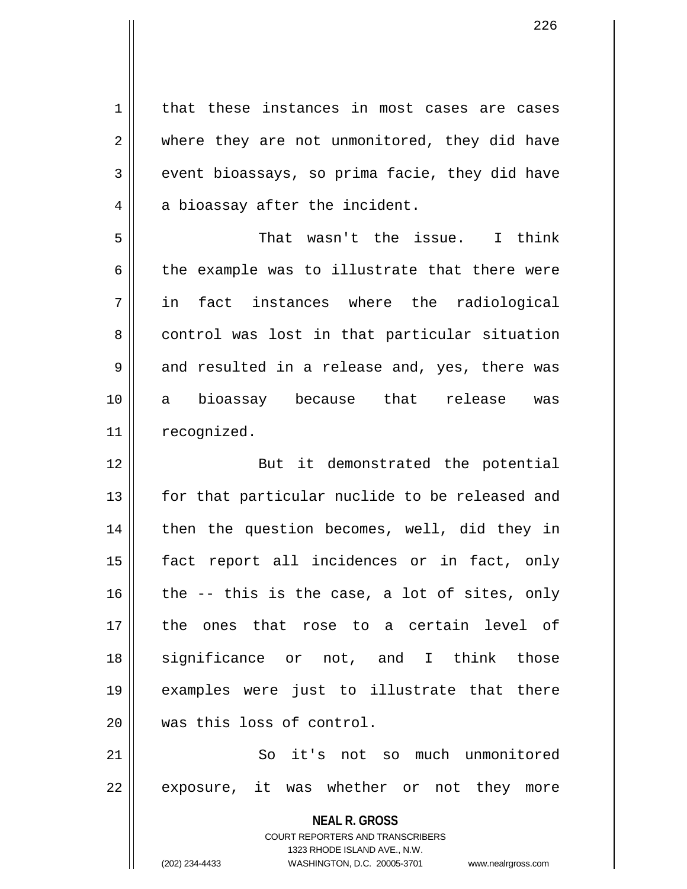**NEAL R. GROSS** COURT REPORTERS AND TRANSCRIBERS 1 | that these instances in most cases are cases 2 || where they are not unmonitored, they did have  $3 \parallel$  event bioassays, so prima facie, they did have  $4 \parallel$  a bioassay after the incident. 5 That wasn't the issue. I think  $6 \parallel$  the example was to illustrate that there were 7 in fact instances where the radiological 8 control was lost in that particular situation 9 || and resulted in a release and, yes, there was 10 a bioassay because that release was 11 | recognized. 12 || But it demonstrated the potential 13 || for that particular nuclide to be released and 14 || then the question becomes, well, did they in 15 fact report all incidences or in fact, only  $16$  the -- this is the case, a lot of sites, only 17 the ones that rose to a certain level of 18 significance or not, and I think those 19 examples were just to illustrate that there 20 || was this loss of control. 21 So it's not so much unmonitored 22 || exposure, it was whether or not they more

1323 RHODE ISLAND AVE., N.W.

(202) 234-4433 WASHINGTON, D.C. 20005-3701 www.nealrgross.com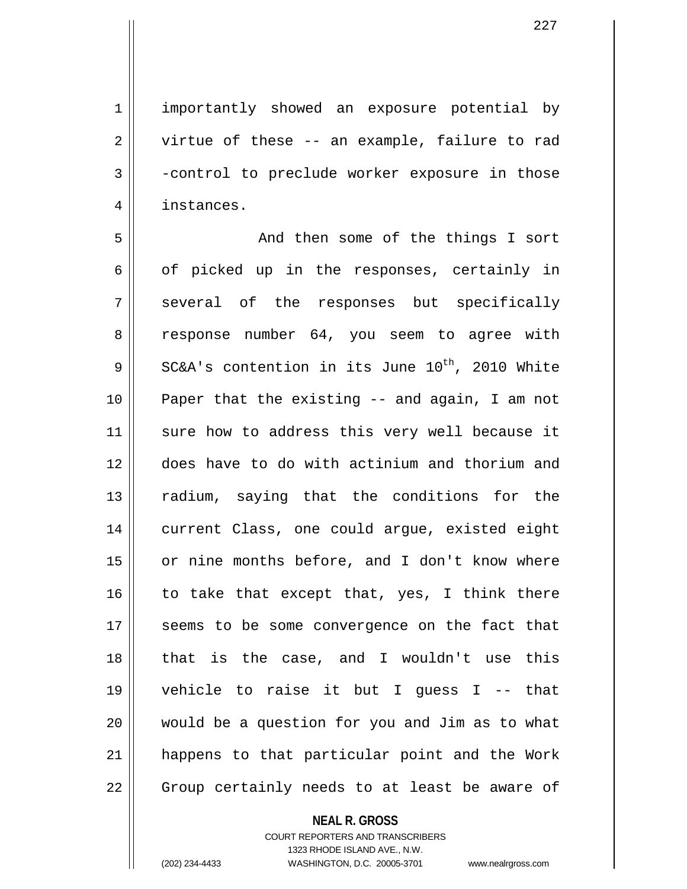1 | importantly showed an exposure potential by

 $2 \parallel$  virtue of these -- an example, failure to rad 3 -control to preclude worker exposure in those 4 instances.

5 And then some of the things I sort  $6 \parallel$  of picked up in the responses, certainly in 7 || several of the responses but specifically 8 || response number 64, you seem to agree with  $9$  | SC&A's contention in its June 10<sup>th</sup>, 2010 White 10 Paper that the existing -- and again, I am not 11 || sure how to address this very well because it 12 does have to do with actinium and thorium and 13 || radium, saying that the conditions for the 14 current Class, one could arque, existed eight 15 or nine months before, and I don't know where 16  $\parallel$  to take that except that, yes, I think there 17 || seems to be some convergence on the fact that 18 that is the case, and I wouldn't use this 19 vehicle to raise it but I guess I -- that 20 would be a question for you and Jim as to what 21 || happens to that particular point and the Work  $22$  | Group certainly needs to at least be aware of

## **NEAL R. GROSS**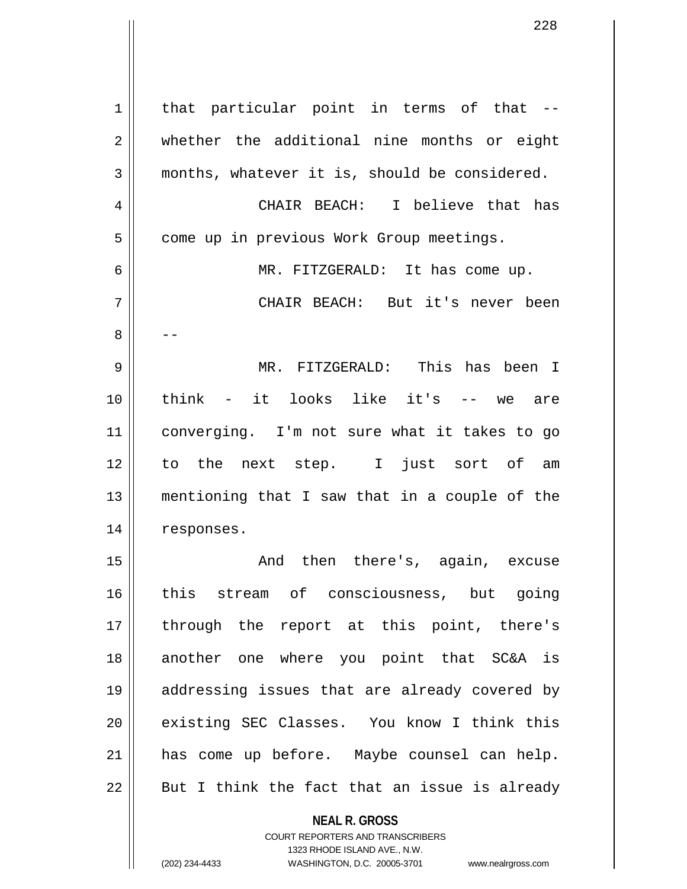| $\mathbf 1$ | that particular point in terms of that --     |
|-------------|-----------------------------------------------|
| 2           | whether the additional nine months or eight   |
| 3           | months, whatever it is, should be considered. |
| 4           | CHAIR BEACH: I believe that has               |
| 5           | come up in previous Work Group meetings.      |
| 6           | MR. FITZGERALD: It has come up.               |
| 7           | CHAIR BEACH: But it's never been              |
| 8           |                                               |
| 9           | MR. FITZGERALD: This has been I               |
| 10          | think - it looks like it's<br>-- we are       |
| 11          | converging. I'm not sure what it takes to go  |
| 12          | to the next step. I just sort of am           |
| 13          | mentioning that I saw that in a couple of the |
| 14          | responses.                                    |
| 15          | then there's, again, excuse<br>And            |
| 16          | this stream of consciousness, but going       |
| 17          | through the report at this point, there's     |
| 18          | another one where you point that SC&A is      |
| 19          | addressing issues that are already covered by |
| 20          | existing SEC Classes. You know I think this   |
| 21          | has come up before. Maybe counsel can help.   |
| 22          | But I think the fact that an issue is already |
|             | <b>NEAL R. GROSS</b>                          |

COURT REPORTERS AND TRANSCRIBERS 1323 RHODE ISLAND AVE., N.W.

 $\mathbf{I}$ 

(202) 234-4433 WASHINGTON, D.C. 20005-3701 www.nealrgross.com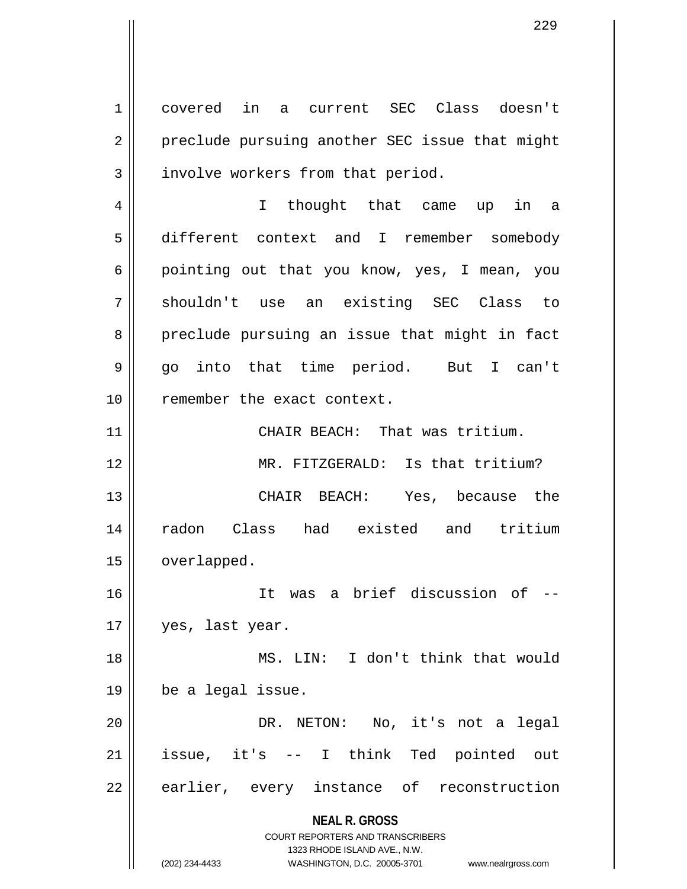1 covered in a current SEC Class doesn't 2 || preclude pursuing another SEC issue that might  $3 \parallel$  involve workers from that period.

4 || I thought that came up in a 5 different context and I remember somebody 6 || pointing out that you know, yes, I mean, you 7 shouldn't use an existing SEC Class to 8 preclude pursuing an issue that might in fact 9 go into that time period. But I can't 10 || remember the exact context.

11 || CHAIR BEACH: That was tritium. 12 MR. FITZGERALD: Is that tritium? 13 CHAIR BEACH: Yes, because the 14 radon Class had existed and tritium 15 | overlapped.

16 It was a brief discussion of -- 17 || yes, last year.

18 MS. LIN: I don't think that would  $19 \parallel$  be a legal issue.

20 DR. NETON: No, it's not a legal 21 issue, it's -- I think Ted pointed out 22 || earlier, every instance of reconstruction

**NEAL R. GROSS**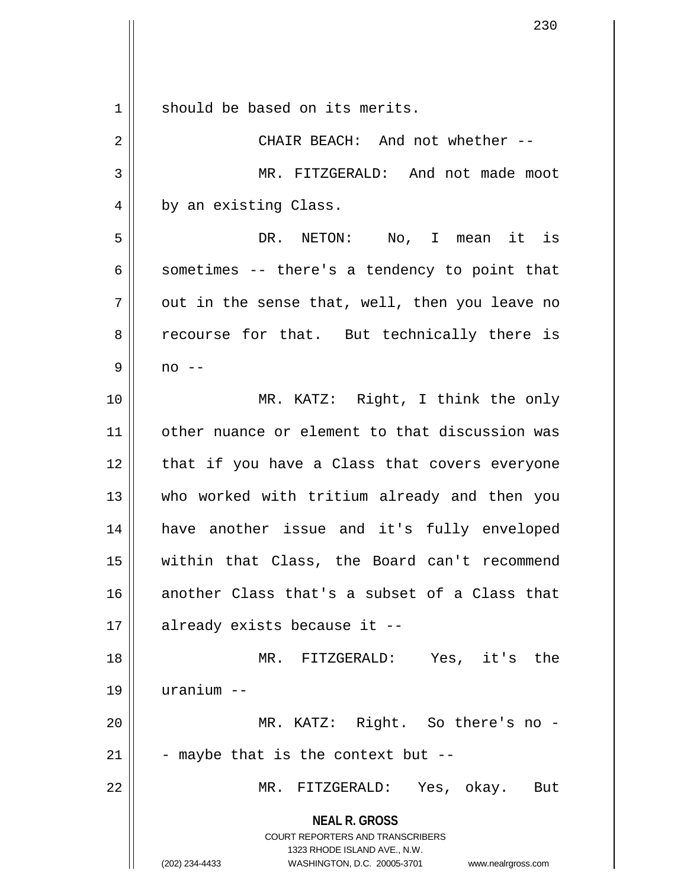**NEAL R. GROSS** COURT REPORTERS AND TRANSCRIBERS 1323 RHODE ISLAND AVE., N.W. (202) 234-4433 WASHINGTON, D.C. 20005-3701 www.nealrgross.com 1 || should be based on its merits. 2 CHAIR BEACH: And not whether -- 3 || MR. FITZGERALD: And not made moot 4 | by an existing Class. 5 DR. NETON: No, I mean it is  $6 \parallel$  sometimes -- there's a tendency to point that  $7 \parallel$  out in the sense that, well, then you leave no 8 || recourse for that. But technically there is  $9 \parallel$  no --10 || MR. KATZ: Right, I think the only 11 other nuance or element to that discussion was  $12$  | that if you have a Class that covers everyone 13 || who worked with tritium already and then you 14 have another issue and it's fully enveloped 15 within that Class, the Board can't recommend 16 another Class that's a subset of a Class that  $17 \parallel$  already exists because it --18 || MR. FITZGERALD: Yes, it's the 19 uranium -- 20 MR. KATZ: Right. So there's no - 21  $\vert$  - maybe that is the context but --22 MR. FITZGERALD: Yes, okay. But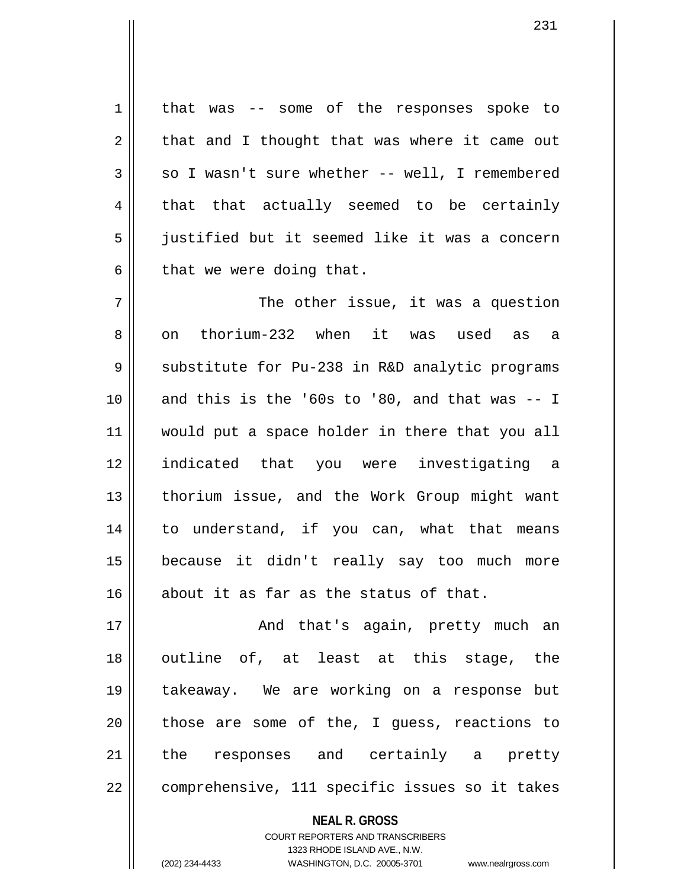1 | that was -- some of the responses spoke to  $2 \parallel$  that and I thought that was where it came out  $3 \parallel$  so I wasn't sure whether -- well, I remembered  $4 \parallel$  that that actually seemed to be certainly 5 justified but it seemed like it was a concern  $6 \parallel$  that we were doing that.

 $7$   $\parallel$  The other issue, it was a question 8 on thorium-232 when it was used as a 9 Substitute for Pu-238 in R&D analytic programs  $10$  and this is the '60s to '80, and that was  $-1$ 11 would put a space holder in there that you all 12 indicated that you were investigating a 13 || thorium issue, and the Work Group might want 14 to understand, if you can, what that means 15 because it didn't really say too much more 16 about it as far as the status of that.

17 || And that's again, pretty much an 18 || outline of, at least at this stage, the 19 takeaway. We are working on a response but  $20$  || those are some of the, I quess, reactions to 21 || the responses and certainly a pretty 22 || comprehensive, 111 specific issues so it takes

**NEAL R. GROSS**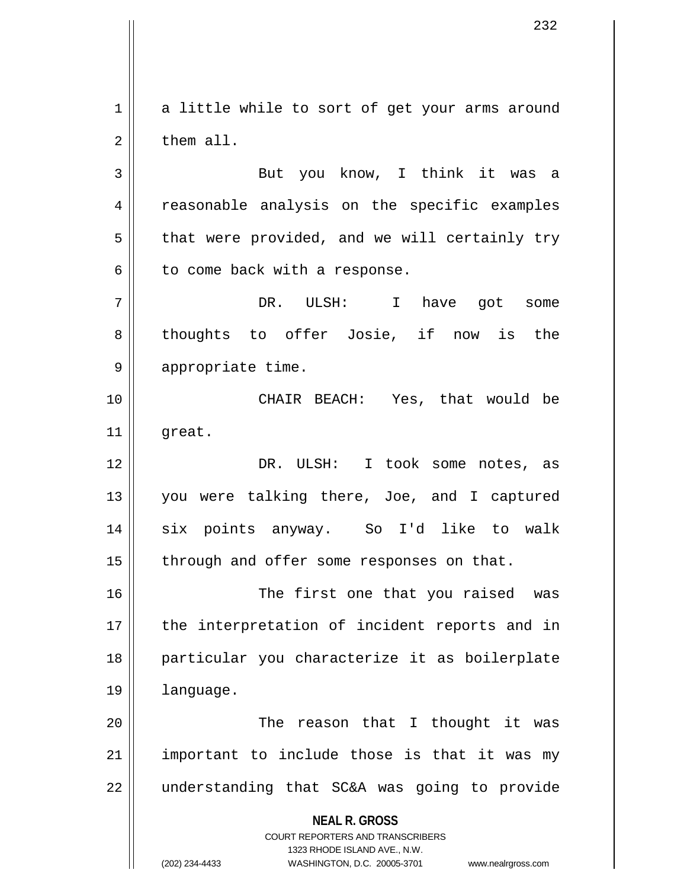$1 \parallel$  a little while to sort of get your arms around 2 l them all.

3 || But you know, I think it was a 4 || reasonable analysis on the specific examples  $5 \parallel$  that were provided, and we will certainly try  $6 \parallel$  to come back with a response.

7 DR. ULSH: I have got some 8 thoughts to offer Josie, if now is the 9 || appropriate time.

10 CHAIR BEACH: Yes, that would be  $11$  great.

12 DR. ULSH: I took some notes, as 13 you were talking there, Joe, and I captured 14 six points anyway. So I'd like to walk  $15$  | through and offer some responses on that.

16 The first one that you raised was 17 || the interpretation of incident reports and in 18 particular you characterize it as boilerplate 19 language.

20 The reason that I thought it was  $21$  || important to include those is that it was my 22 || understanding that SC&A was going to provide

> **NEAL R. GROSS** COURT REPORTERS AND TRANSCRIBERS 1323 RHODE ISLAND AVE., N.W. (202) 234-4433 WASHINGTON, D.C. 20005-3701 www.nealrgross.com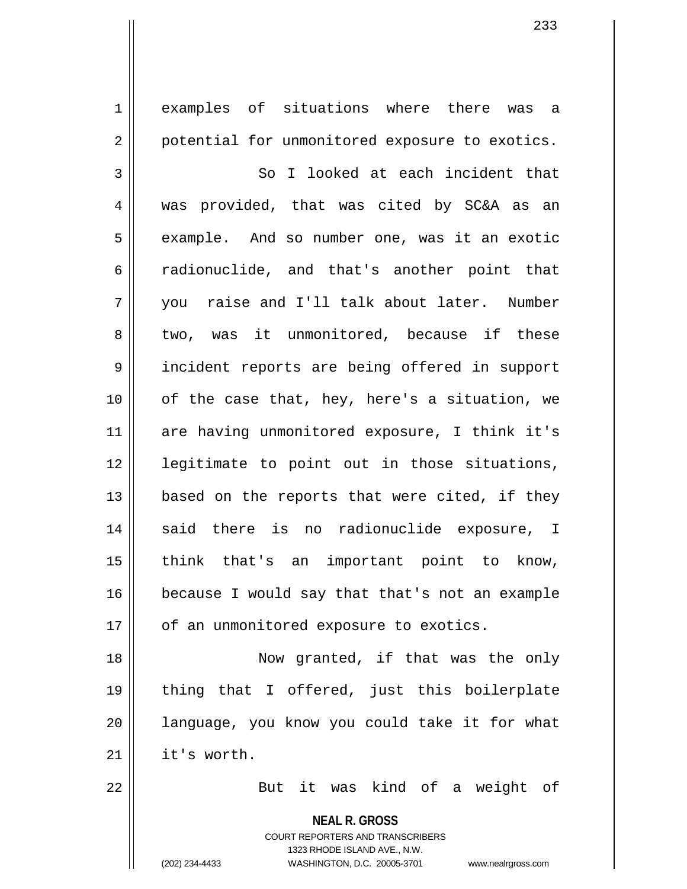**NEAL R. GROSS** 1 || examples of situations where there was a 2 | potential for unmonitored exposure to exotics. 3 || So I looked at each incident that 4 was provided, that was cited by SC&A as an 5 | example. And so number one, was it an exotic 6 cadionuclide, and that's another point that 7 you raise and I'll talk about later. Number 8 two, was it unmonitored, because if these 9 || incident reports are being offered in support  $10$  | of the case that, hey, here's a situation, we 11 are having unmonitored exposure, I think it's 12 || legitimate to point out in those situations, 13  $\parallel$  based on the reports that were cited, if they 14 || said there is no radionuclide exposure, I 15 || think that's an important point to know, 16 | because I would say that that's not an example  $17$  | of an unmonitored exposure to exotics. 18 || Now granted, if that was the only 19 thing that I offered, just this boilerplate 20 || language, you know you could take it for what  $21$  | it's worth. 22 But it was kind of a weight of

> COURT REPORTERS AND TRANSCRIBERS 1323 RHODE ISLAND AVE., N.W. (202) 234-4433 WASHINGTON, D.C. 20005-3701 www.nealrgross.com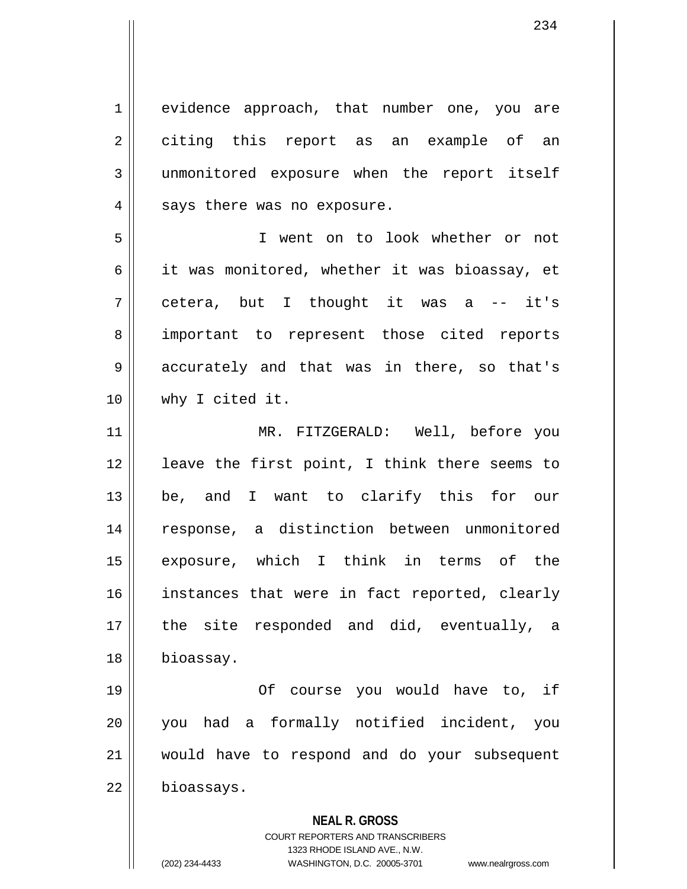1 || evidence approach, that number one, you are 2 citing this report as an example of an 3 unmonitored exposure when the report itself  $4 \parallel$  says there was no exposure.

5 I went on to look whether or not 6  $\parallel$  it was monitored, whether it was bioassay, et 7 cetera, but I thought it was a -- it's 8 || important to represent those cited reports 9 || accurately and that was in there, so that's 10 why I cited it.

11 MR. FITZGERALD: Well, before you 12 || leave the first point, I think there seems to 13 be, and I want to clarify this for our 14 response, a distinction between unmonitored 15 exposure, which I think in terms of the 16 || instances that were in fact reported, clearly 17 || the site responded and did, eventually, a 18 bioassay.

19 Of course you would have to, if 20 you had a formally notified incident, you 21 would have to respond and do your subsequent 22 | bioassays.

**NEAL R. GROSS**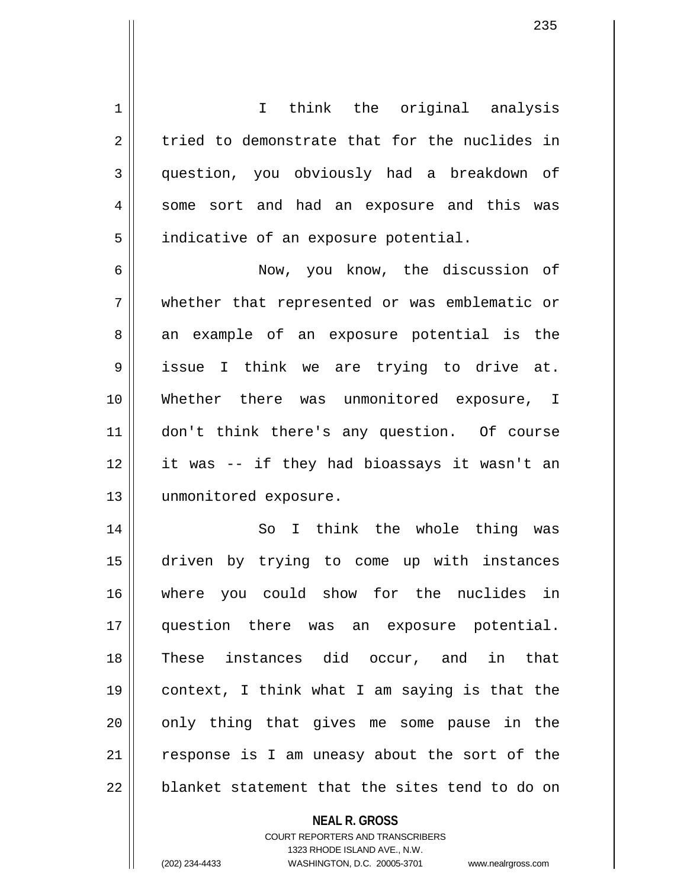**NEAL R. GROSS** COURT REPORTERS AND TRANSCRIBERS 1 || I think the original analysis  $2 \parallel$  tried to demonstrate that for the nuclides in 3 question, you obviously had a breakdown of 4 || some sort and had an exposure and this was 5 | indicative of an exposure potential. 6 Now, you know, the discussion of 7 whether that represented or was emblematic or 8 || an example of an exposure potential is the 9 issue I think we are trying to drive at. 10 Whether there was unmonitored exposure, I 11 don't think there's any question. Of course 12 it was -- if they had bioassays it wasn't an 13 | unmonitored exposure. 14 || So I think the whole thing was 15 driven by trying to come up with instances 16 where you could show for the nuclides in 17 question there was an exposure potential. 18 These instances did occur, and in that 19 context, I think what I am saying is that the 20 || only thing that gives me some pause in the 21 || response is I am uneasy about the sort of the  $22$  || blanket statement that the sites tend to do on

1323 RHODE ISLAND AVE., N.W.

(202) 234-4433 WASHINGTON, D.C. 20005-3701 www.nealrgross.com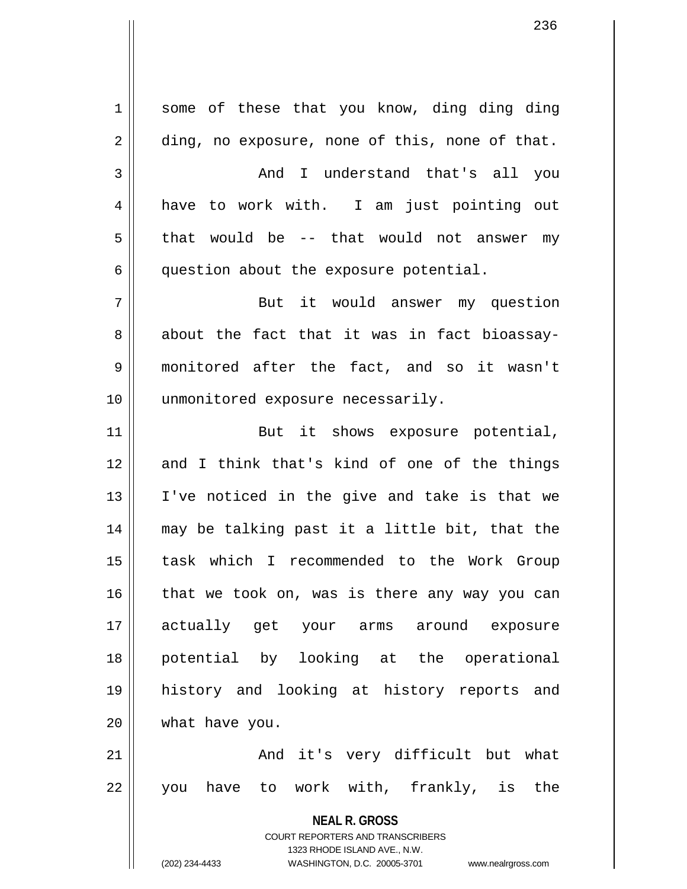**NEAL R. GROSS** COURT REPORTERS AND TRANSCRIBERS 1323 RHODE ISLAND AVE., N.W. (202) 234-4433 WASHINGTON, D.C. 20005-3701 www.nealrgross.com  $1 \parallel$  some of these that you know, ding ding ding  $2 \parallel$  ding, no exposure, none of this, none of that. 3 And I understand that's all you 4 have to work with. I am just pointing out  $5 \parallel$  that would be -- that would not answer my  $6 \parallel$  question about the exposure potential. 7 || But it would answer my question  $8 \parallel$  about the fact that it was in fact bioassay-9 monitored after the fact, and so it wasn't 10 || unmonitored exposure necessarily. 11 || But it shows exposure potential, 12 and I think that's kind of one of the things 13 I've noticed in the give and take is that we 14 may be talking past it a little bit, that the 15 task which I recommended to the Work Group  $16$  that we took on, was is there any way you can 17 actually get your arms around exposure 18 potential by looking at the operational 19 history and looking at history reports and 20 what have you. 21 And it's very difficult but what 22 || you have to work with, frankly, is the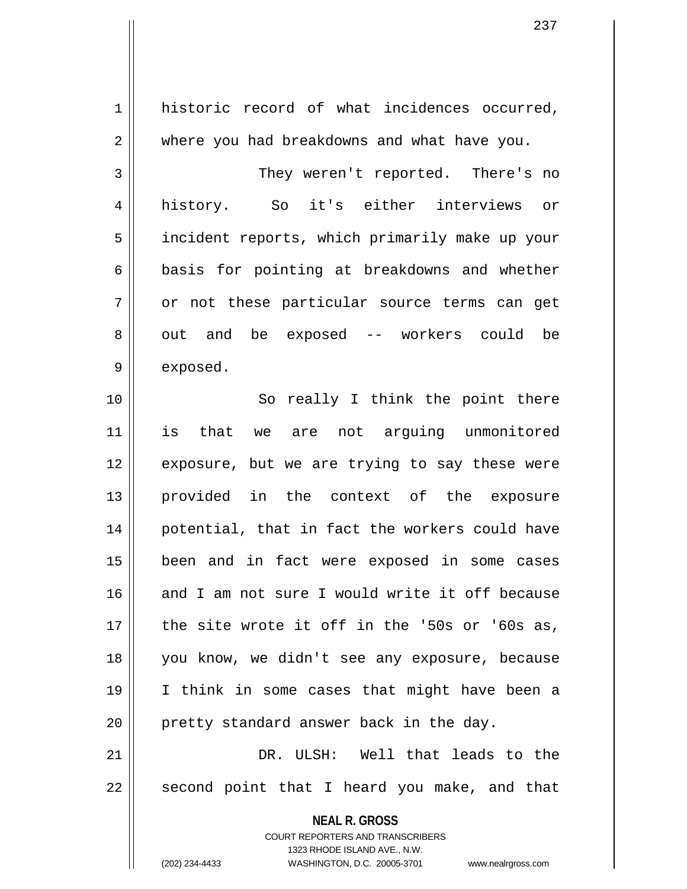**NEAL R. GROSS** COURT REPORTERS AND TRANSCRIBERS 1323 RHODE ISLAND AVE., N.W. 1 historic record of what incidences occurred, 2 | where you had breakdowns and what have you. 3 || They weren't reported. There's no 4 history. So it's either interviews or 5 | incident reports, which primarily make up your  $6 \parallel$  basis for pointing at breakdowns and whether  $7 \parallel$  or not these particular source terms can get 8 || out and be exposed -- workers could be  $9 \parallel$  exposed. 10 || So really I think the point there 11 is that we are not arguing unmonitored 12 || exposure, but we are trying to say these were 13 provided in the context of the exposure 14 || potential, that in fact the workers could have 15 been and in fact were exposed in some cases 16 and I am not sure I would write it off because 17 the site wrote it off in the '50s or '60s as, 18 you know, we didn't see any exposure, because 19 I think in some cases that might have been a 20 || pretty standard answer back in the day. 21 DR. ULSH: Well that leads to the  $22$  || second point that I heard you make, and that

(202) 234-4433 WASHINGTON, D.C. 20005-3701 www.nealrgross.com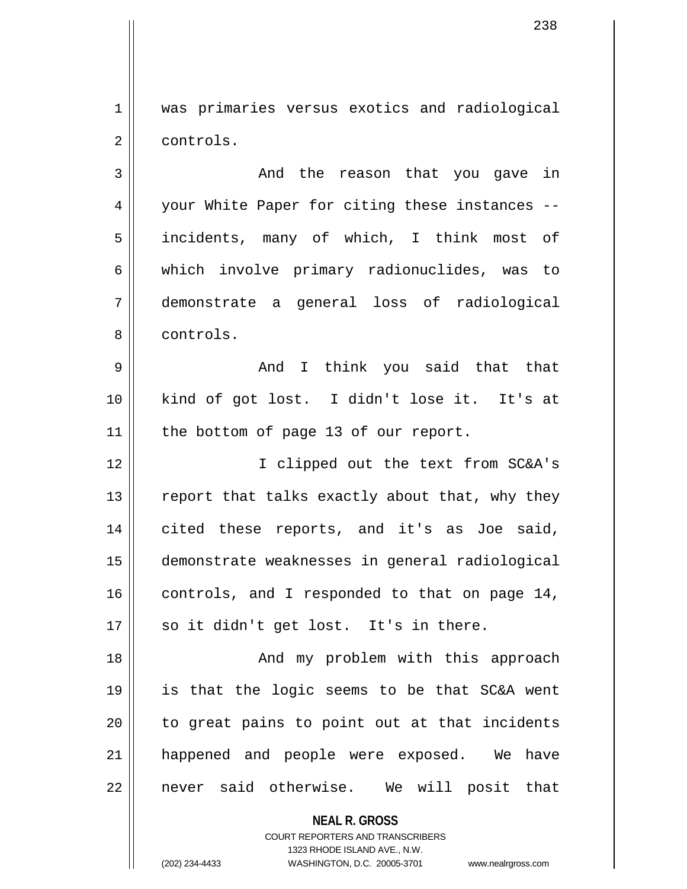1 || was primaries versus exotics and radiological 2 | controls.

3 And the reason that you gave in 4 || your White Paper for citing these instances --5 || incidents, many of which, I think most of 6 which involve primary radionuclides, was to 7 demonstrate a general loss of radiological 8 l controls.

9 And I think you said that that 10 kind of got lost. I didn't lose it. It's at  $11$  | the bottom of page 13 of our report.

12 I clipped out the text from SC&A's 13  $\parallel$  report that talks exactly about that, why they 14 cited these reports, and it's as Joe said, 15 demonstrate weaknesses in general radiological 16  $\parallel$  controls, and I responded to that on page 14, 17 || so it didn't get lost. It's in there.

18 And my problem with this approach 19 is that the logic seems to be that SC&A went  $20$  || to great pains to point out at that incidents 21 || happened and people were exposed. We have 22 || never said otherwise. We will posit that

**NEAL R. GROSS**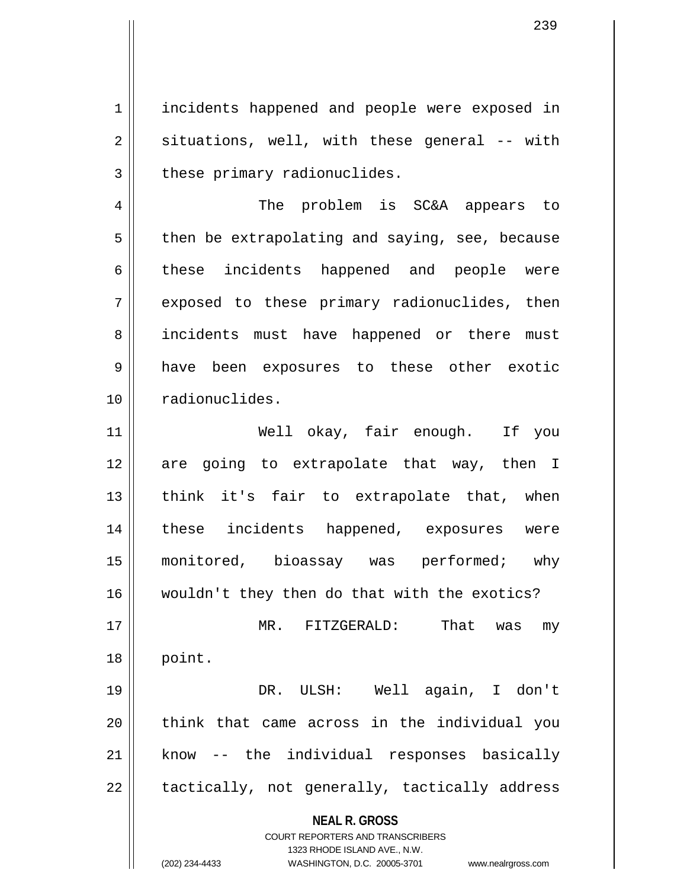1 | incidents happened and people were exposed in  $2 \parallel$  situations, well, with these general -- with  $3$  | these primary radionuclides.

4 || The problem is SC&A appears to  $5 \parallel$  then be extrapolating and saying, see, because 6 these incidents happened and people were 7 || exposed to these primary radionuclides, then 8 || incidents must have happened or there must 9 have been exposures to these other exotic 10 | radionuclides.

11 Well okay, fair enough. If you 12 || are going to extrapolate that way, then I  $13$  || think it's fair to extrapolate that, when 14 these incidents happened, exposures were 15 || monitored, bioassay was performed; why 16 wouldn't they then do that with the exotics? 17 MR. FITZGERALD: That was my 18 point.

19 DR. ULSH: Well again, I don't 20 || think that came across in the individual you  $21$  know -- the individual responses basically  $22$  || tactically, not generally, tactically address

**NEAL R. GROSS**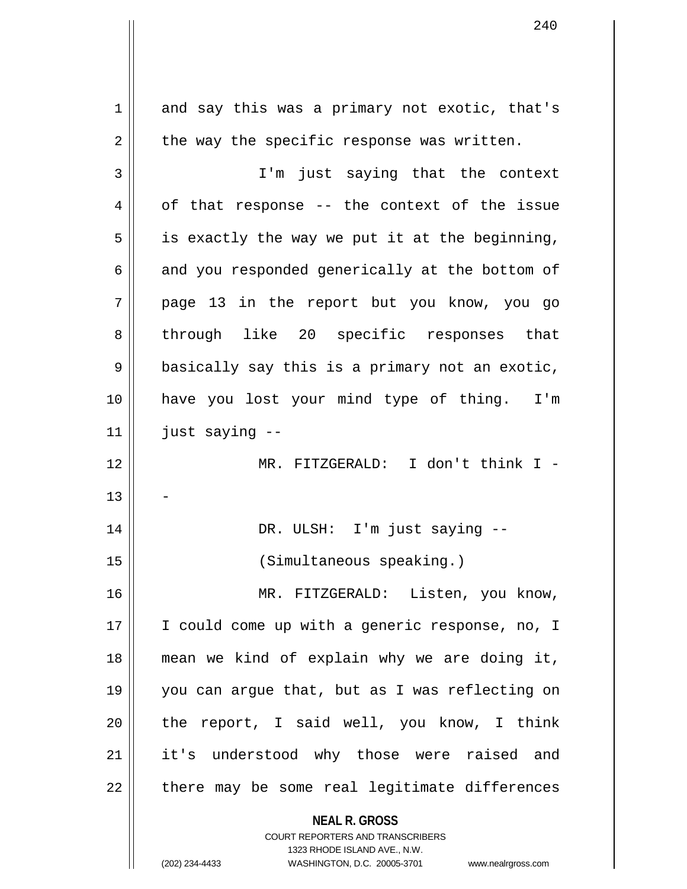**NEAL R. GROSS** COURT REPORTERS AND TRANSCRIBERS 1323 RHODE ISLAND AVE., N.W.  $1 \parallel$  and say this was a primary not exotic, that's  $2 \parallel$  the way the specific response was written. 3 I'm just saying that the context  $4 \parallel$  of that response -- the context of the issue  $5 \parallel$  is exactly the way we put it at the beginning,  $6 \parallel$  and you responded generically at the bottom of 7 page 13 in the report but you know, you go 8 through like 20 specific responses that  $9 \parallel$  basically say this is a primary not an exotic, 10 have you lost your mind type of thing. I'm  $11$  | just saying  $-$ 12 MR. FITZGERALD: I don't think I - 13 14 || DR. ULSH: I'm just saying --15 (Simultaneous speaking.) 16 MR. FITZGERALD: Listen, you know, 17 || I could come up with a generic response, no, I 18 mean we kind of explain why we are doing it, 19 you can argue that, but as I was reflecting on  $20$  || the report, I said well, you know, I think 21 || it's understood why those were raised and  $22$  || there may be some real legitimate differences

(202) 234-4433 WASHINGTON, D.C. 20005-3701 www.nealrgross.com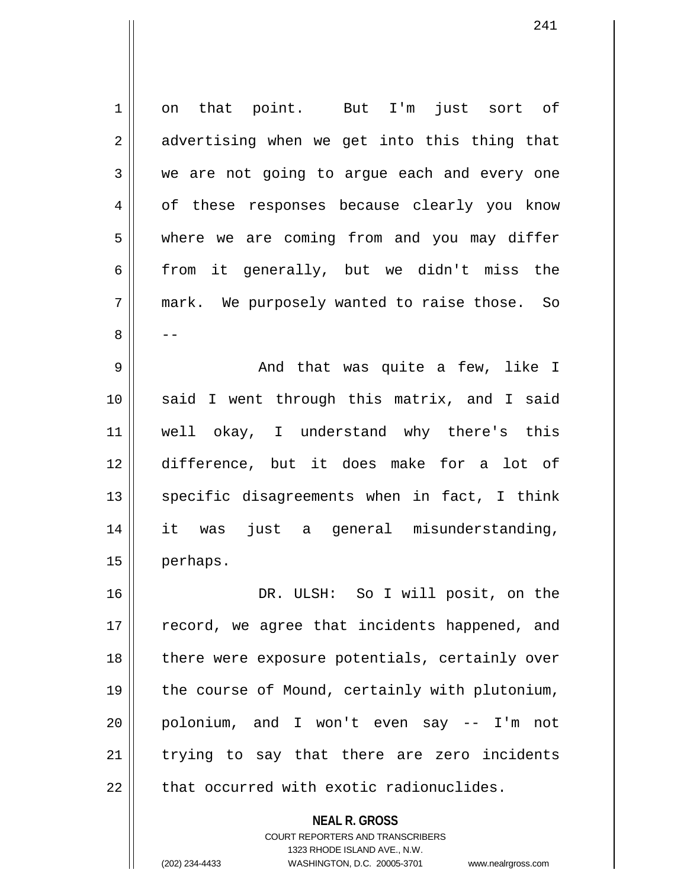1 on that point. But I'm just sort of  $2 \parallel$  advertising when we get into this thing that 3 we are not going to arque each and every one 4 of these responses because clearly you know 5 where we are coming from and you may differ  $6 \parallel$  from it generally, but we didn't miss the 7 mark. We purposely wanted to raise those. So 8 | --9 And that was quite a few, like I 10 said I went through this matrix, and I said 11 well okay, I understand why there's this 12 difference, but it does make for a lot of  $13$  specific disagreements when in fact, I think 14 it was just a general misunderstanding, 15 | perhaps. 16 DR. ULSH: So I will posit, on the 17 || record, we agree that incidents happened, and 18 || there were exposure potentials, certainly over 19 || the course of Mound, certainly with plutonium, 20 polonium, and I won't even say -- I'm not 21 || trying to say that there are zero incidents  $22$   $\parallel$  that occurred with exotic radionuclides.

> **NEAL R. GROSS** COURT REPORTERS AND TRANSCRIBERS 1323 RHODE ISLAND AVE., N.W.

(202) 234-4433 WASHINGTON, D.C. 20005-3701 www.nealrgross.com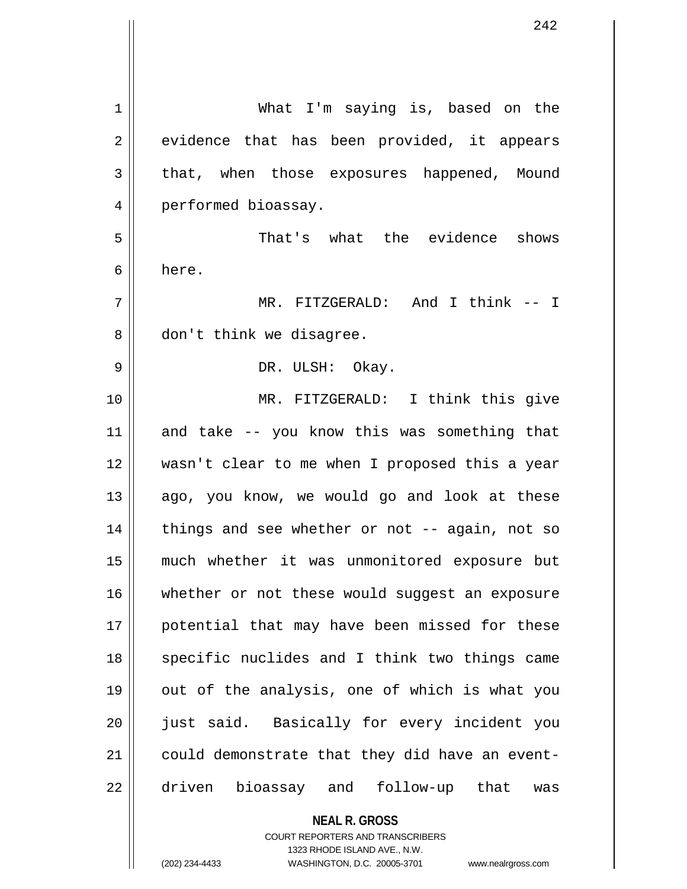| $\mathbf 1$ | What I'm saying is, based on the               |
|-------------|------------------------------------------------|
| 2           | evidence that has been provided, it appears    |
| 3           | that, when those exposures happened, Mound     |
| 4           | performed bioassay.                            |
| 5           | That's what the evidence shows                 |
| 6           | here.                                          |
| 7           | MR. FITZGERALD: And I think -- I               |
| 8           | don't think we disagree.                       |
| 9           | DR. ULSH: Okay.                                |
| 10          | MR. FITZGERALD: I think this give              |
| 11          | and take -- you know this was something that   |
| 12          | wasn't clear to me when I proposed this a year |
| 13          | ago, you know, we would go and look at these   |
| 14          | things and see whether or not -- again, not so |
| 15          | much whether it was unmonitored exposure but   |
| 16          | whether or not these would suggest an exposure |
| 17          | potential that may have been missed for these  |
| 18          | specific nuclides and I think two things came  |
| 19          | out of the analysis, one of which is what you  |
| 20          | just said. Basically for every incident you    |
| 21          | could demonstrate that they did have an event- |
| 22          | driven bioassay and follow-up that<br>was      |
|             | <b>NEAL R. GROSS</b>                           |

COURT REPORTERS AND TRANSCRIBERS 1323 RHODE ISLAND AVE., N.W.

 $\mathsf{II}$ 

(202) 234-4433 WASHINGTON, D.C. 20005-3701 www.nealrgross.com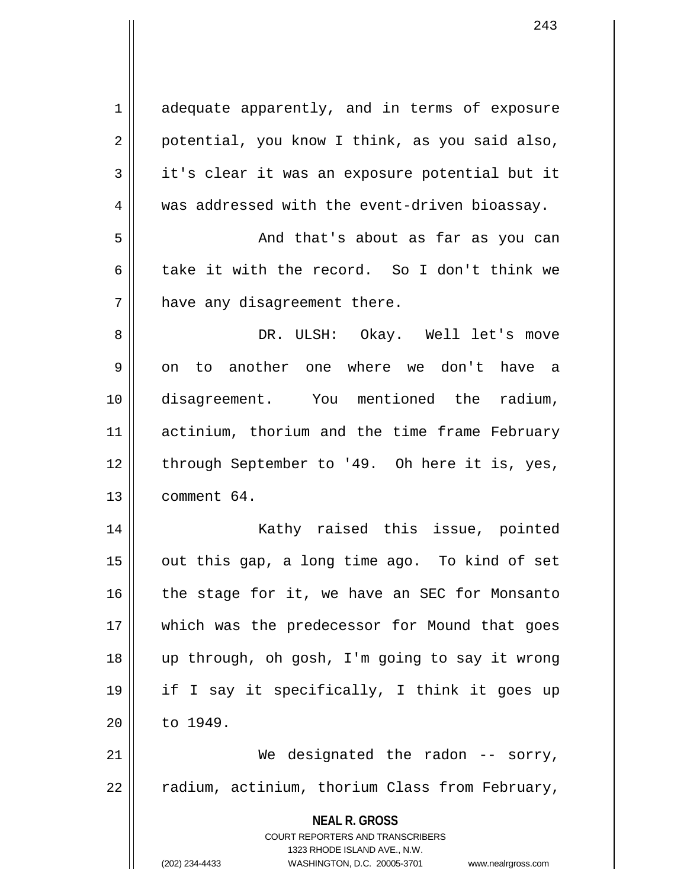| $\mathbf 1$    | adequate apparently, and in terms of exposure                                            |
|----------------|------------------------------------------------------------------------------------------|
| $\overline{2}$ | potential, you know I think, as you said also,                                           |
| 3              | it's clear it was an exposure potential but it                                           |
| $\overline{4}$ | was addressed with the event-driven bioassay.                                            |
| 5              | And that's about as far as you can                                                       |
| 6              | take it with the record. So I don't think we                                             |
| 7              | have any disagreement there.                                                             |
| 8              | DR. ULSH: Okay. Well let's move                                                          |
| 9              | to another one where we don't have a<br>on                                               |
| 10             | disagreement. You mentioned the radium,                                                  |
| 11             | actinium, thorium and the time frame February                                            |
| 12             | through September to '49. Oh here it is, yes,                                            |
| 13             | comment 64.                                                                              |
| 14             | Kathy raised this issue, pointed                                                         |
| 15             | out this gap, a long time ago. To kind of set                                            |
| 16             | the stage for it, we have an SEC for Monsanto                                            |
| 17             | which was the predecessor for Mound that goes                                            |
| 18             | up through, oh gosh, I'm going to say it wrong                                           |
| 19             | if I say it specifically, I think it goes up                                             |
| 20             | to 1949.                                                                                 |
| 21             | We designated the radon $-$ sorry,                                                       |
| 22             | radium, actinium, thorium Class from February,                                           |
|                | <b>NEAL R. GROSS</b><br>COURT REPORTERS AND TRANSCRIBERS<br>1323 RHODE ISLAND AVE., N.W. |
|                | (202) 234-4433<br>WASHINGTON, D.C. 20005-3701<br>www.nealrgross.com                      |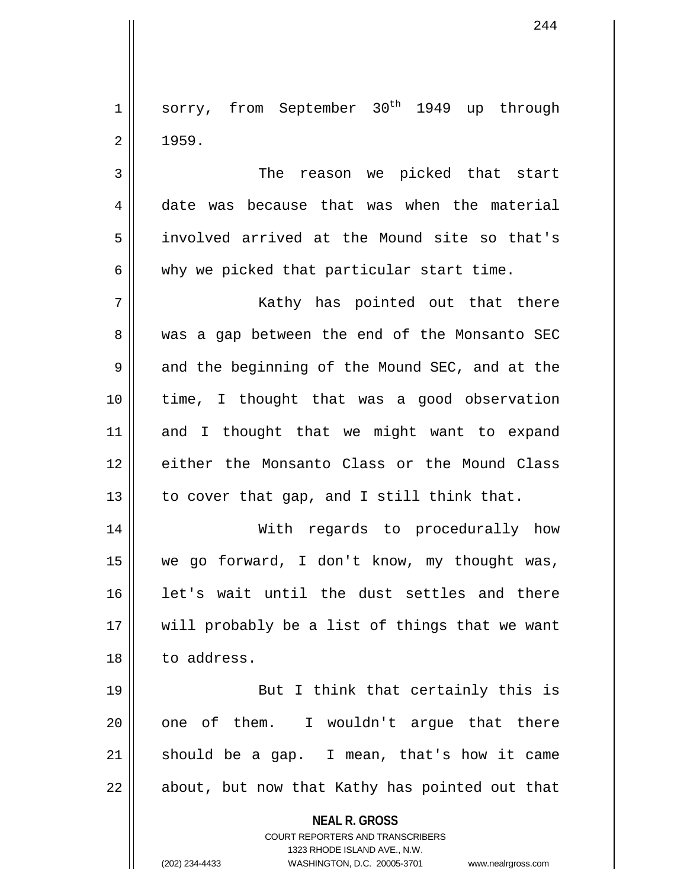$1$  sorry, from September 30<sup>th</sup> 1949 up through  $2 \parallel 1959.$ 

3 The reason we picked that start 4 date was because that was when the material 5 involved arrived at the Mound site so that's  $6 \parallel$  why we picked that particular start time.

7 Kathy has pointed out that there 8 || was a gap between the end of the Monsanto SEC  $9 \parallel$  and the beginning of the Mound SEC, and at the 10 time, I thought that was a good observation 11 and I thought that we might want to expand 12 either the Monsanto Class or the Mound Class 13  $\parallel$  to cover that gap, and I still think that.

14 With regards to procedurally how 15 we go forward, I don't know, my thought was, 16 || let's wait until the dust settles and there 17 || will probably be a list of things that we want 18 | to address.

19 || But I think that certainly this is  $20$  || one of them. I wouldn't arque that there 21  $\parallel$  should be a gap. I mean, that's how it came 22 || about, but now that Kathy has pointed out that

**NEAL R. GROSS**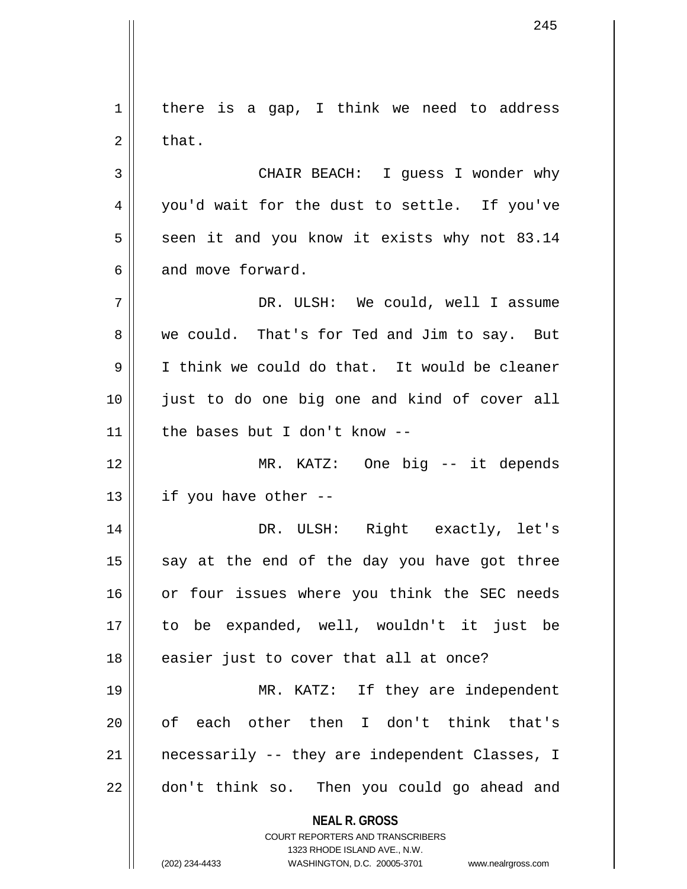**NEAL R. GROSS** COURT REPORTERS AND TRANSCRIBERS 1323 RHODE ISLAND AVE., N.W.  $1 \parallel$  there is a gap, I think we need to address  $2 \parallel$  that. 3 CHAIR BEACH: I guess I wonder why 4 you'd wait for the dust to settle. If you've  $5 \parallel$  seen it and you know it exists why not 83.14 6 and move forward. 7 DR. ULSH: We could, well I assume 8 we could. That's for Ted and Jim to say. But 9 I think we could do that. It would be cleaner 10 just to do one big one and kind of cover all 11 | the bases but I don't know  $-$ -12 MR. KATZ: One big -- it depends  $13$  | if you have other  $-$ 14 DR. ULSH: Right exactly, let's  $15$  say at the end of the day you have got three 16 or four issues where you think the SEC needs 17 to be expanded, well, wouldn't it just be 18 || easier just to cover that all at once? 19 || MR. KATZ: If they are independent 20 || of each other then I don't think that's 21 || necessarily -- they are independent Classes, I 22 || don't think so. Then you could go ahead and

(202) 234-4433 WASHINGTON, D.C. 20005-3701 www.nealrgross.com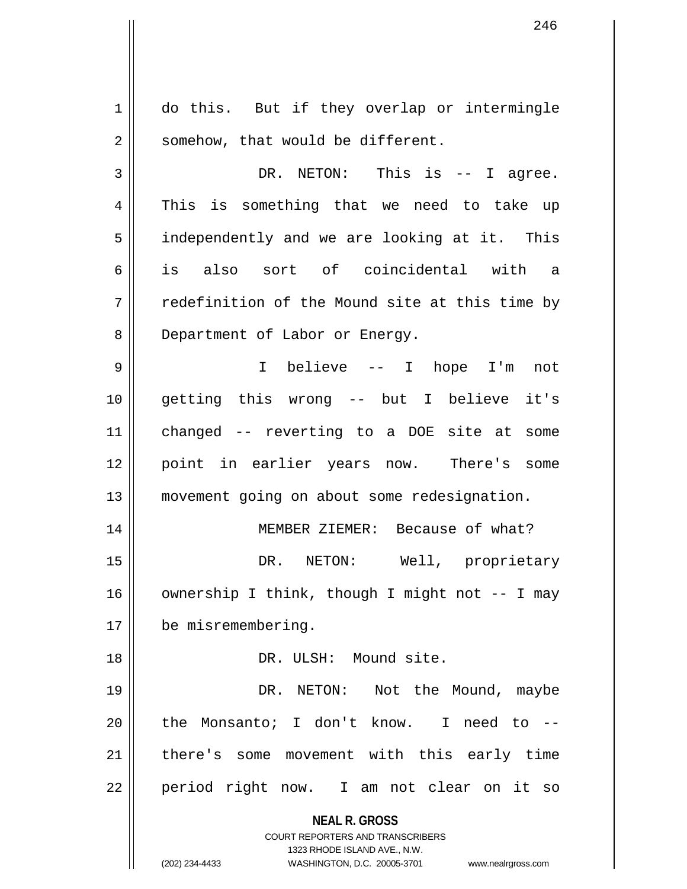**NEAL R. GROSS** COURT REPORTERS AND TRANSCRIBERS 1323 RHODE ISLAND AVE., N.W. (202) 234-4433 WASHINGTON, D.C. 20005-3701 www.nealrgross.com 1 | do this. But if they overlap or intermingle  $2 \parallel$  somehow, that would be different. 3 DR. NETON: This is -- I agree. 4 This is something that we need to take up 5 | independently and we are looking at it. This 6 is also sort of coincidental with a  $7$   $\parallel$  redefinition of the Mound site at this time by 8 | Department of Labor or Energy. 9 I believe -- I hope I'm not 10 getting this wrong -- but I believe it's 11 changed -- reverting to a DOE site at some 12 point in earlier years now. There's some 13 movement going on about some redesignation. 14 || MEMBER ZIEMER: Because of what? 15 DR. NETON: Well, proprietary 16  $\parallel$  ownership I think, though I might not -- I may 17 be misremembering. 18 DR. ULSH: Mound site. 19 DR. NETON: Not the Mound, maybe  $20$  || the Monsanto; I don't know. I need to  $-$ 21 || there's some movement with this early time 22 || period right now. I am not clear on it so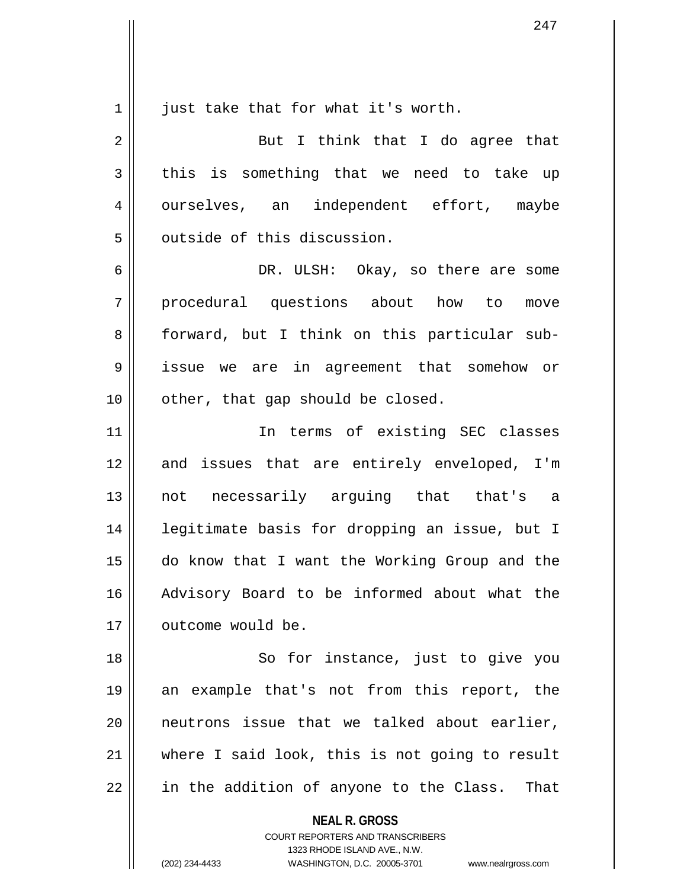$1 \parallel$  just take that for what it's worth. 2 || But I think that I do agree that  $3 \parallel$  this is something that we need to take up 4 | ourselves, an independent effort, maybe 5 | outside of this discussion. 6 DR. ULSH: Okay, so there are some 7 procedural questions about how to move 8 forward, but I think on this particular sub-9 issue we are in agreement that somehow or 10 || other, that gap should be closed. 11 || The terms of existing SEC classes 12 and issues that are entirely enveloped, I'm 13 not necessarily arguing that that's a 14 || legitimate basis for dropping an issue, but I 15 do know that I want the Working Group and the 16 Advisory Board to be informed about what the 17 | outcome would be. 18 || So for instance, just to give you 19 an example that's not from this report, the 20 || neutrons issue that we talked about earlier, 21 where I said look, this is not going to result

 $22$  || in the addition of anyone to the Class. That

**NEAL R. GROSS** COURT REPORTERS AND TRANSCRIBERS

1323 RHODE ISLAND AVE., N.W.

(202) 234-4433 WASHINGTON, D.C. 20005-3701 www.nealrgross.com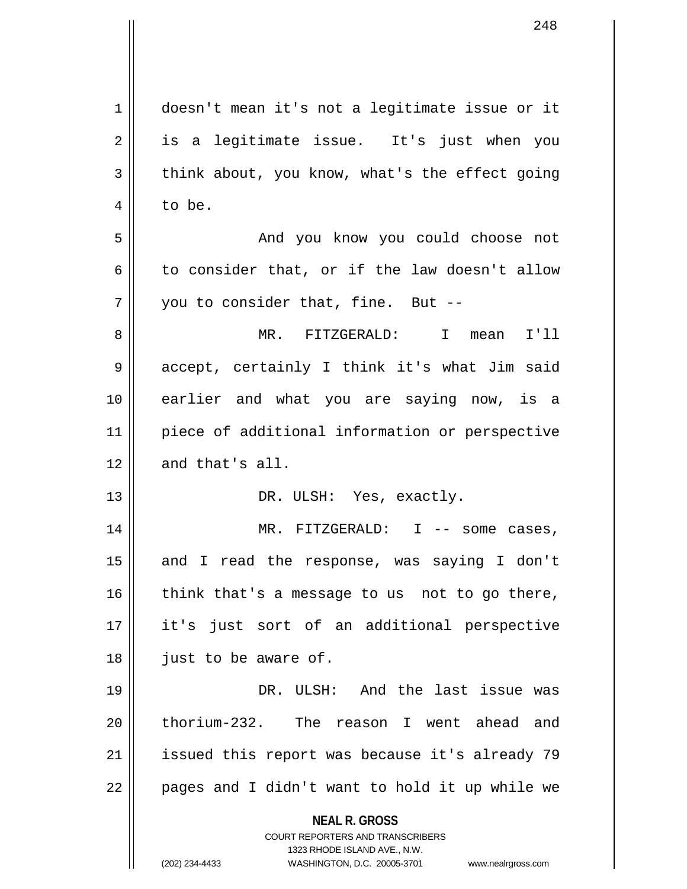| 1  | doesn't mean it's not a legitimate issue or it                          |
|----|-------------------------------------------------------------------------|
| 2  | is a legitimate issue. It's just when you                               |
| 3  | think about, you know, what's the effect going                          |
| 4  | to be.                                                                  |
| 5  | And you know you could choose not                                       |
| 6  | to consider that, or if the law doesn't allow                           |
| 7  | you to consider that, fine. But --                                      |
| 8  | MR. FITZGERALD:<br>I mean<br>I'11                                       |
| 9  | accept, certainly I think it's what Jim said                            |
| 10 | earlier and what you are saying now, is a                               |
| 11 | piece of additional information or perspective                          |
| 12 | and that's all.                                                         |
| 13 | DR. ULSH: Yes, exactly.                                                 |
| 14 | MR. FITZGERALD: $I$ -- some cases,                                      |
| 15 | and I read the response, was saying I don't                             |
| 16 | think that's a message to us not to go there,                           |
| 17 | it's just sort of an additional perspective                             |
| 18 | just to be aware of.                                                    |
| 19 | DR. ULSH: And the last issue was                                        |
| 20 | thorium-232. The reason I went ahead and                                |
| 21 | issued this report was because it's already 79                          |
| 22 | pages and I didn't want to hold it up while we                          |
|    | <b>NEAL R. GROSS</b>                                                    |
|    | <b>COURT REPORTERS AND TRANSCRIBERS</b><br>1323 RHODE ISLAND AVE., N.W. |
|    | (202) 234-4433<br>WASHINGTON, D.C. 20005-3701<br>www.nealrgross.com     |

 $\overline{\mathbf{1}}$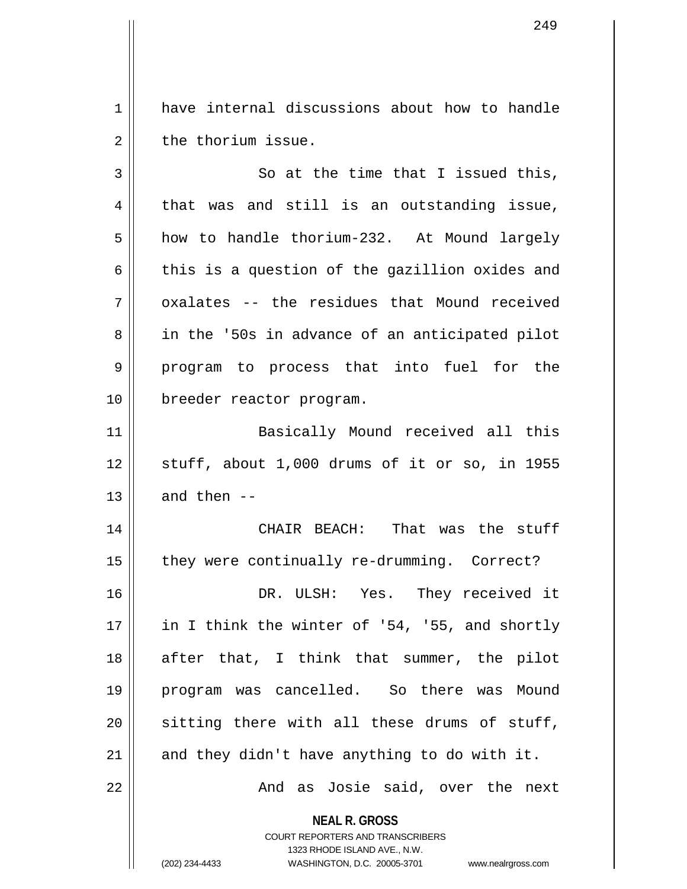1 have internal discussions about how to handle  $2 \parallel$  the thorium issue.

 $3 \parallel$  So at the time that I issued this,  $4 \parallel$  that was and still is an outstanding issue, 5 how to handle thorium-232. At Mound largely 6  $\parallel$  this is a question of the gazillion oxides and  $7 \parallel$  oxalates -- the residues that Mound received 8 || in the '50s in advance of an anticipated pilot 9 || program to process that into fuel for the 10 breeder reactor program. 11 Basically Mound received all this  $12$  stuff, about 1,000 drums of it or so, in 1955  $13$  || and then --14 CHAIR BEACH: That was the stuff 15 | they were continually re-drumming. Correct? 16 DR. ULSH: Yes. They received it 17 || in I think the winter of '54, '55, and shortly 18 || after that, I think that summer, the pilot 19 program was cancelled. So there was Mound  $20$  sitting there with all these drums of stuff, 21  $\parallel$  and they didn't have anything to do with it. 22 And as Josie said, over the next

**NEAL R. GROSS**

COURT REPORTERS AND TRANSCRIBERS 1323 RHODE ISLAND AVE., N.W. (202) 234-4433 WASHINGTON, D.C. 20005-3701 www.nealrgross.com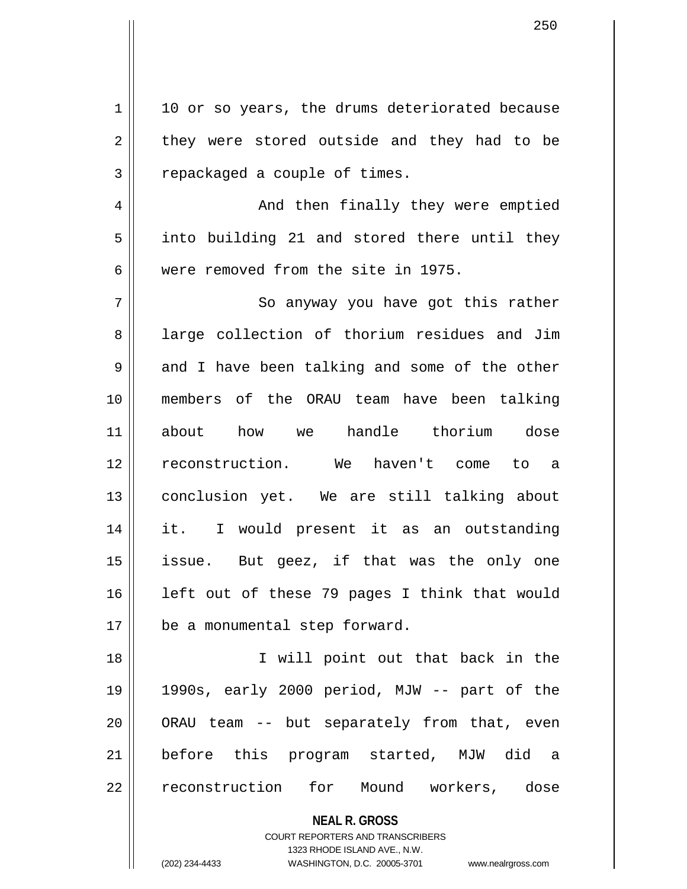**NEAL R. GROSS** COURT REPORTERS AND TRANSCRIBERS 1323 RHODE ISLAND AVE., N.W.  $1 \parallel 10$  or so years, the drums deteriorated because  $2 \parallel$  they were stored outside and they had to be 3 || repackaged a couple of times. 4 And then finally they were emptied  $5 \parallel$  into building 21 and stored there until they 6 were removed from the site in 1975. 7 || So anyway you have got this rather 8 all large collection of thorium residues and Jim  $9 \parallel$  and I have been talking and some of the other 10 members of the ORAU team have been talking 11 about how we handle thorium dose 12 reconstruction. We haven't come to a 13 conclusion yet. We are still talking about 14 it. I would present it as an outstanding 15 issue. But geez, if that was the only one 16 left out of these 79 pages I think that would 17 | be a monumental step forward. 18 || I will point out that back in the 19 1990s, early 2000 period, MJW -- part of the 20 || ORAU team -- but separately from that, even 21 before this program started, MJW did a 22 || reconstruction for Mound workers, dose

(202) 234-4433 WASHINGTON, D.C. 20005-3701 www.nealrgross.com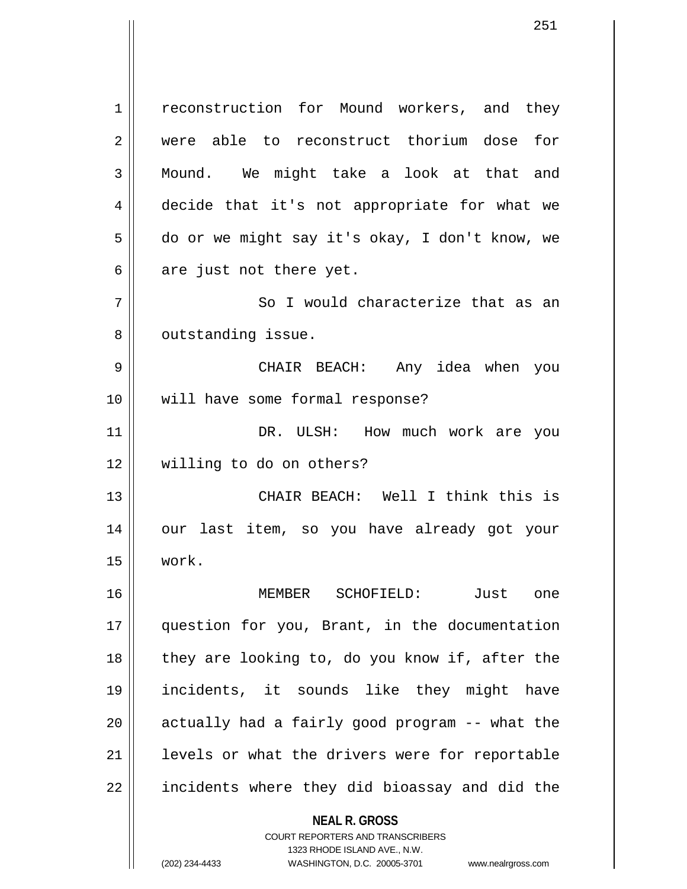**NEAL R. GROSS** 1 | reconstruction for Mound workers, and they 2 || were able to reconstruct thorium dose for 3 Mound. We might take a look at that and 4 decide that it's not appropriate for what we 5 do or we might say it's okay, I don't know, we  $6 \parallel$  are just not there yet. 7 || So I would characterize that as an 8 | outstanding issue. 9 CHAIR BEACH: Any idea when you 10 will have some formal response? 11 || DR. ULSH: How much work are you 12 willing to do on others? 13 CHAIR BEACH: Well I think this is 14 our last item, so you have already got your 15 work. 16 MEMBER SCHOFIELD: Just one 17 question for you, Brant, in the documentation 18 || they are looking to, do you know if, after the 19 incidents, it sounds like they might have  $20$  || actually had a fairly good program  $-$  what the  $21$  | levels or what the drivers were for reportable  $22$  || incidents where they did bioassay and did the

> COURT REPORTERS AND TRANSCRIBERS 1323 RHODE ISLAND AVE., N.W.

(202) 234-4433 WASHINGTON, D.C. 20005-3701 www.nealrgross.com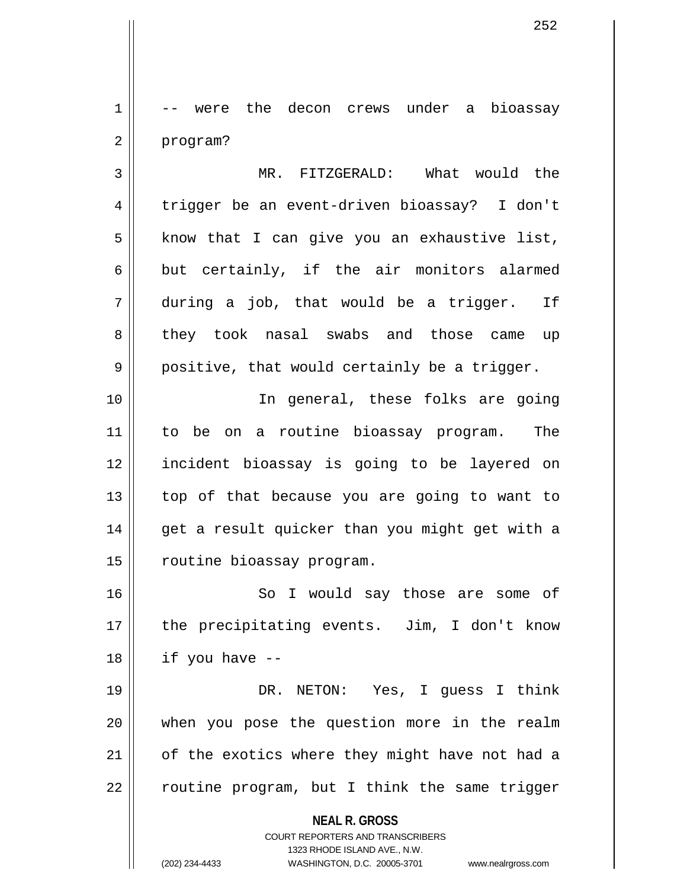1 -- were the decon crews under a bioassay 2 | program?

3 MR. FITZGERALD: What would the 4 trigger be an event-driven bioassay? I don't  $5$  know that I can give you an exhaustive list,  $6 \parallel$  but certainly, if the air monitors alarmed  $7 \parallel$  during a job, that would be a trigger. If 8 they took nasal swabs and those came up  $9 \parallel$  positive, that would certainly be a trigger.

10 || In general, these folks are going 11 to be on a routine bioassay program. The 12 incident bioassay is going to be layered on  $13$  | top of that because you are going to want to 14 get a result quicker than you might get with a 15 | routine bioassay program.

16 || So I would say those are some of 17 || the precipitating events. Jim, I don't know  $18$  || if you have  $-$ 

19 DR. NETON: Yes, I guess I think 20 when you pose the question more in the realm 21 || of the exotics where they might have not had a  $22$  | routine program, but I think the same trigger

**NEAL R. GROSS**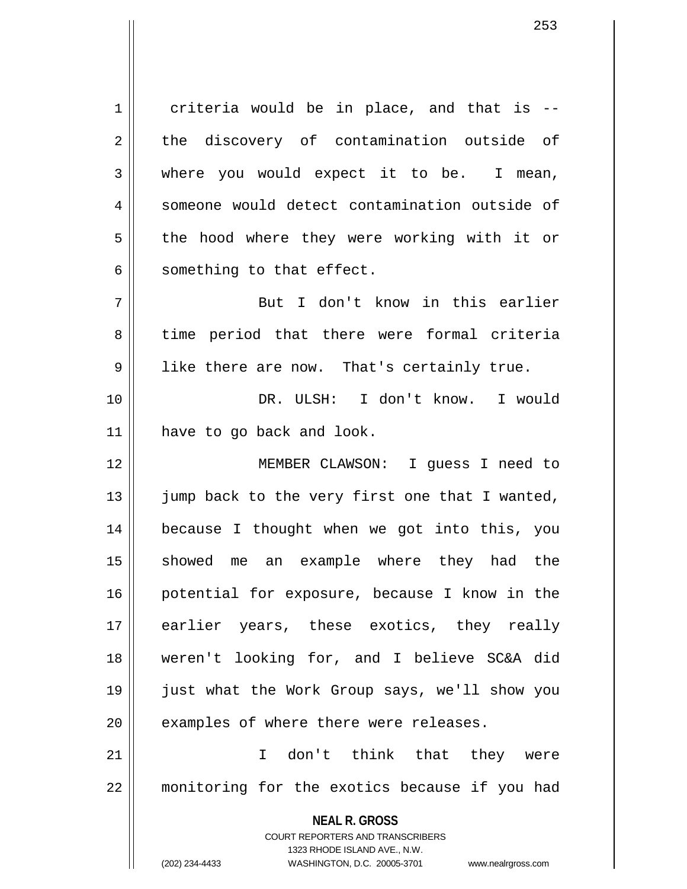$1 \parallel$  criteria would be in place, and that is --2 the discovery of contamination outside of 3 where you would expect it to be. I mean, 4 Someone would detect contamination outside of 5 || the hood where they were working with it or  $6 \parallel$  something to that effect.

7 But I don't know in this earlier 8 || time period that there were formal criteria 9 || like there are now. That's certainly true.

10 DR. ULSH: I don't know. I would 11 have to go back and look.

12 MEMBER CLAWSON: I guess I need to 13  $\parallel$  jump back to the very first one that I wanted, 14 because I thought when we got into this, you 15 showed me an example where they had the 16 || potential for exposure, because I know in the 17 earlier years, these exotics, they really 18 weren't looking for, and I believe SC&A did 19 just what the Work Group says, we'll show you  $20$  || examples of where there were releases.

21 I don't think that they were 22 | monitoring for the exotics because if you had

> **NEAL R. GROSS** COURT REPORTERS AND TRANSCRIBERS

> > 1323 RHODE ISLAND AVE., N.W.

(202) 234-4433 WASHINGTON, D.C. 20005-3701 www.nealrgross.com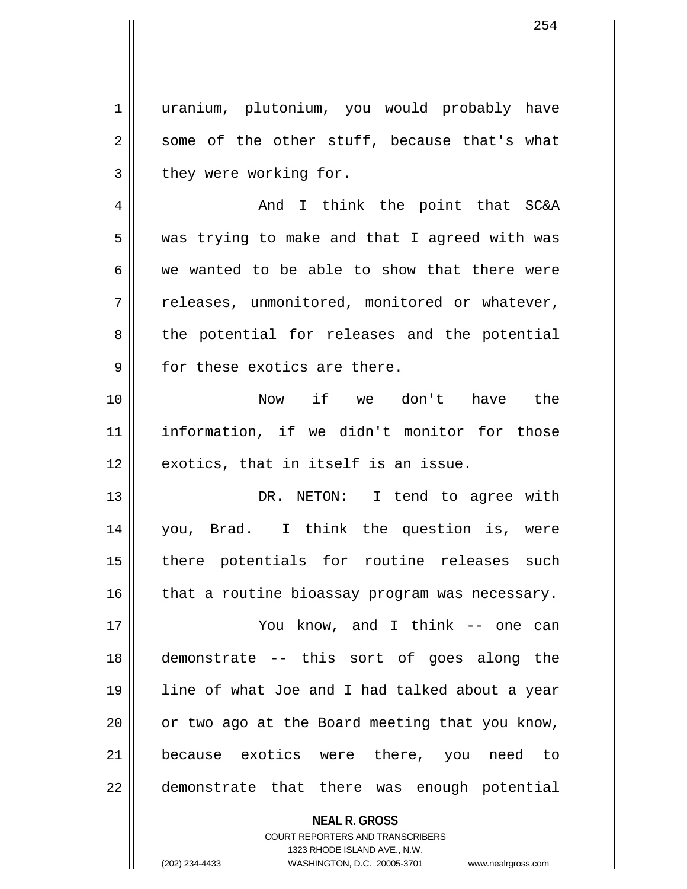1 || uranium, plutonium, you would probably have  $2 \parallel$  some of the other stuff, because that's what  $3$  | they were working for.

4 And I think the point that SC&A  $5 \parallel$  was trying to make and that I agreed with was  $6 \parallel$  we wanted to be able to show that there were  $7 \parallel$  releases, unmonitored, monitored or whatever, 8 the potential for releases and the potential  $9$   $\parallel$  for these exotics are there.

10 Now if we don't have the 11 information, if we didn't monitor for those  $12$   $\parallel$  exotics, that in itself is an issue.

13 DR. NETON: I tend to agree with 14 you, Brad. I think the question is, were 15 || there potentials for routine releases such  $16$  | that a routine bioassay program was necessary.

17 You know, and I think -- one can 18 demonstrate -- this sort of goes along the 19 line of what Joe and I had talked about a year  $20$  | or two ago at the Board meeting that you know, 21 || because exotics were there, you need to 22 || demonstrate that there was enough potential

> **NEAL R. GROSS** COURT REPORTERS AND TRANSCRIBERS 1323 RHODE ISLAND AVE., N.W. (202) 234-4433 WASHINGTON, D.C. 20005-3701 www.nealrgross.com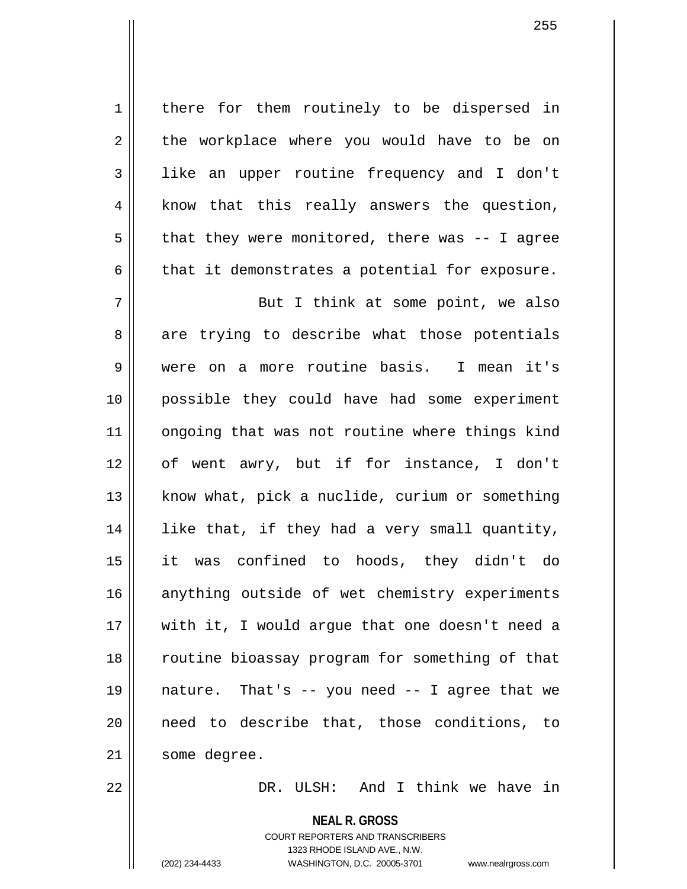1 | there for them routinely to be dispersed in  $2 \parallel$  the workplace where you would have to be on 3 like an upper routine frequency and I don't  $4 \parallel$  know that this really answers the question,  $5 \parallel$  that they were monitored, there was -- I agree  $6 \parallel$  that it demonstrates a potential for exposure.

7 || But I think at some point, we also  $8 \parallel$  are trying to describe what those potentials 9 were on a more routine basis. I mean it's 10 possible they could have had some experiment 11 || ongoing that was not routine where things kind 12 of went awry, but if for instance, I don't  $13$  | know what, pick a nuclide, curium or something 14 || like that, if they had a very small quantity, 15 it was confined to hoods, they didn't do 16 || anything outside of wet chemistry experiments 17 || with it, I would argue that one doesn't need a 18 || routine bioassay program for something of that 19  $\parallel$  nature. That's -- you need -- I agree that we 20 need to describe that, those conditions, to 21 | some degree.

22 DR. ULSH: And I think we have in

**NEAL R. GROSS**

COURT REPORTERS AND TRANSCRIBERS 1323 RHODE ISLAND AVE., N.W. (202) 234-4433 WASHINGTON, D.C. 20005-3701 www.nealrgross.com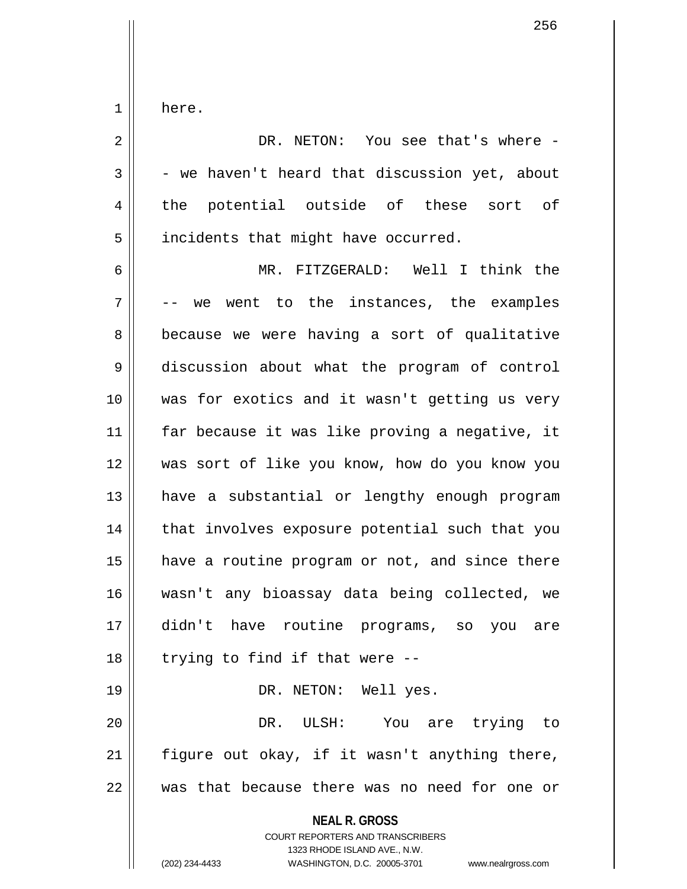$1 \parallel$  here.

| $\overline{2}$ | DR. NETON: You see that's where -                                                                                                                                      |
|----------------|------------------------------------------------------------------------------------------------------------------------------------------------------------------------|
| 3              | - we haven't heard that discussion yet, about                                                                                                                          |
| 4              | the potential outside of these sort of                                                                                                                                 |
| 5              | incidents that might have occurred.                                                                                                                                    |
| 6              | MR. FITZGERALD: Well I think the                                                                                                                                       |
| 7              | -- we went to the instances, the examples                                                                                                                              |
| 8              | because we were having a sort of qualitative                                                                                                                           |
| 9              | discussion about what the program of control                                                                                                                           |
| 10             | was for exotics and it wasn't getting us very                                                                                                                          |
| 11             | far because it was like proving a negative, it                                                                                                                         |
| 12             | was sort of like you know, how do you know you                                                                                                                         |
| 13             | have a substantial or lengthy enough program                                                                                                                           |
| 14             | that involves exposure potential such that you                                                                                                                         |
| 15             | have a routine program or not, and since there                                                                                                                         |
| 16             | wasn't any bioassay data being collected, we                                                                                                                           |
| 17             | didn't have routine programs, so you<br>are                                                                                                                            |
| 18             | trying to find if that were --                                                                                                                                         |
| 19             | DR. NETON: Well yes.                                                                                                                                                   |
| 20             | ULSH: You are trying to<br>DR.                                                                                                                                         |
| 21             | figure out okay, if it wasn't anything there,                                                                                                                          |
| 22             | was that because there was no need for one or                                                                                                                          |
|                | <b>NEAL R. GROSS</b><br><b>COURT REPORTERS AND TRANSCRIBERS</b><br>1323 RHODE ISLAND AVE., N.W.<br>(202) 234-4433<br>WASHINGTON, D.C. 20005-3701<br>www.nealrgross.com |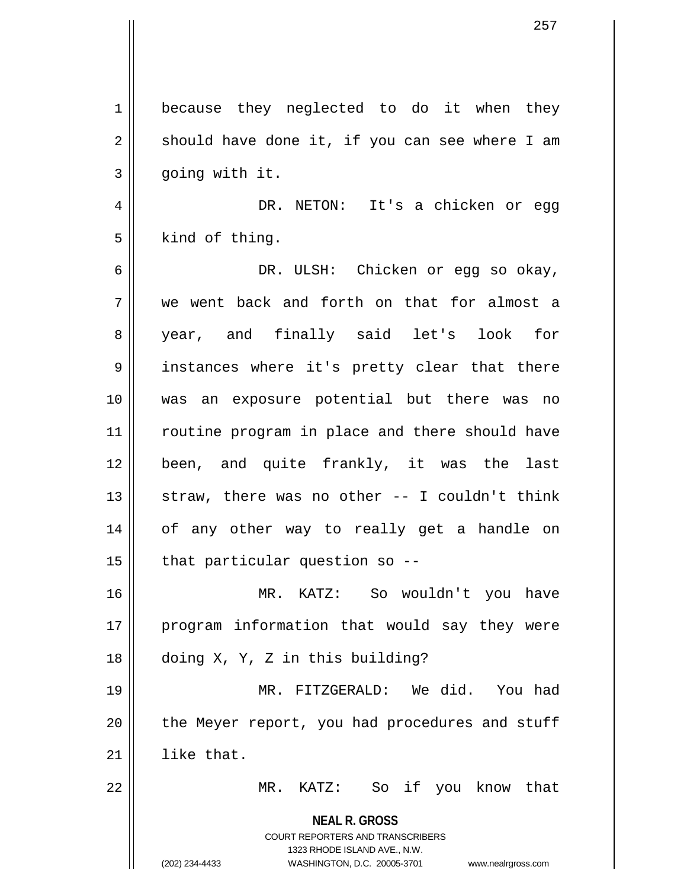**NEAL R. GROSS** COURT REPORTERS AND TRANSCRIBERS 1323 RHODE ISLAND AVE., N.W. (202) 234-4433 WASHINGTON, D.C. 20005-3701 www.nealrgross.com 1 | because they neglected to do it when they  $2 \parallel$  should have done it, if you can see where I am  $3 \parallel$  going with it. 4 DR. NETON: It's a chicken or egg  $5 \parallel$  kind of thing. 6 DR. ULSH: Chicken or egg so okay, 7 we went back and forth on that for almost a 8 year, and finally said let's look for 9 || instances where it's pretty clear that there 10 was an exposure potential but there was no 11 || routine program in place and there should have 12 been, and quite frankly, it was the last  $13$  straw, there was no other  $-$  I couldn't think 14 || of any other way to really get a handle on  $15$  | that particular question so --16 MR. KATZ: So wouldn't you have 17 || program information that would say they were 18 doing X, Y, Z in this building? 19 MR. FITZGERALD: We did. You had  $20$  | the Meyer report, you had procedures and stuff  $21$  like that. 22 MR. KATZ: So if you know that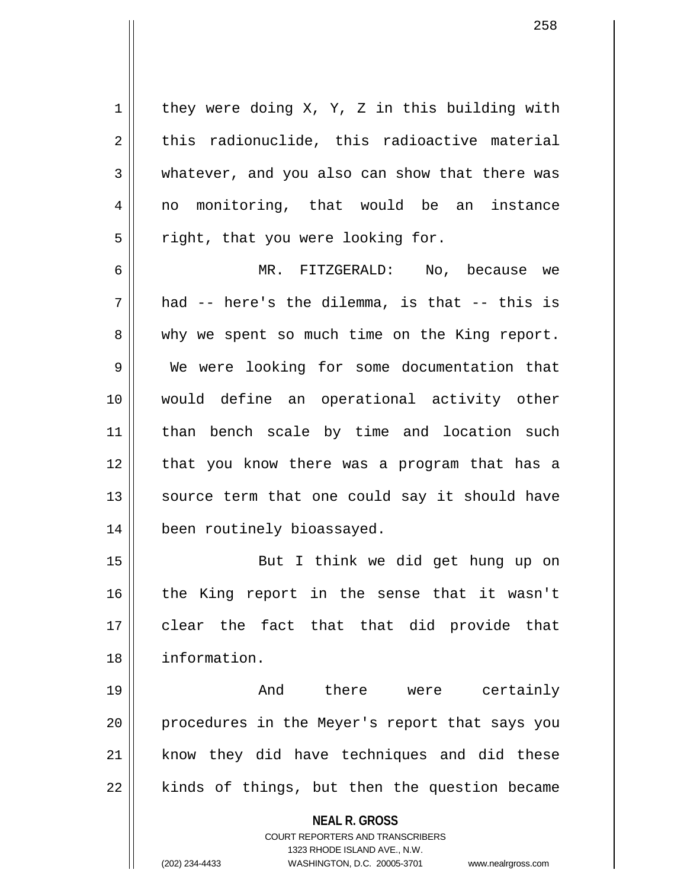$1 \parallel$  they were doing X, Y, Z in this building with  $2 \parallel$  this radionuclide, this radioactive material 3 whatever, and you also can show that there was 4 || no monitoring, that would be an instance  $5 \parallel$  right, that you were looking for.

6 MR. FITZGERALD: No, because we  $7 \parallel$  had -- here's the dilemma, is that -- this is 8 why we spent so much time on the King report. 9 We were looking for some documentation that 10 would define an operational activity other 11 || than bench scale by time and location such 12 || that you know there was a program that has a 13 || source term that one could say it should have 14 been routinely bioassayed.

15 But I think we did get hung up on 16 || the King report in the sense that it wasn't 17 clear the fact that that did provide that 18 information.

19 And there were certainly 20 || procedures in the Meyer's report that says you 21 || know they did have techniques and did these  $22$  || kinds of things, but then the question became

**NEAL R. GROSS**

COURT REPORTERS AND TRANSCRIBERS 1323 RHODE ISLAND AVE., N.W. (202) 234-4433 WASHINGTON, D.C. 20005-3701 www.nealrgross.com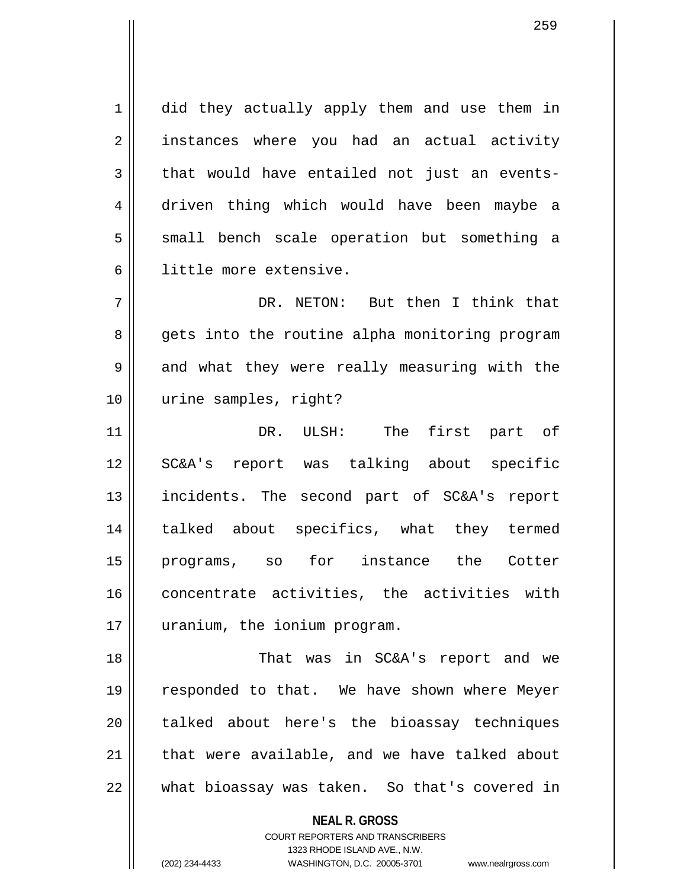1 did they actually apply them and use them in 2 || instances where you had an actual activity  $3 \parallel$  that would have entailed not just an events-4 driven thing which would have been maybe a 5 || small bench scale operation but something a 6 little more extensive.

7 DR. NETON: But then I think that 8 || gets into the routine alpha monitoring program 9 and what they were really measuring with the 10 urine samples, right?

11 DR. ULSH: The first part of 12 SC&A's report was talking about specific 13 incidents. The second part of SC&A's report 14 || talked about specifics, what they termed 15 programs, so for instance the Cotter 16 concentrate activities, the activities with 17 uranium, the ionium program.

18 || That was in SC&A's report and we 19 responded to that. We have shown where Meyer 20 || talked about here's the bioassay techniques  $21$  | that were available, and we have talked about  $22$   $\parallel$  what bioassay was taken. So that's covered in

**NEAL R. GROSS**

COURT REPORTERS AND TRANSCRIBERS 1323 RHODE ISLAND AVE., N.W. (202) 234-4433 WASHINGTON, D.C. 20005-3701 www.nealrgross.com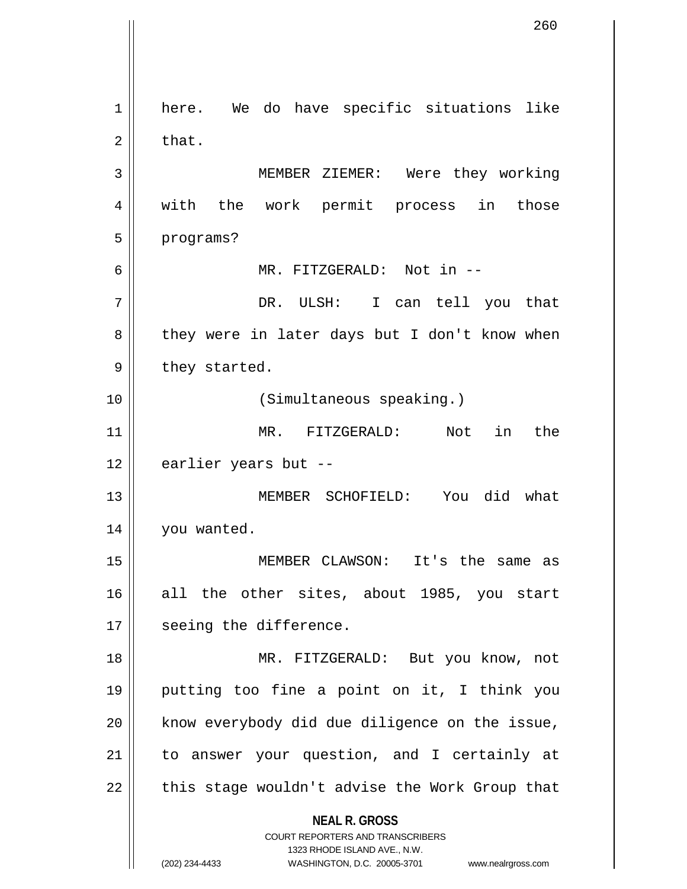**NEAL R. GROSS** COURT REPORTERS AND TRANSCRIBERS 1323 RHODE ISLAND AVE., N.W. (202) 234-4433 WASHINGTON, D.C. 20005-3701 www.nealrgross.com 1 | here. We do have specific situations like  $2 \parallel$  that. 3 MEMBER ZIEMER: Were they working 4 || with the work permit process in those 5 | programs? 6 MR. FITZGERALD: Not in -- 7 DR. ULSH: I can tell you that 8 || they were in later days but I don't know when  $9 \parallel$  they started. 10 (Simultaneous speaking.) 11 MR. FITZGERALD: Not in the 12 earlier years but --13 MEMBER SCHOFIELD: You did what 14 | you wanted. 15 MEMBER CLAWSON: It's the same as 16 all the other sites, about 1985, you start 17 || seeing the difference. 18 MR. FITZGERALD: But you know, not 19 putting too fine a point on it, I think you 20 || know everybody did due diligence on the issue, 21 to answer your question, and I certainly at 22 || this stage wouldn't advise the Work Group that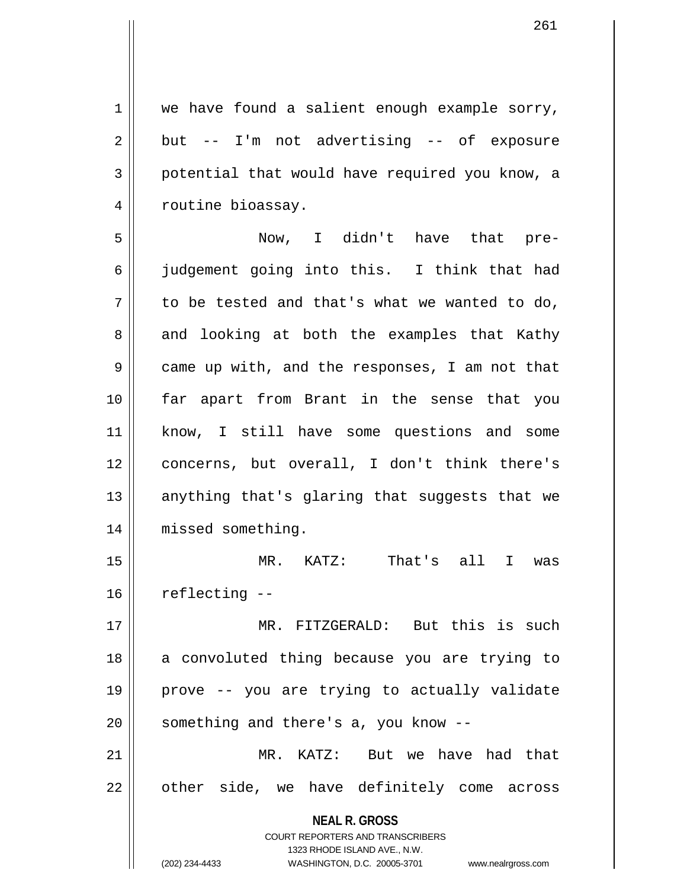$1 \parallel$  we have found a salient enough example sorry,  $2 \parallel$  but -- I'm not advertising -- of exposure 3 potential that would have required you know, a 4 | routine bioassay.

5 Now, I didn't have that pre-6 judgement going into this. I think that had  $7 \parallel$  to be tested and that's what we wanted to do, 8 || and looking at both the examples that Kathy 9 came up with, and the responses, I am not that 10 far apart from Brant in the sense that you 11 know, I still have some questions and some 12 concerns, but overall, I don't think there's 13  $\parallel$  anything that's glaring that suggests that we 14 || missed something.

15 MR. KATZ: That's all I was  $16$  | reflecting  $-$ 

17 MR. FITZGERALD: But this is such 18 a convoluted thing because you are trying to 19 prove -- you are trying to actually validate  $20$  | something and there's a, you know  $-$ 

21 MR. KATZ: But we have had that 22 || other side, we have definitely come across

> **NEAL R. GROSS** COURT REPORTERS AND TRANSCRIBERS

> > 1323 RHODE ISLAND AVE., N.W.

(202) 234-4433 WASHINGTON, D.C. 20005-3701 www.nealrgross.com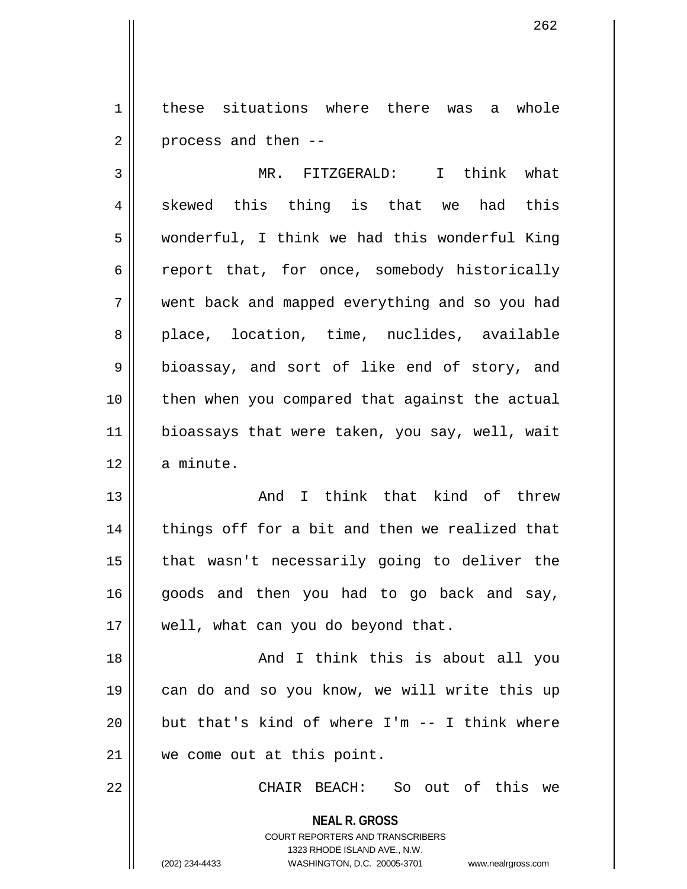1 | these situations where there was a whole  $2 \parallel$  process and then --

3 MR. FITZGERALD: I think what  $4 \parallel$  skewed this thing is that we had this 5 wonderful, I think we had this wonderful King 6 ceport that, for once, somebody historically 7 went back and mapped everything and so you had 8 || place, location, time, nuclides, available 9 || bioassay, and sort of like end of story, and 10 then when you compared that against the actual 11 || bioassays that were taken, you say, well, wait 12 a minute.

13 And I think that kind of threw 14 || things off for a bit and then we realized that 15 || that wasn't necessarily going to deliver the  $16$  goods and then you had to go back and say, 17 || well, what can you do beyond that.

18 || And I think this is about all you 19 || can do and so you know, we will write this up  $20$  || but that's kind of where I'm  $-$ - I think where 21 we come out at this point.

22 CHAIR BEACH: So out of this we

**NEAL R. GROSS** COURT REPORTERS AND TRANSCRIBERS 1323 RHODE ISLAND AVE., N.W. (202) 234-4433 WASHINGTON, D.C. 20005-3701 www.nealrgross.com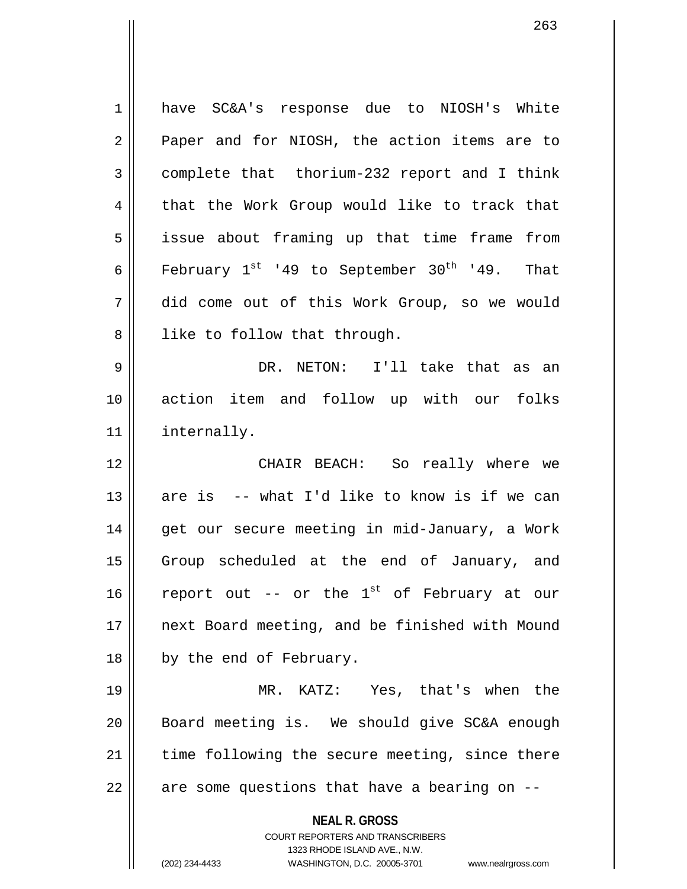**NEAL R. GROSS** COURT REPORTERS AND TRANSCRIBERS 1323 RHODE ISLAND AVE., N.W. 1 have SC&A's response due to NIOSH's White 2 || Paper and for NIOSH, the action items are to 3 complete that thorium-232 report and I think 4 || that the Work Group would like to track that 5 | issue about framing up that time frame from 6 | February  $1^{st}$  '49 to September 30<sup>th</sup> '49. That 7 did come out of this Work Group, so we would  $8$  || like to follow that through. 9 DR. NETON: I'll take that as an 10 action item and follow up with our folks 11 | internally. 12 CHAIR BEACH: So really where we 13  $\parallel$  are is -- what I'd like to know is if we can 14 || get our secure meeting in mid-January, a Work 15 || Group scheduled at the end of January, and 16 | report out -- or the  $1^{st}$  of February at our 17 || next Board meeting, and be finished with Mound 18 || by the end of February. 19 MR. KATZ: Yes, that's when the 20 Board meeting is. We should give SC&A enough 21 || time following the secure meeting, since there  $22 \parallel$  are some questions that have a bearing on  $-$ 

(202) 234-4433 WASHINGTON, D.C. 20005-3701 www.nealrgross.com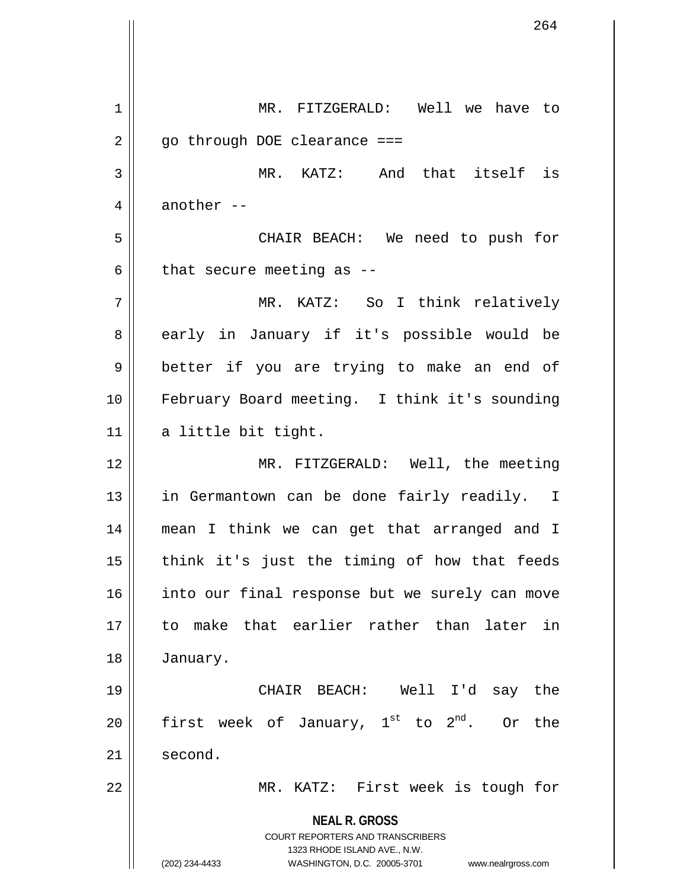**NEAL R. GROSS** COURT REPORTERS AND TRANSCRIBERS 1323 RHODE ISLAND AVE., N.W. (202) 234-4433 WASHINGTON, D.C. 20005-3701 www.nealrgross.com 1 || MR. FITZGERALD: Well we have to  $2 \parallel$  go through DOE clearance === 3 MR. KATZ: And that itself is 4  $\parallel$  another --5 CHAIR BEACH: We need to push for  $6 \parallel$  that secure meeting as --7 MR. KATZ: So I think relatively 8 early in January if it's possible would be 9 || better if you are trying to make an end of 10 February Board meeting. I think it's sounding  $11$  a little bit tight. 12 MR. FITZGERALD: Well, the meeting 13 || in Germantown can be done fairly readily. I 14 mean I think we can get that arranged and I  $15$  || think it's just the timing of how that feeds 16 || into our final response but we surely can move 17 to make that earlier rather than later in 18 January. 19 CHAIR BEACH: Well I'd say the 20 || first week of January,  $1^{st}$  to  $2^{nd}$ . Or the 21 | second. 22 MR. KATZ: First week is tough for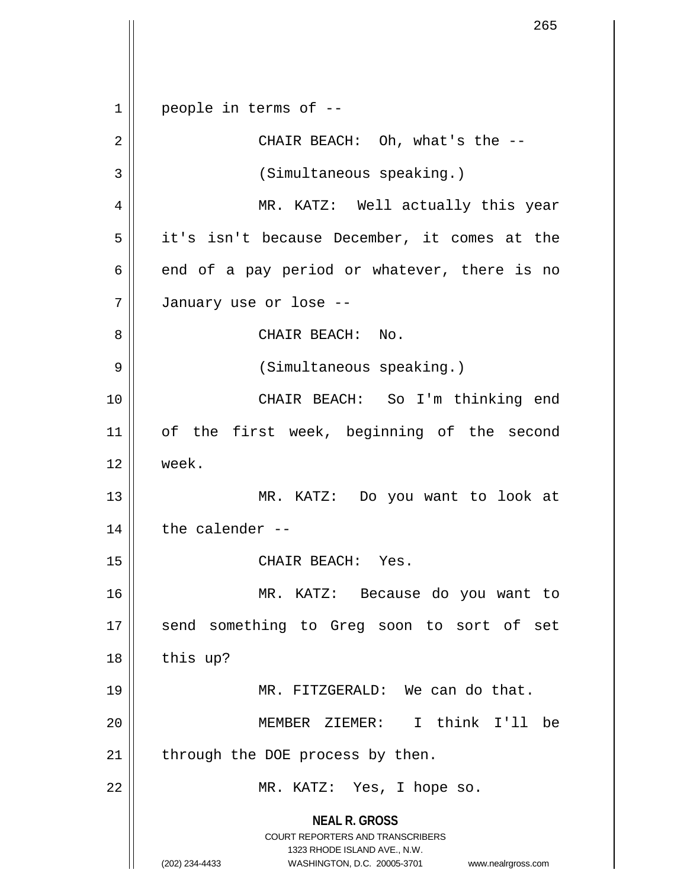**NEAL R. GROSS** COURT REPORTERS AND TRANSCRIBERS 1323 RHODE ISLAND AVE., N.W. (202) 234-4433 WASHINGTON, D.C. 20005-3701 www.nealrgross.com  $1 \parallel$  people in terms of --2 CHAIR BEACH: Oh, what's the -- 3 (Simultaneous speaking.) 4 MR. KATZ: Well actually this year 5 it's isn't because December, it comes at the  $6 \parallel$  end of a pay period or whatever, there is no 7 January use or lose -- 8 CHAIR BEACH: No. 9 (Simultaneous speaking.) 10 CHAIR BEACH: So I'm thinking end 11 || of the first week, beginning of the second 12 week. 13 MR. KATZ: Do you want to look at  $14$  | the calender --15 || CHAIR BEACH: Yes. 16 MR. KATZ: Because do you want to 17 || send something to Greg soon to sort of set  $18$  | this up? 19 || MR. FITZGERALD: We can do that. 20 MEMBER ZIEMER: I think I'll be  $21$  | through the DOE process by then. 22 || MR. KATZ: Yes, I hope so.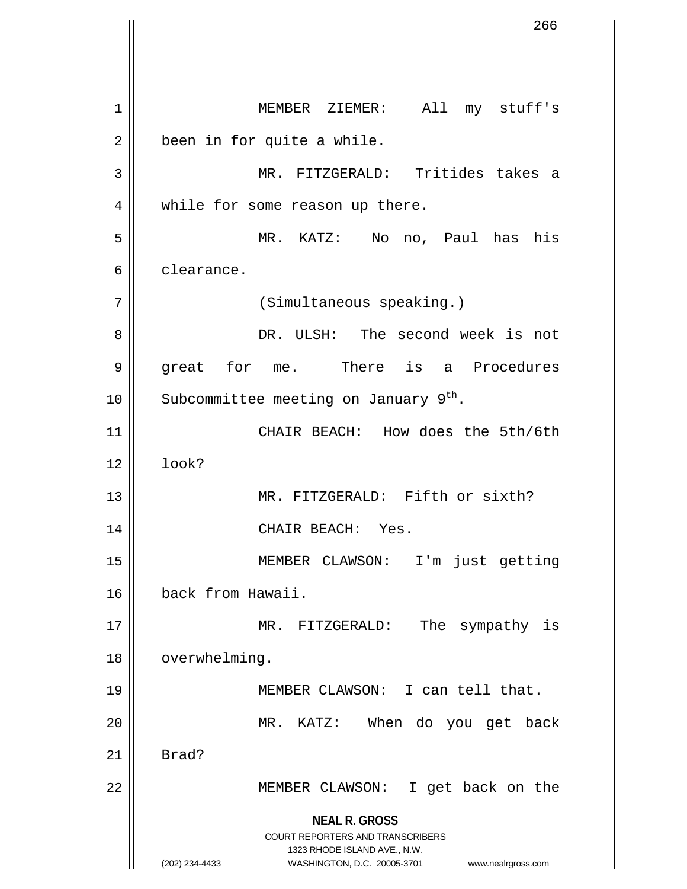**NEAL R. GROSS** COURT REPORTERS AND TRANSCRIBERS 1323 RHODE ISLAND AVE., N.W. (202) 234-4433 WASHINGTON, D.C. 20005-3701 www.nealrgross.com 1 MEMBER ZIEMER: All my stuff's  $2 \parallel$  been in for quite a while. 3 MR. FITZGERALD: Tritides takes a 4 || while for some reason up there. 5 MR. KATZ: No no, Paul has his 6 clearance. 7 | (Simultaneous speaking.) 8 DR. ULSH: The second week is not 9 great for me. There is a Procedures 10 | Subcommittee meeting on January  $9^{th}$ . 11 CHAIR BEACH: How does the 5th/6th  $12 \parallel$   $100k$ ? 13 MR. FITZGERALD: Fifth or sixth? 14 || CHAIR BEACH: Yes. 15 MEMBER CLAWSON: I'm just getting 16 back from Hawaii. 17 || MR. FITZGERALD: The sympathy is 18 | overwhelming. 19 MEMBER CLAWSON: I can tell that. 20 MR. KATZ: When do you get back  $21$  Brad? 22 MEMBER CLAWSON: I get back on the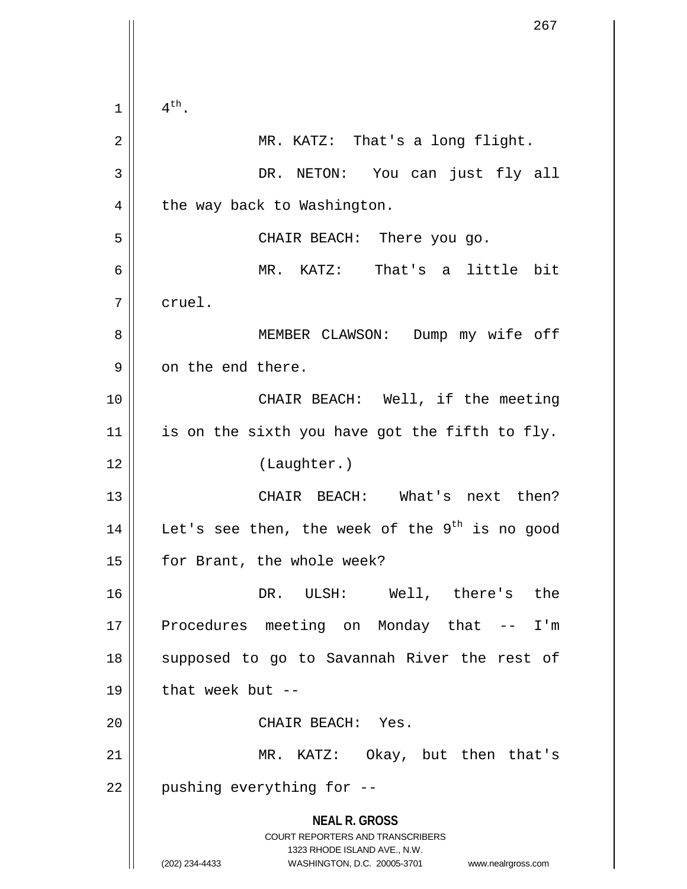**NEAL R. GROSS** COURT REPORTERS AND TRANSCRIBERS 1323 RHODE ISLAND AVE., N.W. (202) 234-4433 WASHINGTON, D.C. 20005-3701 www.nealrgross.com  $1 \parallel 4^{\text{th}}.$ 2 || MR. KATZ: That's a long flight. 3 DR. NETON: You can just fly all  $4 \parallel$  the way back to Washington. 5 CHAIR BEACH: There you go. 6 MR. KATZ: That's a little bit 7 cruel. 8 MEMBER CLAWSON: Dump my wife off 9 | on the end there. 10 || CHAIR BEACH: Well, if the meeting  $11$  is on the sixth you have got the fifth to fly. 12 (Laughter.) 13 CHAIR BEACH: What's next then? 14  $\parallel$  Let's see then, the week of the 9<sup>th</sup> is no good 15 | for Brant, the whole week? 16 DR. ULSH: Well, there's the 17 || Procedures meeting on Monday that -- I'm 18 || supposed to go to Savannah River the rest of  $19$  || that week but --20 || CHAIR BEACH: Yes. 21 || MR. KATZ: Okay, but then that's  $22$  | pushing everything for  $-$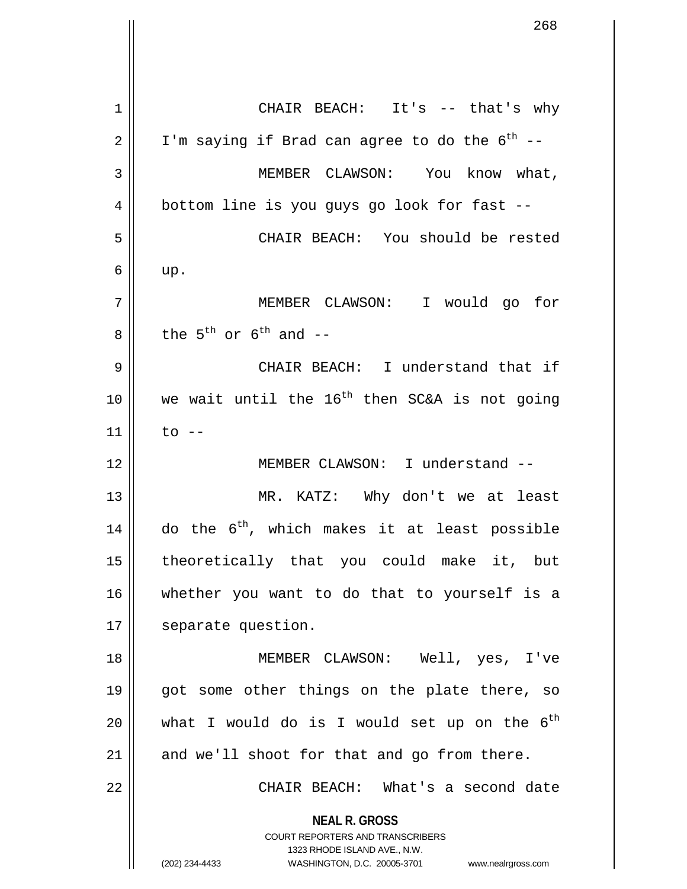**NEAL R. GROSS** COURT REPORTERS AND TRANSCRIBERS 1323 RHODE ISLAND AVE., N.W. (202) 234-4433 WASHINGTON, D.C. 20005-3701 www.nealrgross.com 1 || CHAIR BEACH: It's -- that's why  $2 \parallel$  I'm saying if Brad can agree to do the  $6^{th}$  --3 | MEMBER CLAWSON: You know what,  $4 \parallel$  bottom line is you guys go look for fast --5 CHAIR BEACH: You should be rested  $6 \parallel$  up. 7 MEMBER CLAWSON: I would go for 8 the 5<sup>th</sup> or 6<sup>th</sup> and --9 CHAIR BEACH: I understand that if 10  $\parallel$  we wait until the 16<sup>th</sup> then SC&A is not going  $11$  | to --12 MEMBER CLAWSON: I understand -- 13 MR. KATZ: Why don't we at least 14  $\parallel$  do the 6<sup>th</sup>, which makes it at least possible 15 theoretically that you could make it, but 16 whether you want to do that to yourself is a 17 | separate question. 18 MEMBER CLAWSON: Well, yes, I've 19 || got some other things on the plate there, so 20  $\parallel$  what I would do is I would set up on the 6<sup>th</sup>  $21$  and we'll shoot for that and go from there. 22 CHAIR BEACH: What's a second date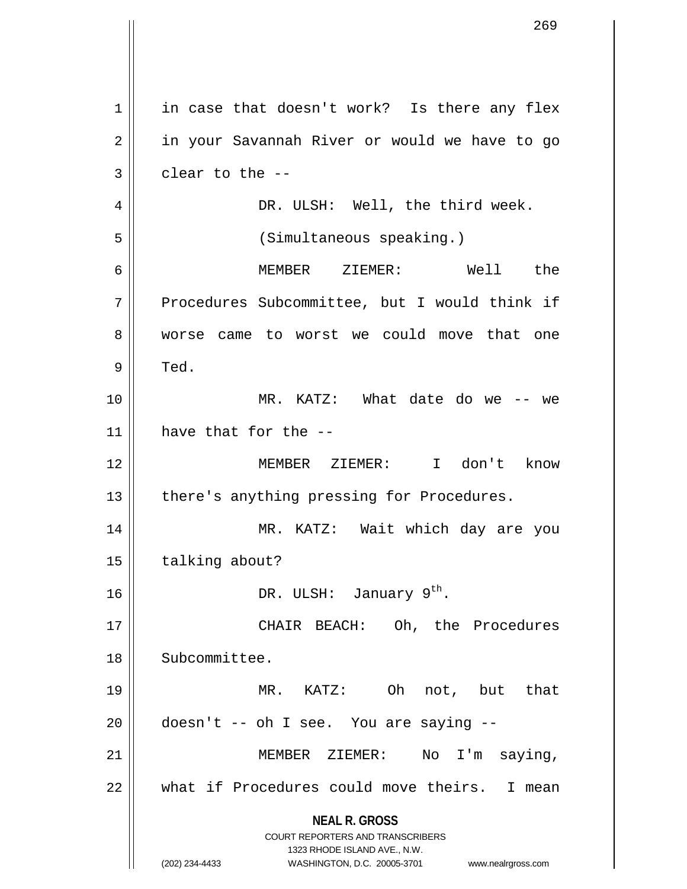**NEAL R. GROSS** COURT REPORTERS AND TRANSCRIBERS 1323 RHODE ISLAND AVE., N.W. (202) 234-4433 WASHINGTON, D.C. 20005-3701 www.nealrgross.com  $1 \parallel$  in case that doesn't work? Is there any flex 2 | in your Savannah River or would we have to go  $3 \parallel$  clear to the --4 DR. ULSH: Well, the third week. 5 (Simultaneous speaking.) 6 MEMBER ZIEMER: Well the 7 | Procedures Subcommittee, but I would think if 8 worse came to worst we could move that one  $9 \parallel$  Ted. 10 MR. KATZ: What date do we -- we 11 have that for the -- 12 MEMBER ZIEMER: I don't know 13 || there's anything pressing for Procedures. 14 MR. KATZ: Wait which day are you 15 | talking about? 16  $\parallel$  DR. ULSH: January 9<sup>th</sup>. 17 CHAIR BEACH: Oh, the Procedures 18 Subcommittee. 19 MR. KATZ: Oh not, but that  $20$  | doesn't -- oh I see. You are saying --21 MEMBER ZIEMER: No I'm saying, 22 || what if Procedures could move theirs. I mean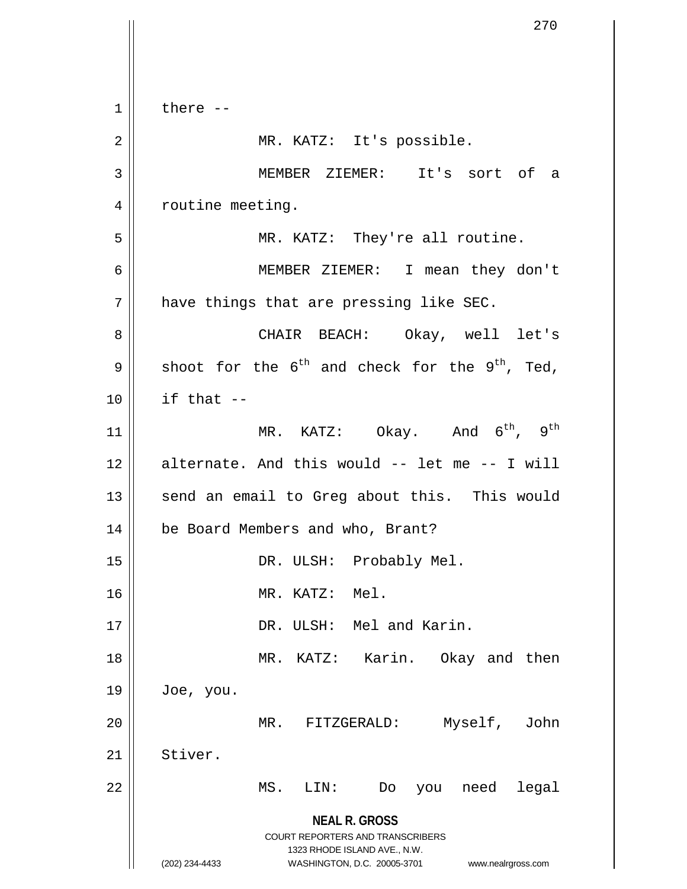**NEAL R. GROSS** COURT REPORTERS AND TRANSCRIBERS 1323 RHODE ISLAND AVE., N.W. (202) 234-4433 WASHINGTON, D.C. 20005-3701 www.nealrgross.com  $1 \parallel$  there --2 || MR. KATZ: It's possible. 3 MEMBER ZIEMER: It's sort of a 4 | routine meeting. 5 || MR. KATZ: They're all routine. 6 MEMBER ZIEMER: I mean they don't  $7$  | have things that are pressing like SEC. 8 CHAIR BEACH: Okay, well let's 9 Shoot for the  $6^{th}$  and check for the 9<sup>th</sup>, Ted,  $10$  || if that  $-$ 11 ||  $MR. KATZ: Okay. And 6<sup>th</sup>, 9<sup>th</sup>$  $12$  alternate. And this would  $-$  let me  $-$  I will 13 || send an email to Greg about this. This would 14 | be Board Members and who, Brant? 15 || DR. ULSH: Probably Mel. 16 MR. KATZ: Mel. 17 || DR. ULSH: Mel and Karin. 18 MR. KATZ: Karin. Okay and then  $19 \parallel$  Joe, you. 20 || MR. FITZGERALD: Myself, John 21 Stiver. 22 MS. LIN: Do you need legal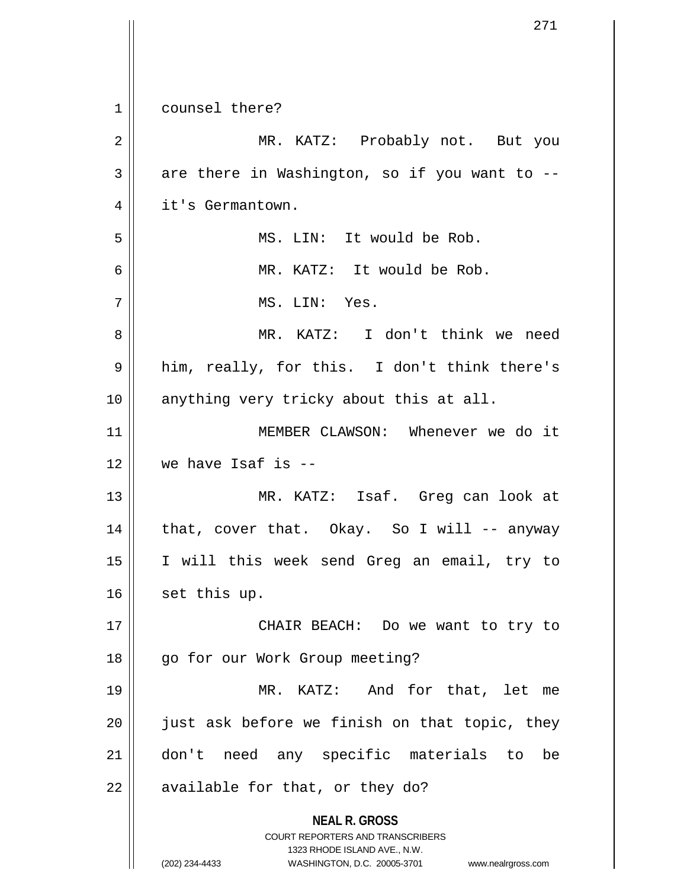|    | 271                                                                 |
|----|---------------------------------------------------------------------|
|    |                                                                     |
| 1  | counsel there?                                                      |
| 2  | MR. KATZ: Probably not. But you                                     |
| 3  | are there in Washington, so if you want to --                       |
| 4  | it's Germantown.                                                    |
| 5  | MS. LIN: It would be Rob.                                           |
| 6  | MR. KATZ: It would be Rob.                                          |
| 7  | MS. LIN: Yes.                                                       |
| 8  | MR. KATZ: I don't think we need                                     |
| 9  | him, really, for this. I don't think there's                        |
| 10 | anything very tricky about this at all.                             |
| 11 | MEMBER CLAWSON: Whenever we do it                                   |
| 12 | we have Isaf is $-$                                                 |
| 13 | MR. KATZ: Isaf. Greg can look at                                    |
| 14 | that, cover that. Okay. So I will -- anyway                         |
| 15 | I will this week send Greg an email, try to                         |
| 16 | set this up.                                                        |
| 17 | CHAIR BEACH: Do we want to try to                                   |
| 18 | go for our Work Group meeting?                                      |
| 19 | MR. KATZ: And for that, let me                                      |
| 20 | just ask before we finish on that topic, they                       |
| 21 | don't need any specific materials to<br>be                          |
| 22 | available for that, or they do?                                     |
|    | <b>NEAL R. GROSS</b><br><b>COURT REPORTERS AND TRANSCRIBERS</b>     |
|    | 1323 RHODE ISLAND AVE., N.W.                                        |
|    | (202) 234-4433<br>WASHINGTON, D.C. 20005-3701<br>www.nealrgross.com |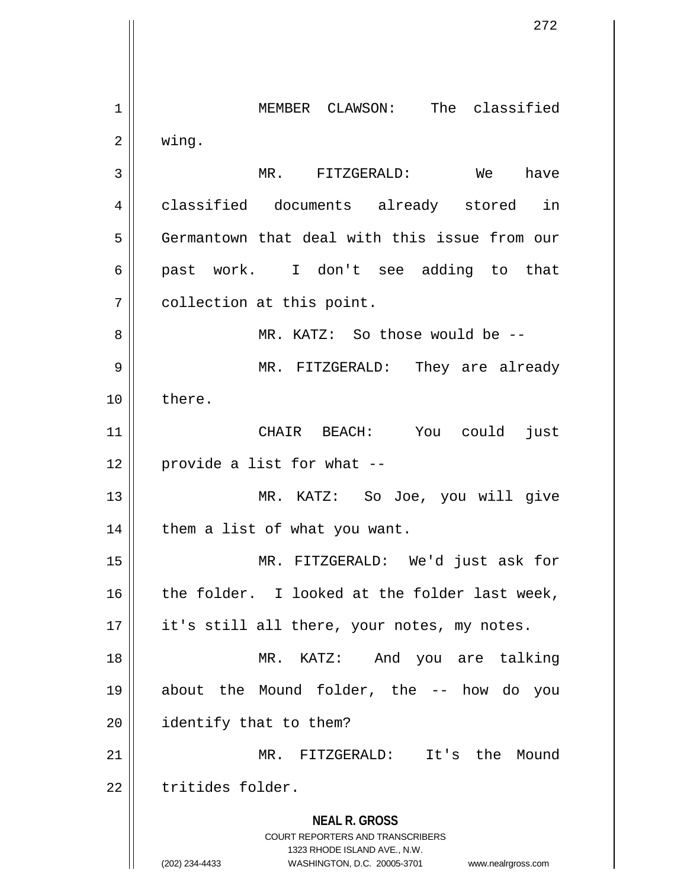**NEAL R. GROSS** COURT REPORTERS AND TRANSCRIBERS 1323 RHODE ISLAND AVE., N.W. (202) 234-4433 WASHINGTON, D.C. 20005-3701 www.nealrgross.com 1 || MEMBER CLAWSON: The classified  $2 \parallel$  wing. 3 MR. FITZGERALD: We have 4 classified documents already stored in 5 Germantown that deal with this issue from our 6 past work. I don't see adding to that 7 | collection at this point. 8 MR. KATZ: So those would be -- 9 MR. FITZGERALD: They are already 10 ll there. 11 CHAIR BEACH: You could just  $12$  | provide a list for what  $-$ 13 MR. KATZ: So Joe, you will give  $14$  | them a list of what you want. 15 MR. FITZGERALD: We'd just ask for  $16$  the folder. I looked at the folder last week, 17 || it's still all there, your notes, my notes. 18 MR. KATZ: And you are talking 19 about the Mound folder, the -- how do you 20 | identify that to them? 21 MR. FITZGERALD: It's the Mound 22 | tritides folder.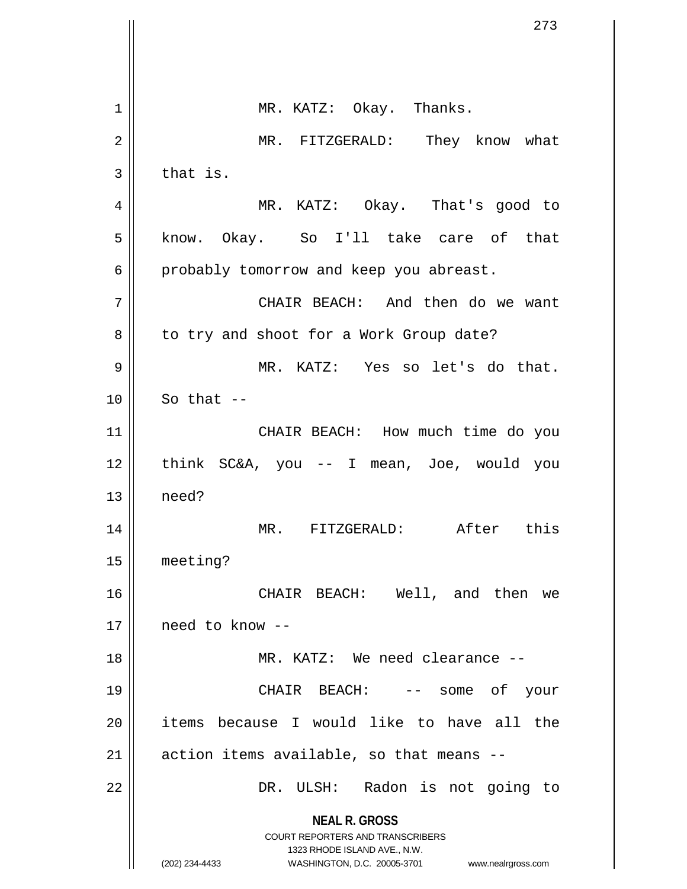|    | 273                                                                 |
|----|---------------------------------------------------------------------|
|    |                                                                     |
| 1  | MR. KATZ: Okay. Thanks.                                             |
| 2  | MR. FITZGERALD: They know what                                      |
| 3  | that is.                                                            |
| 4  | MR. KATZ: Okay. That's good to                                      |
| 5  | know. Okay. So I'll take care of that                               |
| 6  | probably tomorrow and keep you abreast.                             |
| 7  | CHAIR BEACH: And then do we want                                    |
| 8  | to try and shoot for a Work Group date?                             |
| 9  | MR. KATZ: Yes so let's do that.                                     |
| 10 | So that $--$                                                        |
| 11 | CHAIR BEACH: How much time do you                                   |
| 12 | think SC&A, you -- I mean, Joe, would you                           |
| 13 | need?                                                               |
| 14 | After<br>$MR$ .<br>FITZGERALD:<br>this                              |
| 15 | meeting?                                                            |
| 16 | CHAIR BEACH: Well, and then we                                      |
| 17 | need to know --                                                     |
| 18 | MR. KATZ: We need clearance --                                      |
| 19 | CHAIR BEACH:<br>some of<br>your                                     |
| 20 | items because I would like to have all the                          |
| 21 | action items available, so that means --                            |
| 22 | DR. ULSH: Radon is not going to                                     |
|    | <b>NEAL R. GROSS</b>                                                |
|    | COURT REPORTERS AND TRANSCRIBERS<br>1323 RHODE ISLAND AVE., N.W.    |
|    | (202) 234-4433<br>WASHINGTON, D.C. 20005-3701<br>www.nealrgross.com |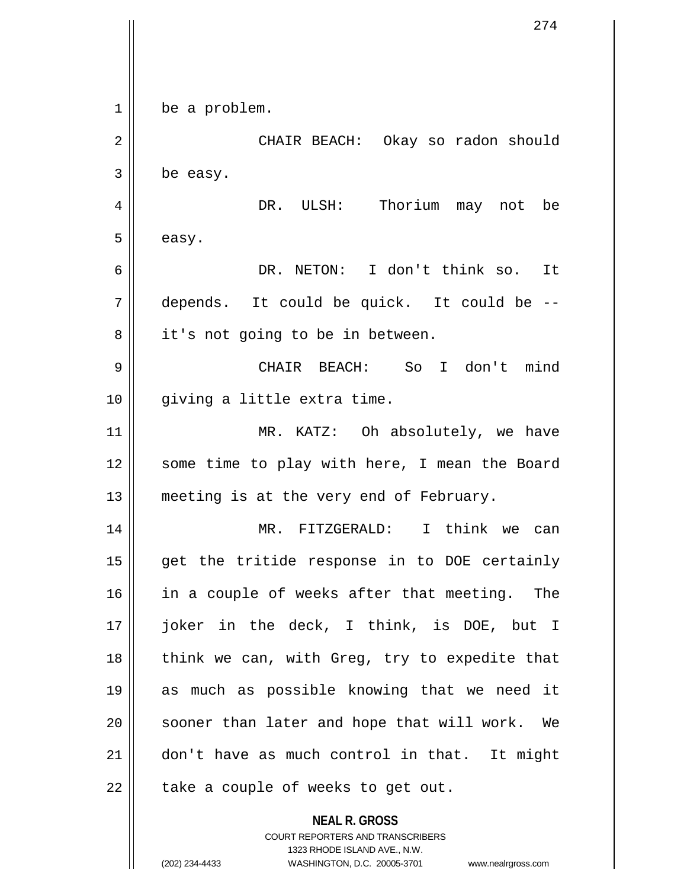| 1  | be a problem.                                                                                                                                                          |
|----|------------------------------------------------------------------------------------------------------------------------------------------------------------------------|
| 2  | CHAIR BEACH: Okay so radon should                                                                                                                                      |
| 3  | be easy.                                                                                                                                                               |
| 4  | DR. ULSH: Thorium may not be                                                                                                                                           |
| 5  | easy.                                                                                                                                                                  |
| 6  | DR. NETON: I don't think so. It                                                                                                                                        |
| 7  | depends. It could be quick. It could be --                                                                                                                             |
| 8  | it's not going to be in between.                                                                                                                                       |
| 9  | CHAIR BEACH: So I don't mind                                                                                                                                           |
| 10 | giving a little extra time.                                                                                                                                            |
| 11 | MR. KATZ: Oh absolutely, we have                                                                                                                                       |
| 12 | some time to play with here, I mean the Board                                                                                                                          |
| 13 | meeting is at the very end of February.                                                                                                                                |
| 14 | MR.<br>FITZGERALD:<br>I think we can                                                                                                                                   |
| 15 | get the tritide response in to DOE certainly                                                                                                                           |
| 16 | in a couple of weeks after that meeting. The                                                                                                                           |
| 17 | joker in the deck, I think, is DOE, but I                                                                                                                              |
| 18 | think we can, with Greg, try to expedite that                                                                                                                          |
| 19 | as much as possible knowing that we need it                                                                                                                            |
| 20 | sooner than later and hope that will work. We                                                                                                                          |
| 21 | don't have as much control in that. It might                                                                                                                           |
| 22 | take a couple of weeks to get out.                                                                                                                                     |
|    | <b>NEAL R. GROSS</b><br><b>COURT REPORTERS AND TRANSCRIBERS</b><br>1323 RHODE ISLAND AVE., N.W.<br>(202) 234-4433<br>WASHINGTON, D.C. 20005-3701<br>www.nealrgross.com |

Ħ  $\mathop{\text{||}}$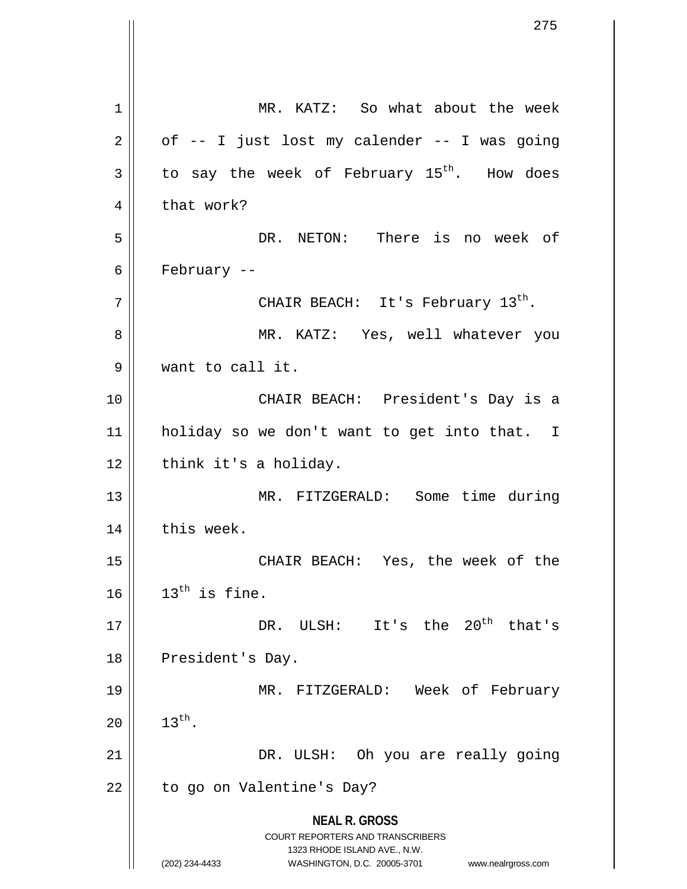**NEAL R. GROSS** COURT REPORTERS AND TRANSCRIBERS 1323 RHODE ISLAND AVE., N.W. (202) 234-4433 WASHINGTON, D.C. 20005-3701 www.nealrgross.com 1 MR. KATZ: So what about the week  $2 \parallel$  of -- I just lost my calender -- I was going  $3 \parallel$  to say the week of February 15<sup>th</sup>. How does  $4 \parallel$  that work? 5 DR. NETON: There is no week of 6  $\parallel$  February -- $7 \parallel$  CHAIR BEACH: It's February  $13^{\text{th}}$ . 8 MR. KATZ: Yes, well whatever you 9 want to call it. 10 CHAIR BEACH: President's Day is a 11 holiday so we don't want to get into that. I  $12$  | think it's a holiday. 13 MR. FITZGERALD: Some time during  $14$   $\parallel$  this week. 15 CHAIR BEACH: Yes, the week of the  $16$  |  $13<sup>th</sup>$  is fine.  $17$  |  $\sqrt{DR}$ . ULSH: It's the 20<sup>th</sup> that's 18 || President's Day. 19 MR. FITZGERALD: Week of February 20  $\| 13^{th}$ . 21 || DR. ULSH: Oh you are really going 22 | to go on Valentine's Day?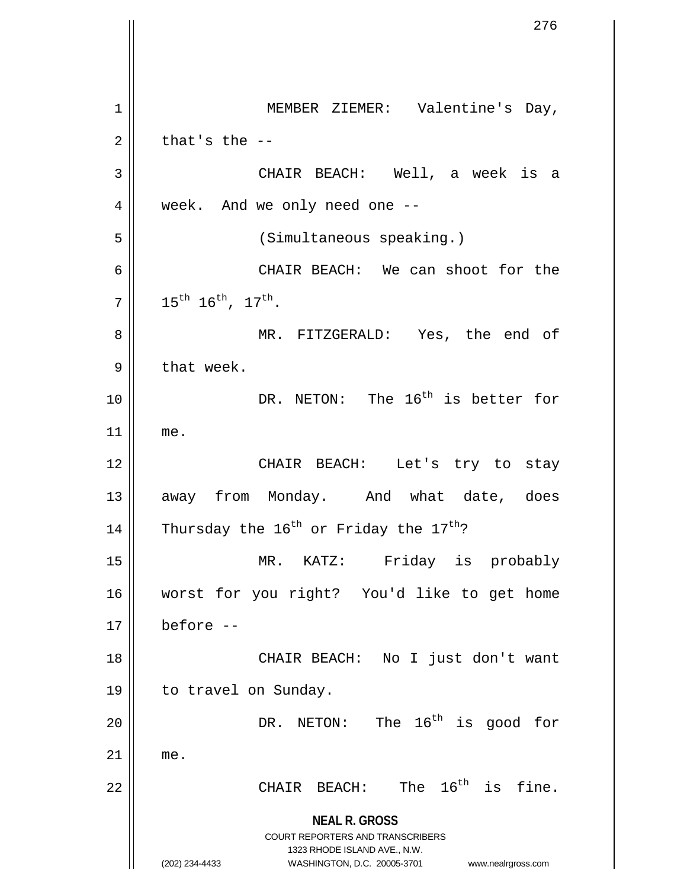**NEAL R. GROSS** COURT REPORTERS AND TRANSCRIBERS 1323 RHODE ISLAND AVE., N.W. (202) 234-4433 WASHINGTON, D.C. 20005-3701 www.nealrgross.com 1 || MEMBER ZIEMER: Valentine's Day,  $2 \parallel$  that's the  $-$ 3 CHAIR BEACH: Well, a week is a 4 | week. And we only need one --5 (Simultaneous speaking.) 6 CHAIR BEACH: We can shoot for the  $7 \parallel 15^{\text{th}} 16^{\text{th}}$ ,  $17^{\text{th}}$ . 8 || MR. FITZGERALD: Yes, the end of  $9 \parallel$  that week. 10  $\parallel$  DR. NETON: The 16<sup>th</sup> is better for 11 me. 12 CHAIR BEACH: Let's try to stay 13 || away from Monday. And what date, does 14 Thursday the  $16^{th}$  or Friday the  $17^{th}$ ? 15 MR. KATZ: Friday is probably 16 worst for you right? You'd like to get home  $17 \parallel$  before  $-$ 18 || CHAIR BEACH: No I just don't want 19 | to travel on Sunday. 20  $\parallel$  DR. NETON: The  $16^{th}$  is good for  $21$  me. 22  $\parallel$  CHAIR BEACH: The 16<sup>th</sup> is fine.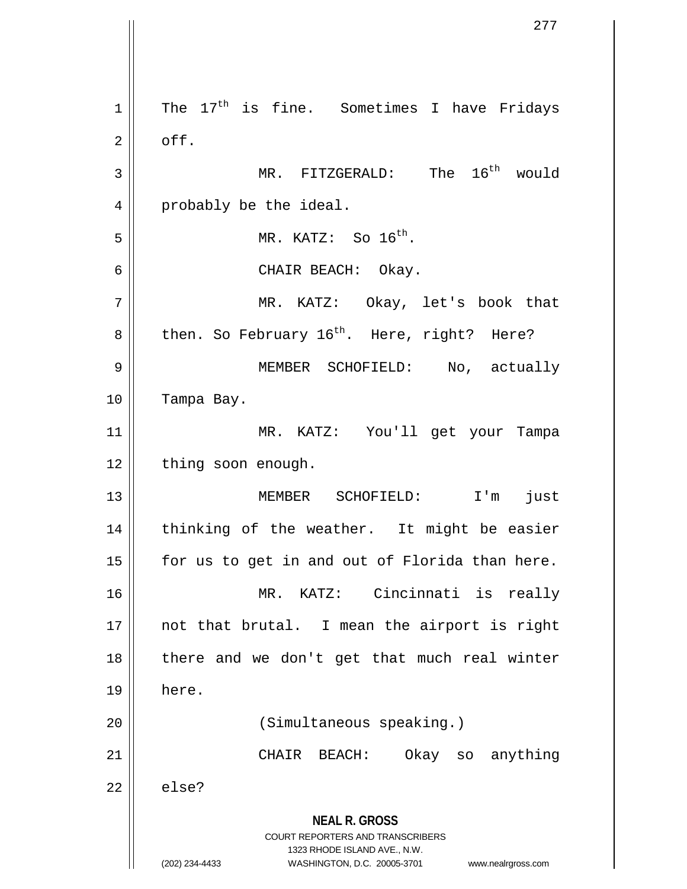**NEAL R. GROSS** COURT REPORTERS AND TRANSCRIBERS 1323 RHODE ISLAND AVE., N.W. (202) 234-4433 WASHINGTON, D.C. 20005-3701 www.nealrgross.com  $1$  The  $17<sup>th</sup>$  is fine. Sometimes I have Fridays  $2 \parallel$  off.  $3 \parallel$  MR. FITZGERALD: The  $16^{th}$  would 4 | probably be the ideal.  $\overline{5}$  | MR. KATZ: So  $16^{th}$ . 6 CHAIR BEACH: Okay. 7 MR. KATZ: Okay, let's book that  $8 \parallel$  then. So February 16<sup>th</sup>. Here, right? Here? 9 MEMBER SCHOFIELD: No, actually 10 | Tampa Bay. 11 MR. KATZ: You'll get your Tampa 12 | thing soon enough. 13 MEMBER SCHOFIELD: I'm just 14 || thinking of the weather. It might be easier  $15$  | for us to get in and out of Florida than here. 16 MR. KATZ: Cincinnati is really  $17$  || not that brutal. I mean the airport is right  $18$  || there and we don't get that much real winter 19 here. 20 || (Simultaneous speaking.) 21 || CHAIR BEACH: Okay so anything  $22 \parallel$  else?